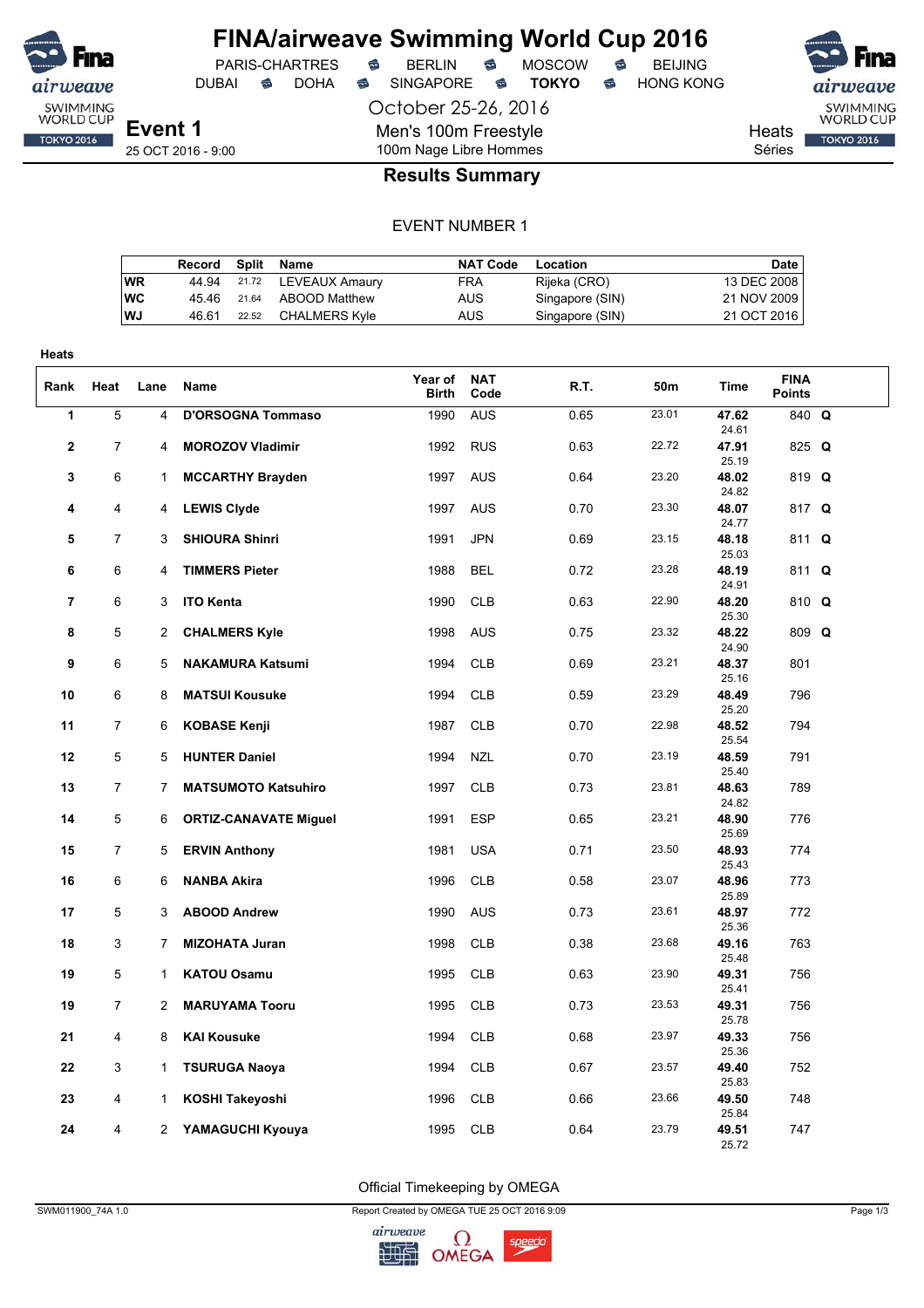

DUBAI **S** DOHA S SINGAPORE S **TOKYO** S HONG KONG

PARIS-CHARTRES **S** BERLIN S MOSCOW S

October 25-26, 2016

Men's 100m Freestyle

SWIMMING<br>WORLD CUP Heats **TOKYO 2016** Séries

**Event 1** 25 OCT 2016 - 9:00

## 100m Nage Libre Hommes **Results Summary**

### EVENT NUMBER 1

|           | Record Split Name |       |                      | <b>NAT Code</b> | Location        | Date        |
|-----------|-------------------|-------|----------------------|-----------------|-----------------|-------------|
| <b>WR</b> | 44.94             |       | 21.72 LEVEAUX Amaury | <b>FRA</b>      | Rijeka (CRO)    | 13 DEC 2008 |
| <b>WC</b> | 45.46             | 21.64 | ABOOD Matthew        | AUS             | Singapore (SIN) | 21 NOV 2009 |
| WJ        | 46.61             | 22.52 | CHALMERS Kvle        | AUS             | Singapore (SIN) | 21 OCT 2016 |

| <b>Heats</b>   |                |                |                                                            |                  |                          |              |                |                         |                              |  |
|----------------|----------------|----------------|------------------------------------------------------------|------------------|--------------------------|--------------|----------------|-------------------------|------------------------------|--|
| Rank           | Heat           | Lane           | Name                                                       | Year of<br>Birth | <b>NAT</b><br>Code       | R.T.         | 50m            | <b>Time</b>             | <b>FINA</b><br><b>Points</b> |  |
| $\overline{1}$ | $\overline{5}$ | 4              | <b>D'ORSOGNA Tommaso</b>                                   | 1990             | <b>AUS</b>               | 0.65         | 23.01          | 47.62<br>24.61          | 840 Q                        |  |
| $\mathbf{2}$   | $\overline{7}$ | 4              | <b>MOROZOV Vladimir</b>                                    | 1992             | <b>RUS</b>               | 0.63         | 22.72          | 47.91<br>25.19          | 825 Q                        |  |
| 3              | 6              | 1              | <b>MCCARTHY Brayden</b>                                    | 1997             | <b>AUS</b>               | 0.64         | 23.20          | 48.02<br>24.82          | 819 Q                        |  |
| 4              | 4              | 4              | <b>LEWIS Clyde</b>                                         | 1997             | <b>AUS</b>               | 0.70         | 23.30          | 48.07<br>24.77          | 817 Q                        |  |
| 5              | 7              | 3              | <b>SHIOURA Shinri</b>                                      | 1991             | <b>JPN</b>               | 0.69         | 23.15          | 48.18<br>25.03          | 811 Q                        |  |
| 6              | 6              | 4              | <b>TIMMERS Pieter</b>                                      | 1988             | <b>BEL</b>               | 0.72         | 23.28          | 48.19<br>24.91          | 811 Q                        |  |
| $\overline{7}$ | 6              | 3              | <b>ITO Kenta</b>                                           | 1990             | <b>CLB</b>               | 0.63         | 22.90          | 48.20<br>25.30          | 810 Q                        |  |
| 8              | 5              | $\overline{c}$ | <b>CHALMERS Kyle</b>                                       | 1998             | <b>AUS</b>               | 0.75         | 23.32          | 48.22<br>24.90          | 809 Q                        |  |
| 9              | 6              | 5              | <b>NAKAMURA Katsumi</b>                                    | 1994             | <b>CLB</b>               | 0.69         | 23.21          | 48.37<br>25.16          | 801                          |  |
| 10             | 6              | 8              | <b>MATSUI Kousuke</b>                                      | 1994             | <b>CLB</b>               | 0.59         | 23.29          | 48.49<br>25.20          | 796                          |  |
| 11             | 7              | 6              | <b>KOBASE Kenji</b>                                        | 1987             | <b>CLB</b>               | 0.70         | 22.98          | 48.52<br>25.54          | 794                          |  |
| 12             | 5              | 5              | <b>HUNTER Daniel</b>                                       | 1994             | <b>NZL</b>               | 0.70         | 23.19          | 48.59<br>25.40          | 791                          |  |
| 13<br>14       | 7<br>5         | 7<br>6         | <b>MATSUMOTO Katsuhiro</b><br><b>ORTIZ-CANAVATE Miguel</b> | 1997<br>1991     | <b>CLB</b><br><b>ESP</b> | 0.73<br>0.65 | 23.81<br>23.21 | 48.63<br>24.82<br>48.90 | 789<br>776                   |  |
| 15             | $\overline{7}$ | 5              |                                                            | 1981             | <b>USA</b>               | 0.71         | 23.50          | 25.69<br>48.93          | 774                          |  |
| 16             | 6              | 6              | <b>ERVIN Anthony</b><br><b>NANBA Akira</b>                 | 1996             | <b>CLB</b>               | 0.58         | 23.07          | 25.43<br>48.96          | 773                          |  |
| 17             | 5              | 3              | <b>ABOOD Andrew</b>                                        | 1990             | <b>AUS</b>               | 0.73         | 23.61          | 25.89<br>48.97          | 772                          |  |
| 18             | 3              | 7              | <b>MIZOHATA Juran</b>                                      | 1998             | <b>CLB</b>               | 0.38         | 23.68          | 25.36<br>49.16          | 763                          |  |
| 19             | 5              | $\mathbf{1}$   | <b>KATOU Osamu</b>                                         | 1995             | <b>CLB</b>               | 0.63         | 23.90          | 25.48<br>49.31          | 756                          |  |
| 19             | 7              | $\overline{2}$ | <b>MARUYAMA Tooru</b>                                      | 1995             | <b>CLB</b>               | 0.73         | 23.53          | 25.41<br>49.31          | 756                          |  |
| 21             | 4              | 8              | <b>KAI Kousuke</b>                                         | 1994             | <b>CLB</b>               | 0.68         | 23.97          | 25.78<br>49.33          | 756                          |  |
| 22             | 3              | 1              | <b>TSURUGA Naoya</b>                                       | 1994             | <b>CLB</b>               | 0.67         | 23.57          | 25.36<br>49.40          | 752                          |  |
| 23             | 4              | 1              | KOSHI Takeyoshi                                            | 1996             | <b>CLB</b>               | 0.66         | 23.66          | 25.83<br>49.50          | 748                          |  |
| 24             | 4              | $\overline{2}$ | YAMAGUCHI Kyouya                                           | 1995             | <b>CLB</b>               | 0.64         | 23.79          | 25.84<br>49.51          | 747                          |  |
|                |                |                |                                                            |                  |                          |              |                | 25.72                   |                              |  |

Official Timekeeping by OMEGA

SWM011900\_74A 1.0 Page 1/3

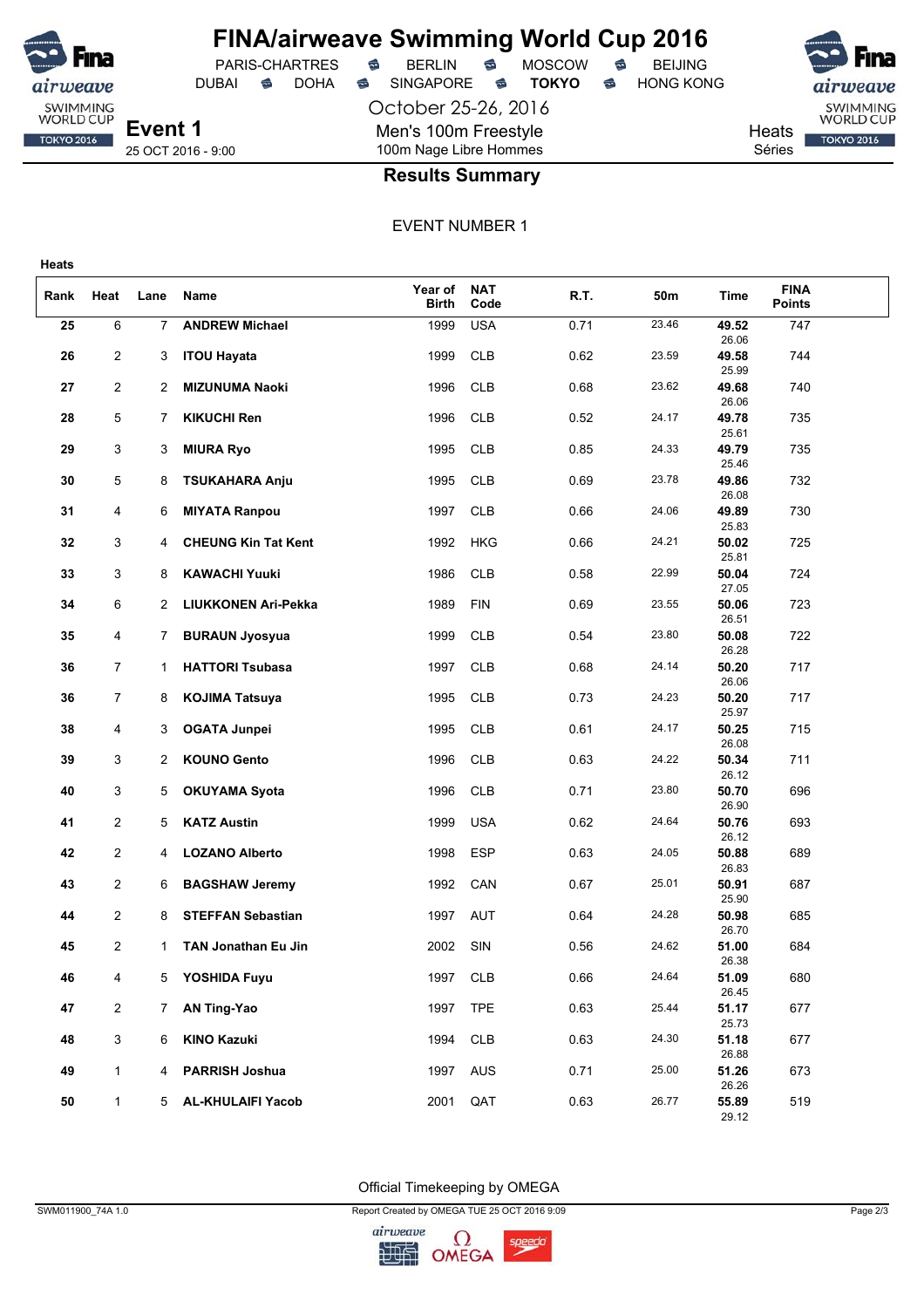

# **FINA/airweave Swimming World Cup 2016**<br>PARIS-CHARTRES **& BERLIN & MOSCOW & BEIJING**

DUBAI **S** DOHA S SINGAPORE S **TOKYO** S HONG KONG

PARIS-CHARTRES **S** BERLIN S MOSCOW S

October 25-26, 2016 Men's 100m Freestyle 100m Nage Libre Hommes



25 OCT 2016 - 9:00

## **Results Summary**

EVENT NUMBER 1

| Rank | Heat           | Lane        | Name                       | Year of<br><b>Birth</b> | <b>NAT</b><br>Code | R.T. | 50m   | Time           | <b>FINA</b><br><b>Points</b> |  |
|------|----------------|-------------|----------------------------|-------------------------|--------------------|------|-------|----------------|------------------------------|--|
| 25   | 6              | 7           | <b>ANDREW Michael</b>      | 1999                    | <b>USA</b>         | 0.71 | 23.46 | 49.52<br>26.06 | 747                          |  |
| 26   | 2              | 3           | <b>ITOU Hayata</b>         | 1999                    | <b>CLB</b>         | 0.62 | 23.59 | 49.58<br>25.99 | 744                          |  |
| 27   | $\overline{2}$ | 2           | <b>MIZUNUMA Naoki</b>      | 1996                    | <b>CLB</b>         | 0.68 | 23.62 | 49.68<br>26.06 | 740                          |  |
| 28   | 5              | 7           | <b>KIKUCHI Ren</b>         | 1996                    | <b>CLB</b>         | 0.52 | 24.17 | 49.78<br>25.61 | 735                          |  |
| 29   | 3              | 3           | <b>MIURA Ryo</b>           | 1995                    | <b>CLB</b>         | 0.85 | 24.33 | 49.79<br>25.46 | 735                          |  |
| 30   | 5              | 8           | <b>TSUKAHARA Anju</b>      | 1995                    | <b>CLB</b>         | 0.69 | 23.78 | 49.86<br>26.08 | 732                          |  |
| 31   | 4              | 6           | <b>MIYATA Ranpou</b>       | 1997                    | <b>CLB</b>         | 0.66 | 24.06 | 49.89<br>25.83 | 730                          |  |
| 32   | 3              | 4           | <b>CHEUNG Kin Tat Kent</b> | 1992                    | HKG                | 0.66 | 24.21 | 50.02<br>25.81 | 725                          |  |
| 33   | 3              | 8           | <b>KAWACHI Yuuki</b>       | 1986                    | <b>CLB</b>         | 0.58 | 22.99 | 50.04<br>27.05 | 724                          |  |
| 34   | 6              | 2           | LIUKKONEN Ari-Pekka        | 1989                    | <b>FIN</b>         | 0.69 | 23.55 | 50.06<br>26.51 | 723                          |  |
| 35   | 4              | 7           | <b>BURAUN Jyosyua</b>      | 1999                    | <b>CLB</b>         | 0.54 | 23.80 | 50.08<br>26.28 | 722                          |  |
| 36   | 7              | $\mathbf 1$ | <b>HATTORI Tsubasa</b>     | 1997                    | <b>CLB</b>         | 0.68 | 24.14 | 50.20<br>26.06 | 717                          |  |
| 36   | 7              | 8           | <b>KOJIMA Tatsuya</b>      | 1995                    | <b>CLB</b>         | 0.73 | 24.23 | 50.20<br>25.97 | 717                          |  |
| 38   | 4              | 3           | <b>OGATA Junpei</b>        | 1995                    | <b>CLB</b>         | 0.61 | 24.17 | 50.25<br>26.08 | 715                          |  |
| 39   | 3              | 2           | <b>KOUNO Gento</b>         | 1996                    | <b>CLB</b>         | 0.63 | 24.22 | 50.34<br>26.12 | 711                          |  |
| 40   | 3              | 5           | <b>OKUYAMA Syota</b>       | 1996                    | <b>CLB</b>         | 0.71 | 23.80 | 50.70<br>26.90 | 696                          |  |
| 41   | 2              | 5           | <b>KATZ Austin</b>         | 1999                    | <b>USA</b>         | 0.62 | 24.64 | 50.76<br>26.12 | 693                          |  |
| 42   | $\overline{2}$ | 4           | <b>LOZANO Alberto</b>      | 1998                    | <b>ESP</b>         | 0.63 | 24.05 | 50.88<br>26.83 | 689                          |  |
| 43   | 2              | 6           | <b>BAGSHAW Jeremy</b>      | 1992                    | CAN                | 0.67 | 25.01 | 50.91<br>25.90 | 687                          |  |
| 44   | 2              | 8           | <b>STEFFAN Sebastian</b>   | 1997                    | AUT                | 0.64 | 24.28 | 50.98<br>26.70 | 685                          |  |
| 45   | 2              | 1.          | <b>TAN Jonathan Eu Jin</b> | 2002                    | SIN                | 0.56 | 24.62 | 51.00<br>26.38 | 684                          |  |
| 46   | 4              | 5           | YOSHIDA Fuyu               | 1997                    | <b>CLB</b>         | 0.66 | 24.64 | 51.09<br>26.45 | 680                          |  |
| 47   | $\overline{2}$ | $7^{\circ}$ | <b>AN Ting-Yao</b>         | 1997                    | <b>TPE</b>         | 0.63 | 25.44 | 51.17<br>25.73 | 677                          |  |
| 48   | 3              | 6           | <b>KINO Kazuki</b>         | 1994                    | <b>CLB</b>         | 0.63 | 24.30 | 51.18<br>26.88 | 677                          |  |
| 49   | $\mathbf{1}$   | 4           | <b>PARRISH Joshua</b>      | 1997                    | AUS                | 0.71 | 25.00 | 51.26<br>26.26 | 673                          |  |
| 50   | $\mathbf{1}$   | 5           | <b>AL-KHULAIFI Yacob</b>   | 2001                    | QAT                | 0.63 | 26.77 | 55.89<br>29.12 | 519                          |  |

Official Timekeeping by OMEGA

SWM011900\_74A 1.0 Page 2/3

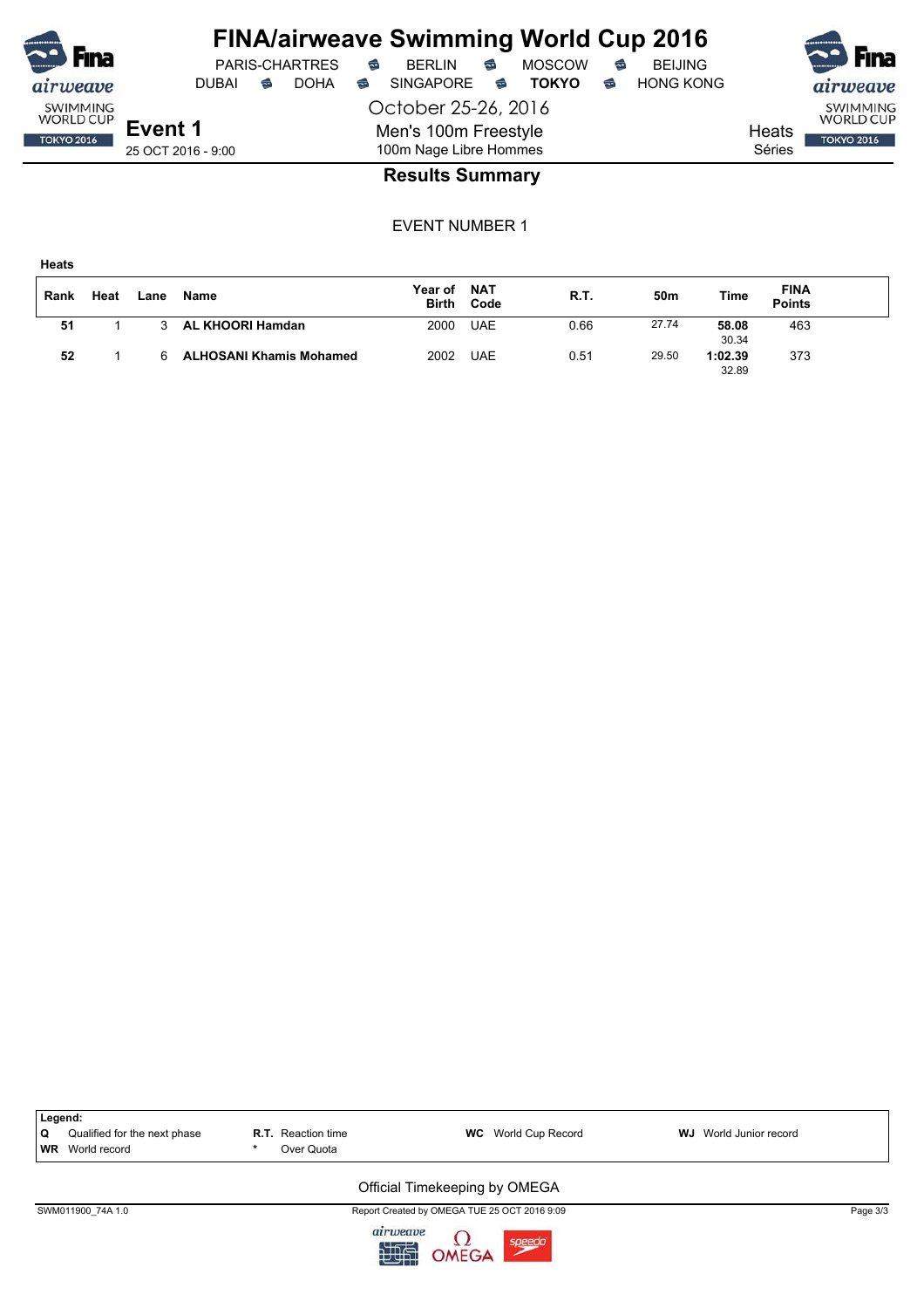|                                     |                    |   |                       |   | <b>FINA/airweave Swimming World Cup 2016</b> |                         |               |   |                  |        | <b>RED</b> Fina                     |
|-------------------------------------|--------------------|---|-----------------------|---|----------------------------------------------|-------------------------|---------------|---|------------------|--------|-------------------------------------|
| <b>F</b> ina                        |                    |   | <b>PARIS-CHARTRES</b> | € | <b>BERLIN</b>                                | ⇔                       | <b>MOSCOW</b> | € | <b>BEIJING</b>   |        |                                     |
| airweave                            | DUBAI              | ☜ | <b>DOHA</b>           | € | <b>SINGAPORE</b>                             | $\overline{\mathbf{C}}$ | <b>TOKYO</b>  | ☜ | <b>HONG KONG</b> |        | airweave                            |
| <b>SWIMMING</b><br><b>WORLD CUP</b> |                    |   |                       |   | October 25-26, 2016                          |                         |               |   |                  |        | <b>SWIMMING</b><br><b>WORLD CUP</b> |
| <b>TOKYO 2016</b>                   | Event 1            |   |                       |   | Men's 100m Freestyle                         |                         |               |   |                  | Heats  | <b>TOKYO 2016</b>                   |
|                                     | 25 OCT 2016 - 9:00 |   |                       |   | 100m Nage Libre Hommes                       |                         |               |   |                  | Séries |                                     |
|                                     |                    |   |                       |   | $D_{\text{A}}$                               |                         |               |   |                  |        |                                     |

### **Results Summary**

EVENT NUMBER 1

**Heats**

| Rank | Heat | Lane | Name                           | Year of<br><b>Birth</b> | <b>NAT</b><br>Code | R.T. | 50m   | <b>Time</b>      | <b>FINA</b><br><b>Points</b> |  |
|------|------|------|--------------------------------|-------------------------|--------------------|------|-------|------------------|------------------------------|--|
| 51   |      |      | <b>AL KHOORI Hamdan</b>        | 2000                    | <b>UAE</b>         | 0.66 | 27.74 | 58.08<br>30.34   | 463                          |  |
| 52   |      |      | <b>ALHOSANI Khamis Mohamed</b> | 2002                    | <b>UAE</b>         | 0.51 | 29.50 | 1:02.39<br>32.89 | 373                          |  |

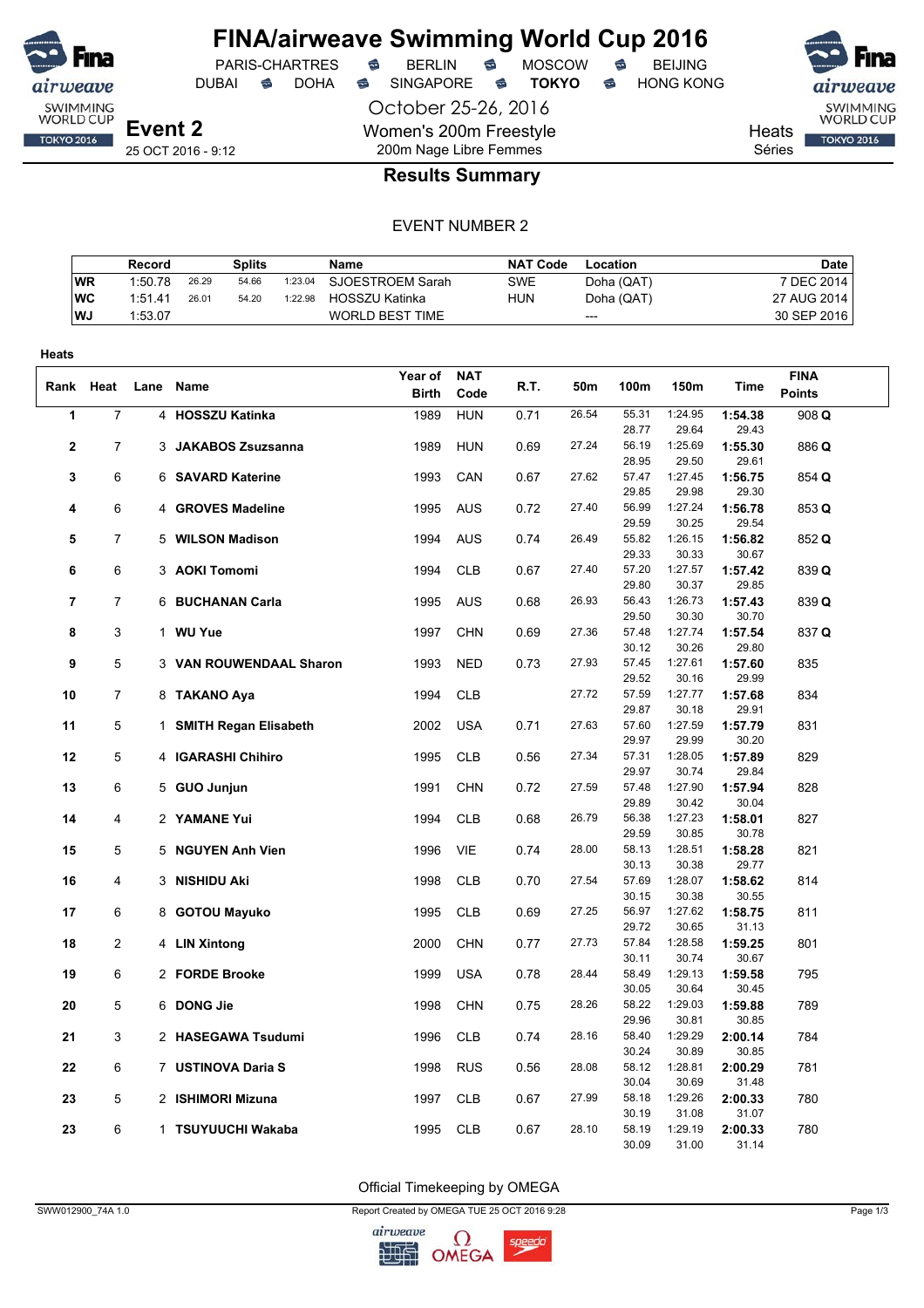

DUBAI **S** DOHA S SINGAPORE S **TOKYO** S HONG KONG

PARIS-CHARTRES **B** BERLIN **B** MOSCOW **B** BEIJING

October 25-26, 2016 Women's 200m Freestyle 200m Nage Libre Femmes



**Heats** 

**TOKYO 2016** 

Séries

## **Results Summary**

#### EVENT NUMBER 2

|            | Record  |       | Splits |         | Name             | <b>NAT Code</b> | Location   | <b>Date</b>  |
|------------|---------|-------|--------|---------|------------------|-----------------|------------|--------------|
| <b>WR</b>  | 1:50.78 | 26.29 | 54.66  | 1:23.04 | SJOESTROEM Sarah | SWE             | Doha (QAT) | 7 DEC 2014 i |
| <b>IWC</b> | 1:51.41 | 26.01 | 54.20  | 1:22.98 | HOSSZU Katinka   | HUN             | Doha (QAT) | 27 AUG 2014  |
| l WJ       | 1:53.07 |       |        |         | WORLD BEST TIME  |                 | ---        | 30 SEP 2016  |

| Heats          |                |                         |              |            |      |       |                |                  |                  |               |  |
|----------------|----------------|-------------------------|--------------|------------|------|-------|----------------|------------------|------------------|---------------|--|
|                |                |                         | Year of      | <b>NAT</b> |      |       |                |                  |                  | <b>FINA</b>   |  |
| Rank Heat      |                | Lane Name               | <b>Birth</b> | Code       | R.T. | 50m   | 100m           | 150m             | Time             | <b>Points</b> |  |
| 1              | $\overline{7}$ | 4 HOSSZU Katinka        | 1989         | <b>HUN</b> | 0.71 | 26.54 | 55.31          | 1:24.95          | 1:54.38          | 908 Q         |  |
|                |                |                         |              |            |      |       | 28.77          | 29.64            | 29.43            |               |  |
| $\overline{2}$ | $\overline{7}$ | 3 JAKABOS Zsuzsanna     | 1989         | <b>HUN</b> | 0.69 | 27.24 | 56.19          | 1:25.69          | 1:55.30          | 886 Q         |  |
|                |                |                         |              |            |      |       | 28.95          | 29.50            | 29.61            |               |  |
| 3              | 6              | 6 SAVARD Katerine       | 1993         | CAN        | 0.67 | 27.62 | 57.47          | 1:27.45          | 1:56.75          | 854 Q         |  |
|                |                |                         |              |            |      |       | 29.85          | 29.98            | 29.30            |               |  |
| 4              | 6              | 4 GROVES Madeline       | 1995         | AUS        | 0.72 | 27.40 | 56.99          | 1:27.24          | 1:56.78          | 853 Q         |  |
|                |                |                         |              |            |      |       | 29.59          | 30.25            | 29.54            |               |  |
| 5              | 7              | 5 WILSON Madison        | 1994         | <b>AUS</b> | 0.74 | 26.49 | 55.82          | 1:26.15          | 1:56.82          | 852 Q         |  |
|                |                |                         |              |            |      |       | 29.33          | 30.33            | 30.67            |               |  |
| 6              | 6              | 3 AOKI Tomomi           | 1994         | <b>CLB</b> | 0.67 | 27.40 | 57.20          | 1:27.57          | 1:57.42          | 839 Q         |  |
| $\overline{7}$ | $\overline{7}$ |                         |              |            | 0.68 | 26.93 | 29.80<br>56.43 | 30.37<br>1:26.73 | 29.85            |               |  |
|                |                | 6 BUCHANAN Carla        | 1995         | <b>AUS</b> |      |       | 29.50          | 30.30            | 1:57.43<br>30.70 | 839 Q         |  |
| 8              | 3              | 1 WU Yue                | 1997         | <b>CHN</b> | 0.69 | 27.36 | 57.48          | 1:27.74          | 1:57.54          | 837 Q         |  |
|                |                |                         |              |            |      |       | 30.12          | 30.26            | 29.80            |               |  |
| 9              | 5              | 3 VAN ROUWENDAAL Sharon | 1993         | <b>NED</b> | 0.73 | 27.93 | 57.45          | 1:27.61          | 1:57.60          | 835           |  |
|                |                |                         |              |            |      |       | 29.52          | 30.16            | 29.99            |               |  |
| 10             | 7              | 8 TAKANO Aya            | 1994         | <b>CLB</b> |      | 27.72 | 57.59          | 1:27.77          | 1:57.68          | 834           |  |
|                |                |                         |              |            |      |       | 29.87          | 30.18            | 29.91            |               |  |
| 11             | 5              | 1 SMITH Regan Elisabeth | 2002         | <b>USA</b> | 0.71 | 27.63 | 57.60          | 1:27.59          | 1:57.79          | 831           |  |
|                |                |                         |              |            |      |       | 29.97          | 29.99            | 30.20            |               |  |
| 12             | 5              | 4 IGARASHI Chihiro      | 1995         | <b>CLB</b> | 0.56 | 27.34 | 57.31          | 1:28.05          | 1:57.89          | 829           |  |
|                |                |                         |              |            |      |       | 29.97          | 30.74            | 29.84            |               |  |
| 13             | 6              | 5 GUO Junjun            | 1991         | <b>CHN</b> | 0.72 | 27.59 | 57.48          | 1:27.90          | 1:57.94          | 828           |  |
|                |                |                         |              |            |      |       | 29.89          | 30.42            | 30.04            |               |  |
| 14             | 4              | 2 YAMANE Yui            | 1994         | <b>CLB</b> | 0.68 | 26.79 | 56.38          | 1:27.23          | 1:58.01          | 827           |  |
|                |                |                         |              |            |      |       | 29.59          | 30.85            | 30.78            |               |  |
| 15             | 5              | 5 NGUYEN Anh Vien       | 1996         | <b>VIE</b> | 0.74 | 28.00 | 58.13<br>30.13 | 1:28.51<br>30.38 | 1:58.28<br>29.77 | 821           |  |
| 16             | 4              | 3 NISHIDU Aki           | 1998         | <b>CLB</b> | 0.70 | 27.54 | 57.69          | 1:28.07          | 1:58.62          | 814           |  |
|                |                |                         |              |            |      |       | 30.15          | 30.38            | 30.55            |               |  |
| 17             | 6              | 8 GOTOU Mayuko          | 1995         | <b>CLB</b> | 0.69 | 27.25 | 56.97          | 1:27.62          | 1:58.75          | 811           |  |
|                |                |                         |              |            |      |       | 29.72          | 30.65            | 31.13            |               |  |
| 18             | $\overline{c}$ | 4 LIN Xintong           | 2000         | <b>CHN</b> | 0.77 | 27.73 | 57.84          | 1:28.58          | 1:59.25          | 801           |  |
|                |                |                         |              |            |      |       | 30.11          | 30.74            | 30.67            |               |  |
| 19             | 6              | 2 FORDE Brooke          | 1999         | <b>USA</b> | 0.78 | 28.44 | 58.49          | 1:29.13          | 1:59.58          | 795           |  |
|                |                |                         |              |            |      |       | 30.05          | 30.64            | 30.45            |               |  |
| 20             | 5              | 6 DONG Jie              | 1998         | <b>CHN</b> | 0.75 | 28.26 | 58.22          | 1:29.03          | 1:59.88          | 789           |  |
|                |                |                         |              |            |      |       | 29.96          | 30.81            | 30.85            |               |  |
| 21             | 3              | 2 HASEGAWA Tsudumi      | 1996         | <b>CLB</b> | 0.74 | 28.16 | 58.40          | 1:29.29          | 2:00.14          | 784           |  |
|                |                |                         |              |            |      |       | 30.24          | 30.89            | 30.85            |               |  |
| 22             | 6              | 7 USTINOVA Daria S      | 1998         | <b>RUS</b> | 0.56 | 28.08 | 58.12          | 1:28.81          | 2:00.29          | 781           |  |
|                |                |                         |              |            |      |       | 30.04          | 30.69            | 31.48            |               |  |
| 23             | 5              | 2 ISHIMORI Mizuna       | 1997         | <b>CLB</b> | 0.67 | 27.99 | 58.18          | 1:29.26          | 2:00.33          | 780           |  |
|                | 6              |                         |              |            |      | 28.10 | 30.19<br>58.19 | 31.08<br>1:29.19 | 31.07            |               |  |
| 23             |                | 1 TSUYUUCHI Wakaba      | 1995         | <b>CLB</b> | 0.67 |       | 30.09          | 31.00            | 2:00.33<br>31.14 | 780           |  |
|                |                |                         |              |            |      |       |                |                  |                  |               |  |

Official Timekeeping by OMEGA

SWW012900\_74A 1.0 Page 1/3

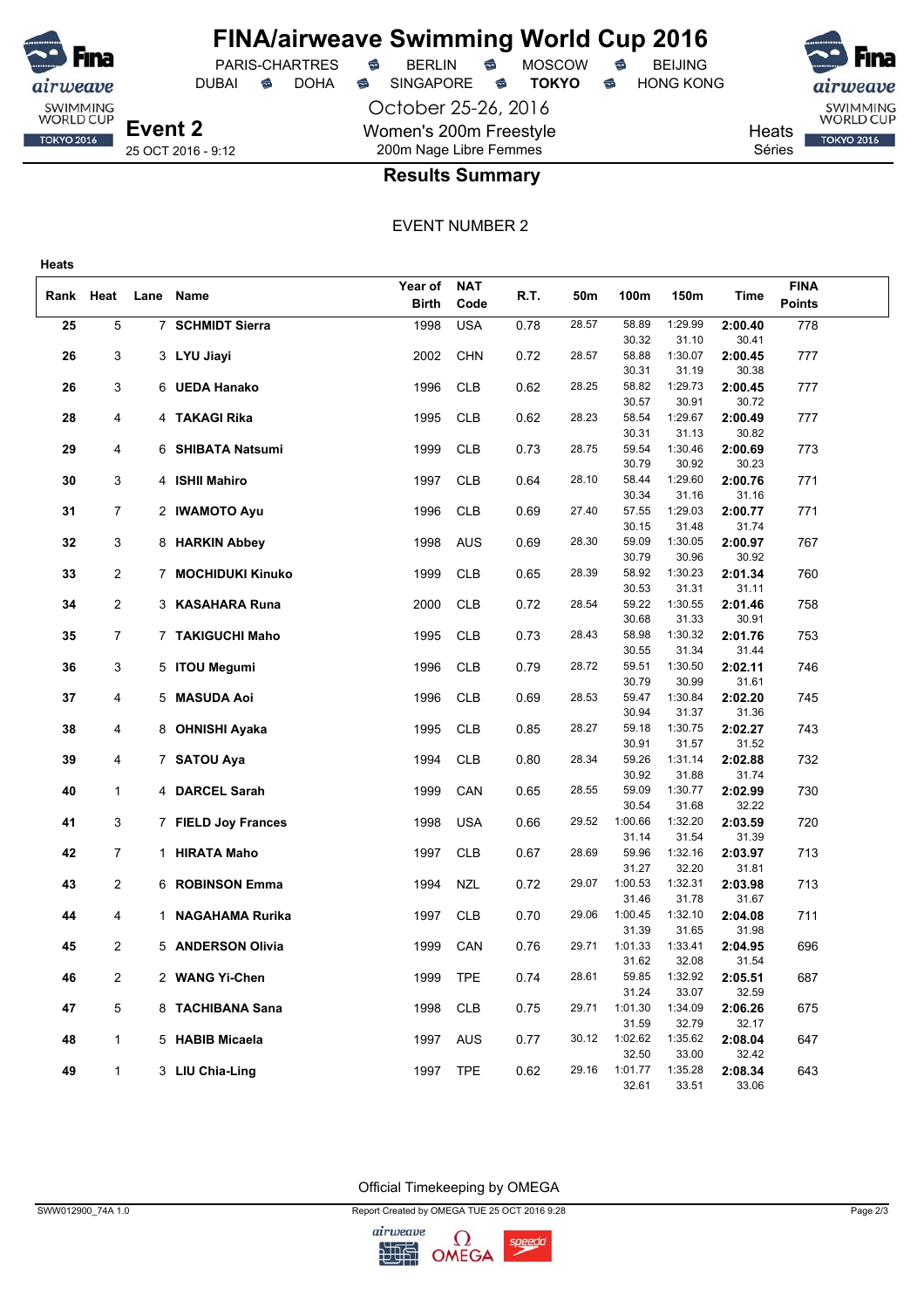

**Event 2** 25 OCT 2016 - 9:12

**Heats**

airweave SWIMMING<br>WORLD CUP

**TOKYO 2016** 

PARIS-CHARTRES **S** BERLIN S MOSCOW S

October 25-26, 2016 Women's 200m Freestyle 200m Nage Libre Femmes

DUBAI **S** DOHA S SINGAPORE S **TOKYO** S HONG KONG



**Heats** Séries

### **Results Summary**

#### EVENT NUMBER 2

|           |                |    |                        | Year of      | <b>NAT</b> |      |       |                |                  |                  | <b>FINA</b>   |  |
|-----------|----------------|----|------------------------|--------------|------------|------|-------|----------------|------------------|------------------|---------------|--|
| Rank Heat |                |    | Lane Name              | <b>Birth</b> | Code       | R.T. | 50m   | 100m           | 150m             | Time             | <b>Points</b> |  |
| 25        | 5              |    | 7 SCHMIDT Sierra       | 1998         | <b>USA</b> | 0.78 | 28.57 | 58.89          | 1:29.99          | 2:00.40          | 778           |  |
|           |                |    |                        |              |            |      |       | 30.32          | 31.10            | 30.41            |               |  |
| 26        | 3              |    | 3 LYU Jiayi            | 2002         | <b>CHN</b> | 0.72 | 28.57 | 58.88          | 1:30.07          | 2:00.45          | 777           |  |
|           |                |    |                        |              |            |      |       | 30.31          | 31.19            | 30.38            |               |  |
| 26        | 3              |    | 6 UEDA Hanako          | 1996         | <b>CLB</b> | 0.62 | 28.25 | 58.82          | 1:29.73          | 2:00.45          | 777           |  |
|           |                |    |                        |              |            |      |       | 30.57          | 30.91            | 30.72            |               |  |
| 28        | 4              |    | 4 TAKAGI Rika          | 1995         | <b>CLB</b> | 0.62 | 28.23 | 58.54          | 1:29.67          | 2:00.49          | 777           |  |
|           |                |    |                        |              |            |      |       | 30.31          | 31.13            | 30.82            |               |  |
| 29        | 4              |    | 6 SHIBATA Natsumi      | 1999         | <b>CLB</b> | 0.73 | 28.75 | 59.54          | 1:30.46          | 2:00.69          | 773           |  |
|           |                |    |                        |              |            |      |       | 30.79          | 30.92            | 30.23            |               |  |
| 30        | 3              |    | 4 ISHII Mahiro         | 1997         | <b>CLB</b> | 0.64 | 28.10 | 58.44          | 1:29.60          | 2:00.76          | 771           |  |
|           |                |    |                        |              |            |      |       | 30.34          | 31.16            | 31.16            |               |  |
| 31        | $\overline{7}$ |    | 2 IWAMOTO Ayu          | 1996         | <b>CLB</b> | 0.69 | 27.40 | 57.55          | 1:29.03          | 2:00.77          | 771           |  |
|           |                |    |                        |              |            |      |       | 30.15          | 31.48            | 31.74            |               |  |
| 32        | 3              |    | 8 HARKIN Abbey         | 1998         | <b>AUS</b> | 0.69 | 28.30 | 59.09          | 1:30.05          | 2:00.97          | 767           |  |
| 33        | 2              |    | 7 MOCHIDUKI Kinuko     | 1999         | <b>CLB</b> | 0.65 | 28.39 | 30.79<br>58.92 | 30.96<br>1:30.23 | 30.92<br>2:01.34 | 760           |  |
|           |                |    |                        |              |            |      |       | 30.53          | 31.31            | 31.11            |               |  |
| 34        | 2              |    | 3 KASAHARA Runa        | 2000         | <b>CLB</b> | 0.72 | 28.54 | 59.22          | 1:30.55          | 2:01.46          | 758           |  |
|           |                |    |                        |              |            |      |       | 30.68          | 31.33            | 30.91            |               |  |
| 35        | $\overline{7}$ |    | 7 TAKIGUCHI Maho       | 1995         | <b>CLB</b> | 0.73 | 28.43 | 58.98          | 1:30.32          | 2:01.76          | 753           |  |
|           |                |    |                        |              |            |      |       | 30.55          | 31.34            | 31.44            |               |  |
| 36        | 3              |    | 5 ITOU Megumi          | 1996         | <b>CLB</b> | 0.79 | 28.72 | 59.51          | 1:30.50          | 2:02.11          | 746           |  |
|           |                |    |                        |              |            |      |       | 30.79          | 30.99            | 31.61            |               |  |
| 37        | 4              |    | 5 MASUDA Aoi           | 1996         | <b>CLB</b> | 0.69 | 28.53 | 59.47          | 1:30.84          | 2:02.20          | 745           |  |
|           |                |    |                        |              |            |      |       | 30.94          | 31.37            | 31.36            |               |  |
| 38        | 4              | 8. | <b>OHNISHI Ayaka</b>   | 1995         | <b>CLB</b> | 0.85 | 28.27 | 59.18          | 1:30.75          | 2:02.27          | 743           |  |
|           |                |    |                        |              |            |      |       | 30.91          | 31.57            | 31.52            |               |  |
| 39        | 4              |    | 7 SATOU Aya            | 1994         | <b>CLB</b> | 0.80 | 28.34 | 59.26          | 1:31.14          | 2:02.88          | 732           |  |
| 40        | $\mathbf{1}$   |    | 4 DARCEL Sarah         | 1999         | CAN        | 0.65 | 28.55 | 30.92<br>59.09 | 31.88<br>1:30.77 | 31.74<br>2:02.99 | 730           |  |
|           |                |    |                        |              |            |      |       | 30.54          | 31.68            | 32.22            |               |  |
| 41        | 3              |    | 7 FIELD Joy Frances    | 1998         | <b>USA</b> | 0.66 | 29.52 | 1:00.66        | 1:32.20          | 2:03.59          | 720           |  |
|           |                |    |                        |              |            |      |       | 31.14          | 31.54            | 31.39            |               |  |
| 42        | 7              |    | 1 HIRATA Maho          | 1997         | <b>CLB</b> | 0.67 | 28.69 | 59.96          | 1:32.16          | 2:03.97          | 713           |  |
|           |                |    |                        |              |            |      |       | 31.27          | 32.20            | 31.81            |               |  |
| 43        | 2              |    | 6 ROBINSON Emma        | 1994         | <b>NZL</b> | 0.72 | 29.07 | 1:00.53        | 1:32.31          | 2:03.98          | 713           |  |
|           |                |    |                        |              |            |      |       | 31.46          | 31.78            | 31.67            |               |  |
| 44        | 4              | 1  | <b>NAGAHAMA Rurika</b> | 1997         | <b>CLB</b> | 0.70 | 29.06 | 1:00.45        | 1:32.10          | 2:04.08          | 711           |  |
|           |                |    |                        |              |            |      |       | 31.39          | 31.65            | 31.98            |               |  |
| 45        | 2              |    | 5 ANDERSON Olivia      | 1999         | CAN        | 0.76 | 29.71 | 1:01.33        | 1:33.41          | 2:04.95          | 696           |  |
|           |                |    |                        |              |            |      |       | 31.62          | 32.08            | 31.54            |               |  |
| 46        | 2              |    | 2 WANG Yi-Chen         | 1999         | <b>TPE</b> | 0.74 | 28.61 | 59.85<br>31.24 | 1:32.92<br>33.07 | 2:05.51<br>32.59 | 687           |  |
| 47        | 5              |    | 8 TACHIBANA Sana       | 1998         | CLB        | 0.75 | 29.71 | 1:01.30        | 1:34.09          | 2:06.26          | 675           |  |
|           |                |    |                        |              |            |      |       | 31.59          | 32.79            | 32.17            |               |  |
| 48        | $\mathbf{1}$   |    | 5 HABIB Micaela        | 1997         | AUS        | 0.77 | 30.12 | 1:02.62        | 1:35.62          | 2:08.04          | 647           |  |
|           |                |    |                        |              |            |      |       | 32.50          | 33.00            | 32.42            |               |  |
| 49        | $\mathbf{1}$   |    | 3 LIU Chia-Ling        | 1997         | <b>TPE</b> | 0.62 | 29.16 | 1:01.77        | 1:35.28          | 2:08.34          | 643           |  |
|           |                |    |                        |              |            |      |       | 32.61          | 33.51            | 33.06            |               |  |

Official Timekeeping by OMEGA

SWW012900\_74A 1.0 Page 2/3

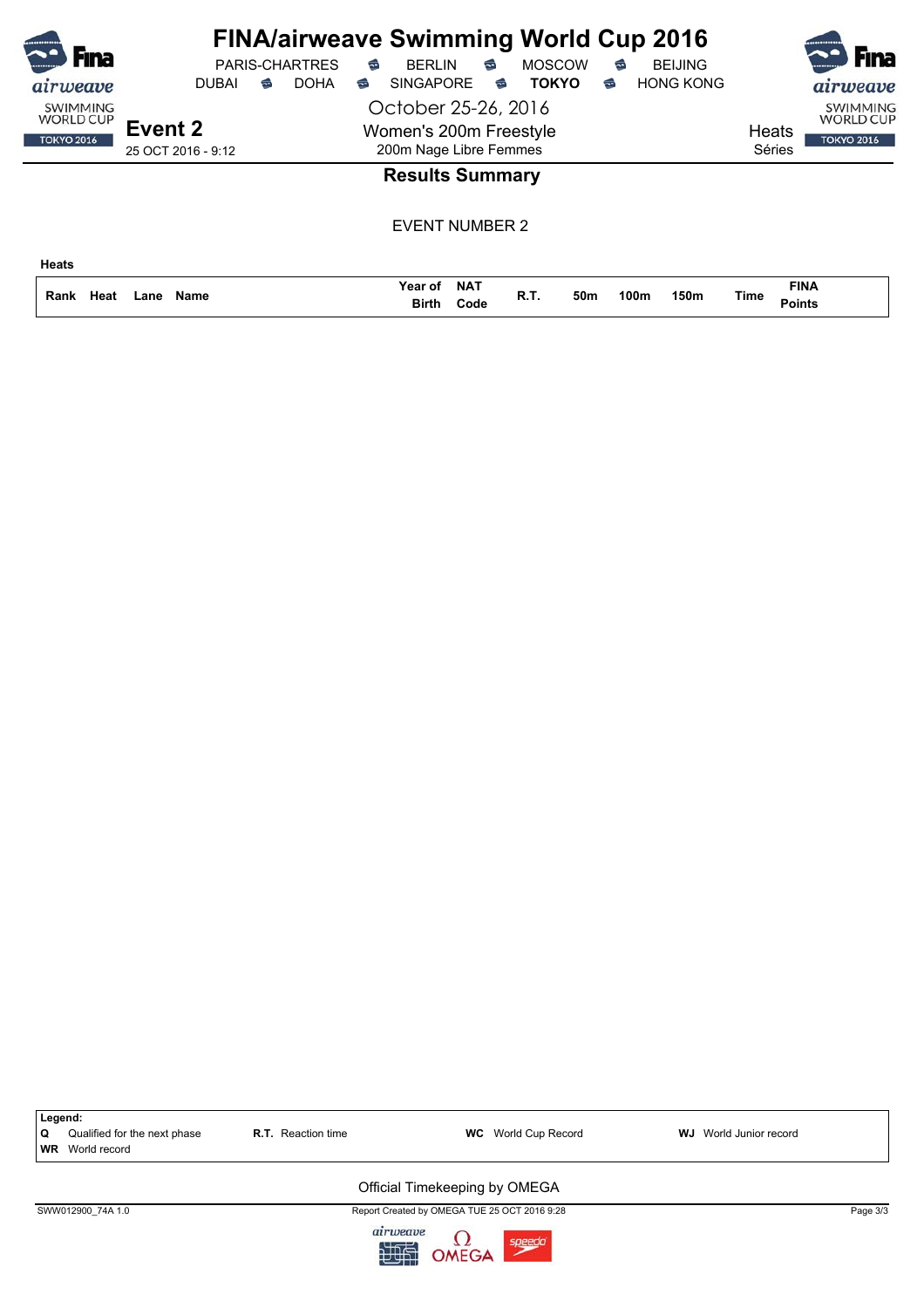| Fına                                |                     | <b>PARIS-CHARTRES</b> | <b>FINA/airweave Swimming World Cup 2016</b><br>$\approx$<br><b>BERLIN</b> | €                      | <b>MOSCOW</b> | $\widehat{\mathbb{C}}$ | <b>BEIJING</b>   |                       | Fina                                |
|-------------------------------------|---------------------|-----------------------|----------------------------------------------------------------------------|------------------------|---------------|------------------------|------------------|-----------------------|-------------------------------------|
| airweave                            | <b>DUBAI</b>        | <b>DOHA</b><br>€      | <b>SINGAPORE</b><br>ಹ                                                      | €                      | <b>TOKYO</b>  | ☜                      | <b>HONG KONG</b> |                       | airweave                            |
| <b>SWIMMING</b><br><b>WORLD CUP</b> | Event 2             |                       | October 25-26, 2016<br>Women's 200m Freestyle                              |                        |               |                        |                  | Heats                 | <b>SWIMMING</b><br><b>WORLD CUP</b> |
| <b>TOKYO 2016</b>                   | 25 OCT 2016 - 9:12  |                       | 200m Nage Libre Femmes                                                     |                        |               |                        |                  | Séries                | <b>TOKYO 2016</b>                   |
|                                     |                     |                       |                                                                            | <b>Results Summary</b> |               |                        |                  |                       |                                     |
|                                     |                     |                       |                                                                            | <b>EVENT NUMBER 2</b>  |               |                        |                  |                       |                                     |
| <b>Heats</b>                        |                     |                       |                                                                            |                        |               |                        |                  |                       |                                     |
| Heat<br>Rank                        | <b>Name</b><br>Lane |                       | Year of<br>Birth                                                           | <b>NAT</b><br>Code     | R.T.<br>50m   |                        | 100m<br>150m     | Time<br><b>Points</b> | <b>FINA</b>                         |

**Code Birth**

| Q<br><b>WR</b> | Legend:<br>Qualified for the next phase<br>World record | <b>R.T.</b> Reaction time | <b>WC</b> World Cup Record                                                         | <b>WJ</b> World Junior record |          |
|----------------|---------------------------------------------------------|---------------------------|------------------------------------------------------------------------------------|-------------------------------|----------|
|                |                                                         |                           | Official Timekeeping by OMEGA                                                      |                               |          |
|                | SWW012900 74A 1.0                                       | airweave<br>566           | Report Created by OMEGA TUE 25 OCT 2016 9:28<br>$\Omega$<br>speedo<br><b>OMEGA</b> |                               | Page 3/3 |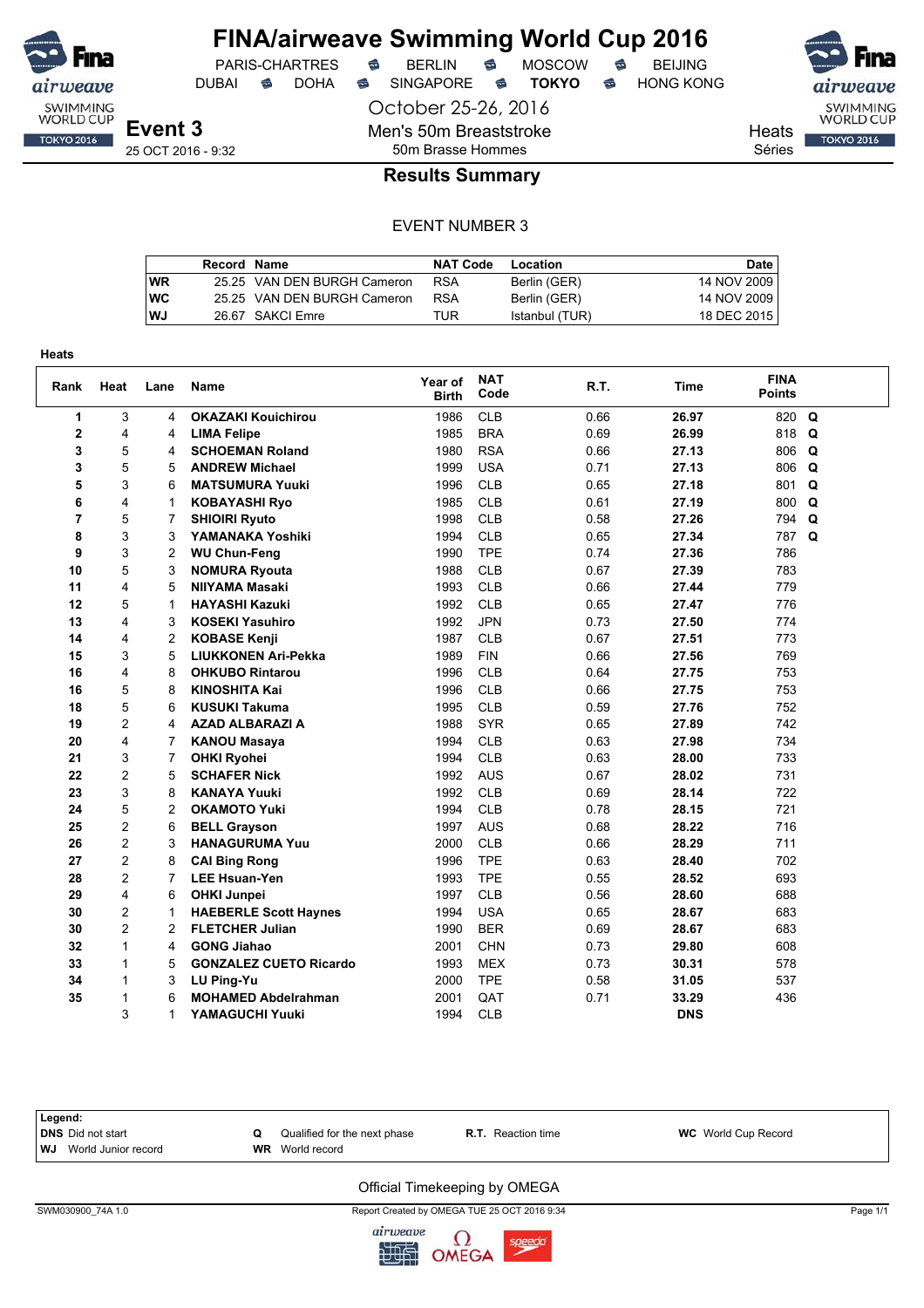

## **FINA/airweave Swimming World Cup 2016**<br>PARIS-CHARTRES **& BERLIN & MOSCOW & BEIJING** PARIS-CHARTRES **S** BERLIN S MOSCOW S

DUBAI **S** DOHA S SINGAPORE S **TOKYO** S HONG KONG

October 25-26, 2016

Men's 50m Breaststroke

Heats Séries

 $air$ SWIMMING<br>WORLD CUP **TOKYO 2016** 

25 OCT 2016 - 9:32

## 50m Brasse Hommes **Results Summary**

#### EVENT NUMBER 3

|    | Record Name |                             | <b>NAT Code</b> | Location       | Date        |
|----|-------------|-----------------------------|-----------------|----------------|-------------|
| WR |             | 25.25 VAN DEN BURGH Cameron | <b>RSA</b>      | Berlin (GER)   | 14 NOV 2009 |
| WC |             | 25.25 VAN DEN BURGH Cameron | <b>RSA</b>      | Berlin (GER)   | 14 NOV 2009 |
| WJ |             | 26.67 SAKCI Emre            | TUR             | Istanbul (TUR) | 18 DEC 2015 |

| Rank           | Heat           | Lane           | Name                          | Year of<br><b>Birth</b> | <b>NAT</b><br>Code | R.T. | <b>Time</b> | <b>FINA</b><br><b>Points</b> |          |
|----------------|----------------|----------------|-------------------------------|-------------------------|--------------------|------|-------------|------------------------------|----------|
| 1              | 3              | 4              | <b>OKAZAKI Kouichirou</b>     | 1986                    | <b>CLB</b>         | 0.66 | 26.97       | 820                          | Q        |
| 2              | 4              | 4              | <b>LIMA Felipe</b>            | 1985                    | <b>BRA</b>         | 0.69 | 26.99       | 818                          | Q        |
| 3              | 5              | 4              | <b>SCHOEMAN Roland</b>        | 1980                    | <b>RSA</b>         | 0.66 | 27.13       | 806                          | Q        |
| 3              | 5              | 5              | <b>ANDREW Michael</b>         | 1999                    | <b>USA</b>         | 0.71 | 27.13       | 806                          | Q        |
| 5              | 3              | 6              | <b>MATSUMURA Yuuki</b>        | 1996                    | <b>CLB</b>         | 0.65 | 27.18       | 801                          | Q        |
| 6              | 4              | 1              | <b>KOBAYASHI Ryo</b>          | 1985                    | <b>CLB</b>         | 0.61 | 27.19       | 800                          | Q        |
| $\overline{7}$ | 5              | 7              | <b>SHIOIRI Ryuto</b>          | 1998                    | <b>CLB</b>         | 0.58 | 27.26       | 794                          | Q        |
| 8              | 3              | 3              | YAMANAKA Yoshiki              | 1994                    | <b>CLB</b>         | 0.65 | 27.34       | 787                          | $\Omega$ |
| 9              | 3              | 2              | <b>WU Chun-Feng</b>           | 1990                    | <b>TPE</b>         | 0.74 | 27.36       | 786                          |          |
| 10             | 5              | 3              | <b>NOMURA Ryouta</b>          | 1988                    | <b>CLB</b>         | 0.67 | 27.39       | 783                          |          |
| 11             | 4              | 5              | NIIYAMA Masaki                | 1993                    | <b>CLB</b>         | 0.66 | 27.44       | 779                          |          |
| 12             | 5              | $\mathbf{1}$   | <b>HAYASHI Kazuki</b>         | 1992                    | <b>CLB</b>         | 0.65 | 27.47       | 776                          |          |
| 13             | 4              | 3              | <b>KOSEKI Yasuhiro</b>        | 1992                    | <b>JPN</b>         | 0.73 | 27.50       | 774                          |          |
| 14             | 4              | 2              | <b>KOBASE Kenji</b>           | 1987                    | <b>CLB</b>         | 0.67 | 27.51       | 773                          |          |
| 15             | 3              | 5              | <b>LIUKKONEN Ari-Pekka</b>    | 1989                    | <b>FIN</b>         | 0.66 | 27.56       | 769                          |          |
| 16             | 4              | 8              | <b>OHKUBO Rintarou</b>        | 1996                    | <b>CLB</b>         | 0.64 | 27.75       | 753                          |          |
| 16             | 5              | 8              | KINOSHITA Kai                 | 1996                    | <b>CLB</b>         | 0.66 | 27.75       | 753                          |          |
| 18             | 5              | 6              | <b>KUSUKI Takuma</b>          | 1995                    | <b>CLB</b>         | 0.59 | 27.76       | 752                          |          |
| 19             | 2              | 4              | <b>AZAD ALBARAZI A</b>        | 1988                    | <b>SYR</b>         | 0.65 | 27.89       | 742                          |          |
| 20             | 4              | 7              | <b>KANOU Masaya</b>           | 1994                    | <b>CLB</b>         | 0.63 | 27.98       | 734                          |          |
| 21             | 3              | $\overline{7}$ | <b>OHKI Ryohei</b>            | 1994                    | <b>CLB</b>         | 0.63 | 28.00       | 733                          |          |
| 22             | $\overline{2}$ | 5              | <b>SCHAFER Nick</b>           | 1992                    | <b>AUS</b>         | 0.67 | 28.02       | 731                          |          |
| 23             | 3              | 8              | <b>KANAYA Yuuki</b>           | 1992                    | <b>CLB</b>         | 0.69 | 28.14       | 722                          |          |
| 24             | 5              | 2              | <b>OKAMOTO Yuki</b>           | 1994                    | <b>CLB</b>         | 0.78 | 28.15       | 721                          |          |
| 25             | $\overline{2}$ | 6              | <b>BELL Grayson</b>           | 1997                    | <b>AUS</b>         | 0.68 | 28.22       | 716                          |          |
| 26             | $\overline{2}$ | 3              | <b>HANAGURUMA Yuu</b>         | 2000                    | <b>CLB</b>         | 0.66 | 28.29       | 711                          |          |
| 27             | $\overline{2}$ | 8              | <b>CAI Bing Rong</b>          | 1996                    | <b>TPE</b>         | 0.63 | 28.40       | 702                          |          |
| 28             | 2              | $\overline{7}$ | <b>LEE Hsuan-Yen</b>          | 1993                    | <b>TPE</b>         | 0.55 | 28.52       | 693                          |          |
| 29             | 4              | 6              | <b>OHKI Junpei</b>            | 1997                    | <b>CLB</b>         | 0.56 | 28.60       | 688                          |          |
| 30             | $\overline{2}$ | 1              | <b>HAEBERLE Scott Haynes</b>  | 1994                    | <b>USA</b>         | 0.65 | 28.67       | 683                          |          |
| 30             | 2              | 2              | <b>FLETCHER Julian</b>        | 1990                    | <b>BER</b>         | 0.69 | 28.67       | 683                          |          |
| 32             | $\mathbf{1}$   | 4              | <b>GONG Jiahao</b>            | 2001                    | CHN                | 0.73 | 29.80       | 608                          |          |
| 33             | $\mathbf{1}$   | 5              | <b>GONZALEZ CUETO Ricardo</b> | 1993                    | <b>MEX</b>         | 0.73 | 30.31       | 578                          |          |
| 34             | $\mathbf{1}$   | 3              | LU Ping-Yu                    | 2000                    | <b>TPE</b>         | 0.58 | 31.05       | 537                          |          |
| 35             | 1              | 6              | <b>MOHAMED Abdelrahman</b>    | 2001                    | QAT                | 0.71 | 33.29       | 436                          |          |
|                | 3              | 1              | YAMAGUCHI Yuuki               | 1994                    | <b>CLB</b>         |      | <b>DNS</b>  |                              |          |

| Legend:                       |   |                              |                           |                            |  |  |  |  |  |
|-------------------------------|---|------------------------------|---------------------------|----------------------------|--|--|--|--|--|
| DNS Did not start             | Ω | Qualified for the next phase | <b>R.T.</b> Reaction time | <b>WC</b> World Cup Record |  |  |  |  |  |
| <b>WJ</b> World Junior record |   | <b>WR</b> World record       |                           |                            |  |  |  |  |  |
|                               |   |                              |                           |                            |  |  |  |  |  |

#### Official Timekeeping by OMEGA

SWM030900\_74A 1.0 Report Created by OMEGA TUE 25 OCT 2016 9:34 Page 1/1

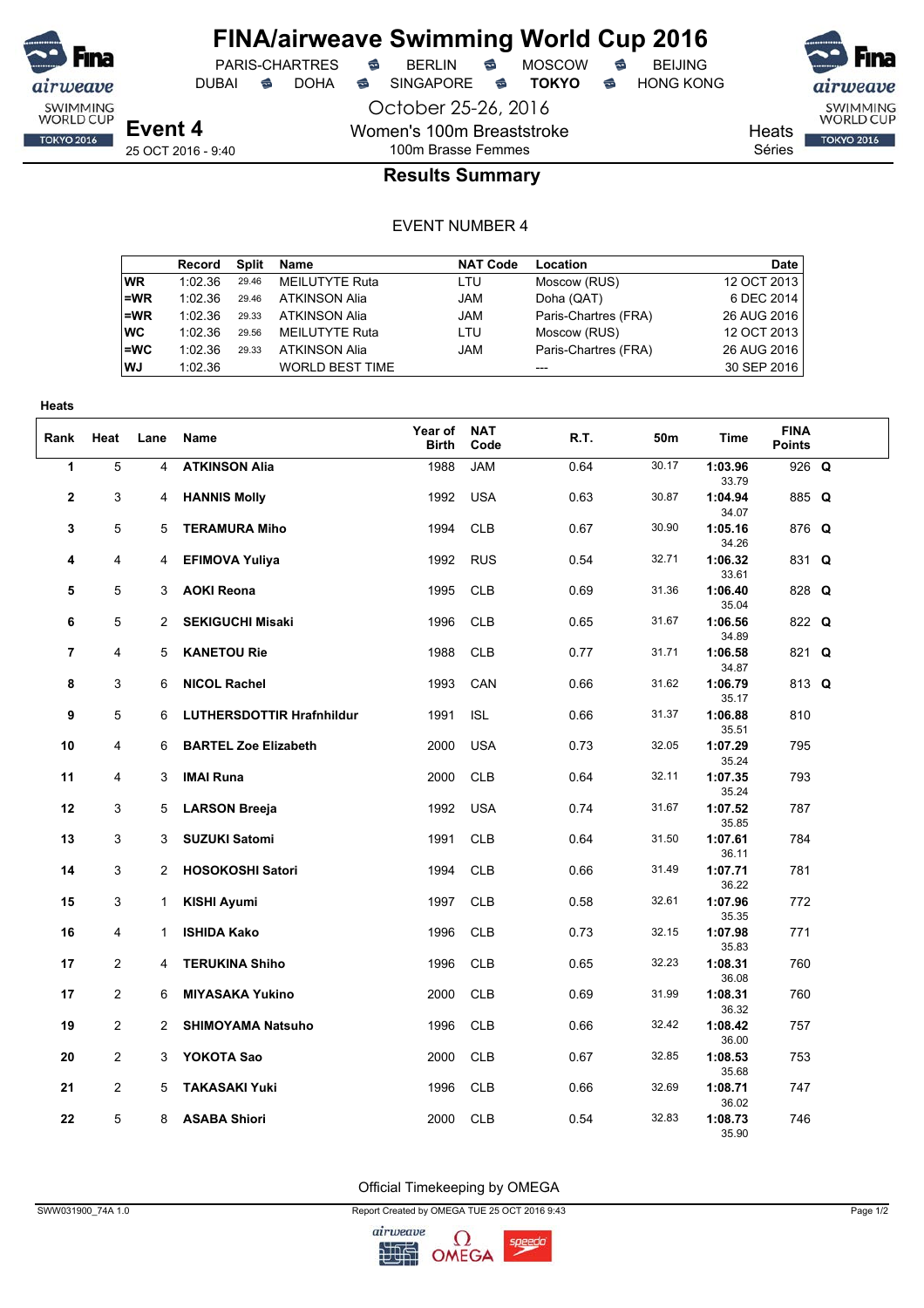

October 25-26, 2016

Women's 100m Breaststroke 100m Brasse Femmes

PARIS-CHARTRES **S** BERLIN S MOSCOW S

DUBAI **S** DOHA S SINGAPORE S **TOKYO** S HONG KONG

SWIMMING<br>WORLD CUP

**TOKYO 2016** 

Heats

Séries

## **Results Summary**

#### EVENT NUMBER 4

|      | Record  | Split | Name                   | <b>NAT Code</b> | Location             | Date        |
|------|---------|-------|------------------------|-----------------|----------------------|-------------|
| WR.  | 1:02.36 | 29.46 | <b>MEILUTYTE Ruta</b>  | LTU             | Moscow (RUS)         | 12 OCT 2013 |
| l=WR | 1:02.36 | 29.46 | <b>ATKINSON Alia</b>   | <b>JAM</b>      | Doha (QAT)           | 6 DEC 2014  |
| l=WR | 1:02.36 | 29.33 | <b>ATKINSON Alia</b>   | <b>JAM</b>      | Paris-Chartres (FRA) | 26 AUG 2016 |
| ∣wc  | 1:02.36 | 29.56 | MEILUTYTE Ruta         | LTU             | Moscow (RUS)         | 12 OCT 2013 |
| l=WC | 1:02.36 | 29.33 | <b>ATKINSON Alia</b>   | JAM             | Paris-Chartres (FRA) | 26 AUG 2016 |
| WJ   | 1:02.36 |       | <b>WORLD BEST TIME</b> |                 | ---                  | 30 SEP 2016 |

| <b>Heats</b>   |                |                |                                  |                         |                    |      |       |                  |                              |  |
|----------------|----------------|----------------|----------------------------------|-------------------------|--------------------|------|-------|------------------|------------------------------|--|
| Rank           | Heat           | Lane           | Name                             | Year of<br><b>Birth</b> | <b>NAT</b><br>Code | R.T. | 50m   | Time             | <b>FINA</b><br><b>Points</b> |  |
| 1              | 5              | 4              | <b>ATKINSON Alia</b>             | 1988                    | <b>JAM</b>         | 0.64 | 30.17 | 1:03.96<br>33.79 | 926 Q                        |  |
| $\mathbf{2}$   | 3              | 4              | <b>HANNIS Molly</b>              | 1992                    | <b>USA</b>         | 0.63 | 30.87 | 1:04.94<br>34.07 | 885 Q                        |  |
| 3              | 5              | 5              | <b>TERAMURA Miho</b>             | 1994                    | <b>CLB</b>         | 0.67 | 30.90 | 1:05.16<br>34.26 | 876 Q                        |  |
| 4              | 4              | 4              | <b>EFIMOVA Yuliya</b>            | 1992                    | <b>RUS</b>         | 0.54 | 32.71 | 1:06.32<br>33.61 | 831 Q                        |  |
| 5              | 5              | 3              | <b>AOKI Reona</b>                | 1995                    | <b>CLB</b>         | 0.69 | 31.36 | 1:06.40<br>35.04 | 828 Q                        |  |
| 6              | 5              | $\overline{2}$ | <b>SEKIGUCHI Misaki</b>          | 1996                    | <b>CLB</b>         | 0.65 | 31.67 | 1:06.56<br>34.89 | 822 Q                        |  |
| $\overline{7}$ | 4              | 5              | <b>KANETOU Rie</b>               | 1988                    | <b>CLB</b>         | 0.77 | 31.71 | 1:06.58<br>34.87 | 821 Q                        |  |
| 8              | 3              | 6              | <b>NICOL Rachel</b>              | 1993                    | CAN                | 0.66 | 31.62 | 1:06.79<br>35.17 | 813 Q                        |  |
| 9              | 5              | 6              | <b>LUTHERSDOTTIR Hrafnhildur</b> | 1991                    | <b>ISL</b>         | 0.66 | 31.37 | 1:06.88<br>35.51 | 810                          |  |
| 10             | 4              | 6              | <b>BARTEL Zoe Elizabeth</b>      | 2000                    | <b>USA</b>         | 0.73 | 32.05 | 1:07.29<br>35.24 | 795                          |  |
| 11             | 4              | 3              | <b>IMAI Runa</b>                 | 2000                    | <b>CLB</b>         | 0.64 | 32.11 | 1:07.35<br>35.24 | 793                          |  |
| 12             | 3              | 5              | <b>LARSON Breeja</b>             | 1992                    | <b>USA</b>         | 0.74 | 31.67 | 1:07.52<br>35.85 | 787                          |  |
| 13             | 3              | 3              | <b>SUZUKI Satomi</b>             | 1991                    | <b>CLB</b>         | 0.64 | 31.50 | 1:07.61<br>36.11 | 784                          |  |
| 14             | 3              | $\overline{2}$ | <b>HOSOKOSHI Satori</b>          | 1994                    | <b>CLB</b>         | 0.66 | 31.49 | 1:07.71<br>36.22 | 781                          |  |
| 15             | 3              | 1              | <b>KISHI Ayumi</b>               | 1997                    | <b>CLB</b>         | 0.58 | 32.61 | 1:07.96<br>35.35 | 772                          |  |
| 16             | 4              | $\mathbf{1}$   | <b>ISHIDA Kako</b>               | 1996                    | <b>CLB</b>         | 0.73 | 32.15 | 1:07.98<br>35.83 | 771                          |  |
| 17             | $\overline{2}$ | 4              | <b>TERUKINA Shiho</b>            | 1996                    | <b>CLB</b>         | 0.65 | 32.23 | 1:08.31<br>36.08 | 760                          |  |
| 17             | $\overline{2}$ | 6              | <b>MIYASAKA Yukino</b>           | 2000                    | <b>CLB</b>         | 0.69 | 31.99 | 1:08.31<br>36.32 | 760                          |  |
| 19             | $\overline{2}$ | 2              | <b>SHIMOYAMA Natsuho</b>         | 1996                    | <b>CLB</b>         | 0.66 | 32.42 | 1:08.42<br>36.00 | 757                          |  |
| 20             | $\overline{2}$ | 3              | YOKOTA Sao                       | 2000                    | <b>CLB</b>         | 0.67 | 32.85 | 1:08.53<br>35.68 | 753                          |  |
| 21             | $\overline{2}$ | 5              | <b>TAKASAKI Yuki</b>             | 1996                    | <b>CLB</b>         | 0.66 | 32.69 | 1:08.71<br>36.02 | 747                          |  |
| 22             | 5              | 8              | <b>ASABA Shiori</b>              | 2000                    | <b>CLB</b>         | 0.54 | 32.83 | 1:08.73<br>35.90 | 746                          |  |

Official Timekeeping by OMEGA

SWW031900\_74A 1.0 Report Created by OMEGA TUE 25 OCT 2016 9:43 Page 1/2

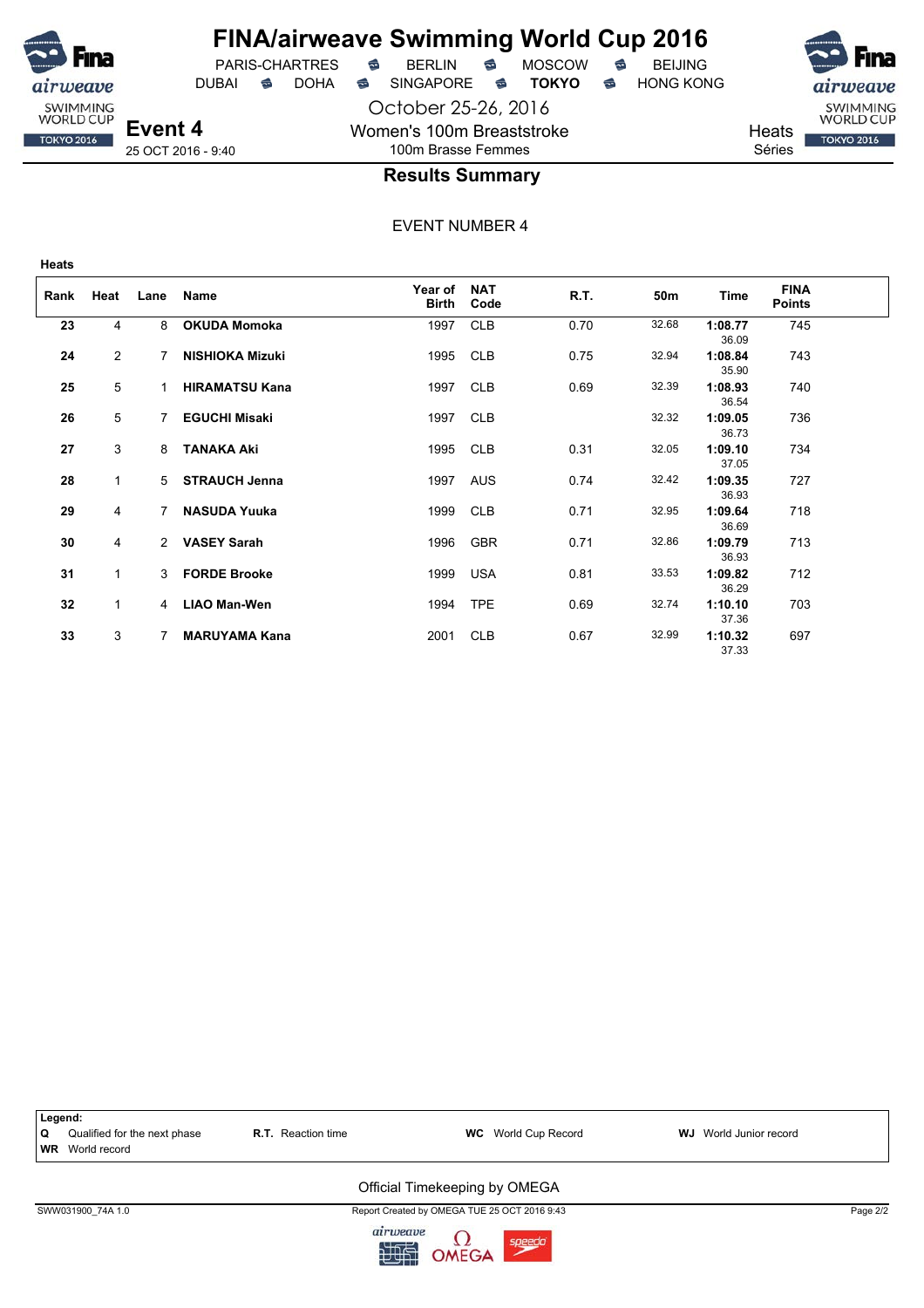

## **FINA/airweave Swimming World Cup 2016**

October 25-26, 2016 Women's 100m Breaststroke 100m Brasse Femmes



SWIMMING<br>WORLD CUP **TOKYO 2016** 

**Heats** Séries

## **Results Summary**

EVENT NUMBER 4

| Rank | Heat         | Lane           | <b>Name</b>            | Year of<br><b>Birth</b> | <b>NAT</b><br>Code | R.T. | 50m   | <b>Time</b>      | <b>FINA</b><br><b>Points</b> |
|------|--------------|----------------|------------------------|-------------------------|--------------------|------|-------|------------------|------------------------------|
| 23   | 4            | 8              | <b>OKUDA Momoka</b>    | 1997                    | <b>CLB</b>         | 0.70 | 32.68 | 1:08.77<br>36.09 | 745                          |
| 24   | 2            | 7              | <b>NISHIOKA Mizuki</b> | 1995                    | <b>CLB</b>         | 0.75 | 32.94 | 1:08.84<br>35.90 | 743                          |
| 25   | 5            | 1.             | <b>HIRAMATSU Kana</b>  | 1997                    | <b>CLB</b>         | 0.69 | 32.39 | 1:08.93<br>36.54 | 740                          |
| 26   | 5            | 7              | <b>EGUCHI Misaki</b>   | 1997                    | <b>CLB</b>         |      | 32.32 | 1:09.05<br>36.73 | 736                          |
| 27   | 3            | 8              | <b>TANAKA Aki</b>      | 1995                    | <b>CLB</b>         | 0.31 | 32.05 | 1:09.10<br>37.05 | 734                          |
| 28   | $\mathbf{1}$ |                | 5 STRAUCH Jenna        | 1997                    | <b>AUS</b>         | 0.74 | 32.42 | 1:09.35<br>36.93 | 727                          |
| 29   | 4            | $7^{\circ}$    | <b>NASUDA Yuuka</b>    | 1999                    | <b>CLB</b>         | 0.71 | 32.95 | 1:09.64<br>36.69 | 718                          |
| 30   | 4            |                | 2 VASEY Sarah          | 1996                    | <b>GBR</b>         | 0.71 | 32.86 | 1:09.79<br>36.93 | 713                          |
| 31   | $\mathbf{1}$ |                | 3 FORDE Brooke         | 1999                    | <b>USA</b>         | 0.81 | 33.53 | 1:09.82<br>36.29 | 712                          |
| 32   | $\mathbf 1$  | $\overline{4}$ | <b>LIAO Man-Wen</b>    | 1994                    | <b>TPE</b>         | 0.69 | 32.74 | 1:10.10<br>37.36 | 703                          |
| 33   | 3            | 7              | <b>MARUYAMA Kana</b>   | 2001                    | <b>CLB</b>         | 0.67 | 32.99 | 1:10.32<br>37.33 | 697                          |



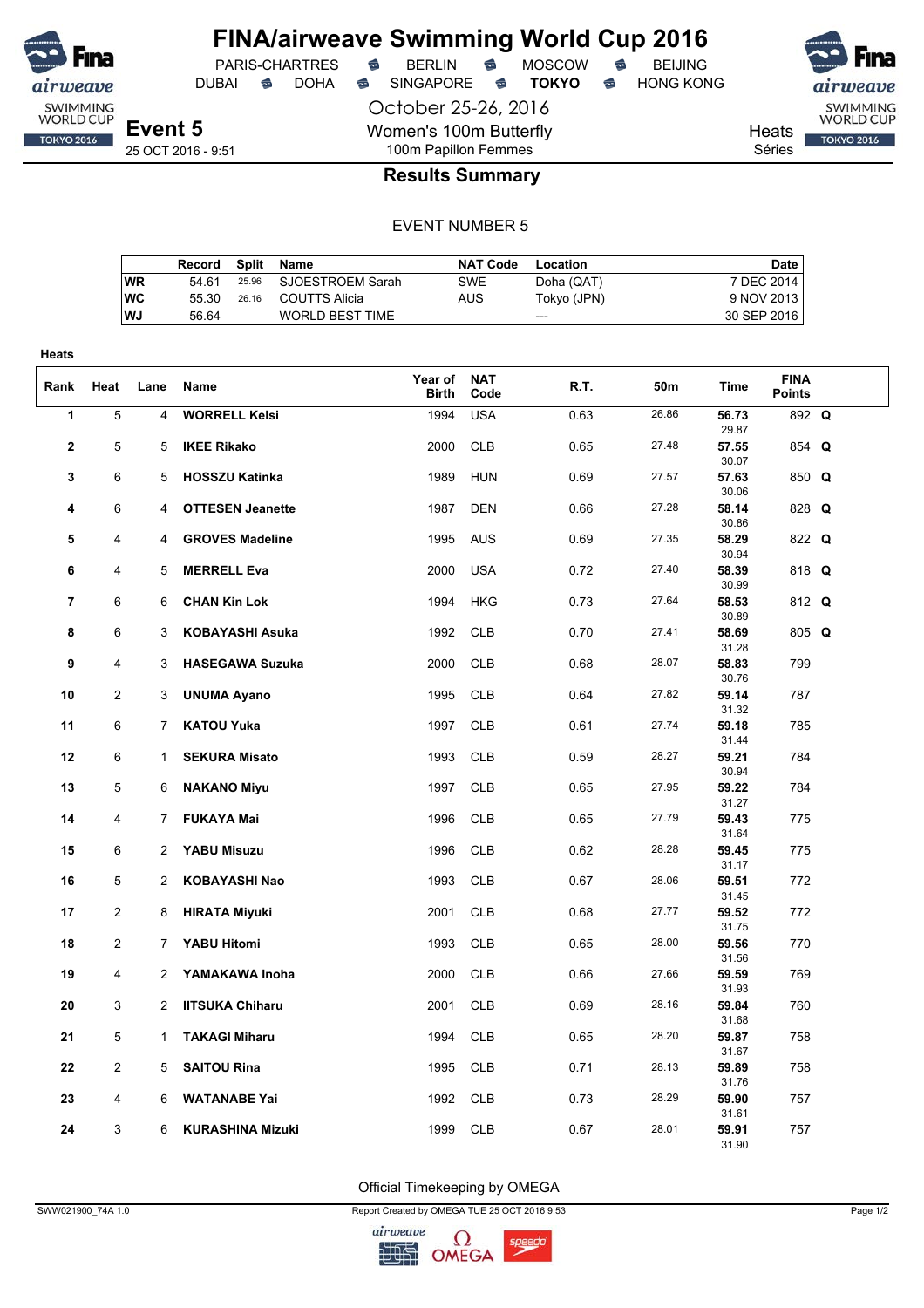

DUBAI **S** DOHA S SINGAPORE S **TOKYO** S HONG KONG

PARIS-CHARTRES **S** BERLIN S MOSCOW S

October 25-26, 2016 Women's 100m Butterfly 100m Papillon Femmes



Heats Séries

## **Results Summary**

#### EVENT NUMBER 5

|    | Record Split Name |                        | NAT Code   | Location    | Date        |
|----|-------------------|------------------------|------------|-------------|-------------|
| WR | 54 61             | 25.96 SJOESTROEM Sarah | <b>SWE</b> | Doha (QAT)  | 7 DEC 2014  |
| WC | 55.30             | 26.16 COUTTS Alicia    | AUS        | Tokyo (JPN) | 9 NOV 2013  |
| WJ | 56.64             | WORLD BEST TIME        |            | ---         | 30 SEP 2016 |

| Heats          |                         |                |                         |                         |                    |      |       |                |                              |  |
|----------------|-------------------------|----------------|-------------------------|-------------------------|--------------------|------|-------|----------------|------------------------------|--|
| Rank           | Heat                    | Lane           | Name                    | Year of<br><b>Birth</b> | <b>NAT</b><br>Code | R.T. | 50m   | Time           | <b>FINA</b><br><b>Points</b> |  |
| 1              | 5                       | 4              | <b>WORRELL Kelsi</b>    | 1994                    | <b>USA</b>         | 0.63 | 26.86 | 56.73<br>29.87 | 892 Q                        |  |
| $\mathbf{2}$   | 5                       | 5              | <b>IKEE Rikako</b>      | 2000                    | <b>CLB</b>         | 0.65 | 27.48 | 57.55<br>30.07 | 854 Q                        |  |
| 3              | 6                       | 5              | <b>HOSSZU Katinka</b>   | 1989                    | <b>HUN</b>         | 0.69 | 27.57 | 57.63<br>30.06 | 850 Q                        |  |
| 4              | 6                       | 4              | <b>OTTESEN Jeanette</b> | 1987                    | <b>DEN</b>         | 0.66 | 27.28 | 58.14<br>30.86 | 828 Q                        |  |
| 5              | 4                       | 4              | <b>GROVES Madeline</b>  | 1995                    | <b>AUS</b>         | 0.69 | 27.35 | 58.29<br>30.94 | 822 Q                        |  |
| 6              | 4                       | 5              | <b>MERRELL Eva</b>      | 2000                    | <b>USA</b>         | 0.72 | 27.40 | 58.39<br>30.99 | 818 Q                        |  |
| $\overline{7}$ | 6                       | 6              | <b>CHAN Kin Lok</b>     | 1994                    | <b>HKG</b>         | 0.73 | 27.64 | 58.53<br>30.89 | 812 Q                        |  |
| 8              | 6                       | 3              | <b>KOBAYASHI Asuka</b>  | 1992                    | <b>CLB</b>         | 0.70 | 27.41 | 58.69<br>31.28 | 805 Q                        |  |
| 9              | 4                       | 3              | <b>HASEGAWA Suzuka</b>  | 2000                    | <b>CLB</b>         | 0.68 | 28.07 | 58.83<br>30.76 | 799                          |  |
| 10             | 2                       | 3              | <b>UNUMA Ayano</b>      | 1995                    | <b>CLB</b>         | 0.64 | 27.82 | 59.14<br>31.32 | 787                          |  |
| 11             | 6                       | $\overline{7}$ | <b>KATOU Yuka</b>       | 1997                    | <b>CLB</b>         | 0.61 | 27.74 | 59.18<br>31.44 | 785                          |  |
| 12             | 6                       | $\mathbf 1$    | <b>SEKURA Misato</b>    | 1993                    | <b>CLB</b>         | 0.59 | 28.27 | 59.21<br>30.94 | 784                          |  |
| 13             | 5                       | 6              | <b>NAKANO Miyu</b>      | 1997                    | <b>CLB</b>         | 0.65 | 27.95 | 59.22<br>31.27 | 784                          |  |
| 14             | 4                       | 7              | <b>FUKAYA Mai</b>       | 1996                    | <b>CLB</b>         | 0.65 | 27.79 | 59.43<br>31.64 | 775                          |  |
| 15             | 6                       | $\overline{2}$ | <b>YABU Misuzu</b>      | 1996                    | <b>CLB</b>         | 0.62 | 28.28 | 59.45<br>31.17 | 775                          |  |
| 16             | 5                       | $\overline{2}$ | KOBAYASHI Nao           | 1993                    | <b>CLB</b>         | 0.67 | 28.06 | 59.51<br>31.45 | 772                          |  |
| 17             | $\overline{\mathbf{c}}$ | 8              | <b>HIRATA Miyuki</b>    | 2001                    | <b>CLB</b>         | 0.68 | 27.77 | 59.52<br>31.75 | 772                          |  |
| 18             | 2                       | 7              | <b>YABU Hitomi</b>      | 1993                    | <b>CLB</b>         | 0.65 | 28.00 | 59.56<br>31.56 | 770                          |  |
| 19             | 4                       | 2              | YAMAKAWA Inoha          | 2000                    | <b>CLB</b>         | 0.66 | 27.66 | 59.59<br>31.93 | 769                          |  |
| 20             | 3                       | $\overline{2}$ | <b>IITSUKA Chiharu</b>  | 2001                    | <b>CLB</b>         | 0.69 | 28.16 | 59.84<br>31.68 | 760                          |  |
| 21             | 5                       | 1              | <b>TAKAGI Miharu</b>    | 1994                    | <b>CLB</b>         | 0.65 | 28.20 | 59.87<br>31.67 | 758                          |  |
| 22             | $\overline{2}$          | 5              | <b>SAITOU Rina</b>      | 1995                    | <b>CLB</b>         | 0.71 | 28.13 | 59.89<br>31.76 | 758                          |  |
| 23             | 4                       | 6              | <b>WATANABE Yai</b>     | 1992                    | <b>CLB</b>         | 0.73 | 28.29 | 59.90<br>31.61 | 757                          |  |
| 24             | 3                       | 6              | <b>KURASHINA Mizuki</b> | 1999                    | <b>CLB</b>         | 0.67 | 28.01 | 59.91<br>31.90 | 757                          |  |

Official Timekeeping by OMEGA

SWW021900\_74A 1.0 Report Created by OMEGA TUE 25 OCT 2016 9:53 Page 1/2

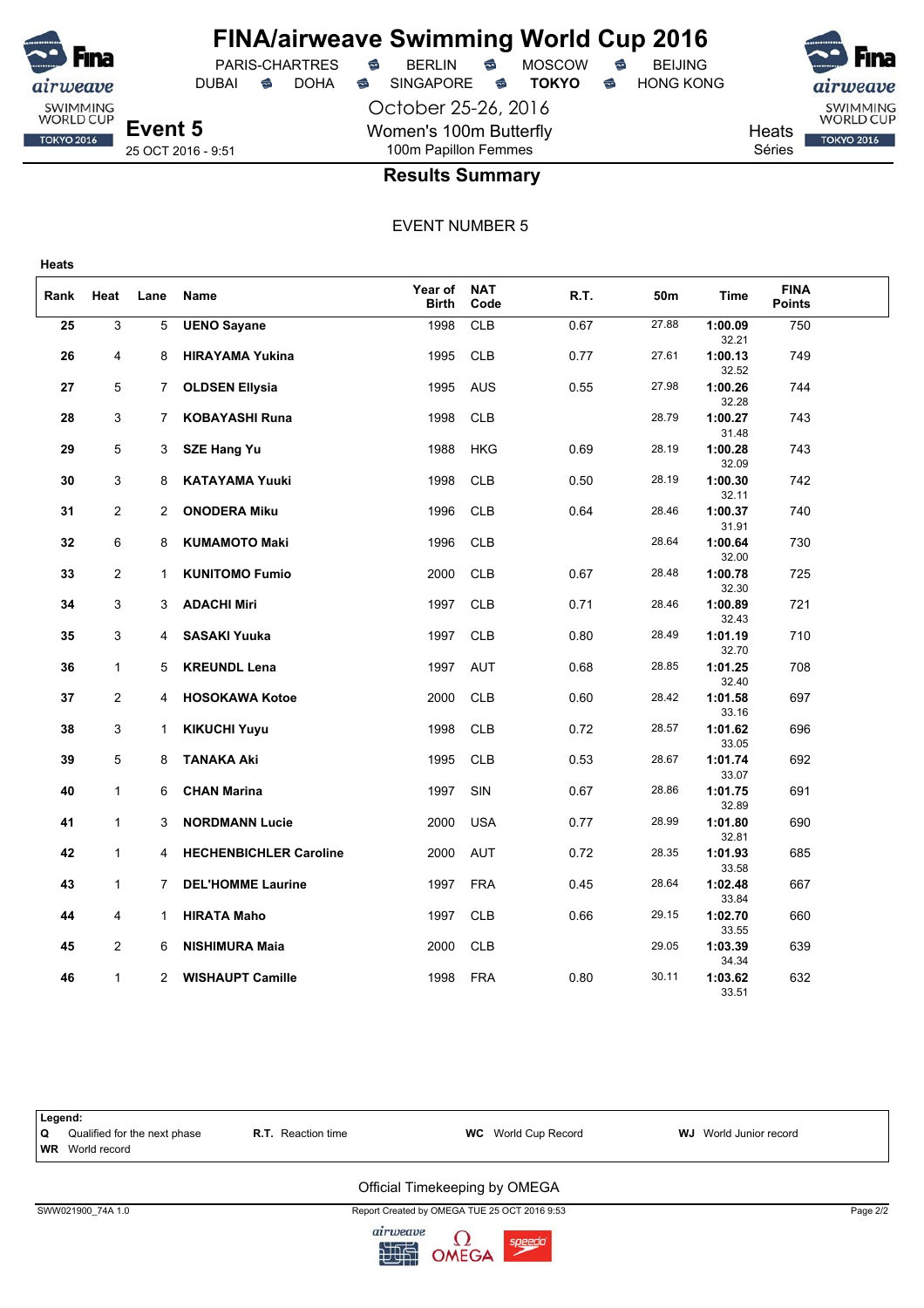

October 25-26, 2016

Women's 100m Butterfly

DUBAI **S** DOHA SINGAPORE S **TOKYO** S HONG KONG



**Event 5** 25 OCT 2016 - 9:51

**Heats**

weave SWIMMING<br>WORLD CUP

**TOKYO 2016** 

## 100m Papillon Femmes **Results Summary**

EVENT NUMBER 5

| Rank | Heat           | Lane         | Name                          | Year of<br><b>Birth</b> | <b>NAT</b><br>Code | R.T. | 50m   | Time             | <b>FINA</b><br><b>Points</b> |  |
|------|----------------|--------------|-------------------------------|-------------------------|--------------------|------|-------|------------------|------------------------------|--|
| 25   | 3              | 5            | <b>UENO Sayane</b>            | 1998                    | <b>CLB</b>         | 0.67 | 27.88 | 1:00.09<br>32.21 | 750                          |  |
| 26   | 4              | 8            | <b>HIRAYAMA Yukina</b>        | 1995                    | <b>CLB</b>         | 0.77 | 27.61 | 1:00.13<br>32.52 | 749                          |  |
| 27   | 5              | $7^{\circ}$  | <b>OLDSEN Ellysia</b>         | 1995                    | AUS                | 0.55 | 27.98 | 1:00.26<br>32.28 | 744                          |  |
| 28   | 3              | $7^{\circ}$  | <b>KOBAYASHI Runa</b>         | 1998                    | <b>CLB</b>         |      | 28.79 | 1:00.27<br>31.48 | 743                          |  |
| 29   | 5              | 3            | <b>SZE Hang Yu</b>            | 1988                    | HKG                | 0.69 | 28.19 | 1:00.28<br>32.09 | 743                          |  |
| 30   | 3              | 8            | <b>KATAYAMA Yuuki</b>         | 1998                    | <b>CLB</b>         | 0.50 | 28.19 | 1:00.30<br>32.11 | 742                          |  |
| 31   | 2              | 2            | <b>ONODERA Miku</b>           | 1996                    | <b>CLB</b>         | 0.64 | 28.46 | 1:00.37<br>31.91 | 740                          |  |
| 32   | 6              | 8            | <b>KUMAMOTO Maki</b>          | 1996                    | <b>CLB</b>         |      | 28.64 | 1:00.64<br>32.00 | 730                          |  |
| 33   | $\overline{2}$ | 1.           | <b>KUNITOMO Fumio</b>         | 2000                    | <b>CLB</b>         | 0.67 | 28.48 | 1:00.78<br>32.30 | 725                          |  |
| 34   | 3              | 3            | <b>ADACHI Miri</b>            | 1997                    | <b>CLB</b>         | 0.71 | 28.46 | 1:00.89<br>32.43 | 721                          |  |
| 35   | 3              | 4            | <b>SASAKI Yuuka</b>           | 1997                    | <b>CLB</b>         | 0.80 | 28.49 | 1:01.19<br>32.70 | 710                          |  |
| 36   | $\mathbf{1}$   | 5            | <b>KREUNDL Lena</b>           | 1997                    | <b>AUT</b>         | 0.68 | 28.85 | 1:01.25<br>32.40 | 708                          |  |
| 37   | $\overline{2}$ | 4            | <b>HOSOKAWA Kotoe</b>         | 2000                    | <b>CLB</b>         | 0.60 | 28.42 | 1:01.58<br>33.16 | 697                          |  |
| 38   | 3              | 1            | <b>KIKUCHI Yuyu</b>           | 1998                    | <b>CLB</b>         | 0.72 | 28.57 | 1:01.62<br>33.05 | 696                          |  |
| 39   | 5              | 8            | <b>TANAKA Aki</b>             | 1995                    | <b>CLB</b>         | 0.53 | 28.67 | 1:01.74<br>33.07 | 692                          |  |
| 40   | $\mathbf{1}$   | 6            | <b>CHAN Marina</b>            | 1997                    | SIN                | 0.67 | 28.86 | 1:01.75<br>32.89 | 691                          |  |
| 41   | $\mathbf{1}$   | 3            | <b>NORDMANN Lucie</b>         | 2000                    | <b>USA</b>         | 0.77 | 28.99 | 1:01.80<br>32.81 | 690                          |  |
| 42   | $\mathbf{1}$   | 4            | <b>HECHENBICHLER Caroline</b> | 2000                    | <b>AUT</b>         | 0.72 | 28.35 | 1:01.93<br>33.58 | 685                          |  |
| 43   | $\mathbf{1}$   | 7            | <b>DEL'HOMME Laurine</b>      | 1997                    | <b>FRA</b>         | 0.45 | 28.64 | 1:02.48<br>33.84 | 667                          |  |
| 44   | 4              | 1            | <b>HIRATA Maho</b>            | 1997                    | <b>CLB</b>         | 0.66 | 29.15 | 1:02.70<br>33.55 | 660                          |  |
| 45   | $\overline{2}$ | 6            | <b>NISHIMURA Maia</b>         | 2000                    | <b>CLB</b>         |      | 29.05 | 1:03.39<br>34.34 | 639                          |  |
| 46   | $\mathbf{1}$   | $\mathbf{2}$ | <b>WISHAUPT Camille</b>       | 1998                    | FRA                | 0.80 | 30.11 | 1:03.62<br>33.51 | 632                          |  |



SWW021900\_74A 1.0 Report Created by OMEGA TUE 25 OCT 2016 9:53 Page 2/2

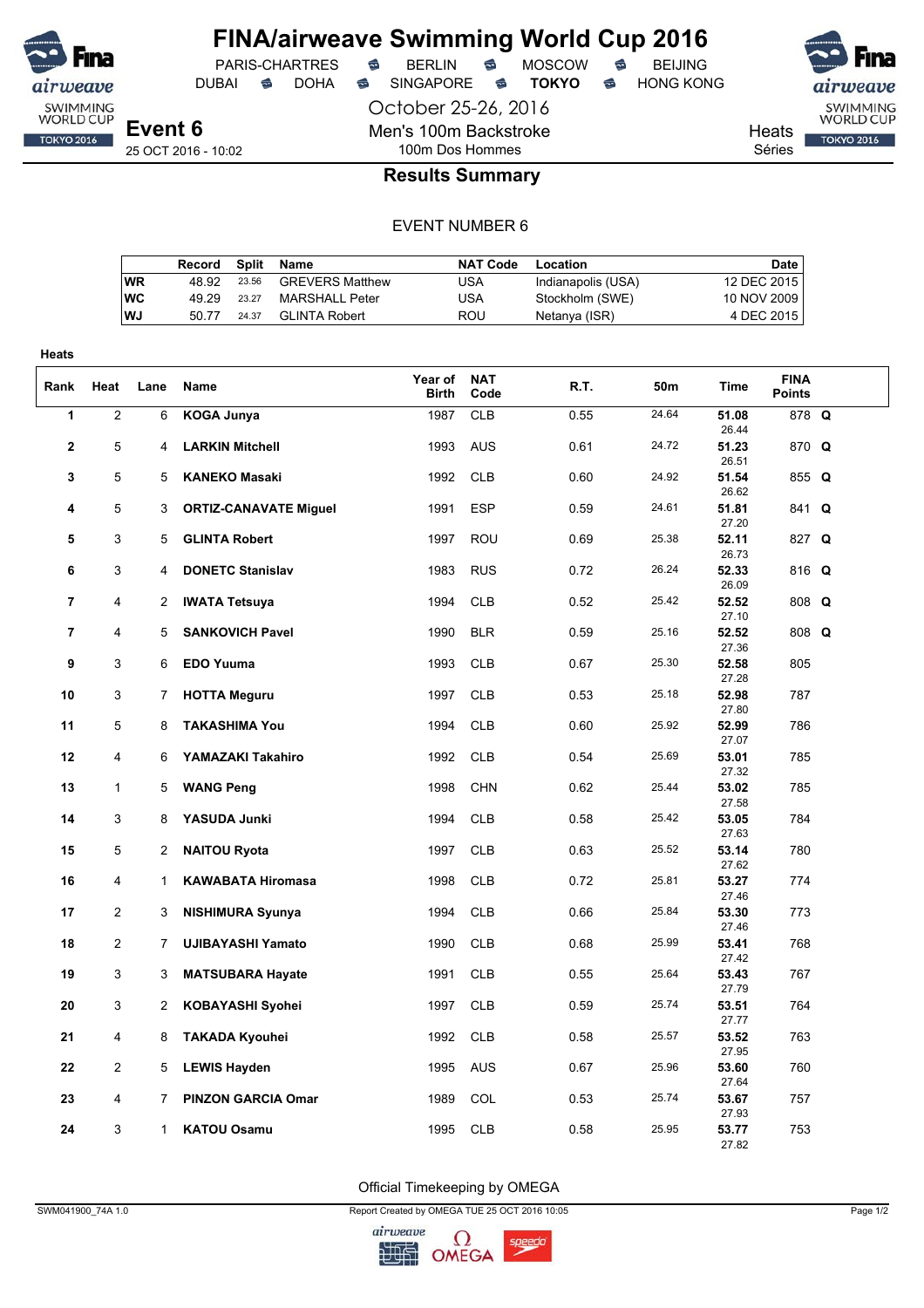

DUBAI **S** DOHA S SINGAPORE S TOKYO S HONG KONG

PARIS-CHARTRES **S** BERLIN S MOSCOW S

SWIMMING<br>WORLD CUP **TOKYO 2016** 

Heats

Séries

## 100m Dos Hommes **Results Summary**

October 25-26, 2016

Men's 100m Backstroke

#### EVENT NUMBER 6

|    | Record |       | Split Name             | <b>NAT Code</b> | Location           | Date        |
|----|--------|-------|------------------------|-----------------|--------------------|-------------|
| WR | 48.92  | 23.56 | <b>GREVERS Matthew</b> | USA             | Indianapolis (USA) | 12 DEC 2015 |
| wс | 49.29  | 23.27 | MARSHALL Peter         | USA             | Stockholm (SWE)    | 10 NOV 2009 |
| WJ | 50.77  | 24.37 | <b>GLINTA Robert</b>   | ROU             | Netanya (ISR)      | 4 DEC 2015  |
|    |        |       |                        |                 |                    |             |

| Heats          |                |                |                                              |                  |                          |              |                |                         |                              |  |
|----------------|----------------|----------------|----------------------------------------------|------------------|--------------------------|--------------|----------------|-------------------------|------------------------------|--|
| Rank           | Heat           | Lane           | Name                                         | Year of<br>Birth | <b>NAT</b><br>Code       | R.T.         | 50m            | <b>Time</b>             | <b>FINA</b><br><b>Points</b> |  |
| 1              | $\overline{2}$ | 6              | <b>KOGA Junya</b>                            | 1987             | <b>CLB</b>               | 0.55         | 24.64          | 51.08<br>26.44          | 878 Q                        |  |
| $\mathbf{2}$   | 5              | 4              | <b>LARKIN Mitchell</b>                       | 1993             | <b>AUS</b>               | 0.61         | 24.72          | 51.23<br>26.51          | 870 Q                        |  |
| 3              | 5              | 5              | <b>KANEKO Masaki</b>                         | 1992             | <b>CLB</b>               | 0.60         | 24.92          | 51.54<br>26.62          | 855 Q                        |  |
| 4              | 5              | 3              | <b>ORTIZ-CANAVATE Miguel</b>                 | 1991             | <b>ESP</b>               | 0.59         | 24.61          | 51.81<br>27.20          | 841 Q                        |  |
| 5              | 3              | 5              | <b>GLINTA Robert</b>                         | 1997             | <b>ROU</b>               | 0.69         | 25.38          | 52.11<br>26.73          | 827 Q                        |  |
| 6              | 3              | 4              | <b>DONETC Stanislav</b>                      | 1983             | <b>RUS</b>               | 0.72         | 26.24          | 52.33<br>26.09          | 816 Q                        |  |
| $\overline{7}$ | 4              | $\overline{2}$ | <b>IWATA Tetsuya</b>                         | 1994             | <b>CLB</b>               | 0.52         | 25.42          | 52.52<br>27.10          | 808 Q                        |  |
| $\overline{7}$ | 4              | 5              | <b>SANKOVICH Pavel</b>                       | 1990             | <b>BLR</b>               | 0.59         | 25.16          | 52.52<br>27.36          | 808 Q                        |  |
| 9              | 3              | 6              | <b>EDO Yuuma</b>                             | 1993             | <b>CLB</b>               | 0.67         | 25.30          | 52.58<br>27.28          | 805                          |  |
| 10             | 3              | 7              | <b>HOTTA Meguru</b>                          | 1997             | <b>CLB</b>               | 0.53         | 25.18          | 52.98<br>27.80          | 787                          |  |
| 11             | 5              | 8              | <b>TAKASHIMA You</b>                         | 1994             | <b>CLB</b>               | 0.60         | 25.92          | 52.99<br>27.07          | 786                          |  |
| 12             | 4              | 6              | YAMAZAKI Takahiro                            | 1992             | <b>CLB</b>               | 0.54         | 25.69          | 53.01<br>27.32          | 785                          |  |
| 13             | 1              | 5              | <b>WANG Peng</b>                             | 1998             | <b>CHN</b>               | 0.62         | 25.44          | 53.02<br>27.58          | 785                          |  |
| 14             | 3              | 8              | YASUDA Junki                                 | 1994             | <b>CLB</b>               | 0.58         | 25.42          | 53.05<br>27.63          | 784                          |  |
| 15             | 5              | 2              | <b>NAITOU Ryota</b>                          | 1997             | <b>CLB</b>               | 0.63         | 25.52          | 53.14<br>27.62          | 780                          |  |
| 16             | 4              | $\mathbf{1}$   | <b>KAWABATA Hiromasa</b>                     | 1998             | <b>CLB</b>               | 0.72         | 25.81          | 53.27<br>27.46          | 774                          |  |
| 17             | $\overline{c}$ | 3              | <b>NISHIMURA Syunya</b>                      | 1994             | <b>CLB</b>               | 0.66         | 25.84<br>25.99 | 53.30<br>27.46          | 773                          |  |
| 18             | $\overline{c}$ | 7              | <b>UJIBAYASHI Yamato</b>                     | 1990             | <b>CLB</b>               | 0.68         |                | 53.41<br>27.42          | 768                          |  |
| 19<br>20       | 3<br>3         | 3<br>2         | <b>MATSUBARA Hayate</b>                      | 1991<br>1997     | <b>CLB</b><br><b>CLB</b> | 0.55<br>0.59 | 25.64<br>25.74 | 53.43<br>27.79<br>53.51 | 767<br>764                   |  |
| 21             | 4              | 8              | <b>KOBAYASHI Syohei</b>                      | 1992             | <b>CLB</b>               | 0.58         | 25.57          | 27.77<br>53.52          | 763                          |  |
| 22             | $\overline{c}$ | 5              | <b>TAKADA Kyouhei</b><br><b>LEWIS Hayden</b> | 1995             | AUS                      | 0.67         | 25.96          | 27.95<br>53.60          | 760                          |  |
| 23             | 4              | 7              | <b>PINZON GARCIA Omar</b>                    | 1989             | <b>COL</b>               | 0.53         | 25.74          | 27.64<br>53.67          | 757                          |  |
| 24             | 3              | $\mathbf{1}$   | <b>KATOU Osamu</b>                           | 1995             | <b>CLB</b>               | 0.58         | 25.95          | 27.93<br>53.77          | 753                          |  |
|                |                |                |                                              |                  |                          |              |                | 27.82                   |                              |  |

Official Timekeeping by OMEGA

SWM041900\_74A 1.0 Page 1/2

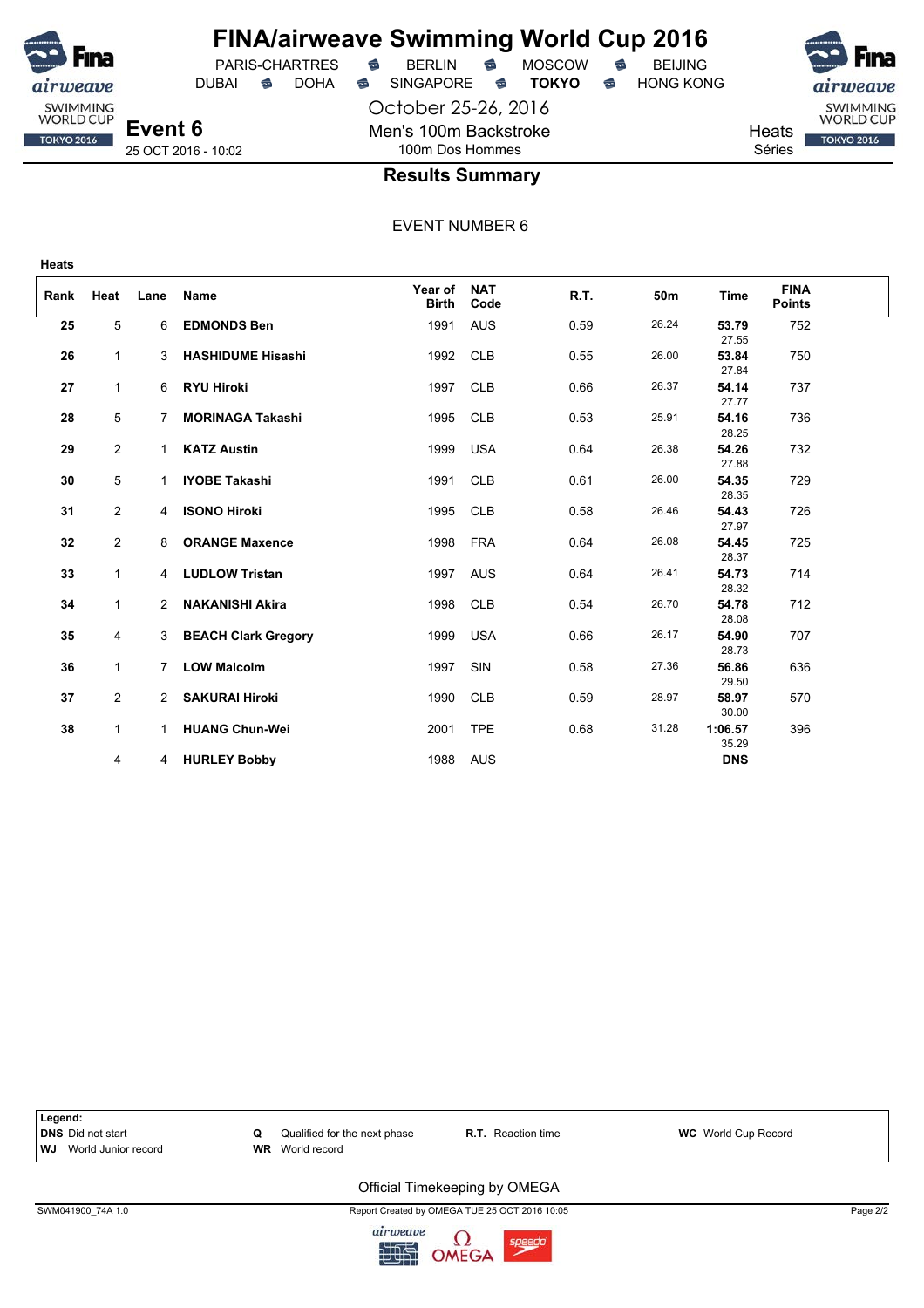

## **FINA/airweave Swimming World Cup 2016** PARIS-CHARTRES **B** BERLIN **B** MOSCOW **B** BEIJING

DUBAI **S** DOHA SINGAPORE S **TOKYO** S HONG KONG

October 25-26, 2016 Men's 100m Backstroke 100m Dos Hommes



**Results Summary**

EVENT NUMBER 6

| Rank | Heat           | Lane | <b>Name</b>                | Year of<br><b>Birth</b> | <b>NAT</b><br>Code | R.T. | 50m   | <b>Time</b>      | <b>FINA</b><br><b>Points</b> |  |
|------|----------------|------|----------------------------|-------------------------|--------------------|------|-------|------------------|------------------------------|--|
| 25   | 5              | 6    | <b>EDMONDS Ben</b>         | 1991                    | <b>AUS</b>         | 0.59 | 26.24 | 53.79<br>27.55   | 752                          |  |
| 26   | $\mathbf{1}$   | 3    | <b>HASHIDUME Hisashi</b>   | 1992                    | <b>CLB</b>         | 0.55 | 26.00 | 53.84<br>27.84   | 750                          |  |
| 27   | $\mathbf{1}$   | 6    | <b>RYU Hiroki</b>          | 1997                    | <b>CLB</b>         | 0.66 | 26.37 | 54.14<br>27.77   | 737                          |  |
| 28   | 5              | 7    | <b>MORINAGA Takashi</b>    | 1995                    | <b>CLB</b>         | 0.53 | 25.91 | 54.16<br>28.25   | 736                          |  |
| 29   | 2              | 1    | <b>KATZ Austin</b>         | 1999                    | <b>USA</b>         | 0.64 | 26.38 | 54.26<br>27.88   | 732                          |  |
| 30   | 5              | 1    | <b>IYOBE Takashi</b>       | 1991                    | <b>CLB</b>         | 0.61 | 26.00 | 54.35<br>28.35   | 729                          |  |
| 31   | $\overline{2}$ | 4    | <b>ISONO Hiroki</b>        | 1995                    | <b>CLB</b>         | 0.58 | 26.46 | 54.43<br>27.97   | 726                          |  |
| 32   | $\overline{2}$ | 8    | <b>ORANGE Maxence</b>      | 1998                    | <b>FRA</b>         | 0.64 | 26.08 | 54.45<br>28.37   | 725                          |  |
| 33   | $\mathbf{1}$   | 4    | <b>LUDLOW Tristan</b>      | 1997                    | <b>AUS</b>         | 0.64 | 26.41 | 54.73<br>28.32   | 714                          |  |
| 34   | $\mathbf{1}$   | 2    | <b>NAKANISHI Akira</b>     | 1998                    | <b>CLB</b>         | 0.54 | 26.70 | 54.78<br>28.08   | 712                          |  |
| 35   | 4              | 3    | <b>BEACH Clark Gregory</b> | 1999                    | <b>USA</b>         | 0.66 | 26.17 | 54.90<br>28.73   | 707                          |  |
| 36   | $\mathbf{1}$   | 7    | <b>LOW Malcolm</b>         | 1997                    | SIN                | 0.58 | 27.36 | 56.86<br>29.50   | 636                          |  |
| 37   | 2              | 2    | <b>SAKURAI Hiroki</b>      | 1990                    | <b>CLB</b>         | 0.59 | 28.97 | 58.97<br>30.00   | 570                          |  |
| 38   | $\mathbf{1}$   | 1    | <b>HUANG Chun-Wei</b>      | 2001                    | <b>TPE</b>         | 0.68 | 31.28 | 1:06.57<br>35.29 | 396                          |  |
|      | 4              | 4    | <b>HURLEY Bobby</b>        | 1988                    | AUS                |      |       | <b>DNS</b>       |                              |  |

**Legend: DNS** Did not start **C** Qualified for the next phase **R.T.** Reaction time **WC** World Cup Record **WR** World record **WR** World record **WJ** World Junior record

### Official Timekeeping by OMEGA

SWM041900\_74A 1.0 Report Created by OMEGA TUE 25 OCT 2016 10:05 Page 2/2

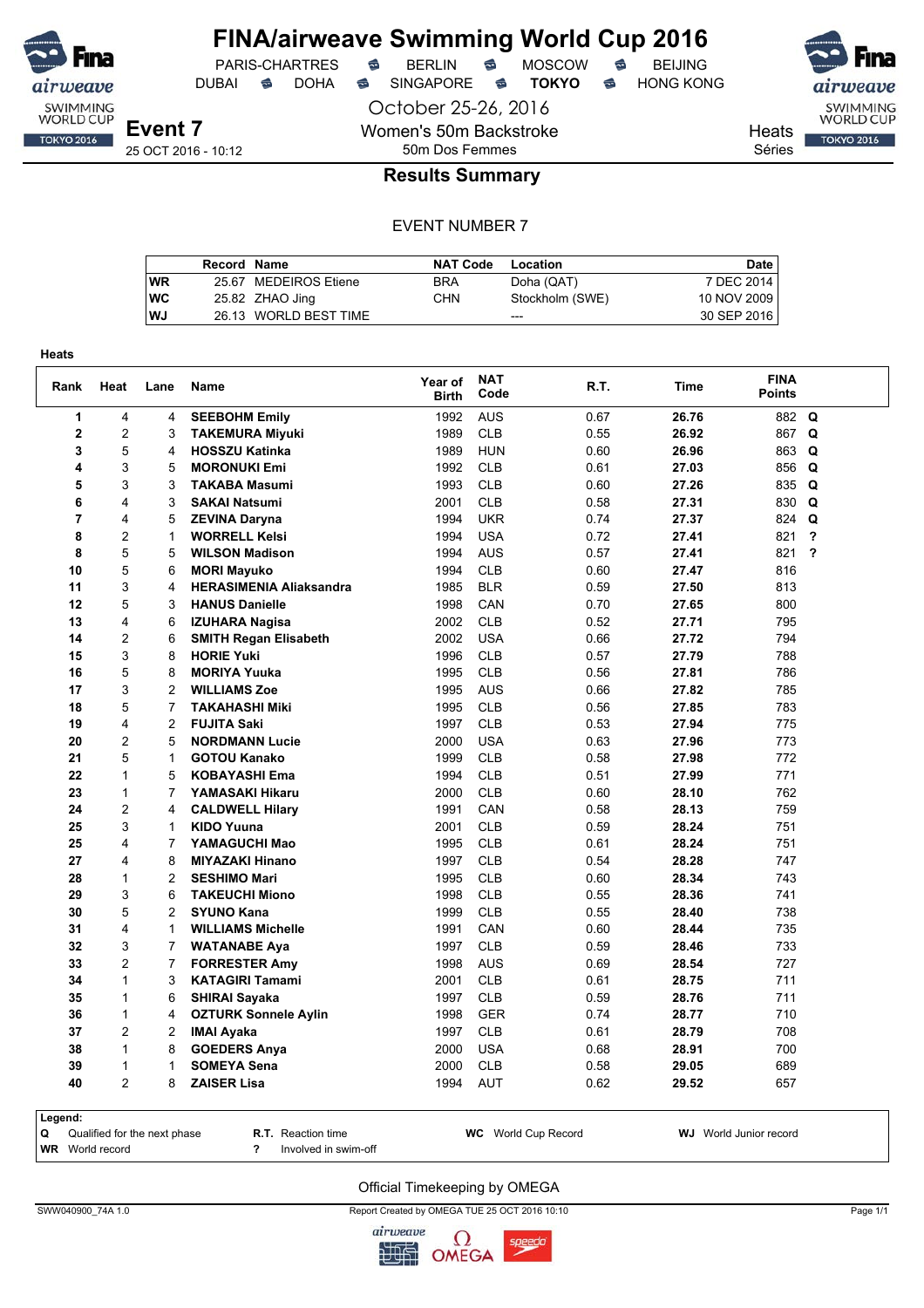

## **FINA/airweave Swimming World Cup 2016** PARIS-CHARTRES **B** BERLIN **B** MOSCOW **B** BEIJING

DUBAI **S** DOHA SINGAPORE S **TOKYO** S HONG KONG

October 25-26, 2016 Women's 50m Backstroke 50m Dos Femmes



SWIMMING<br>WORLD CUP **TOKYO 2016** 

**Heats** Séries

25 OCT 2016 - 10:12

### **Results Summary**

#### EVENT NUMBER 7

|    | Record Name |                       | <b>NAT Code</b> | Location        | <b>Date</b> |
|----|-------------|-----------------------|-----------------|-----------------|-------------|
| WR |             | 25.67 MEDEIROS Etiene | <b>BRA</b>      | Doha (QAT)      | 7 DEC 2014  |
| wс |             | 25.82 ZHAO Jing       | <b>CHN</b>      | Stockholm (SWE) | 10 NOV 2009 |
| WJ |             | 26.13 WORLD BEST TIME |                 | $- - -$         | 30 SEP 2016 |

| Rank         | Heat           | Lane           | Name                           | Year of<br><b>Birth</b> | <b>NAT</b><br>Code | R.T. | Time  | <b>FINA</b><br><b>Points</b> |                         |
|--------------|----------------|----------------|--------------------------------|-------------------------|--------------------|------|-------|------------------------------|-------------------------|
| $\mathbf{1}$ | 4              | 4              | <b>SEEBOHM Emily</b>           | 1992                    | <b>AUS</b>         | 0.67 | 26.76 | 882                          | $\mathbf Q$             |
| $\mathbf 2$  | $\overline{c}$ | 3              | <b>TAKEMURA Miyuki</b>         | 1989                    | CLB                | 0.55 | 26.92 | 867                          | Q                       |
| 3            | 5              | 4              | <b>HOSSZU Katinka</b>          | 1989                    | <b>HUN</b>         | 0.60 | 26.96 | 863                          | Q                       |
| 4            | 3              | 5              | <b>MORONUKI Emi</b>            | 1992                    | <b>CLB</b>         | 0.61 | 27.03 | 856                          | Q                       |
| 5            | 3              | 3              | <b>TAKABA Masumi</b>           | 1993                    | <b>CLB</b>         | 0.60 | 27.26 | 835                          | Q                       |
| 6            | 4              | 3              | <b>SAKAI Natsumi</b>           | 2001                    | <b>CLB</b>         | 0.58 | 27.31 | 830                          | Q                       |
| 7            | 4              | 5              | <b>ZEVINA Daryna</b>           | 1994                    | <b>UKR</b>         | 0.74 | 27.37 | 824                          | Q                       |
| 8            | $\overline{c}$ | 1              | <b>WORRELL Kelsi</b>           | 1994                    | <b>USA</b>         | 0.72 | 27.41 | 821                          | ?                       |
| 8            | 5              | 5              | <b>WILSON Madison</b>          | 1994                    | <b>AUS</b>         | 0.57 | 27.41 | 821                          | $\overline{\mathbf{r}}$ |
| 10           | 5              | 6              | <b>MORI Mayuko</b>             | 1994                    | <b>CLB</b>         | 0.60 | 27.47 | 816                          |                         |
| 11           | 3              | 4              | <b>HERASIMENIA Aliaksandra</b> | 1985                    | <b>BLR</b>         | 0.59 | 27.50 | 813                          |                         |
| 12           | 5              | 3              | <b>HANUS Danielle</b>          | 1998                    | CAN                | 0.70 | 27.65 | 800                          |                         |
| 13           | 4              | 6              | <b>IZUHARA Nagisa</b>          | 2002                    | <b>CLB</b>         | 0.52 | 27.71 | 795                          |                         |
| 14           | $\overline{2}$ | 6              | <b>SMITH Regan Elisabeth</b>   | 2002                    | <b>USA</b>         | 0.66 | 27.72 | 794                          |                         |
| 15           | 3              | 8              | <b>HORIE Yuki</b>              | 1996                    | <b>CLB</b>         | 0.57 | 27.79 | 788                          |                         |
| 16           | 5              | 8              | <b>MORIYA Yuuka</b>            | 1995                    | <b>CLB</b>         | 0.56 | 27.81 | 786                          |                         |
| 17           | 3              | $\overline{c}$ | <b>WILLIAMS Zoe</b>            | 1995                    | <b>AUS</b>         | 0.66 | 27.82 | 785                          |                         |
| 18           | 5              | $\overline{7}$ | <b>TAKAHASHI Miki</b>          | 1995                    | <b>CLB</b>         | 0.56 | 27.85 | 783                          |                         |
| 19           | 4              | 2              | <b>FUJITA Saki</b>             | 1997                    | <b>CLB</b>         | 0.53 | 27.94 | 775                          |                         |
| 20           | $\overline{c}$ | 5              | <b>NORDMANN Lucie</b>          | 2000                    | <b>USA</b>         | 0.63 | 27.96 | 773                          |                         |
| 21           | 5              | $\mathbf{1}$   | <b>GOTOU Kanako</b>            | 1999                    | <b>CLB</b>         | 0.58 | 27.98 | 772                          |                         |
| 22           | 1              | 5              | <b>KOBAYASHI Ema</b>           | 1994                    | <b>CLB</b>         | 0.51 | 27.99 | 771                          |                         |
| 23           | $\mathbf{1}$   | 7              | YAMASAKI Hikaru                | 2000                    | <b>CLB</b>         | 0.60 | 28.10 | 762                          |                         |
| 24           | $\overline{c}$ | 4              | <b>CALDWELL Hilary</b>         | 1991                    | CAN                | 0.58 | 28.13 | 759                          |                         |
| 25           | 3              | 1              | <b>KIDO Yuuna</b>              | 2001                    | <b>CLB</b>         | 0.59 | 28.24 | 751                          |                         |
| 25           | 4              | $\overline{7}$ | YAMAGUCHI Mao                  | 1995                    | <b>CLB</b>         | 0.61 | 28.24 | 751                          |                         |
| 27           | 4              | 8              | <b>MIYAZAKI Hinano</b>         | 1997                    | <b>CLB</b>         | 0.54 | 28.28 | 747                          |                         |
| 28           | $\mathbf{1}$   | $\overline{c}$ | <b>SESHIMO Mari</b>            | 1995                    | <b>CLB</b>         | 0.60 | 28.34 | 743                          |                         |
| 29           | 3              | 6              | <b>TAKEUCHI Miono</b>          | 1998                    | <b>CLB</b>         | 0.55 | 28.36 | 741                          |                         |
| 30           | 5              | $\overline{c}$ | <b>SYUNO Kana</b>              | 1999                    | <b>CLB</b>         | 0.55 | 28.40 | 738                          |                         |
| 31           | 4              | 1              | <b>WILLIAMS Michelle</b>       | 1991                    | CAN                | 0.60 | 28.44 | 735                          |                         |
| 32           | 3              | 7              | <b>WATANABE Aya</b>            | 1997                    | <b>CLB</b>         | 0.59 | 28.46 | 733                          |                         |
| 33           | $\overline{2}$ | $\overline{7}$ | <b>FORRESTER Amy</b>           | 1998                    | <b>AUS</b>         | 0.69 | 28.54 | 727                          |                         |
| 34           | $\mathbf{1}$   | 3              | <b>KATAGIRI Tamami</b>         | 2001                    | <b>CLB</b>         | 0.61 | 28.75 | 711                          |                         |
| 35           | 1              | 6              | <b>SHIRAI Sayaka</b>           | 1997                    | <b>CLB</b>         | 0.59 | 28.76 | 711                          |                         |
| 36           | $\mathbf{1}$   | 4              | <b>OZTURK Sonnele Aylin</b>    | 1998                    | <b>GER</b>         | 0.74 | 28.77 | 710                          |                         |
| 37           | $\overline{c}$ | 2              | <b>IMAI Ayaka</b>              | 1997                    | <b>CLB</b>         | 0.61 | 28.79 | 708                          |                         |
| 38           | $\mathbf{1}$   | 8              | <b>GOEDERS Anya</b>            | 2000                    | <b>USA</b>         | 0.68 | 28.91 | 700                          |                         |
| 39           | $\mathbf{1}$   | 1              | <b>SOMEYA Sena</b>             | 2000                    | <b>CLB</b>         | 0.58 | 29.05 | 689                          |                         |
| 40           | $\overline{2}$ | 8              | <b>ZAISER Lisa</b>             | 1994                    | <b>AUT</b>         | 0.62 | 29.52 | 657                          |                         |

**Legend:**

**WR** World record **?** Involved in swim-off

**Q** Qualified for the next phase **R.T.** Reaction time **WC** World Cup Record **WJ** World Junior record

#### Official Timekeeping by OMEGA

SWW040900\_74A 1.0 Page 1/1

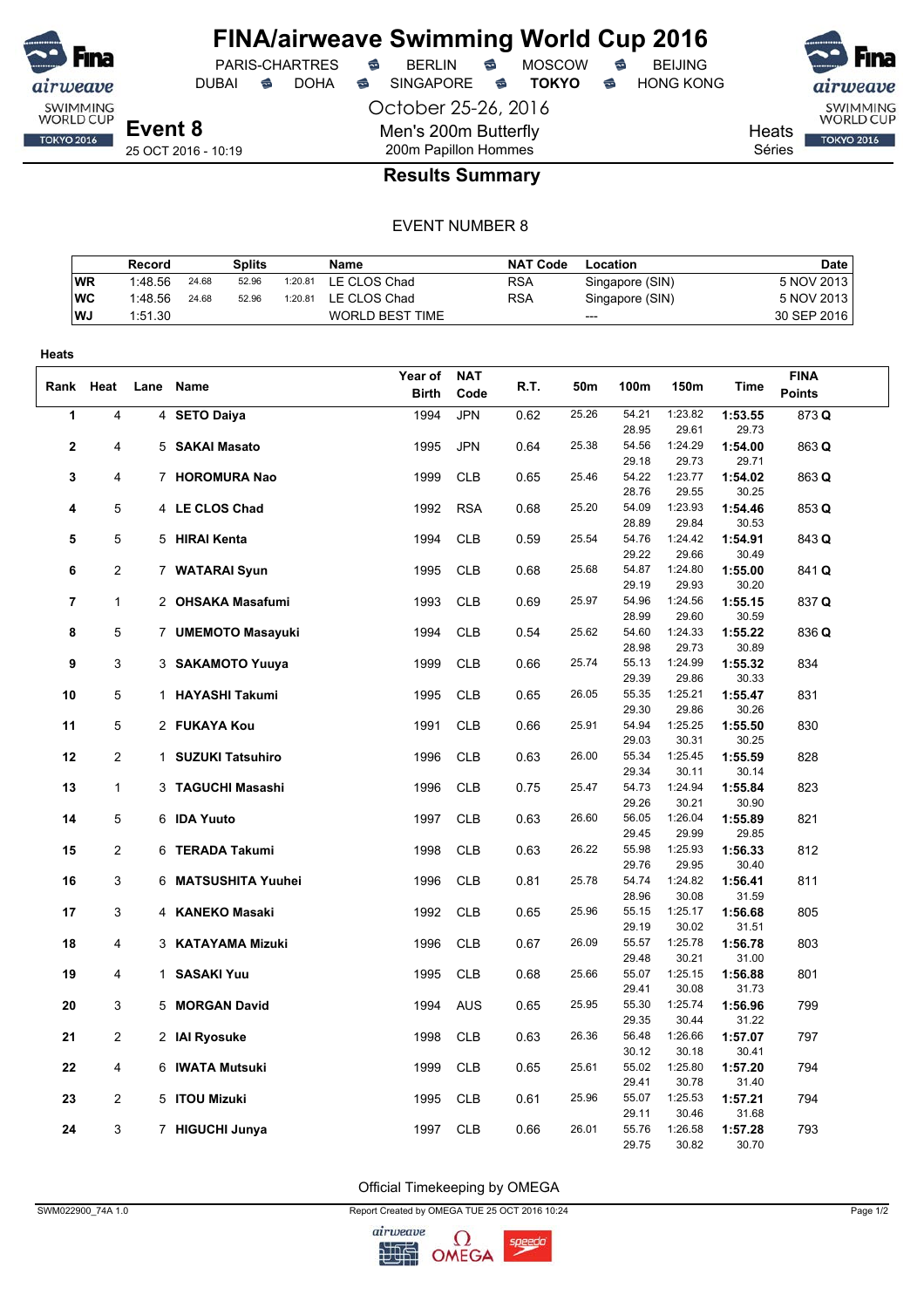

PARIS-CHARTRES **S** BERLIN S MOSCOW S

DUBAI **S** DOHA S SINGAPORE S **TOKYO** S HONG KONG

SWIMMING<br>WORLD CUP

**TOKYO 2016** 

Heats Séries

25 OCT 2016 - 10:19

## 200m Papillon Hommes **Results Summary**

October 25-26, 2016

Men's 200m Butterfly

#### EVENT NUMBER 8

|           | Record  |       | Splits |         | Name                   | <b>NAT Code</b> | Location        | <b>Date</b> |
|-----------|---------|-------|--------|---------|------------------------|-----------------|-----------------|-------------|
| <b>WR</b> | 1:48.56 | 24.68 | 52.96  | 1:20.81 | LE CLOS Chad           | <b>RSA</b>      | Singapore (SIN) | 5 NOV 2013  |
| WC        | 1:48.56 | 24.68 | 52.96  | 1:20.81 | LE CLOS Chad           | <b>RSA</b>      | Singapore (SIN) | 5 NOV 2013  |
| WJ        | 1:51.30 |       |        |         | <b>WORLD BEST TIME</b> |                 | $---$           | 30 SEP 2016 |

| Heats          |                |                     |              |            |      |       |                |                  |                  |               |
|----------------|----------------|---------------------|--------------|------------|------|-------|----------------|------------------|------------------|---------------|
|                |                |                     | Year of      | <b>NAT</b> |      |       |                |                  |                  | <b>FINA</b>   |
| Rank           | Heat           | Lane Name           | <b>Birth</b> | Code       | R.T. | 50m   | 100m           | 150m             | Time             | <b>Points</b> |
| 1              | 4              | 4 SETO Daiya        | 1994         | <b>JPN</b> | 0.62 | 25.26 | 54.21          | 1:23.82          | 1:53.55          | 873 Q         |
|                |                |                     |              |            |      |       | 28.95          | 29.61            | 29.73            |               |
| $\mathbf{2}$   | 4              | 5 SAKAI Masato      | 1995         | <b>JPN</b> | 0.64 | 25.38 | 54.56          | 1:24.29          | 1:54.00          | 863 Q         |
|                |                |                     |              |            |      |       | 29.18          | 29.73            | 29.71            |               |
| 3              | 4              | 7 HOROMURA Nao      | 1999         | <b>CLB</b> | 0.65 | 25.46 | 54.22          | 1:23.77          | 1:54.02          | 863 Q         |
|                |                |                     |              |            |      |       | 28.76          | 29.55            | 30.25            |               |
| 4              | 5              | 4 LE CLOS Chad      | 1992         | <b>RSA</b> | 0.68 | 25.20 | 54.09          | 1:23.93          | 1:54.46          | 853 Q         |
|                | 5              |                     |              | <b>CLB</b> |      | 25.54 | 28.89<br>54.76 | 29.84<br>1:24.42 | 30.53<br>1:54.91 |               |
| 5              |                | 5 HIRAI Kenta       | 1994         |            | 0.59 |       | 29.22          | 29.66            | 30.49            | 843 Q         |
| 6              | $\overline{c}$ | 7 WATARAI Syun      | 1995         | <b>CLB</b> | 0.68 | 25.68 | 54.87          | 1:24.80          | 1:55.00          | 841Q          |
|                |                |                     |              |            |      |       | 29.19          | 29.93            | 30.20            |               |
| $\overline{7}$ | $\mathbf{1}$   | 2 OHSAKA Masafumi   | 1993         | <b>CLB</b> | 0.69 | 25.97 | 54.96          | 1:24.56          | 1:55.15          | 837 Q         |
|                |                |                     |              |            |      |       | 28.99          | 29.60            | 30.59            |               |
| 8              | 5              | 7 UMEMOTO Masayuki  | 1994         | <b>CLB</b> | 0.54 | 25.62 | 54.60          | 1:24.33          | 1:55.22          | 836 Q         |
|                |                |                     |              |            |      |       | 28.98          | 29.73            | 30.89            |               |
| 9              | 3              | 3 SAKAMOTO Yuuya    | 1999         | <b>CLB</b> | 0.66 | 25.74 | 55.13          | 1:24.99          | 1:55.32          | 834           |
|                |                |                     |              |            |      |       | 29.39          | 29.86            | 30.33            |               |
| 10             | 5              | 1 HAYASHI Takumi    | 1995         | <b>CLB</b> | 0.65 | 26.05 | 55.35          | 1:25.21          | 1:55.47          | 831           |
|                |                |                     |              |            |      |       | 29.30          | 29.86            | 30.26            |               |
| 11             | 5              | 2 FUKAYA Kou        | 1991         | <b>CLB</b> | 0.66 | 25.91 | 54.94          | 1:25.25          | 1:55.50          | 830           |
|                |                |                     |              |            |      |       | 29.03          | 30.31            | 30.25            |               |
| 12             | $\overline{c}$ | 1 SUZUKI Tatsuhiro  | 1996         | <b>CLB</b> | 0.63 | 26.00 | 55.34          | 1:25.45          | 1:55.59          | 828           |
|                |                |                     |              | <b>CLB</b> |      | 25.47 | 29.34<br>54.73 | 30.11<br>1:24.94 | 30.14            |               |
| 13             | $\mathbf{1}$   | 3 TAGUCHI Masashi   | 1996         |            | 0.75 |       | 29.26          | 30.21            | 1:55.84<br>30.90 | 823           |
| 14             | 5              | 6 IDA Yuuto         | 1997         | <b>CLB</b> | 0.63 | 26.60 | 56.05          | 1:26.04          | 1:55.89          | 821           |
|                |                |                     |              |            |      |       | 29.45          | 29.99            | 29.85            |               |
| 15             | $\overline{2}$ | 6 TERADA Takumi     | 1998         | <b>CLB</b> | 0.63 | 26.22 | 55.98          | 1:25.93          | 1:56.33          | 812           |
|                |                |                     |              |            |      |       | 29.76          | 29.95            | 30.40            |               |
| 16             | 3              | 6 MATSUSHITA Yuuhei | 1996         | <b>CLB</b> | 0.81 | 25.78 | 54.74          | 1:24.82          | 1:56.41          | 811           |
|                |                |                     |              |            |      |       | 28.96          | 30.08            | 31.59            |               |
| 17             | 3              | 4 KANEKO Masaki     | 1992         | <b>CLB</b> | 0.65 | 25.96 | 55.15          | 1:25.17          | 1:56.68          | 805           |
|                |                |                     |              |            |      |       | 29.19          | 30.02            | 31.51            |               |
| 18             | 4              | 3 KATAYAMA Mizuki   | 1996         | <b>CLB</b> | 0.67 | 26.09 | 55.57          | 1:25.78          | 1:56.78          | 803           |
|                |                |                     |              |            |      |       | 29.48          | 30.21            | 31.00            |               |
| 19             | 4              | 1 SASAKI Yuu        | 1995         | <b>CLB</b> | 0.68 | 25.66 | 55.07<br>29.41 | 1:25.15<br>30.08 | 1:56.88<br>31.73 | 801           |
| 20             | 3              | 5 MORGAN David      | 1994         | <b>AUS</b> | 0.65 | 25.95 | 55.30          | 1:25.74          | 1:56.96          | 799           |
|                |                |                     |              |            |      |       | 29.35          | 30.44            | 31.22            |               |
| 21             | $\overline{c}$ | 2 IAI Ryosuke       | 1998         | <b>CLB</b> | 0.63 | 26.36 | 56.48          | 1:26.66          | 1:57.07          | 797           |
|                |                |                     |              |            |      |       | 30.12          | 30.18            | 30.41            |               |
| 22             | 4              | 6 IWATA Mutsuki     | 1999         | <b>CLB</b> | 0.65 | 25.61 | 55.02          | 1:25.80          | 1:57.20          | 794           |
|                |                |                     |              |            |      |       | 29.41          | 30.78            | 31.40            |               |
| 23             | $\overline{c}$ | 5 ITOU Mizuki       | 1995         | <b>CLB</b> | 0.61 | 25.96 | 55.07          | 1:25.53          | 1:57.21          | 794           |
|                |                |                     |              |            |      |       | 29.11          | 30.46            | 31.68            |               |
| 24             | 3              | 7 HIGUCHI Junya     | 1997         | <b>CLB</b> | 0.66 | 26.01 | 55.76          | 1:26.58          | 1:57.28          | 793           |
|                |                |                     |              |            |      |       | 29.75          | 30.82            | 30.70            |               |

Official Timekeeping by OMEGA

SWM022900\_74A 1.0 Report Created by OMEGA TUE 25 OCT 2016 10:24 Page 1/2

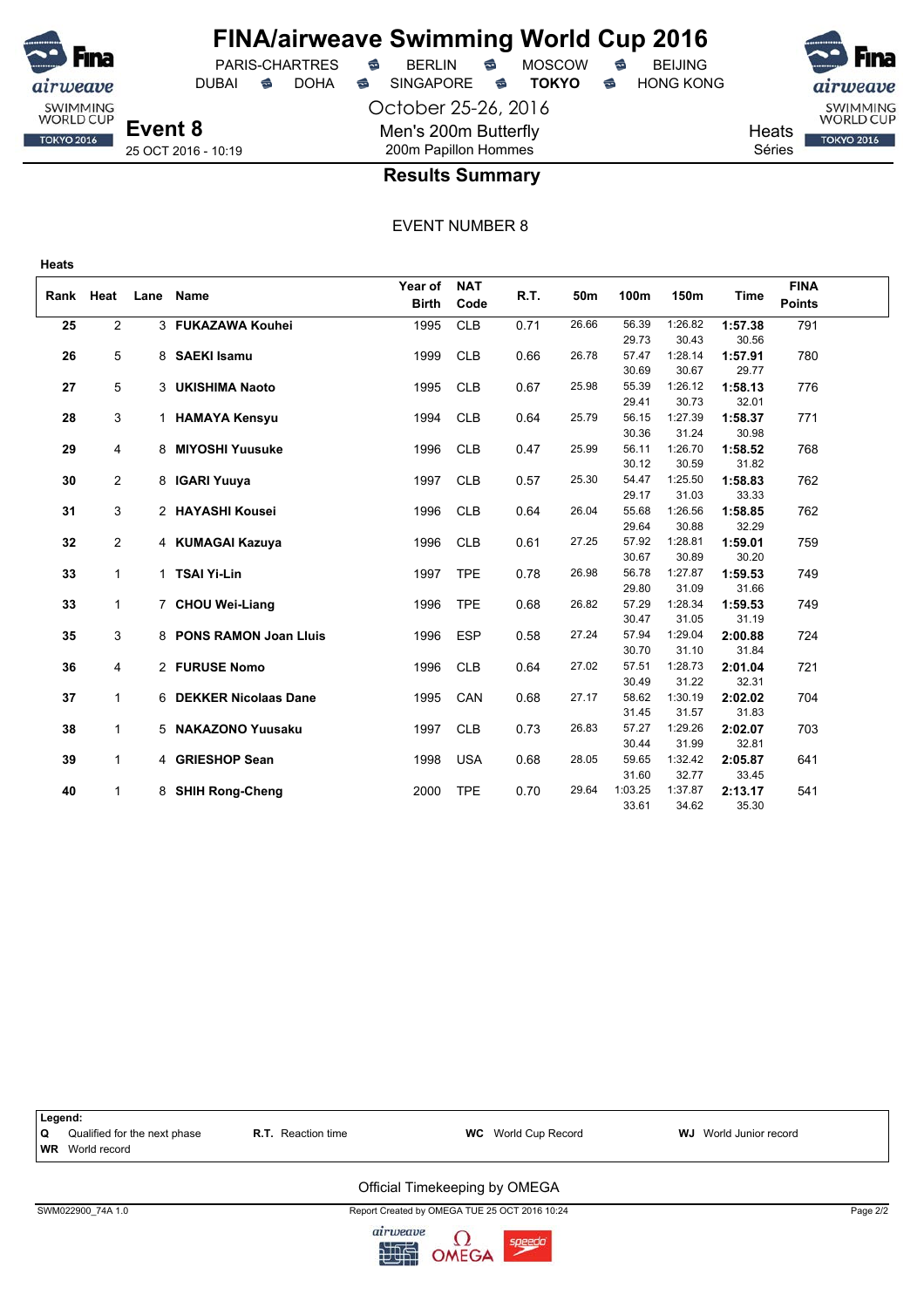

## **FINA/airweave Swimming World Cup 2016**

DUBAI **S** DOHA SINGAPORE S **TOKYO** S HONG KONG

PARIS-CHARTRES **B** BERLIN **B** MOSCOW **B** BEIJING

October 25-26, 2016 Men's 200m Butterfly 200m Papillon Hommes



**Heats** Séries



25 OCT 2016 - 10:19

### **Results Summary**

EVENT NUMBER 8

|           |                |      |                         | Year of      | <b>NAT</b> |      |       |                |                  |                  | <b>FINA</b>   |  |
|-----------|----------------|------|-------------------------|--------------|------------|------|-------|----------------|------------------|------------------|---------------|--|
| Rank Heat |                | Lane | <b>Name</b>             | <b>Birth</b> | Code       | R.T. | 50m   | 100m           | 150m             | Time             | <b>Points</b> |  |
| 25        | $\overline{2}$ |      | 3 FUKAZAWA Kouhei       | 1995         | <b>CLB</b> | 0.71 | 26.66 | 56.39          | 1:26.82          | 1:57.38          | 791           |  |
|           |                |      |                         |              |            |      |       | 29.73          | 30.43            | 30.56            |               |  |
| 26        | 5              |      | 8 SAEKI Isamu           | 1999         | <b>CLB</b> | 0.66 | 26.78 | 57.47          | 1:28.14          | 1:57.91          | 780           |  |
|           |                |      |                         |              |            |      |       | 30.69          | 30.67            | 29.77            |               |  |
| 27        | 5              |      | 3 UKISHIMA Naoto        | 1995         | <b>CLB</b> | 0.67 | 25.98 | 55.39          | 1:26.12          | 1:58.13          | 776           |  |
|           |                |      |                         |              |            |      |       | 29.41          | 30.73            | 32.01            |               |  |
| 28        | 3              |      | 1 HAMAYA Kensyu         | 1994         | <b>CLB</b> | 0.64 | 25.79 | 56.15          | 1:27.39          | 1:58.37          | 771           |  |
|           |                |      |                         |              |            |      |       | 30.36          | 31.24            | 30.98            |               |  |
| 29        | 4              |      | 8 MIYOSHI Yuusuke       | 1996         | <b>CLB</b> | 0.47 | 25.99 | 56.11          | 1:26.70          | 1:58.52          | 768           |  |
|           |                |      |                         |              |            |      |       | 30.12          | 30.59            | 31.82            |               |  |
| 30        | $\overline{2}$ |      | 8 IGARI Yuuya           | 1997         | <b>CLB</b> | 0.57 | 25.30 | 54.47          | 1:25.50          | 1:58.83          | 762           |  |
|           |                |      |                         |              |            |      |       | 29.17          | 31.03            | 33.33            |               |  |
| 31        | 3              |      | 2 HAYASHI Kousei        | 1996         | <b>CLB</b> | 0.64 | 26.04 | 55.68          | 1:26.56          | 1:58.85          | 762           |  |
|           |                |      |                         |              |            |      |       | 29.64          | 30.88            | 32.29            |               |  |
| 32        | $\mathbf{2}$   |      | 4 KUMAGAI Kazuya        | 1996         | <b>CLB</b> | 0.61 | 27.25 | 57.92          | 1:28.81          | 1:59.01          | 759           |  |
|           |                |      |                         |              |            |      |       | 30.67          | 30.89            | 30.20            |               |  |
| 33        | $\mathbf{1}$   |      | 1 TSAI Yi-Lin           | 1997         | <b>TPE</b> | 0.78 | 26.98 | 56.78          | 1:27.87          | 1:59.53          | 749           |  |
|           |                |      |                         |              |            |      |       | 29.80          | 31.09            | 31.66            |               |  |
| 33        | $\mathbf{1}$   |      | 7 CHOU Wei-Liang        | 1996         | <b>TPE</b> | 0.68 | 26.82 | 57.29          | 1:28.34          | 1:59.53          | 749           |  |
|           |                |      |                         |              |            |      |       | 30.47          | 31.05            | 31.19            |               |  |
| 35        | 3              |      | 8 PONS RAMON Joan Lluis | 1996         | <b>ESP</b> | 0.58 | 27.24 | 57.94<br>30.70 | 1:29.04<br>31.10 | 2:00.88<br>31.84 | 724           |  |
| 36        | $\overline{4}$ |      | 2 FURUSE Nomo           | 1996         | <b>CLB</b> | 0.64 | 27.02 | 57.51          | 1:28.73          | 2:01.04          | 721           |  |
|           |                |      |                         |              |            |      |       | 30.49          | 31.22            | 32.31            |               |  |
| 37        | $\mathbf{1}$   |      | 6 DEKKER Nicolaas Dane  | 1995         | CAN        | 0.68 | 27.17 | 58.62          | 1:30.19          | 2:02.02          | 704           |  |
|           |                |      |                         |              |            |      |       | 31.45          | 31.57            | 31.83            |               |  |
| 38        | 1              |      | 5 NAKAZONO Yuusaku      | 1997         | <b>CLB</b> | 0.73 | 26.83 | 57.27          | 1:29.26          | 2:02.07          | 703           |  |
|           |                |      |                         |              |            |      |       | 30.44          | 31.99            | 32.81            |               |  |
| 39        | $\mathbf{1}$   |      | 4 GRIESHOP Sean         | 1998         | <b>USA</b> | 0.68 | 28.05 | 59.65          | 1:32.42          | 2:05.87          | 641           |  |
|           |                |      |                         |              |            |      |       | 31.60          | 32.77            | 33.45            |               |  |
| 40        | $\mathbf{1}$   | 8    | <b>SHIH Rong-Cheng</b>  | 2000         | <b>TPE</b> | 0.70 | 29.64 | 1:03.25        | 1:37.87          | 2:13.17          | 541           |  |
|           |                |      |                         |              |            |      |       | 33.61          | 34.62            | 35.30            |               |  |



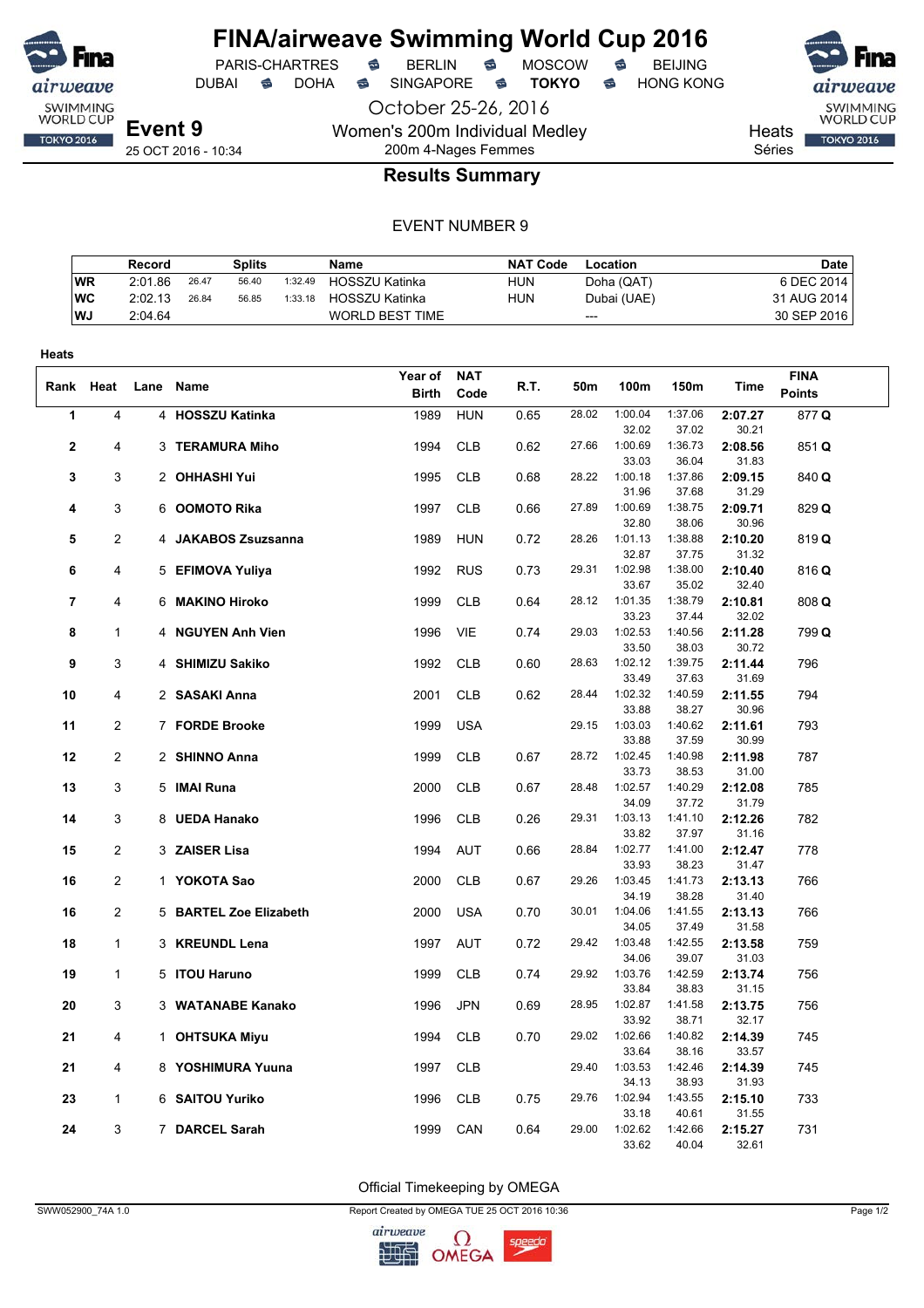

## **FINA/airweave Swimming World Cup 2016**

October 25-26, 2016

PARIS-CHARTRES **B** BERLIN **B** MOSCOW **B** BEIJING

DUBAI **S** DOHA S SINGAPORE S **TOKYO** S HONG KONG

Women's 200m Individual Medley 200m 4-Nages Femmes

25 OCT 2016 - 10:34

**Heats** Séries

SWIMMING<br>WORLD CUP

**TOKYO 2016** 

## **Results Summary**

### EVENT NUMBER 9

|           | Record  |       | Splits |         | <b>Name</b>            | NAT Code   | Location    | <b>Date</b> |
|-----------|---------|-------|--------|---------|------------------------|------------|-------------|-------------|
| <b>WR</b> | 2:01.86 | 26.47 | 56.40  | 1:32.49 | HOSSZU Katinka         | <b>HUN</b> | Doha (QAT)  | 6 DEC 2014  |
| WC        | 2:02.13 | 26.84 | 56.85  | 1:33.18 | HOSSZU Katinka         | <b>HUN</b> | Dubai (UAE) | 31 AUG 2014 |
| <b>WJ</b> | 2:04.64 |       |        |         | <b>WORLD BEST TIME</b> |            | $---$       | 30 SEP 2016 |

| Heats                   |                |                        |              |            |      |       |                  |                  |                  |               |  |
|-------------------------|----------------|------------------------|--------------|------------|------|-------|------------------|------------------|------------------|---------------|--|
|                         |                |                        | Year of      | <b>NAT</b> |      |       |                  |                  |                  | <b>FINA</b>   |  |
| Rank                    | Heat           | Lane Name              | <b>Birth</b> | Code       | R.T. | 50m   | 100m             | 150m             | Time             | <b>Points</b> |  |
| 1                       | $\overline{4}$ | 4 HOSSZU Katinka       | 1989         | <b>HUN</b> | 0.65 | 28.02 | 1:00.04          | 1:37.06          | 2:07.27          | 877 Q         |  |
|                         |                |                        |              |            |      |       | 32.02            | 37.02            | 30.21            |               |  |
| $\overline{\mathbf{2}}$ | 4              | 3 TERAMURA Miho        | 1994         | <b>CLB</b> | 0.62 | 27.66 | 1:00.69          | 1:36.73          | 2:08.56          | 851 Q         |  |
|                         |                |                        |              |            |      |       | 33.03            | 36.04            | 31.83            |               |  |
| 3                       | 3              | 2 OHHASHI Yui          | 1995         | <b>CLB</b> | 0.68 | 28.22 | 1:00.18          | 1:37.86          | 2:09.15          | 840 Q         |  |
|                         |                |                        |              |            |      |       | 31.96            | 37.68            | 31.29            |               |  |
| 4                       | 3              | 6 <b>OOMOTO Rika</b>   | 1997         | <b>CLB</b> | 0.66 | 27.89 | 1:00.69          | 1:38.75          | 2:09.71          | 829 Q         |  |
|                         |                |                        |              |            |      |       | 32.80            | 38.06            | 30.96            |               |  |
| 5                       | $\overline{c}$ | 4 JAKABOS Zsuzsanna    | 1989         | <b>HUN</b> | 0.72 | 28.26 | 1:01.13          | 1:38.88          | 2:10.20          | 819Q          |  |
|                         |                |                        |              |            |      | 29.31 | 32.87<br>1:02.98 | 37.75<br>1:38.00 | 31.32            |               |  |
| 6                       | 4              | 5 EFIMOVA Yuliya       | 1992         | <b>RUS</b> | 0.73 |       | 33.67            | 35.02            | 2:10.40<br>32.40 | 816 Q         |  |
| $\overline{7}$          | 4              | 6 MAKINO Hiroko        | 1999         | <b>CLB</b> | 0.64 | 28.12 | 1:01.35          | 1:38.79          | 2:10.81          | 808 Q         |  |
|                         |                |                        |              |            |      |       | 33.23            | 37.44            | 32.02            |               |  |
| 8                       | 1              | 4 NGUYEN Anh Vien      | 1996         | VIE        | 0.74 | 29.03 | 1:02.53          | 1:40.56          | 2:11.28          | 799 Q         |  |
|                         |                |                        |              |            |      |       | 33.50            | 38.03            | 30.72            |               |  |
| 9                       | 3              | 4 SHIMIZU Sakiko       | 1992         | <b>CLB</b> | 0.60 | 28.63 | 1:02.12          | 1:39.75          | 2:11.44          | 796           |  |
|                         |                |                        |              |            |      |       | 33.49            | 37.63            | 31.69            |               |  |
| 10                      | 4              | 2 SASAKI Anna          | 2001         | <b>CLB</b> | 0.62 | 28.44 | 1:02.32          | 1:40.59          | 2:11.55          | 794           |  |
|                         |                |                        |              |            |      |       | 33.88            | 38.27            | 30.96            |               |  |
| 11                      | $\overline{2}$ | 7 FORDE Brooke         | 1999         | <b>USA</b> |      | 29.15 | 1:03.03          | 1:40.62          | 2:11.61          | 793           |  |
|                         |                |                        |              |            |      |       | 33.88            | 37.59            | 30.99            |               |  |
| 12                      | $\overline{c}$ | 2 SHINNO Anna          | 1999         | <b>CLB</b> | 0.67 | 28.72 | 1:02.45          | 1:40.98          | 2:11.98          | 787           |  |
|                         |                |                        |              |            |      |       | 33.73            | 38.53            | 31.00            |               |  |
| 13                      | 3              | 5 IMAI Runa            | 2000         | <b>CLB</b> | 0.67 | 28.48 | 1:02.57<br>34.09 | 1:40.29<br>37.72 | 2:12.08<br>31.79 | 785           |  |
| 14                      | 3              | 8 UEDA Hanako          | 1996         | <b>CLB</b> | 0.26 | 29.31 | 1:03.13          | 1:41.10          | 2:12.26          | 782           |  |
|                         |                |                        |              |            |      |       | 33.82            | 37.97            | 31.16            |               |  |
| 15                      | $\overline{2}$ | 3 ZAISER Lisa          | 1994         | AUT        | 0.66 | 28.84 | 1:02.77          | 1:41.00          | 2:12.47          | 778           |  |
|                         |                |                        |              |            |      |       | 33.93            | 38.23            | 31.47            |               |  |
| 16                      | $\overline{c}$ | 1 YOKOTA Sao           | 2000         | <b>CLB</b> | 0.67 | 29.26 | 1:03.45          | 1:41.73          | 2:13.13          | 766           |  |
|                         |                |                        |              |            |      |       | 34.19            | 38.28            | 31.40            |               |  |
| 16                      | 2              | 5 BARTEL Zoe Elizabeth | 2000         | <b>USA</b> | 0.70 | 30.01 | 1:04.06          | 1:41.55          | 2:13.13          | 766           |  |
|                         |                |                        |              |            |      |       | 34.05            | 37.49            | 31.58            |               |  |
| 18                      | 1              | 3 KREUNDL Lena         | 1997         | <b>AUT</b> | 0.72 | 29.42 | 1:03.48          | 1:42.55          | 2:13.58          | 759           |  |
|                         |                |                        |              |            |      |       | 34.06            | 39.07            | 31.03            |               |  |
| 19                      | $\mathbf{1}$   | 5 ITOU Haruno          | 1999         | <b>CLB</b> | 0.74 | 29.92 | 1:03.76<br>33.84 | 1:42.59<br>38.83 | 2:13.74<br>31.15 | 756           |  |
| 20                      | 3              | 3 WATANABE Kanako      | 1996         | <b>JPN</b> | 0.69 | 28.95 | 1:02.87          | 1:41.58          | 2:13.75          | 756           |  |
|                         |                |                        |              |            |      |       | 33.92            | 38.71            | 32.17            |               |  |
| 21                      | 4              | 1 OHTSUKA Miyu         | 1994         | <b>CLB</b> | 0.70 | 29.02 | 1:02.66          | 1:40.82          | 2:14.39          | 745           |  |
|                         |                |                        |              |            |      |       | 33.64            | 38.16            | 33.57            |               |  |
| 21                      | 4              | 8 YOSHIMURA Yuuna      | 1997         | <b>CLB</b> |      | 29.40 | 1:03.53          | 1:42.46          | 2:14.39          | 745           |  |
|                         |                |                        |              |            |      |       | 34.13            | 38.93            | 31.93            |               |  |
| 23                      | 1              | 6 SAITOU Yuriko        | 1996         | <b>CLB</b> | 0.75 | 29.76 | 1:02.94          | 1:43.55          | 2:15.10          | 733           |  |
|                         |                |                        |              |            |      |       | 33.18            | 40.61            | 31.55            |               |  |
| 24                      | 3              | 7 DARCEL Sarah         | 1999         | CAN        | 0.64 | 29.00 | 1:02.62          | 1:42.66          | 2:15.27          | 731           |  |
|                         |                |                        |              |            |      |       | 33.62            | 40.04            | 32.61            |               |  |

Official Timekeeping by OMEGA

SWW052900\_74A 1.0 Report Created by OMEGA TUE 25 OCT 2016 10:36 Page 1/2

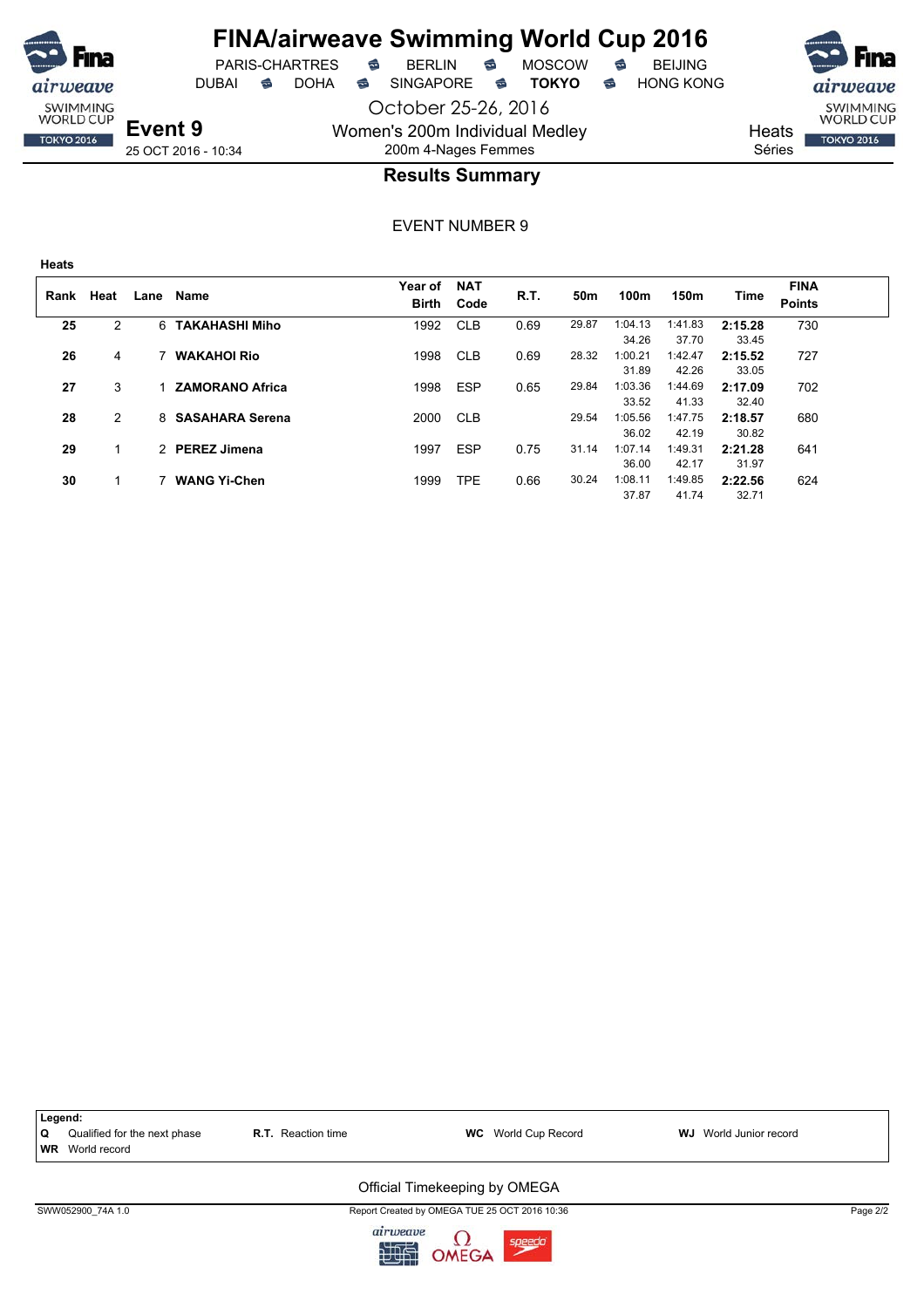

October 25-26, 2016 DUBAI **S** DOHA S SINGAPORE S TOKYO S HONG KONG

PARIS-CHARTRES **B** BERLIN **B** MOSCOW **B** BEIJING



**Event 9** 25 OCT 2016 - 10:34

## 200m 4-Nages Femmes **Results Summary**

Women's 200m Individual Medley

EVENT NUMBER 9

| <b>Heats</b> |      |      |                        |                  |                    |      |       |                  |                  |                  |                              |
|--------------|------|------|------------------------|------------------|--------------------|------|-------|------------------|------------------|------------------|------------------------------|
| Rank         | Heat | Lane | Name                   | Year of<br>Birth | <b>NAT</b><br>Code | R.T. | 50m   | 100m             | 150m             | Time             | <b>FINA</b><br><b>Points</b> |
| 25           | 2    | 6    | <b>TAKAHASHI Miho</b>  | 1992             | <b>CLB</b>         | 0.69 | 29.87 | 1:04.13<br>34.26 | 1:41.83<br>37.70 | 2:15.28<br>33.45 | 730                          |
| 26           | 4    |      | <b>WAKAHOI Rio</b>     | 1998             | <b>CLB</b>         | 0.69 | 28.32 | 1:00.21<br>31.89 | 1:42.47<br>42.26 | 2:15.52<br>33.05 | 727                          |
| 27           | 3    |      | <b>ZAMORANO Africa</b> | 1998             | <b>ESP</b>         | 0.65 | 29.84 | 1:03.36<br>33.52 | 1:44.69<br>41.33 | 2:17.09<br>32.40 | 702                          |
| 28           | 2    | 8    | <b>SASAHARA Serena</b> | 2000             | <b>CLB</b>         |      | 29.54 | 1:05.56<br>36.02 | 1:47.75<br>42.19 | 2:18.57<br>30.82 | 680                          |
| 29           | 1    |      | 2 PEREZ Jimena         | 1997             | <b>ESP</b>         | 0.75 | 31.14 | 1:07.14<br>36.00 | 1:49.31<br>42.17 | 2:21.28<br>31.97 | 641                          |
| 30           |      |      | <b>WANG Yi-Chen</b>    | 1999             | <b>TPE</b>         | 0.66 | 30.24 | 1:08.11<br>37.87 | 1:49.85<br>41.74 | 2:22.56<br>32.71 | 624                          |

| Legend:                                                                                                                       |          |
|-------------------------------------------------------------------------------------------------------------------------------|----------|
|                                                                                                                               |          |
| Q<br>Qualified for the next phase<br><b>WC</b> World Cup Record<br><b>R.T.</b> Reaction time<br><b>WJ</b> World Junior record |          |
| <b>WR</b> World record                                                                                                        |          |
| Official Timekeeping by OMEGA                                                                                                 |          |
| Report Created by OMEGA TUE 25 OCT 2016 10:36<br>SWW052900 74A 1.0                                                            | Page 2/2 |

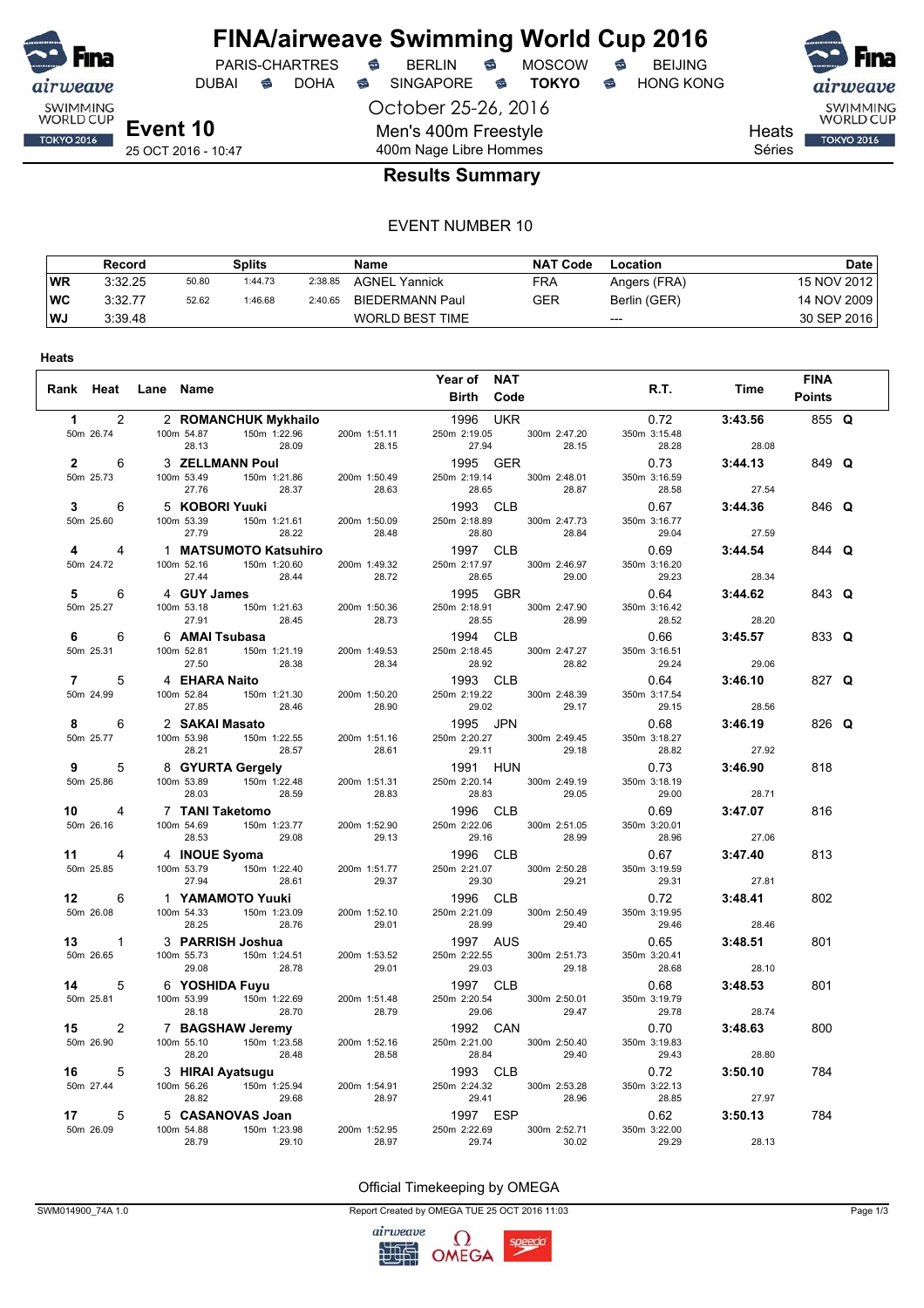

## **FINA/airweave Swimming World Cup 2016**<br>PARIS-CHARTRES **& BERLIN & MOSCOW & BEIJING** PARIS-CHARTRES **B** BERLIN **B** MOSCOW **B** BEIJING

DUBAI **S** DOHA SINGAPORE S **TOKYO** S HONG KONG

October 25-26, 2016 Men's 400m Freestyle 400m Nage Libre Hommes





Heats

Séries

### **Results Summary**

#### EVENT NUMBER 10

|           | Record  |       | Splits  |         | <b>Name</b>            | <b>NAT Code</b> | Location     | Date        |
|-----------|---------|-------|---------|---------|------------------------|-----------------|--------------|-------------|
| <b>WR</b> | 3:32.25 | 50.80 | 1:44.73 | 2:38.85 | <b>AGNEL Yannick</b>   | FRA             | Angers (FRA) | 15 NOV 2012 |
| <b>WC</b> | 3:32.77 | 52.62 | 1:46.68 | 2:40.65 | <b>BIEDERMANN Paul</b> | GER             | Berlin (GER) | 14 NOV 2009 |
| WJ        | 3:39.48 |       |         |         | <b>WORLD BEST TIME</b> |                 | $---$        | 30 SEP 2016 |

|                |                      | Rank Heat Lane Name |                                                                                     |                                 |                          | Year of NAT                               |                                    |                       | R.T.<br>Time    | <b>FINA</b>   |  |
|----------------|----------------------|---------------------|-------------------------------------------------------------------------------------|---------------------------------|--------------------------|-------------------------------------------|------------------------------------|-----------------------|-----------------|---------------|--|
|                |                      |                     |                                                                                     |                                 |                          | Birth Code                                |                                    |                       |                 | <b>Points</b> |  |
| $\mathbf{1}$   | $\overline{2}$       |                     |                                                                                     |                                 |                          | <b>According to the UKR</b> 1996 UKR      |                                    |                       | 3:43.56<br>0.72 | 855 Q         |  |
|                | 50m 26.74            |                     | 2 <b>ROMANCHUR mynimally</b><br>100m 54.87 150m 1:22.96 200m 1:51.11<br>28.09 28.15 |                                 | 200m 1:51.11             | 27.94                                     | 250m 2:19.05 300m 2:47.20<br>28.15 | 350m 3:15.48<br>28.28 | 28.08           |               |  |
|                | $2^{\circ}$<br>6     |                     | 3 <b>ZELLMANN Poul</b><br>100m 53.49 150m 1:21.86                                   |                                 |                          | 1995 GER                                  |                                    | 0.73                  | 3:44.13         | 849 Q         |  |
|                | 50m 25.73            | 100m 53.49          | 27.76                                                                               | 28.37                           | 200m 1:50.49<br>28.63    | 250m 2:19.14<br>28.65                     | 300m 2:48.01<br>28.87              | 350m 3:16.59<br>28.58 | 27.54           |               |  |
| 3              | 6                    |                     | 5 KOBORI Yuuki                                                                      | <b>RI Yuuki</b><br>150m 1:21.61 |                          | 1993 CLB                                  |                                    | 0.67                  | 3:44.36         | 846 Q         |  |
|                | 50m 25.60            | 100m 53.39          | 27.79                                                                               | 28.22                           | 200m 1:50.09<br>28.48    | 250m 2:18.89<br>28.80                     | 300m 2:47.73<br>28.84              | 350m 3:16.77<br>29.04 | 27.59           |               |  |
| 4              | 4                    |                     | 1 MATSUMOTO Katsuhiro                                                               |                                 |                          | 1997 CLB                                  |                                    | 0.69                  | 3:44.54         | 844 Q         |  |
|                | 50m 24.72            |                     | 100m 52.16 150m 1:20.60<br>27.44                                                    | 28.44                           | 200m 1:49.32<br>28.72    | 28.65                                     | 250m 2:17.97 300m 2:46.97<br>29.00 | 350m 3:16.20<br>29.23 | 28.34           |               |  |
| 5              | 6                    |                     | 4 GUY James                                                                         | <b>James</b><br>150m 1:21.63    |                          | 1995 GBR                                  |                                    | 0.64                  | 3:44.62         | 843 Q         |  |
|                | 50m 25.27            |                     | 100m 53.18<br>27.91<br>28.45                                                        |                                 | 200m 1:50.36<br>28.73    | 250m 2:18.91<br>28.55                     | 300m 2:47.90<br>28.99              | 350m 3:16.42<br>28.52 | 28.20           |               |  |
| 6              | 6                    |                     | 6 AMAI Tsubasa                                                                      |                                 |                          | 1994 CLB                                  |                                    | 0.66                  | 3:45.57         | 833 Q         |  |
|                | 50m 25.31            |                     | 100m 52.81 150m 1:21.19<br>27.50                                                    | 28.38                           | 200m 1:49.53<br>28.34    | 250m 2:18.45<br>28.92                     | 300m 2:47.27<br>28.82              | 350m 3:16.51<br>29.24 | 29.06           |               |  |
| $\overline{7}$ | 5                    |                     | 4 EHARA Naito                                                                       |                                 |                          | 1993 CLB                                  |                                    | 0.64                  | 3:46.10         | 827 Q         |  |
|                | 50m 24.99            |                     | 100m 52.84<br>28.46<br>27.85                                                        | 150m 1:21.30                    | 200m 1:50.20<br>28.90    | 250m 2:19.22<br>29.02                     | 300m 2:48.39<br>29.17              | 350m 3:17.54<br>29.15 | 28.56           |               |  |
| 8              | 6                    |                     | 2 SAKAI Masato                                                                      |                                 |                          | 1995 JPN                                  |                                    | 0.68                  | 3:46.19         | 826 Q         |  |
|                | 50m 25.77            |                     | 100m 53.98 150m 1:22.55<br>28.21                                                    | 28.57                           | 200m 1:51.16<br>28.61    | 250m 2:20.27<br>29.11                     | 300m 2:49.45<br>29.18              | 350m 3:18.27<br>28.82 | 27.92           |               |  |
| 9              | 5                    |                     | 8 GYURTA Gergely                                                                    |                                 |                          | 1991 HUN                                  |                                    | 0.73                  | 3:46.90         | 818           |  |
|                | 50m 25.86            | 100m 53.89          | 150m 1:22.48<br>28.03                                                               | 28.59                           | 200m 1:51.31<br>28.83    | 250m 2:20.14<br>28.83                     | 300m 2:49.19<br>29.05              | 350m 3:18.19<br>29.00 | 28.71           |               |  |
|                | 10<br>$\overline{4}$ |                     | 7 TANI Taketomo                                                                     |                                 |                          | 1996 CLB                                  |                                    | 0.69                  | 3:47.07         | 816           |  |
|                | 50m 26.16            |                     | 100m 54.69 150m 1:23.77<br>28.53                                                    | 29.08                           | 200m 1:52.90<br>29.13    | 250m 2:22.06<br>29.16                     | 300m 2:51.05<br>28.99              | 350m 3:20.01<br>28.96 | 27.06           |               |  |
|                | $\overline{4}$<br>11 |                     | 4 INOUE Syoma                                                                       |                                 |                          | 1996 CLB                                  |                                    | 0.67                  | 3:47.40         | 813           |  |
|                | 50m 25.85            |                     | 100m 53.79 150m 1:22.40<br>27.94                                                    | 28.61                           | 200m 1:51.77<br>29.37    | 250m 2:21.07<br>29.30<br><b>1996  CLB</b> | 300m 2:50.28<br>29.21              | 350m 3:19.59<br>29.31 | 27.81           |               |  |
|                | 6<br>12<br>50m 26.08 | 100m 54.33          | 1 YAMAMOTO Yuuki                                                                    | 150m 1:23.09                    | 200m 1:52.10             | 250m 2:21.09                              | 300m 2:50.49                       | 0.72<br>350m 3:19.95  | 3:48.41         | 802           |  |
|                |                      |                     | 28.25                                                                               | 28.76                           | $ \frac{1.52.10}{29.01}$ | 28.99                                     | 29.40                              | 29.46                 | 28.46           |               |  |
|                | $13 \qquad 1$        |                     |                                                                                     |                                 |                          | 1997 AUS                                  |                                    | 0.65                  | 3:48.51         | 801           |  |
|                | 50m 26.65            |                     | 100m 55.73<br>150m 1:24.51<br>29.08 28.78<br>6 MCCULE                               |                                 | 200m 1:53.52<br>29.01    | 250m 2:22.55<br>29.03                     | 300m 2:51.73<br>29.18              | 350m 3:20.41<br>28.68 | 28.10           |               |  |
| 14             | 5                    |                     | 6 YOSHIDA Fuyu<br>100m 53.99 150m 1:22.69                                           |                                 |                          | 1997 CLB                                  |                                    | 0.68                  | 3:48.53         | 801           |  |
|                | 50m 25.81            |                     | 28.18                                                                               | 28.70                           | 200m 1:51.48<br>28.79    | 250m 2:20.54<br>29.06                     | 300m 2:50.01<br>29.47              | 350m 3:19.79<br>29.78 | 28.74           |               |  |
| 15             | $\overline{2}$       |                     | 7 BAGSHAW Jeremy<br>100m 55.10 150m 1:23.58 200m 1:52.16                            |                                 |                          | 1992 CAN                                  |                                    | 0.70                  | 3:48.63         | 800           |  |
|                | 50m 26.90            | 100m 55.10          | 28.20                                                                               | 28.48                           | 28.58                    | 250m 2:21.00<br>28.84                     | 300m 2:50.40<br>29.40              | 350m 3:19.83<br>29.43 | 28.80           |               |  |
| 16             | 5                    |                     |                                                                                     |                                 |                          | 1993 CLB                                  |                                    | 0.72                  | 3:50.10         | 784           |  |
|                | 50m 27.44            |                     | 3 HIRAI Ayatsugu<br>100m 56.26 150m 1:25.94 28.82 29.68<br>29.68                    |                                 | 200m 1:54.91<br>28.97    | 250m 2:24.32<br>29.41                     | 300m 2:53.28<br>28.96              | 350m 3:22.13<br>28.85 | 27.97           |               |  |
| 17             | 5                    |                     | 5 CASANOVAS Joan                                                                    |                                 |                          | 1997 ESP                                  |                                    | 0.62                  | 3:50.13         | 784           |  |
|                | 50m 26.09            |                     | 100m 54.88 150m 1:23.98<br>28.79                                                    | 29.10                           | 200m 1:52.95<br>28.97    | 250m 2:22.69<br>29.74                     | 300m 2:52.71<br>30.02              | 350m 3:22.00<br>29.29 | 28.13           |               |  |

Official Timekeeping by OMEGA

SWM014900\_74A 1.0 Report Created by OMEGA TUE 25 OCT 2016 11:03 Page 1/3

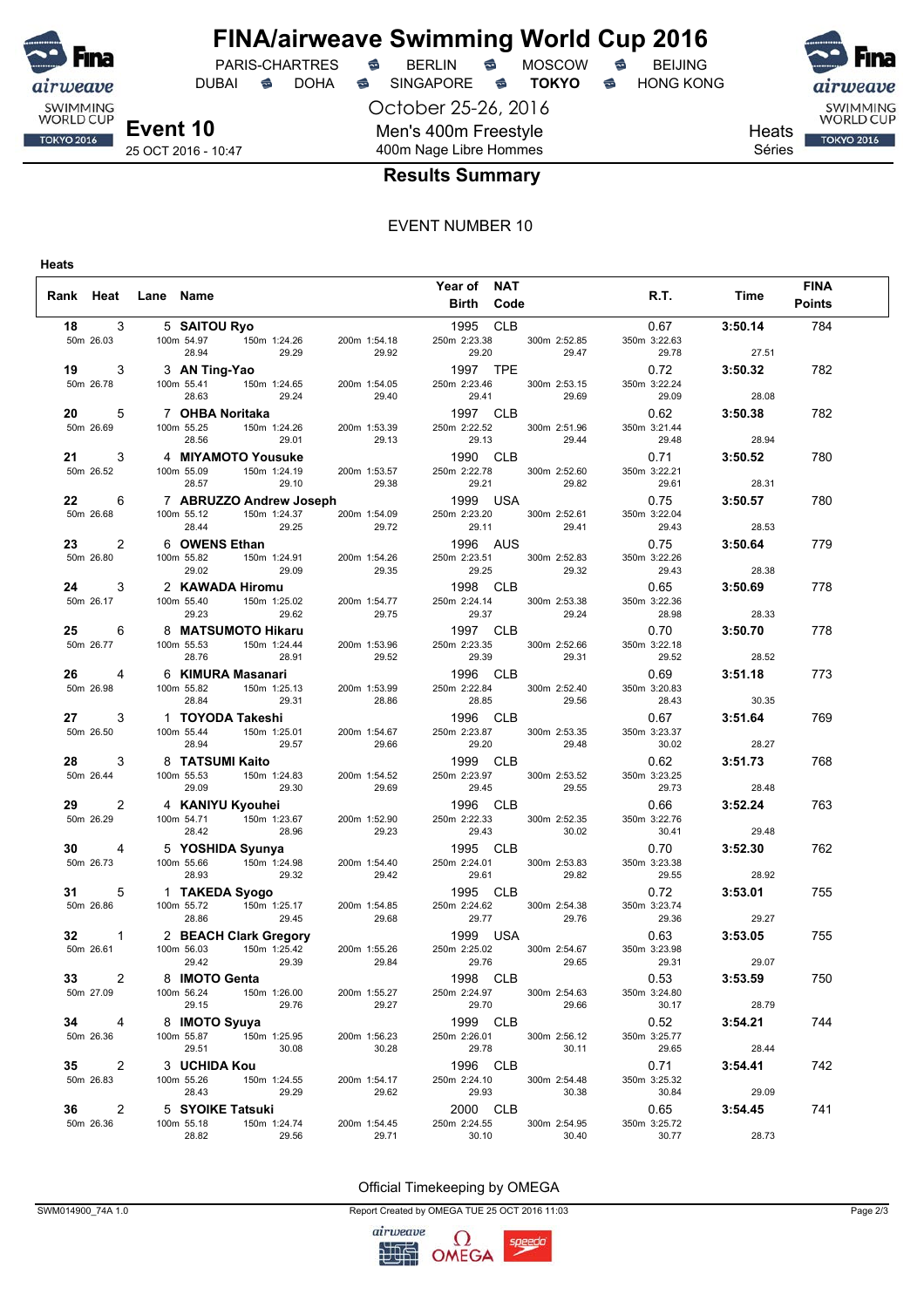

DUBAI **S** DOHA S SINGAPORE S **TOKYO** S HONG KONG

October 25-26, 2016

Men's 400m Freestyle



Heats Séries

## 400m Nage Libre Hommes

## **Results Summary**

#### EVENT NUMBER 10

**Heats**

| Rank Heat Lane Name |                     |                |                                |                                         |                                                                                                                                                                                                                                 | Year of NAT              |       |                                               | R.T.                  | Time    | <b>FINA</b>   |  |
|---------------------|---------------------|----------------|--------------------------------|-----------------------------------------|---------------------------------------------------------------------------------------------------------------------------------------------------------------------------------------------------------------------------------|--------------------------|-------|-----------------------------------------------|-----------------------|---------|---------------|--|
|                     |                     |                |                                |                                         |                                                                                                                                                                                                                                 | <b>Birth Code</b>        |       |                                               |                       |         | <b>Points</b> |  |
| 18                  |                     | 3              | 5 SAITOU Ryo                   |                                         |                                                                                                                                                                                                                                 | 1995 CLB                 |       |                                               | 0.67                  | 3:50.14 | 784           |  |
|                     | 50m 26.03           |                |                                | 100m 54.97   150m 1:24.26               | 200m 1:54.18 250m 2:23.38                                                                                                                                                                                                       |                          |       | 300m 2:52.85                                  | 350m 3:22.63          |         |               |  |
|                     |                     |                | 28.94                          | 29.29<br><b>g-Yao</b><br>150m 1:24.65   | 29.92                                                                                                                                                                                                                           | 29.20                    |       | 29.47                                         | 29.78                 | 27.51   |               |  |
|                     | 19 —                | 3              |                                | 3 AN Ting-Yao                           |                                                                                                                                                                                                                                 | 1997 TPE                 |       |                                               | 0.72                  | 3:50.32 | 782           |  |
|                     | 50m 26.78           |                | 100m 55.41                     |                                         | 200m 1:54.05                                                                                                                                                                                                                    | 250m 2:23.46             |       | 300m 2:53.15                                  | 350m 3:22.24          |         |               |  |
|                     |                     |                | 28.63                          | 29.24                                   | 29.40<br>$\frac{1}{200}$<br>200m 1:53.39<br>250m 2:22 50m 2:22 Fo                                                                                                                                                               | 29.41                    |       | 29.69                                         | 29.09                 | 28.08   |               |  |
|                     |                     | 5              |                                |                                         | 7 <b>OHBA Noritaka</b><br>100m 55.25 150m 1:24.26 200m 1:53.39<br>28.56 29.01 29.13<br>4 <b>MIYAMOTO Yousuke</b><br>100m 55.09 150m 1:24.19 200m 1:53.57<br>29.67 150m 1:24.19 200m 1:53.57                                     |                          |       | 250m 2:22.52 300m 2:51.96 350m<br>29.13 29.13 | 0.62                  | 3:50.38 | 782           |  |
|                     | 50m 26.69           |                |                                |                                         |                                                                                                                                                                                                                                 |                          |       |                                               | 350m 3:21.44          |         |               |  |
|                     |                     |                |                                |                                         |                                                                                                                                                                                                                                 |                          |       | 29.13 29.44<br><b>1990 CLB</b> 29.44          | 29.48                 | 28.94   |               |  |
|                     | $21 \t3$            |                |                                |                                         |                                                                                                                                                                                                                                 |                          |       |                                               | 0.71                  | 3:50.52 | 780           |  |
|                     | 50m 26.52           |                |                                |                                         |                                                                                                                                                                                                                                 | 250m 2:22.78             |       | 300m 2:52.60<br>29.82                         | 350m 3:22.21<br>29.61 | 28.31   |               |  |
|                     |                     |                |                                |                                         | 28.57 29.10 29.38 29.21<br>29.10 29.38 29.21<br>29.10 29.38 29.21<br>29.21 150m 1:24.37 200m 1:54.09 250m 2:23.20 300                                                                                                           |                          |       |                                               |                       |         |               |  |
|                     | 22 —<br>50m 26.68   | 6              | 100m 55.12                     |                                         |                                                                                                                                                                                                                                 |                          |       | 300m 2:52.61                                  | 0.75<br>350m 3:22.04  | 3:50.57 | 780           |  |
|                     |                     |                | 28.44                          | 29.25                                   | 29.72                                                                                                                                                                                                                           | 29.11                    |       | 29.41                                         | 29.43                 | 28.53   |               |  |
|                     | 23 — 1              | 2              | 6 OWENS Ethan                  | than<br>150m 1:24.91 200m<br>29.09 200m |                                                                                                                                                                                                                                 |                          |       |                                               | 0.75                  | 3:50.64 | 779           |  |
|                     | 50m 26.80           |                | 100m 55.82                     |                                         |                                                                                                                                                                                                                                 |                          |       | 1996 AUS<br>250m 2:23.51 300m 2:52.83 350m    | 350m 3:22.26          |         |               |  |
|                     |                     |                | 29.02                          |                                         | $(1.54.26$<br>29.35                                                                                                                                                                                                             | 29.25                    |       | 29.32                                         | 29.43                 | 28.38   |               |  |
|                     | <b>24</b> 3         |                |                                | 2 KAWADA Hiromu                         |                                                                                                                                                                                                                                 | 1998 CLB                 |       |                                               | 0.65                  | 3:50.69 | 778           |  |
|                     | 50m 26.17           |                | 100m 55.40                     | 150m 1:25.02                            | 200m 1:54.77                                                                                                                                                                                                                    | 250m 2:24.14             |       | 300m 2:53.38                                  | 350m 3:22.36          |         |               |  |
|                     |                     |                | 29.23                          | 29.62                                   |                                                                                                                                                                                                                                 | 29.37                    |       | 29.24                                         | 28.98                 | 28.33   |               |  |
|                     | 25 — 1              | 6              |                                | 8 MATSUMOTO Hikaru                      |                                                                                                                                                                                                                                 | 1997 CLB                 |       |                                               | 0.70                  | 3:50.70 | 778           |  |
|                     | 50m 26.77           |                | 100m 55.53                     |                                         | 200m 1:53.96                                                                                                                                                                                                                    | 250m 2:23.35             |       | 300m 2:52.66                                  | 350m 3:22.18          |         |               |  |
|                     |                     |                | 28.76                          | 28.91                                   |                                                                                                                                                                                                                                 | 29.39                    |       | 29.31                                         | 29.52                 | 28.52   |               |  |
|                     | 26 4                |                |                                |                                         | 150m 1:25.02<br>29.62<br><b>3TO Hikaru</b><br>150m 1:24.44<br>28.91<br>29.52                                                                                                                                                    |                          |       |                                               | 0.69                  | 3:51.18 | 773           |  |
|                     | 50m 26.98           |                | 100m 55.82                     |                                         |                                                                                                                                                                                                                                 |                          |       |                                               | 350m 3:20.83          |         |               |  |
|                     |                     |                |                                |                                         |                                                                                                                                                                                                                                 |                          |       |                                               | 28.43                 | 30.35   |               |  |
|                     | $27 \t3$            |                |                                | 1   TOYODA Takeshi                      | 100m 55.82 150m 1:25.13 200m 1:53.99 250m 2:22.84 300m 2:52.40 350m 2:8.84 29.31 28.86 28.85 29.56 200m 1:25.13 200m 1:53.99 26.85 29.56 29.56                                                                                  |                          |       |                                               | 0.67                  | 3:51.64 | 769           |  |
|                     | 50m 26.50           |                | 100m 55.44                     | $150m$ 1:25.01                          | 200m 1:54.67                                                                                                                                                                                                                    | 250m 2:23.87             |       | 300m 2:53.35                                  | 350m 3:23.37          |         |               |  |
|                     |                     |                | 28.94                          | 29.57                                   | 29.66                                                                                                                                                                                                                           | 29.20                    |       | 29.48                                         | 30.02                 | 28.27   |               |  |
|                     | 28 — 1              | 3              |                                | 8 TATSUMI Kaito                         |                                                                                                                                                                                                                                 | 1999 CLB                 |       |                                               | 0.62                  | 3:51.73 | 768           |  |
|                     | 50m 26.44           |                | 100m 55.53<br>29.09            |                                         | 150m 1:24.83 200m 1:54.52<br>29.30 29.69<br>200m 1:54.52                                                                                                                                                                        | 250m 2:23.97<br>29.45    |       | 300m 2:53.52<br>29.55                         | 350m 3:23.25<br>29.73 | 28.48   |               |  |
|                     |                     |                |                                |                                         | 4 KANIYU Kyouhei<br>100m 54.71 150m 1:23.67<br>28.42 28.96 28.23<br>5 YOSHIDA Syunya<br>100m 55.66 150m 1:24.98 200m 1:54.40<br>28.66 150m 1:24.98 200m 1:54.40<br>29.00<br>200m 1:52.90 250m 2:22.33 300m 3:52.90 250m 2:22.33 |                          |       |                                               |                       |         |               |  |
|                     | 29 — 1<br>50m 26.29 | 2              |                                |                                         |                                                                                                                                                                                                                                 |                          |       |                                               | 0.66<br>350m 3:22.76  | 3:52.24 | 763           |  |
|                     |                     |                |                                |                                         |                                                                                                                                                                                                                                 |                          |       | 30.02                                         | 30.41                 | 29.48   |               |  |
|                     | $30 \t 4$           |                |                                |                                         |                                                                                                                                                                                                                                 | 29.23 29.43<br>1995 CLB  |       |                                               | 0.70                  | 3:52.30 | 762           |  |
|                     | 50m 26.73           |                |                                |                                         | 200m 1:54.40                                                                                                                                                                                                                    | 250m 2:24.01             |       | 300m 2:53.83                                  | 350m 3:23.38          |         |               |  |
|                     |                     |                |                                |                                         |                                                                                                                                                                                                                                 | 29.61                    |       | 29.82                                         | 29.55                 | 28.92   |               |  |
|                     | 31                  | 5              |                                |                                         | 28.93<br>1 TAKEDA Syogo<br>100m 55.72<br>28.86<br>29.45<br>29.45<br>29.45<br>29.45<br>29.45<br>29.42<br>29.42<br>29.42<br>29.42<br>29.42<br>29.42<br>29.42<br>29.45                                                             | 1995 CLB                 |       |                                               | 0.72                  | 3:53.01 | 755           |  |
|                     | 50m 26.86           |                |                                |                                         | 200m 1:54.85<br>29.68                                                                                                                                                                                                           | 250m 2:24.62             |       | 300m 2:54.38                                  | 350m 3:23.74          |         |               |  |
|                     |                     |                |                                |                                         |                                                                                                                                                                                                                                 | 29.77                    |       | 29.76                                         | 29.36                 | 29.27   |               |  |
|                     | $32 \quad 1$        |                |                                |                                         | 2 BEACH Clark Gregory<br>100m 56.03 150m 1:25.42 200m 1:55.26 250m 2:25.02 300m 2:54.67 350m                                                                                                                                    |                          |       |                                               | 0.63                  | 3:53.05 | 755           |  |
|                     | 50m 26.61           |                |                                |                                         |                                                                                                                                                                                                                                 |                          |       |                                               | 350m 3:23.98          |         |               |  |
|                     |                     |                | 29.42                          | 29.39                                   | 29.84                                                                                                                                                                                                                           | 29.76                    |       | 29.65                                         | 29.31                 | 29.07   |               |  |
|                     | $33 \t 2$           |                | 8 IMOTO Genta                  |                                         |                                                                                                                                                                                                                                 | 1998 CLB                 |       |                                               | 0.53                  | 3:53.59 | 750           |  |
|                     | 50m 27.09           |                | 100m 56.24                     | 150m 1:26.00                            | 200m 1:55.27                                                                                                                                                                                                                    | 250m 2:24.97             |       | 300m 2:54.63                                  | 350m 3:24.80          |         |               |  |
|                     |                     |                | 29.15                          | 29.76                                   | 29.27                                                                                                                                                                                                                           |                          | 29.70 | 29.66                                         | 30.17                 | 28.79   |               |  |
|                     | $34 \qquad 4$       |                | 8 IMOTO Syuya                  |                                         |                                                                                                                                                                                                                                 | 1999 CLB                 |       |                                               | 0.52                  | 3:54.21 | 744           |  |
|                     | 50m 26.36           |                | 100m 55.87                     | 150m 1:25.95                            | 200m 1:56.23                                                                                                                                                                                                                    | 250m 2:26.01             |       | 300m 2:56.12                                  | 350m 3:25.77          |         |               |  |
|                     |                     |                | 29.51                          | 30.08                                   | 30.28                                                                                                                                                                                                                           | 29.78                    |       | 30.11                                         | 29.65                 | 28.44   |               |  |
|                     | $35 \quad 2$        |                | 3 UCHIDA Kou                   |                                         |                                                                                                                                                                                                                                 | 1996 CLB                 |       |                                               | 0.71                  | 3:54.41 | 742           |  |
|                     | 50m 26.83           |                | 100m 55.26<br>28.43            | 150m 1:24.55<br>29.29                   | 200m 1:54.17<br>29.62                                                                                                                                                                                                           | 250m 2:24.10<br>29.93    |       | 300m 2:54.48<br>30.38                         | 350m 3:25.32<br>30.84 | 29.09   |               |  |
|                     |                     |                |                                |                                         |                                                                                                                                                                                                                                 |                          |       |                                               |                       |         |               |  |
|                     | 36 — 1              | $\overline{2}$ | 5 SYOIKE Tatsuki<br>100m 55.18 | 150m 1:24.74                            | 200m 1:54.45                                                                                                                                                                                                                    | 2000 CLB<br>250m 2:24.55 |       | 300m 2:54.95                                  | 0.65<br>350m 3:25.72  | 3:54.45 | 741           |  |
|                     | 50m 26.36           |                | 28.82                          | 29.56                                   | 29.71                                                                                                                                                                                                                           | 30.10                    |       | 30.40                                         | 30.77                 | 28.73   |               |  |

#### Official Timekeeping by OMEGA

SWM014900\_74A 1.0 Report Created by OMEGA TUE 25 OCT 2016 11:03 Page 2/3

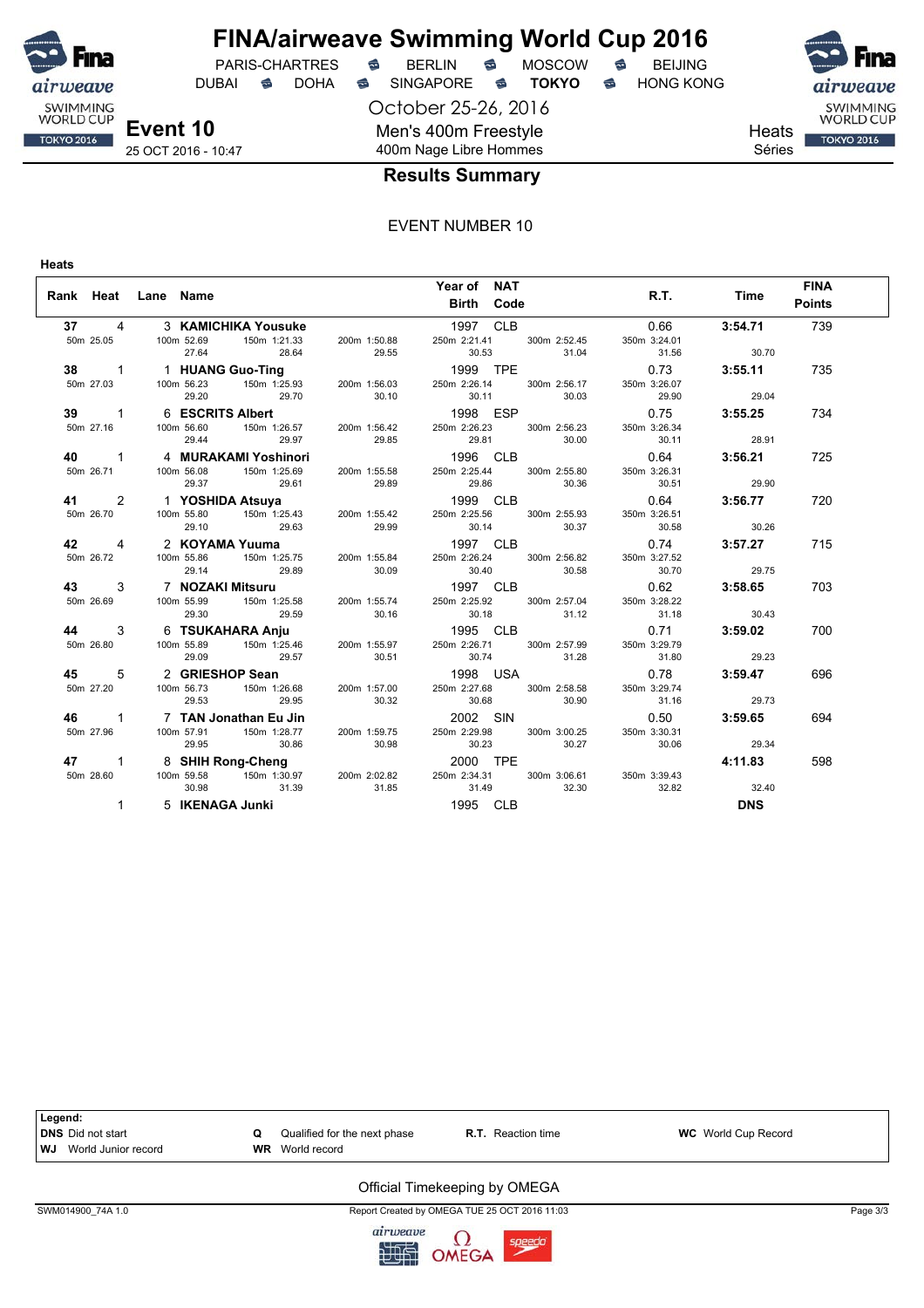

DUBAI **S** DOHA SINGAPORE S **TOKYO** S HONG KONG

October 25-26, 2016 Men's 400m Freestyle 400m Nage Libre Hommes



**Heats** Séries

## **Results Summary**

### EVENT NUMBER 10

**Heats**

| Rank Heat Lane Name |                               | Year of NAT<br><b>Birth Code</b>                                                                                                                                      | <b>FINA</b><br>R.T. Time<br><b>Points</b>              |
|---------------------|-------------------------------|-----------------------------------------------------------------------------------------------------------------------------------------------------------------------|--------------------------------------------------------|
|                     |                               | 37 4 3 KAMICHIKA Yousuke 1997 CLB<br>50m 25.05 100m 52.69 150m 1:21.33 200m 1:50.88 250m 2:21.41 300m 2:52.45<br>27.64 28.64 29.55 30.53 31.04 31.56 30.70            | 3:54.71<br>0.66<br>739<br>350m 3:24.01                 |
|                     | 29.70 30.10<br>29.20          | 38 1 1 HUANG Guo-Ting<br>50m 27.03 100m 56.23 150m 1:25.93 200m 1:56.03 250m 2:26.14 300m 2:56.17 350m 3:26.07 3:55.11<br>30.11                                       | 735<br>30.03 29.90<br>29.04                            |
|                     |                               | 39 1 6 ESCRITS Albert 1998 ESP 0.75 3:55.25<br>50m 27.16 100m 56.60 150m 1:26.57 200m 1:56.42 250m 2:26.23 300m 2:56.23 350m 3:26.34<br>29.44 29.97 29.85 29.81 30.00 | 734<br>30.11<br>28.91                                  |
|                     |                               |                                                                                                                                                                       | 725                                                    |
|                     |                               |                                                                                                                                                                       | 720                                                    |
|                     |                               |                                                                                                                                                                       | 715                                                    |
|                     |                               |                                                                                                                                                                       | 703                                                    |
|                     | 29.09                         | 29.57 30.51 30.74 31.28 31.80                                                                                                                                         | 700<br>29.23                                           |
| 45 5                | 50m 27.20 100m 56.73<br>29.53 | 2 GRIESHOP Sean<br>100m 56.73 150m 1:26.68 200m 1:57.00 250m 2:27.68 300m 2:58.58 350m<br>29.95 30.32 30.68 30.90                                                     | $0.78$ $3:59.47$<br>696<br>350m 3:29.74<br>31.16 29.73 |
|                     | 29.95                         | <b>46</b> 1 7 TAN Jonathan Eu Jin<br>50m 27.96 100m 57.91 150m 1:28.77 200m 1:59.75 250m 2:29.98 300m 3:00.25<br>30.86 30.98 30.23 30.27 30.06                        | $0.50$ $3:59.65$<br>694<br>350m 3:30.31<br>29.34       |
|                     | 31.39<br>30.98                | 47 1 8 SHIH Rong-Cheng<br>50m 28.60 100m 59.58 150m 1:30.97 200m 2:02.82 250m 2:34.31 300m 3:06.61 350m 3:39.43<br>31.85 31.49<br>32.30                               | 4:11.83<br>598<br>32.82<br>32.40                       |
| $\mathbf{1}$        | 5 IKENAGA Junki               | 1995 CLB                                                                                                                                                              | <b>DNS</b>                                             |



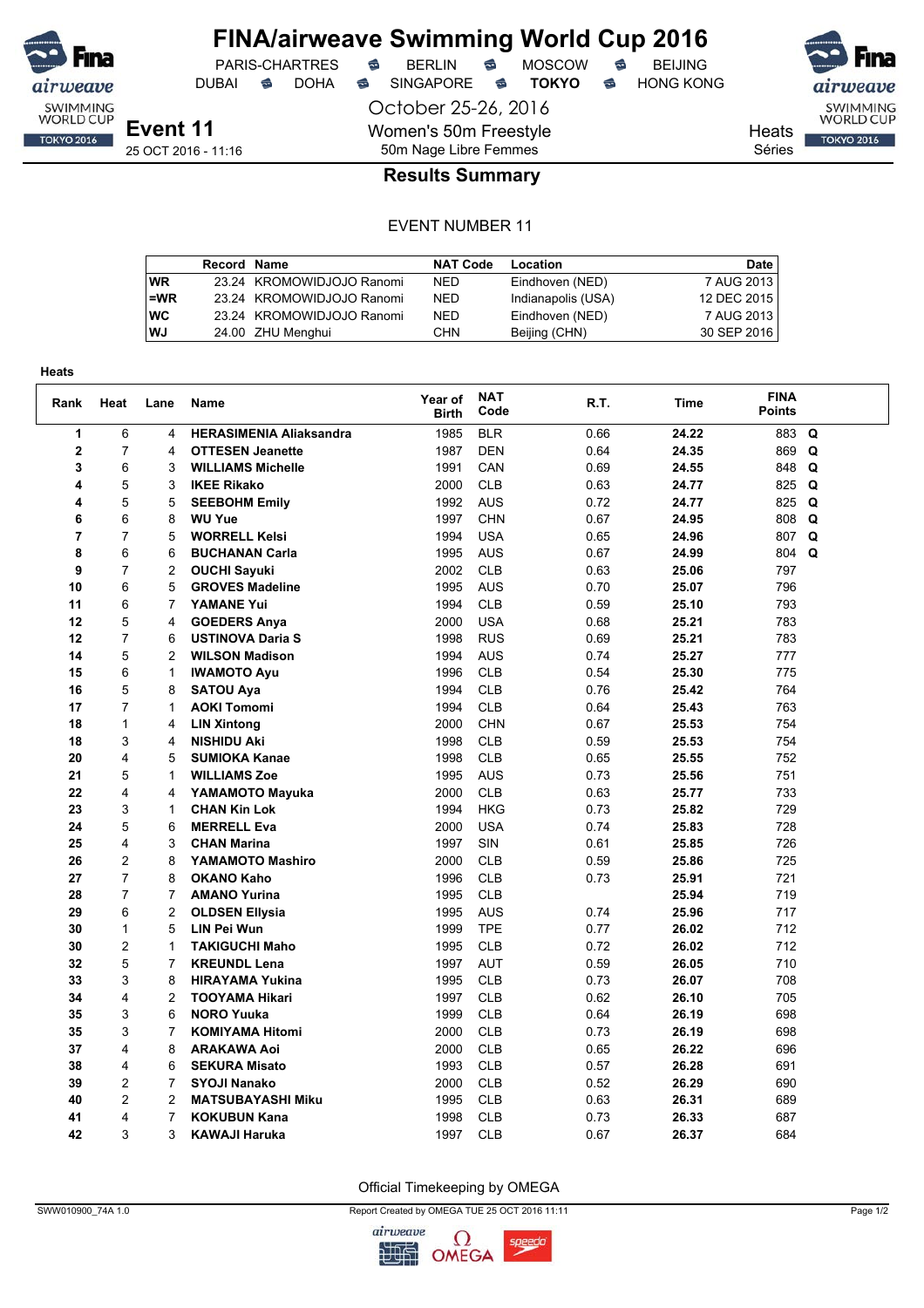

## **FINA/airweave Swimming World Cup 2016**<br>PARIS-CHARTRES **& BERLIN & MOSCOW & BEIJING** PARIS-CHARTRES **S** BERLIN S MOSCOW S

DUBAI **S** DOHA S SINGAPORE S **TOKYO** S HONG KONG

October 25-26, 2016 Women's 50m Freestyle 50m Nage Libre Femmes



SWIMMING<br>WORLD CUP

**TOKYO 2016** 

Heats

Séries

## **Results Summary**

#### EVENT NUMBER 11

|           | <b>Record Name</b> |                           | <b>NAT Code</b> | Location           | Date        |
|-----------|--------------------|---------------------------|-----------------|--------------------|-------------|
| <b>WR</b> |                    | 23.24 KROMOWIDJOJO Ranomi | <b>NED</b>      | Eindhoven (NED)    | 7 AUG 2013  |
| $=$ WR    |                    | 23.24 KROMOWIDJOJO Ranomi | <b>NED</b>      | Indianapolis (USA) | 12 DEC 2015 |
| <b>WC</b> |                    | 23.24 KROMOWIDJOJO Ranomi | <b>NED</b>      | Eindhoven (NED)    | 7 AUG 2013  |
| WJ        |                    | 24.00 ZHU Menghui         | CHN             | Beijing (CHN)      | 30 SEP 2016 |

| <b>Heats</b>   |                |                |                                |                         |                    |      |       |                              |             |
|----------------|----------------|----------------|--------------------------------|-------------------------|--------------------|------|-------|------------------------------|-------------|
| Rank           | Heat           | Lane           | <b>Name</b>                    | Year of<br><b>Birth</b> | <b>NAT</b><br>Code | R.T. | Time  | <b>FINA</b><br><b>Points</b> |             |
| 1              | 6              | $\overline{4}$ | <b>HERASIMENIA Aliaksandra</b> | 1985                    | <b>BLR</b>         | 0.66 | 24.22 | 883                          | Q           |
| $\mathbf 2$    | $\overline{7}$ | 4              | <b>OTTESEN Jeanette</b>        | 1987                    | <b>DEN</b>         | 0.64 | 24.35 | 869                          | Q           |
| 3              | 6              | 3              | <b>WILLIAMS Michelle</b>       | 1991                    | CAN                | 0.69 | 24.55 | 848                          | $\mathbf Q$ |
| 4              | 5              | 3              | <b>IKEE Rikako</b>             | 2000                    | <b>CLB</b>         | 0.63 | 24.77 | 825                          | Q           |
| 4              | 5              | 5              | <b>SEEBOHM Emily</b>           | 1992                    | <b>AUS</b>         | 0.72 | 24.77 | 825                          | Q           |
| 6              | 6              | 8              | <b>WU Yue</b>                  | 1997                    | <b>CHN</b>         | 0.67 | 24.95 | 808                          | Q           |
| $\overline{7}$ | $\overline{7}$ | 5              | <b>WORRELL Kelsi</b>           | 1994                    | <b>USA</b>         | 0.65 | 24.96 | 807 Q                        |             |
| 8              | 6              | 6              | <b>BUCHANAN Carla</b>          | 1995                    | <b>AUS</b>         | 0.67 | 24.99 | 804 Q                        |             |
| 9              | $\overline{7}$ | 2              | <b>OUCHI Sayuki</b>            | 2002                    | <b>CLB</b>         | 0.63 | 25.06 | 797                          |             |
| 10             | 6              | 5              | <b>GROVES Madeline</b>         | 1995                    | <b>AUS</b>         | 0.70 | 25.07 | 796                          |             |
| 11             | 6              | $\overline{7}$ | <b>YAMANE Yui</b>              | 1994                    | <b>CLB</b>         | 0.59 | 25.10 | 793                          |             |
| 12             | 5              | 4              | <b>GOEDERS Anya</b>            | 2000                    | <b>USA</b>         | 0.68 | 25.21 | 783                          |             |
| 12             | $\overline{7}$ | 6              | <b>USTINOVA Daria S</b>        | 1998                    | <b>RUS</b>         | 0.69 | 25.21 | 783                          |             |
| 14             | 5              | $\overline{2}$ | <b>WILSON Madison</b>          | 1994                    | <b>AUS</b>         | 0.74 | 25.27 | 777                          |             |
| 15             | 6              | $\mathbf{1}$   | <b>IWAMOTO Ayu</b>             | 1996                    | <b>CLB</b>         | 0.54 | 25.30 | 775                          |             |
| 16             | 5              | 8              | <b>SATOU Ava</b>               | 1994                    | <b>CLB</b>         | 0.76 | 25.42 | 764                          |             |
| 17             | $\overline{7}$ | 1              | <b>AOKI Tomomi</b>             | 1994                    | <b>CLB</b>         | 0.64 | 25.43 | 763                          |             |
| 18             | $\mathbf{1}$   | 4              | <b>LIN Xintong</b>             | 2000                    | <b>CHN</b>         | 0.67 | 25.53 | 754                          |             |
| 18             | 3              | 4              | <b>NISHIDU Aki</b>             | 1998                    | <b>CLB</b>         | 0.59 | 25.53 | 754                          |             |
| 20             | 4              | 5              | <b>SUMIOKA Kanae</b>           | 1998                    | <b>CLB</b>         | 0.65 | 25.55 | 752                          |             |
| 21             | 5              | 1              | <b>WILLIAMS Zoe</b>            | 1995                    | <b>AUS</b>         | 0.73 | 25.56 | 751                          |             |
| 22             | 4              | 4              | YAMAMOTO Mayuka                | 2000                    | <b>CLB</b>         | 0.63 | 25.77 | 733                          |             |
| 23             | 3              | 1              | <b>CHAN Kin Lok</b>            | 1994                    | <b>HKG</b>         | 0.73 | 25.82 | 729                          |             |
| 24             | 5              | 6              | <b>MERRELL Eva</b>             | 2000                    | <b>USA</b>         | 0.74 | 25.83 | 728                          |             |
| 25             | 4              | 3              | <b>CHAN Marina</b>             | 1997                    | SIN                | 0.61 | 25.85 | 726                          |             |
| 26             | $\overline{c}$ | 8              | YAMAMOTO Mashiro               | 2000                    | <b>CLB</b>         | 0.59 | 25.86 | 725                          |             |
| 27             | $\overline{7}$ | 8              | <b>OKANO Kaho</b>              | 1996                    | <b>CLB</b>         | 0.73 | 25.91 | 721                          |             |
| 28             | 7              | 7              | <b>AMANO Yurina</b>            | 1995                    | <b>CLB</b>         |      | 25.94 | 719                          |             |
| 29             | 6              | $\overline{2}$ | <b>OLDSEN Ellysia</b>          | 1995                    | <b>AUS</b>         | 0.74 | 25.96 | 717                          |             |
| 30             | $\mathbf{1}$   | 5              | <b>LIN Pei Wun</b>             | 1999                    | <b>TPE</b>         | 0.77 | 26.02 | 712                          |             |
| 30             | $\overline{2}$ | 1              | <b>TAKIGUCHI Maho</b>          | 1995                    | <b>CLB</b>         | 0.72 | 26.02 | 712                          |             |
| 32             | 5              | $\overline{7}$ | <b>KREUNDL Lena</b>            | 1997                    | <b>AUT</b>         | 0.59 | 26.05 | 710                          |             |
| 33             | 3              | 8              | <b>HIRAYAMA Yukina</b>         | 1995                    | <b>CLB</b>         | 0.73 | 26.07 | 708                          |             |
| 34             | 4              | $\overline{2}$ | <b>TOOYAMA Hikari</b>          | 1997                    | <b>CLB</b>         | 0.62 | 26.10 | 705                          |             |
| 35             | 3              | 6              | <b>NORO Yuuka</b>              | 1999                    | <b>CLB</b>         | 0.64 | 26.19 | 698                          |             |
| 35             | 3              | $\overline{7}$ | <b>KOMIYAMA Hitomi</b>         | 2000                    | <b>CLB</b>         | 0.73 | 26.19 | 698                          |             |
| 37             | 4              | 8              | <b>ARAKAWA Aoi</b>             | 2000                    | <b>CLB</b>         | 0.65 | 26.22 | 696                          |             |
| 38             | 4              | 6              | <b>SEKURA Misato</b>           | 1993                    | <b>CLB</b>         | 0.57 | 26.28 | 691                          |             |
| 39             | 2              | 7              | <b>SYOJI Nanako</b>            | 2000                    | <b>CLB</b>         | 0.52 | 26.29 | 690                          |             |
| 40             | $\overline{2}$ | $\overline{2}$ | <b>MATSUBAYASHI Miku</b>       | 1995                    | <b>CLB</b>         | 0.63 | 26.31 | 689                          |             |
| 41             | 4              | 7              | <b>KOKUBUN Kana</b>            | 1998                    | <b>CLB</b>         | 0.73 | 26.33 | 687                          |             |
| 42             | 3              | 3              | <b>KAWAJI Haruka</b>           | 1997                    | <b>CLB</b>         | 0.67 | 26.37 | 684                          |             |
|                |                |                |                                |                         |                    |      |       |                              |             |

Official Timekeeping by OMEGA

SWW010900\_74A 1.0 Page 1/2

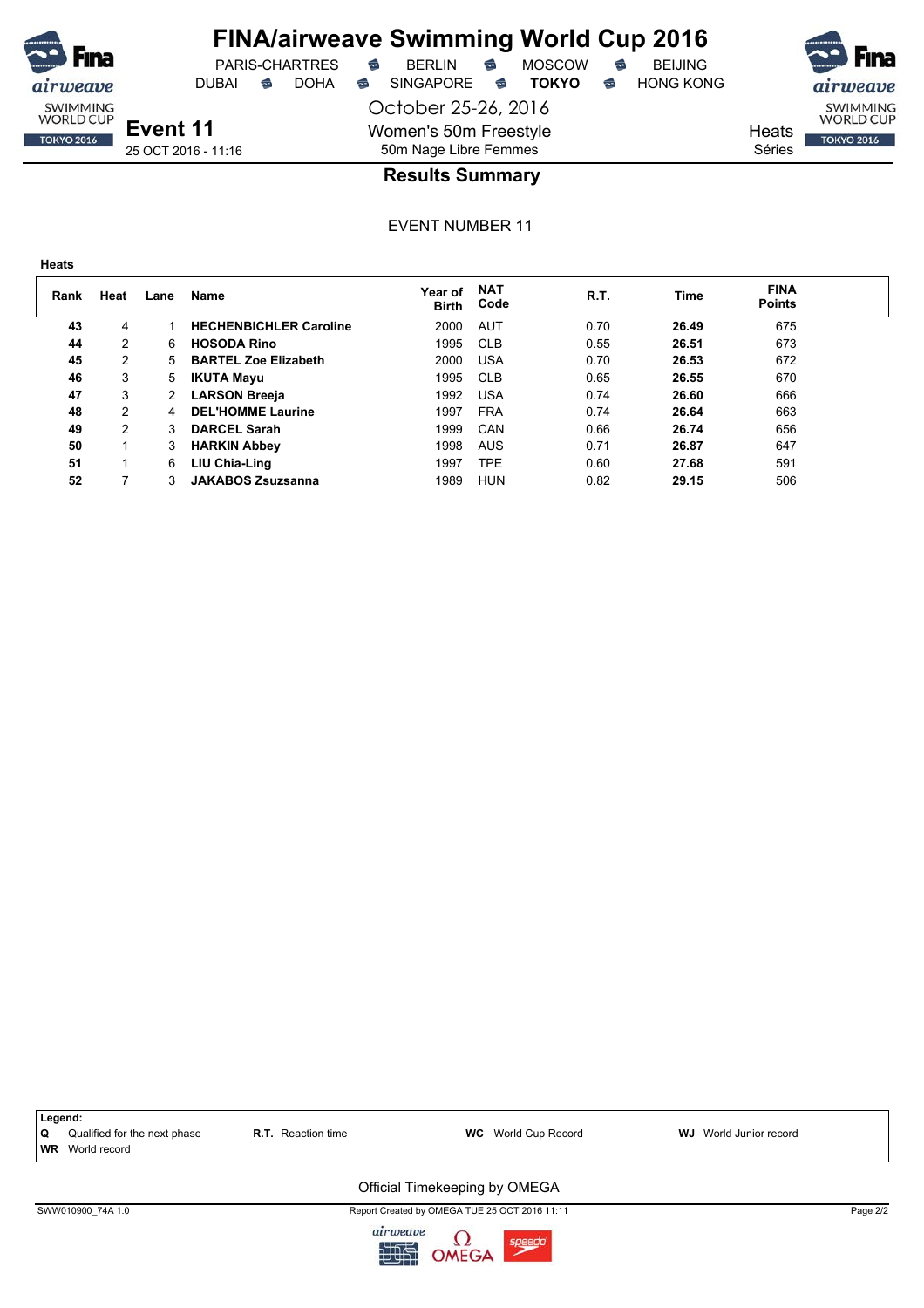

DUBAI **S** DOHA SINGAPORE S **TOKYO** S HONG KONG

**Event 11** 25 OCT 2016 - 11:16

October 25-26, 2016 Women's 50m Freestyle 50m Nage Libre Femmes



SWIMMING<br>WORLD CUP **TOKYO 2016** 

**Heats** Séries

## **Results Summary**

EVENT NUMBER 11

| ۰.<br>×<br>۰.<br>v.<br>×<br>×<br>. .<br>۰. |
|--------------------------------------------|
|--------------------------------------------|

ıirweave SWIMMING<br>WORLD CUP

**TOKYO 2016** 

| Rank | Heat | Lane | Name                          | Year of<br><b>Birth</b> | <b>NAT</b><br>Code | R.T. | Time  | <b>FINA</b><br><b>Points</b> |  |
|------|------|------|-------------------------------|-------------------------|--------------------|------|-------|------------------------------|--|
| 43   | 4    |      | <b>HECHENBICHLER Caroline</b> | 2000                    | <b>AUT</b>         | 0.70 | 26.49 | 675                          |  |
| 44   | 2    | 6    | <b>HOSODA Rino</b>            | 1995                    | <b>CLB</b>         | 0.55 | 26.51 | 673                          |  |
| 45   | 2    | 5    | <b>BARTEL Zoe Elizabeth</b>   | 2000                    | <b>USA</b>         | 0.70 | 26.53 | 672                          |  |
| 46   | 3    | 5    | <b>IKUTA Mayu</b>             | 1995                    | <b>CLB</b>         | 0.65 | 26.55 | 670                          |  |
| 47   | 3    |      | <b>LARSON Breeja</b>          | 1992                    | <b>USA</b>         | 0.74 | 26.60 | 666                          |  |
| 48   | 2    | 4    | <b>DEL'HOMME Laurine</b>      | 1997                    | <b>FRA</b>         | 0.74 | 26.64 | 663                          |  |
| 49   | 2    | 3    | <b>DARCEL Sarah</b>           | 1999                    | CAN                | 0.66 | 26.74 | 656                          |  |
| 50   |      | 3    | <b>HARKIN Abbey</b>           | 1998                    | <b>AUS</b>         | 0.71 | 26.87 | 647                          |  |
| 51   |      | 6    | LIU Chia-Ling                 | 1997                    | TPE                | 0.60 | 27.68 | 591                          |  |
| 52   |      |      | <b>JAKABOS Zsuzsanna</b>      | 1989                    | HUN                | 0.82 | 29.15 | 506                          |  |



九世史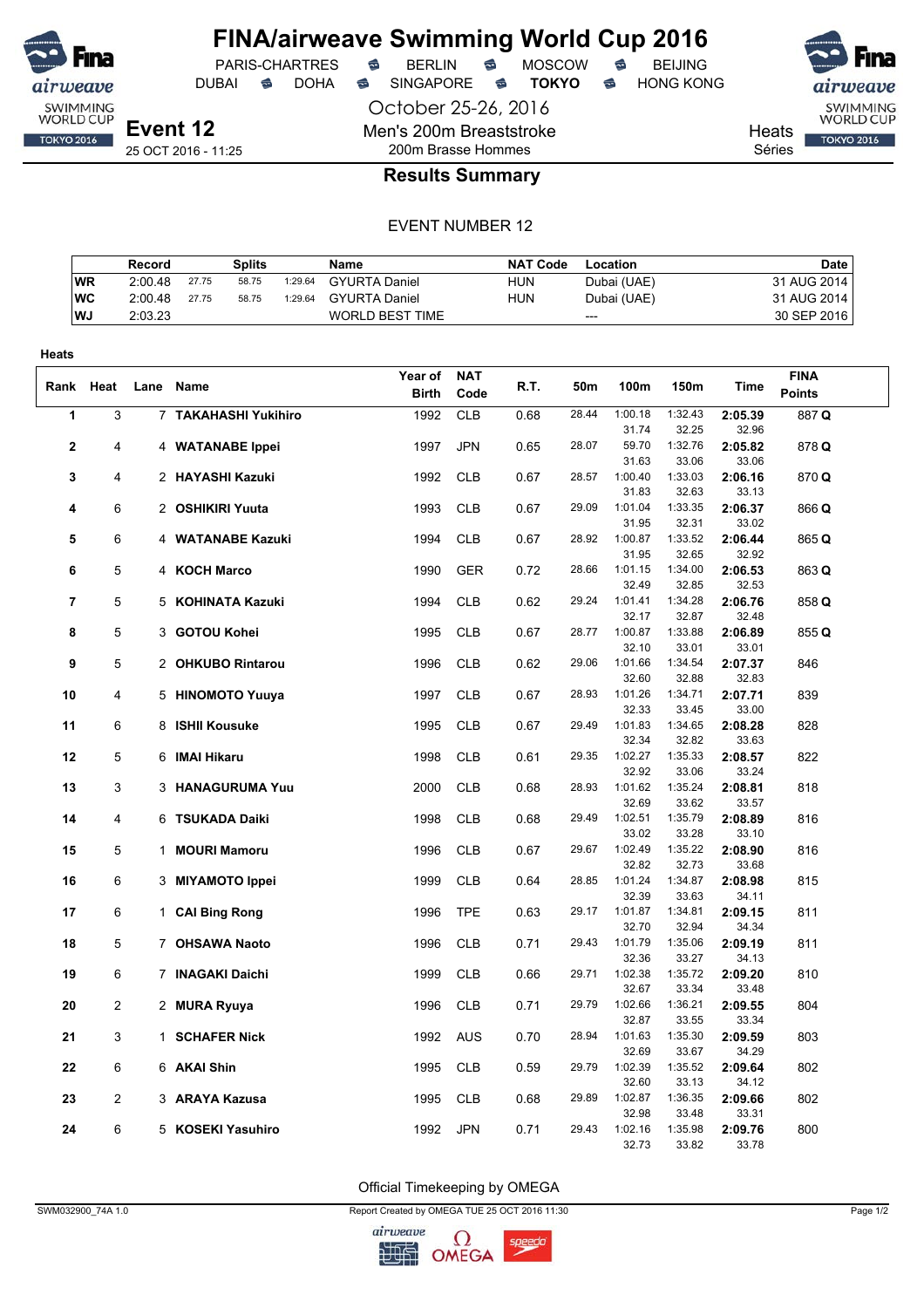

DUBAI **S** DOHA S SINGAPORE S **TOKYO** S HONG KONG

PARIS-CHARTRES **S** BERLIN S MOSCOW S

October 25-26, 2016 Men's 200m Breaststroke 200m Brasse Hommes



Heats Séries

## **Results Summary**

#### EVENT NUMBER 12

|            | Record  |       | Splits |         | Name                   | <b>NAT Code</b> | Location    | <b>Date</b> |
|------------|---------|-------|--------|---------|------------------------|-----------------|-------------|-------------|
| <b>WR</b>  | 2:00.48 | 27.75 | 58.75  | 1:29.64 | <b>GYURTA Daniel</b>   | <b>HUN</b>      | Dubai (UAE) | 31 AUG 2014 |
| <b>IWC</b> | 2:00.48 | 27.75 | 58.75  | 1:29.64 | <b>GYURTA Daniel</b>   | HUN             | Dubai (UAE) | 31 AUG 2014 |
| <b>WJ</b>  | 2:03.23 |       |        |         | <b>WORLD BEST TIME</b> |                 | ---         | 30 SEP 2016 |

| Heats          |                |      |                      |              |            |      |       |                  |                  |                  |               |  |
|----------------|----------------|------|----------------------|--------------|------------|------|-------|------------------|------------------|------------------|---------------|--|
|                |                |      |                      | Year of      | <b>NAT</b> |      |       |                  |                  |                  | <b>FINA</b>   |  |
| Rank           | Heat           | Lane | Name                 | <b>Birth</b> | Code       | R.T. | 50m   | 100m             | 150m             | Time             | <b>Points</b> |  |
| 1              | 3              |      | 7 TAKAHASHI Yukihiro | 1992         | <b>CLB</b> | 0.68 | 28.44 | 1:00.18          | 1:32.43          | 2:05.39          | 887 Q         |  |
|                |                |      |                      |              |            |      |       | 31.74            | 32.25            | 32.96            |               |  |
| 2              | 4              |      | 4 WATANABE Ippei     | 1997         | <b>JPN</b> | 0.65 | 28.07 | 59.70            | 1:32.76          | 2:05.82          | 878 Q         |  |
|                |                |      |                      |              |            |      |       | 31.63            | 33.06            | 33.06            |               |  |
| 3              | 4              |      | 2 HAYASHI Kazuki     | 1992         | <b>CLB</b> | 0.67 | 28.57 | 1:00.40          | 1:33.03          | 2:06.16          | 870Q          |  |
|                |                |      |                      |              |            |      |       | 31.83            | 32.63            | 33.13            |               |  |
| 4              | 6              |      | 2 OSHIKIRI Yuuta     | 1993         | <b>CLB</b> | 0.67 | 29.09 | 1:01.04          | 1:33.35          | 2:06.37          | 866 Q         |  |
|                |                |      |                      |              |            |      |       | 31.95            | 32.31            | 33.02            |               |  |
| 5              | 6              |      | 4 WATANABE Kazuki    | 1994         | <b>CLB</b> | 0.67 | 28.92 | 1:00.87          | 1:33.52          | 2:06.44          | 865 Q         |  |
| 6              | 5              |      |                      |              |            |      | 28.66 | 31.95<br>1:01.15 | 32.65<br>1:34.00 | 32.92            |               |  |
|                |                |      | 4 KOCH Marco         | 1990         | <b>GER</b> | 0.72 |       | 32.49            | 32.85            | 2:06.53<br>32.53 | 863 Q         |  |
| $\overline{7}$ | 5              |      | 5 KOHINATA Kazuki    | 1994         | <b>CLB</b> | 0.62 | 29.24 | 1:01.41          | 1:34.28          | 2:06.76          | 858 Q         |  |
|                |                |      |                      |              |            |      |       | 32.17            | 32.87            | 32.48            |               |  |
| 8              | 5              |      | 3 GOTOU Kohei        | 1995         | <b>CLB</b> | 0.67 | 28.77 | 1:00.87          | 1:33.88          | 2:06.89          | 855 Q         |  |
|                |                |      |                      |              |            |      |       | 32.10            | 33.01            | 33.01            |               |  |
| 9              | 5              |      | 2 OHKUBO Rintarou    | 1996         | <b>CLB</b> | 0.62 | 29.06 | 1:01.66          | 1:34.54          | 2:07.37          | 846           |  |
|                |                |      |                      |              |            |      |       | 32.60            | 32.88            | 32.83            |               |  |
| 10             | 4              |      | 5 HINOMOTO Yuuya     | 1997         | <b>CLB</b> | 0.67 | 28.93 | 1:01.26          | 1:34.71          | 2:07.71          | 839           |  |
|                |                |      |                      |              |            |      |       | 32.33            | 33.45            | 33.00            |               |  |
| 11             | 6              |      | 8 ISHII Kousuke      | 1995         | <b>CLB</b> | 0.67 | 29.49 | 1:01.83          | 1:34.65          | 2:08.28          | 828           |  |
|                |                |      |                      |              |            |      |       | 32.34            | 32.82            | 33.63            |               |  |
| 12             | 5              |      | 6 IMAI Hikaru        | 1998         | <b>CLB</b> | 0.61 | 29.35 | 1:02.27          | 1:35.33          | 2:08.57          | 822           |  |
|                |                |      |                      |              |            |      |       | 32.92            | 33.06            | 33.24            |               |  |
| 13             | 3              |      | 3 HANAGURUMA Yuu     | 2000         | CLB        | 0.68 | 28.93 | 1:01.62<br>32.69 | 1:35.24<br>33.62 | 2:08.81<br>33.57 | 818           |  |
| 14             | 4              |      | 6 TSUKADA Daiki      | 1998         | <b>CLB</b> | 0.68 | 29.49 | 1:02.51          | 1:35.79          | 2:08.89          | 816           |  |
|                |                |      |                      |              |            |      |       | 33.02            | 33.28            | 33.10            |               |  |
| 15             | 5              |      | 1 MOURI Mamoru       | 1996         | <b>CLB</b> | 0.67 | 29.67 | 1:02.49          | 1:35.22          | 2:08.90          | 816           |  |
|                |                |      |                      |              |            |      |       | 32.82            | 32.73            | 33.68            |               |  |
| 16             | 6              |      | 3 MIYAMOTO Ippei     | 1999         | <b>CLB</b> | 0.64 | 28.85 | 1:01.24          | 1:34.87          | 2:08.98          | 815           |  |
|                |                |      |                      |              |            |      |       | 32.39            | 33.63            | 34.11            |               |  |
| 17             | 6              |      | 1 CAI Bing Rong      | 1996         | <b>TPE</b> | 0.63 | 29.17 | 1:01.87          | 1:34.81          | 2:09.15          | 811           |  |
|                |                |      |                      |              |            |      |       | 32.70            | 32.94            | 34.34            |               |  |
| 18             | 5              |      | 7 OHSAWA Naoto       | 1996         | <b>CLB</b> | 0.71 | 29.43 | 1:01.79          | 1:35.06          | 2:09.19          | 811           |  |
|                |                |      |                      |              |            |      |       | 32.36            | 33.27            | 34.13            |               |  |
| 19             | 6              |      | 7 INAGAKI Daichi     | 1999         | <b>CLB</b> | 0.66 | 29.71 | 1:02.38          | 1:35.72<br>33.34 | 2:09.20          | 810           |  |
| 20             | $\overline{c}$ |      |                      | 1996         | <b>CLB</b> | 0.71 | 29.79 | 32.67<br>1:02.66 | 1:36.21          | 33.48<br>2:09.55 | 804           |  |
|                |                |      | 2 MURA Ryuya         |              |            |      |       | 32.87            | 33.55            | 33.34            |               |  |
| 21             | 3              |      | 1 SCHAFER Nick       | 1992         | <b>AUS</b> | 0.70 | 28.94 | 1:01.63          | 1:35.30          | 2:09.59          | 803           |  |
|                |                |      |                      |              |            |      |       | 32.69            | 33.67            | 34.29            |               |  |
| 22             | 6              |      | 6 AKAI Shin          | 1995         | <b>CLB</b> | 0.59 | 29.79 | 1:02.39          | 1:35.52          | 2:09.64          | 802           |  |
|                |                |      |                      |              |            |      |       | 32.60            | 33.13            | 34.12            |               |  |
| 23             | 2              |      | 3 ARAYA Kazusa       | 1995         | <b>CLB</b> | 0.68 | 29.89 | 1:02.87          | 1:36.35          | 2:09.66          | 802           |  |
|                |                |      |                      |              |            |      |       | 32.98            | 33.48            | 33.31            |               |  |
| 24             | 6              |      | 5 KOSEKI Yasuhiro    | 1992         | <b>JPN</b> | 0.71 | 29.43 | 1:02.16          | 1:35.98          | 2:09.76          | 800           |  |
|                |                |      |                      |              |            |      |       | 32.73            | 33.82            | 33.78            |               |  |

Official Timekeeping by OMEGA

SWM032900\_74A 1.0 Report Created by OMEGA TUE 25 OCT 2016 11:30 Page 1/2

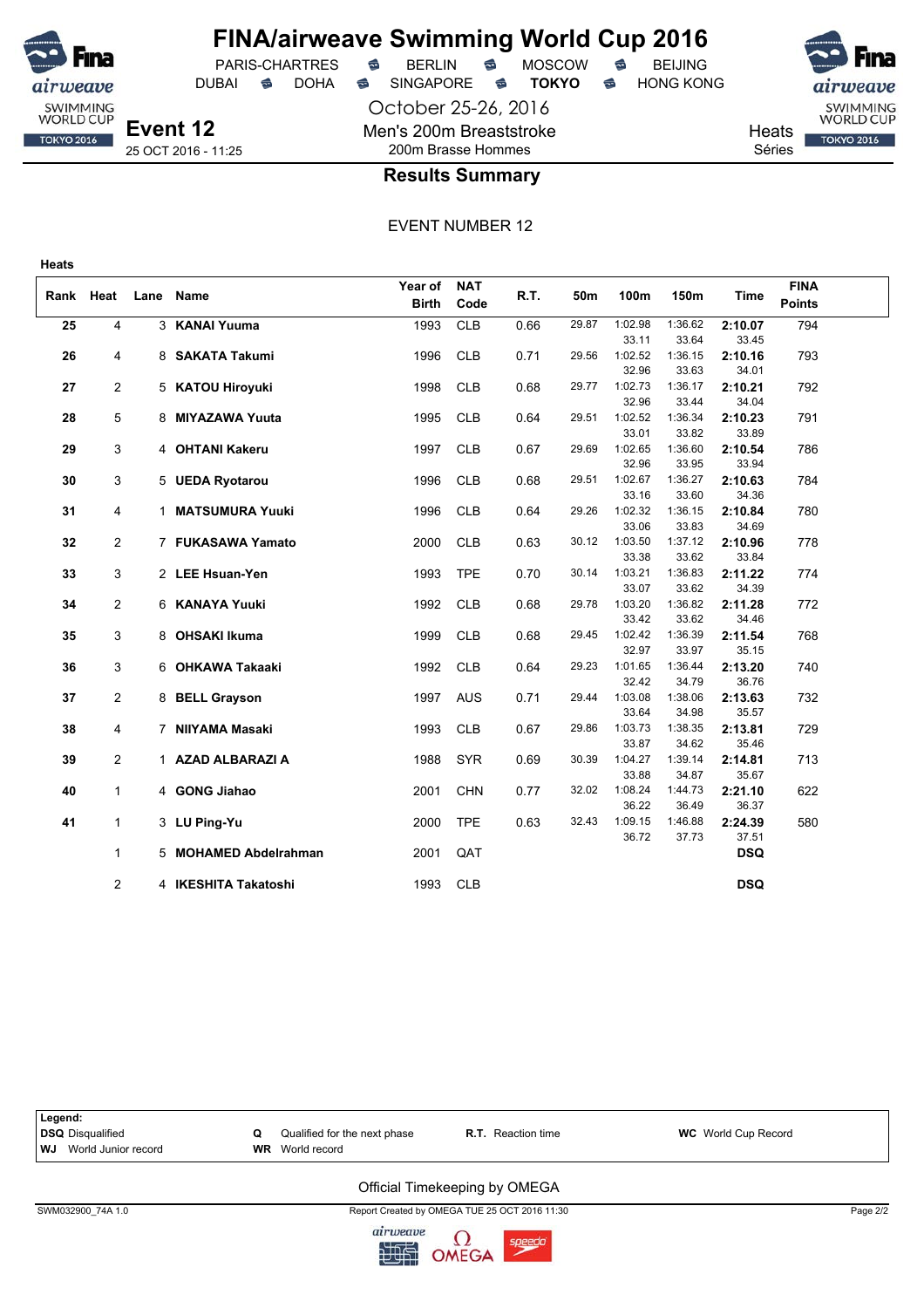

## **FINA/airweave Swimming World Cup 2016**

October 25-26, 2016 Men's 200m Breaststroke DUBAI **S** DOHA SINGAPORE S **TOKYO** S HONG KONG

PARIS-CHARTRES **B** BERLIN **B** MOSCOW **B** BEIJING

SWIMMING<br>WORLD CUP **TOKYO 2016** 

Heats Séries

## 200m Brasse Hommes **Results Summary**

EVENT NUMBER 12

|      |                |      |                       | Year of      | <b>NAT</b> |      |       |                  |                  |                  | <b>FINA</b>   |  |
|------|----------------|------|-----------------------|--------------|------------|------|-------|------------------|------------------|------------------|---------------|--|
| Rank | Heat           | Lane | Name                  | <b>Birth</b> | Code       | R.T. | 50m   | 100m             | 150m             | Time             | <b>Points</b> |  |
| 25   | 4              |      | 3 KANAI Yuuma         | 1993         | <b>CLB</b> | 0.66 | 29.87 | 1:02.98          | 1:36.62          | 2:10.07          | 794           |  |
|      |                |      |                       |              |            |      |       | 33.11            | 33.64            | 33.45            |               |  |
| 26   | 4              |      | 8 SAKATA Takumi       | 1996         | <b>CLB</b> | 0.71 | 29.56 | 1:02.52          | 1:36.15          | 2:10.16          | 793           |  |
|      |                |      |                       |              |            |      |       | 32.96            | 33.63            | 34.01            |               |  |
| 27   | 2              |      | 5 KATOU Hiroyuki      | 1998         | <b>CLB</b> | 0.68 | 29.77 | 1:02.73          | 1:36.17          | 2:10.21          | 792           |  |
|      |                |      |                       |              |            |      |       | 32.96            | 33.44            | 34.04            |               |  |
| 28   | 5              |      | 8 MIYAZAWA Yuuta      | 1995         | <b>CLB</b> | 0.64 | 29.51 | 1:02.52          | 1:36.34          | 2:10.23          | 791           |  |
|      |                |      |                       |              |            |      |       | 33.01            | 33.82            | 33.89            |               |  |
| 29   | 3              |      | 4 OHTANI Kakeru       | 1997         | <b>CLB</b> | 0.67 | 29.69 | 1:02.65          | 1:36.60          | 2:10.54          | 786           |  |
|      |                |      |                       |              |            |      |       | 32.96            | 33.95            | 33.94            |               |  |
| 30   | 3              |      | 5 UEDA Ryotarou       | 1996         | <b>CLB</b> | 0.68 | 29.51 | 1:02.67<br>33.16 | 1:36.27<br>33.60 | 2:10.63<br>34.36 | 784           |  |
| 31   | 4              |      | 1 MATSUMURA Yuuki     | 1996         | <b>CLB</b> | 0.64 | 29.26 | 1:02.32          | 1:36.15          | 2:10.84          | 780           |  |
|      |                |      |                       |              |            |      |       | 33.06            | 33.83            | 34.69            |               |  |
| 32   | $\overline{2}$ |      | 7 FUKASAWA Yamato     | 2000         | <b>CLB</b> | 0.63 | 30.12 | 1:03.50          | 1:37.12          | 2:10.96          | 778           |  |
|      |                |      |                       |              |            |      |       | 33.38            | 33.62            | 33.84            |               |  |
| 33   | 3              |      | 2 LEE Hsuan-Yen       | 1993         | <b>TPE</b> | 0.70 | 30.14 | 1:03.21          | 1:36.83          | 2:11.22          | 774           |  |
|      |                |      |                       |              |            |      |       | 33.07            | 33.62            | 34.39            |               |  |
| 34   | 2              |      | 6 KANAYA Yuuki        | 1992         | <b>CLB</b> | 0.68 | 29.78 | 1:03.20          | 1:36.82          | 2:11.28          | 772           |  |
|      |                |      |                       |              |            |      |       | 33.42            | 33.62            | 34.46            |               |  |
| 35   | 3              |      | 8 OHSAKI Ikuma        | 1999         | <b>CLB</b> | 0.68 | 29.45 | 1:02.42          | 1:36.39          | 2:11.54          | 768           |  |
|      |                |      |                       |              |            |      |       | 32.97            | 33.97            | 35.15            |               |  |
| 36   | 3              |      | 6 OHKAWA Takaaki      | 1992         | <b>CLB</b> | 0.64 | 29.23 | 1:01.65          | 1:36.44          | 2:13.20          | 740           |  |
|      |                |      |                       |              |            |      |       | 32.42            | 34.79            | 36.76            |               |  |
| 37   | $\overline{2}$ |      | 8 BELL Grayson        | 1997         | <b>AUS</b> | 0.71 | 29.44 | 1:03.08          | 1:38.06          | 2:13.63          | 732           |  |
|      |                |      |                       |              |            |      | 29.86 | 33.64<br>1:03.73 | 34.98<br>1:38.35 | 35.57            |               |  |
| 38   | 4              |      | 7 NIIYAMA Masaki      | 1993         | <b>CLB</b> | 0.67 |       | 33.87            | 34.62            | 2:13.81<br>35.46 | 729           |  |
| 39   | $\overline{2}$ |      | 1 AZAD ALBARAZI A     | 1988         | <b>SYR</b> | 0.69 | 30.39 | 1:04.27          | 1:39.14          | 2:14.81          | 713           |  |
|      |                |      |                       |              |            |      |       | 33.88            | 34.87            | 35.67            |               |  |
| 40   | $\mathbf{1}$   |      | 4 GONG Jiahao         | 2001         | <b>CHN</b> | 0.77 | 32.02 | 1:08.24          | 1:44.73          | 2:21.10          | 622           |  |
|      |                |      |                       |              |            |      |       | 36.22            | 36.49            | 36.37            |               |  |
| 41   | $\mathbf{1}$   |      | 3 LU Ping-Yu          | 2000         | <b>TPE</b> | 0.63 | 32.43 | 1:09.15          | 1:46.88          | 2:24.39          | 580           |  |
|      |                |      |                       |              |            |      |       | 36.72            | 37.73            | 37.51            |               |  |
|      | $\mathbf{1}$   |      | 5 MOHAMED Abdelrahman | 2001         | QAT        |      |       |                  |                  | <b>DSQ</b>       |               |  |
|      |                |      |                       |              |            |      |       |                  |                  |                  |               |  |
|      | $\overline{2}$ |      | 4 IKESHITA Takatoshi  | 1993         | <b>CLB</b> |      |       |                  |                  | <b>DSQ</b>       |               |  |



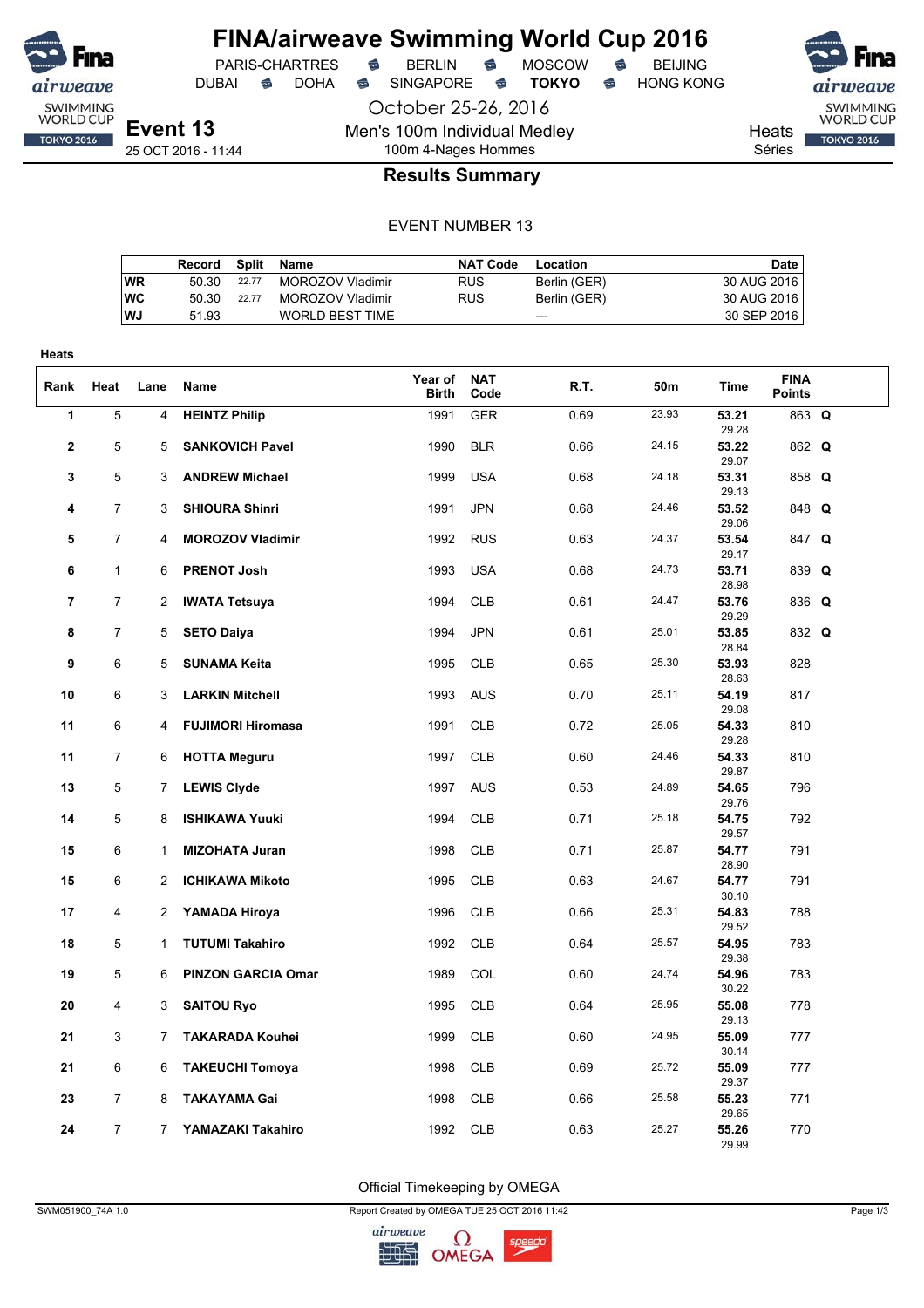

PARIS-CHARTRES **S** BERLIN S MOSCOW S

October 25-26, 2016

Men's 100m Individual Medley

DUBAI **S** DOHA S SINGAPORE S **TOKYO** S HONG KONG

SWIMMING<br>WORLD CUP **TOKYO 2016** 

Heats Séries

**Event 13** 25 OCT 2016 - 11:44

## 100m 4-Nages Hommes **Results Summary**

#### EVENT NUMBER 13

|           | Record |       | Split Name             | NAT Code   | Location     | Date        |
|-----------|--------|-------|------------------------|------------|--------------|-------------|
| WR        | 50.30  | 22.77 | MOROZOV Vladimir       | <b>RUS</b> | Berlin (GER) | 30 AUG 2016 |
| <b>WC</b> | 50.30  | 22.77 | MOROZOV Vladimir       | <b>RUS</b> | Berlin (GER) | 30 AUG 2016 |
| <b>WJ</b> | 51.93  |       | <b>WORLD BEST TIME</b> |            | $---$        | 30 SEP 2016 |

| <b>Heats</b>   |                |                |                           |                         |                    |      |       |                |                              |  |
|----------------|----------------|----------------|---------------------------|-------------------------|--------------------|------|-------|----------------|------------------------------|--|
| Rank           | Heat           | Lane           | Name                      | Year of<br><b>Birth</b> | <b>NAT</b><br>Code | R.T. | 50m   | <b>Time</b>    | <b>FINA</b><br><b>Points</b> |  |
| 1              | $\overline{5}$ | $\overline{4}$ | <b>HEINTZ Philip</b>      | 1991                    | <b>GER</b>         | 0.69 | 23.93 | 53.21<br>29.28 | 863 Q                        |  |
| $\mathbf{2}$   | 5              | 5              | <b>SANKOVICH Pavel</b>    | 1990                    | <b>BLR</b>         | 0.66 | 24.15 | 53.22<br>29.07 | 862 Q                        |  |
| 3              | 5              | 3              | <b>ANDREW Michael</b>     | 1999                    | <b>USA</b>         | 0.68 | 24.18 | 53.31<br>29.13 | 858 Q                        |  |
| 4              | 7              | 3              | <b>SHIOURA Shinri</b>     | 1991                    | <b>JPN</b>         | 0.68 | 24.46 | 53.52<br>29.06 | 848 Q                        |  |
| 5              | 7              | 4              | <b>MOROZOV Vladimir</b>   | 1992                    | <b>RUS</b>         | 0.63 | 24.37 | 53.54<br>29.17 | 847 Q                        |  |
| 6              | $\mathbf{1}$   | 6              | <b>PRENOT Josh</b>        | 1993                    | <b>USA</b>         | 0.68 | 24.73 | 53.71<br>28.98 | 839 Q                        |  |
| $\overline{7}$ | $\overline{7}$ | $\overline{c}$ | <b>IWATA Tetsuya</b>      | 1994                    | <b>CLB</b>         | 0.61 | 24.47 | 53.76<br>29.29 | 836 Q                        |  |
| 8              | 7              | 5              | <b>SETO Daiya</b>         | 1994                    | <b>JPN</b>         | 0.61 | 25.01 | 53.85<br>28.84 | 832 Q                        |  |
| 9              | 6              | 5              | <b>SUNAMA Keita</b>       | 1995                    | <b>CLB</b>         | 0.65 | 25.30 | 53.93<br>28.63 | 828                          |  |
| 10             | 6              | 3              | <b>LARKIN Mitchell</b>    | 1993                    | <b>AUS</b>         | 0.70 | 25.11 | 54.19<br>29.08 | 817                          |  |
| 11             | 6              | 4              | <b>FUJIMORI Hiromasa</b>  | 1991                    | <b>CLB</b>         | 0.72 | 25.05 | 54.33<br>29.28 | 810                          |  |
| 11             | 7              | 6              | <b>HOTTA Meguru</b>       | 1997                    | <b>CLB</b>         | 0.60 | 24.46 | 54.33<br>29.87 | 810                          |  |
| 13             | 5              | 7              | <b>LEWIS Clyde</b>        | 1997                    | <b>AUS</b>         | 0.53 | 24.89 | 54.65<br>29.76 | 796                          |  |
| 14             | 5              | 8              | <b>ISHIKAWA Yuuki</b>     | 1994                    | <b>CLB</b>         | 0.71 | 25.18 | 54.75<br>29.57 | 792                          |  |
| 15             | 6              | $\mathbf{1}$   | <b>MIZOHATA Juran</b>     | 1998                    | <b>CLB</b>         | 0.71 | 25.87 | 54.77<br>28.90 | 791                          |  |
| 15             | 6              | 2              | <b>ICHIKAWA Mikoto</b>    | 1995                    | <b>CLB</b>         | 0.63 | 24.67 | 54.77<br>30.10 | 791                          |  |
| 17             | 4              | $\overline{c}$ | YAMADA Hiroya             | 1996                    | <b>CLB</b>         | 0.66 | 25.31 | 54.83<br>29.52 | 788                          |  |
| 18             | 5              | $\mathbf{1}$   | <b>TUTUMI Takahiro</b>    | 1992                    | <b>CLB</b>         | 0.64 | 25.57 | 54.95<br>29.38 | 783                          |  |
| 19             | 5              | 6              | <b>PINZON GARCIA Omar</b> | 1989                    | COL                | 0.60 | 24.74 | 54.96<br>30.22 | 783                          |  |
| 20             | 4              | 3              | <b>SAITOU Ryo</b>         | 1995                    | <b>CLB</b>         | 0.64 | 25.95 | 55.08<br>29.13 | 778                          |  |
| 21             | 3              | 7              | <b>TAKARADA Kouhei</b>    | 1999                    | <b>CLB</b>         | 0.60 | 24.95 | 55.09<br>30.14 | 777                          |  |
| 21             | 6              | 6              | <b>TAKEUCHI Tomoya</b>    | 1998                    | <b>CLB</b>         | 0.69 | 25.72 | 55.09<br>29.37 | 777                          |  |
| 23             | 7              | 8              | <b>TAKAYAMA Gai</b>       | 1998                    | <b>CLB</b>         | 0.66 | 25.58 | 55.23<br>29.65 | 771                          |  |
| 24             | $\overline{7}$ | $\overline{7}$ | YAMAZAKI Takahiro         | 1992                    | <b>CLB</b>         | 0.63 | 25.27 | 55.26<br>29.99 | 770                          |  |

Official Timekeeping by OMEGA

SWM051900\_74A 1.0 Report Created by OMEGA TUE 25 OCT 2016 11:42 Page 1/3



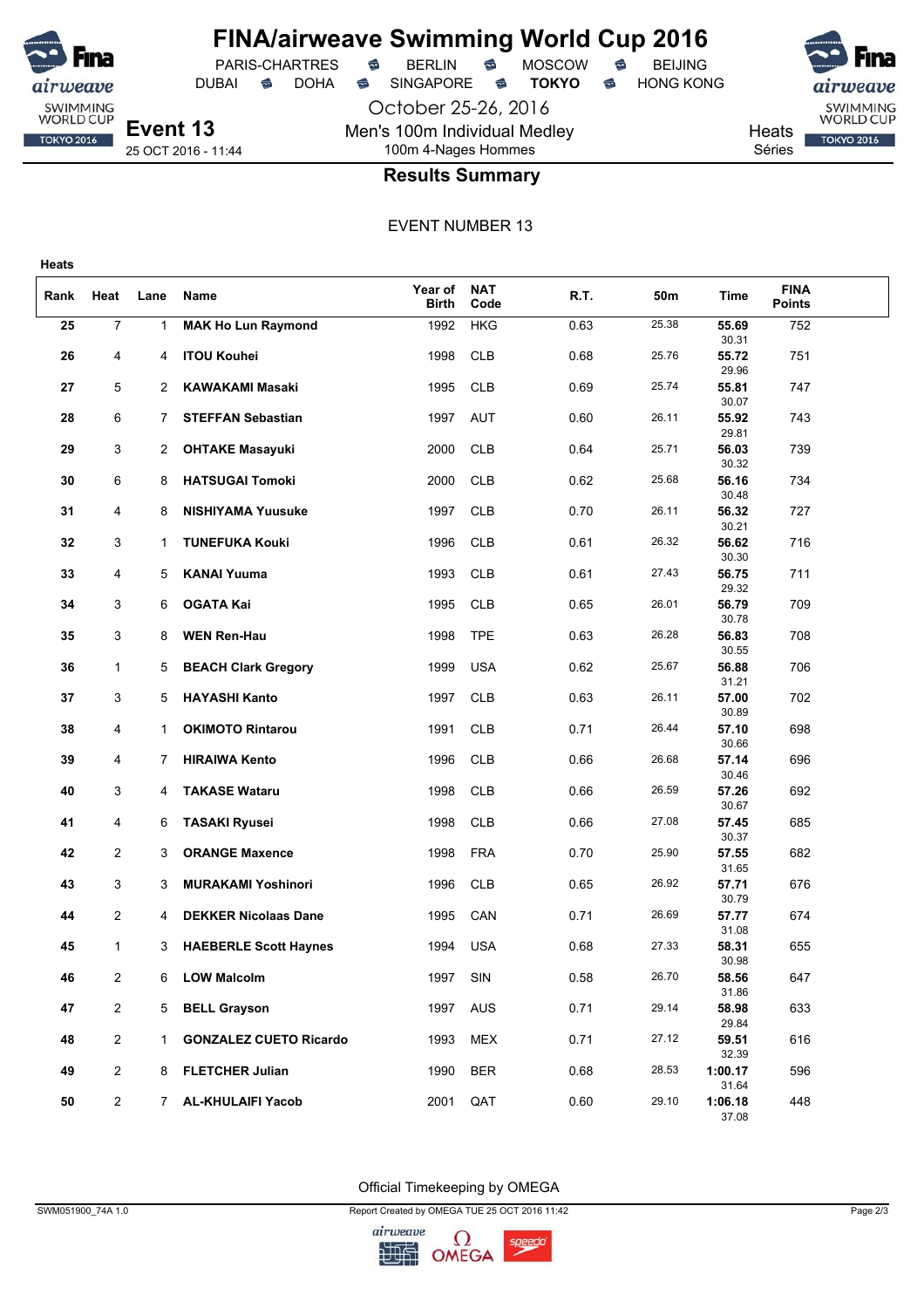

# **FINA/airweave Swimming World Cup 2016**<br>PARIS-CHARTRES **& BERLIN & MOSCOW & BEIJING**

PARIS-CHARTRES **S** BERLIN S MOSCOW S

October 25-26, 2016 Men's 100m Individual Medley 100m 4-Nages Hommes



SWIMMING<br>WORLD CUP **TOKYO 2016** 

Séries

## **Heats**

**Results Summary**

### EVENT NUMBER 13

| Rank | Heat                    | Lane         | Name                          | Year of<br><b>Birth</b> | <b>NAT</b><br>Code | R.T. | 50m   | <b>Time</b>      | <b>FINA</b><br><b>Points</b> |  |
|------|-------------------------|--------------|-------------------------------|-------------------------|--------------------|------|-------|------------------|------------------------------|--|
| 25   | $\overline{7}$          | 1            | <b>MAK Ho Lun Raymond</b>     | 1992                    | <b>HKG</b>         | 0.63 | 25.38 | 55.69<br>30.31   | 752                          |  |
| 26   | 4                       | 4            | <b>ITOU Kouhei</b>            | 1998                    | <b>CLB</b>         | 0.68 | 25.76 | 55.72<br>29.96   | 751                          |  |
| 27   | 5                       | 2            | <b>KAWAKAMI Masaki</b>        | 1995                    | <b>CLB</b>         | 0.69 | 25.74 | 55.81<br>30.07   | 747                          |  |
| 28   | 6                       | 7.           | <b>STEFFAN Sebastian</b>      | 1997                    | <b>AUT</b>         | 0.60 | 26.11 | 55.92<br>29.81   | 743                          |  |
| 29   | 3                       | 2            | <b>OHTAKE Masayuki</b>        | 2000                    | <b>CLB</b>         | 0.64 | 25.71 | 56.03<br>30.32   | 739                          |  |
| 30   | 6                       | 8            | <b>HATSUGAI Tomoki</b>        | 2000                    | <b>CLB</b>         | 0.62 | 25.68 | 56.16<br>30.48   | 734                          |  |
| 31   | 4                       | 8            | <b>NISHIYAMA Yuusuke</b>      | 1997                    | <b>CLB</b>         | 0.70 | 26.11 | 56.32<br>30.21   | 727                          |  |
| 32   | 3                       | 1            | <b>TUNEFUKA Kouki</b>         | 1996                    | <b>CLB</b>         | 0.61 | 26.32 | 56.62<br>30.30   | 716                          |  |
| 33   | 4                       | 5            | <b>KANAI Yuuma</b>            | 1993                    | <b>CLB</b>         | 0.61 | 27.43 | 56.75<br>29.32   | 711                          |  |
| 34   | 3                       | 6            | <b>OGATA Kai</b>              | 1995                    | <b>CLB</b>         | 0.65 | 26.01 | 56.79<br>30.78   | 709                          |  |
| 35   | 3                       | 8            | <b>WEN Ren-Hau</b>            | 1998                    | <b>TPE</b>         | 0.63 | 26.28 | 56.83<br>30.55   | 708                          |  |
| 36   | $\mathbf{1}$            | 5            | <b>BEACH Clark Gregory</b>    | 1999                    | <b>USA</b>         | 0.62 | 25.67 | 56.88<br>31.21   | 706                          |  |
| 37   | 3                       | 5            | <b>HAYASHI Kanto</b>          | 1997                    | <b>CLB</b>         | 0.63 | 26.11 | 57.00<br>30.89   | 702                          |  |
| 38   | 4                       | $\mathbf{1}$ | <b>OKIMOTO Rintarou</b>       | 1991                    | <b>CLB</b>         | 0.71 | 26.44 | 57.10<br>30.66   | 698                          |  |
| 39   | 4                       | 7            | <b>HIRAIWA Kento</b>          | 1996                    | <b>CLB</b>         | 0.66 | 26.68 | 57.14<br>30.46   | 696                          |  |
| 40   | 3                       | 4            | <b>TAKASE Wataru</b>          | 1998                    | <b>CLB</b>         | 0.66 | 26.59 | 57.26<br>30.67   | 692                          |  |
| 41   | 4                       | 6            | <b>TASAKI Ryusei</b>          | 1998                    | <b>CLB</b>         | 0.66 | 27.08 | 57.45<br>30.37   | 685                          |  |
| 42   | $\overline{2}$          | 3            | <b>ORANGE Maxence</b>         | 1998                    | <b>FRA</b>         | 0.70 | 25.90 | 57.55<br>31.65   | 682                          |  |
| 43   | 3                       | 3            | <b>MURAKAMI Yoshinori</b>     | 1996                    | <b>CLB</b>         | 0.65 | 26.92 | 57.71<br>30.79   | 676                          |  |
| 44   | $\overline{\mathbf{c}}$ | 4            | <b>DEKKER Nicolaas Dane</b>   | 1995                    | CAN                | 0.71 | 26.69 | 57.77<br>31.08   | 674                          |  |
| 45   | 1                       | 3            | <b>HAEBERLE Scott Haynes</b>  | 1994                    | <b>USA</b>         | 0.68 | 27.33 | 58.31<br>30.98   | 655                          |  |
| 46   | 2                       | 6            | <b>LOW Malcolm</b>            | 1997                    | SIN                | 0.58 | 26.70 | 58.56<br>31.86   | 647                          |  |
| 47   | $\overline{2}$          | 5            | <b>BELL Grayson</b>           | 1997                    | <b>AUS</b>         | 0.71 | 29.14 | 58.98<br>29.84   | 633                          |  |
| 48   | $\overline{c}$          | $\mathbf{1}$ | <b>GONZALEZ CUETO Ricardo</b> | 1993                    | <b>MEX</b>         | 0.71 | 27.12 | 59.51<br>32.39   | 616                          |  |
| 49   | $\overline{\mathbf{c}}$ |              | 8 FLETCHER Julian             | 1990                    | <b>BER</b>         | 0.68 | 28.53 | 1:00.17<br>31.64 | 596                          |  |
| 50   | $\overline{2}$          |              | 7 AL-KHULAIFI Yacob           | 2001                    | QAT                | 0.60 | 29.10 | 1:06.18<br>37.08 | 448                          |  |

Official Timekeeping by OMEGA

SWM051900\_74A 1.0 Report Created by OMEGA TUE 25 OCT 2016 11:42 Page 2/3

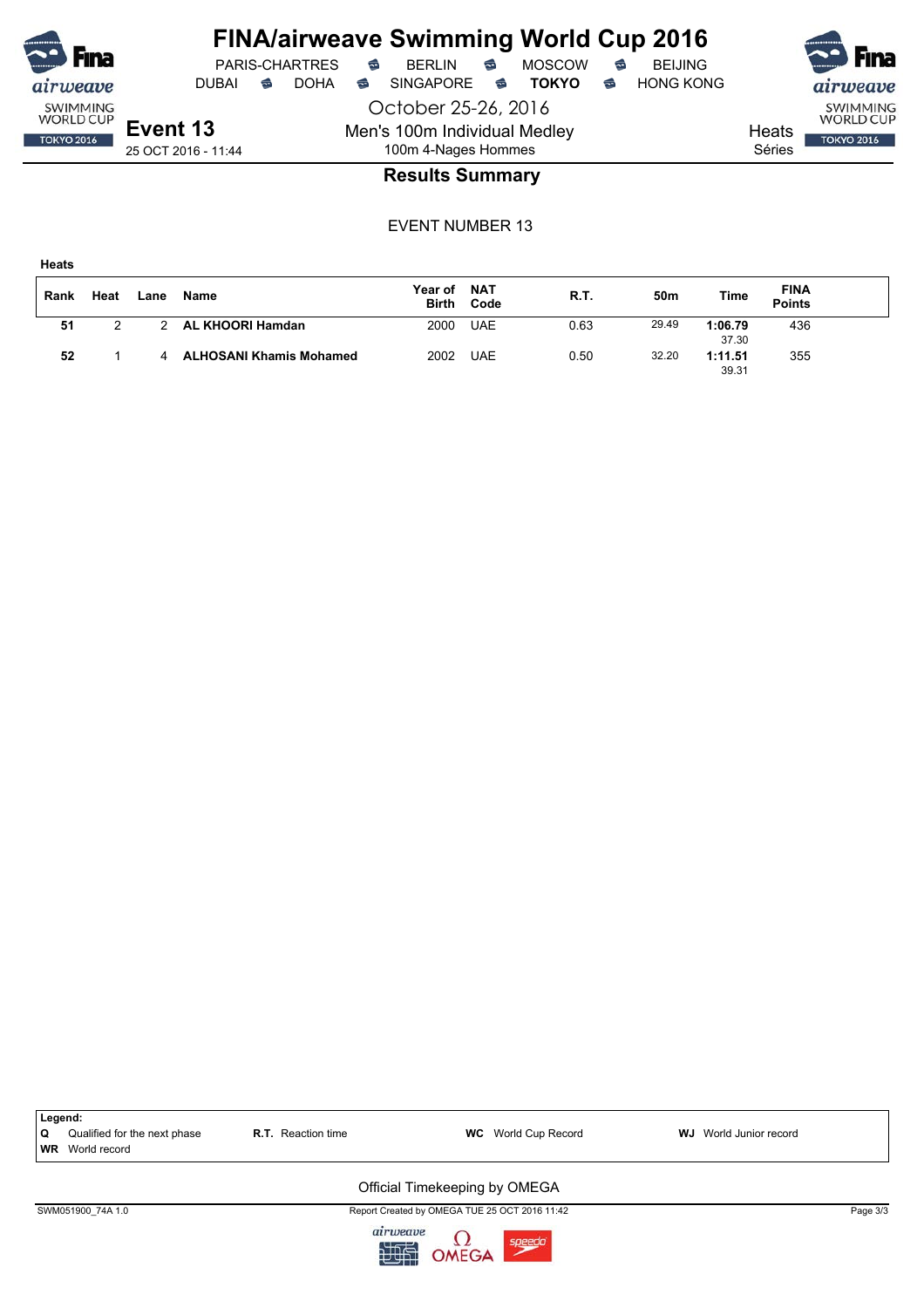

## **FINA/airweave Swimming World Cup 2016**

October 25-26, 2016 Men's 100m Individual Medley 100m 4-Nages Hommes



SWIMMING<br>WORLD CUP

**TOKYO 2016** 

Séries

**Heats** 

25 OCT 2016 - 11:44

## **Results Summary**

EVENT NUMBER 13

**Heats**

| Rank | Heat | Lane | <b>Name</b>                    | Year of<br><b>Birth</b> | <b>NAT</b><br>Code | R.T. | 50m   | Time             | <b>FINA</b><br><b>Points</b> |  |
|------|------|------|--------------------------------|-------------------------|--------------------|------|-------|------------------|------------------------------|--|
| 51   |      |      | AL KHOORI Hamdan               | 2000                    | <b>UAE</b>         | 0.63 | 29.49 | 1:06.79<br>37.30 | 436                          |  |
| 52   |      |      | <b>ALHOSANI Khamis Mohamed</b> | 2002                    | <b>UAE</b>         | 0.50 | 32.20 | 1:11.51<br>39.31 | 355                          |  |

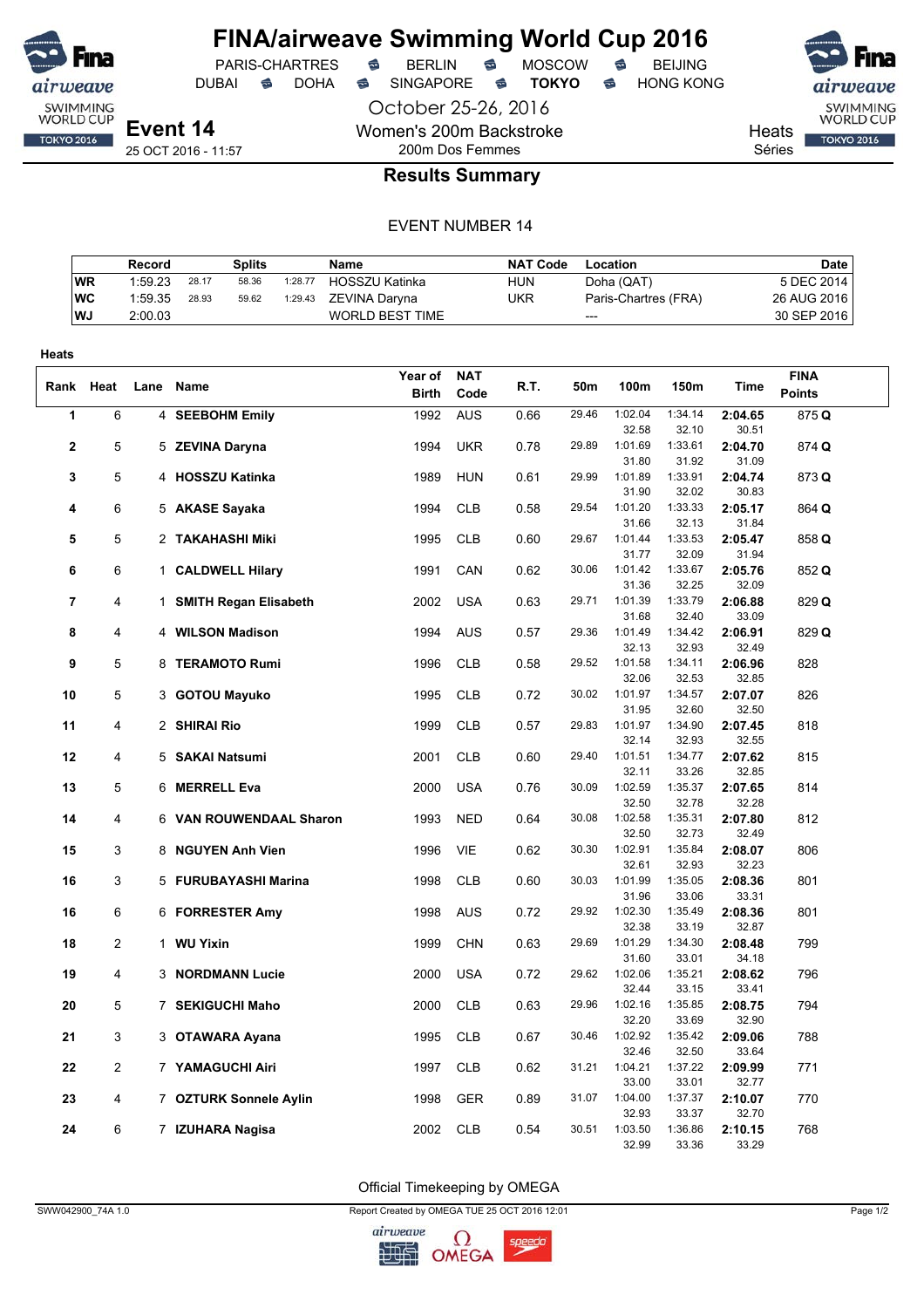

DUBAI **S** DOHA S SINGAPORE S **TOKYO** S HONG KONG

PARIS-CHARTRES **S** BERLIN S MOSCOW S

October 25-26, 2016 Women's 200m Backstroke 200m Dos Femmes



**TOKYO 2016** 

Heats

Séries

## **Results Summary**

#### EVENT NUMBER 14

|            | Record  |       | Splits |         | Name                   | NAT Code | Location             | <b>Date</b> |
|------------|---------|-------|--------|---------|------------------------|----------|----------------------|-------------|
| <b>WR</b>  | 1:59.23 | 28.17 | 58.36  | 1:28.77 | <b>HOSSZU Katinka</b>  | HUN      | Doha (QAT)           | 5 DEC 2014  |
| <b>IWC</b> | 1:59.35 | 28.93 | 59.62  | 1:29.43 | ZEVINA Darvna          | UKR      | Paris-Chartres (FRA) | 26 AUG 2016 |
| WJ.        | 2:00.03 |       |        |         | <b>WORLD BEST TIME</b> |          | ---                  | 30 SEP 2016 |

| Heats          |                |                         |              |            |      |       |                  |                  |                  |               |
|----------------|----------------|-------------------------|--------------|------------|------|-------|------------------|------------------|------------------|---------------|
|                |                |                         | Year of      | <b>NAT</b> |      |       |                  |                  |                  | <b>FINA</b>   |
| Rank Heat      |                | Lane Name               | <b>Birth</b> | Code       | R.T. | 50m   | 100m             | 150m             | Time             | <b>Points</b> |
| 1              | 6              | 4 SEEBOHM Emily         | 1992         | <b>AUS</b> | 0.66 | 29.46 | 1:02.04          | 1:34.14          | 2:04.65          | 875 Q         |
|                |                |                         |              |            |      |       | 32.58            | 32.10            | 30.51            |               |
| 2              | 5              | 5 ZEVINA Daryna         | 1994         | <b>UKR</b> | 0.78 | 29.89 | 1:01.69          | 1:33.61          | 2:04.70          | 874 Q         |
|                |                |                         |              |            |      |       | 31.80            | 31.92            | 31.09            |               |
| 3              | 5              | 4 HOSSZU Katinka        | 1989         | <b>HUN</b> | 0.61 | 29.99 | 1:01.89          | 1:33.91          | 2:04.74          | 873 Q         |
|                |                |                         |              |            |      |       | 31.90            | 32.02            | 30.83            |               |
| 4              | 6              | 5 AKASE Sayaka          | 1994         | <b>CLB</b> | 0.58 | 29.54 | 1:01.20          | 1:33.33          | 2:05.17          | 864 Q         |
|                |                |                         |              |            |      |       | 31.66            | 32.13            | 31.84            |               |
| 5              | 5              | 2 TAKAHASHI Miki        | 1995         | <b>CLB</b> | 0.60 | 29.67 | 1:01.44          | 1:33.53          | 2:05.47          | 858 Q         |
|                |                |                         |              |            |      | 30.06 | 31.77            | 32.09<br>1:33.67 | 31.94            |               |
| 6              | 6              | 1 CALDWELL Hilary       | 1991         | CAN        | 0.62 |       | 1:01.42<br>31.36 | 32.25            | 2:05.76<br>32.09 | 852 Q         |
| $\overline{7}$ | 4              | 1 SMITH Regan Elisabeth | 2002         | <b>USA</b> | 0.63 | 29.71 | 1:01.39          | 1:33.79          | 2:06.88          | 829 Q         |
|                |                |                         |              |            |      |       | 31.68            | 32.40            | 33.09            |               |
| 8              | 4              | 4 WILSON Madison        | 1994         | <b>AUS</b> | 0.57 | 29.36 | 1:01.49          | 1:34.42          | 2:06.91          | 829 Q         |
|                |                |                         |              |            |      |       | 32.13            | 32.93            | 32.49            |               |
| 9              | 5              | 8 TERAMOTO Rumi         | 1996         | <b>CLB</b> | 0.58 | 29.52 | 1:01.58          | 1:34.11          | 2:06.96          | 828           |
|                |                |                         |              |            |      |       | 32.06            | 32.53            | 32.85            |               |
| 10             | 5              | 3 GOTOU Mayuko          | 1995         | <b>CLB</b> | 0.72 | 30.02 | 1:01.97          | 1:34.57          | 2:07.07          | 826           |
|                |                |                         |              |            |      |       | 31.95            | 32.60            | 32.50            |               |
| 11             | 4              | 2 SHIRAI Rio            | 1999         | <b>CLB</b> | 0.57 | 29.83 | 1:01.97          | 1:34.90          | 2:07.45          | 818           |
|                |                |                         |              |            |      |       | 32.14            | 32.93            | 32.55            |               |
| 12             | 4              | 5 SAKAI Natsumi         | 2001         | <b>CLB</b> | 0.60 | 29.40 | 1:01.51          | 1:34.77          | 2:07.62          | 815           |
|                |                |                         |              |            |      |       | 32.11            | 33.26            | 32.85            |               |
| 13             | 5              | 6 MERRELL Eva           | 2000         | <b>USA</b> | 0.76 | 30.09 | 1:02.59          | 1:35.37          | 2:07.65          | 814           |
|                |                |                         |              |            |      |       | 32.50<br>1:02.58 | 32.78<br>1:35.31 | 32.28            |               |
| 14             | 4              | 6 VAN ROUWENDAAL Sharon | 1993         | <b>NED</b> | 0.64 | 30.08 | 32.50            | 32.73            | 2:07.80<br>32.49 | 812           |
| 15             | 3              | 8 NGUYEN Anh Vien       | 1996         | <b>VIE</b> | 0.62 | 30.30 | 1:02.91          | 1:35.84          | 2:08.07          | 806           |
|                |                |                         |              |            |      |       | 32.61            | 32.93            | 32.23            |               |
| 16             | 3              | 5 FURUBAYASHI Marina    | 1998         | <b>CLB</b> | 0.60 | 30.03 | 1:01.99          | 1:35.05          | 2:08.36          | 801           |
|                |                |                         |              |            |      |       | 31.96            | 33.06            | 33.31            |               |
| 16             | 6              | 6 FORRESTER Amy         | 1998         | <b>AUS</b> | 0.72 | 29.92 | 1:02.30          | 1:35.49          | 2:08.36          | 801           |
|                |                |                         |              |            |      |       | 32.38            | 33.19            | 32.87            |               |
| 18             | $\overline{c}$ | 1 WU Yixin              | 1999         | <b>CHN</b> | 0.63 | 29.69 | 1:01.29          | 1:34.30          | 2:08.48          | 799           |
|                |                |                         |              |            |      |       | 31.60            | 33.01            | 34.18            |               |
| 19             | 4              | 3 NORDMANN Lucie        | 2000         | <b>USA</b> | 0.72 | 29.62 | 1:02.06          | 1:35.21          | 2:08.62          | 796           |
|                |                |                         |              |            |      |       | 32.44            | 33.15            | 33.41            |               |
| 20             | 5              | 7 SEKIGUCHI Maho        | 2000         | <b>CLB</b> | 0.63 | 29.96 | 1:02.16          | 1:35.85          | 2:08.75          | 794           |
|                |                |                         |              |            |      | 30.46 | 32.20<br>1:02.92 | 33.69            | 32.90            |               |
| 21             | 3              | 3 OTAWARA Ayana         | 1995         | <b>CLB</b> | 0.67 |       | 32.46            | 1:35.42<br>32.50 | 2:09.06<br>33.64 | 788           |
| 22             | 2              | 7 YAMAGUCHI Airi        | 1997         | <b>CLB</b> | 0.62 | 31.21 | 1:04.21          | 1:37.22          | 2:09.99          | 771           |
|                |                |                         |              |            |      |       | 33.00            | 33.01            | 32.77            |               |
| 23             | 4              | 7 OZTURK Sonnele Aylin  | 1998         | <b>GER</b> | 0.89 | 31.07 | 1:04.00          | 1:37.37          | 2:10.07          | 770           |
|                |                |                         |              |            |      |       | 32.93            | 33.37            | 32.70            |               |
| 24             | 6              | 7 IZUHARA Nagisa        | 2002         | <b>CLB</b> | 0.54 | 30.51 | 1:03.50          | 1:36.86          | 2:10.15          | 768           |
|                |                |                         |              |            |      |       | 32.99            | 33.36            | 33.29            |               |

Official Timekeeping by OMEGA

SWW042900\_74A 1.0 Page 1/2

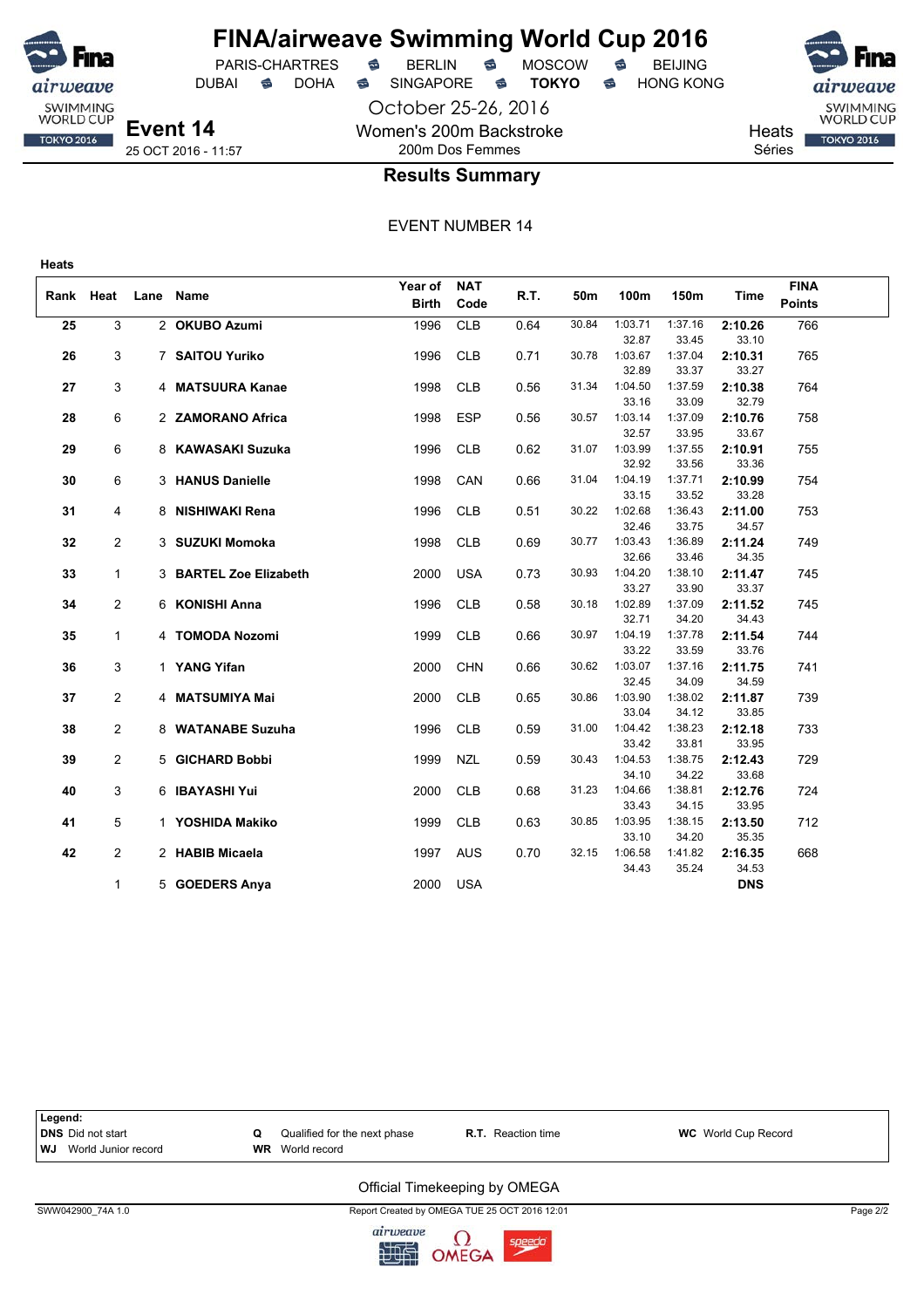

## **FINA/airweave Swimming World Cup 2016**

DUBAI **S** DOHA SINGAPORE S **TOKYO** S HONG KONG

PARIS-CHARTRES **B** BERLIN **B** MOSCOW **B** BEIJING

October 25-26, 2016 Women's 200m Backstroke 200m Dos Femmes



Heats Séries

## **Results Summary**

EVENT NUMBER 14

|      |                |      |                        | Year of      | <b>NAT</b> |      |       |                  |                  |                  | <b>FINA</b>   |  |
|------|----------------|------|------------------------|--------------|------------|------|-------|------------------|------------------|------------------|---------------|--|
| Rank | Heat           | Lane | Name                   | <b>Birth</b> | Code       | R.T. | 50m   | 100m             | 150m             | Time             | <b>Points</b> |  |
| 25   | 3              |      | 2 OKUBO Azumi          | 1996         | <b>CLB</b> | 0.64 | 30.84 | 1:03.71          | 1:37.16          | 2:10.26          | 766           |  |
|      |                |      |                        |              |            |      |       | 32.87            | 33.45            | 33.10            |               |  |
| 26   | 3              |      | 7 SAITOU Yuriko        | 1996         | <b>CLB</b> | 0.71 | 30.78 | 1:03.67          | 1:37.04          | 2:10.31          | 765           |  |
|      |                |      |                        |              |            |      |       | 32.89            | 33.37            | 33.27            |               |  |
| 27   | 3              |      | 4 MATSUURA Kanae       | 1998         | <b>CLB</b> | 0.56 | 31.34 | 1:04.50          | 1:37.59          | 2:10.38          | 764           |  |
|      |                |      |                        |              |            |      |       | 33.16            | 33.09            | 32.79            |               |  |
| 28   | 6              |      | 2 ZAMORANO Africa      | 1998         | <b>ESP</b> | 0.56 | 30.57 | 1:03.14          | 1:37.09          | 2:10.76          | 758           |  |
|      |                |      |                        |              |            |      |       | 32.57            | 33.95            | 33.67            |               |  |
| 29   | 6              |      | 8 KAWASAKI Suzuka      | 1996         | <b>CLB</b> | 0.62 | 31.07 | 1:03.99          | 1:37.55          | 2:10.91          | 755           |  |
|      |                |      |                        |              |            |      |       | 32.92            | 33.56            | 33.36            |               |  |
| 30   | 6              |      | 3 HANUS Danielle       | 1998         | CAN        | 0.66 | 31.04 | 1:04.19          | 1:37.71          | 2:10.99          | 754           |  |
|      |                |      |                        |              |            |      |       | 33.15            | 33.52            | 33.28            |               |  |
| 31   | 4              |      | 8 NISHIWAKI Rena       | 1996         | <b>CLB</b> | 0.51 | 30.22 | 1:02.68          | 1:36.43          | 2:11.00          | 753           |  |
|      |                |      |                        |              |            |      | 30.77 | 32.46<br>1:03.43 | 33.75<br>1:36.89 | 34.57            |               |  |
| 32   | 2              |      | 3 SUZUKI Momoka        | 1998         | <b>CLB</b> | 0.69 |       | 32.66            | 33.46            | 2:11.24<br>34.35 | 749           |  |
| 33   | $\mathbf{1}$   |      | 3 BARTEL Zoe Elizabeth | 2000         | <b>USA</b> | 0.73 | 30.93 | 1:04.20          | 1:38.10          | 2:11.47          | 745           |  |
|      |                |      |                        |              |            |      |       | 33.27            | 33.90            | 33.37            |               |  |
| 34   | $\overline{2}$ |      | 6 KONISHI Anna         | 1996         | <b>CLB</b> | 0.58 | 30.18 | 1:02.89          | 1:37.09          | 2:11.52          | 745           |  |
|      |                |      |                        |              |            |      |       | 32.71            | 34.20            | 34.43            |               |  |
| 35   | $\mathbf{1}$   |      | 4 TOMODA Nozomi        | 1999         | <b>CLB</b> | 0.66 | 30.97 | 1:04.19          | 1:37.78          | 2:11.54          | 744           |  |
|      |                |      |                        |              |            |      |       | 33.22            | 33.59            | 33.76            |               |  |
| 36   | 3              |      | 1 YANG Yifan           | 2000         | <b>CHN</b> | 0.66 | 30.62 | 1:03.07          | 1:37.16          | 2:11.75          | 741           |  |
|      |                |      |                        |              |            |      |       | 32.45            | 34.09            | 34.59            |               |  |
| 37   | 2              |      | 4 MATSUMIYA Mai        | 2000         | <b>CLB</b> | 0.65 | 30.86 | 1:03.90          | 1:38.02          | 2:11.87          | 739           |  |
|      |                |      |                        |              |            |      |       | 33.04            | 34.12            | 33.85            |               |  |
| 38   | 2              |      | 8 WATANABE Suzuha      | 1996         | <b>CLB</b> | 0.59 | 31.00 | 1:04.42          | 1:38.23          | 2:12.18          | 733           |  |
|      |                |      |                        |              |            |      |       | 33.42            | 33.81            | 33.95            |               |  |
| 39   | $\overline{2}$ |      | 5 GICHARD Bobbi        | 1999         | <b>NZL</b> | 0.59 | 30.43 | 1:04.53<br>34.10 | 1:38.75<br>34.22 | 2:12.43<br>33.68 | 729           |  |
| 40   | 3              |      | 6 IBAYASHI Yui         | 2000         | <b>CLB</b> | 0.68 | 31.23 | 1:04.66          | 1:38.81          | 2:12.76          | 724           |  |
|      |                |      |                        |              |            |      |       | 33.43            | 34.15            | 33.95            |               |  |
| 41   | 5              |      | 1 YOSHIDA Makiko       | 1999         | <b>CLB</b> | 0.63 | 30.85 | 1:03.95          | 1:38.15          | 2:13.50          | 712           |  |
|      |                |      |                        |              |            |      |       | 33.10            | 34.20            | 35.35            |               |  |
| 42   | 2              |      | 2 HABIB Micaela        | 1997         | <b>AUS</b> | 0.70 | 32.15 | 1:06.58          | 1:41.82          | 2:16.35          | 668           |  |
|      |                |      |                        |              |            |      |       | 34.43            | 35.24            | 34.53            |               |  |
|      | $\mathbf{1}$   |      | 5 GOEDERS Anya         | 2000         | <b>USA</b> |      |       |                  |                  | <b>DNS</b>       |               |  |



SWW042900\_74A 1.0 Report Created by OMEGA TUE 25 OCT 2016 12:01 Page 2/2

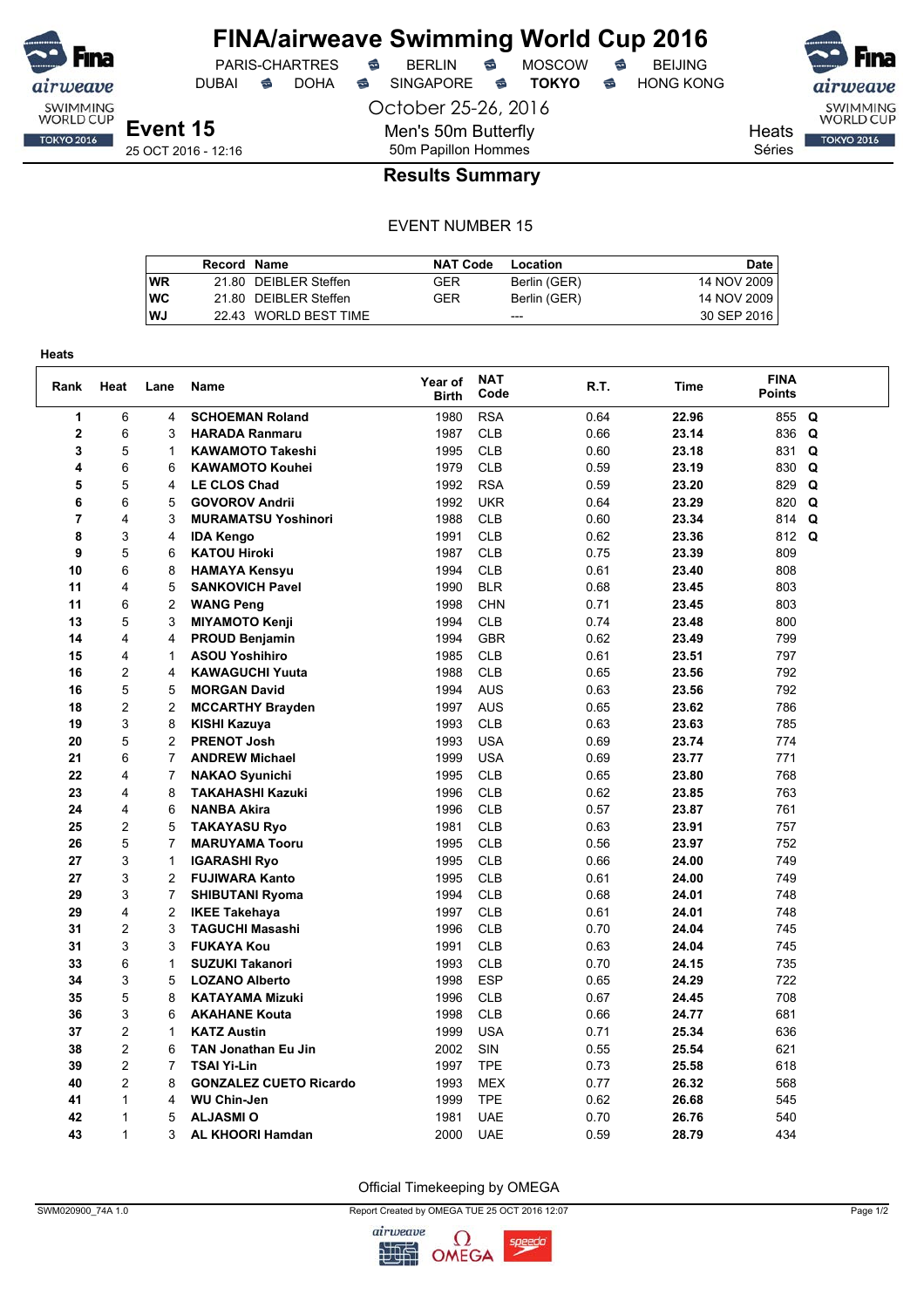

## **FINA/airweave Swimming World Cup 2016**<br>PARIS-CHARTRES **& BERLIN & MOSCOW & BEIJING** PARIS-CHARTRES **S** BERLIN S MOSCOW S

DUBAI **S** DOHA S SINGAPORE S **TOKYO** S HONG KONG

Séries

airwea SWIMMING<br>WORLD CUP Heats **TOKYO 2016** 

**Event 15** 25 OCT 2016 - 12:16 October 25-26, 2016 Men's 50m Butterfly 50m Papillon Hommes

**Results Summary**

### EVENT NUMBER 15

|           | Record Name |                       | <b>NAT Code</b> | Location     | Date I      |
|-----------|-------------|-----------------------|-----------------|--------------|-------------|
| <b>WR</b> |             | 21.80 DEIBLER Steffen | GER             | Berlin (GER) | 14 NOV 2009 |
| <b>WC</b> |             | 21.80 DEIBLER Steffen | GER             | Berlin (GER) | 14 NOV 2009 |
| <b>WJ</b> |             | 22.43 WORLD BEST TIME |                 | ---          | 30 SEP 2016 |

| Rank           | Heat           | Lane           | Name                          | Year of<br><b>Birth</b> | <b>NAT</b><br>Code | R.T. | Time  | <b>FINA</b><br><b>Points</b> |  |
|----------------|----------------|----------------|-------------------------------|-------------------------|--------------------|------|-------|------------------------------|--|
| 1              | 6              | 4              | <b>SCHOEMAN Roland</b>        | 1980                    | <b>RSA</b>         | 0.64 | 22.96 | 855 Q                        |  |
| $\mathbf 2$    | 6              | 3              | <b>HARADA Ranmaru</b>         | 1987                    | <b>CLB</b>         | 0.66 | 23.14 | 836<br>Q                     |  |
| 3              | 5              | $\mathbf{1}$   | <b>KAWAMOTO Takeshi</b>       | 1995                    | <b>CLB</b>         | 0.60 | 23.18 | Q<br>831                     |  |
| 4              | 6              | 6              | <b>KAWAMOTO Kouhei</b>        | 1979                    | <b>CLB</b>         | 0.59 | 23.19 | 830 Q                        |  |
| 5              | 5              | 4              | <b>LE CLOS Chad</b>           | 1992                    | <b>RSA</b>         | 0.59 | 23.20 | 829<br>Q                     |  |
| 6              | 6              | 5              | <b>GOVOROV Andrii</b>         | 1992                    | <b>UKR</b>         | 0.64 | 23.29 | 820<br>Q                     |  |
| $\overline{7}$ | 4              | 3              | <b>MURAMATSU Yoshinori</b>    | 1988                    | <b>CLB</b>         | 0.60 | 23.34 | 814 Q                        |  |
| 8              | 3              | 4              | <b>IDA Kengo</b>              | 1991                    | <b>CLB</b>         | 0.62 | 23.36 | 812 Q                        |  |
| 9              | 5              | 6              | <b>KATOU Hiroki</b>           | 1987                    | <b>CLB</b>         | 0.75 | 23.39 | 809                          |  |
| 10             | 6              | 8              | <b>HAMAYA Kensyu</b>          | 1994                    | <b>CLB</b>         | 0.61 | 23.40 | 808                          |  |
| 11             | 4              | 5              | <b>SANKOVICH Pavel</b>        | 1990                    | <b>BLR</b>         | 0.68 | 23.45 | 803                          |  |
| 11             | 6              | 2              | <b>WANG Peng</b>              | 1998                    | <b>CHN</b>         | 0.71 | 23.45 | 803                          |  |
| 13             | 5              | 3              | <b>MIYAMOTO Kenji</b>         | 1994                    | <b>CLB</b>         | 0.74 | 23.48 | 800                          |  |
| 14             | 4              | 4              | <b>PROUD Benjamin</b>         | 1994                    | <b>GBR</b>         | 0.62 | 23.49 | 799                          |  |
| 15             | 4              | 1              | <b>ASOU Yoshihiro</b>         | 1985                    | <b>CLB</b>         | 0.61 | 23.51 | 797                          |  |
| 16             | $\overline{c}$ | 4              | <b>KAWAGUCHI Yuuta</b>        | 1988                    | <b>CLB</b>         | 0.65 | 23.56 | 792                          |  |
| 16             | 5              | 5              | <b>MORGAN David</b>           | 1994                    | <b>AUS</b>         | 0.63 | 23.56 | 792                          |  |
| 18             | 2              | 2              | <b>MCCARTHY Brayden</b>       | 1997                    | <b>AUS</b>         | 0.65 | 23.62 | 786                          |  |
| 19             | 3              | 8              | KISHI Kazuya                  | 1993                    | <b>CLB</b>         | 0.63 | 23.63 | 785                          |  |
| 20             | 5              | $\overline{2}$ | <b>PRENOT Josh</b>            | 1993                    | <b>USA</b>         | 0.69 | 23.74 | 774                          |  |
| 21             | 6              | $\overline{7}$ | <b>ANDREW Michael</b>         | 1999                    | <b>USA</b>         | 0.69 | 23.77 | 771                          |  |
| 22             | 4              | $\overline{7}$ | <b>NAKAO Syunichi</b>         | 1995                    | <b>CLB</b>         | 0.65 | 23.80 | 768                          |  |
| 23             | 4              | 8              | <b>TAKAHASHI Kazuki</b>       | 1996                    | <b>CLB</b>         | 0.62 | 23.85 | 763                          |  |
| 24             | 4              | 6              | <b>NANBA Akira</b>            | 1996                    | <b>CLB</b>         | 0.57 | 23.87 | 761                          |  |
| 25             | 2              | 5              | <b>TAKAYASU Ryo</b>           | 1981                    | <b>CLB</b>         | 0.63 | 23.91 | 757                          |  |
| 26             | 5              | 7              | <b>MARUYAMA Tooru</b>         | 1995                    | <b>CLB</b>         | 0.56 | 23.97 | 752                          |  |
| 27             | 3              | $\mathbf{1}$   | <b>IGARASHI Ryo</b>           | 1995                    | <b>CLB</b>         | 0.66 | 24.00 | 749                          |  |
| 27             | 3              | $\overline{2}$ | <b>FUJIWARA Kanto</b>         | 1995                    | <b>CLB</b>         | 0.61 | 24.00 | 749                          |  |
| 29             | 3              | 7              | <b>SHIBUTANI Ryoma</b>        | 1994                    | <b>CLB</b>         | 0.68 | 24.01 | 748                          |  |
| 29             | 4              | $\overline{2}$ | <b>IKEE Takehaya</b>          | 1997                    | <b>CLB</b>         | 0.61 | 24.01 | 748                          |  |
| 31             | $\overline{c}$ | 3              | <b>TAGUCHI Masashi</b>        | 1996                    | <b>CLB</b>         | 0.70 | 24.04 | 745                          |  |
| 31             | 3              | 3              | <b>FUKAYA Kou</b>             | 1991                    | <b>CLB</b>         | 0.63 | 24.04 | 745                          |  |
| 33             | 6              | $\mathbf{1}$   | <b>SUZUKI Takanori</b>        | 1993                    | <b>CLB</b>         | 0.70 | 24.15 | 735                          |  |
| 34             | 3              | 5              | <b>LOZANO Alberto</b>         | 1998                    | <b>ESP</b>         | 0.65 | 24.29 | 722                          |  |
| 35             | 5              | 8              | <b>KATAYAMA Mizuki</b>        | 1996                    | <b>CLB</b>         | 0.67 | 24.45 | 708                          |  |
| 36             | 3              | 6              | <b>AKAHANE Kouta</b>          | 1998                    | <b>CLB</b>         | 0.66 | 24.77 | 681                          |  |
| 37             | 2              | 1              | <b>KATZ Austin</b>            | 1999                    | <b>USA</b>         | 0.71 | 25.34 | 636                          |  |
| 38             | $\overline{2}$ | 6              | <b>TAN Jonathan Eu Jin</b>    | 2002                    | SIN                | 0.55 | 25.54 | 621                          |  |
| 39             | 2              | 7              | <b>TSAI Yi-Lin</b>            | 1997                    | <b>TPE</b>         | 0.73 | 25.58 | 618                          |  |
| 40             | $\overline{c}$ | 8              | <b>GONZALEZ CUETO Ricardo</b> | 1993                    | <b>MEX</b>         | 0.77 | 26.32 | 568                          |  |
| 41             | $\mathbf{1}$   | 4              | <b>WU Chin-Jen</b>            | 1999                    | <b>TPE</b>         | 0.62 | 26.68 | 545                          |  |
| 42             | $\mathbf{1}$   | 5              | <b>ALJASMIO</b>               | 1981                    | <b>UAE</b>         | 0.70 | 26.76 | 540                          |  |
| 43             | $\mathbf{1}$   | 3              | <b>AL KHOORI Hamdan</b>       | 2000                    | <b>UAE</b>         | 0.59 | 28.79 | 434                          |  |

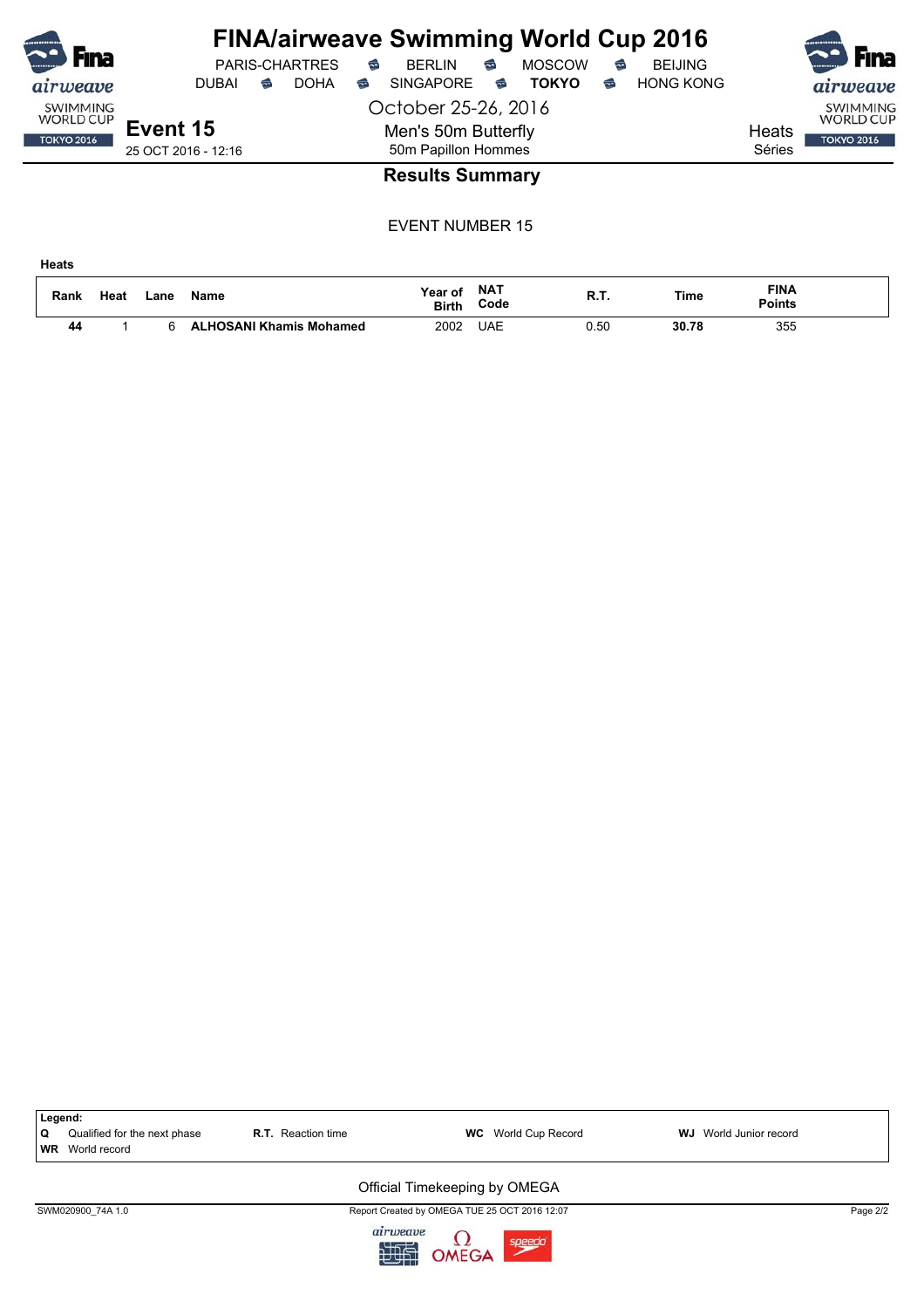| <b>F</b> ina                        |                     |   | <b>PARIS-CHARTRES</b> | ⇔ | <b>FINA/airweave Swimming World Cup 2016</b><br><b>BERLIN</b> | €                      | <b>MOSCOW</b> | € | <b>BEIJING</b>   |        | <b>Fina</b>                         |
|-------------------------------------|---------------------|---|-----------------------|---|---------------------------------------------------------------|------------------------|---------------|---|------------------|--------|-------------------------------------|
| airweave                            | <b>DUBAI</b>        | ⇔ | <b>DOHA</b>           | ⇔ | <b>SINGAPORE</b>                                              | $\widehat{\mathbb{C}}$ | <b>TOKYO</b>  | ຣ | <b>HONG KONG</b> |        | airweave                            |
| <b>SWIMMING</b><br><b>WORLD CUP</b> | October 25-26, 2016 |   |                       |   |                                                               |                        |               |   |                  |        | <b>SWIMMING</b><br><b>WORLD CUP</b> |
| <b>TOKYO 2016</b>                   | Event 15            |   |                       |   | Men's 50m Butterfly                                           |                        |               |   |                  | Heats  | <b>TOKYO 2016</b>                   |
|                                     | 25 OCT 2016 - 12:16 |   |                       |   | 50m Papillon Hommes                                           |                        |               |   |                  | Séries |                                     |
|                                     |                     |   |                       |   | <b>Results Summary</b>                                        |                        |               |   |                  |        |                                     |

EVENT NUMBER 15

**Heats**

| Rank | Heat | _ane | <b>Name</b>                  | Year of<br><b>Birth</b> | <b>NAT</b><br>Code | D 1<br>. | Time  | <b>FINA</b><br>Points |  |
|------|------|------|------------------------------|-------------------------|--------------------|----------|-------|-----------------------|--|
| 44   |      |      | <b>HOSANI Khamis Mohamed</b> | 2002                    | UAE                | 0.50     | 30.78 | 355<br>$ -$           |  |

| Legend:<br>Qualified for the next phase<br>Q<br><b>WR</b> World record | <b>R.T.</b> Reaction time | <b>WC</b> World Cup Record                    | <b>WJ</b> World Junior record |          |  |  |  |  |  |  |  |
|------------------------------------------------------------------------|---------------------------|-----------------------------------------------|-------------------------------|----------|--|--|--|--|--|--|--|
| Official Timekeeping by OMEGA                                          |                           |                                               |                               |          |  |  |  |  |  |  |  |
| SWM020900 74A 1.0                                                      |                           | Report Created by OMEGA TUE 25 OCT 2016 12:07 |                               | Page 2/2 |  |  |  |  |  |  |  |
|                                                                        | airweave<br>地面            | $\frac{\Omega}{\Omega}$<br>speedo             |                               |          |  |  |  |  |  |  |  |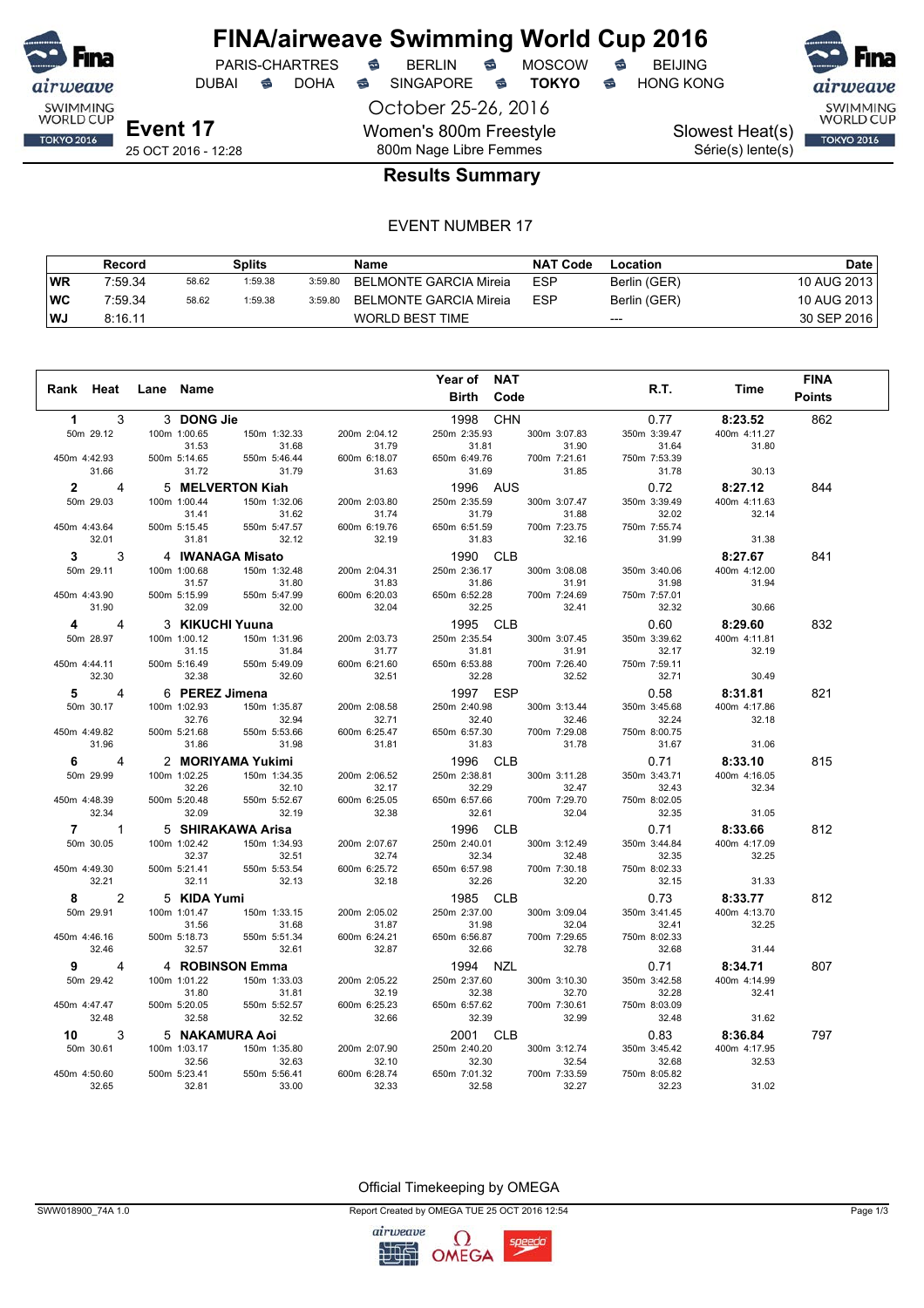

## **FINA/airweave Swimming World Cup 2016**<br>PARIS-CHARTRES **& BERLIN & MOSCOW & BEIJING** PARIS-CHARTRES **S** BERLIN S MOSCOW S

DUBAI **S** DOHA S SINGAPORE S **TOKYO** S HONG KONG

October 25-26, 2016 Women's 800m Freestyle 800m Nage Libre Femmes

SWIMMING<br>WORLD CUP

## Slowest Heat(s)

Série(s) lente(s)

# **TOKYO 2016**

25 OCT 2016 - 12:28

## **Results Summary**

#### EVENT NUMBER 17

|           | Record  |       | Splits  |         | Name                   | <b>NAT Code</b> | Location     | <b>Date</b> |
|-----------|---------|-------|---------|---------|------------------------|-----------------|--------------|-------------|
| WR        | 7:59.34 | 58.62 | 1:59.38 | 3:59.80 | BELMONTE GARCIA Mireia | <b>ESP</b>      | Berlin (GER) | 10 AUG 2013 |
| <b>WC</b> | 7:59.34 | 58.62 | 1:59.38 | 3:59.80 | BELMONTE GARCIA Mireia | <b>ESP</b>      | Berlin (GER) | 10 AUG 2013 |
| l WJ      | 8:16.11 |       |         |         | <b>WORLD BEST TIME</b> |                 | $---$        | 30 SEP 2016 |

|                   |                         |                |                   |              | Year of NAT        |              |              |              | <b>FINA</b>   |
|-------------------|-------------------------|----------------|-------------------|--------------|--------------------|--------------|--------------|--------------|---------------|
| Rank Heat         |                         | Lane Name      |                   |              | Code<br>Birth      |              | R.T.         | Time         | <b>Points</b> |
|                   |                         |                |                   |              |                    |              |              |              |               |
| $\mathbf 1$       | 3                       | 3 DONG Jie     |                   |              | <b>CHN</b><br>1998 |              | 0.77         | 8:23.52      | 862           |
| 50m 29.12         |                         | 100m 1:00.65   | 150m 1:32.33      | 200m 2:04.12 | 250m 2:35.93       | 300m 3:07.83 | 350m 3:39.47 | 400m 4:11.27 |               |
|                   |                         | 31.53          | 31.68             | 31.79        | 31.81              | 31.90        | 31.64        | 31.80        |               |
| 450m 4:42.93      |                         | 500m 5:14.65   | 550m 5:46.44      | 600m 6:18.07 | 650m 6:49.76       | 700m 7:21.61 | 750m 7:53.39 |              |               |
| 31.66             |                         | 31.72          | 31.79             | 31.63        | 31.69              | 31.85        | 31.78        | 30.13        |               |
| $2^{\circ}$       | 4                       |                | 5 MELVERTON Kiah  |              | 1996 AUS           |              | 0.72         | 8:27.12      | 844           |
| 50m 29.03         |                         | 100m 1:00.44   | 150m 1:32.06      | 200m 2:03.80 | 250m 2:35.59       | 300m 3:07.47 | 350m 3:39.49 | 400m 4:11.63 |               |
|                   |                         | 31.41          | 31.62             | 31.74        | 31.79              | 31.88        | 32.02        | 32.14        |               |
| 450m 4:43.64      |                         | 500m 5:15.45   | 550m 5:47.57      | 600m 6:19.76 | 650m 6:51.59       | 700m 7:23.75 | 750m 7:55.74 |              |               |
| 32.01             |                         | 31.81          | 32.12             | 32.19        | 31.83              | 32.16        | 31.99        | 31.38        |               |
| $3^{\circ}$       | 3                       |                | 4 IWANAGA Misato  |              | 1990 CLB           |              |              | 8:27.67      | 841           |
| 50m 29.11         |                         | 100m 1:00.68   | 150m 1:32.48      | 200m 2:04.31 | 250m 2:36.17       | 300m 3:08.08 | 350m 3:40.06 | 400m 4:12.00 |               |
|                   |                         | 31.57          | 31.80             | 31.83        | 31.86              | 31.91        | 31.98        | 31.94        |               |
| 450m 4:43.90      |                         | 500m 5:15.99   | 550m 5:47.99      | 600m 6:20.03 | 650m 6:52.28       | 700m 7:24.69 | 750m 7:57.01 |              |               |
| 31.90             |                         | 32.09          | 32.00             | 32.04        | 32.25              | 32.41        | 32.32        | 30.66        |               |
| $\overline{4}$    | 4                       |                | 3 KIKUCHI Yuuna   |              | 1995 CLB           |              | 0.60         | 8:29.60      | 832           |
| 50m 28.97         |                         | 100m 1:00.12   | 150m 1:31.96      | 200m 2:03.73 | 250m 2:35.54       | 300m 3:07.45 | 350m 3:39.62 | 400m 4:11.81 |               |
|                   |                         | 31.15          | 31.84             | 31.77        | 31.81              | 31.91        | 32.17        | 32.19        |               |
| 450m 4:44.11      |                         | 500m 5:16.49   | 550m 5:49.09      | 600m 6:21.60 | 650m 6:53.88       | 700m 7:26.40 | 750m 7:59.11 |              |               |
| 32.30             |                         | 32.38          | 32.60             | 32.51        | 32.28              | 32.52        | 32.71        | 30.49        |               |
| $5^{\circ}$       | 4                       | 6 PEREZ Jimena |                   |              | 1997 ESP           |              | 0.58         | 8:31.81      | 821           |
| 50m 30.17         |                         | 100m 1:02.93   | 150m 1:35.87      | 200m 2:08.58 | 250m 2:40.98       | 300m 3:13.44 | 350m 3:45.68 | 400m 4:17.86 |               |
|                   |                         | 32.76          | 32.94             | 32.71        | 32.40              | 32.46        | 32.24        | 32.18        |               |
| 450m 4:49.82      |                         | 500m 5:21.68   | 550m 5:53.66      | 600m 6:25.47 | 650m 6:57.30       | 700m 7:29.08 | 750m 8:00.75 |              |               |
| 31.96             |                         | 31.86          | 31.98             | 31.81        | 31.83              | 31.78        | 31.67        | 31.06        |               |
| $6 \qquad \qquad$ | $\overline{\mathbf{A}}$ |                | 2 MORIYAMA Yukimi |              | 1996 CLB           |              | 0.71         | 8:33.10      | 815           |
| 50m 29.99         |                         | 100m 1:02.25   | 150m 1:34.35      | 200m 2:06.52 | 250m 2:38.81       | 300m 3:11.28 | 350m 3:43.71 | 400m 4:16.05 |               |
|                   |                         | 32.26          | 32.10             | 32.17        | 32.29              | 32.47        | 32.43        | 32.34        |               |
| 450m 4:48.39      |                         | 500m 5:20.48   | 550m 5:52.67      | 600m 6:25.05 | 650m 6:57.66       | 700m 7:29.70 | 750m 8:02.05 |              |               |
| 32.34             |                         | 32.09          | 32.19             | 32.38        | 32.61              | 32.04        | 32.35        | 31.05        |               |
| $7 \quad 1$       |                         |                | 5 SHIRAKAWA Arisa |              | 1996 CLB           |              | 0.71         | 8:33.66      | 812           |
| 50m 30.05         |                         | 100m 1:02.42   | 150m 1:34.93      | 200m 2:07.67 | 250m 2:40.01       | 300m 3:12.49 | 350m 3:44.84 | 400m 4:17.09 |               |
|                   |                         | 32.37          | 32.51             | 32.74        | 32.34              | 32.48        | 32.35        | 32.25        |               |
| 450m 4:49.30      |                         | 500m 5:21.41   | 550m 5:53.54      | 600m 6:25.72 | 650m 6:57.98       | 700m 7:30.18 | 750m 8:02.33 |              |               |
| 32.21             |                         | 32.11          | 32.13             | 32.18        | 32.26              | 32.20        | 32.15        | 31.33        |               |
| $8^{\circ}$       | $\mathcal{P}$           | 5 KIDA Yumi    |                   |              | 1985 CLB           |              | 0.73         | 8:33.77      | 812           |
| 50m 29.91         |                         | 100m 1:01.47   | 150m 1:33.15      | 200m 2:05.02 | 250m 2:37.00       | 300m 3:09.04 | 350m 3:41.45 | 400m 4:13.70 |               |
|                   |                         | 31.56          | 31.68             | 31.87        | 31.98              | 32.04        | 32.41        | 32.25        |               |
| 450m 4:46.16      |                         | 500m 5:18.73   | 550m 5:51.34      | 600m 6:24.21 | 650m 6:56.87       | 700m 7:29.65 | 750m 8:02.33 |              |               |
| 32.46             |                         | 32.57          | 32.61             | 32.87        | 32.66              | 32.78        | 32.68        | 31.44        |               |
| $9^{\circ}$       | 4                       |                | 4 ROBINSON Emma   |              | 1994 NZL           |              | 0.71         | 8:34.71      | 807           |
| 50m 29.42         |                         | 100m 1:01.22   | 150m 1:33.03      | 200m 2:05.22 | 250m 2:37.60       | 300m 3:10.30 | 350m 3:42.58 | 400m 4:14.99 |               |
|                   |                         | 31.80          | 31.81             | 32.19        | 32.38              | 32.70        | 32.28        | 32.41        |               |
| 450m 4:47.47      |                         | 500m 5:20.05   | 550m 5:52.57      | 600m 6:25.23 | 650m 6:57.62       | 700m 7:30.61 | 750m 8:03.09 |              |               |
| 32.48             |                         | 32.58          | 32.52             | 32.66        | 32.39              | 32.99        | 32.48        | 31.62        |               |
| 10                | 3                       |                | 5 NAKAMURA Aoi    |              | 2001 CLB           |              | 0.83         | 8:36.84      | 797           |
| 50m 30.61         |                         | 100m 1:03.17   | 150m 1:35.80      | 200m 2:07.90 | 250m 2:40.20       | 300m 3:12.74 | 350m 3:45.42 | 400m 4:17.95 |               |
|                   |                         | 32.56          | 32.63             | 32.10        | 32.30              | 32.54        | 32.68        | 32.53        |               |
| 450m 4:50.60      |                         | 500m 5:23.41   | 550m 5:56.41      | 600m 6:28.74 | 650m 7:01.32       | 700m 7:33.59 | 750m 8:05.82 |              |               |
| 32.65             |                         | 32.81          | 33.00             | 32.33        | 32.58              | 32.27        | 32.23        | 31.02        |               |

Official Timekeeping by OMEGA

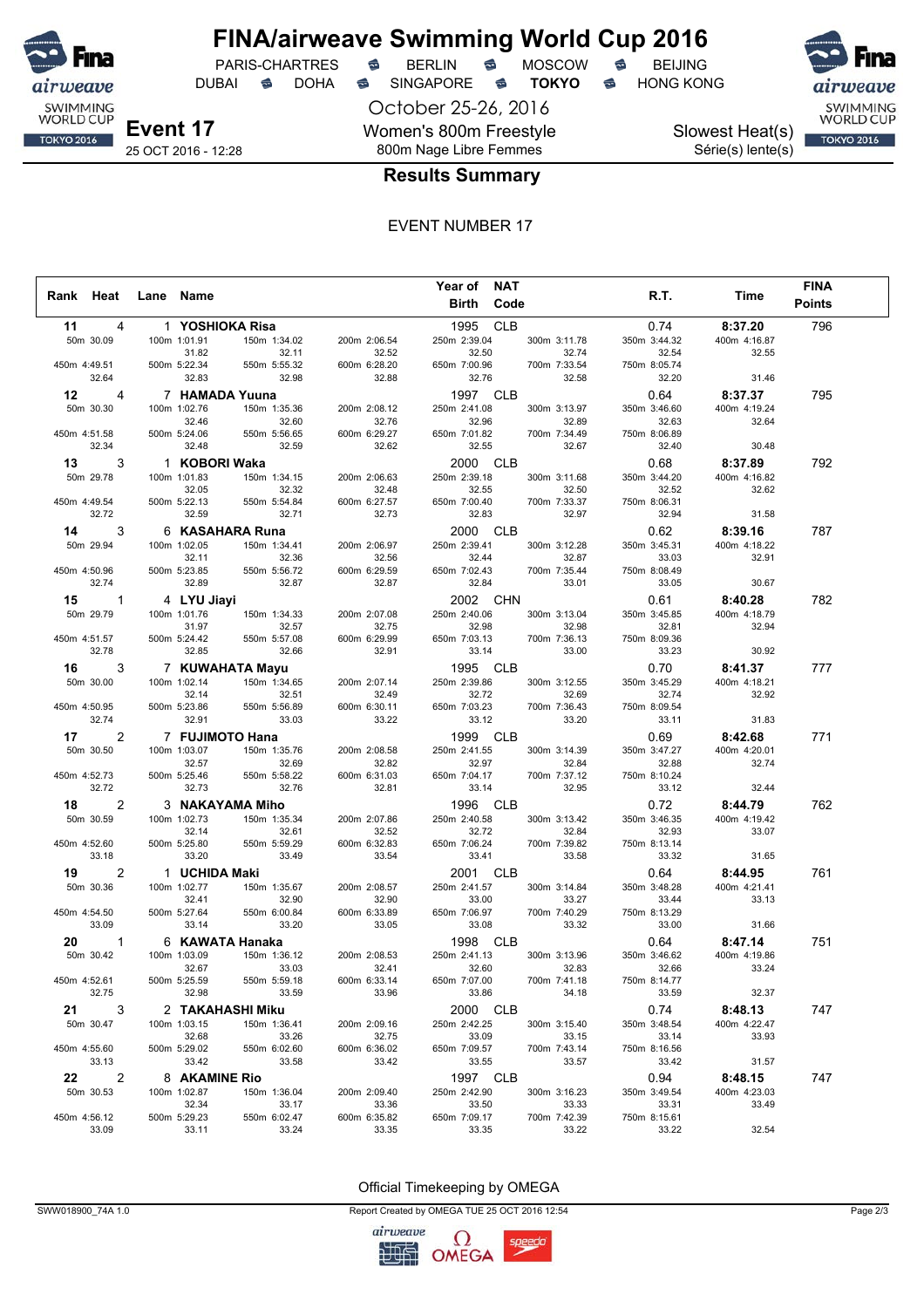

DUBAI **S** DOHA S SINGAPORE S **TOKYO** S HONG KONG

PARIS-CHARTRES **S** BERLIN S MOSCOW S

October 25-26, 2016 Women's 800m Freestyle 800m Nage Libre Femmes

Slowest Heat(s) Série(s) lente(s)



## **Results Summary**

#### EVENT NUMBER 17

|                  |                |           |                       |                       |                       | Year of NAT           |                       |                       |                       | <b>FINA</b>   |  |
|------------------|----------------|-----------|-----------------------|-----------------------|-----------------------|-----------------------|-----------------------|-----------------------|-----------------------|---------------|--|
| Rank Heat        |                | Lane Name |                       |                       |                       |                       | <b>Birth Code</b>     | R.T.                  | Time                  | <b>Points</b> |  |
|                  |                |           |                       |                       |                       |                       |                       |                       |                       |               |  |
| 11               | 4              |           |                       | 1 YOSHIOKA Risa       |                       | 1995 CLB              |                       | 0.74                  | 8:37.20               | 796           |  |
| 50m 30.09        |                |           | 100m 1:01.91<br>31.82 | 150m 1:34.02<br>32.11 | 200m 2:06.54<br>32.52 | 250m 2:39.04<br>32.50 | 300m 3:11.78<br>32.74 | 350m 3:44.32<br>32.54 | 400m 4:16.87<br>32.55 |               |  |
| 450m 4:49.51     |                |           | 500m 5:22.34          | 550m 5:55.32          | 600m 6:28.20          | 650m 7:00.96          | 700m 7:33.54          | 750m 8:05.74          |                       |               |  |
|                  | 32.64          |           | 32.83                 | 32.98                 | 32.88                 | 32.76                 | 32.58                 | 32.20                 | 31.46                 |               |  |
| 12 <sup>12</sup> | 4              |           | 7 HAMADA Yuuna        |                       |                       | 1997 CLB              |                       | 0.64                  | 8:37.37               | 795           |  |
| 50m 30.30        |                |           | 100m 1:02.76          | 150m 1:35.36          | 200m 2:08.12          | 250m 2:41.08          | 300m 3:13.97          | 350m 3:46.60          | 400m 4:19.24          |               |  |
|                  |                |           | 32.46                 | 32.60                 | 32.76                 | 32.96                 | 32.89                 | 32.63                 | 32.64                 |               |  |
| 450m 4:51.58     |                |           | 500m 5:24.06          | 550m 5:56.65          | 600m 6:29.27          | 650m 7:01.82          | 700m 7:34.49          | 750m 8:06.89          |                       |               |  |
|                  | 32.34          |           | 32.48                 | 32.59                 | 32.62                 | 32.55                 | 32.67                 | 32.40                 | 30.48                 |               |  |
| 13 —             | 3              |           | 1 KOBORI Waka         |                       |                       | 2000 CLB              |                       | 0.68                  | 8:37.89               | 792           |  |
| 50m 29.78        |                |           | 100m 1:01.83          | 150m 1:34.15          | 200m 2:06.63          | 250m 2:39.18          | 300m 3:11.68          | 350m 3:44.20          | 400m 4:16.82          |               |  |
|                  |                |           | 32.05                 | 32.32                 | 32.48                 | 32.55                 | 32.50                 | 32.52                 | 32.62                 |               |  |
| 450m 4:49.54     |                |           | 500m 5:22.13          | 550m 5:54.84          | 600m 6:27.57          | 650m 7:00.40          | 700m 7:33.37          | 750m 8:06.31          |                       |               |  |
|                  | 32.72          |           | 32.59                 | 32.71                 | 32.73                 | 32.83                 | 32.97                 | 32.94                 | 31.58                 |               |  |
| 14 —             | 3              |           |                       | 6 KASAHARA Runa       |                       | 2000 CLB              |                       | 0.62                  | 8:39.16               | 787           |  |
| 50m 29.94        |                |           | 100m 1:02.05          | 150m 1:34.41          | 200m 2:06.97          | 250m 2:39.41          | 300m 3:12.28          | 350m 3:45.31          | 400m 4:18.22          |               |  |
|                  |                |           | 32.11                 | 32.36                 | 32.56                 | 32.44                 | 32.87                 | 33.03                 | 32.91                 |               |  |
| 450m 4:50.96     |                |           | 500m 5:23.85          | 550m 5:56.72          | 600m 6:29.59          | 650m 7:02.43          | 700m 7:35.44          | 750m 8:08.49          |                       |               |  |
|                  | 32.74          |           | 32.89                 | 32.87                 | 32.87                 | 32.84                 | 33.01                 | 33.05                 | 30.67                 |               |  |
| 15               | $\mathbf{1}$   |           | 4 LYU Jiayi           |                       |                       | 2002 CHN              |                       | 0.61                  | 8:40.28               | 782           |  |
| 50m 29.79        |                |           | 100m 1:01.76          | 150m 1:34.33          | 200m 2:07.08          | 250m 2:40.06          | 300m 3:13.04          | 350m 3:45.85          | 400m 4:18.79          |               |  |
|                  |                |           | 31.97                 | 32.57                 | 32.75                 | 32.98                 | 32.98                 | 32.81                 | 32.94                 |               |  |
| 450m 4:51.57     |                |           | 500m 5:24.42          | 550m 5:57.08          | 600m 6:29.99          | 650m 7:03.13          | 700m 7:36.13          | 750m 8:09.36          |                       |               |  |
|                  | 32.78          |           | 32.85                 | 32.66                 | 32.91                 | 33.14                 | 33.00                 | 33.23                 | 30.92                 |               |  |
| 16               | 3              |           |                       | 7 KUWAHATA Mayu       |                       | 1995 CLB              |                       | 0.70                  | 8:41.37               | 777           |  |
| 50m 30.00        |                |           | 100m 1:02.14          | 150m 1:34.65          | 200m 2:07.14          | 250m 2:39.86          | 300m 3:12.55          | 350m 3:45.29          | 400m 4:18.21          |               |  |
|                  |                |           | 32.14                 | 32.51                 | 32.49                 | 32.72                 | 32.69                 | 32.74                 | 32.92                 |               |  |
| 450m 4:50.95     |                |           | 500m 5:23.86          | 550m 5:56.89          | 600m 6:30.11          | 650m 7:03.23          | 700m 7:36.43          | 750m 8:09.54          |                       |               |  |
|                  | 32.74          |           | 32.91                 | 33.03                 | 33.22                 | 33.12                 | 33.20                 | 33.11                 | 31.83                 |               |  |
| 17               | $\overline{2}$ |           |                       | 7 FUJIMOTO Hana       |                       | 1999 CLB              |                       | 0.69                  | 8:42.68               | 771           |  |
| 50m 30.50        |                |           | 100m 1:03.07          | 150m 1:35.76          | 200m 2:08.58          | 250m 2:41.55          | 300m 3:14.39          | 350m 3:47.27          | 400m 4:20.01          |               |  |
|                  |                |           | 32.57                 | 32.69                 | 32.82                 | 32.97                 | 32.84                 | 32.88                 | 32.74                 |               |  |
| 450m 4:52.73     |                |           | 500m 5:25.46          | 550m 5:58.22          | 600m 6:31.03          | 650m 7:04.17          | 700m 7:37.12          | 750m 8:10.24          |                       |               |  |
|                  | 32.72          |           | 32.73                 | 32.76                 | 32.81                 | 33.14                 | 32.95                 | 33.12                 | 32.44                 |               |  |
| 18               | 2              |           |                       | 3 NAKAYAMA Miho       |                       | 1996 CLB              |                       | 0.72                  | 8:44.79               | 762           |  |
| 50m 30.59        |                |           | 100m 1:02.73          | 150m 1:35.34          | 200m 2:07.86          | 250m 2:40.58          | 300m 3:13.42          | 350m 3:46.35          | 400m 4:19.42          |               |  |
|                  |                |           | 32.14                 | 32.61                 | 32.52                 | 32.72                 | 32.84                 | 32.93                 | 33.07                 |               |  |
| 450m 4:52.60     |                |           | 500m 5:25.80          | 550m 5:59.29          | 600m 6:32.83          | 650m 7:06.24          | 700m 7:39.82          | 750m 8:13.14          |                       |               |  |
|                  | 33.18          |           | 33.20                 | 33.49                 | 33.54                 | 33.41                 | 33.58                 | 33.32                 | 31.65                 |               |  |
| 19               | 2              |           | 1 UCHIDA Maki         |                       |                       | 2001 CLB              |                       | 0.64                  | 8:44.95               | 761           |  |
| 50m 30.36        |                |           | 100m 1:02.77          | 150m 1:35.67          | 200m 2:08.57          | 250m 2:41.57          | 300m 3:14.84          | 350m 3:48.28          | 400m 4:21.41          |               |  |
|                  |                |           | 32.41                 | 32.90                 | 32.90                 | 33.00                 | 33.27                 | 33.44                 | 33.13                 |               |  |
| 450m 4:54.50     |                |           | 500m 5:27.64          | 550m 6:00.84          | 600m 6:33.89          | 650m 7:06.97          | 700m 7:40.29<br>33.32 | 750m 8:13.29          |                       |               |  |
|                  | 33.09          |           | 33.14                 | 33.20                 | 33.05                 | 33.08                 |                       | 33.00                 | 31.66                 |               |  |
| 20               | 1              |           |                       | 6 KAWATA Hanaka       |                       | 1998 CLB              |                       | 0.64                  | 8:47.14               | 751           |  |
| 50m 30.42        |                |           | 100m 1:03.09          | 150m 1:36.12          | 200m 2:08.53          | 250m 2:41.13          | 300m 3:13.96          | 350m 3:46.62          | 400m 4:19.86          |               |  |
|                  |                |           | 32.67                 | 33.03                 | 32.41                 | 32.60                 | 32.83                 | 32.66                 | 33.24                 |               |  |
| 450m 4:52.61     | 32.75          |           | 500m 5:25.59<br>32.98 | 550m 5:59.18<br>33.59 | 600m 6:33.14<br>33.96 | 650m 7:07.00<br>33.86 | 700m 7:41.18<br>34.18 | 750m 8:14.77<br>33.59 | 32.37                 |               |  |
|                  |                |           |                       |                       |                       |                       |                       |                       |                       |               |  |
| 21 —             | 3              |           |                       | 2 TAKAHASHI Miku      |                       | 2000 CLB              |                       | 0.74                  | 8:48.13               | 747           |  |
| 50m 30.47        |                |           | 100m 1:03.15          | 150m 1:36.41          | 200m 2:09.16          | 250m 2:42.25          | 300m 3:15.40          | 350m 3:48.54          | 400m 4:22.47          |               |  |
| 450m 4:55.60     |                |           | 32.68<br>500m 5:29.02 | 33.26<br>550m 6:02.60 | 32.75<br>600m 6:36.02 | 33.09<br>650m 7:09.57 | 33.15<br>700m 7:43.14 | 33.14<br>750m 8:16.56 | 33.93                 |               |  |
|                  | 33.13          |           | 33.42                 | 33.58                 | 33.42                 | 33.55                 | 33.57                 | 33.42                 | 31.57                 |               |  |
|                  |                |           |                       |                       |                       |                       |                       |                       |                       |               |  |
| 22 —             | 2              |           | 8 AKAMINE Rio         |                       |                       | 1997 CLB              |                       | 0.94                  | 8:48.15               | 747           |  |
| 50m 30.53        |                |           | 100m 1:02.87<br>32.34 | 150m 1:36.04<br>33.17 | 200m 2:09.40<br>33.36 | 250m 2:42.90<br>33.50 | 300m 3:16.23<br>33.33 | 350m 3:49.54<br>33.31 | 400m 4:23.03<br>33.49 |               |  |
| 450m 4:56.12     |                |           | 500m 5:29.23          | 550m 6:02.47          | 600m 6:35.82          | 650m 7:09.17          | 700m 7:42.39          | 750m 8:15.61          |                       |               |  |
|                  | 33.09          |           | 33.11                 | 33.24                 | 33.35                 | 33.35                 | 33.22                 | 33.22                 | 32.54                 |               |  |

Official Timekeeping by OMEGA

SWW018900\_74A 1.0 Report Created by OMEGA TUE 25 OCT 2016 12:54 Page 2/3

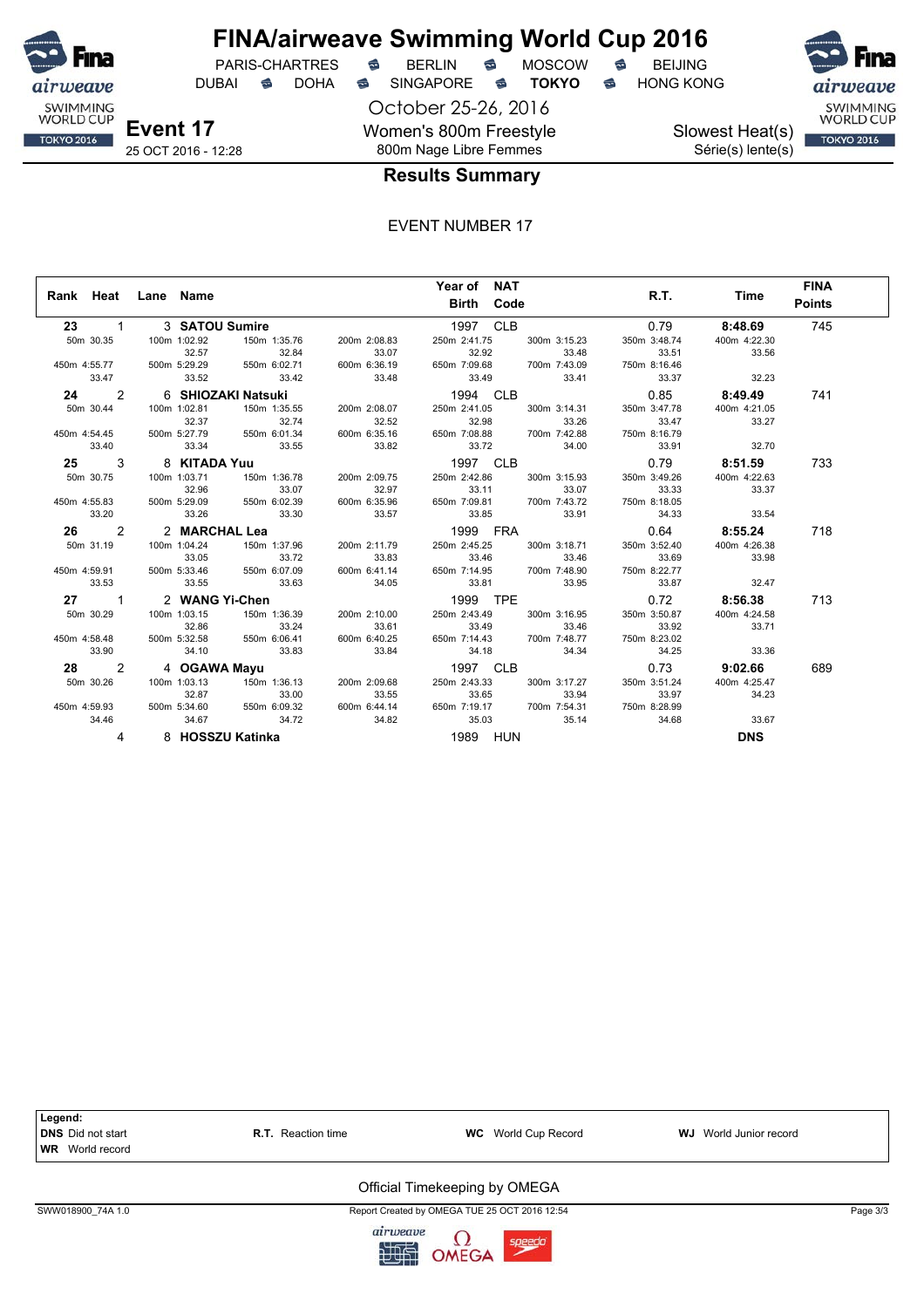

## **FINA/airweave Swimming World Cup 2016**

DUBAI **S** DOHA SINGAPORE S **TOKYO** S HONG KONG

October 25-26, 2016 Women's 800m Freestyle 800m Nage Libre Femmes



Slowest Heat(s) Série(s) lente(s)



## **Results Summary**

EVENT NUMBER 17

|                      |                           |                           |              | Year of NAT                                 |              |              |                | <b>FINA</b>   |
|----------------------|---------------------------|---------------------------|--------------|---------------------------------------------|--------------|--------------|----------------|---------------|
|                      | Rank Heat Lane Name       |                           |              | <b>Birth Code</b>                           |              | R.T.         | Time           | <b>Points</b> |
| 23 —<br>$1 \quad$    | 3 SATOU Sumire            |                           |              | 1997 CLB                                    |              | 0.79         | 8:48.69        | 745           |
| 50m 30.35            | 100m 1:02.92              | 150m 1:35.76              | 200m 2:08.83 | 250m 2:41.75                                | 300m 3:15.23 | 350m 3:48.74 | 400m 4:22.30   |               |
|                      | 32.57                     | 32.84                     | 33.07        | 32.92<br>33.48<br>650m 7:09.68 700m 7:43.09 | 33.48        | 33.51        | 33.56          |               |
| 450m 4:55.77         | 500m 5:29.29              | 550m 6:02.71              | 600m 6:36.19 |                                             |              | 750m 8:16.46 |                |               |
| 33.47                | 33.52                     | 33.42                     | 33.48        | 33.49                                       | 33.41        | 33.37        | 32.23          |               |
| 2                    | 6   SHIOZAKI Natsuki      |                           |              | 1994 CLB                                    |              |              | $0.85$ 8:49.49 | 741           |
| 50m 30.44            | 100m 1:02.81              | 150m 1:35.55              | 200m 2:08.07 | 250m 2:41.05                                | 300m 3:14.31 | 350m 3:47.78 | 400m 4:21.05   |               |
|                      | 32.37                     | 32.74                     | 32.52        | 32.98                                       | 33.26        | 33.47        | 33.27          |               |
| 450m 4:54.45         |                           | 500m 5:27.79 550m 6:01.34 | 600m 6:35.16 | 650m 7:08.88                                | 700m 7:42.88 | 750m 8:16.79 |                |               |
| 33.40                | 33.34                     | 33.55                     | 33.82        | 33.72                                       | 34.00        | 33.91        | 32.70          |               |
| $\mathbf{3}$<br>25 — | 8 KITADA Yuu              |                           |              | 1997 CLB                                    |              |              | $0.79$ 8:51.59 | 733           |
| 50m 30.75            | 100m 1:03.71              | 150m 1:36.78              | 200m 2:09.75 | 250m 2:42.86                                | 300m 3:15.93 | 350m 3:49.26 | 400m 4:22.63   |               |
|                      | 32.96                     | 33.07                     | 32.97        | 33.11                                       | 33.07        | 33.33        | 33.37          |               |
| 450m 4:55.83         | 500m 5:29.09 550m 6:02.39 |                           | 600m 6:35.96 | 650m 7:09.81 700m 7:43.72                   |              | 750m 8:18.05 |                |               |
| 33.20                | 33.26                     | 33.30                     | 33.57        | 33.85                                       | 33.91        | 34.33        | 33.54          |               |
| 26 2                 | 2 MARCHAL Lea             |                           |              | 1999 FRA                                    |              |              | $0.64$ 8:55.24 | 718           |
| 50m 31.19            | 100m 1:04.24              | 150m 1:37.96              | 200m 2:11.79 | 250m 2:45.25                                | 300m 3:18.71 | 350m 3:52.40 | 400m 4:26.38   |               |
|                      | 33.05                     | 33.72                     | 33.83        | 33.46                                       | 33.46        | 33.69        | 33.98          |               |
| 450m 4:59.91         | 500m 5:33.46 550m 6:07.09 |                           | 600m 6:41.14 | 650m 7:14.95 700m 7:48.90                   |              | 750m 8:22.77 |                |               |
| 33.53                | 33.55                     | 33.63                     | 34.05        |                                             | 33.81 33.95  | 33.87        | 32.47          |               |
| 27 1                 | 2 WANG Yi-Chen            |                           |              | 1999 TPE                                    |              |              | $0.72$ 8:56.38 | 713           |
| 50m 30.29            | 100m 1:03.15              | 150m 1:36.39              | 200m 2:10.00 | 250m 2:43.49                                | 300m 3:16.95 | 350m 3:50.87 | 400m 4:24.58   |               |
|                      | 32.86                     | 33.24                     | 33.61        | 33.49                                       | 33.46        | 33.92        | 33.71          |               |
| 450m 4:58.48         | 500m 5:32.58              | 550m 6:06.41              | 600m 6:40.25 | 650m 7:14.43 700m 7:48.77                   |              | 750m 8:23.02 |                |               |
| 33.90                | 34.10                     | 33.83                     | 33.84        | 34.18                                       | 34.34        | 34.25        | 33.36          |               |
| 28 2                 | 4 OGAWA Mayu              |                           | 200m 2:09.68 | 1997 CLB                                    |              |              | $0.73$ 9:02.66 | 689           |
| 50m 30.26            | 100m 1:03.13              | 150m 1:36.13              |              | 250m 2:43.33                                | 300m 3:17.27 | 350m 3:51.24 | 400m 4:25.47   |               |
|                      | 32.87                     | 33.00                     | 33.55        |                                             | 33.65 33.94  | 33.97        | 34.23          |               |
|                      | 450m 4:59.93 500m 5:34.60 | 550m 6:09.32              | 600m 6:44.14 | 650m 7:19.17 700m 7:54.31 750m 8:28.99      |              |              |                |               |
| 34.46                | 34.67                     | 34.72                     | 34.82        | 35.03                                       | 35.14        | 34.68        | 33.67          |               |
| 4                    | 8 HOSSZU Katinka          |                           |              | 1989 HUN                                    |              |              | <b>DNS</b>     |               |



SWW018900\_74A 1.0 Page 3/3

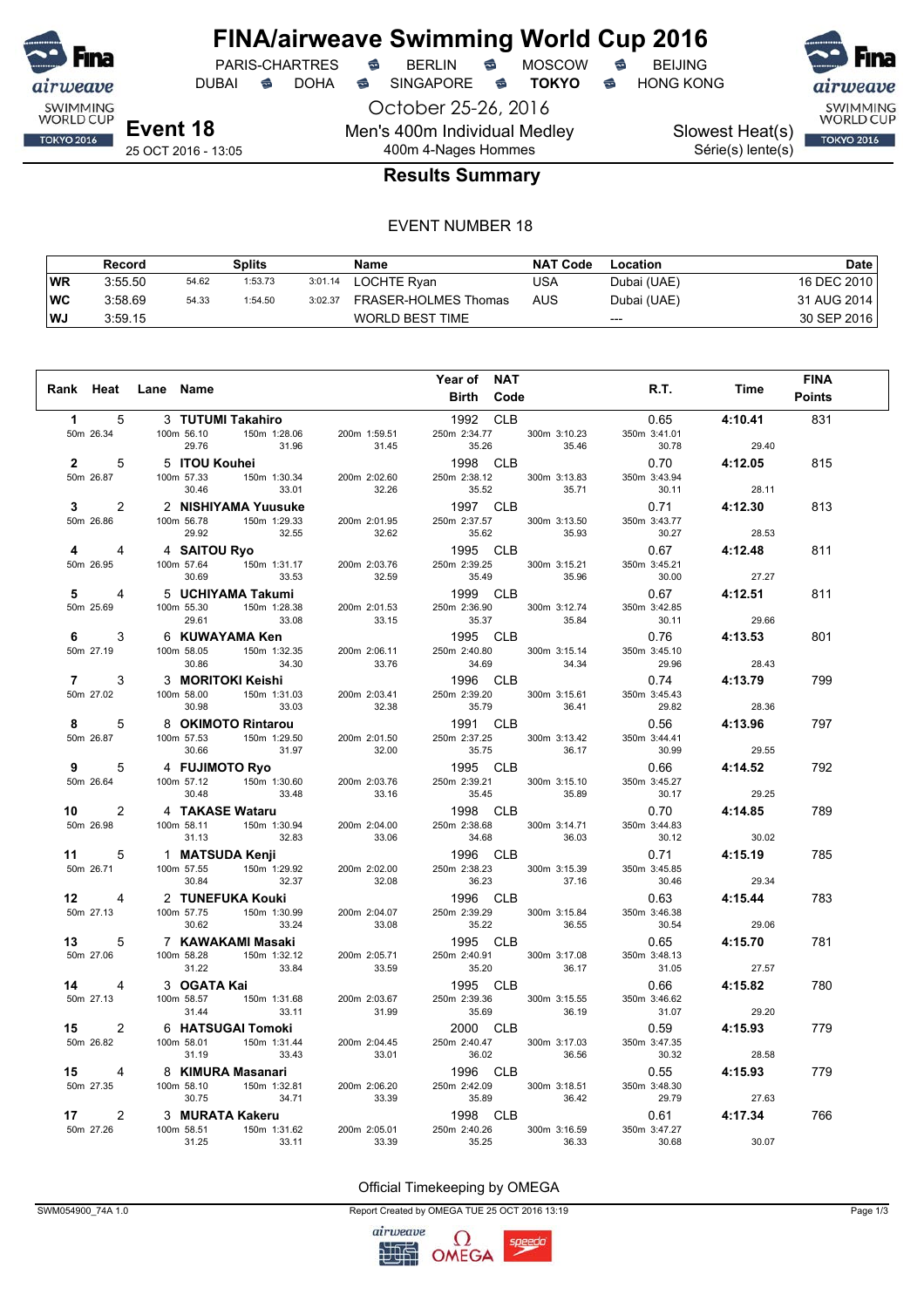

## **FINA/airweave Swimming World Cup 2016**<br>PARIS-CHARTRES **& BERLIN & MOSCOW & BEIJING** PARIS-CHARTRES **S** BERLIN S MOSCOW S

October 25-26, 2016 Men's 400m Individual Medley 400m 4-Nages Hommes

DUBAI **S** DOHA S SINGAPORE S **TOKYO** S HONG KONG

Slowest Heat(s) Série(s) lente(s)



25 OCT 2016 - 13:05

## **Results Summary**

#### EVENT NUMBER 18

|           | Record  |       | Splits  |         | <b>Name</b>          | <b>NAT Code</b> | Location    | Date l      |
|-----------|---------|-------|---------|---------|----------------------|-----------------|-------------|-------------|
| <b>WR</b> | 3:55.50 | 54.62 | 1:53.73 | 3:01.14 | LOCHTE Ryan          | USA             | Dubai (UAE) | 16 DEC 2010 |
| ∣WC       | 3:58.69 | 54.33 | 1:54.50 | 3:02.37 | FRASER-HOLMES Thomas | AUS             | Dubai (UAE) | 31 AUG 2014 |
| ∣WJ       | 3:59.15 |       |         |         | WORLD BEST TIME      |                 | $---$       | 30 SEP 2016 |

|                                   |                                                                                                                                                                                                                                         |       | Year of NAT                                                                                                                                                                                                                                                                                                                                                                             |                                            |                                     | <b>FINA</b>   |
|-----------------------------------|-----------------------------------------------------------------------------------------------------------------------------------------------------------------------------------------------------------------------------------------|-------|-----------------------------------------------------------------------------------------------------------------------------------------------------------------------------------------------------------------------------------------------------------------------------------------------------------------------------------------------------------------------------------------|--------------------------------------------|-------------------------------------|---------------|
|                                   | Rank Heat Lane Name                                                                                                                                                                                                                     |       | Birth Code                                                                                                                                                                                                                                                                                                                                                                              | R.T.                                       | Time                                | <b>Points</b> |
| $1 \quad \blacksquare$<br>5       | 3   TUTUMI Takahiro                                                                                                                                                                                                                     |       | 1992 CLB                                                                                                                                                                                                                                                                                                                                                                                |                                            | $0.65$ 4:10.41                      | 831           |
|                                   |                                                                                                                                                                                                                                         |       |                                                                                                                                                                                                                                                                                                                                                                                         | 350m 3:41.01                               |                                     |               |
|                                   |                                                                                                                                                                                                                                         |       | 250m 2:34.77 300m 3:10.23<br>35.26 35.46                                                                                                                                                                                                                                                                                                                                                | 30.78                                      |                                     |               |
|                                   | 1 5 3 TUTUMI Takahiro<br>50m 26.34 100m 56.10 150m 1:89.66 200m 1:59.51 250m 2:34.77 300m 3:10.23<br>29.76 31.96 31.45 35.26 35.46<br>2 5 5 ITOU Kouhei<br>50m 26.87 100m 57.33 150m 1:30.34 200m 2:02.60 250m 2:38.12 300m 3:13.83<br> |       | $1998$ CLB<br>250m 2:38.12 300m 3:13.83                                                                                                                                                                                                                                                                                                                                                 |                                            | $30.78$<br>29.40<br>0.70<br>4:12.05 | 815           |
|                                   |                                                                                                                                                                                                                                         |       |                                                                                                                                                                                                                                                                                                                                                                                         | 350m 3:43.94                               |                                     |               |
|                                   |                                                                                                                                                                                                                                         |       |                                                                                                                                                                                                                                                                                                                                                                                         | 30.11                                      | 28.11                               |               |
|                                   | 3 2 2 NISHIYAMA Yuusuke<br>50m 26.86 100m 56.78 150m 1:29.33 200m 2:01.95                                                                                                                                                               |       | 1997 CLB<br>1997 CLB 0.71 4:12.30<br>250m 2:37.57 300m 3:13.50 350m 3:43.77                                                                                                                                                                                                                                                                                                             |                                            |                                     | 813           |
| 50m 26.86                         |                                                                                                                                                                                                                                         |       |                                                                                                                                                                                                                                                                                                                                                                                         |                                            |                                     |               |
|                                   | 29.92 32.55                                                                                                                                                                                                                             | 32.62 | 35.62 35.93                                                                                                                                                                                                                                                                                                                                                                             | 30.27                                      | 28.53                               |               |
| $4 \t4$                           | 4 SAITOU Ryo<br>100m 57.64 150m 1:31.17 200m 2:03.76<br>30.69 33.53 32.59                                                                                                                                                               |       | 1995 CLB<br>1995 CLB<br>250m 2:39.25 300m 3:15.21 350m                                                                                                                                                                                                                                                                                                                                  |                                            | 0.67 4:12.48                        | 811           |
| 50m 26.95                         |                                                                                                                                                                                                                                         |       |                                                                                                                                                                                                                                                                                                                                                                                         | 350m 3:45.21                               |                                     |               |
|                                   |                                                                                                                                                                                                                                         |       | 35.49 35.96                                                                                                                                                                                                                                                                                                                                                                             | 30.00                                      | 27.27                               |               |
| $5^{\circ}$<br>4                  |                                                                                                                                                                                                                                         |       |                                                                                                                                                                                                                                                                                                                                                                                         |                                            | 0.67 4:12.51                        | 811           |
| 50m 25.69                         |                                                                                                                                                                                                                                         |       | 1999 CLB<br>250m 2:36.90 300m 3:12.74 350m<br>35.37 35.37                                                                                                                                                                                                                                                                                                                               | 350m 3:42.85<br>30.11                      |                                     |               |
| $6 \qquad \qquad$<br>3            |                                                                                                                                                                                                                                         |       |                                                                                                                                                                                                                                                                                                                                                                                         | $30.11$<br>29.66<br>0.76<br><b>4:13.53</b> |                                     | 801           |
| 50m 27.19                         |                                                                                                                                                                                                                                         |       |                                                                                                                                                                                                                                                                                                                                                                                         | 350m 3:45.10                               |                                     |               |
|                                   |                                                                                                                                                                                                                                         |       |                                                                                                                                                                                                                                                                                                                                                                                         |                                            |                                     |               |
| $7 \quad \circ$<br>3              |                                                                                                                                                                                                                                         |       | 30.69 33.53 32.59 33.47<br>5 <b>UCHIYAMA Takumi</b> 1999 CLB<br>100m 55.30 150m 1:28.38 200m 2:01.53 250m 2:36.90 300m 3:12.74<br>29.61 33.08 33.15 35.37 35.84<br>6 <b>KUWAYAMA Ken</b> 1995 CLB<br>100m 58.05 150m 1:32.35 200m 2:06.11 250m 2:4<br>$34.69$<br>$1996$ CLB<br>$250m$ 2:39.20 $300m$ 3:15.61 $350m$ 3:45.43<br>$35.79$ $36.41$ $29.82$ $28.36$<br>$0.56$ <b>4:13.96</b> | $29.96$<br>29.96 28.43<br>0.74 4:13.79     |                                     | 799           |
| 50m 27.02                         |                                                                                                                                                                                                                                         |       |                                                                                                                                                                                                                                                                                                                                                                                         |                                            |                                     |               |
|                                   |                                                                                                                                                                                                                                         |       |                                                                                                                                                                                                                                                                                                                                                                                         |                                            |                                     |               |
| 8 5                               |                                                                                                                                                                                                                                         |       | $36.41$<br>$422$                                                                                                                                                                                                                                                                                                                                                                        |                                            |                                     | 797           |
| 50m 26.87                         |                                                                                                                                                                                                                                         |       |                                                                                                                                                                                                                                                                                                                                                                                         |                                            |                                     |               |
|                                   | 8 <b>OKIMOTO Rintarou</b><br>100m 57.53 150m 1:29.50 200m 2:01.50<br>30.66 31.97 32.00                                                                                                                                                  |       |                                                                                                                                                                                                                                                                                                                                                                                         | $30.99$ 29.55                              |                                     |               |
|                                   |                                                                                                                                                                                                                                         |       | 100 1 100 1 100 1 129 1 139 1 1 1 150 1 129 1 139 1 148 1 150 1 129 1 139 16 1 148 160 1 148 160 1 148 160 1 148 160 1 148 160 1 148 160 1 148 160 1 148 160 1 148 160 1 148 160 1 148 160 1 148 160 1 148 160 1 148 160 1 14                                                                                                                                                           | $29.55$<br>0.66 4:14.52<br>350m 3.45.27    |                                     | 792           |
|                                   |                                                                                                                                                                                                                                         |       |                                                                                                                                                                                                                                                                                                                                                                                         |                                            | 29.25                               |               |
|                                   |                                                                                                                                                                                                                                         |       | $29.25$<br>$15.290$ CLB<br>$250$ m 2:38.68<br>$34.68$<br>$360$ m 3:14.71<br>$350$ m 3:44.83<br>$34.68$                                                                                                                                                                                                                                                                                  | 30.17                                      |                                     |               |
|                                   |                                                                                                                                                                                                                                         |       |                                                                                                                                                                                                                                                                                                                                                                                         |                                            |                                     | 789           |
|                                   |                                                                                                                                                                                                                                         |       |                                                                                                                                                                                                                                                                                                                                                                                         |                                            |                                     |               |
|                                   |                                                                                                                                                                                                                                         |       | $30.12$<br>$13.12$<br>$250$ CLB<br>$2.38.23$<br>$300$ ClB<br>$3.15.39$<br>$350$ ClB<br>$3.45.85$<br>$350$ ClB<br>$3.45.85$<br>$350$ ClB<br>$3.45.85$                                                                                                                                                                                                                                    |                                            |                                     | 785           |
|                                   |                                                                                                                                                                                                                                         |       |                                                                                                                                                                                                                                                                                                                                                                                         |                                            |                                     |               |
|                                   |                                                                                                                                                                                                                                         |       |                                                                                                                                                                                                                                                                                                                                                                                         |                                            |                                     |               |
|                                   |                                                                                                                                                                                                                                         |       |                                                                                                                                                                                                                                                                                                                                                                                         |                                            | 4:15.44                             | 783           |
|                                   |                                                                                                                                                                                                                                         |       |                                                                                                                                                                                                                                                                                                                                                                                         |                                            |                                     |               |
|                                   |                                                                                                                                                                                                                                         |       |                                                                                                                                                                                                                                                                                                                                                                                         |                                            | 29.06                               |               |
|                                   |                                                                                                                                                                                                                                         |       | 37.16 3145.85<br>1996 CLB 30.46<br>250m 2:39.29 300m 3:15.84 350m 3:46.39<br>35.22 36.55<br>1995 CLE                                                                                                                                                                                                                                                                                    |                                            | $0.65$ 4:15.70                      | 781           |
|                                   |                                                                                                                                                                                                                                         |       | 1995 CLB 0.65 4:15.70<br>250m 2:40.91 300m 3:17.08 350m 3:48.13<br>35.20 36.17 31.05 27.57                                                                                                                                                                                                                                                                                              |                                            |                                     |               |
|                                   |                                                                                                                                                                                                                                         |       |                                                                                                                                                                                                                                                                                                                                                                                         |                                            |                                     |               |
|                                   |                                                                                                                                                                                                                                         |       | 1995 CLB<br>250m 2:39.36 300m 3:15.55                                                                                                                                                                                                                                                                                                                                                   | $0.66$ 4:15.82<br>350m 3:46.62             |                                     | 780           |
|                                   |                                                                                                                                                                                                                                         |       |                                                                                                                                                                                                                                                                                                                                                                                         | 350m 3:46.62<br>31.07                      | 29.20                               |               |
|                                   |                                                                                                                                                                                                                                         |       |                                                                                                                                                                                                                                                                                                                                                                                         |                                            |                                     | 779           |
|                                   | 15 2 6 HATSUGAI Tomoki<br>50m 26.82 100m 58.01 150m 1:31.44 200m 2:04.45                                                                                                                                                                |       | 2000 CLB 0.59 4:15.93<br>250m 2:40.47 300m 3:17.03 350m 3:47.35                                                                                                                                                                                                                                                                                                                         |                                            |                                     |               |
|                                   |                                                                                                                                                                                                                                         |       |                                                                                                                                                                                                                                                                                                                                                                                         | 30.32                                      | 28.58                               |               |
| 15 4                              |                                                                                                                                                                                                                                         |       |                                                                                                                                                                                                                                                                                                                                                                                         |                                            |                                     | 779           |
| 50m 27.35                         |                                                                                                                                                                                                                                         |       | 1996 CLB<br>250m 2:42.09 300m 3:18.51 350m 3:48.30<br>35.89 36.42 29.79 27.63                                                                                                                                                                                                                                                                                                           |                                            |                                     |               |
|                                   |                                                                                                                                                                                                                                         |       |                                                                                                                                                                                                                                                                                                                                                                                         | 29.79                                      | 27.63                               |               |
| $\overline{2}$<br>17 <sup>1</sup> |                                                                                                                                                                                                                                         |       | 33.43<br>33.43<br>33.01<br>36.02<br>36.56<br>36.56<br>36.56<br>1996 CLB<br>100m 58.10<br>36.75<br>34.71<br>33.39<br>36.56<br>36.56<br>300m 3:18.51<br>30.75<br>34.71<br>33.39<br>33.39<br>36.56<br>34.71<br>33.39<br>36.56<br>39.00 3:18.51<br>39.75<br>34.71<br>33.39<br>35.89<br>39.<br>1998 CLB                                                                                      |                                            | 0.61 4:17.34                        | 766           |
| 50m 27.26                         | 3 <b>MURATA Kakeru</b><br>100m 58.51 150m 1:31.62 200m 2:05.01                                                                                                                                                                          |       | 250m 2:40.26 300m 3:16.59                                                                                                                                                                                                                                                                                                                                                               | 350m 3:47.27                               |                                     |               |
|                                   | 31.25 33.11 33.39                                                                                                                                                                                                                       |       | 35.25<br>36.33                                                                                                                                                                                                                                                                                                                                                                          | 30.68                                      | 30.07                               |               |

#### Official Timekeeping by OMEGA

SWM054900\_74A 1.0 Report Created by OMEGA TUE 25 OCT 2016 13:19 Page 1/3

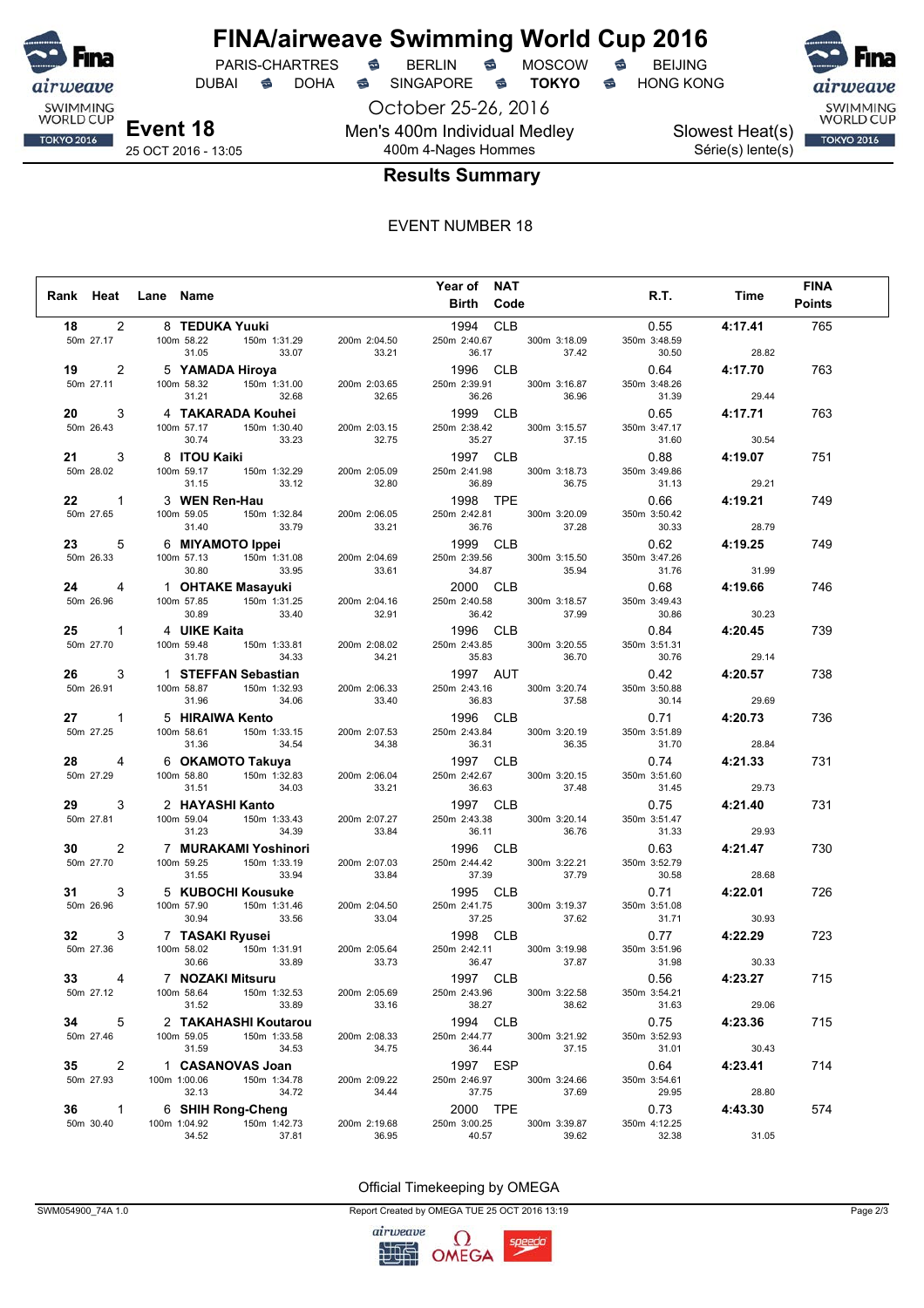

DUBAI **S** DOHA S SINGAPORE S **TOKYO** S HONG KONG

October 25-26, 2016 Men's 400m Individual Medley

**Event 18** 25 OCT 2016 - 13:05 Slowest Heat(s) Série(s) lente(s)



## 400m 4-Nages Hommes **Results Summary**

#### EVENT NUMBER 18

|                        |                     |                                                                    |                       | Year of<br><b>NAT</b> |              |                       |         | <b>FINA</b>   |
|------------------------|---------------------|--------------------------------------------------------------------|-----------------------|-----------------------|--------------|-----------------------|---------|---------------|
|                        | Rank Heat Lane Name |                                                                    |                       | Birth Code            |              | R.T.                  | Time    | <b>Points</b> |
|                        |                     |                                                                    |                       |                       |              |                       |         |               |
| $\overline{2}$<br>18   |                     | 8 TEDUKA Yuuki                                                     |                       | 1994 CLB              |              | 0.55                  | 4:17.41 | 765           |
| 50m 27.17              | 100m 58.22          | 150m 1:31.29                                                       | 200m 2:04.50          | 250m 2:40.67          | 300m 3:18.09 | 350m 3:48.59          |         |               |
|                        | 31.05               | 33.07                                                              | 33.21                 | 36.17                 | 37.42        | 30.50                 | 28.82   |               |
| 2<br>19                |                     | 5 YAMADA Hiroya<br><b>…⇔ya</b><br>150m 1:31.00                     |                       | 1996 CLB              |              | 0.64                  | 4:17.70 | 763           |
| 50m 27.11              | 100m 58.32<br>31.21 | 32.68                                                              | 200m 2:03.65<br>32.65 | 250m 2:39.91          | 300m 3:16.87 | 350m 3:48.26<br>31.39 |         |               |
|                        |                     |                                                                    |                       | 36.26                 | 36.96        |                       | 29.44   |               |
| 20<br>3                |                     | 4 TAKARADA Kouhei<br>100m 57.17 150m 1:30.40 200m 2                |                       | 1999 CLB              |              | 0.65                  | 4:17.71 | 763           |
| 50m 26.43              |                     |                                                                    | 200m 2:03.15          | 250m 2:38.42          | 300m 3:15.57 | 350m 3:47.17          |         |               |
|                        | 30.74               | 33.23                                                              | 32.75                 | 35.27                 | 37.15        | 31.60                 | 30.54   |               |
| 3<br>21 —              | 8 ITOU Kaiki        |                                                                    |                       | 1997 CLB              |              | 0.88                  | 4:19.07 | 751           |
| 50m 28.02              | 100m 59.17          | 150m 1:32.29                                                       | 200m 2:05.09          | 250m 2:41.98          | 300m 3:18.73 | 350m 3:49.86          |         |               |
|                        | 31.15               | 33.12                                                              | 32.80                 | 36.89                 | 36.75        | 31.13                 | 29.21   |               |
| 22<br>$\mathbf{1}$     | 3 WEN Ren-Hau       |                                                                    |                       | 1998 TPE              |              | 0.66                  | 4:19.21 | 749           |
| 50m 27.65              | 100m 59.05          | 150m 1:32.84                                                       | 200m 2:06.05          | 250m 2:42.81          | 300m 3:20.09 | 350m 3:50.42          |         |               |
|                        | 31.40               | 33.79                                                              | 33.21                 | 36.76                 | 37.28        | 30.33                 | 28.79   |               |
| 23<br>5                |                     | 6 MIYAMOTO Ippei<br>100m 57.13 150m 1:31.08 200m 2:04.69           |                       | 1999 CLB              |              | 0.62                  | 4:19.25 | 749           |
| 50m 26.33              |                     |                                                                    |                       | 250m 2:39.56          | 300m 3:15.50 | 350m 3:47.26          |         |               |
|                        | 30.80               | 33.95                                                              | 33.61                 | 34.87                 | 35.94        | 31.76                 | 31.99   |               |
| 24 4                   |                     | 1 OHTAKE Masayuki                                                  |                       | 2000 CLB              |              | 0.68                  | 4:19.66 | 746           |
| 50m 26.96              | 100m 57.85          | $150m$ 1:31.25                                                     | 200m 2:04.16          | 250m 2:40.58          | 300m 3:18.57 | 350m 3:49.43          |         |               |
|                        | 30.89               | 33.40                                                              | 32.91                 | 36.42                 | 37.99        | 30.86                 | 30.23   |               |
| 25<br>$\mathbf{1}$     | 4 UIKE Kaita        |                                                                    |                       | 1996 CLB              |              | 0.84                  | 4:20.45 | 739           |
| 50m 27.70              | 100m 59.48          | 150m 1:33.81                                                       | 200m 2:08.02          | 250m 2:43.85          | 300m 3:20.55 | 350m 3:51.31          |         |               |
|                        | 31.78               | 34.33                                                              | 34.21                 | 35.83                 | 36.70        | 30.76                 | 29.14   |               |
| 26<br>3                |                     | 1 <b>STEFFAN Sebastian</b><br>100m 58.87 150m 1:32.93 200m 2:06.33 |                       | 1997 AUT              |              | 0.42                  | 4:20.57 | 738           |
| 50m 26.91              |                     |                                                                    | 200m 2:06.33          | 250m 2:43.16          | 300m 3:20.74 | 350m 3:50.88          |         |               |
|                        | 31.96               | 34.06                                                              | 33.40                 | 36.83                 | 37.58        | 30.14                 | 29.69   |               |
| $\mathbf{1}$           |                     | 5 HIRAIWA Kento                                                    |                       | 1996 CLB              |              | 0.71                  | 4:20.73 | 736           |
| 50m 27.25              | 100m 58.61          | 150m 1:33.15                                                       | 200m 2:07.53          | 250m 2:43.84          | 300m 3:20.19 | 350m 3:51.89          |         |               |
|                        | 31.36               | 34.54                                                              | 34.38                 | 36.31                 | 36.35        | 31.70                 | 28.84   |               |
| 28<br>4                |                     | 6 OKAMOTO Takuya<br><b>UIU Takuya</b><br>150m 1:32.83              |                       | 1997 CLB              |              | 0.74                  | 4:21.33 | 731           |
| 50m 27.29              | 100m 58.80          |                                                                    | 200m 2:06.04          | 250m 2:42.67          | 300m 3:20.15 | 350m 3:51.60          |         |               |
|                        | 31.51               | 34.03                                                              | 33.21                 | 36.63                 | 37.48        | 31.45                 | 29.73   |               |
| 29<br>3                |                     | Z HAYASHI Kanto<br>100m 59.04 150m 1:33.43 200m 2:07.27            |                       | 1997 CLB              |              | 0.75                  | 4:21.40 | 731           |
| 50m 27.81              |                     |                                                                    |                       | 250m 2:43.38          | 300m 3:20.14 | 350m 3:51.47          |         |               |
|                        | 31.23               | 34.39                                                              | 33.84                 | 36.11                 | 36.76        | 31.33                 | 29.93   |               |
| 30 —<br>$\overline{2}$ |                     | 7 MURAKAMI Yoshinori                                               |                       | 1996 CLB              |              | 0.63                  | 4:21.47 | 730           |
| 50m 27.70              | 100m 59.25          | 150m 1:33.19                                                       | 200m 2:07.03          | 250m 2:44.42          | 300m 3:22.21 | 350m 3:52.79          |         |               |
|                        | 31.55               | 33.94                                                              | 33.84                 | 37.39                 | 37.79        | 30.58                 | 28.68   |               |
| 3<br>31                |                     | 5 KUBOCHI Kousuke<br>00m 57.90 150m 1:31.46 2                      |                       | 1995 CLB              |              | 0.71                  | 4:22.01 | 726           |
| 50m 26.96              | 100m 57.90          |                                                                    | 200m 2:04.50          | 250m 2:41.75          | 300m 3:19.37 | 350m 3:51.08          |         |               |
|                        | 30.94               | 33.56                                                              | 33.04                 | 37.25                 | 37.62        | 31.71                 | 30.93   |               |
| 32<br>3                |                     | 7 TASAKI Ryusei<br>100m 58.02 150m 1:31.91 200m 2:05.64            |                       | 1998 CLB              |              | 0.77                  | 4:22.29 | 723           |
| 50m 27.36              |                     |                                                                    | 200m 2:05.64          | 250m 2:42.11          | 300m 3:19.98 | 350m 3:51.96          |         |               |
|                        | 30.66               | 33.89                                                              | 33.73                 | 36.47                 | 37.87        | 31.98                 | 30.33   |               |
| $33 \t 4$              | 7 NOZAKI Mitsuru    |                                                                    |                       | 1997 CLB              |              | 0.56                  | 4:23.27 | 715           |
| 50m 27.12              | 100m 58.64          | 150m 1:32.53                                                       | 200m 2:05.69          | 250m 2:43.96          | 300m 3:22.58 | 350m 3:54.21          |         |               |
|                        | 31.52               | 33.89                                                              | 33.16                 | 38.27                 | 38.62        | 31.63                 | 29.06   |               |
| 34<br>5                |                     | 2 TAKAHASHI Koutarou                                               |                       | 1994 CLB              |              | 0.75                  | 4:23.36 | 715           |
| 50m 27.46              | 100m 59.05          | 150m 1:33.58                                                       | 200m 2:08.33          | 250m 2:44.77          | 300m 3:21.92 | 350m 3:52.93          |         |               |
|                        | 31.59               | 34.53                                                              | 34.75                 | 36.44                 | 37.15        | 31.01                 | 30.43   |               |
| $35 -$<br>2            |                     | 1 CASANOVAS Joan                                                   |                       | 1997 ESP              |              | 0.64                  | 4:23.41 | 714           |
| 50m 27.93              | 100m 1:00.06        | 150m 1:34.78                                                       | 200m 2:09.22          | 250m 2:46.97          | 300m 3:24.66 | 350m 3:54.61          |         |               |
|                        | 32.13               | 34.72                                                              | 34.44                 | 37.75                 | 37.69        | 29.95                 | 28.80   |               |
| $36 -$<br>$\mathbf{1}$ |                     | 6 SHIH Rong-Cheng                                                  |                       | 2000 TPE              |              | 0.73                  | 4:43.30 | 574           |
| 50m 30.40              | 100m 1:04.92        | 150m 1:42.73                                                       | 200m 2:19.68          | 250m 3:00.25          | 300m 3:39.87 | 350m 4:12.25          |         |               |
|                        | 34.52               | 37.81                                                              | 36.95                 | 40.57                 | 39.62        | 32.38                 | 31.05   |               |

#### Official Timekeeping by OMEGA

SWM054900\_74A 1.0 Report Created by OMEGA TUE 25 OCT 2016 13:19 Page 2/3

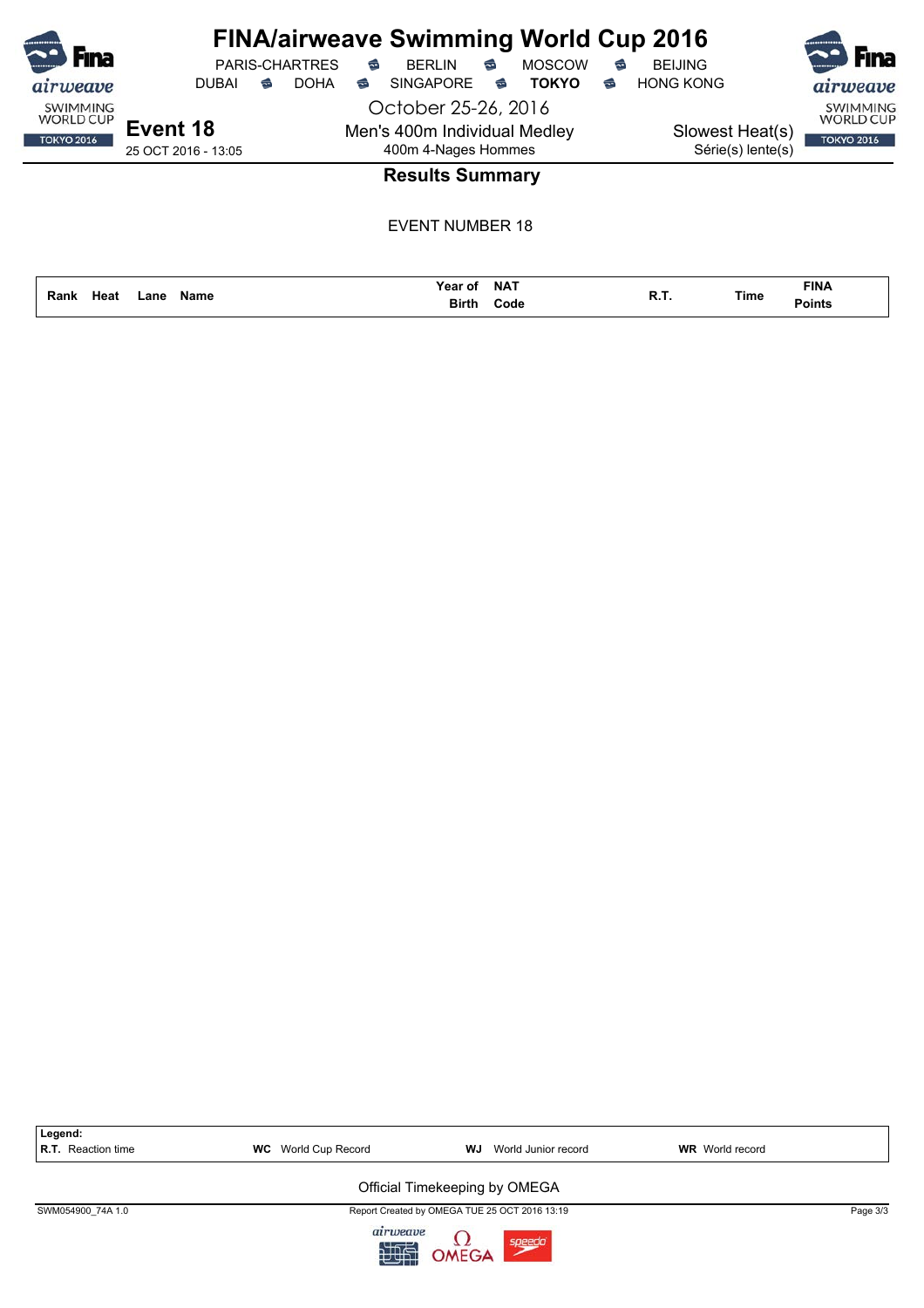| <b>F</b> ina                        |                     |   | <b>PARIS-CHARTRES</b> | € | <b>FINA/airweave Swimming World Cup 2016</b><br><b>BERLIN</b> | € | <b>MOSCOW</b> | € | <b>BEIJING</b>    | <b>F</b> ina                        |
|-------------------------------------|---------------------|---|-----------------------|---|---------------------------------------------------------------|---|---------------|---|-------------------|-------------------------------------|
| airweave                            | DUBAI               | ☜ | <b>DOHA</b>           | € | <b>SINGAPORE</b>                                              | ಹ | <b>TOKYO</b>  | ☜ | <b>HONG KONG</b>  | airweave                            |
| <b>SWIMMING</b><br><b>WORLD CUP</b> |                     |   |                       |   | October 25-26, 2016                                           |   |               |   |                   | <b>SWIMMING</b><br><b>WORLD CUP</b> |
| <b>TOKYO 2016</b>                   | Event 18            |   |                       |   | Men's 400m Individual Medley                                  |   |               |   | Slowest Heat(s)   | <b>TOKYO 2016</b>                   |
|                                     | 25 OCT 2016 - 13:05 |   |                       |   | 400m 4-Nages Hommes                                           |   |               |   | Série(s) lente(s) |                                     |
|                                     |                     |   |                       |   | <b>Results Summary</b>                                        |   |               |   |                   |                                     |

|              |      |             | Year of      | <b>NAT</b> | n 1 |      | <b>FINA</b>   |
|--------------|------|-------------|--------------|------------|-----|------|---------------|
| Heat<br>Rank | _ane | <b>Name</b> | <b>Birth</b> | Code       | в., | Time | <b>Points</b> |

| Legend:<br>R.T. Reaction time | <b>WC</b> World Cup Record | WJ<br>World Junior record                     | <b>WR</b> World record |          |
|-------------------------------|----------------------------|-----------------------------------------------|------------------------|----------|
|                               |                            | Official Timekeeping by OMEGA                 |                        |          |
| SWM054900 74A 1.0             |                            | Report Created by OMEGA TUE 25 OCT 2016 13:19 |                        | Page 3/3 |
|                               | airweave<br>如此             | OMEGA<br>speedo                               |                        |          |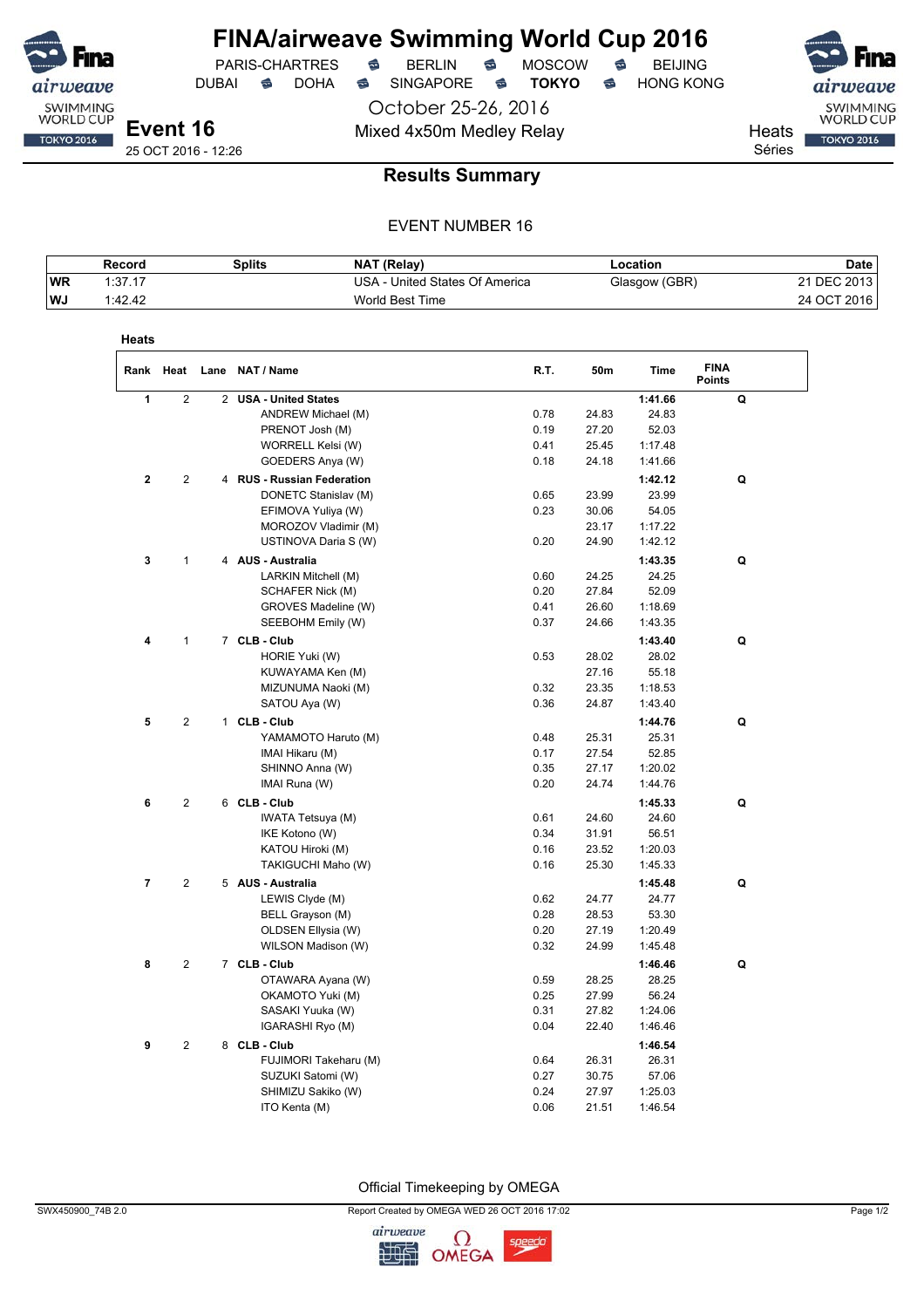

DUBAI **S** DOHA S SINGAPORE S **TOKYO** S HONG KONG

PARIS-CHARTRES **S** BERLIN S MOSCOW S

October 25-26, 2016 Mixed 4x50m Medley Relay Nearly Heats

SWIMMING<br>WORLD CUP **TOKYO 2016** 

Séries

### **Results Summary**

#### EVENT NUMBER 16

|            | Record  | <b>Splits</b> | <b>NAT (Relav)</b>             | _ocation_     | Date        |
|------------|---------|---------------|--------------------------------|---------------|-------------|
| <b>WR</b>  | 1:37.17 |               | USA - United States Of America | Glasgow (GBR) | 21 DEC 2013 |
| <b>IWJ</b> | 1:42.42 |               | World Best Time                |               | 24 OCT 2016 |

| Heats                   |                |                |                            |      |       |             |                              |
|-------------------------|----------------|----------------|----------------------------|------|-------|-------------|------------------------------|
| Rank                    | Heat           |                | Lane NAT / Name            | R.T. | 50m   | <b>Time</b> | <b>FINA</b><br><b>Points</b> |
| 1                       | $\overline{2}$ | $\overline{2}$ | <b>USA - United States</b> |      |       | 1:41.66     | Q                            |
|                         |                |                | ANDREW Michael (M)         | 0.78 | 24.83 | 24.83       |                              |
|                         |                |                | PRENOT Josh (M)            | 0.19 | 27.20 | 52.03       |                              |
|                         |                |                | WORRELL Kelsi (W)          | 0.41 | 25.45 | 1:17.48     |                              |
|                         |                |                | GOEDERS Anya (W)           | 0.18 | 24.18 | 1:41.66     |                              |
| $\mathbf 2$             | $\overline{2}$ |                | 4 RUS - Russian Federation |      |       | 1:42.12     | Q                            |
|                         |                |                | DONETC Stanislav (M)       | 0.65 | 23.99 | 23.99       |                              |
|                         |                |                | EFIMOVA Yuliya (W)         | 0.23 | 30.06 | 54.05       |                              |
|                         |                |                | MOROZOV Vladimir (M)       |      | 23.17 | 1:17.22     |                              |
|                         |                |                | USTINOVA Daria S (W)       | 0.20 | 24.90 | 1:42.12     |                              |
| 3                       | $\mathbf{1}$   |                | 4 AUS - Australia          |      |       | 1:43.35     | Q                            |
|                         |                |                | LARKIN Mitchell (M)        | 0.60 | 24.25 | 24.25       |                              |
|                         |                |                | SCHAFER Nick (M)           | 0.20 | 27.84 | 52.09       |                              |
|                         |                |                | GROVES Madeline (W)        | 0.41 | 26.60 | 1:18.69     |                              |
|                         |                |                | SEEBOHM Emily (W)          | 0.37 | 24.66 | 1:43.35     |                              |
| 4                       | 1              |                | 7 CLB - Club               |      |       | 1:43.40     | Q                            |
|                         |                |                | HORIE Yuki (W)             | 0.53 | 28.02 | 28.02       |                              |
|                         |                |                | KUWAYAMA Ken (M)           |      | 27.16 | 55.18       |                              |
|                         |                |                | MIZUNUMA Naoki (M)         | 0.32 | 23.35 | 1:18.53     |                              |
|                         |                |                | SATOU Aya (W)              | 0.36 | 24.87 | 1:43.40     |                              |
| 5                       | $\overline{2}$ |                | 1 CLB - Club               |      |       | 1:44.76     | Q                            |
|                         |                |                | YAMAMOTO Haruto (M)        | 0.48 | 25.31 | 25.31       |                              |
|                         |                |                | IMAI Hikaru (M)            | 0.17 | 27.54 | 52.85       |                              |
|                         |                |                | SHINNO Anna (W)            | 0.35 | 27.17 | 1:20.02     |                              |
|                         |                |                | IMAI Runa (W)              | 0.20 | 24.74 | 1:44.76     |                              |
| 6                       | $\overline{2}$ |                | 6 CLB - Club               |      |       | 1:45.33     | Q                            |
|                         |                |                | IWATA Tetsuya (M)          | 0.61 | 24.60 | 24.60       |                              |
|                         |                |                | IKE Kotono (W)             | 0.34 | 31.91 | 56.51       |                              |
|                         |                |                | KATOU Hiroki (M)           | 0.16 | 23.52 | 1:20.03     |                              |
|                         |                |                | TAKIGUCHI Maho (W)         | 0.16 | 25.30 | 1:45.33     |                              |
| $\overline{\mathbf{r}}$ | $\mathbf{2}$   |                | 5 AUS - Australia          |      |       | 1:45.48     | Q                            |
|                         |                |                | LEWIS Clyde (M)            | 0.62 | 24.77 | 24.77       |                              |
|                         |                |                | BELL Grayson (M)           | 0.28 | 28.53 | 53.30       |                              |
|                         |                |                | OLDSEN Ellysia (W)         | 0.20 | 27.19 | 1:20.49     |                              |
|                         |                |                | WILSON Madison (W)         | 0.32 | 24.99 | 1:45.48     |                              |
| 8                       | $\overline{2}$ |                | 7 CLB - Club               |      |       | 1:46.46     | Q                            |
|                         |                |                | OTAWARA Ayana (W)          | 0.59 | 28.25 | 28.25       |                              |
|                         |                |                | OKAMOTO Yuki (M)           | 0.25 | 27.99 | 56.24       |                              |
|                         |                |                | SASAKI Yuuka (W)           | 0.31 | 27.82 | 1:24.06     |                              |
|                         |                |                | IGARASHI Ryo (M)           | 0.04 | 22.40 | 1:46.46     |                              |
| 9                       | $\mathbf{2}$   |                | 8 CLB - Club               |      |       | 1:46.54     |                              |
|                         |                |                | FUJIMORI Takeharu (M)      | 0.64 | 26.31 | 26.31       |                              |
|                         |                |                | SUZUKI Satomi (W)          | 0.27 | 30.75 | 57.06       |                              |
|                         |                |                | SHIMIZU Sakiko (W)         | 0.24 | 27.97 | 1:25.03     |                              |
|                         |                |                | ITO Kenta (M)              | 0.06 | 21.51 | 1:46.54     |                              |

Official Timekeeping by OMEGA

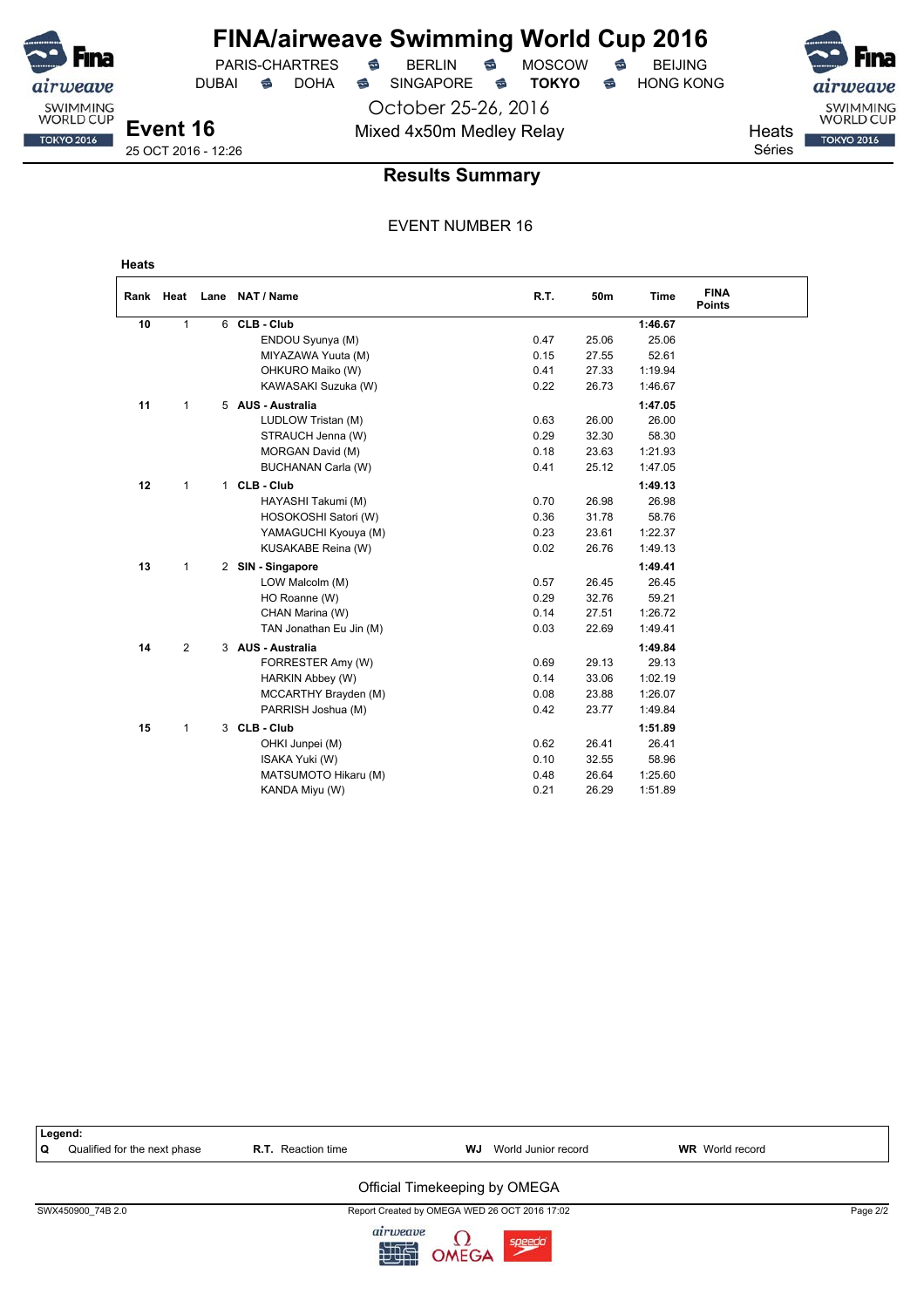> October 25-26, 2016 Mixed 4x50m Medley Relay Mixed 4x50m Medley Relay

DUBAI **S** DOHA S SINGAPORE S TOKYO S HONG KONG

Séries



**Event 16** 25 OCT 2016 - 12:26

#### **Results Summary**

#### EVENT NUMBER 16

weave SWIMMING<br>WORLD CUP

**TOKYO 2016** 

|    |              | Rank Heat Lane NAT / Name | R.T. | 50m   | <b>Time</b> | <b>FINA</b><br><b>Points</b> |
|----|--------------|---------------------------|------|-------|-------------|------------------------------|
| 10 | $\mathbf{1}$ | 6 CLB - Club              |      |       | 1:46.67     |                              |
|    |              | ENDOU Syunya (M)          | 0.47 | 25.06 | 25.06       |                              |
|    |              | MIYAZAWA Yuuta (M)        | 0.15 | 27.55 | 52.61       |                              |
|    |              | OHKURO Maiko (W)          | 0.41 | 27.33 | 1:19.94     |                              |
|    |              | KAWASAKI Suzuka (W)       | 0.22 | 26.73 | 1:46.67     |                              |
| 11 | 1            | 5 AUS - Australia         |      |       | 1:47.05     |                              |
|    |              | LUDLOW Tristan (M)        | 0.63 | 26.00 | 26.00       |                              |
|    |              | STRAUCH Jenna (W)         | 0.29 | 32.30 | 58.30       |                              |
|    |              | MORGAN David (M)          | 0.18 | 23.63 | 1:21.93     |                              |
|    |              | BUCHANAN Carla (W)        | 0.41 | 25.12 | 1:47.05     |                              |
| 12 | $\mathbf{1}$ | 1 CLB - Club              |      |       | 1:49.13     |                              |
|    |              | HAYASHI Takumi (M)        | 0.70 | 26.98 | 26.98       |                              |
|    |              | HOSOKOSHI Satori (W)      | 0.36 | 31.78 | 58.76       |                              |
|    |              | YAMAGUCHI Kyouya (M)      | 0.23 | 23.61 | 1:22.37     |                              |
|    |              | KUSAKABE Reina (W)        | 0.02 | 26.76 | 1:49.13     |                              |
| 13 | $\mathbf{1}$ | 2 SIN - Singapore         |      |       | 1:49.41     |                              |
|    |              | LOW Malcolm (M)           | 0.57 | 26.45 | 26.45       |                              |
|    |              | HO Roanne (W)             | 0.29 | 32.76 | 59.21       |                              |
|    |              | CHAN Marina (W)           | 0.14 | 27.51 | 1:26.72     |                              |
|    |              | TAN Jonathan Eu Jin (M)   | 0.03 | 22.69 | 1:49.41     |                              |
| 14 | 2            | 3 AUS - Australia         |      |       | 1:49.84     |                              |
|    |              | FORRESTER Amy (W)         | 0.69 | 29.13 | 29.13       |                              |
|    |              | HARKIN Abbey (W)          | 0.14 | 33.06 | 1:02.19     |                              |
|    |              | MCCARTHY Brayden (M)      | 0.08 | 23.88 | 1:26.07     |                              |
|    |              | PARRISH Joshua (M)        | 0.42 | 23.77 | 1:49.84     |                              |
| 15 | 1            | 3 CLB - Club              |      |       | 1:51.89     |                              |
|    |              | OHKI Junpei (M)           | 0.62 | 26.41 | 26.41       |                              |
|    |              | ISAKA Yuki (W)            | 0.10 | 32.55 | 58.96       |                              |
|    |              | MATSUMOTO Hikaru (M)      | 0.48 | 26.64 | 1:25.60     |                              |
|    |              | KANDA Miyu (W)            | 0.21 | 26.29 | 1:51.89     |                              |

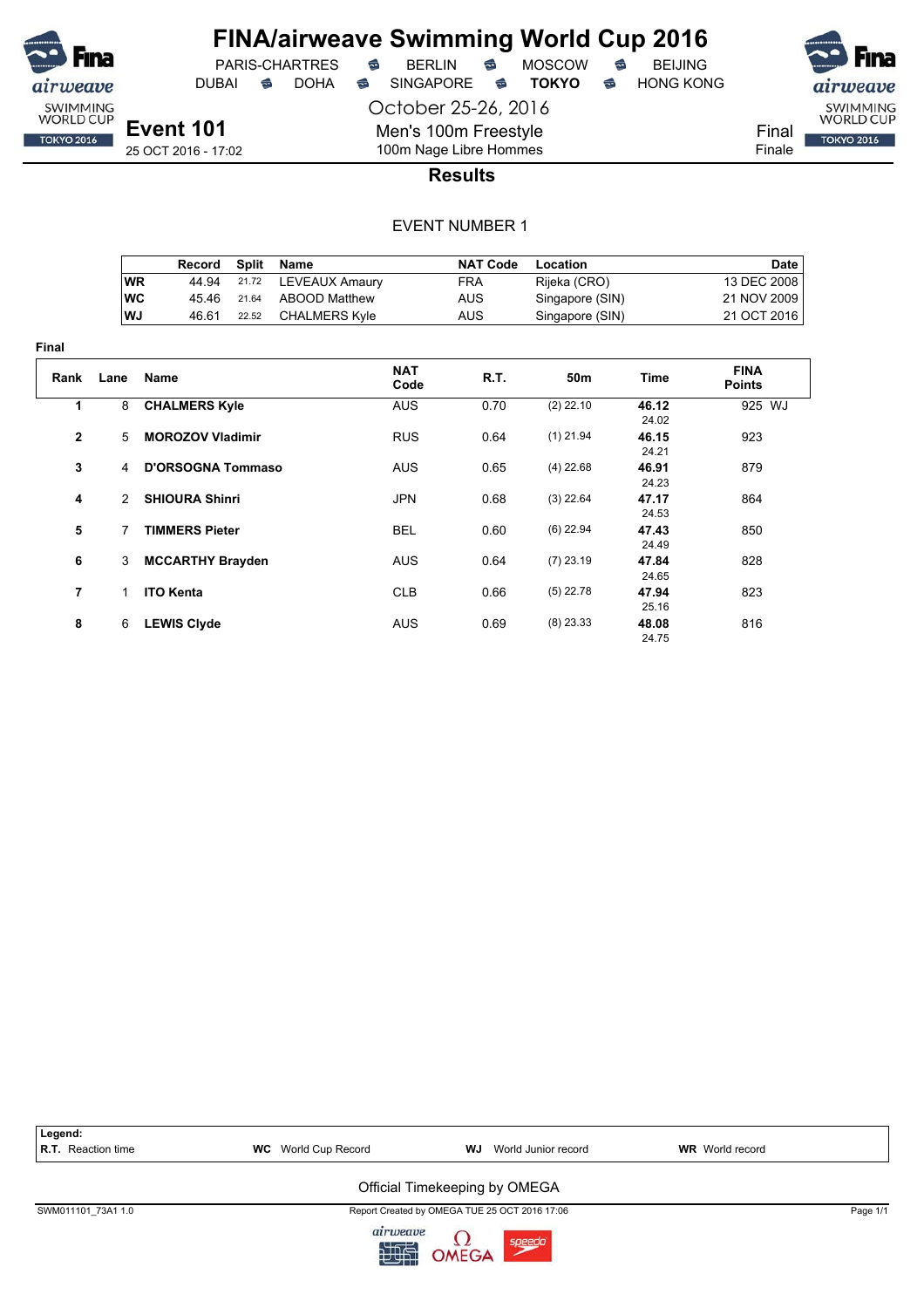

DUBAI **S** DOHA S SINGAPORE S TOKYO S HONG KONG

PARIS-CHARTRES **S** BERLIN S MOSCOW S

October 25-26, 2016 Men's 100m Freestyle



25 OCT 2016 - 17:02

## 100m Nage Libre Hommes **Results**

|            | Record | Split | Name                 | <b>NAT Code</b> | Location        | Date        |
|------------|--------|-------|----------------------|-----------------|-----------------|-------------|
| ∣WR        | 44.94  |       | 21.72 LEVEAUX Amaury | FRA             | Rijeka (CRO)    | 13 DEC 2008 |
| <b>IWC</b> | 45.46  | 21.64 | ABOOD Matthew        | AUS             | Singapore (SIN) | 21 NOV 2009 |
| ∣WJ        | 46.61  | 22.52 | <b>CHALMERS Kyle</b> | AUS             | Singapore (SIN) | 21 OCT 2016 |

| Final        |              |                          |                    |      |                 |                |                              |
|--------------|--------------|--------------------------|--------------------|------|-----------------|----------------|------------------------------|
| Rank         | Lane         | <b>Name</b>              | <b>NAT</b><br>Code | R.T. | 50 <sub>m</sub> | Time           | <b>FINA</b><br><b>Points</b> |
| 1            | 8            | <b>CHALMERS Kyle</b>     | <b>AUS</b>         | 0.70 | $(2)$ 22.10     | 46.12<br>24.02 | 925 WJ                       |
| $\mathbf{2}$ | 5            | <b>MOROZOV Vladimir</b>  | <b>RUS</b>         | 0.64 | $(1)$ 21.94     | 46.15<br>24.21 | 923                          |
| 3            | 4            | <b>D'ORSOGNA Tommaso</b> | <b>AUS</b>         | 0.65 | $(4)$ 22.68     | 46.91<br>24.23 | 879                          |
| 4            | $\mathbf{2}$ | <b>SHIOURA Shinri</b>    | <b>JPN</b>         | 0.68 | $(3)$ 22.64     | 47.17<br>24.53 | 864                          |
| 5            | 7            | <b>TIMMERS Pieter</b>    | <b>BEL</b>         | 0.60 | $(6)$ 22.94     | 47.43<br>24.49 | 850                          |
| 6            | 3            | <b>MCCARTHY Brayden</b>  | <b>AUS</b>         | 0.64 | $(7)$ 23.19     | 47.84<br>24.65 | 828                          |
| 7            | $\mathbf{1}$ | <b>ITO Kenta</b>         | <b>CLB</b>         | 0.66 | $(5)$ 22.78     | 47.94<br>25.16 | 823                          |
| 8            | 6            | <b>LEWIS Clyde</b>       | <b>AUS</b>         | 0.69 | $(8)$ 23.33     | 48.08<br>24.75 | 816                          |

| Legend:<br><b>R.T.</b> Reaction time | <b>WC</b> World Cup Record | World Junior record<br>WJ                     | <b>WR</b> World record |          |
|--------------------------------------|----------------------------|-----------------------------------------------|------------------------|----------|
|                                      |                            | Official Timekeeping by OMEGA                 |                        |          |
| SWM011101 73A1 1.0                   |                            | Report Created by OMEGA TUE 25 OCT 2016 17:06 |                        | Page 1/1 |
|                                      | airweave<br>加快             | speedo<br>OMEGA                               |                        |          |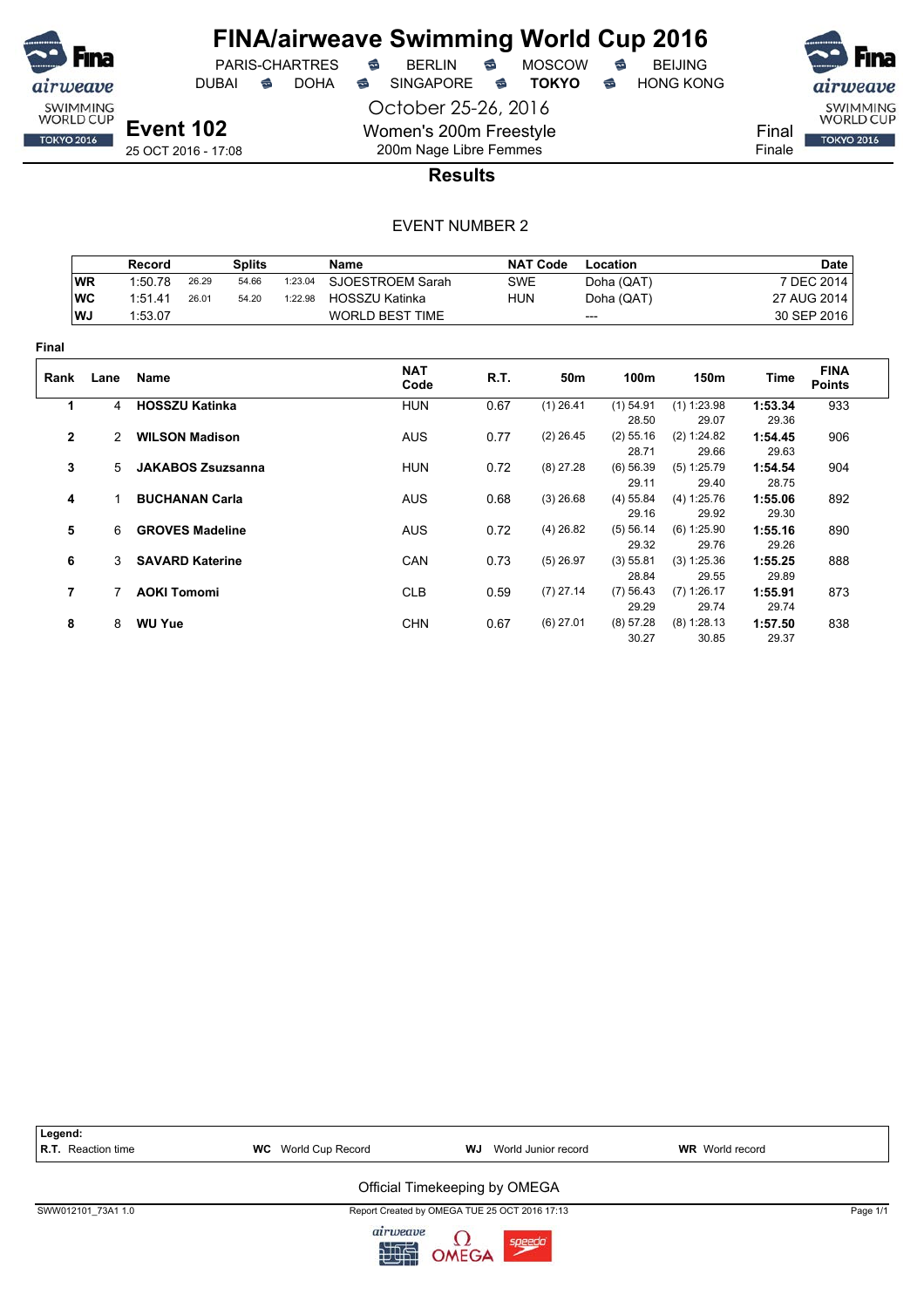

PARIS-CHARTRES **S** BERLIN S MOSCOW S

DUBAI **S** DOHA S SINGAPORE S TOKYO S HONG KONG

airweave SWIMMING<br>WORLD CUP

**TOKYO 2016** 

Final Finale

25 OCT 2016 - 17:08

### 200m Nage Libre Femmes **Results**

October 25-26, 2016

Women's 200m Freestyle

|                |               | Record                   |       | <b>Splits</b> |         | Name                   |            | <b>NAT Code</b> | Location             |                        |                  | <b>Date</b>                  |
|----------------|---------------|--------------------------|-------|---------------|---------|------------------------|------------|-----------------|----------------------|------------------------|------------------|------------------------------|
|                | <b>WR</b>     | 1:50.78                  | 26.29 | 54.66         | 1:23.04 | SJOESTROEM Sarah       | <b>SWE</b> |                 | Doha (QAT)           |                        |                  | 7 DEC 2014                   |
|                | <b>WC</b>     | 1:51.41                  | 26.01 | 54.20         | 1:22.98 | <b>HOSSZU Katinka</b>  | <b>HUN</b> |                 | Doha (QAT)           |                        |                  | 27 AUG 2014                  |
|                | WJ            | 1:53.07                  |       |               |         | <b>WORLD BEST TIME</b> |            |                 | ---                  |                        |                  | 30 SEP 2016                  |
| Final          |               |                          |       |               |         |                        |            |                 |                      |                        |                  |                              |
| Rank           | Lane          | <b>Name</b>              |       |               |         | <b>NAT</b><br>Code     | R.T.       | 50m             | 100m                 | 150m                   | Time             | <b>FINA</b><br><b>Points</b> |
| 1              | 4             | <b>HOSSZU Katinka</b>    |       |               |         | <b>HUN</b>             | 0.67       | $(1)$ 26.41     | $(1)$ 54.91          | $(1)$ 1:23.98          | 1:53.34          | 933                          |
|                |               |                          |       |               |         |                        |            |                 | 28.50                | 29.07                  | 29.36            |                              |
| $\overline{2}$ | $\mathcal{P}$ | <b>WILSON Madison</b>    |       |               |         | <b>AUS</b>             | 0.77       | $(2)$ 26.45     | $(2)$ 55.16<br>28.71 | (2) 1:24.82<br>29.66   | 1:54.45<br>29.63 | 906                          |
| 3              | 5             | <b>JAKABOS Zsuzsanna</b> |       |               |         | <b>HUN</b>             | 0.72       | $(8)$ 27.28     | $(6)$ 56.39<br>29.11 | (5) 1:25.79<br>29.40   | 1:54.54<br>28.75 | 904                          |
| 4              |               | <b>BUCHANAN Carla</b>    |       |               |         | <b>AUS</b>             | 0.68       | $(3)$ 26.68     | $(4)$ 55.84<br>29.16 | (4) 1:25.76<br>29.92   | 1:55.06<br>29.30 | 892                          |
| 5              | 6             | <b>GROVES Madeline</b>   |       |               |         | <b>AUS</b>             | 0.72       | $(4)$ 26.82     | (5) 56.14<br>29.32   | (6) 1:25.90<br>29.76   | 1:55.16<br>29.26 | 890                          |
| 6              | 3             | <b>SAVARD Katerine</b>   |       |               |         | CAN                    | 0.73       | $(5)$ 26.97     | (3) 55.81<br>28.84   | (3) 1:25.36<br>29.55   | 1:55.25<br>29.89 | 888                          |
| 7              | 7             | <b>AOKI Tomomi</b>       |       |               |         | <b>CLB</b>             | 0.59       | $(7)$ 27.14     | (7) 56.43<br>29.29   | $(7)$ 1:26.17<br>29.74 | 1:55.91<br>29.74 | 873                          |
| 8              | 8             | <b>WU Yue</b>            |       |               |         | <b>CHN</b>             | 0.67       | $(6)$ 27.01     | $(8)$ 57.28<br>30.27 | (8) 1:28.13<br>30.85   | 1:57.50<br>29.37 | 838                          |

| Legend:<br><b>R.T.</b> Reaction time | <b>WC</b> World Cup Record | World Junior record<br>WJ                     | <b>WR</b> World record |          |
|--------------------------------------|----------------------------|-----------------------------------------------|------------------------|----------|
|                                      |                            | Official Timekeeping by OMEGA                 |                        |          |
| SWW012101 73A1 1.0                   |                            | Report Created by OMEGA TUE 25 OCT 2016 17:13 |                        | Page 1/1 |
|                                      | airweave                   | $\curvearrowright$                            |                        |          |

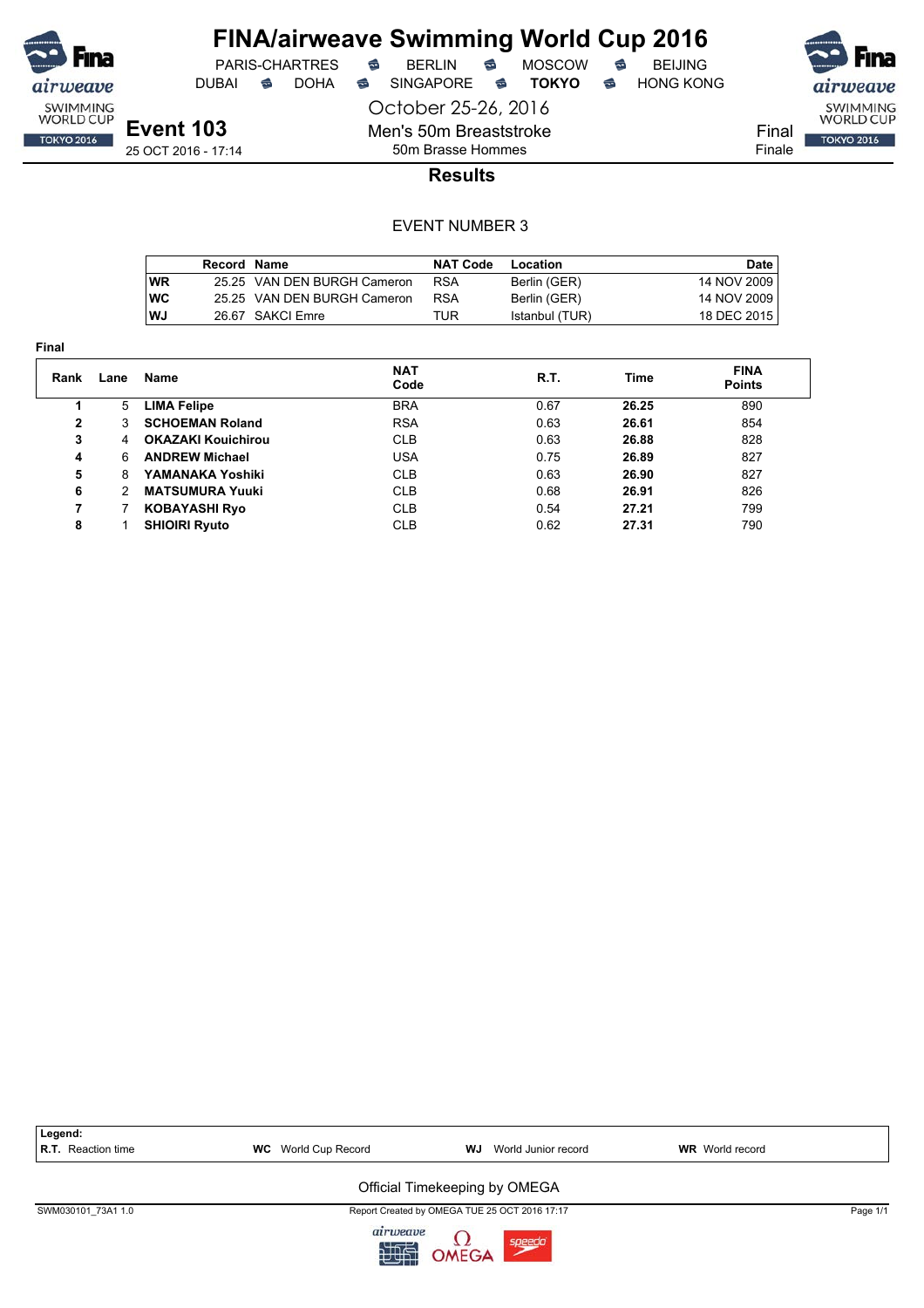

**Final**

# **FINA/airweave Swimming World Cup 2016**<br>PARIS-CHARTRES **& BERLIN & MOSCOW & BEIJING**

DUBAI **S** DOHA S SINGAPORE S TOKYO S HONG KONG

PARIS-CHARTRES **B** BERLIN **B** MOSCOW **B** BEIJING

Final Finale

SWIMMING<br>WORLD CUP **TOKYO 2016** 

**Event 103** 25 OCT 2016 - 17:14

50m Brasse Hommes **Results**

October 25-26, 2016

Men's 50m Breaststroke

|      | Record Name |                             | <b>NAT Code</b> | Location       | Date        |
|------|-------------|-----------------------------|-----------------|----------------|-------------|
| l WR |             | 25.25 VAN DEN BURGH Cameron | <b>RSA</b>      | Berlin (GER)   | 14 NOV 2009 |
| l WC |             | 25.25 VAN DEN BURGH Cameron | <b>RSA</b>      | Berlin (GER)   | 14 NOV 2009 |
| l WJ |             | 26.67 SAKCI Emre            | TUR             | Istanbul (TUR) | 18 DEC 2015 |

| Rank | Lane | Name                      | <b>NAT</b><br>Code | R.T. | Time  | <b>FINA</b><br><b>Points</b> |
|------|------|---------------------------|--------------------|------|-------|------------------------------|
|      | 5    | <b>LIMA Felipe</b>        | <b>BRA</b>         | 0.67 | 26.25 | 890                          |
| 2    | 3    | <b>SCHOEMAN Roland</b>    | <b>RSA</b>         | 0.63 | 26.61 | 854                          |
| 3    | 4    | <b>OKAZAKI Kouichirou</b> | <b>CLB</b>         | 0.63 | 26.88 | 828                          |
| 4    | 6    | <b>ANDREW Michael</b>     | <b>USA</b>         | 0.75 | 26.89 | 827                          |
| 5    | 8    | YAMANAKA Yoshiki          | <b>CLB</b>         | 0.63 | 26.90 | 827                          |
| 6    | 2    | <b>MATSUMURA Yuuki</b>    | <b>CLB</b>         | 0.68 | 26.91 | 826                          |
|      |      | <b>KOBAYASHI Ryo</b>      | <b>CLB</b>         | 0.54 | 27.21 | 799                          |
| 8    |      | <b>SHIOIRI Ryuto</b>      | <b>CLB</b>         | 0.62 | 27.31 | 790                          |

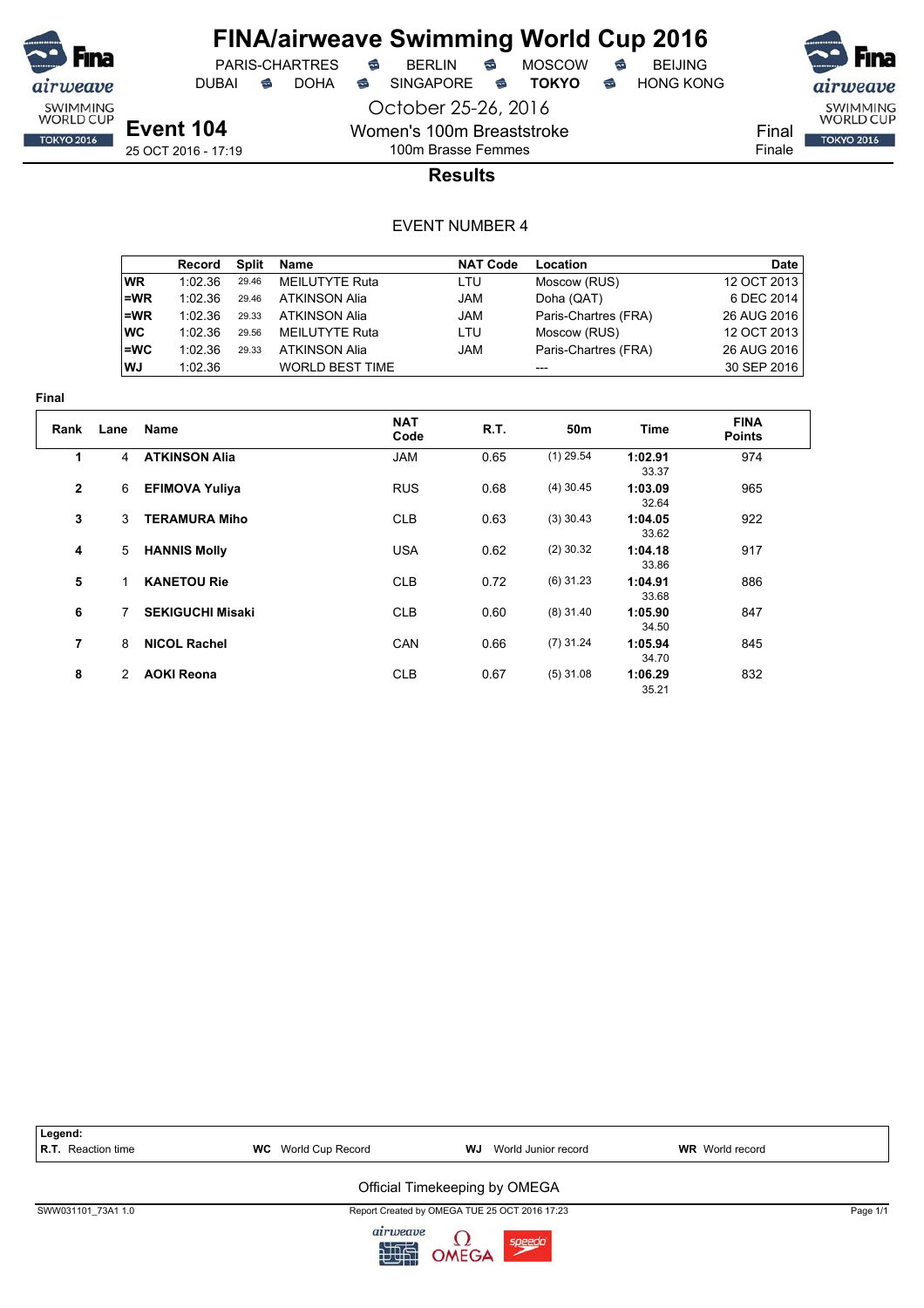

 $PARIS-CHARTRES$  **BERLIN B** MOSCOW **B** 

DUBAI **S** DOHA S SINGAPORE S TOKYO S HONG KONG

airweave SWIMMING<br>WORLD CUP

**TOKYO 2016** 

Final Finale

**Event 104** 25 OCT 2016 - 17:19

### 100m Brasse Femmes **Results**

October 25-26, 2016

Women's 100m Breaststroke

|           | Record  | Split | Name                   | <b>NAT Code</b> | Location             | Date        |
|-----------|---------|-------|------------------------|-----------------|----------------------|-------------|
| <b>WR</b> | 1:02.36 | 29.46 | <b>MEILUTYTE Ruta</b>  | LTU             | Moscow (RUS)         | 12 OCT 2013 |
| l=WR      | 1:02.36 | 29.46 | <b>ATKINSON Alia</b>   | <b>JAM</b>      | Doha (QAT)           | 6 DEC 2014  |
| l=WR      | 1:02.36 | 29.33 | <b>ATKINSON Alia</b>   | <b>JAM</b>      | Paris-Chartres (FRA) | 26 AUG 2016 |
| ∣wc       | 1:02.36 | 29.56 | <b>MEILUTYTE Ruta</b>  | LTU             | Moscow (RUS)         | 12 OCT 2013 |
| l=WC      | 1:02.36 | 29.33 | <b>ATKINSON Alia</b>   | <b>JAM</b>      | Paris-Chartres (FRA) | 26 AUG 2016 |
| l WJ      | 1:02.36 |       | <b>WORLD BEST TIME</b> |                 |                      | 30 SEP 2016 |

| шаг          |      |                         |                    |      |             |                  |                              |  |
|--------------|------|-------------------------|--------------------|------|-------------|------------------|------------------------------|--|
| Rank         | Lane | Name                    | <b>NAT</b><br>Code | R.T. | 50m         | Time             | <b>FINA</b><br><b>Points</b> |  |
| 1            | 4    | <b>ATKINSON Alia</b>    | <b>JAM</b>         | 0.65 | $(1)$ 29.54 | 1:02.91<br>33.37 | 974                          |  |
| $\mathbf{2}$ | 6    | <b>EFIMOVA Yuliya</b>   | <b>RUS</b>         | 0.68 | $(4)$ 30.45 | 1:03.09<br>32.64 | 965                          |  |
| 3            | 3    | <b>TERAMURA Miho</b>    | <b>CLB</b>         | 0.63 | $(3)$ 30.43 | 1:04.05<br>33.62 | 922                          |  |
| 4            | 5    | <b>HANNIS Molly</b>     | <b>USA</b>         | 0.62 | $(2)$ 30.32 | 1:04.18<br>33.86 | 917                          |  |
| 5            | 1    | <b>KANETOU Rie</b>      | <b>CLB</b>         | 0.72 | $(6)$ 31.23 | 1:04.91<br>33.68 | 886                          |  |
| 6            |      | <b>SEKIGUCHI Misaki</b> | <b>CLB</b>         | 0.60 | $(8)$ 31.40 | 1:05.90<br>34.50 | 847                          |  |
| 7            | 8    | <b>NICOL Rachel</b>     | <b>CAN</b>         | 0.66 | $(7)$ 31.24 | 1:05.94<br>34.70 | 845                          |  |
| 8            | 2    | <b>AOKI Reona</b>       | <b>CLB</b>         | 0.67 | $(5)$ 31.08 | 1:06.29<br>35.21 | 832                          |  |

| Legend:<br><b>R.T.</b> Reaction time | <b>WC</b> World Cup Record | WJ<br>World Junior record                     | <b>WR</b> World record |          |
|--------------------------------------|----------------------------|-----------------------------------------------|------------------------|----------|
|                                      |                            | Official Timekeeping by OMEGA                 |                        |          |
| SWW031101 73A1 1.0                   |                            | Report Created by OMEGA TUE 25 OCT 2016 17:23 |                        | Page 1/1 |
|                                      | airweave<br>印度             | OMEGA<br>speedo                               |                        |          |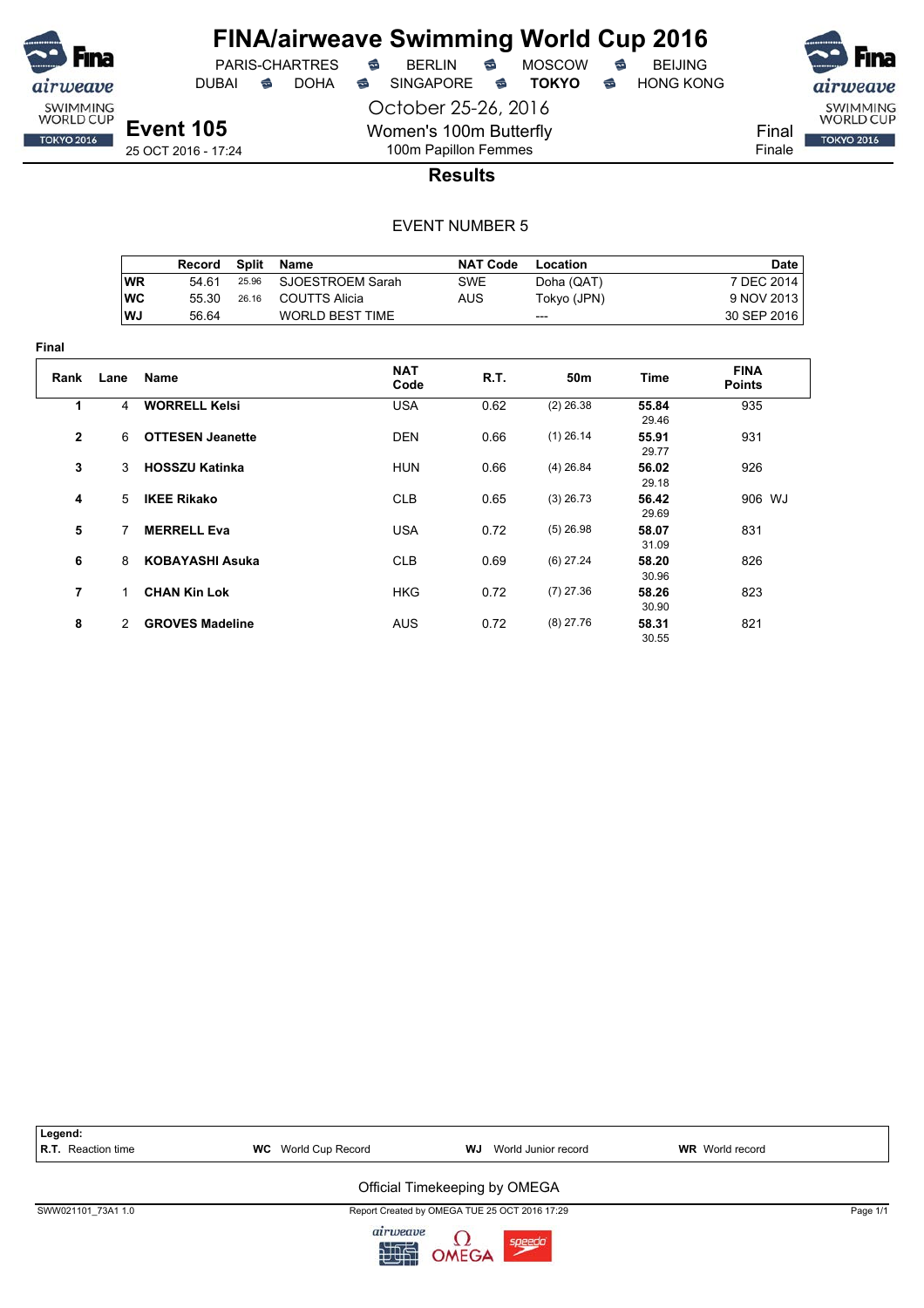

**Final**

# **FINA/airweave Swimming World Cup 2016**

October 25-26, 2016 DUBAI **S** DOHA SINGAPORE S **TOKYO** S HONG KONG

PARIS-CHARTRES **B** BERLIN **B** MOSCOW **B** BEIJING

SWIMMING<br>WORLD CUP Final **TOKYO 2016** 

Finale

**Event 105** 25 OCT 2016 - 17:24

100m Papillon Femmes **Results**

Women's 100m Butterfly

#### EVENT NUMBER 5

|                |               | Record                  | <b>Split</b> | <b>Name</b>            | <b>NAT Code</b> | <b>Location</b> |                | Date                         |
|----------------|---------------|-------------------------|--------------|------------------------|-----------------|-----------------|----------------|------------------------------|
|                | <b>WR</b>     | 54.61                   | 25.96        | SJOESTROEM Sarah       | <b>SWE</b>      | Doha (QAT)      |                | 7 DEC 2014                   |
|                | <b>WC</b>     | 55.30                   | 26.16        | <b>COUTTS Alicia</b>   | <b>AUS</b>      | Tokyo (JPN)     |                | 9 NOV 2013                   |
|                | WJ            | 56.64                   |              | <b>WORLD BEST TIME</b> |                 | ---             |                | 30 SEP 2016                  |
|                |               |                         |              |                        |                 |                 |                |                              |
| ıal            |               |                         |              |                        |                 |                 |                |                              |
| Rank           | Lane          | Name                    |              | <b>NAT</b><br>Code     | R.T.            | 50m             | Time           | <b>FINA</b><br><b>Points</b> |
| 1              | 4             | <b>WORRELL Kelsi</b>    |              | <b>USA</b>             | 0.62            | $(2)$ 26.38     | 55.84<br>29.46 | 935                          |
| 2              | 6             | <b>OTTESEN Jeanette</b> |              | <b>DEN</b>             | 0.66            | $(1)$ 26.14     | 55.91<br>29.77 | 931                          |
| 3              | 3             | <b>HOSSZU Katinka</b>   |              | <b>HUN</b>             | 0.66            | $(4)$ 26.84     | 56.02<br>29.18 | 926                          |
| 4              | 5             | <b>IKEE Rikako</b>      |              | <b>CLB</b>             | 0.65            | $(3)$ 26.73     | 56.42<br>29.69 | 906 WJ                       |
| 5              | 7             | <b>MERRELL Eva</b>      |              | <b>USA</b>             | 0.72            | $(5)$ 26.98     | 58.07<br>31.09 | 831                          |
| 6              | 8             | <b>KOBAYASHI Asuka</b>  |              | <b>CLB</b>             | 0.69            | $(6)$ 27.24     | 58.20<br>30.96 | 826                          |
| $\overline{7}$ | 1.            | <b>CHAN Kin Lok</b>     |              | <b>HKG</b>             | 0.72            | $(7)$ 27.36     | 58.26<br>30.90 | 823                          |
| 8              | $\mathcal{P}$ | <b>GROVES Madeline</b>  |              | <b>AUS</b>             | 0.72            | $(8)$ 27.76     | 58.31<br>30.55 | 821                          |



九四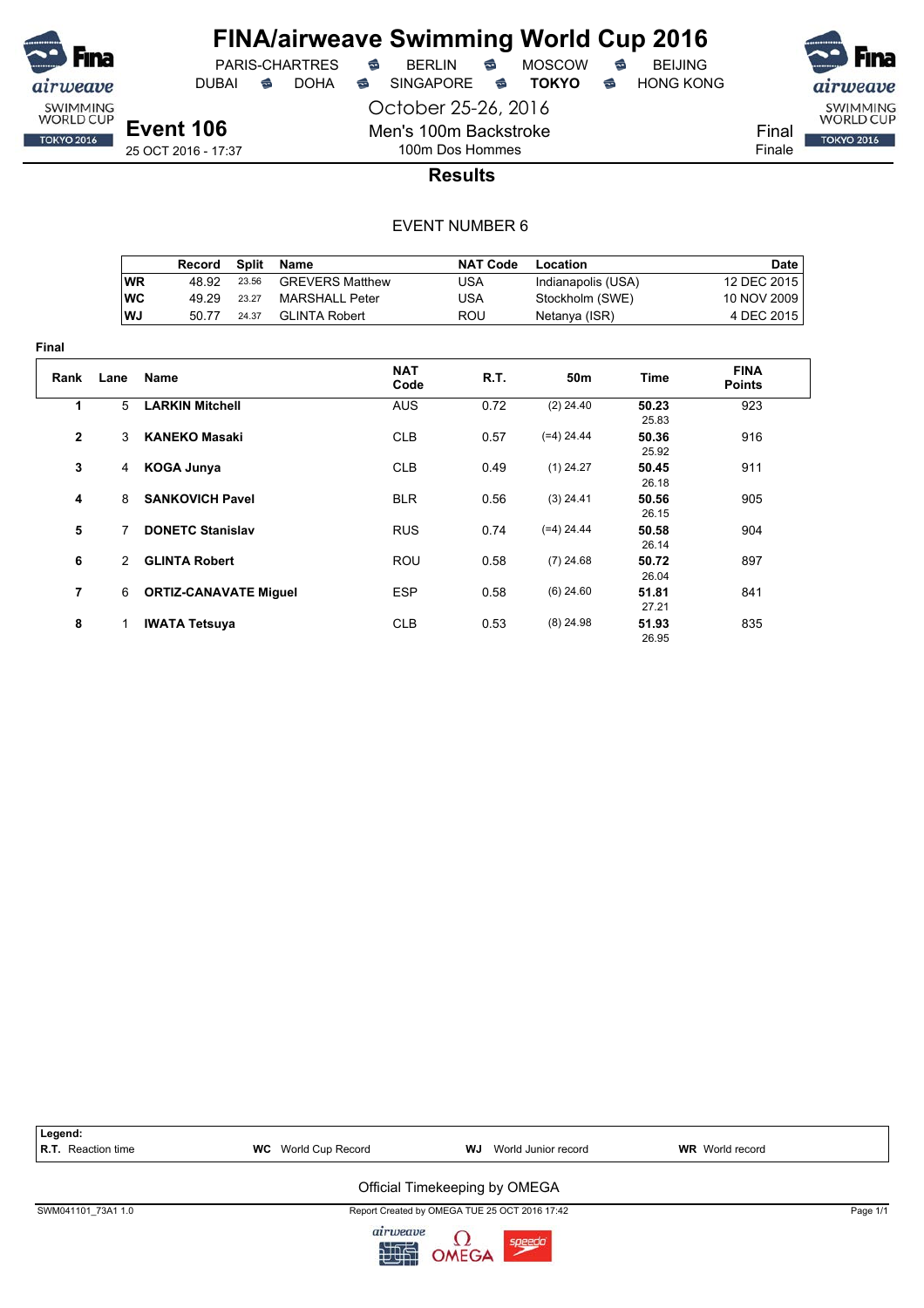

DUBAI **S** DOHA S SINGAPORE S TOKYO S HONG KONG

October 25-26, 2016

**Event 106** 25 OCT 2016 - 17:37 Men's 100m Backstroke 100m Dos Hommes



**Results**

#### EVENT NUMBER 6

|            | Record | Split | Name                   | <b>NAT Code</b> | Location           | Date        |
|------------|--------|-------|------------------------|-----------------|--------------------|-------------|
| <b>WR</b>  | 48.92  | 23.56 | <b>GREVERS Matthew</b> | USA             | Indianapolis (USA) | 12 DEC 2015 |
| <b>IWC</b> | 49.29  | 23.27 | MARSHALL Peter         | USA             | Stockholm (SWE)    | 10 NOV 2009 |
| ∣WJ        | 50 77  | 24.37 | GLINTA Robert          | ROU             | Netanya (ISR)      | 4 DEC 2015  |

| Final        |      |                              |                    |             |              |                |                              |
|--------------|------|------------------------------|--------------------|-------------|--------------|----------------|------------------------------|
| Rank         | Lane | Name                         | <b>NAT</b><br>Code | <b>R.T.</b> | 50m          | <b>Time</b>    | <b>FINA</b><br><b>Points</b> |
| 1            | 5    | <b>LARKIN Mitchell</b>       | <b>AUS</b>         | 0.72        | $(2)$ 24.40  | 50.23<br>25.83 | 923                          |
| $\mathbf{2}$ | 3    | <b>KANEKO Masaki</b>         | <b>CLB</b>         | 0.57        | $(=4)$ 24.44 | 50.36<br>25.92 | 916                          |
| 3            | 4    | <b>KOGA Junya</b>            | <b>CLB</b>         | 0.49        | $(1)$ 24.27  | 50.45<br>26.18 | 911                          |
| 4            | 8    | <b>SANKOVICH Pavel</b>       | <b>BLR</b>         | 0.56        | $(3)$ 24.41  | 50.56<br>26.15 | 905                          |
| 5            | 7    | <b>DONETC Stanislav</b>      | <b>RUS</b>         | 0.74        | $(=4)$ 24.44 | 50.58<br>26.14 | 904                          |
| 6            | 2    | <b>GLINTA Robert</b>         | <b>ROU</b>         | 0.58        | $(7)$ 24.68  | 50.72<br>26.04 | 897                          |
| 7            | 6    | <b>ORTIZ-CANAVATE Miquel</b> | <b>ESP</b>         | 0.58        | $(6)$ 24.60  | 51.81<br>27.21 | 841                          |
| 8            | 1.   | <b>IWATA Tetsuya</b>         | <b>CLB</b>         | 0.53        | $(8)$ 24.98  | 51.93<br>26.95 | 835                          |

Legend:<br>R.T. Reaction time **R.T.** WC World Cup Record **WJ** World Junior record **WR** World record Official Timekeeping by OMEGA SWM041101\_73A1 1.0 Page 1/1 airweave

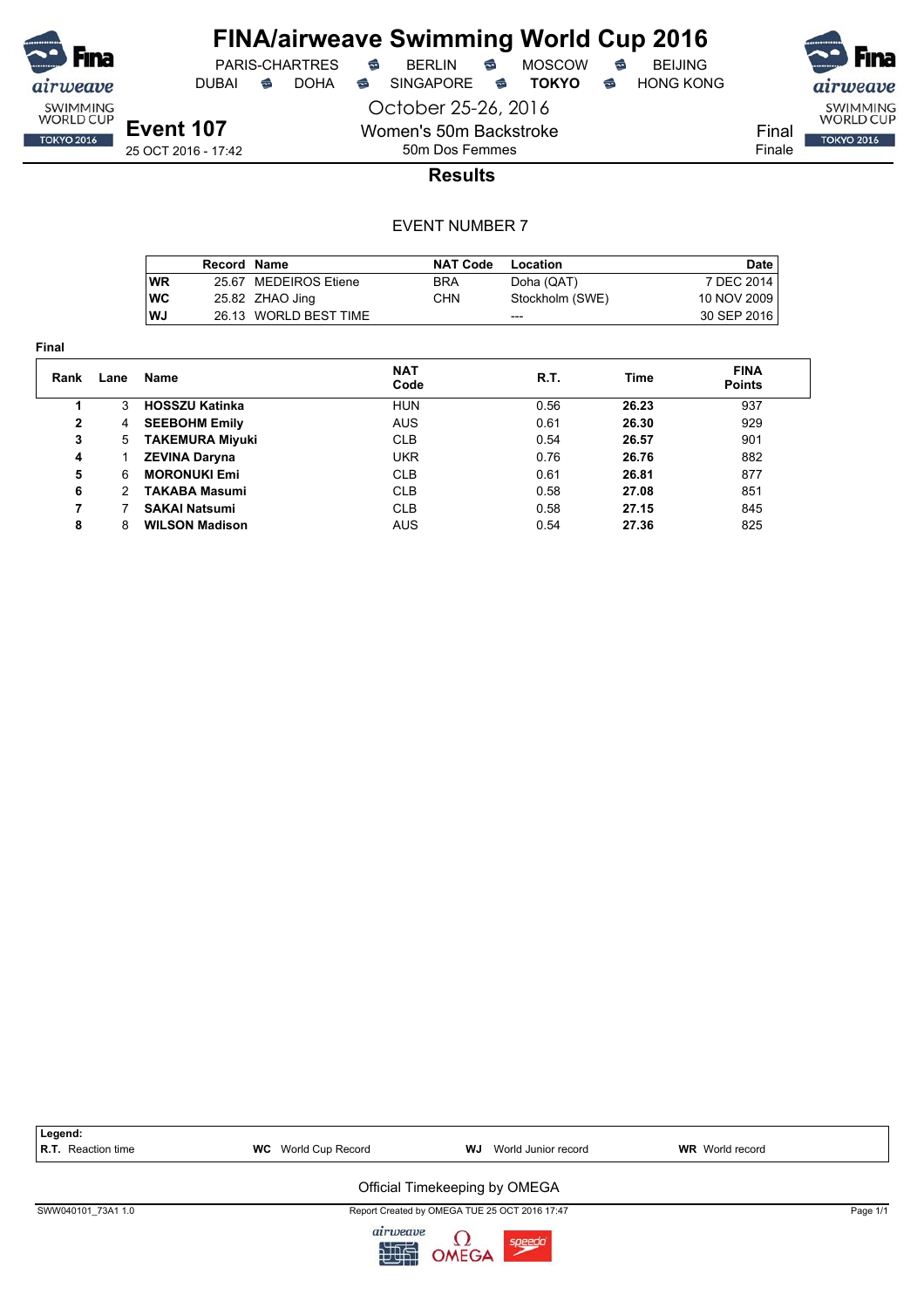

**Final**

# **FINA/airweave Swimming World Cup 2016**

DUBAI **S** DOHA S SINGAPORE S TOKYO S HONG KONG

PARIS-CHARTRES **B** BERLIN **B** MOSCOW **B** BEIJING

October 25-26, 2016 Women's 50m Backstroke

SWIMMING<br>WORLD CUP Final **TOKYO 2016** 

Finale

**Results**

#### EVENT NUMBER 7

50m Dos Femmes

|            | Record Name |                       | <b>NAT Code</b> | Location        | Date        |
|------------|-------------|-----------------------|-----------------|-----------------|-------------|
| <b>WR</b>  |             | 25.67 MEDEIROS Etiene | <b>BRA</b>      | Doha (QAT)      | 7 DEC 2014  |
| <b>IWC</b> |             | 25.82 ZHAO Jing       | CHN             | Stockholm (SWE) | 10 NOV 2009 |
| l WJ       |             | 26.13 WORLD BEST TIME |                 | ---             | 30 SEP 2016 |

| Rank | Lane | Name                   | <b>NAT</b><br>Code | R.T. | Time  | <b>FINA</b><br><b>Points</b> |
|------|------|------------------------|--------------------|------|-------|------------------------------|
|      | 3    | <b>HOSSZU Katinka</b>  | <b>HUN</b>         | 0.56 | 26.23 | 937                          |
| 2    | 4    | <b>SEEBOHM Emily</b>   | <b>AUS</b>         | 0.61 | 26.30 | 929                          |
| 3    | 5.   | <b>TAKEMURA Miyuki</b> | <b>CLB</b>         | 0.54 | 26.57 | 901                          |
| 4    |      | <b>ZEVINA Daryna</b>   | <b>UKR</b>         | 0.76 | 26.76 | 882                          |
| 5    | 6    | <b>MORONUKI Emi</b>    | <b>CLB</b>         | 0.61 | 26.81 | 877                          |
| 6    | 2    | <b>TAKABA Masumi</b>   | <b>CLB</b>         | 0.58 | 27.08 | 851                          |
| 7    |      | <b>SAKAI Natsumi</b>   | <b>CLB</b>         | 0.58 | 27.15 | 845                          |
| 8    | 8    | <b>WILSON Madison</b>  | AUS                | 0.54 | 27.36 | 825                          |

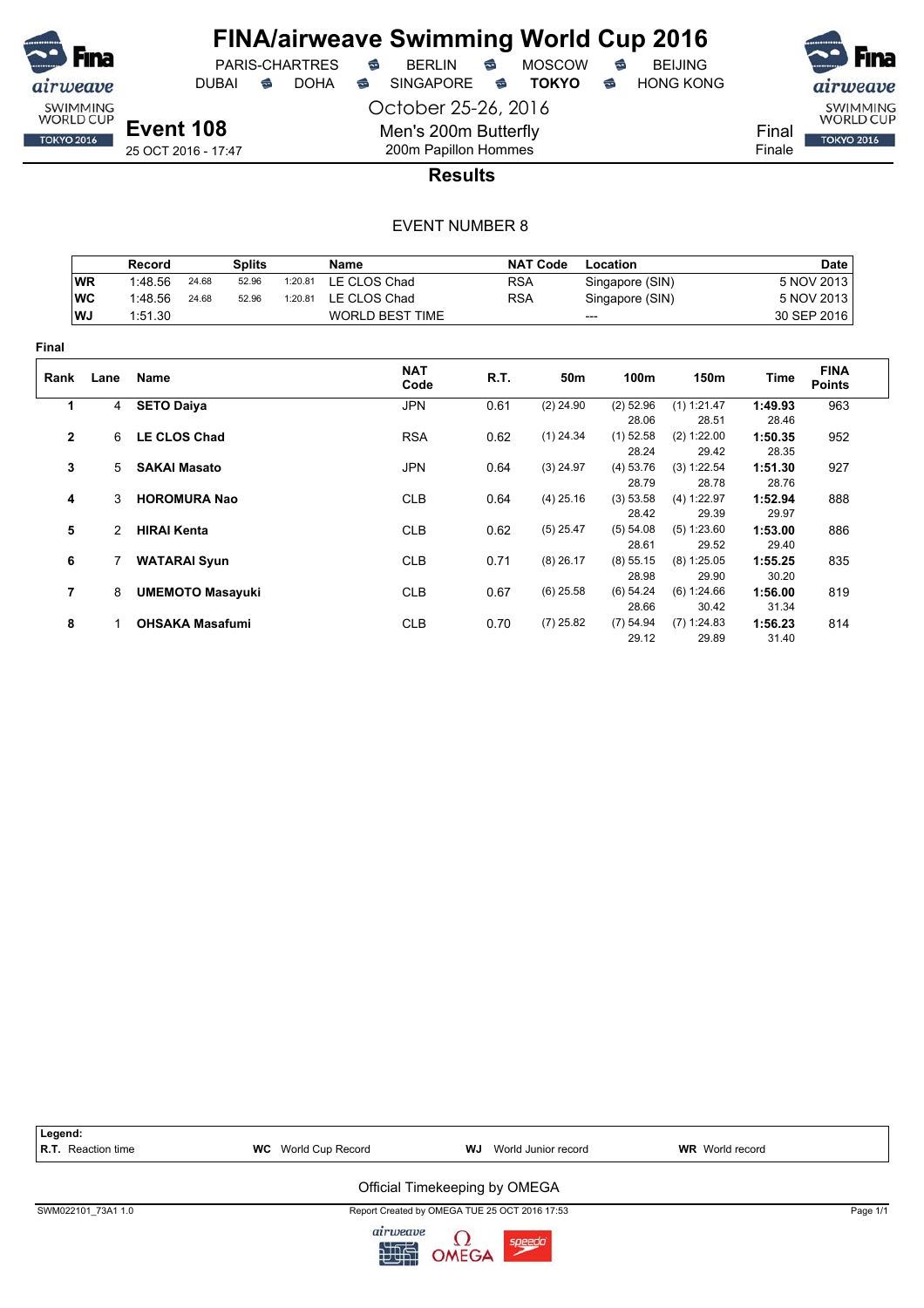

DUBAI **S** DOHA SINGAPORE S **TOKYO** S HONG KONG

PARIS-CHARTRES **B** BERLIN **B** MOSCOW **B** BEIJING

October 25-26, 2016



Final Finale

## 200m Papillon Hommes **Results**

Men's 200m Butterfly

|              |                | Record                  |                        | <b>Splits</b> |         | <b>Name</b>            |            | <b>NAT Code</b> | Location             |                        |                  | <b>Date</b>                  |
|--------------|----------------|-------------------------|------------------------|---------------|---------|------------------------|------------|-----------------|----------------------|------------------------|------------------|------------------------------|
|              | <b>WR</b>      | 1:48.56                 | 24.68                  | 52.96         | 1:20.81 | LE CLOS Chad           | <b>RSA</b> |                 | Singapore (SIN)      |                        |                  | 5 NOV 2013                   |
|              | <b>WC</b>      | 1:48.56                 | 24.68                  | 52.96         | 1:20.81 | LE CLOS Chad           | <b>RSA</b> |                 | Singapore (SIN)      |                        |                  | 5 NOV 2013                   |
|              | WJ             | 1:51.30                 |                        |               |         | <b>WORLD BEST TIME</b> |            | ---             |                      |                        |                  | 30 SEP 2016                  |
| <b>Final</b> |                |                         |                        |               |         |                        |            |                 |                      |                        |                  |                              |
| Rank         | Lane           | Name                    |                        |               |         | <b>NAT</b><br>Code     | R.T.       | 50m             | 100m                 | 150m                   | Time             | <b>FINA</b><br><b>Points</b> |
| 1            |                | 4 SETO Daiya            |                        |               |         | <b>JPN</b>             | 0.61       | $(2)$ 24.90     | $(2)$ 52.96          | (1) 1:21.47            | 1:49.93          | 963                          |
|              |                |                         |                        |               |         |                        |            |                 | 28.06                | 28.51                  | 28.46            |                              |
| $\mathbf{2}$ |                | 6 LE CLOS Chad          |                        |               |         | <b>RSA</b>             | 0.62       | $(1)$ 24.34     | $(1)$ 52.58<br>28.24 | (2) 1:22.00<br>29.42   | 1:50.35<br>28.35 | 952                          |
| 3            | 5              | <b>SAKAI Masato</b>     |                        |               |         | <b>JPN</b>             | 0.64       | $(3)$ 24.97     | (4) 53.76<br>28.79   | (3) 1:22.54<br>28.78   | 1:51.30<br>28.76 | 927                          |
| 4            | 3              | <b>HOROMURA Nao</b>     |                        |               |         | <b>CLB</b>             | 0.64       | $(4)$ 25.16     | (3) 53.58            | (4) 1:22.97            | 1:52.94          | 888                          |
| 5            | $\overline{2}$ | <b>HIRAI Kenta</b>      |                        |               |         | <b>CLB</b>             | 0.62       | $(5)$ 25.47     | 28.42<br>(5) 54.08   | 29.39<br>(5) 1:23.60   | 29.97<br>1:53.00 | 886                          |
|              |                |                         |                        |               |         |                        |            |                 | 28.61                | 29.52                  | 29.40            |                              |
| 6            |                |                         | <b>WATARAI Syun</b>    |               |         | <b>CLB</b>             | 0.71       | $(8)$ 26.17     | $(8)$ 55.15<br>28.98 | $(8)$ 1:25.05<br>29.90 | 1:55.25<br>30.20 | 835                          |
| 7            | 8              | <b>UMEMOTO Masayuki</b> |                        |               |         | <b>CLB</b>             | 0.67       | $(6)$ 25.58     | (6) 54.24<br>28.66   | (6) 1:24.66<br>30.42   | 1:56.00<br>31.34 | 819                          |
| 8            |                |                         | <b>OHSAKA Masafumi</b> |               |         | <b>CLB</b>             | 0.70       | $(7)$ 25.82     | (7) 54.94<br>29.12   | (7) 1:24.83<br>29.89   | 1:56.23<br>31.40 | 814                          |

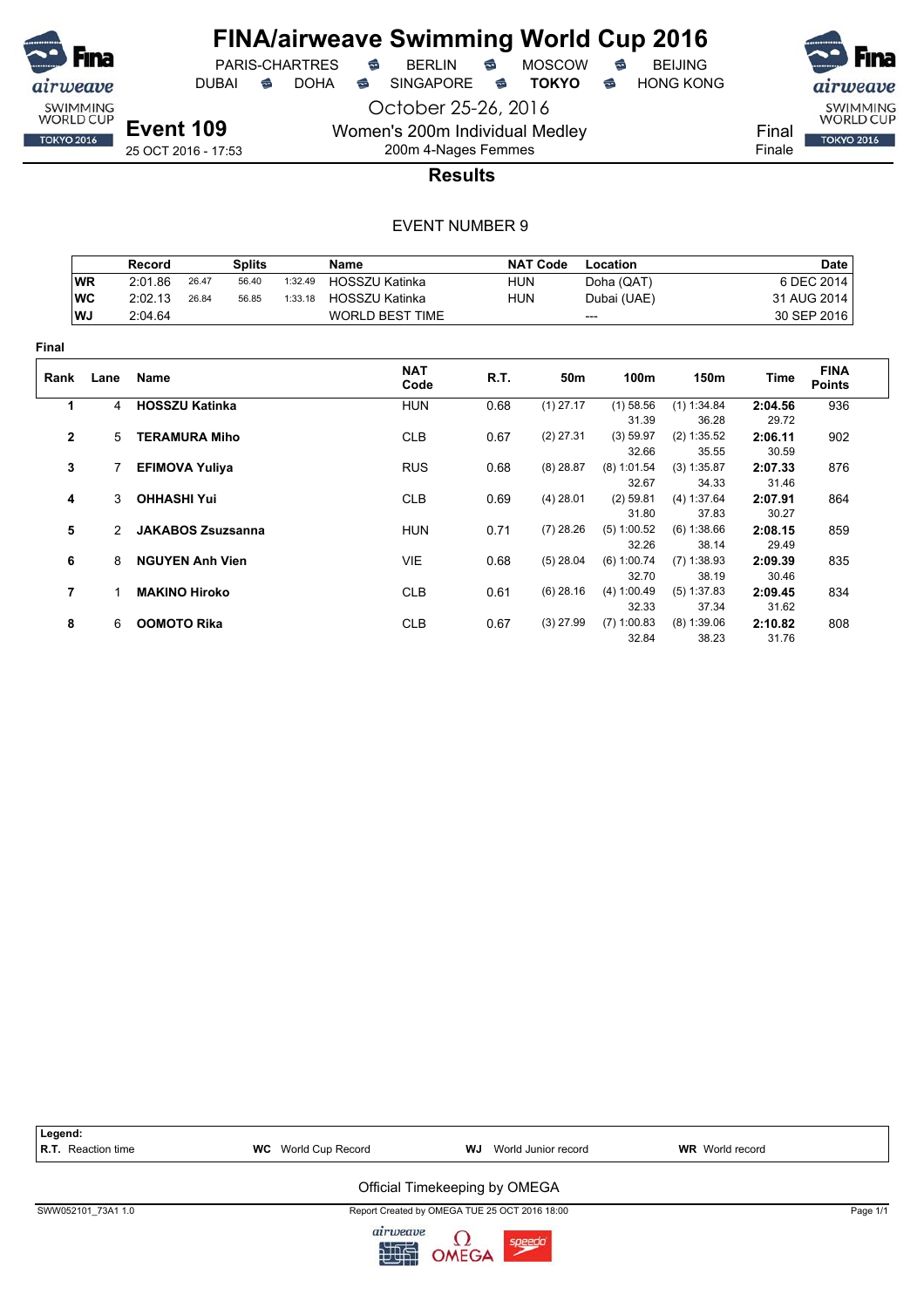

PARIS-CHARTRES **S** BERLIN S MOSCOW S

DUBAI **S** DOHA S SINGAPORE S TOKYO S HONG KONG

**Event 109** 25 OCT 2016 - 17:53

October 25-26, 2016 Women's 200m Individual Medley

200m 4-Nages Femmes



**Results**

|              |                | Record                 | <b>Splits</b>            |         | Name                   |            | <b>NAT Code</b> | Location               |                        |                  | <b>Date</b>                  |
|--------------|----------------|------------------------|--------------------------|---------|------------------------|------------|-----------------|------------------------|------------------------|------------------|------------------------------|
|              | <b>WR</b>      | 2:01.86                | 26.47<br>56.40           | 1:32.49 | HOSSZU Katinka         | <b>HUN</b> |                 | Doha (QAT)             |                        |                  | 6 DEC 2014                   |
|              | WC             | 2:02.13                | 26.84<br>56.85           | 1:33.18 | <b>HOSSZU Katinka</b>  | <b>HUN</b> |                 | Dubai (UAE)            |                        |                  | 31 AUG 2014                  |
|              | WJ             | 2:04.64                |                          |         | <b>WORLD BEST TIME</b> |            |                 | ---                    |                        |                  | 30 SEP 2016                  |
| Final        |                |                        |                          |         |                        |            |                 |                        |                        |                  |                              |
| Rank         | Lane           | Name                   |                          |         | <b>NAT</b><br>Code     | R.T.       | 50m             | 100m                   | 150m                   | Time             | <b>FINA</b><br><b>Points</b> |
| 1            | $\overline{4}$ | <b>HOSSZU Katinka</b>  |                          |         | <b>HUN</b>             | 0.68       | $(1)$ 27.17     | $(1)$ 58.56<br>31.39   | (1) 1:34.84<br>36.28   | 2:04.56<br>29.72 | 936                          |
| $\mathbf{2}$ | 5              | <b>TERAMURA Miho</b>   |                          |         | <b>CLB</b>             | 0.67       | $(2)$ 27.31     | (3) 59.97<br>32.66     | (2) 1:35.52<br>35.55   | 2:06.11<br>30.59 | 902                          |
| 3            |                | <b>EFIMOVA Yuliya</b>  |                          |         | <b>RUS</b>             | 0.68       | $(8)$ 28.87     | $(8)$ 1:01.54<br>32.67 | (3) 1:35.87<br>34.33   | 2:07.33<br>31.46 | 876                          |
| 4            | 3              | <b>OHHASHI Yui</b>     |                          |         | <b>CLB</b>             | 0.69       | $(4)$ 28.01     | $(2)$ 59.81<br>31.80   | (4) 1:37.64<br>37.83   | 2:07.91<br>30.27 | 864                          |
| 5            | $\mathcal{P}$  |                        | <b>JAKABOS Zsuzsanna</b> |         | <b>HUN</b>             | 0.71       | $(7)$ 28.26     | (5) 1:00.52<br>32.26   | (6) 1:38.66<br>38.14   | 2:08.15<br>29.49 | 859                          |
| 6            | 8              | <b>NGUYEN Anh Vien</b> |                          |         | VIE                    | 0.68       | $(5)$ 28.04     | (6) 1:00.74<br>32.70   | $(7)$ 1:38.93<br>38.19 | 2:09.39<br>30.46 | 835                          |
| 7            |                | <b>MAKINO Hiroko</b>   |                          |         | <b>CLB</b>             | 0.61       | $(6)$ 28.16     | (4) 1:00.49<br>32.33   | (5) 1:37.83<br>37.34   | 2:09.45<br>31.62 | 834                          |
| 8            | 6              | <b>OOMOTO Rika</b>     |                          |         | <b>CLB</b>             | 0.67       | $(3)$ 27.99     | $(7)$ 1:00.83<br>32.84 | $(8)$ 1:39.06<br>38.23 | 2:10.82<br>31.76 | 808                          |

| Legend:<br><b>R.T.</b> Reaction time | <b>WC</b> World Cup Record | WJ<br>World Junior record                     | <b>WR</b> World record |          |
|--------------------------------------|----------------------------|-----------------------------------------------|------------------------|----------|
|                                      |                            | Official Timekeeping by OMEGA                 |                        |          |
| SWW052101 73A1 1.0                   |                            | Report Created by OMEGA TUE 25 OCT 2016 18:00 |                        | Page 1/1 |
|                                      | airu                       | $\sim$                                        |                        |          |

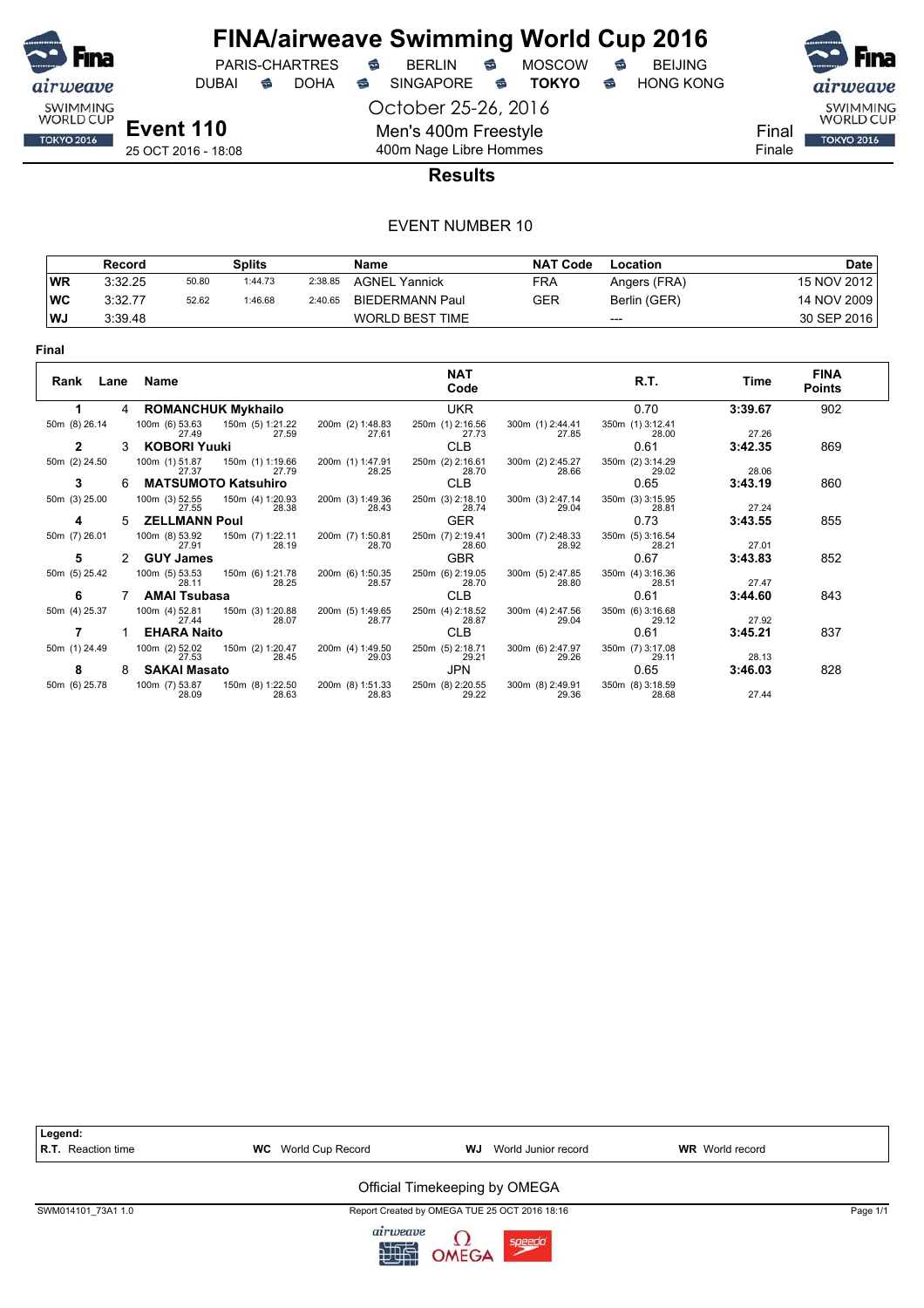

DUBAI **S** DOHA SINGAPORE S **TOKYO** S HONG KONG

October 25-26, 2016 Men's 400m Freestyle 400m Nage Libre Hommes





Final Finale

25 OCT 2016 - 18:08

#### **Results**

|           | Record  |       | <b>Splits</b> |         | Name                   | <b>NAT Code</b> | Location     | Date        |
|-----------|---------|-------|---------------|---------|------------------------|-----------------|--------------|-------------|
| WR        | 3:32.25 | 50.80 | 1:44.73       | 2:38.85 | <b>AGNEL Yannick</b>   | FRA             | Angers (FRA) | 15 NOV 2012 |
| <b>WC</b> | 3:32.77 | 52.62 | 1:46.68       | 2:40.65 | BIEDERMANN Paul        | GER             | Berlin (GER) | 14 NOV 2009 |
| WJ        | 3:39.48 |       |               |         | <b>WORLD BEST TIME</b> |                 | $---$        | 30 SEP 2016 |

| Rank Lane     |   | Name                                        |                                    | <b>NAT</b><br>Code        |                           | R.T.                      | Time    | <b>FINA</b><br><b>Points</b> |
|---------------|---|---------------------------------------------|------------------------------------|---------------------------|---------------------------|---------------------------|---------|------------------------------|
|               | 4 | <b>ROMANCHUK Mykhailo</b>                   |                                    | <b>UKR</b>                |                           | 0.70                      | 3:39.67 | 902                          |
| 50m (8) 26.14 |   | 100m (6) 53.63<br>150m (5) 1:21.22<br>27.49 | 200m (2) 1:48.83<br>27.61<br>27.59 | 250m (1) 2:16.56<br>27.73 | 300m (1) 2:44.41<br>27.85 | 350m (1) 3:12.41<br>28.00 | 27.26   |                              |
| 2             | 3 | <b>KOBORI Yuuki</b>                         |                                    | <b>CLB</b>                |                           | 0.61                      | 3:42.35 | 869                          |
| 50m (2) 24.50 |   | 100m (1) 51.87<br>150m (1) 1:19.66<br>27.37 | 200m (1) 1:47.91<br>28.25<br>27.79 | 250m (2) 2:16.61<br>28.70 | 300m (2) 2:45.27<br>28.66 | 350m (2) 3:14.29<br>29.02 | 28.06   |                              |
| 3             | 6 | <b>MATSUMOTO Katsuhiro</b>                  |                                    | <b>CLB</b>                |                           | 0.65                      | 3:43.19 | 860                          |
| 50m (3) 25.00 |   | 100m (3) 52.55<br>150m (4) 1:20.93<br>27.55 | 200m (3) 1:49.36<br>28.38<br>28.43 | 250m (3) 2:18.10<br>28.74 | 300m (3) 2:47.14<br>29.04 | 350m (3) 3:15.95<br>28.81 | 27.24   |                              |
| 4             | 5 | <b>ZELLMANN Poul</b>                        |                                    | <b>GER</b>                |                           | 0.73                      | 3:43.55 | 855                          |
| 50m (7) 26.01 |   | 100m (8) 53.92<br>150m (7) 1:22.11<br>27.91 | 200m (7) 1:50.81<br>28.19<br>28.70 | 250m (7) 2:19.41<br>28.60 | 300m (7) 2:48.33<br>28.92 | 350m (5) 3:16.54<br>28.21 | 27.01   |                              |
| 5             |   | <b>GUY James</b>                            |                                    | <b>GBR</b>                |                           | 0.67                      | 3:43.83 | 852                          |
| 50m (5) 25.42 |   | 100m (5) 53.53<br>150m (6) 1:21.78<br>28.11 | 200m (6) 1:50.35<br>28.25<br>28.57 | 250m (6) 2:19.05<br>28.70 | 300m (5) 2:47.85<br>28.80 | 350m (4) 3:16.36<br>28.51 | 27.47   |                              |
| 6             |   | <b>AMAI Tsubasa</b>                         |                                    | <b>CLB</b>                |                           | 0.61                      | 3:44.60 | 843                          |
| 50m (4) 25.37 |   | 150m (3) 1:20.88<br>100m (4) 52.81<br>27.44 | 200m (5) 1:49.65<br>28.07<br>28.77 | 250m (4) 2:18.52<br>28.87 | 300m (4) 2:47.56<br>29.04 | 350m (6) 3:16.68<br>29.12 | 27.92   |                              |
|               |   | <b>EHARA Naito</b>                          |                                    | <b>CLB</b>                |                           | 0.61                      | 3:45.21 | 837                          |
| 50m (1) 24.49 |   | 100m (2) 52.02<br>150m (2) 1:20.47<br>27.53 | 200m (4) 1:49.50<br>28.45<br>29.03 | 250m (5) 2:18.71<br>29.21 | 300m (6) 2:47.97<br>29.26 | 350m (7) 3:17.08<br>29.11 | 28.13   |                              |
| 8             | 8 | <b>SAKAI Masato</b>                         |                                    | JPN                       |                           | 0.65                      | 3:46.03 | 828                          |
| 50m (6) 25.78 |   | 100m (7) 53.87<br>150m (8) 1:22.50<br>28.09 | 200m (8) 1:51.33<br>28.83<br>28.63 | 250m (8) 2:20.55<br>29.22 | 300m (8) 2:49.91<br>29.36 | 350m (8) 3:18.59<br>28.68 | 27.44   |                              |



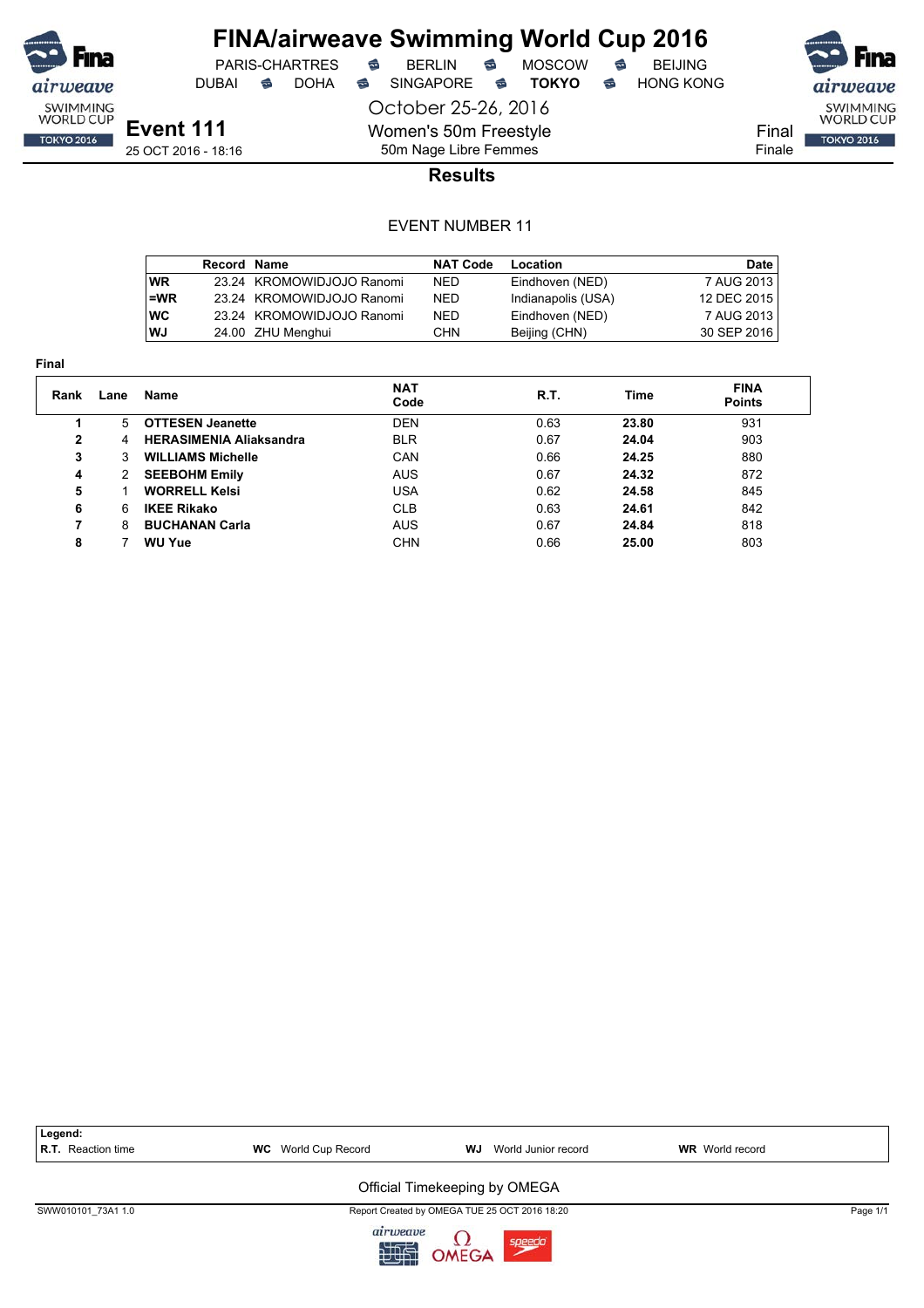

DUBAI **S** DOHA S SINGAPORE S TOKYO S HONG KONG

PARIS-CHARTRES **S** BERLIN S MOSCOW S

October 25-26, 2016 Women's 50m Freestyle

airweave SWIMMING<br>WORLD CUP Final **TOKYO 2016** 

Finale

**Results**

#### EVENT NUMBER 11

50m Nage Libre Femmes

|           | Record Name |                           | <b>NAT Code</b> | Location           | <b>Date</b> |
|-----------|-------------|---------------------------|-----------------|--------------------|-------------|
| <b>WR</b> |             | 23.24 KROMOWIDJOJO Ranomi | <b>NED</b>      | Eindhoven (NED)    | 7 AUG 2013  |
| l=WR      |             | 23.24 KROMOWIDJOJO Ranomi | <b>NED</b>      | Indianapolis (USA) | 12 DEC 2015 |
| <b>WC</b> |             | 23.24 KROMOWIDJOJO Ranomi | <b>NED</b>      | Eindhoven (NED)    | 7 AUG 2013  |
| l WJ      |             | 24.00 ZHU Menghui         | CHN             | Beijing (CHN)      | 30 SEP 2016 |

**Final**

| .            |      |                                |                    |      |       |                              |
|--------------|------|--------------------------------|--------------------|------|-------|------------------------------|
| Rank         | Lane | Name                           | <b>NAT</b><br>Code | R.T. | Time  | <b>FINA</b><br><b>Points</b> |
|              | 5.   | <b>OTTESEN Jeanette</b>        | <b>DEN</b>         | 0.63 | 23.80 | 931                          |
| $\mathbf{2}$ | 4    | <b>HERASIMENIA Aliaksandra</b> | <b>BLR</b>         | 0.67 | 24.04 | 903                          |
| 3            | 3    | <b>WILLIAMS Michelle</b>       | CAN                | 0.66 | 24.25 | 880                          |
| 4            | 2    | <b>SEEBOHM Emily</b>           | <b>AUS</b>         | 0.67 | 24.32 | 872                          |
| 5            |      | <b>WORRELL Kelsi</b>           | USA                | 0.62 | 24.58 | 845                          |
| 6            | 6    | <b>IKEE Rikako</b>             | <b>CLB</b>         | 0.63 | 24.61 | 842                          |
| 7            | 8    | <b>BUCHANAN Carla</b>          | <b>AUS</b>         | 0.67 | 24.84 | 818                          |
| 8            |      | <b>WU Yue</b>                  | CHN                | 0.66 | 25.00 | 803                          |
|              |      |                                |                    |      |       |                              |

| Legend:            |                            |                                               |                        |  |
|--------------------|----------------------------|-----------------------------------------------|------------------------|--|
| R.T. Reaction time | <b>WC</b> World Cup Record | World Junior record<br>WJ                     | <b>WR</b> World record |  |
|                    |                            |                                               |                        |  |
|                    |                            | Official Timekeeping by OMEGA                 |                        |  |
| SWW010101 73A1 1.0 |                            | Report Created by OMEGA TUE 25 OCT 2016 18:20 | Page 1/1               |  |
|                    | a                          | $\sim$                                        |                        |  |

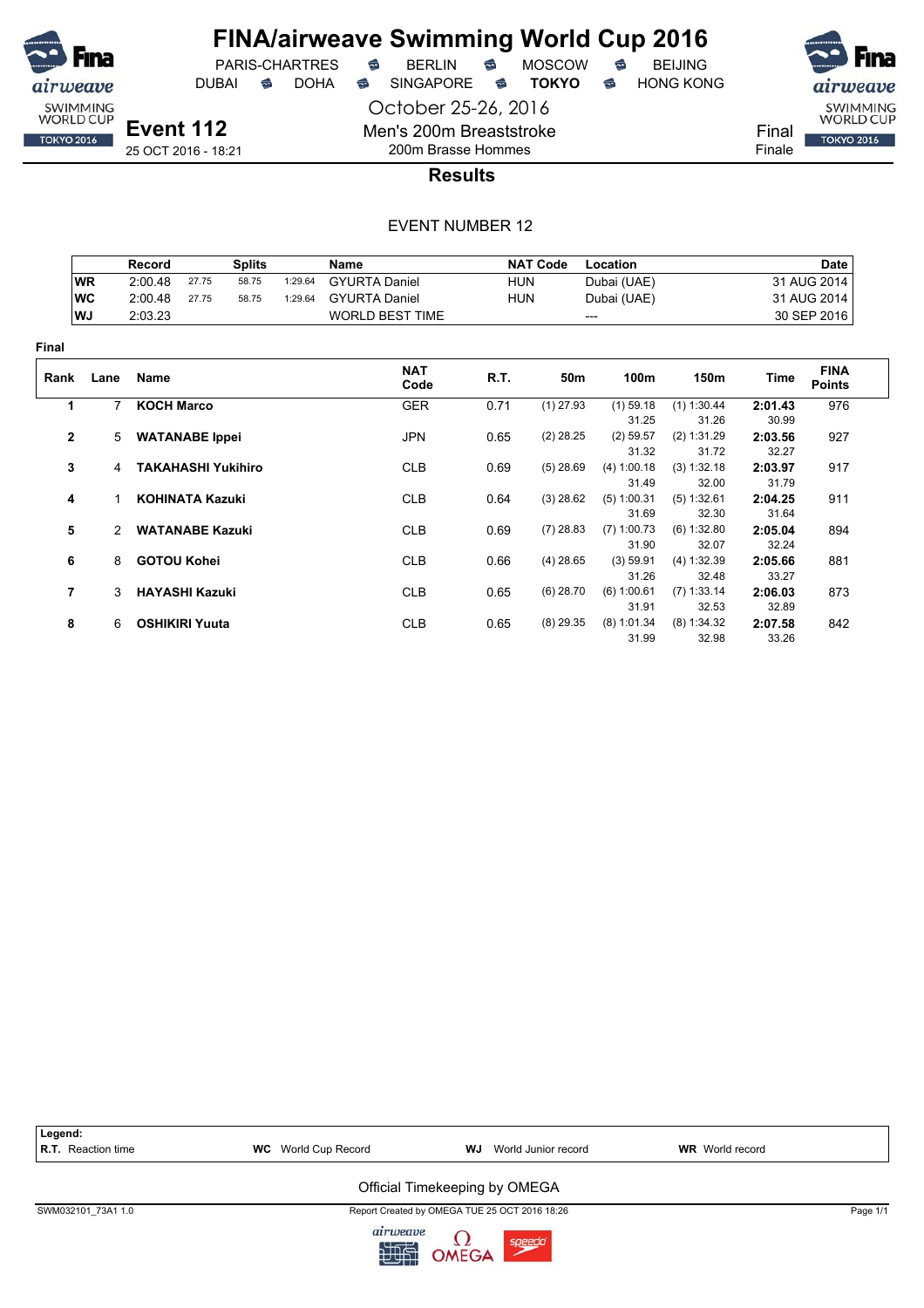

DUBAI **S** DOHA S SINGAPORE S TOKYO S HONG KONG

October 25-26, 2016



airweave SWIMMING<br>WORLD CUP Final **TOKYO 2016** Finale

**Event 112** 25 OCT 2016 - 18:21

### 200m Brasse Hommes **Results**

Men's 200m Breaststroke

|              |           | Record                 |                           | <b>Splits</b> |         | <b>Name</b>            |            | <b>NAT Code</b> | Location             |                      |                  | <b>Date</b>                  |
|--------------|-----------|------------------------|---------------------------|---------------|---------|------------------------|------------|-----------------|----------------------|----------------------|------------------|------------------------------|
|              | <b>WR</b> | 2:00.48                | 27.75                     | 58.75         | 1:29.64 | <b>GYURTA Daniel</b>   | <b>HUN</b> |                 | Dubai (UAE)          |                      |                  | 31 AUG 2014                  |
|              | <b>WC</b> | 2:00.48                | 27.75                     | 58.75         | 1:29.64 | <b>GYURTA Daniel</b>   | <b>HUN</b> |                 | Dubai (UAE)          |                      |                  | 31 AUG 2014                  |
|              | WJ        | 2:03.23                |                           |               |         | <b>WORLD BEST TIME</b> |            | ---             |                      |                      |                  | 30 SEP 2016                  |
| Final        |           |                        |                           |               |         |                        |            |                 |                      |                      |                  |                              |
| Rank         | Lane      | Name                   |                           |               |         | <b>NAT</b><br>Code     | R.T.       | 50m             | 100m                 | 150m                 | Time             | <b>FINA</b><br><b>Points</b> |
| 1            | 7         | <b>KOCH Marco</b>      |                           |               |         | <b>GER</b>             | 0.71       | $(1)$ 27.93     | $(1)$ 59.18          | (1) 1:30.44          | 2:01.43          | 976                          |
|              |           |                        |                           |               |         |                        |            |                 | 31.25                | 31.26                | 30.99            |                              |
| $\mathbf{2}$ |           | 5 WATANABE Ippei       |                           |               |         | <b>JPN</b>             | 0.65       | $(2)$ 28.25     | $(2)$ 59.57<br>31.32 | (2) 1:31.29<br>31.72 | 2:03.56<br>32.27 | 927                          |
| 3            | 4         |                        | <b>TAKAHASHI Yukihiro</b> |               |         | <b>CLB</b>             | 0.69       | $(5)$ 28.69     | (4) 1:00.18          | (3) 1:32.18          | 2:03.97          | 917                          |
|              |           |                        |                           |               |         |                        |            |                 | 31.49                | 32.00                | 31.79            |                              |
| 4            |           |                        | <b>KOHINATA Kazuki</b>    |               |         | <b>CLB</b>             | 0.64       | $(3)$ 28.62     | $(5)$ 1:00.31        | (5) 1:32.61          | 2:04.25          | 911                          |
|              |           |                        |                           |               |         |                        |            |                 | 31.69                | 32.30                | 31.64            |                              |
| 5            |           | <b>WATANABE Kazuki</b> |                           |               |         | <b>CLB</b>             | 0.69       | $(7)$ 28.83     | $(7)$ 1:00.73        | (6) 1:32.80          | 2:05.04          | 894                          |
|              |           |                        |                           |               |         |                        |            |                 | 31.90                | 32.07                | 32.24            |                              |
| 6            | 8         | <b>GOTOU Kohei</b>     |                           |               |         | <b>CLB</b>             | 0.66       | $(4)$ 28.65     | (3) 59.91            | (4) 1:32.39          | 2:05.66          | 881                          |
|              |           |                        |                           |               |         |                        |            |                 | 31.26                | 32.48                | 33.27            |                              |
| 7            | 3         | <b>HAYASHI Kazuki</b>  |                           |               |         | <b>CLB</b>             | 0.65       | $(6)$ 28.70     | (6) 1:00.61          | $(7)$ 1:33.14        | 2:06.03          | 873                          |
|              |           |                        |                           |               |         |                        |            |                 | 31.91                | 32.53                | 32.89            |                              |
| 8            | 6         |                        | <b>OSHIKIRI Yuuta</b>     |               |         | <b>CLB</b>             | 0.65       | $(8)$ 29.35     | $(8)$ 1:01.34        | (8) 1:34.32          | 2:07.58          | 842                          |
|              |           |                        |                           |               |         |                        |            |                 | 31.99                | 32.98                | 33.26            |                              |

| Legend:<br>R.T. Reaction time | <b>WC</b> World Cup Record | World Junior record<br>WJ                     | <b>WR</b> World record |          |
|-------------------------------|----------------------------|-----------------------------------------------|------------------------|----------|
|                               |                            | Official Timekeeping by OMEGA                 |                        |          |
| SWM032101 73A1 1.0            |                            | Report Created by OMEGA TUE 25 OCT 2016 18:26 |                        | Page 1/1 |
|                               | airu                       | $\sim$                                        |                        |          |

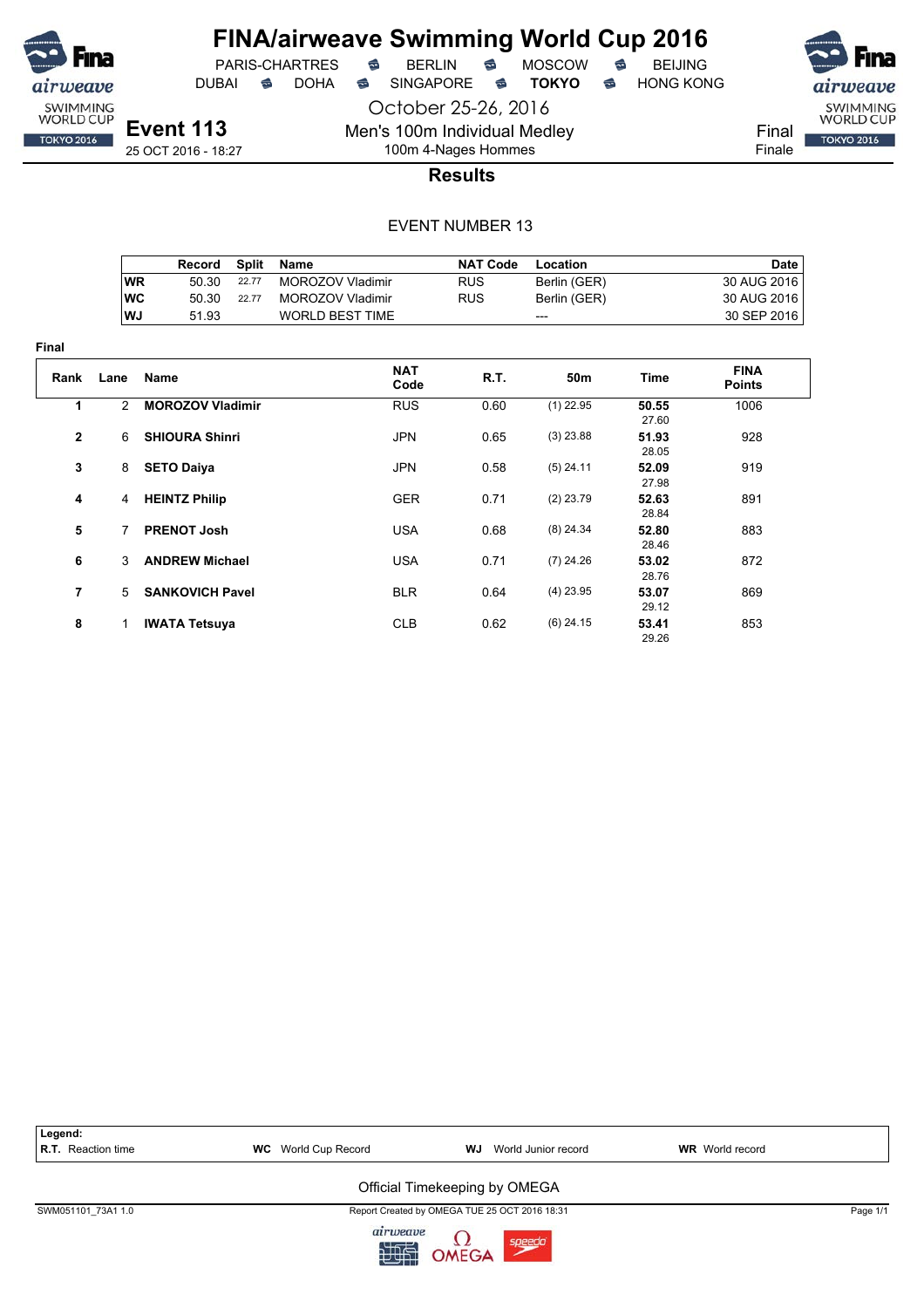

**Final**

# **FINA/airweave Swimming World Cup 2016**

PARIS-CHARTRES **B** BERLIN **B** MOSCOW **B** BEIJING

DUBAI **S** DOHA S SINGAPORE S TOKYO S HONG KONG

28.76

29.12

29.26

October 25-26, 2016 Men's 100m Individual Medley 100m 4-Nages Hommes

**Event 113** 25 OCT 2016 - 18:27



### **Results**

#### EVENT NUMBER 13

|              |               | Record                  | <b>Split</b> | Name                    |                    | <b>NAT Code</b> | <b>Location</b> |                | <b>Date</b>                  |
|--------------|---------------|-------------------------|--------------|-------------------------|--------------------|-----------------|-----------------|----------------|------------------------------|
|              | <b>WR</b>     | 50.30                   | 22.77        | <b>MOROZOV Vladimir</b> |                    | <b>RUS</b>      | Berlin (GER)    |                | 30 AUG 2016                  |
|              | <b>WC</b>     | 50.30                   | 22.77        | MOROZOV Vladimir        |                    | <b>RUS</b>      | Berlin (GER)    |                | 30 AUG 2016                  |
|              | WJ            | 51.93                   |              | <b>WORLD BEST TIME</b>  |                    |                 | ---             |                | 30 SEP 2016                  |
| ıal          |               |                         |              |                         |                    |                 |                 |                |                              |
| Rank         | Lane          | Name                    |              |                         | <b>NAT</b><br>Code | <b>R.T.</b>     | 50 <sub>m</sub> | Time           | <b>FINA</b><br><b>Points</b> |
| 1            | $\mathcal{P}$ | <b>MOROZOV Vladimir</b> |              |                         | <b>RUS</b>         | 0.60            | $(1)$ 22.95     | 50.55<br>27.60 | 1006                         |
| $\mathbf{2}$ | 6             | <b>SHIOURA Shinri</b>   |              |                         | <b>JPN</b>         | 0.65            | $(3)$ 23.88     | 51.93<br>28.05 | 928                          |
| 3            | 8             | <b>SETO Daiya</b>       |              |                         | <b>JPN</b>         | 0.58            | $(5)$ 24.11     | 52.09<br>27.98 | 919                          |
| 4            | 4             | <b>HEINTZ Philip</b>    |              |                         | <b>GER</b>         | 0.71            | $(2)$ 23.79     | 52.63<br>28.84 | 891                          |
| 5            |               | <b>PRENOT Josh</b>      |              |                         | <b>USA</b>         | 0.68            | $(8)$ 24.34     | 52.80<br>28.46 | 883                          |

**6** 3 **ANDREW Michael** USA 0.71 (7) 24.26 **53.02** 872

**7** 5 **SANKOVICH Pavel** BLR 0.64 (4) 23.95 **53.07** 869

**8** 1 **IWATA Tetsuya** CLB 0.62 (6) 24.15 **53.41** 853

| Legend:<br><b>R.T.</b> Reaction time | <b>WC</b> World Cup Record | World Junior record<br>WJ                     | <b>WR</b> World record |          |
|--------------------------------------|----------------------------|-----------------------------------------------|------------------------|----------|
|                                      |                            | Official Timekeeping by OMEGA                 |                        |          |
| SWM051101 73A1 1.0                   |                            | Report Created by OMEGA TUE 25 OCT 2016 18:31 |                        | Page 1/1 |
|                                      | airweave<br>加型             | speedo<br>77                                  |                        |          |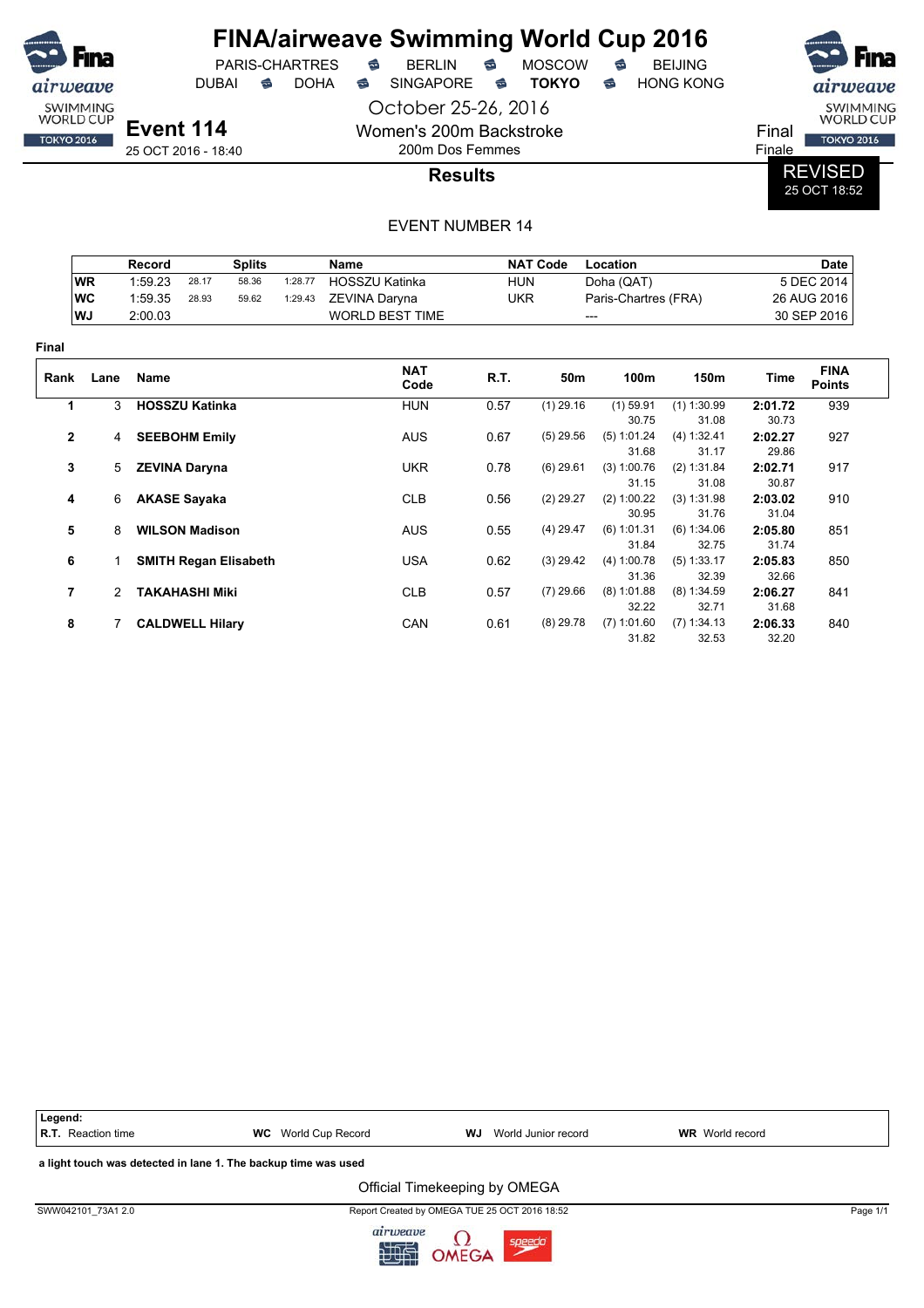

DUBAI **S** DOHA S SINGAPORE S TOKYO S HONG KONG

 $PARIS-CHARTRES$  **BERLIN B** MOSCOW **B** 

October 25-26, 2016 Women's 200m Backstroke

200m Dos Femmes



Final TOKYO 2016 Finale

**Results**

REVISED 25 OCT 18:52

|              |               | <b>Record</b>          |       | <b>Splits</b>                |         | <b>Name</b>            |            | <b>NAT Code</b> | Location               |                        | <b>Date</b>      |                              |  |
|--------------|---------------|------------------------|-------|------------------------------|---------|------------------------|------------|-----------------|------------------------|------------------------|------------------|------------------------------|--|
|              | <b>WR</b>     | 1:59.23                | 28.17 | 58.36                        | 1:28.77 | <b>HOSSZU Katinka</b>  | <b>HUN</b> |                 | Doha (QAT)             |                        |                  | 5 DEC 2014                   |  |
|              | WC            | 1:59.35                | 28.93 | 59.62                        | 1:29.43 | ZEVINA Daryna          | <b>UKR</b> |                 | Paris-Chartres (FRA)   |                        | 26 AUG 2016      |                              |  |
|              | WJ            | 2:00.03                |       |                              |         | <b>WORLD BEST TIME</b> | ---        |                 |                        |                        | 30 SEP 2016      |                              |  |
| Final        |               |                        |       |                              |         |                        |            |                 |                        |                        |                  |                              |  |
| Rank         | Lane          | <b>Name</b>            |       |                              |         | <b>NAT</b><br>Code     | R.T.       | 50m             | 100m                   | 150m                   | Time             | <b>FINA</b><br><b>Points</b> |  |
| 1            | 3             | <b>HOSSZU Katinka</b>  |       |                              |         | <b>HUN</b>             | 0.57       | $(1)$ 29.16     | $(1)$ 59.91            | $(1)$ 1:30.99          | 2:01.72          | 939                          |  |
|              |               |                        |       |                              |         |                        |            |                 | 30.75                  | 31.08                  | 30.73            |                              |  |
| $\mathbf{2}$ | 4             | <b>SEEBOHM Emily</b>   |       |                              |         | <b>AUS</b>             | 0.67       | $(5)$ 29.56     | (5) 1:01.24<br>31.68   | (4) 1:32.41<br>31.17   | 2:02.27<br>29.86 | 927                          |  |
| 3            | 5             | <b>ZEVINA Daryna</b>   |       |                              |         | <b>UKR</b>             | 0.78       | $(6)$ 29.61     | (3) 1:00.76<br>31.15   | (2) 1:31.84<br>31.08   | 2:02.71<br>30.87 | 917                          |  |
| 4            | 6             | <b>AKASE Sayaka</b>    |       |                              |         | <b>CLB</b>             | 0.56       | $(2)$ 29.27     | (2) 1:00.22<br>30.95   | (3) 1:31.98<br>31.76   | 2:03.02<br>31.04 | 910                          |  |
| 5            | 8             | <b>WILSON Madison</b>  |       |                              |         | <b>AUS</b>             | 0.55       | $(4)$ 29.47     | $(6)$ 1:01.31<br>31.84 | (6) 1:34.06<br>32.75   | 2:05.80<br>31.74 | 851                          |  |
| 6            |               |                        |       | <b>SMITH Regan Elisabeth</b> |         | <b>USA</b>             | 0.62       | $(3)$ 29.42     | (4) 1:00.78<br>31.36   | $(5)$ 1:33.17<br>32.39 | 2:05.83<br>32.66 | 850                          |  |
| 7            | $\mathcal{P}$ | <b>TAKAHASHI Miki</b>  |       |                              |         | <b>CLB</b>             | 0.57       | $(7)$ 29.66     | $(8)$ 1:01.88<br>32.22 | $(8)$ 1:34.59<br>32.71 | 2:06.27<br>31.68 | 841                          |  |
| 8            |               | <b>CALDWELL Hilary</b> |       |                              |         | CAN                    | 0.61       | $(8)$ 29.78     | $(7)$ 1:01.60<br>31.82 | (7) 1:34.13<br>32.53   | 2:06.33<br>32.20 | 840                          |  |

| Legend:                                                        |                            |                                               |                        |          |  |  |  |  |  |  |
|----------------------------------------------------------------|----------------------------|-----------------------------------------------|------------------------|----------|--|--|--|--|--|--|
| <b>R.T.</b> Reaction time                                      | <b>WC</b> World Cup Record | World Junior record<br>WJ                     | <b>WR</b> World record |          |  |  |  |  |  |  |
| a light touch was detected in lane 1. The backup time was used |                            |                                               |                        |          |  |  |  |  |  |  |
|                                                                |                            | Official Timekeeping by OMEGA                 |                        |          |  |  |  |  |  |  |
| SWW042101 73A1 2.0                                             |                            | Report Created by OMEGA TUE 25 OCT 2016 18:52 |                        | Page 1/1 |  |  |  |  |  |  |

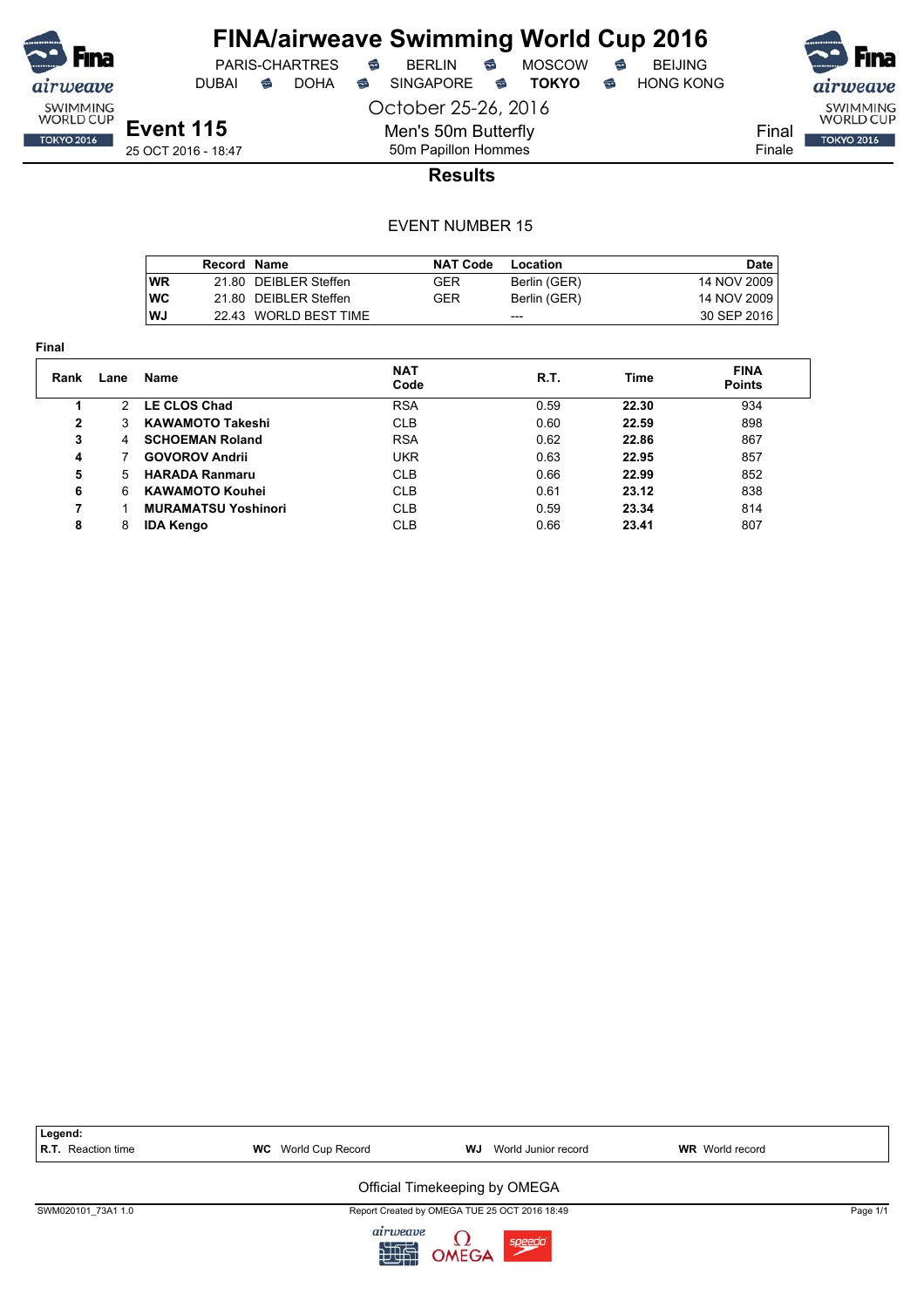

DUBAI **S** DOHA S SINGAPORE S TOKYO S HONG KONG

airweave SWIMMING<br>WORLD CUP Final **TOKYO 2016** Finale

**Event 115** 25 OCT 2016 - 18:47 October 25-26, 2016 Men's 50m Butterfly 50m Papillon Hommes

### **Results**

|            | Record Name |                       | <b>NAT Code</b> | Location     | Date        |
|------------|-------------|-----------------------|-----------------|--------------|-------------|
| WR         |             | 21.80 DEIBLER Steffen | <b>GER</b>      | Berlin (GER) | 14 NOV 2009 |
| <b>IWC</b> |             | 21.80 DEIBLER Steffen | GER             | Berlin (GER) | 14 NOV 2009 |
| WJ         |             | 22.43 WORLD BEST TIME |                 | ---          | 30 SEP 2016 |

| <b>Final</b> |      |                            |                    |      |       |                              |
|--------------|------|----------------------------|--------------------|------|-------|------------------------------|
| Rank         | Lane | Name                       | <b>NAT</b><br>Code | R.T. | Time  | <b>FINA</b><br><b>Points</b> |
|              | 2    | LE CLOS Chad               | <b>RSA</b>         | 0.59 | 22.30 | 934                          |
| $\mathbf{2}$ | 3.   | <b>KAWAMOTO Takeshi</b>    | <b>CLB</b>         | 0.60 | 22.59 | 898                          |
| 3            | 4    | <b>SCHOEMAN Roland</b>     | <b>RSA</b>         | 0.62 | 22.86 | 867                          |
| 4            |      | <b>GOVOROV Andrii</b>      | <b>UKR</b>         | 0.63 | 22.95 | 857                          |
| 5            | 5.   | <b>HARADA Ranmaru</b>      | <b>CLB</b>         | 0.66 | 22.99 | 852                          |
| 6            | 6    | <b>KAWAMOTO Kouhei</b>     | <b>CLB</b>         | 0.61 | 23.12 | 838                          |
| 7            |      | <b>MURAMATSU Yoshinori</b> | <b>CLB</b>         | 0.59 | 23.34 | 814                          |
| 8            | 8    | <b>IDA Kengo</b>           | <b>CLB</b>         | 0.66 | 23.41 | 807                          |

| Legend:                   |                            |                                               |                        |          |
|---------------------------|----------------------------|-----------------------------------------------|------------------------|----------|
| <b>R.T.</b> Reaction time | <b>WC</b> World Cup Record | World Junior record<br>WJ                     | <b>WR</b> World record |          |
|                           |                            |                                               |                        |          |
|                           |                            | Official Timekeeping by OMEGA                 |                        |          |
| SWM020101 73A1 1.0        |                            | Report Created by OMEGA TUE 25 OCT 2016 18:49 |                        | Page 1/1 |
|                           | a                          | $\sim$                                        |                        |          |

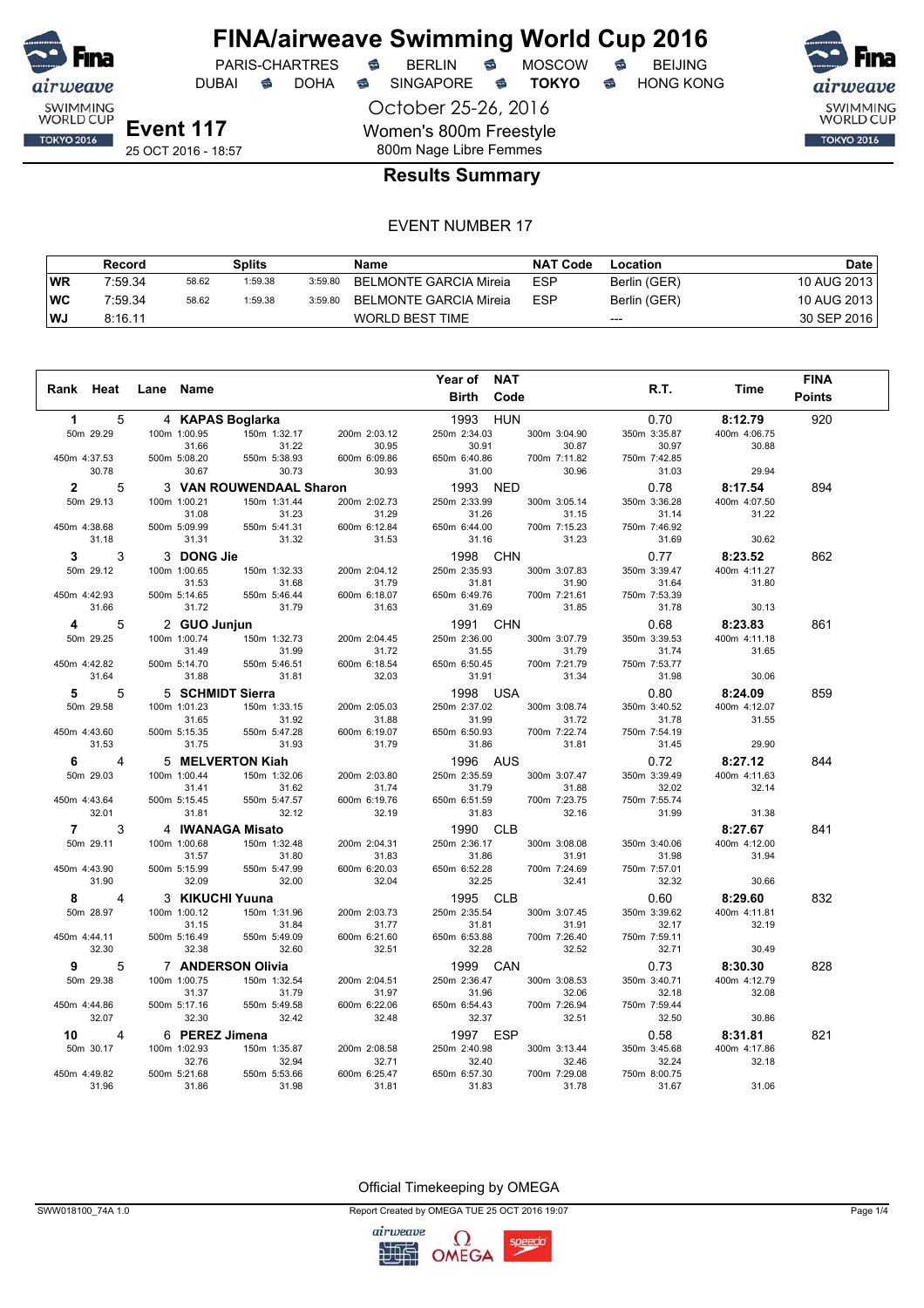

DUBAI **S** DOHA S SINGAPORE S **TOKYO** S HONG KONG

October 25-26, 2016 Women's 800m Freestyle 800m Nage Libre Femmes



#### **Results Summary**

#### EVENT NUMBER 17

|           | Record  |       | Splits  |         | Name                   | <b>NAT Code</b> | Location     | Date        |
|-----------|---------|-------|---------|---------|------------------------|-----------------|--------------|-------------|
| <b>WR</b> | 7:59.34 | 58.62 | 1:59.38 | 3:59.80 | BELMONTE GARCIA Mireia | <b>ESP</b>      | Berlin (GER) | 10 AUG 2013 |
| ∣WC       | 7:59.34 | 58.62 | 1:59.38 | 3:59.80 | BELMONTE GARCIA Mireia | <b>ESP</b>      | Berlin (GER) | 10 AUG 2013 |
| l WJ      | 8:16.11 |       |         |         | WORLD BEST TIME        |                 | $---$        | 30 SEP 2016 |

| R.T.<br>Time<br>Rank Heat<br>Lane Name<br><b>Birth</b><br>Code<br><b>Points</b><br>920<br>5<br>4 KAPAS Boglarka<br>1993 HUN<br>0.70<br>8:12.79<br>$\mathbf 1$<br>150m 1:32.17<br>50m 29.29<br>100m 1:00.95<br>200m 2:03.12<br>250m 2:34.03<br>300m 3:04.90<br>350m 3:35.87<br>400m 4:06.75<br>31.22<br>30.95<br>31.66<br>30.91<br>30.87<br>30.97<br>30.88<br>450m 4:37.53<br>500m 5:08.20<br>550m 5:38.93<br>600m 6:09.86<br>650m 6:40.86<br>700m 7:11.82<br>750m 7:42.85<br>30.78<br>30.67<br>30.73<br>30.93<br>31.00<br>30.96<br>31.03<br>29.94<br>3 VAN ROUWENDAAL Sharon<br>1993 NED<br>0.78<br>$\mathbf{2}$<br>5<br>8:17.54<br>894<br>50m 29.13<br>100m 1:00.21<br>150m 1:31.44<br>200m 2:02.73<br>250m 2:33.99<br>350m 3:36.28<br>400m 4:07.50<br>300m 3:05.14<br>31.23<br>31.29<br>31.08<br>31.26<br>31.15<br>31.14<br>31.22<br>550m 5:41.31<br>600m 6:12.84<br>450m 4:38.68<br>500m 5:09.99<br>650m 6:44.00<br>700m 7:15.23<br>750m 7:46.92<br>31.18<br>31.31<br>31.32<br>31.53<br>31.16<br>31.23<br>31.69<br>30.62<br>3<br>3 DONG Jie<br>1998 CHN<br>0.77<br>3<br>8:23.52<br>862<br>50m 29.12<br>100m 1:00.65<br>150m 1:32.33<br>250m 2:35.93<br>300m 3:07.83<br>350m 3:39.47<br>200m 2:04.12<br>400m 4:11.27<br>31.53<br>31.68<br>31.79<br>31.81<br>31.90<br>31.64<br>31.80<br>450m 4:42.93<br>500m 5:14.65<br>550m 5:46.44<br>600m 6:18.07<br>650m 6:49.76<br>700m 7:21.61<br>750m 7:53.39<br>31.66<br>31.72<br>31.79<br>31.63<br>31.69<br>31.85<br>31.78<br>30.13<br>2 GUO Junjun<br>1991 CHN<br>5<br>0.68<br>8:23.83<br>861<br>4<br>50m 29.25<br>100m 1:00.74<br>150m 1:32.73<br>250m 2:36.00<br>350m 3:39.53<br>200m 2:04.45<br>300m 3:07.79<br>400m 4:11.18<br>31.49<br>31.99<br>31.72<br>31.55<br>31.79<br>31.74<br>31.65<br>450m 4:42.82<br>500m 5:14.70<br>550m 5:46.51<br>600m 6:18.54<br>650m 6:50.45<br>700m 7:21.79<br>750m 7:53.77<br>30.06<br>31.64<br>31.88<br>31.81<br>32.03<br>31.91<br>31.34<br>31.98<br>5 SCHMIDT Sierra<br>1998 USA<br>0.80<br>5<br>5<br>8:24.09<br>859<br>50m 29.58<br>150m 1:33.15<br>200m 2:05.03<br>250m 2:37.02<br>350m 3:40.52<br>400m 4:12.07<br>100m 1:01.23<br>300m 3:08.74<br>31.92<br>31.99<br>31.65<br>31.88<br>31.72<br>31.78<br>31.55<br>550m 5:47.28<br>600m 6:19.07<br>650m 6:50.93<br>700m 7:22.74<br>750m 7:54.19<br>450m 4:43.60<br>500m 5:15.35<br>31.53<br>31.75<br>31.93<br>31.79<br>31.86<br>31.81<br>31.45<br>29.90<br>5 MELVERTON Kiah<br>1996 AUS<br>0.72<br>8:27.12<br>844<br>4<br>6.<br>50m 29.03<br>100m 1:00.44<br>150m 1:32.06<br>200m 2:03.80<br>250m 2:35.59<br>300m 3:07.47<br>350m 3:39.49<br>400m 4:11.63<br>31.41<br>31.62<br>31.74<br>31.79<br>31.88<br>32.02<br>32.14<br>450m 4:43.64<br>500m 5:15.45<br>550m 5:47.57<br>600m 6:19.76<br>650m 6:51.59<br>700m 7:23.75<br>750m 7:55.74<br>32.01<br>32.12<br>32.16<br>31.38<br>31.81<br>32.19<br>31.83<br>31.99<br>$7^{\circ}$<br>3<br>1990 CLB<br>4 IWANAGA Misato<br>8:27.67<br>841<br>50m 29.11<br>100m 1:00.68<br>150m 1:32.48<br>200m 2:04.31<br>250m 2:36.17<br>300m 3:08.08<br>400m 4:12.00<br>350m 3:40.06<br>31.57<br>31.80<br>31.83<br>31.86<br>31.91<br>31.98<br>31.94<br>550m 5:47.99<br>600m 6:20.03<br>650m 6:52.28<br>700m 7:24.69<br>750m 7:57.01<br>450m 4:43.90<br>500m 5:15.99<br>32.00<br>32.04<br>32.25<br>32.41<br>32.32<br>31.90<br>32.09<br>30.66<br>3 KIKUCHI Yuuna<br>1995 CLB<br>0.60<br>832<br>4<br>8:29.60<br>8<br>50m 28.97<br>100m 1:00.12<br>150m 1:31.96<br>250m 2:35.54<br>300m 3:07.45<br>350m 3:39.62<br>400m 4:11.81<br>200m 2:03.73<br>32.17<br>32.19<br>31.15<br>31.84<br>31.77<br>31.81<br>31.91<br>550m 5:49.09<br>450m 4:44.11<br>500m 5:16.49<br>600m 6:21.60<br>650m 6:53.88<br>700m 7:26.40<br>750m 7:59.11<br>32.60<br>32.52<br>32.30<br>32.38<br>32.51<br>32.28<br>32.71<br>30.49<br>9<br>5<br>7 ANDERSON Olivia<br>1999 CAN<br>0.73<br>828<br>8:30.30<br>50m 29.38<br>100m 1:00.75<br>150m 1:32.54<br>200m 2:04.51<br>250m 2:36.47<br>300m 3:08.53<br>350m 3:40.71<br>400m 4:12.79<br>32.18<br>32.08<br>31.37<br>31.79<br>31.97<br>31.96<br>32.06<br>450m 4:44.86<br>500m 5:17.16 |  |  |              |              | Year of      | <b>NAT</b>   |              | <b>FINA</b> |
|----------------------------------------------------------------------------------------------------------------------------------------------------------------------------------------------------------------------------------------------------------------------------------------------------------------------------------------------------------------------------------------------------------------------------------------------------------------------------------------------------------------------------------------------------------------------------------------------------------------------------------------------------------------------------------------------------------------------------------------------------------------------------------------------------------------------------------------------------------------------------------------------------------------------------------------------------------------------------------------------------------------------------------------------------------------------------------------------------------------------------------------------------------------------------------------------------------------------------------------------------------------------------------------------------------------------------------------------------------------------------------------------------------------------------------------------------------------------------------------------------------------------------------------------------------------------------------------------------------------------------------------------------------------------------------------------------------------------------------------------------------------------------------------------------------------------------------------------------------------------------------------------------------------------------------------------------------------------------------------------------------------------------------------------------------------------------------------------------------------------------------------------------------------------------------------------------------------------------------------------------------------------------------------------------------------------------------------------------------------------------------------------------------------------------------------------------------------------------------------------------------------------------------------------------------------------------------------------------------------------------------------------------------------------------------------------------------------------------------------------------------------------------------------------------------------------------------------------------------------------------------------------------------------------------------------------------------------------------------------------------------------------------------------------------------------------------------------------------------------------------------------------------------------------------------------------------------------------------------------------------------------------------------------------------------------------------------------------------------------------------------------------------------------------------------------------------------------------------------------------------------------------------------------------------------------------------------------------------------------------------------------------------------------------------------------------------------------------------------------------------------------------------------------------------------------------------------------------------------------------------------------------------------------------------------------------------------------------------------------------------------------------------------------------------------------------|--|--|--------------|--------------|--------------|--------------|--------------|-------------|
|                                                                                                                                                                                                                                                                                                                                                                                                                                                                                                                                                                                                                                                                                                                                                                                                                                                                                                                                                                                                                                                                                                                                                                                                                                                                                                                                                                                                                                                                                                                                                                                                                                                                                                                                                                                                                                                                                                                                                                                                                                                                                                                                                                                                                                                                                                                                                                                                                                                                                                                                                                                                                                                                                                                                                                                                                                                                                                                                                                                                                                                                                                                                                                                                                                                                                                                                                                                                                                                                                                                                                                                                                                                                                                                                                                                                                                                                                                                                                                                                                                                                      |  |  |              |              |              |              |              |             |
|                                                                                                                                                                                                                                                                                                                                                                                                                                                                                                                                                                                                                                                                                                                                                                                                                                                                                                                                                                                                                                                                                                                                                                                                                                                                                                                                                                                                                                                                                                                                                                                                                                                                                                                                                                                                                                                                                                                                                                                                                                                                                                                                                                                                                                                                                                                                                                                                                                                                                                                                                                                                                                                                                                                                                                                                                                                                                                                                                                                                                                                                                                                                                                                                                                                                                                                                                                                                                                                                                                                                                                                                                                                                                                                                                                                                                                                                                                                                                                                                                                                                      |  |  |              |              |              |              |              |             |
|                                                                                                                                                                                                                                                                                                                                                                                                                                                                                                                                                                                                                                                                                                                                                                                                                                                                                                                                                                                                                                                                                                                                                                                                                                                                                                                                                                                                                                                                                                                                                                                                                                                                                                                                                                                                                                                                                                                                                                                                                                                                                                                                                                                                                                                                                                                                                                                                                                                                                                                                                                                                                                                                                                                                                                                                                                                                                                                                                                                                                                                                                                                                                                                                                                                                                                                                                                                                                                                                                                                                                                                                                                                                                                                                                                                                                                                                                                                                                                                                                                                                      |  |  |              |              |              |              |              |             |
|                                                                                                                                                                                                                                                                                                                                                                                                                                                                                                                                                                                                                                                                                                                                                                                                                                                                                                                                                                                                                                                                                                                                                                                                                                                                                                                                                                                                                                                                                                                                                                                                                                                                                                                                                                                                                                                                                                                                                                                                                                                                                                                                                                                                                                                                                                                                                                                                                                                                                                                                                                                                                                                                                                                                                                                                                                                                                                                                                                                                                                                                                                                                                                                                                                                                                                                                                                                                                                                                                                                                                                                                                                                                                                                                                                                                                                                                                                                                                                                                                                                                      |  |  |              |              |              |              |              |             |
|                                                                                                                                                                                                                                                                                                                                                                                                                                                                                                                                                                                                                                                                                                                                                                                                                                                                                                                                                                                                                                                                                                                                                                                                                                                                                                                                                                                                                                                                                                                                                                                                                                                                                                                                                                                                                                                                                                                                                                                                                                                                                                                                                                                                                                                                                                                                                                                                                                                                                                                                                                                                                                                                                                                                                                                                                                                                                                                                                                                                                                                                                                                                                                                                                                                                                                                                                                                                                                                                                                                                                                                                                                                                                                                                                                                                                                                                                                                                                                                                                                                                      |  |  |              |              |              |              |              |             |
|                                                                                                                                                                                                                                                                                                                                                                                                                                                                                                                                                                                                                                                                                                                                                                                                                                                                                                                                                                                                                                                                                                                                                                                                                                                                                                                                                                                                                                                                                                                                                                                                                                                                                                                                                                                                                                                                                                                                                                                                                                                                                                                                                                                                                                                                                                                                                                                                                                                                                                                                                                                                                                                                                                                                                                                                                                                                                                                                                                                                                                                                                                                                                                                                                                                                                                                                                                                                                                                                                                                                                                                                                                                                                                                                                                                                                                                                                                                                                                                                                                                                      |  |  |              |              |              |              |              |             |
|                                                                                                                                                                                                                                                                                                                                                                                                                                                                                                                                                                                                                                                                                                                                                                                                                                                                                                                                                                                                                                                                                                                                                                                                                                                                                                                                                                                                                                                                                                                                                                                                                                                                                                                                                                                                                                                                                                                                                                                                                                                                                                                                                                                                                                                                                                                                                                                                                                                                                                                                                                                                                                                                                                                                                                                                                                                                                                                                                                                                                                                                                                                                                                                                                                                                                                                                                                                                                                                                                                                                                                                                                                                                                                                                                                                                                                                                                                                                                                                                                                                                      |  |  |              |              |              |              |              |             |
|                                                                                                                                                                                                                                                                                                                                                                                                                                                                                                                                                                                                                                                                                                                                                                                                                                                                                                                                                                                                                                                                                                                                                                                                                                                                                                                                                                                                                                                                                                                                                                                                                                                                                                                                                                                                                                                                                                                                                                                                                                                                                                                                                                                                                                                                                                                                                                                                                                                                                                                                                                                                                                                                                                                                                                                                                                                                                                                                                                                                                                                                                                                                                                                                                                                                                                                                                                                                                                                                                                                                                                                                                                                                                                                                                                                                                                                                                                                                                                                                                                                                      |  |  |              |              |              |              |              |             |
|                                                                                                                                                                                                                                                                                                                                                                                                                                                                                                                                                                                                                                                                                                                                                                                                                                                                                                                                                                                                                                                                                                                                                                                                                                                                                                                                                                                                                                                                                                                                                                                                                                                                                                                                                                                                                                                                                                                                                                                                                                                                                                                                                                                                                                                                                                                                                                                                                                                                                                                                                                                                                                                                                                                                                                                                                                                                                                                                                                                                                                                                                                                                                                                                                                                                                                                                                                                                                                                                                                                                                                                                                                                                                                                                                                                                                                                                                                                                                                                                                                                                      |  |  |              |              |              |              |              |             |
|                                                                                                                                                                                                                                                                                                                                                                                                                                                                                                                                                                                                                                                                                                                                                                                                                                                                                                                                                                                                                                                                                                                                                                                                                                                                                                                                                                                                                                                                                                                                                                                                                                                                                                                                                                                                                                                                                                                                                                                                                                                                                                                                                                                                                                                                                                                                                                                                                                                                                                                                                                                                                                                                                                                                                                                                                                                                                                                                                                                                                                                                                                                                                                                                                                                                                                                                                                                                                                                                                                                                                                                                                                                                                                                                                                                                                                                                                                                                                                                                                                                                      |  |  |              |              |              |              |              |             |
|                                                                                                                                                                                                                                                                                                                                                                                                                                                                                                                                                                                                                                                                                                                                                                                                                                                                                                                                                                                                                                                                                                                                                                                                                                                                                                                                                                                                                                                                                                                                                                                                                                                                                                                                                                                                                                                                                                                                                                                                                                                                                                                                                                                                                                                                                                                                                                                                                                                                                                                                                                                                                                                                                                                                                                                                                                                                                                                                                                                                                                                                                                                                                                                                                                                                                                                                                                                                                                                                                                                                                                                                                                                                                                                                                                                                                                                                                                                                                                                                                                                                      |  |  |              |              |              |              |              |             |
|                                                                                                                                                                                                                                                                                                                                                                                                                                                                                                                                                                                                                                                                                                                                                                                                                                                                                                                                                                                                                                                                                                                                                                                                                                                                                                                                                                                                                                                                                                                                                                                                                                                                                                                                                                                                                                                                                                                                                                                                                                                                                                                                                                                                                                                                                                                                                                                                                                                                                                                                                                                                                                                                                                                                                                                                                                                                                                                                                                                                                                                                                                                                                                                                                                                                                                                                                                                                                                                                                                                                                                                                                                                                                                                                                                                                                                                                                                                                                                                                                                                                      |  |  |              |              |              |              |              |             |
|                                                                                                                                                                                                                                                                                                                                                                                                                                                                                                                                                                                                                                                                                                                                                                                                                                                                                                                                                                                                                                                                                                                                                                                                                                                                                                                                                                                                                                                                                                                                                                                                                                                                                                                                                                                                                                                                                                                                                                                                                                                                                                                                                                                                                                                                                                                                                                                                                                                                                                                                                                                                                                                                                                                                                                                                                                                                                                                                                                                                                                                                                                                                                                                                                                                                                                                                                                                                                                                                                                                                                                                                                                                                                                                                                                                                                                                                                                                                                                                                                                                                      |  |  |              |              |              |              |              |             |
|                                                                                                                                                                                                                                                                                                                                                                                                                                                                                                                                                                                                                                                                                                                                                                                                                                                                                                                                                                                                                                                                                                                                                                                                                                                                                                                                                                                                                                                                                                                                                                                                                                                                                                                                                                                                                                                                                                                                                                                                                                                                                                                                                                                                                                                                                                                                                                                                                                                                                                                                                                                                                                                                                                                                                                                                                                                                                                                                                                                                                                                                                                                                                                                                                                                                                                                                                                                                                                                                                                                                                                                                                                                                                                                                                                                                                                                                                                                                                                                                                                                                      |  |  |              |              |              |              |              |             |
|                                                                                                                                                                                                                                                                                                                                                                                                                                                                                                                                                                                                                                                                                                                                                                                                                                                                                                                                                                                                                                                                                                                                                                                                                                                                                                                                                                                                                                                                                                                                                                                                                                                                                                                                                                                                                                                                                                                                                                                                                                                                                                                                                                                                                                                                                                                                                                                                                                                                                                                                                                                                                                                                                                                                                                                                                                                                                                                                                                                                                                                                                                                                                                                                                                                                                                                                                                                                                                                                                                                                                                                                                                                                                                                                                                                                                                                                                                                                                                                                                                                                      |  |  |              |              |              |              |              |             |
|                                                                                                                                                                                                                                                                                                                                                                                                                                                                                                                                                                                                                                                                                                                                                                                                                                                                                                                                                                                                                                                                                                                                                                                                                                                                                                                                                                                                                                                                                                                                                                                                                                                                                                                                                                                                                                                                                                                                                                                                                                                                                                                                                                                                                                                                                                                                                                                                                                                                                                                                                                                                                                                                                                                                                                                                                                                                                                                                                                                                                                                                                                                                                                                                                                                                                                                                                                                                                                                                                                                                                                                                                                                                                                                                                                                                                                                                                                                                                                                                                                                                      |  |  |              |              |              |              |              |             |
|                                                                                                                                                                                                                                                                                                                                                                                                                                                                                                                                                                                                                                                                                                                                                                                                                                                                                                                                                                                                                                                                                                                                                                                                                                                                                                                                                                                                                                                                                                                                                                                                                                                                                                                                                                                                                                                                                                                                                                                                                                                                                                                                                                                                                                                                                                                                                                                                                                                                                                                                                                                                                                                                                                                                                                                                                                                                                                                                                                                                                                                                                                                                                                                                                                                                                                                                                                                                                                                                                                                                                                                                                                                                                                                                                                                                                                                                                                                                                                                                                                                                      |  |  |              |              |              |              |              |             |
|                                                                                                                                                                                                                                                                                                                                                                                                                                                                                                                                                                                                                                                                                                                                                                                                                                                                                                                                                                                                                                                                                                                                                                                                                                                                                                                                                                                                                                                                                                                                                                                                                                                                                                                                                                                                                                                                                                                                                                                                                                                                                                                                                                                                                                                                                                                                                                                                                                                                                                                                                                                                                                                                                                                                                                                                                                                                                                                                                                                                                                                                                                                                                                                                                                                                                                                                                                                                                                                                                                                                                                                                                                                                                                                                                                                                                                                                                                                                                                                                                                                                      |  |  |              |              |              |              |              |             |
|                                                                                                                                                                                                                                                                                                                                                                                                                                                                                                                                                                                                                                                                                                                                                                                                                                                                                                                                                                                                                                                                                                                                                                                                                                                                                                                                                                                                                                                                                                                                                                                                                                                                                                                                                                                                                                                                                                                                                                                                                                                                                                                                                                                                                                                                                                                                                                                                                                                                                                                                                                                                                                                                                                                                                                                                                                                                                                                                                                                                                                                                                                                                                                                                                                                                                                                                                                                                                                                                                                                                                                                                                                                                                                                                                                                                                                                                                                                                                                                                                                                                      |  |  |              |              |              |              |              |             |
|                                                                                                                                                                                                                                                                                                                                                                                                                                                                                                                                                                                                                                                                                                                                                                                                                                                                                                                                                                                                                                                                                                                                                                                                                                                                                                                                                                                                                                                                                                                                                                                                                                                                                                                                                                                                                                                                                                                                                                                                                                                                                                                                                                                                                                                                                                                                                                                                                                                                                                                                                                                                                                                                                                                                                                                                                                                                                                                                                                                                                                                                                                                                                                                                                                                                                                                                                                                                                                                                                                                                                                                                                                                                                                                                                                                                                                                                                                                                                                                                                                                                      |  |  |              |              |              |              |              |             |
|                                                                                                                                                                                                                                                                                                                                                                                                                                                                                                                                                                                                                                                                                                                                                                                                                                                                                                                                                                                                                                                                                                                                                                                                                                                                                                                                                                                                                                                                                                                                                                                                                                                                                                                                                                                                                                                                                                                                                                                                                                                                                                                                                                                                                                                                                                                                                                                                                                                                                                                                                                                                                                                                                                                                                                                                                                                                                                                                                                                                                                                                                                                                                                                                                                                                                                                                                                                                                                                                                                                                                                                                                                                                                                                                                                                                                                                                                                                                                                                                                                                                      |  |  |              |              |              |              |              |             |
|                                                                                                                                                                                                                                                                                                                                                                                                                                                                                                                                                                                                                                                                                                                                                                                                                                                                                                                                                                                                                                                                                                                                                                                                                                                                                                                                                                                                                                                                                                                                                                                                                                                                                                                                                                                                                                                                                                                                                                                                                                                                                                                                                                                                                                                                                                                                                                                                                                                                                                                                                                                                                                                                                                                                                                                                                                                                                                                                                                                                                                                                                                                                                                                                                                                                                                                                                                                                                                                                                                                                                                                                                                                                                                                                                                                                                                                                                                                                                                                                                                                                      |  |  |              |              |              |              |              |             |
|                                                                                                                                                                                                                                                                                                                                                                                                                                                                                                                                                                                                                                                                                                                                                                                                                                                                                                                                                                                                                                                                                                                                                                                                                                                                                                                                                                                                                                                                                                                                                                                                                                                                                                                                                                                                                                                                                                                                                                                                                                                                                                                                                                                                                                                                                                                                                                                                                                                                                                                                                                                                                                                                                                                                                                                                                                                                                                                                                                                                                                                                                                                                                                                                                                                                                                                                                                                                                                                                                                                                                                                                                                                                                                                                                                                                                                                                                                                                                                                                                                                                      |  |  |              |              |              |              |              |             |
|                                                                                                                                                                                                                                                                                                                                                                                                                                                                                                                                                                                                                                                                                                                                                                                                                                                                                                                                                                                                                                                                                                                                                                                                                                                                                                                                                                                                                                                                                                                                                                                                                                                                                                                                                                                                                                                                                                                                                                                                                                                                                                                                                                                                                                                                                                                                                                                                                                                                                                                                                                                                                                                                                                                                                                                                                                                                                                                                                                                                                                                                                                                                                                                                                                                                                                                                                                                                                                                                                                                                                                                                                                                                                                                                                                                                                                                                                                                                                                                                                                                                      |  |  |              |              |              |              |              |             |
|                                                                                                                                                                                                                                                                                                                                                                                                                                                                                                                                                                                                                                                                                                                                                                                                                                                                                                                                                                                                                                                                                                                                                                                                                                                                                                                                                                                                                                                                                                                                                                                                                                                                                                                                                                                                                                                                                                                                                                                                                                                                                                                                                                                                                                                                                                                                                                                                                                                                                                                                                                                                                                                                                                                                                                                                                                                                                                                                                                                                                                                                                                                                                                                                                                                                                                                                                                                                                                                                                                                                                                                                                                                                                                                                                                                                                                                                                                                                                                                                                                                                      |  |  |              |              |              |              |              |             |
|                                                                                                                                                                                                                                                                                                                                                                                                                                                                                                                                                                                                                                                                                                                                                                                                                                                                                                                                                                                                                                                                                                                                                                                                                                                                                                                                                                                                                                                                                                                                                                                                                                                                                                                                                                                                                                                                                                                                                                                                                                                                                                                                                                                                                                                                                                                                                                                                                                                                                                                                                                                                                                                                                                                                                                                                                                                                                                                                                                                                                                                                                                                                                                                                                                                                                                                                                                                                                                                                                                                                                                                                                                                                                                                                                                                                                                                                                                                                                                                                                                                                      |  |  |              |              |              |              |              |             |
|                                                                                                                                                                                                                                                                                                                                                                                                                                                                                                                                                                                                                                                                                                                                                                                                                                                                                                                                                                                                                                                                                                                                                                                                                                                                                                                                                                                                                                                                                                                                                                                                                                                                                                                                                                                                                                                                                                                                                                                                                                                                                                                                                                                                                                                                                                                                                                                                                                                                                                                                                                                                                                                                                                                                                                                                                                                                                                                                                                                                                                                                                                                                                                                                                                                                                                                                                                                                                                                                                                                                                                                                                                                                                                                                                                                                                                                                                                                                                                                                                                                                      |  |  |              |              |              |              |              |             |
|                                                                                                                                                                                                                                                                                                                                                                                                                                                                                                                                                                                                                                                                                                                                                                                                                                                                                                                                                                                                                                                                                                                                                                                                                                                                                                                                                                                                                                                                                                                                                                                                                                                                                                                                                                                                                                                                                                                                                                                                                                                                                                                                                                                                                                                                                                                                                                                                                                                                                                                                                                                                                                                                                                                                                                                                                                                                                                                                                                                                                                                                                                                                                                                                                                                                                                                                                                                                                                                                                                                                                                                                                                                                                                                                                                                                                                                                                                                                                                                                                                                                      |  |  |              |              |              |              |              |             |
|                                                                                                                                                                                                                                                                                                                                                                                                                                                                                                                                                                                                                                                                                                                                                                                                                                                                                                                                                                                                                                                                                                                                                                                                                                                                                                                                                                                                                                                                                                                                                                                                                                                                                                                                                                                                                                                                                                                                                                                                                                                                                                                                                                                                                                                                                                                                                                                                                                                                                                                                                                                                                                                                                                                                                                                                                                                                                                                                                                                                                                                                                                                                                                                                                                                                                                                                                                                                                                                                                                                                                                                                                                                                                                                                                                                                                                                                                                                                                                                                                                                                      |  |  |              |              |              |              |              |             |
|                                                                                                                                                                                                                                                                                                                                                                                                                                                                                                                                                                                                                                                                                                                                                                                                                                                                                                                                                                                                                                                                                                                                                                                                                                                                                                                                                                                                                                                                                                                                                                                                                                                                                                                                                                                                                                                                                                                                                                                                                                                                                                                                                                                                                                                                                                                                                                                                                                                                                                                                                                                                                                                                                                                                                                                                                                                                                                                                                                                                                                                                                                                                                                                                                                                                                                                                                                                                                                                                                                                                                                                                                                                                                                                                                                                                                                                                                                                                                                                                                                                                      |  |  |              |              |              |              |              |             |
|                                                                                                                                                                                                                                                                                                                                                                                                                                                                                                                                                                                                                                                                                                                                                                                                                                                                                                                                                                                                                                                                                                                                                                                                                                                                                                                                                                                                                                                                                                                                                                                                                                                                                                                                                                                                                                                                                                                                                                                                                                                                                                                                                                                                                                                                                                                                                                                                                                                                                                                                                                                                                                                                                                                                                                                                                                                                                                                                                                                                                                                                                                                                                                                                                                                                                                                                                                                                                                                                                                                                                                                                                                                                                                                                                                                                                                                                                                                                                                                                                                                                      |  |  |              |              |              |              |              |             |
|                                                                                                                                                                                                                                                                                                                                                                                                                                                                                                                                                                                                                                                                                                                                                                                                                                                                                                                                                                                                                                                                                                                                                                                                                                                                                                                                                                                                                                                                                                                                                                                                                                                                                                                                                                                                                                                                                                                                                                                                                                                                                                                                                                                                                                                                                                                                                                                                                                                                                                                                                                                                                                                                                                                                                                                                                                                                                                                                                                                                                                                                                                                                                                                                                                                                                                                                                                                                                                                                                                                                                                                                                                                                                                                                                                                                                                                                                                                                                                                                                                                                      |  |  |              |              |              |              |              |             |
|                                                                                                                                                                                                                                                                                                                                                                                                                                                                                                                                                                                                                                                                                                                                                                                                                                                                                                                                                                                                                                                                                                                                                                                                                                                                                                                                                                                                                                                                                                                                                                                                                                                                                                                                                                                                                                                                                                                                                                                                                                                                                                                                                                                                                                                                                                                                                                                                                                                                                                                                                                                                                                                                                                                                                                                                                                                                                                                                                                                                                                                                                                                                                                                                                                                                                                                                                                                                                                                                                                                                                                                                                                                                                                                                                                                                                                                                                                                                                                                                                                                                      |  |  |              |              |              |              |              |             |
|                                                                                                                                                                                                                                                                                                                                                                                                                                                                                                                                                                                                                                                                                                                                                                                                                                                                                                                                                                                                                                                                                                                                                                                                                                                                                                                                                                                                                                                                                                                                                                                                                                                                                                                                                                                                                                                                                                                                                                                                                                                                                                                                                                                                                                                                                                                                                                                                                                                                                                                                                                                                                                                                                                                                                                                                                                                                                                                                                                                                                                                                                                                                                                                                                                                                                                                                                                                                                                                                                                                                                                                                                                                                                                                                                                                                                                                                                                                                                                                                                                                                      |  |  |              |              |              |              |              |             |
|                                                                                                                                                                                                                                                                                                                                                                                                                                                                                                                                                                                                                                                                                                                                                                                                                                                                                                                                                                                                                                                                                                                                                                                                                                                                                                                                                                                                                                                                                                                                                                                                                                                                                                                                                                                                                                                                                                                                                                                                                                                                                                                                                                                                                                                                                                                                                                                                                                                                                                                                                                                                                                                                                                                                                                                                                                                                                                                                                                                                                                                                                                                                                                                                                                                                                                                                                                                                                                                                                                                                                                                                                                                                                                                                                                                                                                                                                                                                                                                                                                                                      |  |  |              |              |              |              |              |             |
|                                                                                                                                                                                                                                                                                                                                                                                                                                                                                                                                                                                                                                                                                                                                                                                                                                                                                                                                                                                                                                                                                                                                                                                                                                                                                                                                                                                                                                                                                                                                                                                                                                                                                                                                                                                                                                                                                                                                                                                                                                                                                                                                                                                                                                                                                                                                                                                                                                                                                                                                                                                                                                                                                                                                                                                                                                                                                                                                                                                                                                                                                                                                                                                                                                                                                                                                                                                                                                                                                                                                                                                                                                                                                                                                                                                                                                                                                                                                                                                                                                                                      |  |  |              |              |              |              |              |             |
|                                                                                                                                                                                                                                                                                                                                                                                                                                                                                                                                                                                                                                                                                                                                                                                                                                                                                                                                                                                                                                                                                                                                                                                                                                                                                                                                                                                                                                                                                                                                                                                                                                                                                                                                                                                                                                                                                                                                                                                                                                                                                                                                                                                                                                                                                                                                                                                                                                                                                                                                                                                                                                                                                                                                                                                                                                                                                                                                                                                                                                                                                                                                                                                                                                                                                                                                                                                                                                                                                                                                                                                                                                                                                                                                                                                                                                                                                                                                                                                                                                                                      |  |  |              |              |              |              |              |             |
|                                                                                                                                                                                                                                                                                                                                                                                                                                                                                                                                                                                                                                                                                                                                                                                                                                                                                                                                                                                                                                                                                                                                                                                                                                                                                                                                                                                                                                                                                                                                                                                                                                                                                                                                                                                                                                                                                                                                                                                                                                                                                                                                                                                                                                                                                                                                                                                                                                                                                                                                                                                                                                                                                                                                                                                                                                                                                                                                                                                                                                                                                                                                                                                                                                                                                                                                                                                                                                                                                                                                                                                                                                                                                                                                                                                                                                                                                                                                                                                                                                                                      |  |  |              |              |              |              |              |             |
|                                                                                                                                                                                                                                                                                                                                                                                                                                                                                                                                                                                                                                                                                                                                                                                                                                                                                                                                                                                                                                                                                                                                                                                                                                                                                                                                                                                                                                                                                                                                                                                                                                                                                                                                                                                                                                                                                                                                                                                                                                                                                                                                                                                                                                                                                                                                                                                                                                                                                                                                                                                                                                                                                                                                                                                                                                                                                                                                                                                                                                                                                                                                                                                                                                                                                                                                                                                                                                                                                                                                                                                                                                                                                                                                                                                                                                                                                                                                                                                                                                                                      |  |  |              |              |              |              |              |             |
|                                                                                                                                                                                                                                                                                                                                                                                                                                                                                                                                                                                                                                                                                                                                                                                                                                                                                                                                                                                                                                                                                                                                                                                                                                                                                                                                                                                                                                                                                                                                                                                                                                                                                                                                                                                                                                                                                                                                                                                                                                                                                                                                                                                                                                                                                                                                                                                                                                                                                                                                                                                                                                                                                                                                                                                                                                                                                                                                                                                                                                                                                                                                                                                                                                                                                                                                                                                                                                                                                                                                                                                                                                                                                                                                                                                                                                                                                                                                                                                                                                                                      |  |  |              |              |              |              |              |             |
|                                                                                                                                                                                                                                                                                                                                                                                                                                                                                                                                                                                                                                                                                                                                                                                                                                                                                                                                                                                                                                                                                                                                                                                                                                                                                                                                                                                                                                                                                                                                                                                                                                                                                                                                                                                                                                                                                                                                                                                                                                                                                                                                                                                                                                                                                                                                                                                                                                                                                                                                                                                                                                                                                                                                                                                                                                                                                                                                                                                                                                                                                                                                                                                                                                                                                                                                                                                                                                                                                                                                                                                                                                                                                                                                                                                                                                                                                                                                                                                                                                                                      |  |  |              |              |              |              |              |             |
|                                                                                                                                                                                                                                                                                                                                                                                                                                                                                                                                                                                                                                                                                                                                                                                                                                                                                                                                                                                                                                                                                                                                                                                                                                                                                                                                                                                                                                                                                                                                                                                                                                                                                                                                                                                                                                                                                                                                                                                                                                                                                                                                                                                                                                                                                                                                                                                                                                                                                                                                                                                                                                                                                                                                                                                                                                                                                                                                                                                                                                                                                                                                                                                                                                                                                                                                                                                                                                                                                                                                                                                                                                                                                                                                                                                                                                                                                                                                                                                                                                                                      |  |  |              |              |              |              |              |             |
|                                                                                                                                                                                                                                                                                                                                                                                                                                                                                                                                                                                                                                                                                                                                                                                                                                                                                                                                                                                                                                                                                                                                                                                                                                                                                                                                                                                                                                                                                                                                                                                                                                                                                                                                                                                                                                                                                                                                                                                                                                                                                                                                                                                                                                                                                                                                                                                                                                                                                                                                                                                                                                                                                                                                                                                                                                                                                                                                                                                                                                                                                                                                                                                                                                                                                                                                                                                                                                                                                                                                                                                                                                                                                                                                                                                                                                                                                                                                                                                                                                                                      |  |  |              |              |              |              |              |             |
|                                                                                                                                                                                                                                                                                                                                                                                                                                                                                                                                                                                                                                                                                                                                                                                                                                                                                                                                                                                                                                                                                                                                                                                                                                                                                                                                                                                                                                                                                                                                                                                                                                                                                                                                                                                                                                                                                                                                                                                                                                                                                                                                                                                                                                                                                                                                                                                                                                                                                                                                                                                                                                                                                                                                                                                                                                                                                                                                                                                                                                                                                                                                                                                                                                                                                                                                                                                                                                                                                                                                                                                                                                                                                                                                                                                                                                                                                                                                                                                                                                                                      |  |  |              |              |              |              |              |             |
|                                                                                                                                                                                                                                                                                                                                                                                                                                                                                                                                                                                                                                                                                                                                                                                                                                                                                                                                                                                                                                                                                                                                                                                                                                                                                                                                                                                                                                                                                                                                                                                                                                                                                                                                                                                                                                                                                                                                                                                                                                                                                                                                                                                                                                                                                                                                                                                                                                                                                                                                                                                                                                                                                                                                                                                                                                                                                                                                                                                                                                                                                                                                                                                                                                                                                                                                                                                                                                                                                                                                                                                                                                                                                                                                                                                                                                                                                                                                                                                                                                                                      |  |  | 550m 5:49.58 | 600m 6:22.06 | 650m 6:54.43 | 700m 7:26.94 | 750m 7:59.44 |             |
| 32.07<br>32.51<br>32.50<br>32.30<br>32.42<br>32.48<br>32.37<br>30.86                                                                                                                                                                                                                                                                                                                                                                                                                                                                                                                                                                                                                                                                                                                                                                                                                                                                                                                                                                                                                                                                                                                                                                                                                                                                                                                                                                                                                                                                                                                                                                                                                                                                                                                                                                                                                                                                                                                                                                                                                                                                                                                                                                                                                                                                                                                                                                                                                                                                                                                                                                                                                                                                                                                                                                                                                                                                                                                                                                                                                                                                                                                                                                                                                                                                                                                                                                                                                                                                                                                                                                                                                                                                                                                                                                                                                                                                                                                                                                                                 |  |  |              |              |              |              |              |             |
| 6 PEREZ Jimena<br>1997 ESP<br>0.58<br>821<br>10<br>4<br>8:31.81                                                                                                                                                                                                                                                                                                                                                                                                                                                                                                                                                                                                                                                                                                                                                                                                                                                                                                                                                                                                                                                                                                                                                                                                                                                                                                                                                                                                                                                                                                                                                                                                                                                                                                                                                                                                                                                                                                                                                                                                                                                                                                                                                                                                                                                                                                                                                                                                                                                                                                                                                                                                                                                                                                                                                                                                                                                                                                                                                                                                                                                                                                                                                                                                                                                                                                                                                                                                                                                                                                                                                                                                                                                                                                                                                                                                                                                                                                                                                                                                      |  |  |              |              |              |              |              |             |
| 50m 30.17<br>100m 1:02.93<br>150m 1:35.87<br>250m 2:40.98<br>300m 3:13.44<br>350m 3:45.68<br>400m 4:17.86<br>200m 2:08.58                                                                                                                                                                                                                                                                                                                                                                                                                                                                                                                                                                                                                                                                                                                                                                                                                                                                                                                                                                                                                                                                                                                                                                                                                                                                                                                                                                                                                                                                                                                                                                                                                                                                                                                                                                                                                                                                                                                                                                                                                                                                                                                                                                                                                                                                                                                                                                                                                                                                                                                                                                                                                                                                                                                                                                                                                                                                                                                                                                                                                                                                                                                                                                                                                                                                                                                                                                                                                                                                                                                                                                                                                                                                                                                                                                                                                                                                                                                                            |  |  |              |              |              |              |              |             |
| 32.94<br>32.76<br>32.71<br>32.40<br>32.46<br>32.24<br>32.18                                                                                                                                                                                                                                                                                                                                                                                                                                                                                                                                                                                                                                                                                                                                                                                                                                                                                                                                                                                                                                                                                                                                                                                                                                                                                                                                                                                                                                                                                                                                                                                                                                                                                                                                                                                                                                                                                                                                                                                                                                                                                                                                                                                                                                                                                                                                                                                                                                                                                                                                                                                                                                                                                                                                                                                                                                                                                                                                                                                                                                                                                                                                                                                                                                                                                                                                                                                                                                                                                                                                                                                                                                                                                                                                                                                                                                                                                                                                                                                                          |  |  |              |              |              |              |              |             |
| 450m 4:49.82<br>600m 6:25.47<br>700m 7:29.08<br>500m 5:21.68<br>550m 5:53.66<br>650m 6:57.30<br>750m 8:00.75                                                                                                                                                                                                                                                                                                                                                                                                                                                                                                                                                                                                                                                                                                                                                                                                                                                                                                                                                                                                                                                                                                                                                                                                                                                                                                                                                                                                                                                                                                                                                                                                                                                                                                                                                                                                                                                                                                                                                                                                                                                                                                                                                                                                                                                                                                                                                                                                                                                                                                                                                                                                                                                                                                                                                                                                                                                                                                                                                                                                                                                                                                                                                                                                                                                                                                                                                                                                                                                                                                                                                                                                                                                                                                                                                                                                                                                                                                                                                         |  |  |              |              |              |              |              |             |
| 31.98<br>31.78<br>31.06<br>31.96<br>31.86<br>31.81<br>31.83<br>31.67                                                                                                                                                                                                                                                                                                                                                                                                                                                                                                                                                                                                                                                                                                                                                                                                                                                                                                                                                                                                                                                                                                                                                                                                                                                                                                                                                                                                                                                                                                                                                                                                                                                                                                                                                                                                                                                                                                                                                                                                                                                                                                                                                                                                                                                                                                                                                                                                                                                                                                                                                                                                                                                                                                                                                                                                                                                                                                                                                                                                                                                                                                                                                                                                                                                                                                                                                                                                                                                                                                                                                                                                                                                                                                                                                                                                                                                                                                                                                                                                 |  |  |              |              |              |              |              |             |

Official Timekeeping by OMEGA

SWW018100\_74A 1.0 Report Created by OMEGA TUE 25 OCT 2016 19:07 Page 1/4

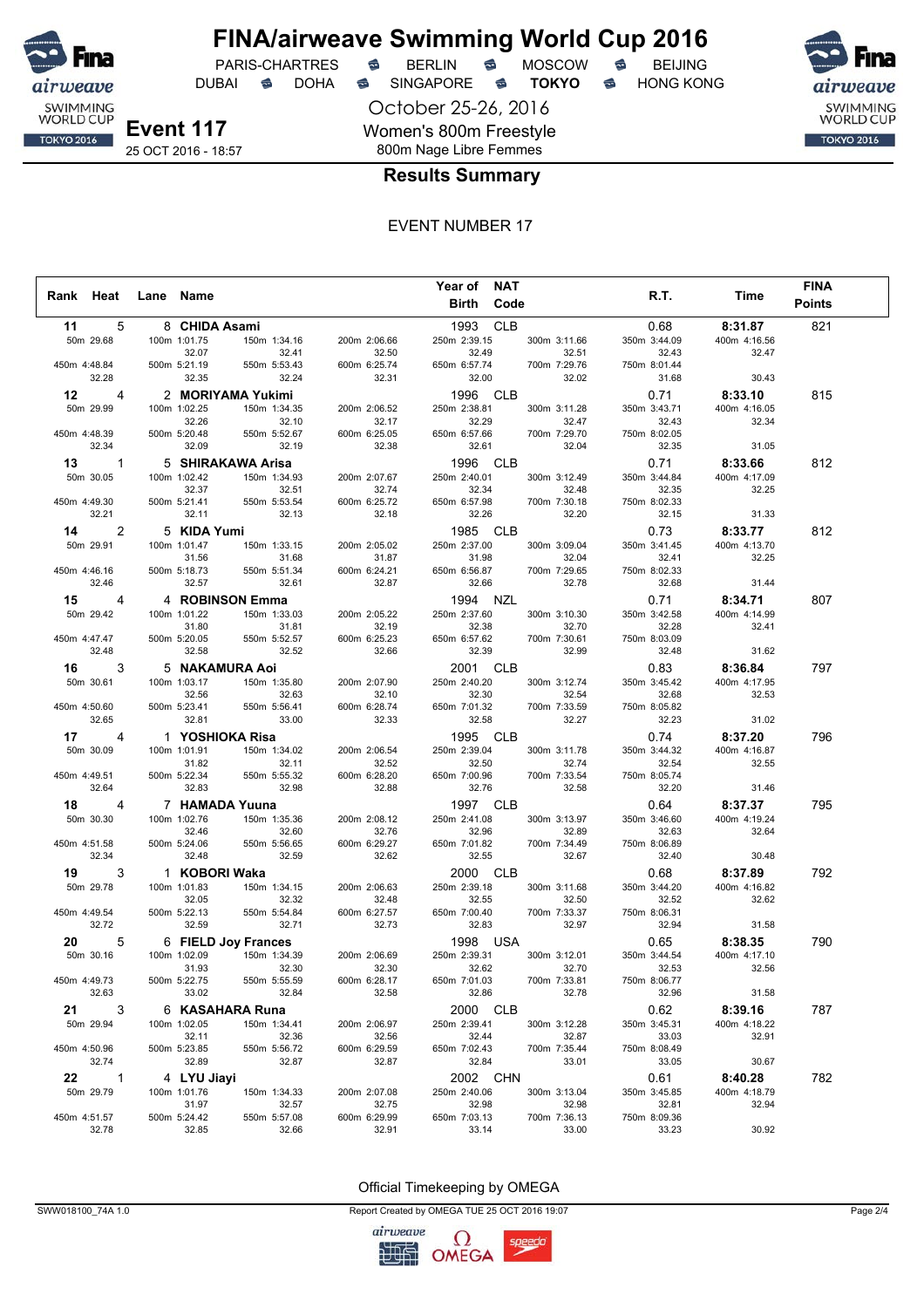

DUBAI **S** DOHA S SINGAPORE S **TOKYO** S HONG KONG

October 25-26, 2016 Women's 800m Freestyle 800m Nage Libre Femmes

SWIMMING<br>WORLD CUP **TOKYO 2016** 

25 OCT 2016 - 18:57

#### **Results Summary**

#### EVENT NUMBER 17

|               |       |           |                       |                                   |                       | Year of NAT           |                       |                       |                       | <b>FINA</b>   |
|---------------|-------|-----------|-----------------------|-----------------------------------|-----------------------|-----------------------|-----------------------|-----------------------|-----------------------|---------------|
| Rank Heat     |       | Lane Name |                       |                                   |                       | Birth Code            |                       | R.T.                  | Time                  | <b>Points</b> |
|               |       |           |                       |                                   |                       |                       |                       |                       |                       |               |
| 11            | 5     |           | 8 CHIDA Asami         |                                   |                       | 1993 CLB              |                       | 0.68                  | 8:31.87               | 821           |
| 50m 29.68     |       |           | 100m 1:01.75          | 150m 1:34.16                      | 200m 2:06.66          | 250m 2:39.15          | 300m 3:11.66          | 350m 3:44.09          | 400m 4:16.56          |               |
| 450m 4:48.84  |       |           | 32.07<br>500m 5:21.19 | 32.41<br>550m 5:53.43             | 32.50<br>600m 6:25.74 | 32.49<br>650m 6:57.74 | 32.51<br>700m 7:29.76 | 32.43<br>750m 8:01.44 | 32.47                 |               |
|               | 32.28 |           | 32.35                 | 32.24                             | 32.31                 | 32.00                 | 32.02                 | 31.68                 | 30.43                 |               |
|               |       |           |                       |                                   |                       |                       |                       |                       |                       |               |
| 12            | 4     |           |                       | 2 MORIYAMA Yukimi                 |                       | 1996 CLB              |                       | 0.71                  | 8:33.10               | 815           |
| 50m 29.99     |       |           | 100m 1:02.25          | 150m 1:34.35                      | 200m 2:06.52          | 250m 2:38.81          | 300m 3:11.28          | 350m 3:43.71          | 400m 4:16.05          |               |
| 450m 4:48.39  |       |           | 32.26<br>500m 5:20.48 | 32.10<br>550m 5:52.67             | 32.17<br>600m 6:25.05 | 32.29<br>650m 6:57.66 | 32.47<br>700m 7:29.70 | 32.43<br>750m 8:02.05 | 32.34                 |               |
|               | 32.34 |           | 32.09                 | 32.19                             | 32.38                 | 32.61                 | 32.04                 | 32.35                 | 31.05                 |               |
| $13 \qquad 1$ |       |           |                       |                                   |                       | 1996 CLB              |                       | 0.71                  | 8:33.66               | 812           |
| 50m 30.05     |       |           | 100m 1:02.42          | 5 SHIRAKAWA Arisa<br>150m 1:34.93 |                       |                       | 300m 3:12.49          |                       |                       |               |
|               |       |           | 32.37                 | 32.51                             | 200m 2:07.67<br>32.74 | 250m 2:40.01<br>32.34 | 32.48                 | 350m 3:44.84<br>32.35 | 400m 4:17.09<br>32.25 |               |
| 450m 4:49.30  |       |           | 500m 5:21.41          | 550m 5:53.54                      | 600m 6:25.72          | 650m 6:57.98          | 700m 7:30.18          | 750m 8:02.33          |                       |               |
|               | 32.21 |           | 32.11                 | 32.13                             | 32.18                 | 32.26                 | 32.20                 | 32.15                 | 31.33                 |               |
| 14 —          | 2     |           | 5 KIDA Yumi           |                                   |                       | 1985 CLB              |                       | 0.73                  | 8:33.77               | 812           |
| 50m 29.91     |       |           | 100m 1:01.47          | 150m 1:33.15                      | 200m 2:05.02          | 250m 2:37.00          | 300m 3:09.04          | 350m 3:41.45          | 400m 4:13.70          |               |
|               |       |           | 31.56                 | 31.68                             | 31.87                 | 31.98                 | 32.04                 | 32.41                 | 32.25                 |               |
| 450m 4:46.16  |       |           | 500m 5:18.73          | 550m 5:51.34                      | 600m 6:24.21          | 650m 6:56.87          | 700m 7:29.65          | 750m 8:02.33          |                       |               |
|               | 32.46 |           | 32.57                 | 32.61                             | 32.87                 | 32.66                 | 32.78                 | 32.68                 | 31.44                 |               |
| 15 —          | 4     |           |                       | 4 ROBINSON Emma                   |                       | 1994 NZL              |                       | 0.71                  | 8:34.71               | 807           |
| 50m 29.42     |       |           | 100m 1:01.22          | 150m 1:33.03                      | 200m 2:05.22          | 250m 2:37.60          | 300m 3:10.30          | 350m 3:42.58          | 400m 4:14.99          |               |
|               |       |           | 31.80                 | 31.81                             | 32.19                 | 32.38                 | 32.70                 | 32.28                 | 32.41                 |               |
| 450m 4:47.47  |       |           | 500m 5:20.05          | 550m 5:52.57                      | 600m 6:25.23          | 650m 6:57.62          | 700m 7:30.61          | 750m 8:03.09          |                       |               |
|               | 32.48 |           | 32.58                 | 32.52                             | 32.66                 | 32.39                 | 32.99                 | 32.48                 | 31.62                 |               |
| 16 —          | 3     |           |                       | 5 NAKAMURA Aoi                    |                       | 2001 CLB              |                       | 0.83                  | 8:36.84               | 797           |
| 50m 30.61     |       |           | 100m 1:03.17          | 150m 1:35.80                      | 200m 2:07.90          | 250m 2:40.20          | 300m 3:12.74          | 350m 3:45.42          | 400m 4:17.95          |               |
|               |       |           | 32.56                 | 32.63                             | 32.10                 | 32.30                 | 32.54                 | 32.68                 | 32.53                 |               |
| 450m 4:50.60  |       |           | 500m 5:23.41          | 550m 5:56.41                      | 600m 6:28.74          | 650m 7:01.32          | 700m 7:33.59          | 750m 8:05.82          |                       |               |
|               | 32.65 |           | 32.81                 | 33.00                             | 32.33                 | 32.58                 | 32.27                 | 32.23                 | 31.02                 |               |
| 17            | 4     |           |                       | 1 YOSHIOKA Risa                   |                       | 1995 CLB              |                       | 0.74                  | 8:37.20               | 796           |
| 50m 30.09     |       |           | 100m 1:01.91          | 150m 1:34.02                      | 200m 2:06.54          | 250m 2:39.04          | 300m 3:11.78          | 350m 3:44.32          | 400m 4:16.87          |               |
|               |       |           | 31.82                 | 32.11                             | 32.52                 | 32.50                 | 32.74                 | 32.54                 | 32.55                 |               |
| 450m 4:49.51  |       |           | 500m 5:22.34          | 550m 5:55.32                      | 600m 6:28.20          | 650m 7:00.96          | 700m 7:33.54          | 750m 8:05.74          |                       |               |
|               | 32.64 |           | 32.83                 | 32.98                             | 32.88                 | 32.76                 | 32.58                 | 32.20                 | 31.46                 |               |
| 18 —          | 4     |           |                       | 7 HAMADA Yuuna                    |                       | 1997 CLB              |                       | 0.64                  | 8:37.37               | 795           |
| 50m 30.30     |       |           | 100m 1:02.76          | 150m 1:35.36                      | 200m 2:08.12          | 250m 2:41.08          | 300m 3:13.97          | 350m 3:46.60          | 400m 4:19.24          |               |
|               |       |           | 32.46                 | 32.60                             | 32.76                 | 32.96                 | 32.89                 | 32.63                 | 32.64                 |               |
| 450m 4:51.58  |       |           | 500m 5:24.06          | 550m 5:56.65                      | 600m 6:29.27          | 650m 7:01.82          | 700m 7:34.49          | 750m 8:06.89          |                       |               |
|               | 32.34 |           | 32.48                 | 32.59                             | 32.62                 | 32.55                 | 32.67                 | 32.40                 | 30.48                 |               |
| 19 —          | 3     |           | 1 KOBORI Waka         |                                   |                       | 2000 CLB              |                       | 0.68                  | 8:37.89               | 792           |
| 50m 29.78     |       |           | 100m 1:01.83          | 150m 1:34.15                      | 200m 2:06.63          | 250m 2:39.18          | 300m 3:11.68          | 350m 3:44.20          | 400m 4:16.82          |               |
| 450m 4:49.54  |       |           | 32.05                 | 32.32                             | 32.48                 | 32.55                 | 32.50                 | 32.52                 | 32.62                 |               |
|               | 32.72 |           | 500m 5:22.13<br>32.59 | 550m 5:54.84<br>32.71             | 600m 6:27.57<br>32.73 | 650m 7:00.40<br>32.83 | 700m 7:33.37<br>32.97 | 750m 8:06.31<br>32.94 | 31.58                 |               |
|               |       |           |                       |                                   |                       |                       |                       |                       |                       |               |
| 20            | 5     |           |                       | 6 FIELD Joy Frances               |                       | 1998 USA              |                       | 0.65                  | 8:38.35               | 790           |
| 50m 30.16     |       |           | 100m 1:02.09<br>31.93 | 150m 1:34.39<br>32.30             | 200m 2:06.69<br>32.30 | 250m 2:39.31<br>32.62 | 300m 3:12.01<br>32.70 | 350m 3:44.54<br>32.53 | 400m 4:17.10<br>32.56 |               |
| 450m 4:49.73  |       |           | 500m 5:22.75          | 550m 5:55.59                      | 600m 6:28.17          | 650m 7:01.03          | 700m 7:33.81          | 750m 8:06.77          |                       |               |
|               | 32.63 |           | 33.02                 | 32.84                             | 32.58                 | 32.86                 | 32.78                 | 32.96                 | 31.58                 |               |
| 21 —          | 3     |           |                       | 6 KASAHARA Runa                   |                       | 2000 CLB              |                       | 0.62                  | 8:39.16               | 787           |
| 50m 29.94     |       |           | 100m 1:02.05          | 150m 1:34.41                      | 200m 2:06.97          | 250m 2:39.41          | 300m 3:12.28          | 350m 3:45.31          | 400m 4:18.22          |               |
|               |       |           | 32.11                 | 32.36                             | 32.56                 | 32.44                 | 32.87                 | 33.03                 | 32.91                 |               |
| 450m 4:50.96  |       |           | 500m 5:23.85          | 550m 5:56.72                      | 600m 6:29.59          | 650m 7:02.43          | 700m 7:35.44          | 750m 8:08.49          |                       |               |
|               | 32.74 |           | 32.89                 | 32.87                             | 32.87                 | 32.84                 | 33.01                 | 33.05                 | 30.67                 |               |
| 22 1          |       |           | 4 LYU Jiayi           |                                   |                       | 2002 CHN              |                       | 0.61                  | 8:40.28               | 782           |
| 50m 29.79     |       |           | 100m 1:01.76          | 150m 1:34.33                      | 200m 2:07.08          | 250m 2:40.06          | 300m 3:13.04          | 350m 3:45.85          | 400m 4:18.79          |               |
|               |       |           | 31.97                 | 32.57                             | 32.75                 | 32.98                 | 32.98                 | 32.81                 | 32.94                 |               |
| 450m 4:51.57  |       |           | 500m 5:24.42          | 550m 5:57.08                      | 600m 6:29.99          | 650m 7:03.13          | 700m 7:36.13          | 750m 8:09.36          |                       |               |
|               | 32.78 |           | 32.85                 | 32.66                             | 32.91                 | 33.14                 | 33.00                 | 33.23                 | 30.92                 |               |

#### Official Timekeeping by OMEGA

SWW018100\_74A 1.0 Page 2/4

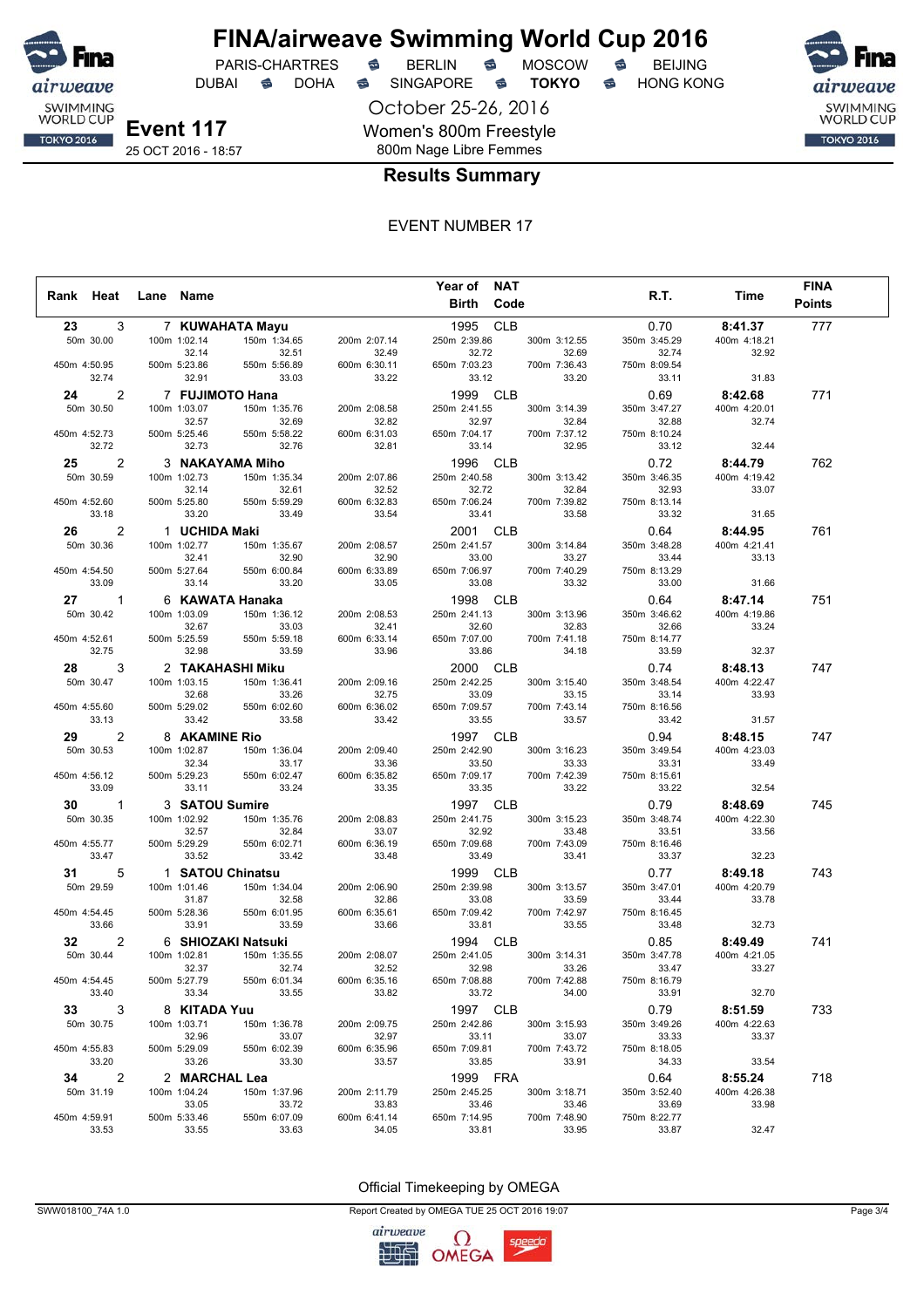

DUBAI **S** DOHA S SINGAPORE S **TOKYO** S HONG KONG

October 25-26, 2016 Women's 800m Freestyle 800m Nage Libre Femmes



25 OCT 2016 - 18:57

#### **Results Summary**

#### EVENT NUMBER 17

|              |                      |                       |                       |                       | Year of NAT           |                       |                       |                       | <b>FINA</b>   |  |
|--------------|----------------------|-----------------------|-----------------------|-----------------------|-----------------------|-----------------------|-----------------------|-----------------------|---------------|--|
| Rank Heat    |                      | Lane Name             |                       |                       | <b>Birth Code</b>     |                       | R.T.                  | Time                  | <b>Points</b> |  |
| 23 —         | 3                    |                       |                       |                       | 1995 CLB              |                       |                       | 8:41.37               | 777           |  |
|              |                      |                       | 7 KUWAHATA Mayu       |                       |                       |                       | 0.70                  |                       |               |  |
|              | 50m 30.00            | 100m 1:02.14<br>32.14 | 150m 1:34.65<br>32.51 | 200m 2:07.14<br>32.49 | 250m 2:39.86<br>32.72 | 300m 3:12.55<br>32.69 | 350m 3:45.29<br>32.74 | 400m 4:18.21<br>32.92 |               |  |
| 450m 4:50.95 |                      | 500m 5:23.86          | 550m 5:56.89          | 600m 6:30.11          | 650m 7:03.23          | 700m 7:36.43          | 750m 8:09.54          |                       |               |  |
|              | 32.74                | 32.91                 | 33.03                 | 33.22                 | 33.12                 | 33.20                 | 33.11                 | 31.83                 |               |  |
| 24           | 2                    |                       | 7 FUJIMOTO Hana       |                       | 1999                  | <b>CLB</b>            | 0.69                  | 8:42.68               | 771           |  |
|              | 50m 30.50            | 100m 1:03.07          | 150m 1:35.76          | 200m 2:08.58          | 250m 2:41.55          | 300m 3:14.39          | 350m 3:47.27          | 400m 4:20.01          |               |  |
|              |                      | 32.57                 | 32.69                 | 32.82                 | 32.97                 | 32.84                 | 32.88                 | 32.74                 |               |  |
| 450m 4:52.73 |                      | 500m 5:25.46          | 550m 5:58.22          | 600m 6:31.03          | 650m 7:04.17          | 700m 7:37.12          | 750m 8:10.24          |                       |               |  |
|              | 32.72                | 32.73                 | 32.76                 | 32.81                 | 33.14                 | 32.95                 | 33.12                 | 32.44                 |               |  |
| 25           | 2                    |                       | 3 NAKAYAMA Miho       |                       | 1996 CLB              |                       | 0.72                  | 8:44.79               | 762           |  |
|              | 50m 30.59            | 100m 1:02.73          | 150m 1:35.34          | 200m 2:07.86          | 250m 2:40.58          | 300m 3:13.42          | 350m 3:46.35          | 400m 4:19.42          |               |  |
|              |                      | 32.14                 | 32.61                 | 32.52                 | 32.72                 | 32.84                 | 32.93                 | 33.07                 |               |  |
| 450m 4:52.60 |                      | 500m 5:25.80          | 550m 5:59.29          | 600m 6:32.83          | 650m 7:06.24          | 700m 7:39.82          | 750m 8:13.14          |                       |               |  |
|              | 33.18                | 33.20                 | 33.49                 | 33.54                 | 33.41                 | 33.58                 | 33.32                 | 31.65                 |               |  |
| 26           | 2                    | 1 UCHIDA Maki         |                       |                       | 2001 CLB              |                       | 0.64                  | 8:44.95               | 761           |  |
|              | 50m 30.36            | 100m 1:02.77          | 150m 1:35.67          | 200m 2:08.57          | 250m 2:41.57          | 300m 3:14.84          | 350m 3:48.28          | 400m 4:21.41          |               |  |
|              |                      | 32.41                 | 32.90                 | 32.90                 | 33.00                 | 33.27                 | 33.44                 | 33.13                 |               |  |
| 450m 4:54.50 | 33.09                | 500m 5:27.64<br>33.14 | 550m 6:00.84          | 600m 6:33.89          | 650m 7:06.97          | 700m 7:40.29          | 750m 8:13.29          |                       |               |  |
|              |                      |                       | 33.20                 | 33.05                 | 33.08                 | 33.32                 | 33.00                 | 31.66                 |               |  |
|              | 27 —<br>1            |                       | 6 KAWATA Hanaka       |                       | 1998                  | <b>CLB</b>            | 0.64                  | 8:47.14               | 751           |  |
|              | 50m 30.42            | 100m 1:03.09          | 150m 1:36.12          | 200m 2:08.53          | 250m 2:41.13<br>32.60 | 300m 3:13.96          | 350m 3:46.62          | 400m 4:19.86          |               |  |
| 450m 4:52.61 |                      | 32.67<br>500m 5:25.59 | 33.03<br>550m 5:59.18 | 32.41<br>600m 6:33.14 | 650m 7:07.00          | 32.83<br>700m 7:41.18 | 32.66<br>750m 8:14.77 | 33.24                 |               |  |
|              | 32.75                | 32.98                 | 33.59                 | 33.96                 | 33.86                 | 34.18                 | 33.59                 | 32.37                 |               |  |
| 28           | 3                    |                       | 2 TAKAHASHI Miku      |                       | 2000 CLB              |                       | 0.74                  | 8:48.13               | 747           |  |
|              | 50m 30.47            | 100m 1:03.15          | 150m 1:36.41          | 200m 2:09.16          | 250m 2:42.25          | 300m 3:15.40          | 350m 3:48.54          | 400m 4:22.47          |               |  |
|              |                      | 32.68                 | 33.26                 | 32.75                 | 33.09                 | 33.15                 | 33.14                 | 33.93                 |               |  |
| 450m 4:55.60 |                      | 500m 5:29.02          | 550m 6:02.60          | 600m 6:36.02          | 650m 7:09.57          | 700m 7:43.14          | 750m 8:16.56          |                       |               |  |
|              | 33.13                | 33.42                 | 33.58                 | 33.42                 | 33.55                 | 33.57                 | 33.42                 | 31.57                 |               |  |
| 29           | 2                    | 8 AKAMINE Rio         |                       |                       | 1997 CLB              |                       | 0.94                  | 8:48.15               | 747           |  |
|              | 50m 30.53            | 100m 1:02.87          | 150m 1:36.04          | 200m 2:09.40          | 250m 2:42.90          | 300m 3:16.23          | 350m 3:49.54          | 400m 4:23.03          |               |  |
|              |                      | 32.34                 | 33.17                 | 33.36                 | 33.50                 | 33.33                 | 33.31                 | 33.49                 |               |  |
| 450m 4:56.12 |                      | 500m 5:29.23          | 550m 6:02.47          | 600m 6:35.82          | 650m 7:09.17          | 700m 7:42.39          | 750m 8:15.61          |                       |               |  |
|              | 33.09                | 33.11                 | 33.24                 | 33.35                 | 33.35                 | 33.22                 | 33.22                 | 32.54                 |               |  |
| 30           | 1                    | 3 SATOU Sumire        |                       |                       | 1997 CLB              |                       | 0.79                  | 8:48.69               | 745           |  |
|              | 50m 30.35            | 100m 1:02.92          | 150m 1:35.76          | 200m 2:08.83          | 250m 2:41.75          | 300m 3:15.23          | 350m 3:48.74          | 400m 4:22.30          |               |  |
|              |                      | 32.57                 | 32.84                 | 33.07                 | 32.92                 | 33.48                 | 33.51                 | 33.56                 |               |  |
| 450m 4:55.77 | 33.47                | 500m 5:29.29<br>33.52 | 550m 6:02.71<br>33.42 | 600m 6:36.19<br>33.48 | 650m 7:09.68<br>33.49 | 700m 7:43.09<br>33.41 | 750m 8:16.46<br>33.37 | 32.23                 |               |  |
|              |                      |                       |                       |                       |                       |                       |                       |                       |               |  |
| 31           | 5                    |                       | 1 SATOU Chinatsu      |                       | 1999                  | <b>CLB</b>            | 0.77                  | 8:49.18               | 743           |  |
|              | 50m 29.59            | 100m 1:01.46<br>31.87 | 150m 1:34.04<br>32.58 | 200m 2:06.90<br>32.86 | 250m 2:39.98<br>33.08 | 300m 3:13.57<br>33.59 | 350m 3:47.01<br>33.44 | 400m 4:20.79<br>33.78 |               |  |
| 450m 4:54.45 |                      | 500m 5:28.36          | 550m 6:01.95          | 600m 6:35.61          | 650m 7:09.42          | 700m 7:42.97          | 750m 8:16.45          |                       |               |  |
|              | 33.66                | 33.91                 | 33.59                 | 33.66                 | 33.81                 | 33.55                 | 33.48                 | 32.73                 |               |  |
| 32           | 2                    |                       | 6 SHIOZAKI Natsuki    |                       | 1994 CLB              |                       | 0.85                  | 8:49.49               | 741           |  |
|              | 50m 30.44            | 100m 1:02.81          | 150m 1:35.55          | 200m 2:08.07          | 250m 2:41.05          | 300m 3:14.31          | 350m 3:47.78          | 400m 4:21.05          |               |  |
|              |                      | 32.37                 | 32.74                 | 32.52                 | 32.98                 | 33.26                 | 33.47                 | 33.27                 |               |  |
| 450m 4:54.45 |                      | 500m 5:27.79          | 550m 6:01.34          | 600m 6:35.16          | 650m 7:08.88          | 700m 7:42.88          | 750m 8:16.79          |                       |               |  |
|              | 33.40                | 33.34                 | 33.55                 | 33.82                 | 33.72                 | 34.00                 | 33.91                 | 32.70                 |               |  |
| 33 —         | 3                    | 8 KITADA Yuu          |                       |                       | 1997 CLB              |                       | 0.79                  | 8:51.59               | 733           |  |
|              | 50m 30.75            | 100m 1:03.71          | 150m 1:36.78          | 200m 2:09.75          | 250m 2:42.86          | 300m 3:15.93          | 350m 3:49.26          | 400m 4:22.63          |               |  |
|              |                      | 32.96                 | 33.07                 | 32.97                 | 33.11                 | 33.07                 | 33.33                 | 33.37                 |               |  |
| 450m 4:55.83 |                      | 500m 5:29.09          | 550m 6:02.39          | 600m 6:35.96          | 650m 7:09.81          | 700m 7:43.72          | 750m 8:18.05          |                       |               |  |
|              | 33.20                | 33.26                 | 33.30                 | 33.57                 | 33.85                 | 33.91                 | 34.33                 | 33.54                 |               |  |
|              | $\overline{2}$<br>34 | 2 MARCHAL Lea         |                       |                       | 1999 FRA              |                       | 0.64                  | 8:55.24               | 718           |  |
|              | 50m 31.19            | 100m 1:04.24          | 150m 1:37.96          | 200m 2:11.79          | 250m 2:45.25          | 300m 3:18.71          | 350m 3:52.40          | 400m 4:26.38          |               |  |
|              |                      | 33.05                 | 33.72                 | 33.83                 | 33.46                 | 33.46                 | 33.69                 | 33.98                 |               |  |
| 450m 4:59.91 | 33.53                | 500m 5:33.46<br>33.55 | 550m 6:07.09<br>33.63 | 600m 6:41.14<br>34.05 | 650m 7:14.95<br>33.81 | 700m 7:48.90<br>33.95 | 750m 8:22.77<br>33.87 | 32.47                 |               |  |
|              |                      |                       |                       |                       |                       |                       |                       |                       |               |  |

#### Official Timekeeping by OMEGA

SWW018100\_74A 1.0 Page 3/4

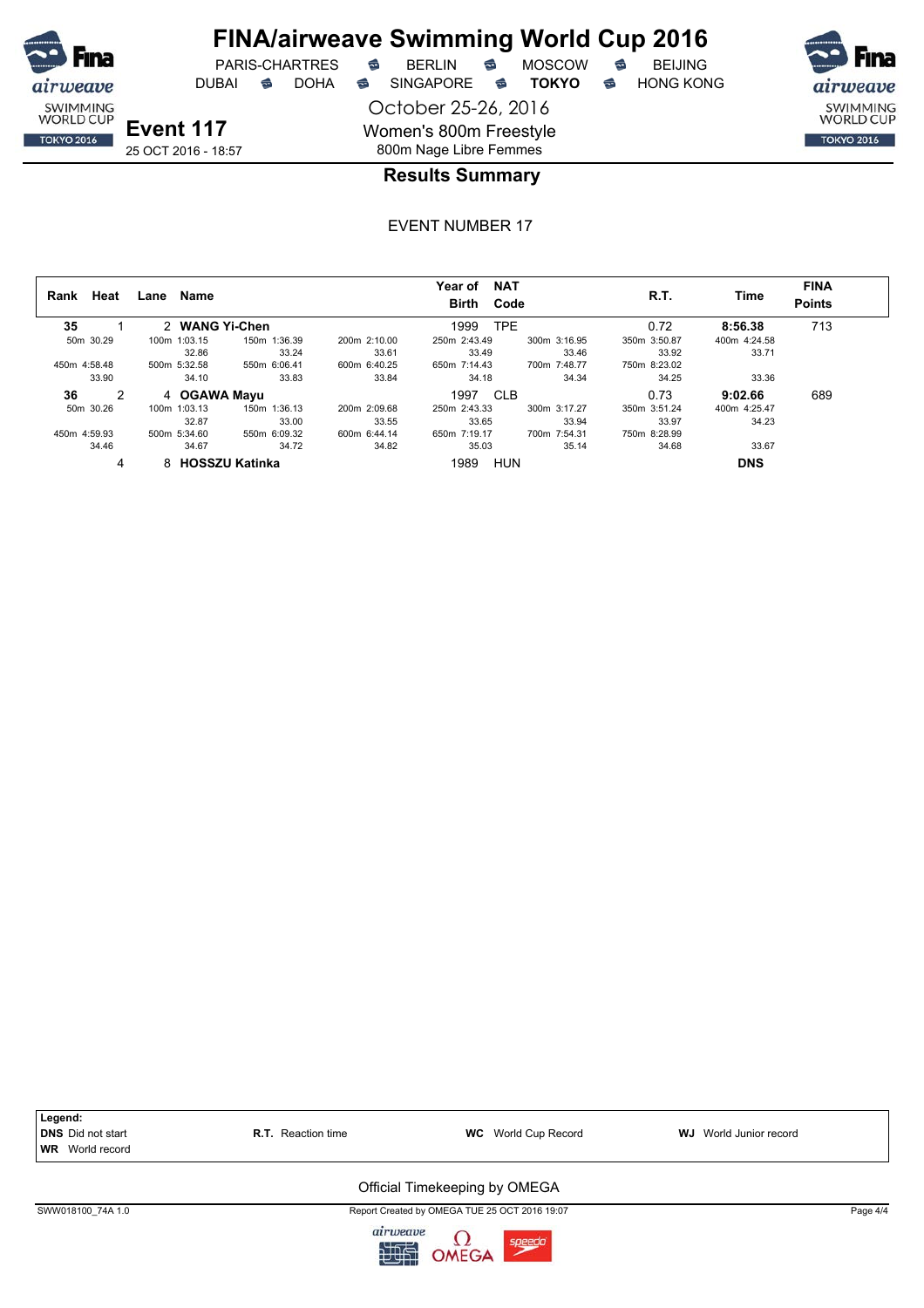

# **FINA/airweave Swimming World Cup 2016**

DUBAI **S** DOHA S SINGAPORE S **TOKYO** S HONG KONG

October 25-26, 2016 Women's 800m Freestyle 800m Nage Libre Femmes

PARIS-CHARTRES **B** BERLIN **B** MOSCOW **B** BEIJING



## **Results Summary**

| Rank         | Heat           | Lane | Name           |                  |              | <b>NAT</b><br>Year of<br>Code<br><b>Birth</b> |              | R.T.         | Time         | <b>FINA</b><br><b>Points</b> |
|--------------|----------------|------|----------------|------------------|--------------|-----------------------------------------------|--------------|--------------|--------------|------------------------------|
| 35           |                |      | 2 WANG Yi-Chen |                  |              | <b>TPE</b><br>1999                            |              | 0.72         | 8:56.38      | 713                          |
| 50m 30.29    |                |      | 100m 1:03.15   | 150m 1:36.39     | 200m 2:10.00 | 250m 2:43.49                                  | 300m 3:16.95 | 350m 3:50.87 | 400m 4:24.58 |                              |
|              |                |      | 32.86          | 33.24            | 33.61        | 33.49                                         | 33.46        | 33.92        | 33.71        |                              |
| 450m 4:58.48 |                |      | 500m 5:32.58   | 550m 6:06.41     | 600m 6:40.25 | 650m 7:14.43                                  | 700m 7:48.77 | 750m 8:23.02 |              |                              |
|              | 33.90          |      | 34.10          | 33.83            | 33.84        | 34.18                                         | 34.34        | 34.25        | 33.36        |                              |
| 36           | $\overline{2}$ |      | 4 OGAWA Mayu   |                  |              | 1997<br><b>CLB</b>                            |              | 0.73         | 9:02.66      | 689                          |
| 50m 30.26    |                |      | 100m 1:03.13   | 150m 1:36.13     | 200m 2:09.68 | 250m 2:43.33                                  | 300m 3:17.27 | 350m 3:51.24 | 400m 4:25.47 |                              |
|              |                |      | 32.87          | 33.00            | 33.55        | 33.65                                         | 33.94        | 33.97        | 34.23        |                              |
| 450m 4:59.93 |                |      | 500m 5:34.60   | 550m 6:09.32     | 600m 6:44.14 | 650m 7:19.17                                  | 700m 7:54.31 | 750m 8:28.99 |              |                              |
|              | 34.46          |      | 34.67          | 34.72            | 34.82        | 35.03                                         | 35.14        | 34.68        | 33.67        |                              |
|              | 4              |      |                | 8 HOSSZU Katinka |              | HUN<br>1989                                   |              |              | <b>DNS</b>   |                              |

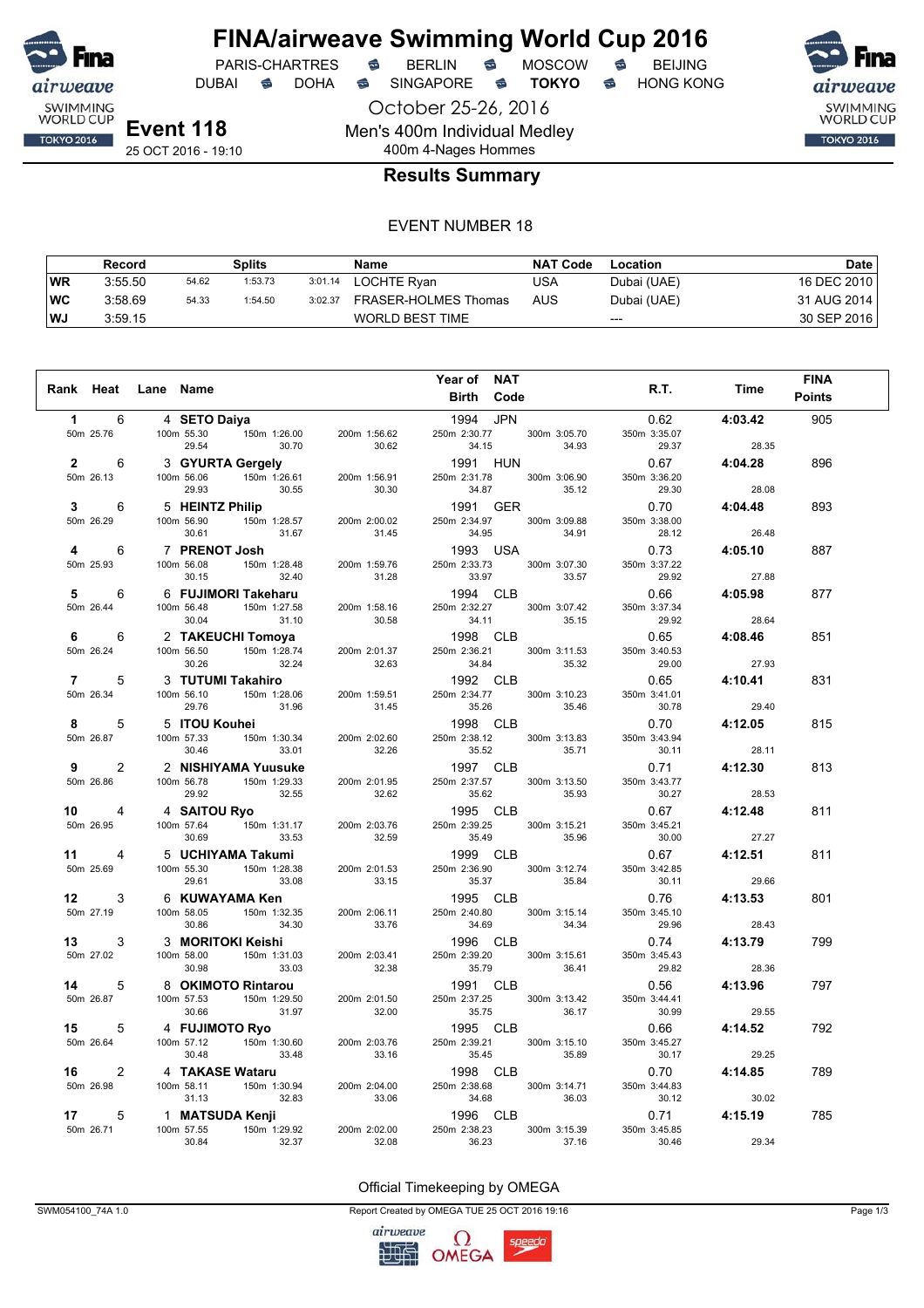

October 25-26, 2016

Men's 400m Individual Medley

DUBAI **S** DOHA S SINGAPORE S **TOKYO** S HONG KONG

SWIMMING<br>WORLD CUP **TOKYO 2016** 

**Event 118** 25 OCT 2016 - 19:10

### 400m 4-Nages Hommes **Results Summary**

#### EVENT NUMBER 18

|           | Record  |       | Splits  |         | Name                   | <b>NAT Code</b> | Location    | Date        |
|-----------|---------|-------|---------|---------|------------------------|-----------------|-------------|-------------|
| <b>WR</b> | 3:55.50 | 54.62 | 1:53.73 | 3:01.14 | LOCHTE Ryan            | USA             | Dubai (UAE) | 16 DEC 2010 |
| ∣WC       | 3:58.69 | 54.33 | 1:54.50 | 3:02.37 | FRASER-HOLMES Thomas   | AUS             | Dubai (UAE) | 31 AUG 2014 |
| <b>WJ</b> | 3:59.15 |       |         |         | <b>WORLD BEST TIME</b> |                 | $---$       | 30 SEP 2016 |

|                        |                                                                          |                       | Year of NAT                                    |                       |         | <b>FINA</b>   |
|------------------------|--------------------------------------------------------------------------|-----------------------|------------------------------------------------|-----------------------|---------|---------------|
|                        | Rank Heat Lane Name                                                      |                       | Birth Code                                     | R.T.                  | Time    | <b>Points</b> |
| 6<br>$\mathbf 1$       | 4 SETO Daiya                                                             |                       | 1994 JPN                                       | 0.62                  | 4:03.42 | 905           |
| 50m 25.76              | 100m 55.30    150m 1:26.00<br>29.54<br>30.70                             | 200m 1:56.62<br>30.62 | 250m 2:30.77 300m 3:05.70<br>34.15<br>34.93    | 350m 3:35.07<br>29.37 | 28.35   |               |
| $2^{\sim}$<br>6        | 3 GYURTA Gergely<br>100m 56.06 150m 1:26.61 200m 1:56.91                 |                       | 1991 HUN                                       | 0.67                  | 4:04.28 | 896           |
| 50m 26.13              | 100m 56.06                                                               |                       | 250m 2:31.78 300m 3:06.90                      | 350m 3:36.20          |         |               |
|                        | 29.93<br>30.55                                                           | 30.30                 | 34.87<br>35.12                                 | 29.30                 | 28.08   |               |
| 3<br>6                 | <b>Z Philip</b><br>150m 1:28.57 200m 2:00.02<br>5 HEINTZ Philip          |                       | 1991 GER                                       | 0.70                  | 4:04.48 | 893           |
| 50m 26.29              | 100m 56.90<br>30.61<br>31.67                                             | 31.45                 | 250m 2:34.97 300m 3:09.88<br>34.91<br>34.95    | 350m 3:38.00<br>28.12 | 26.48   |               |
| 4<br>6                 | 7 PRENOT Josh                                                            |                       | 1993 USA                                       | 0.73                  | 4:05.10 | 887           |
| 50m 25.93              | 150m<br>150m 1:28.48 200m 1:59.76<br>100m 56.08                          |                       | 250m 2:33.73 300m 3:07.30                      | 350m 3:37.22          |         |               |
|                        | 30.15<br>32.40                                                           | 31.28                 | 33.97<br>33.57                                 | 29.92                 | 27.88   |               |
| 5<br>6                 | 6 FUJIMORI Takeharu                                                      | 200m 1:58.16          | 1994 CLB                                       | 0.66                  | 4:05.98 | 877           |
| 50m 26.44              | 100m 56.48<br>150m 1:27.58<br>30.04                                      |                       | 250m 2:32.27<br>300m 3:07.42<br>34.11<br>35.15 | 350m 3:37.34<br>29.92 | 28.64   |               |
|                        | 31.10                                                                    | 30.58                 |                                                |                       |         |               |
| 6<br>6<br>50m 26.24    | 2 TAKEUCHI Tomoya<br>150m 1:28.74<br>100m 56.50                          | 200m 2:01.37          | 1998 CLB<br>250m 2:36.21<br>300m 3:11.53       | 0.65<br>350m 3:40.53  | 4:08.46 | 851           |
|                        | 32.24<br>30.26                                                           | 32.63                 | 34.84<br>35.32                                 | 29.00                 | 27.93   |               |
| $\overline{7}$<br>5    | 3 TUTUMI Takahiro                                                        |                       | 1992 CLB                                       | 0.65                  | 4:10.41 | 831           |
| 50m 26.34              | 100m 56.10 150m 1:28.06<br>31.96<br>29.76                                | 200m 1:59.51          | 250m 2:34.77<br>300m 3:10.23<br>35.26<br>35.46 | 350m 3:41.01<br>30.78 | 29.40   |               |
| 5<br>8                 | 5 ITOU Kouhei                                                            | 31.45                 | 1998 CLB                                       | 0.70                  | 4:12.05 | 815           |
| 50m 26.87              | 100m 57.33<br>150m 1:30.34                                               | 200m 2:02.60          | 250m 2:38.12<br>300m 3:13.83                   | 350m 3:43.94          |         |               |
|                        | 30.46<br>33.01                                                           | 32.26                 | 35.52<br>35.71                                 | 30.11                 | 28.11   |               |
| $\overline{2}$<br>9    | 2 NISHIYAMA Yuusuke                                                      |                       | 1997 CLB                                       | 0.71                  | 4:12.30 | 813           |
| 50m 26.86              | 100m 56.78 150m 1:29.33<br>29.92 32.55                                   | 200m 2:01.95<br>32.62 | 300m 3:13.50<br>250m 2:37.57<br>35.62<br>35.93 | 350m 3:43.77<br>30.27 | 28.53   |               |
| 10<br>4                | 4 SAITOU Ryo                                                             |                       | 1995 CLB                                       | 0.67                  | 4:12.48 | 811           |
| 50m 26.95              | 100m 57.64 150m 1:31.17<br>30.69<br>33.53                                | 200m 2:03.76<br>32.59 | 250m 2:39.25<br>300m 3:15.21<br>35.49<br>35.96 | 350m 3:45.21<br>30.00 | 27.27   |               |
| 11 $-$<br>4            | 5 UCHIYAMA Takumi                                                        |                       | 1999 CLB                                       | 0.67                  | 4:12.51 | 811           |
| 50m 25.69              | 100m 55.30 150m 1:28.38                                                  | 200m 2:01.53          | 250m 2:36.90<br>300m 3:12.74                   | 350m 3:42.85          |         |               |
|                        | 33.08<br>29.61                                                           | 33.15                 | 35.37<br>35.84                                 | 30.11                 | 29.66   |               |
| 3<br>12                | 6 KUWAYAMA Ken                                                           |                       | 1995 CLB                                       | 0.76                  | 4:13.53 | 801           |
| 50m 27.19              | 100m 58.05 150m 1:32.35<br>30.86<br>34.30                                | 200m 2:06.11<br>33.76 | 250m 2:40.80<br>300m 3:15.14<br>34.69<br>34.34 | 350m 3:45.10<br>29.96 | 28.43   |               |
| 3<br>13 —              | 3 MORITOKI Keishi                                                        |                       | 1996 CLB                                       | 0.74                  | 4:13.79 | 799           |
| 50m 27.02              | וווסוסח ורוסו.<br>150m 1:31.03<br>100m 58.00<br>30.98<br>33.03           | 200m 2:03.41<br>32.38 | 250m 2:39.20<br>300m 3:15.61<br>35.79<br>36.41 | 350m 3:45.43<br>29.82 | 28.36   |               |
| 14<br>5                | 8 OKIMOTO Rintarou                                                       |                       | 1991 CLB                                       | 0.56                  | 4:13.96 | 797           |
| 50m 26.87              | 100m 57.53<br>150m 1:29.50<br>30.66<br>31.97                             | 200m 2:01.50          | 250m 2:37.25<br>300m 3:13.42<br>35.75<br>36.17 | 350m 3:44.41<br>30.99 | 29.55   |               |
|                        |                                                                          | 32.00                 | 1995 CLB                                       |                       |         | 792           |
| 15 —<br>5<br>50m 26.64 | 4 FUJIMOTO Ryo<br>4 <b>FUJIMOTO Ryo</b><br>100m 57.12 150m 1:30.60       | 200m 2:03.76          | 250m 2:39.21<br>300m 3:15.10                   | 0.66<br>350m 3:45.27  | 4:14.52 |               |
|                        | 33.48<br>30.48                                                           | 33.16                 | 35.45<br>35.89                                 | 30.17                 | 29.25   |               |
| $\overline{2}$<br>16 — | 4 TAKASE Wataru                                                          |                       | 1998 CLB                                       | 0.70                  | 4:14.85 | 789           |
| 50m 26.98              | <b>SE Wataru</b><br>150m 1:30.94 200m 2:04.00<br>100m 58.11              |                       | 300m 3:14.71<br>250m 2:38.68                   | 350m 3:44.83          |         |               |
|                        | 31.13<br>32.83                                                           | 33.06                 | 34.68<br>36.03                                 | 30.12                 | 30.02   |               |
| 5<br>17                | 1 MATSUDA Kenji                                                          |                       | 1996 CLB                                       | 0.71                  | 4:15.19 | 785           |
| 50m 26.71              | $\sim$ محاد 150m میں $\sim$ 150m 1:29.92<br>100m 57.55<br>32.37<br>30.84 | 200m 2:02.00<br>32.08 | 250m 2:38.23<br>300m 3:15.39<br>36.23<br>37.16 | 350m 3:45.85<br>30.46 | 29.34   |               |

#### Official Timekeeping by OMEGA

SWM054100\_74A 1.0 Page 1/3

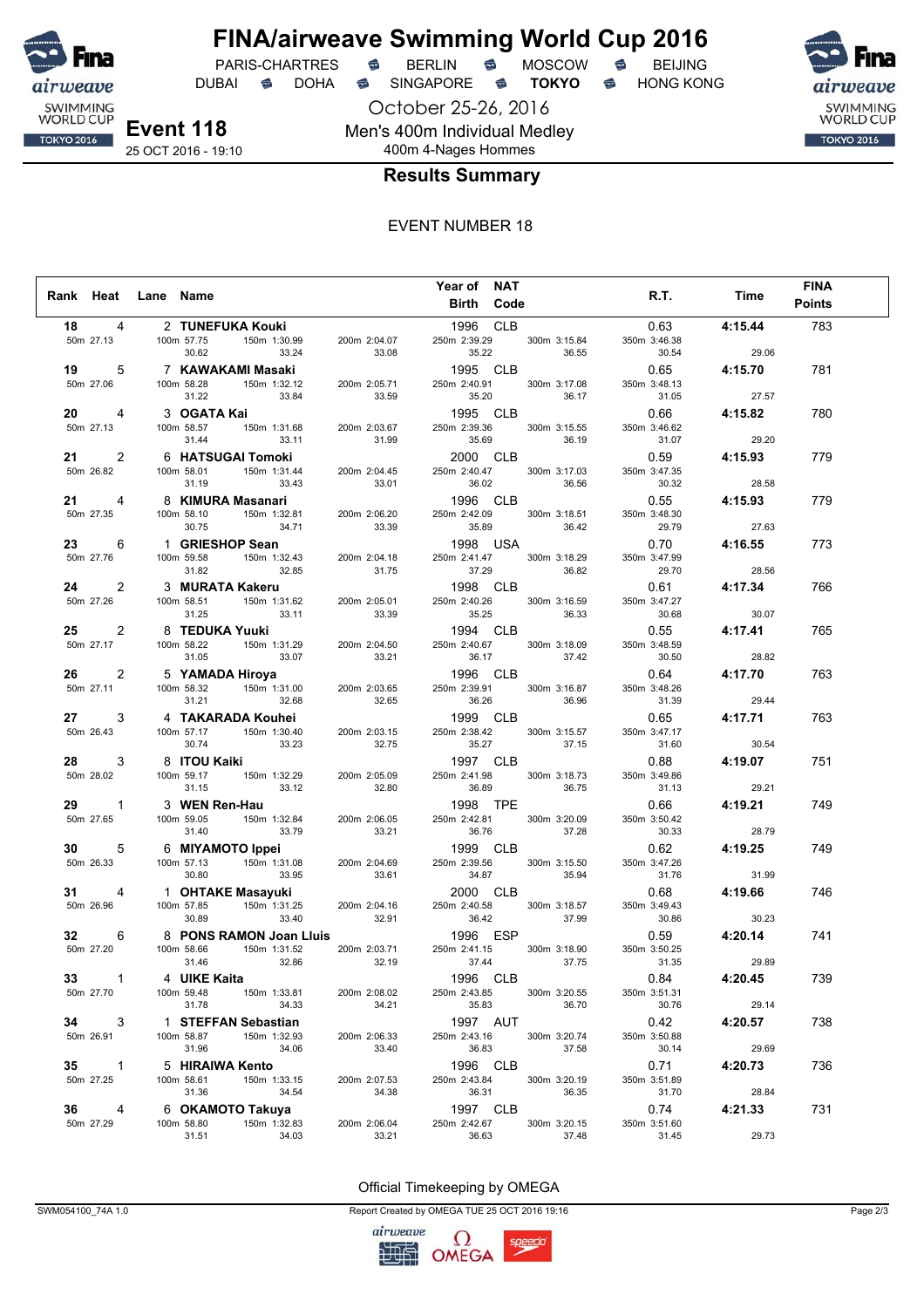

DUBAI **S** DOHA S SINGAPORE S **TOKYO** S HONG KONG

**Event 118** 25 OCT 2016 - 19:10

October 25-26, 2016 Men's 400m Individual Medley 400m 4-Nages Hommes



#### **Results Summary**

#### EVENT NUMBER 18

|                          |                                                                                                                                                                                                                   |                       | Year of NAT                                             |                       |                       |                                        | <b>FINA</b>   |
|--------------------------|-------------------------------------------------------------------------------------------------------------------------------------------------------------------------------------------------------------------|-----------------------|---------------------------------------------------------|-----------------------|-----------------------|----------------------------------------|---------------|
| Rank Heat Lane Name      |                                                                                                                                                                                                                   |                       | Birth Code                                              |                       | R.T.                  | Time                                   | <b>Points</b> |
|                          |                                                                                                                                                                                                                   |                       |                                                         |                       |                       |                                        |               |
| 18 —<br>4                | 2 TUNEFUKA Kouki                                                                                                                                                                                                  |                       | 1996 CLB                                                |                       | 0.63                  | 4:15.44                                | 783           |
| 50m 27.13                | 100m 57.75 150m 1:30.99 200m 2:04.07<br>30.62 33.24 33.08                                                                                                                                                         |                       | 250m 2:39.29 300m 3:15.84<br>35.22 36.55                |                       | 350m 3:46.38<br>30.54 | 29.06                                  |               |
|                          | $7$ KAWAKAMI Masaki<br>$100m$ 58.28 150m 1:32.12 200m 2:05.71<br>$31.22$ 33.84 33.59                                                                                                                              |                       | 1995 CLB                                                |                       |                       | 0.65 4:15.70                           |               |
| 5<br>19 —                |                                                                                                                                                                                                                   |                       |                                                         |                       |                       |                                        | 781           |
| 50m 27.06                |                                                                                                                                                                                                                   |                       | 250m 2:40.91 300m 3:17.08<br>35.20                      | 36.17                 | 350m 3:48.13<br>31.05 | 27.57                                  |               |
|                          |                                                                                                                                                                                                                   |                       |                                                         |                       |                       |                                        |               |
| 4<br>50m 27.13           |                                                                                                                                                                                                                   |                       | 1995 CLB<br>250m 2:39.36 300m 3:15.55                   |                       | 0.66<br>350m 3:46.62  | 4:15.82                                | 780           |
|                          |                                                                                                                                                                                                                   |                       |                                                         |                       |                       |                                        |               |
| $21 \t 2$                | 3 OGATA Kai<br>100m 58.57 150m 1:31.68 200m 2:03.67<br>31.44 33.11 31.99<br>6 HATSUGAI Tomoki<br>100m 58.01 150m 1:31.44 200m 2:04.45<br>31.19 33.43 33.01                                                        |                       | 35.69      36.19<br><b>2000  CLB</b>                    |                       |                       | $31.07$ $29.20$<br>0.59 <b>4:15.93</b> | 779           |
| 50m 26.82                |                                                                                                                                                                                                                   |                       | 250m 2:40.47 300m 3:17.03                               |                       | 350m 3:47.35          |                                        |               |
|                          |                                                                                                                                                                                                                   |                       | 36.02 36.56                                             |                       | 30.32                 | 28.58                                  |               |
| 21 —<br>4                | 8 <b>KIMURA Masanari</b><br>100m 58.10 150m 1:32.81 200m 2:06.20<br>30.75 34.71 33.39                                                                                                                             |                       | 1996 CLB                                                |                       |                       | $0.55$ 4:15.93                         | 779           |
| 50m 27.35                | 100m 58.10                                                                                                                                                                                                        |                       | 250m 2:42.09 300m 3:18.51                               |                       | 350m 3:48.30          |                                        |               |
|                          |                                                                                                                                                                                                                   |                       | 35.89                                                   | 36.42                 | 29.79                 | 27.63                                  |               |
| 6<br>23 — 1              | 1 <b>GRIESHOP Sean</b><br>100m 59.58 150m 1:32.43 200m 2:04.18 250m 2:14.147 300m<br>31.82 3 <b>MURATA Kakeru</b><br>100m 58.51 150m 1:31.62 200m 2:05.01 250m 2:44.026 250m 2:44.026 33.11 33.41 33.43           |                       | 950m 2:41.47<br>250m 2:41.47 300m 3:18.29 350m<br>37.29 |                       | 0.70                  | 4:16.55                                | 773           |
| 50m 27.76                |                                                                                                                                                                                                                   |                       |                                                         |                       | 350m 3:47.99          |                                        |               |
|                          |                                                                                                                                                                                                                   |                       |                                                         | 36.82                 |                       |                                        |               |
| 2                        |                                                                                                                                                                                                                   |                       |                                                         |                       |                       |                                        | 766           |
| 50m 27.26                |                                                                                                                                                                                                                   |                       |                                                         | 300m 3:16.59          | 350m 3:47.27          |                                        |               |
|                          | 31.25                                                                                                                                                                                                             | 33.11 33.39           | 35.25 36.33                                             |                       | 30.68                 | 30.07                                  |               |
| 2<br>25 — 1              | 8 TEDUKA Yuuki<br>100m 58.22 150m 1:31.29 200m 2:04.50<br>31.05 33.07 33.21                                                                                                                                       |                       | 1994 CLB                                                |                       |                       | $0.55$ 4:17.41                         | 765           |
| 50m 27.17                |                                                                                                                                                                                                                   |                       | 250m 2:40.67                                            | 300m 3:18.09          | 350m 3:48.59          |                                        |               |
|                          |                                                                                                                                                                                                                   |                       | 36.17                                                   | 37.42                 | 30.50                 | 28.82                                  |               |
| $\overline{2}$<br>26 — 1 | 5 YAMADA Hiroya 1996 CLB<br>100m 58.32 150m 1:31.00 200m 2:03.65 250m 2:39.91 300m                                                                                                                                |                       |                                                         |                       | 0.64                  | 4:17.70                                | 763           |
| 50m 27.11                |                                                                                                                                                                                                                   |                       | 250m 2:39.91 300m 3:16.87                               |                       | 350m 3:48.26          |                                        |               |
|                          |                                                                                                                                                                                                                   |                       | 36.26<br><b>1999 CLB</b>                                | 36.96                 | $31.39$<br>$0.65$     | 29.44                                  |               |
| $27 \t3$                 | 31.21 32.68 32.65<br>4 <b>TAKARADA Kouhei</b><br>100m 57.17 150m 1:30.40 200m 2:03.15                                                                                                                             |                       |                                                         |                       |                       | 4:17.71                                | 763           |
| 50m 26.43                | 30.74 33.23                                                                                                                                                                                                       | 32.75                 | 250m 2:38.42<br>35.27 37.15                             | 300m 3:15.57          | 350m 3:47.17<br>31.60 | 30.54                                  |               |
|                          |                                                                                                                                                                                                                   |                       |                                                         |                       |                       | $0.88$ 4:19.07                         |               |
| 3                        | 8 ITOU Kaiki<br>$T$ $(150m)$ 1:32.29                                                                                                                                                                              |                       | 1997 CLB                                                |                       |                       |                                        | 751           |
| 50m 28.02                | 100m 59.17<br>33.12<br>31.15                                                                                                                                                                                      | 200m 2:05.09<br>32.80 | 250m 2:41.98<br>36.89                                   | 300m 3:18.73<br>36.75 | 350m 3:49.86<br>31.13 | 29.21                                  |               |
|                          |                                                                                                                                                                                                                   |                       | 1998 TPE                                                |                       | 0.66                  | 4:19.21                                | 749           |
| 29 1<br>50m 27.65        | 3 WEN Ren-Hau<br>100m 59.05 150m 1:32.84 200m 2:06.05                                                                                                                                                             | 200m 2:06.05          | 250m 2:42.81 300m 3:20.09                               |                       | 350m 3:50.42          |                                        |               |
|                          |                                                                                                                                                                                                                   |                       |                                                         |                       | 30.33                 | 28.79                                  |               |
| $30 \qquad 5$            | 31.40 33.79 33.21<br>6 <b>MIYAMOTO Ippei</b><br>100m 57.13 150m 1:31.08 200m 2:04.69<br>30.80 33.95 33.61                                                                                                         |                       |                                                         |                       |                       | $0.62$ 4:19.25                         | 749           |
| 50m 26.33                |                                                                                                                                                                                                                   |                       | 250m 2:39.56                                            | 300m 3:15.50          | 350m 3:47.26          |                                        |               |
|                          |                                                                                                                                                                                                                   |                       | 34.87 35.94                                             |                       | 31.76                 | 31.99                                  |               |
| 31<br>4                  |                                                                                                                                                                                                                   |                       |                                                         |                       |                       | 0.68 4:19.66                           | 746           |
| 50m 26.96                |                                                                                                                                                                                                                   |                       |                                                         | 300m 3:18.57          | 350m 3:49.43          |                                        |               |
|                          |                                                                                                                                                                                                                   |                       |                                                         | 37.99                 | 30.86                 | 30.23                                  |               |
| $32 -$<br>6              | 1 <b>OHTAKE Masayuki</b><br>100m 57.85<br>150m 1:31.25<br>30.89<br><b>8 PONS RAMON Joan Lluis</b><br>100m 58.66<br>150m 1:31.45<br>1996 ESP<br>131.46<br>1996 ESP<br>1996 ESP<br>1996 ESP<br>1996 ESP<br>1996 ESP |                       | 1996 ESP<br>250m 2:41.15 300m 3:18.90 350m              |                       |                       | $0.59$ $4:20.14$                       | 741           |
| 50m 27.20                |                                                                                                                                                                                                                   |                       |                                                         |                       | 350m 3:50.25          |                                        |               |
|                          | 32.86<br>31.46                                                                                                                                                                                                    | 32.19                 | 37.44                                                   | 37.75                 | 31.35                 | 29.89                                  |               |
| $33 \qquad \qquad 1$     | 4 UIKE Kaita                                                                                                                                                                                                      |                       | 1996 CLB                                                |                       | 0.84 4:20.45          |                                        | 739           |
| 50m 27.70                | 150m 1:33.81<br>100m 59.48                                                                                                                                                                                        | 200m 2:08.02          | 250m 2:43.85                                            | 300m 3:20.55          | 350m 3:51.31          |                                        |               |
|                          | 31.78<br>34.33                                                                                                                                                                                                    | 34.21                 | 35.83                                                   | 36.70                 | 30.76                 | 29.14                                  |               |
| 3<br>34                  | 1 STEFFAN Sebastian                                                                                                                                                                                               |                       | 1997 AUT                                                |                       | 0.42                  | 4:20.57                                | 738           |
| 50m 26.91                | 100m 58.87<br>150m 1:32.93                                                                                                                                                                                        | 200m 2:06.33          | 250m 2:43.16                                            | 300m 3:20.74          | 350m 3:50.88          |                                        |               |
|                          | 31.96<br>34.06                                                                                                                                                                                                    | 33.40                 | 36.83                                                   | 37.58                 | 30.14                 | 29.69                                  |               |
| $35 \qquad \qquad 1$     | 5 HIRAIWA Kento                                                                                                                                                                                                   |                       | 1996 CLB                                                |                       | 0.71                  | 4:20.73                                | 736           |
| 50m 27.25                | 100m 58.61<br>150m 1:33.15                                                                                                                                                                                        | 200m 2:07.53<br>34.38 | 250m 2:43.84                                            | 300m 3:20.19<br>36.35 | 350m 3:51.89          |                                        |               |
|                          | 31.36<br>34.54                                                                                                                                                                                                    |                       | 36.31                                                   |                       | 31.70                 | 28.84                                  |               |
| $36 -$<br>4              | 6 OKAMOTO Takuya                                                                                                                                                                                                  |                       | 1997 CLB                                                |                       | 0.74                  | 4:21.33                                | 731           |
| 50m 27.29                | 100m 58.80<br>150m 1:32.83<br>31.51<br>34.03                                                                                                                                                                      | 200m 2:06.04<br>33.21 | 250m 2:42.67<br>36.63                                   | 300m 3:20.15<br>37.48 | 350m 3:51.60<br>31.45 | 29.73                                  |               |
|                          |                                                                                                                                                                                                                   |                       |                                                         |                       |                       |                                        |               |

Official Timekeeping by OMEGA

SWM054100\_74A 1.0 Page 2/3

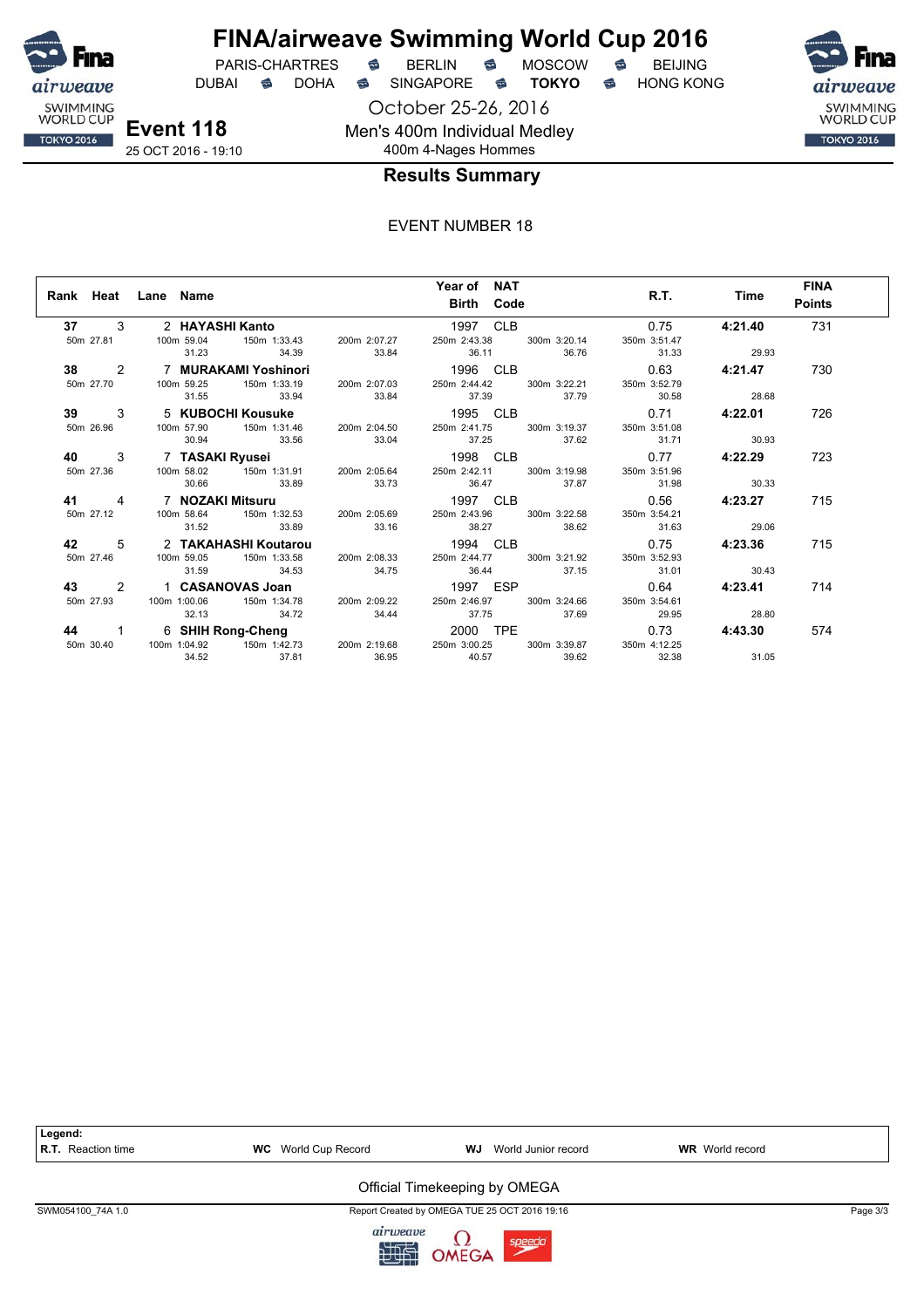

DUBAI **S** DOHA S SINGAPORE S **TOKYO** S HONG KONG

October 25-26, 2016 Men's 400m Individual Medley

SWIMMING<br>WORLD CUP **TOKYO 2016** 

**Event 118** 25 OCT 2016 - 19:10

### 400m 4-Nages Hommes **Results Summary**

|             | Rank Heat Lane Name  |                | Year of NAT<br><b>Birth Code</b>                                                                                                       |              | R.T. Time      | <b>FINA</b><br><b>Points</b> |
|-------------|----------------------|----------------|----------------------------------------------------------------------------------------------------------------------------------------|--------------|----------------|------------------------------|
|             | 37 3 2 HAYASHI Kanto |                | 1997 CLB                                                                                                                               | 0.75         | 4:21.40        | 731                          |
|             |                      |                | 50m 27.81 100m 59.04 150m 1:33.43 200m 2:07.27 250m 2:43.38 300m 3:20.14<br>31.23 34.39 33.84 36.11 36.76 31.33                        | 350m 3:51.47 | 29.93          |                              |
|             |                      |                | 38 2 7 MURAKAMI Yoshinori 1996 CLB 0.63 4:21.47                                                                                        |              |                | 730                          |
| 50m 27.70   |                      |                | 100m 59.25 150m 1:33.19 200m 2:07.03 250m 2:44.42 300m 3:22.21<br>31.55 33.94 33.84 37.39 37.79 30.58 28.68                            | 350m 3:52.79 |                |                              |
|             |                      |                |                                                                                                                                        |              |                |                              |
| <b>39</b> 3 |                      |                |                                                                                                                                        |              |                | 726                          |
| 50m 26.96   | 30.94 33.56          |                | 100m 57.90   150m 1:31.46   200m 2:04.50   250m 2:41.75   300m 3:19.37   350m 3:51.08<br>33.04 37.25 37.62 31.71 30.93                 |              |                |                              |
| 40 3        |                      |                |                                                                                                                                        |              |                | 723                          |
| 50m 27.36   |                      |                |                                                                                                                                        |              |                |                              |
|             |                      |                | 30.66 33.89 33.73 36.47 37.87 31.98                                                                                                    |              | 30.33          |                              |
|             |                      |                | 41 4 7 NOZAKI Mitsuru 1997 CLB 0.56 4:23.27                                                                                            |              |                | 715                          |
|             |                      |                | 50m 27.12 100m 58.64 150m 1:32.53 200m 2:05.69 250m 2:43.96 300m 3:22.58 350m 3:54.21                                                  |              |                |                              |
|             |                      |                | 31.52 33.89 33.16 38.27 38.62 31.63 29.06                                                                                              |              |                |                              |
|             |                      |                | 42 5 2 TAKAHASHI Koutarou 1994 CLB 0.75 0.75 1994 CLB 0.75 100m 59.05 150m 1:33.58 200m 2:08.33 250m 3:44.77 300m 3:21.92 350m 3:52.93 |              | $0.75$ 4:23.36 | 715                          |
|             |                      |                |                                                                                                                                        |              |                |                              |
|             | 31.59                |                | 34.53 34.75 36.44 37.15 31.01 30.43                                                                                                    |              |                |                              |
|             |                      |                | 43 2 1 CASANOVAS Joan 1997 ESP 0.64                                                                                                    |              | 4:23.41        | 714                          |
| 50m 27.93   |                      |                | 100m 1:00.06  150m 1:34.78  200m 2:09.22  250m 2:46.97  300m 3:24.66  350m 3:54.61                                                     |              |                |                              |
|             | 32.13 34.72          |                | 34.44 37.75 37.69 29.95                                                                                                                |              | 28.80          |                              |
| 44 1        |                      |                | 6 SHIH Rong-Cheng<br>100m 1:04.92 150m 1:42.73 200m 2:19.68 250m 3:00.25 300m 3:39.87 350m                                             | 0.73         | 4:43.30        | 574                          |
| 50m 30.40   |                      |                |                                                                                                                                        | 350m 4:12.25 |                |                              |
|             | 34.52                | 37.81<br>36.95 | 39.62<br>40.57                                                                                                                         | 32.38        | 31.05          |                              |



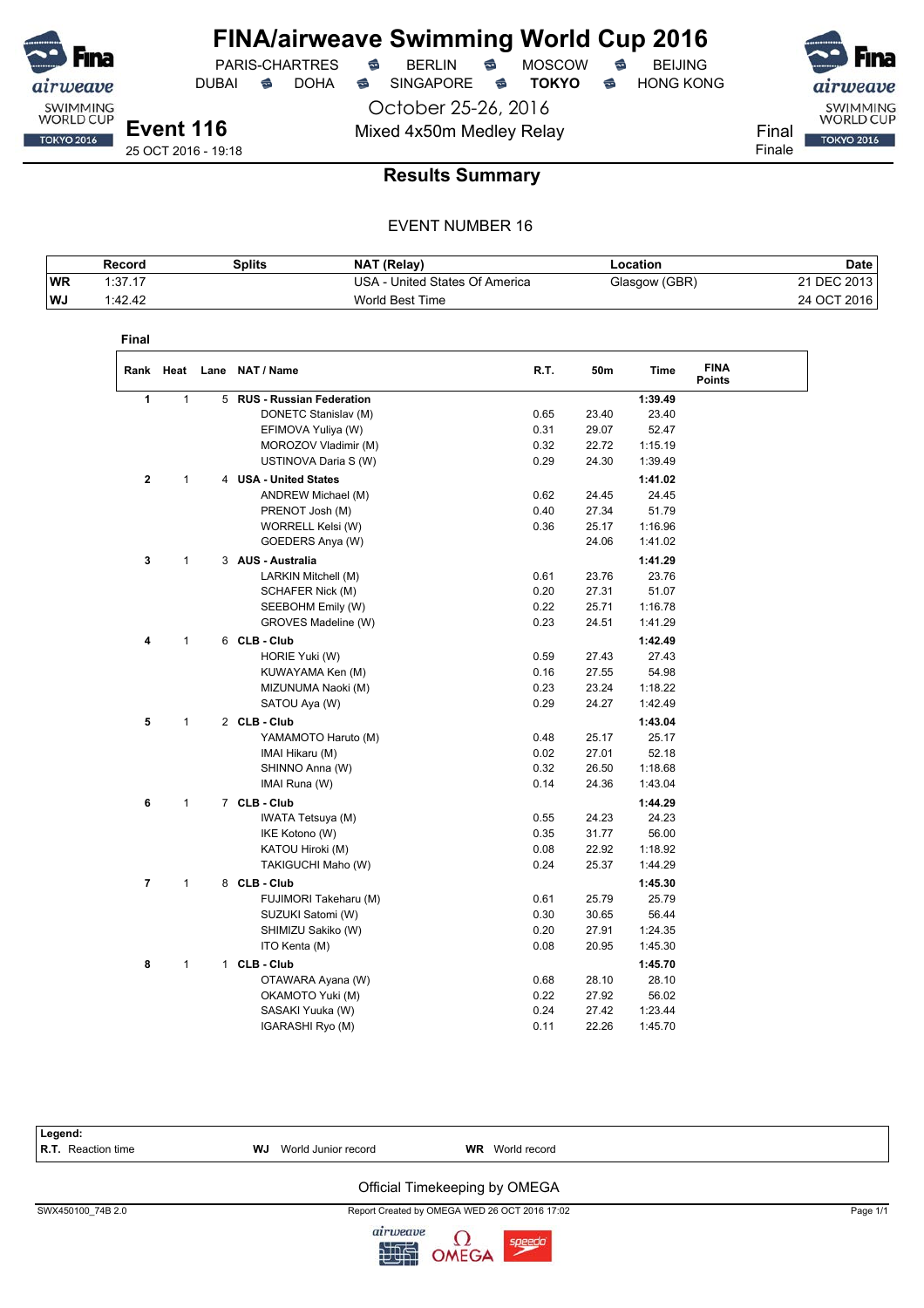

DUBAI **S** DOHA S SINGAPORE S TOKYO S HONG KONG

 $PARIS-CHARTRES$  **BERLIN B** MOSCOW **B** 

October 25-26, 2016 Mixed 4x50m Medley Relay Final

airweave SWIMMING<br>WORLD CUP **TOKYO 2016** Finale

25 OCT 2016 - 19:18

### **Results Summary**

|            | Record  | Splits | <b>NAT (Relay)</b>             | -ocation      | Date        |
|------------|---------|--------|--------------------------------|---------------|-------------|
| <b>WR</b>  | 1:37.17 |        | USA - United States Of America | Glasgow (GBR) | 21 DEC 2013 |
| <b>IWJ</b> | 1:42.42 |        | World Best Time                |               | 24 OCT 2016 |

| Final       |              |   |                                 |      |       |         |                              |  |
|-------------|--------------|---|---------------------------------|------|-------|---------|------------------------------|--|
|             |              |   | Rank Heat Lane NAT / Name       | R.T. | 50m   | Time    | <b>FINA</b><br><b>Points</b> |  |
| 1           | $\mathbf{1}$ | 5 | <b>RUS - Russian Federation</b> |      |       | 1:39.49 |                              |  |
|             |              |   | DONETC Stanislav (M)            | 0.65 | 23.40 | 23.40   |                              |  |
|             |              |   | EFIMOVA Yuliya (W)              | 0.31 | 29.07 | 52.47   |                              |  |
|             |              |   | MOROZOV Vladimir (M)            | 0.32 | 22.72 | 1:15.19 |                              |  |
|             |              |   | USTINOVA Daria S (W)            | 0.29 | 24.30 | 1:39.49 |                              |  |
| $\mathbf 2$ | 1            |   | 4 USA - United States           |      |       | 1:41.02 |                              |  |
|             |              |   | ANDREW Michael (M)              | 0.62 | 24.45 | 24.45   |                              |  |
|             |              |   | PRENOT Josh (M)                 | 0.40 | 27.34 | 51.79   |                              |  |
|             |              |   | WORRELL Kelsi (W)               | 0.36 | 25.17 | 1:16.96 |                              |  |
|             |              |   | GOEDERS Anya (W)                |      | 24.06 | 1:41.02 |                              |  |
| 3           | $\mathbf{1}$ |   | 3 AUS - Australia               |      |       | 1:41.29 |                              |  |
|             |              |   | LARKIN Mitchell (M)             | 0.61 | 23.76 | 23.76   |                              |  |
|             |              |   | SCHAFER Nick (M)                | 0.20 | 27.31 | 51.07   |                              |  |
|             |              |   | SEEBOHM Emily (W)               | 0.22 | 25.71 | 1:16.78 |                              |  |
|             |              |   | GROVES Madeline (W)             | 0.23 | 24.51 | 1:41.29 |                              |  |
| 4           | 1            |   | 6 CLB - Club                    |      |       | 1:42.49 |                              |  |
|             |              |   | HORIE Yuki (W)                  | 0.59 | 27.43 | 27.43   |                              |  |
|             |              |   | KUWAYAMA Ken (M)                | 0.16 | 27.55 | 54.98   |                              |  |
|             |              |   | MIZUNUMA Naoki (M)              | 0.23 | 23.24 | 1:18.22 |                              |  |
|             |              |   | SATOU Aya (W)                   | 0.29 | 24.27 | 1:42.49 |                              |  |
| 5           | 1            |   | 2 CLB - Club                    |      |       | 1:43.04 |                              |  |
|             |              |   | YAMAMOTO Haruto (M)             | 0.48 | 25.17 | 25.17   |                              |  |
|             |              |   | IMAI Hikaru (M)                 | 0.02 | 27.01 | 52.18   |                              |  |
|             |              |   | SHINNO Anna (W)                 | 0.32 | 26.50 | 1:18.68 |                              |  |
|             |              |   | IMAI Runa (W)                   | 0.14 | 24.36 | 1:43.04 |                              |  |
| 6           | $\mathbf{1}$ |   | 7 CLB - Club                    |      |       | 1:44.29 |                              |  |
|             |              |   | IWATA Tetsuya (M)               | 0.55 | 24.23 | 24.23   |                              |  |
|             |              |   | IKE Kotono (W)                  | 0.35 | 31.77 | 56.00   |                              |  |
|             |              |   | KATOU Hiroki (M)                | 0.08 | 22.92 | 1:18.92 |                              |  |
|             |              |   | TAKIGUCHI Maho (W)              | 0.24 | 25.37 | 1:44.29 |                              |  |
| 7           | $\mathbf{1}$ |   | 8 CLB - Club                    |      |       | 1:45.30 |                              |  |
|             |              |   | FUJIMORI Takeharu (M)           | 0.61 | 25.79 | 25.79   |                              |  |
|             |              |   | SUZUKI Satomi (W)               | 0.30 | 30.65 | 56.44   |                              |  |
|             |              |   | SHIMIZU Sakiko (W)              | 0.20 | 27.91 | 1:24.35 |                              |  |
|             |              |   | ITO Kenta (M)                   | 0.08 | 20.95 | 1:45.30 |                              |  |
|             |              |   |                                 |      |       |         |                              |  |
| 8           | 1            |   | 1 CLB - Club                    |      |       | 1:45.70 |                              |  |
|             |              |   | OTAWARA Ayana (W)               | 0.68 | 28.10 | 28.10   |                              |  |
|             |              |   | OKAMOTO Yuki (M)                | 0.22 | 27.92 | 56.02   |                              |  |
|             |              |   | SASAKI Yuuka (W)                | 0.24 | 27.42 | 1:23.44 |                              |  |
|             |              |   | IGARASHI Ryo (M)                | 0.11 | 22.26 | 1:45.70 |                              |  |

| Legend:<br><b>R.T.</b> Reaction time | <b>WJ</b> World Junior record | <b>WR</b> World record                        |          |
|--------------------------------------|-------------------------------|-----------------------------------------------|----------|
|                                      |                               | Official Timekeeping by OMEGA                 |          |
| SWX450100 74B 2.0                    |                               | Report Created by OMEGA WED 26 OCT 2016 17:02 | Page 1/1 |

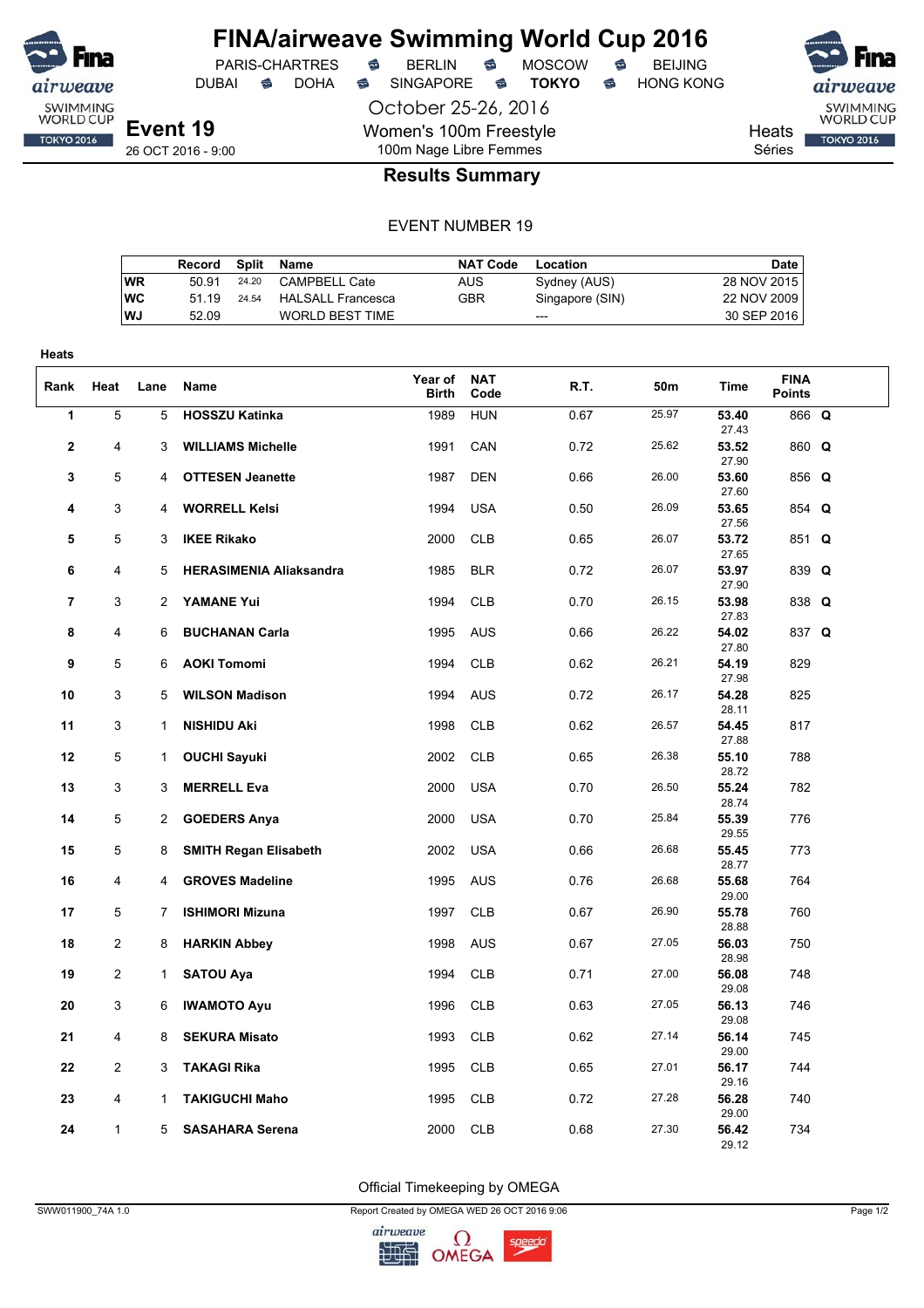

DUBAI **S** DOHA S SINGAPORE S **TOKYO** S HONG KONG

PARIS-CHARTRES **S** BERLIN S MOSCOW S

Heats Séries

SWIMMING<br>WORLD CUP

**TOKYO 2016** 

26 OCT 2016 - 9:00

## 100m Nage Libre Femmes **Results Summary**

October 25-26, 2016

Women's 100m Freestyle

#### EVENT NUMBER 19

|           | Record | Split | Name              | <b>NAT Code</b> | Location        | Date        |
|-----------|--------|-------|-------------------|-----------------|-----------------|-------------|
| WR        | 50.91  | 24.20 | CAMPBELL Cate     | AUS             | Sydney (AUS)    | 28 NOV 2015 |
| <b>WC</b> | 51 19  | 24.54 | HALSALL Francesca | GBR             | Singapore (SIN) | 22 NOV 2009 |
| <b>WJ</b> | 52.09  |       | WORLD BEST TIME   |                 | $---$           | 30 SEP 2016 |
|           |        |       |                   |                 |                 |             |

| <b>Heats</b>            |                |              |                                |                  |                    |      |       |                |                              |  |
|-------------------------|----------------|--------------|--------------------------------|------------------|--------------------|------|-------|----------------|------------------------------|--|
| Rank                    | Heat           | Lane         | Name                           | Year of<br>Birth | <b>NAT</b><br>Code | R.T. | 50m   | <b>Time</b>    | <b>FINA</b><br><b>Points</b> |  |
| $\overline{\mathbf{1}}$ | $\overline{5}$ | 5            | <b>HOSSZU Katinka</b>          | 1989             | <b>HUN</b>         | 0.67 | 25.97 | 53.40<br>27.43 | 866 Q                        |  |
| 2                       | 4              | 3            | <b>WILLIAMS Michelle</b>       | 1991             | CAN                | 0.72 | 25.62 | 53.52<br>27.90 | 860 Q                        |  |
| 3                       | 5              | 4            | <b>OTTESEN Jeanette</b>        | 1987             | <b>DEN</b>         | 0.66 | 26.00 | 53.60<br>27.60 | 856 Q                        |  |
| 4                       | 3              | 4            | <b>WORRELL Kelsi</b>           | 1994             | <b>USA</b>         | 0.50 | 26.09 | 53.65<br>27.56 | 854 Q                        |  |
| 5                       | 5              | 3            | <b>IKEE Rikako</b>             | 2000             | <b>CLB</b>         | 0.65 | 26.07 | 53.72<br>27.65 | 851 Q                        |  |
| 6                       | 4              | 5            | <b>HERASIMENIA Aliaksandra</b> | 1985             | <b>BLR</b>         | 0.72 | 26.07 | 53.97<br>27.90 | 839 Q                        |  |
| $\overline{7}$          | 3              | 2            | <b>YAMANE Yui</b>              | 1994             | <b>CLB</b>         | 0.70 | 26.15 | 53.98<br>27.83 | 838 Q                        |  |
| 8                       | 4              | 6            | <b>BUCHANAN Carla</b>          | 1995             | <b>AUS</b>         | 0.66 | 26.22 | 54.02<br>27.80 | 837 Q                        |  |
| 9                       | 5              | 6            | <b>AOKI Tomomi</b>             | 1994             | <b>CLB</b>         | 0.62 | 26.21 | 54.19<br>27.98 | 829                          |  |
| 10                      | 3              | 5            | <b>WILSON Madison</b>          | 1994             | <b>AUS</b>         | 0.72 | 26.17 | 54.28<br>28.11 | 825                          |  |
| 11                      | 3              | $\mathbf{1}$ | <b>NISHIDU Aki</b>             | 1998             | <b>CLB</b>         | 0.62 | 26.57 | 54.45<br>27.88 | 817                          |  |
| 12                      | 5              | 1            | <b>OUCHI Sayuki</b>            | 2002             | <b>CLB</b>         | 0.65 | 26.38 | 55.10<br>28.72 | 788                          |  |
| 13                      | 3              | 3            | <b>MERRELL Eva</b>             | 2000             | <b>USA</b>         | 0.70 | 26.50 | 55.24<br>28.74 | 782                          |  |
| 14                      | 5              | 2            | <b>GOEDERS Anya</b>            | 2000             | <b>USA</b>         | 0.70 | 25.84 | 55.39<br>29.55 | 776                          |  |
| 15                      | 5              | 8            | <b>SMITH Regan Elisabeth</b>   | 2002             | <b>USA</b>         | 0.66 | 26.68 | 55.45<br>28.77 | 773                          |  |
| 16                      | 4              | 4            | <b>GROVES Madeline</b>         | 1995             | <b>AUS</b>         | 0.76 | 26.68 | 55.68<br>29.00 | 764                          |  |
| 17                      | 5              | 7            | <b>ISHIMORI Mizuna</b>         | 1997             | <b>CLB</b>         | 0.67 | 26.90 | 55.78<br>28.88 | 760                          |  |
| 18                      | 2              | 8            | <b>HARKIN Abbey</b>            | 1998             | <b>AUS</b>         | 0.67 | 27.05 | 56.03<br>28.98 | 750                          |  |
| 19                      | $\overline{2}$ | 1            | <b>SATOU Aya</b>               | 1994             | <b>CLB</b>         | 0.71 | 27.00 | 56.08<br>29.08 | 748                          |  |
| 20                      | 3              | 6            | <b>IWAMOTO Ayu</b>             | 1996             | <b>CLB</b>         | 0.63 | 27.05 | 56.13<br>29.08 | 746                          |  |
| 21                      | 4              | 8            | <b>SEKURA Misato</b>           | 1993             | <b>CLB</b>         | 0.62 | 27.14 | 56.14<br>29.00 | 745                          |  |
| 22                      | $\overline{2}$ | 3            | TAKAGI Rika                    | 1995             | <b>CLB</b>         | 0.65 | 27.01 | 56.17<br>29.16 | 744                          |  |
| 23                      | 4              | 1            | <b>TAKIGUCHI Maho</b>          | 1995             | <b>CLB</b>         | 0.72 | 27.28 | 56.28<br>29.00 | 740                          |  |
| 24                      | $\mathbf{1}$   | 5            | <b>SASAHARA Serena</b>         | 2000             | <b>CLB</b>         | 0.68 | 27.30 | 56.42<br>29.12 | 734                          |  |

Official Timekeeping by OMEGA

SWW011900\_74A 1.0 Report Created by OMEGA WED 26 OCT 2016 9:06 Page 1/2

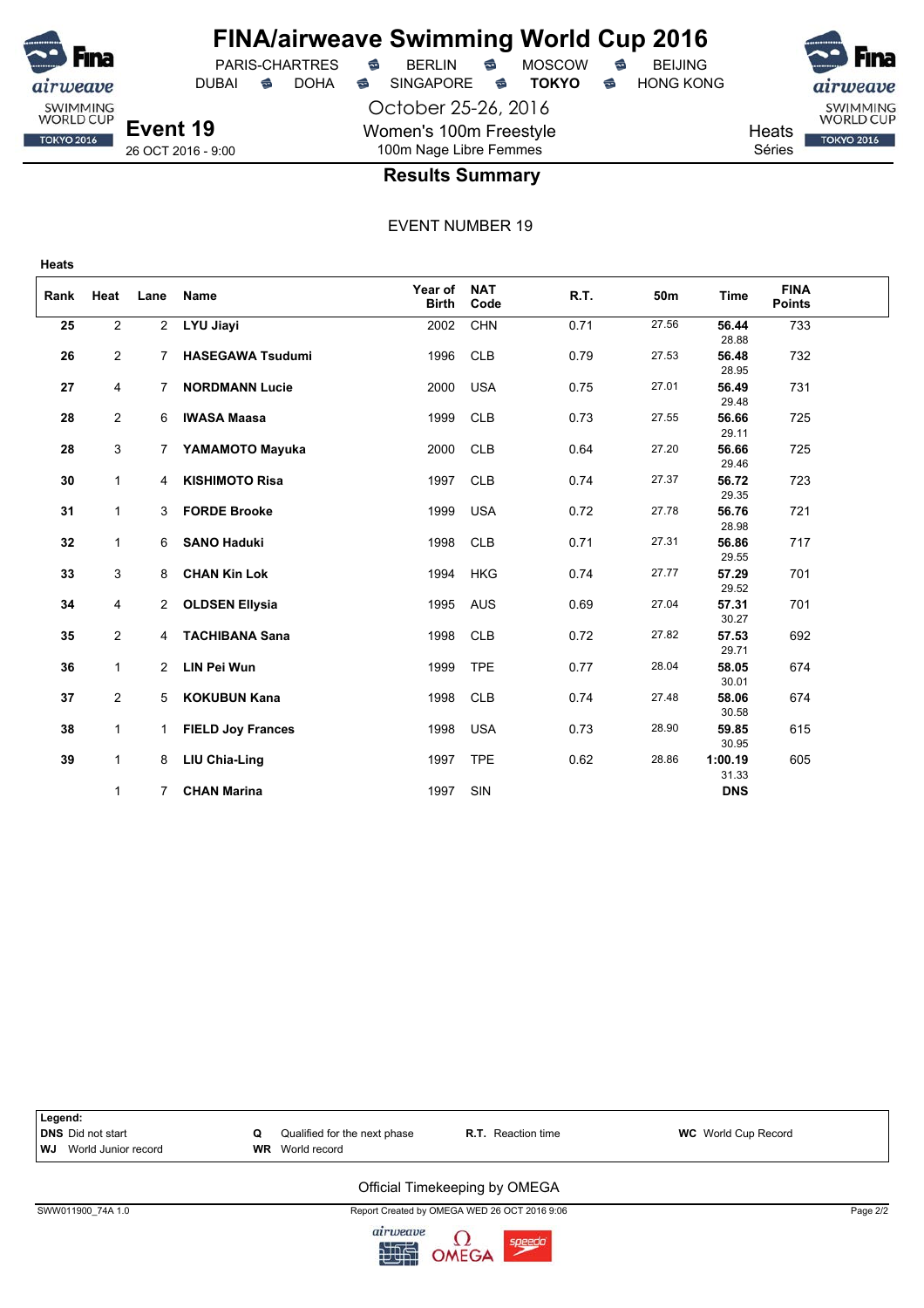

October 25-26, 2016 Women's 100m Freestyle 100m Nage Libre Femmes

PARIS-CHARTRES **B** BERLIN **B** MOSCOW **B** BEIJING DUBAI **S** DOHA SINGAPORE S **TOKYO** S HONG KONG

**Heats** Séries

# SWIMMING<br>WORLD CUP **TOKYO 2016**

26 OCT 2016 - 9:00

**Event 19**

**Heats**

ıirweave SWIMMING<br>WORLD CUP

**TOKYO 2016** 

#### **Results Summary**

EVENT NUMBER 19

| Rank | Heat           | Lane         | Name                     | Year of<br><b>Birth</b> | <b>NAT</b><br>Code | R.T. | 50m   | <b>Time</b>      | <b>FINA</b><br><b>Points</b> |  |
|------|----------------|--------------|--------------------------|-------------------------|--------------------|------|-------|------------------|------------------------------|--|
| 25   | $\overline{2}$ | $\mathbf{2}$ | LYU Jiayi                | 2002                    | <b>CHN</b>         | 0.71 | 27.56 | 56.44<br>28.88   | 733                          |  |
| 26   | $\overline{2}$ |              | <b>HASEGAWA Tsudumi</b>  | 1996                    | <b>CLB</b>         | 0.79 | 27.53 | 56.48<br>28.95   | 732                          |  |
| 27   | 4              | 7            | <b>NORDMANN Lucie</b>    | 2000                    | <b>USA</b>         | 0.75 | 27.01 | 56.49<br>29.48   | 731                          |  |
| 28   | $\overline{a}$ | 6            | <b>IWASA Maasa</b>       | 1999                    | <b>CLB</b>         | 0.73 | 27.55 | 56.66<br>29.11   | 725                          |  |
| 28   | 3              | 7            | YAMAMOTO Mayuka          | 2000                    | <b>CLB</b>         | 0.64 | 27.20 | 56.66<br>29.46   | 725                          |  |
| 30   | $\mathbf{1}$   | 4            | <b>KISHIMOTO Risa</b>    | 1997                    | <b>CLB</b>         | 0.74 | 27.37 | 56.72<br>29.35   | 723                          |  |
| 31   | 1              | 3            | <b>FORDE Brooke</b>      | 1999                    | <b>USA</b>         | 0.72 | 27.78 | 56.76<br>28.98   | 721                          |  |
| 32   | 1              | 6            | <b>SANO Haduki</b>       | 1998                    | CLB                | 0.71 | 27.31 | 56.86<br>29.55   | 717                          |  |
| 33   | 3              | 8            | <b>CHAN Kin Lok</b>      | 1994                    | <b>HKG</b>         | 0.74 | 27.77 | 57.29<br>29.52   | 701                          |  |
| 34   | 4              | $\mathbf{2}$ | <b>OLDSEN Ellysia</b>    | 1995                    | <b>AUS</b>         | 0.69 | 27.04 | 57.31<br>30.27   | 701                          |  |
| 35   | $\overline{2}$ | 4            | <b>TACHIBANA Sana</b>    | 1998                    | <b>CLB</b>         | 0.72 | 27.82 | 57.53<br>29.71   | 692                          |  |
| 36   | $\mathbf{1}$   | $2^{\circ}$  | <b>LIN Pei Wun</b>       | 1999                    | <b>TPE</b>         | 0.77 | 28.04 | 58.05<br>30.01   | 674                          |  |
| 37   | $\overline{2}$ | 5            | <b>KOKUBUN Kana</b>      | 1998                    | CLB                | 0.74 | 27.48 | 58.06<br>30.58   | 674                          |  |
| 38   | $\mathbf{1}$   | $\mathbf{1}$ | <b>FIELD Joy Frances</b> | 1998                    | <b>USA</b>         | 0.73 | 28.90 | 59.85<br>30.95   | 615                          |  |
| 39   | $\mathbf{1}$   | 8            | LIU Chia-Ling            | 1997                    | <b>TPE</b>         | 0.62 | 28.86 | 1:00.19<br>31.33 | 605                          |  |
|      | 1              | 7            | <b>CHAN Marina</b>       | 1997                    | SIN                |      |       | <b>DNS</b>       |                              |  |



SWW011900\_74A 1.0 Report Created by OMEGA WED 26 OCT 2016 9:06 Page 2/2

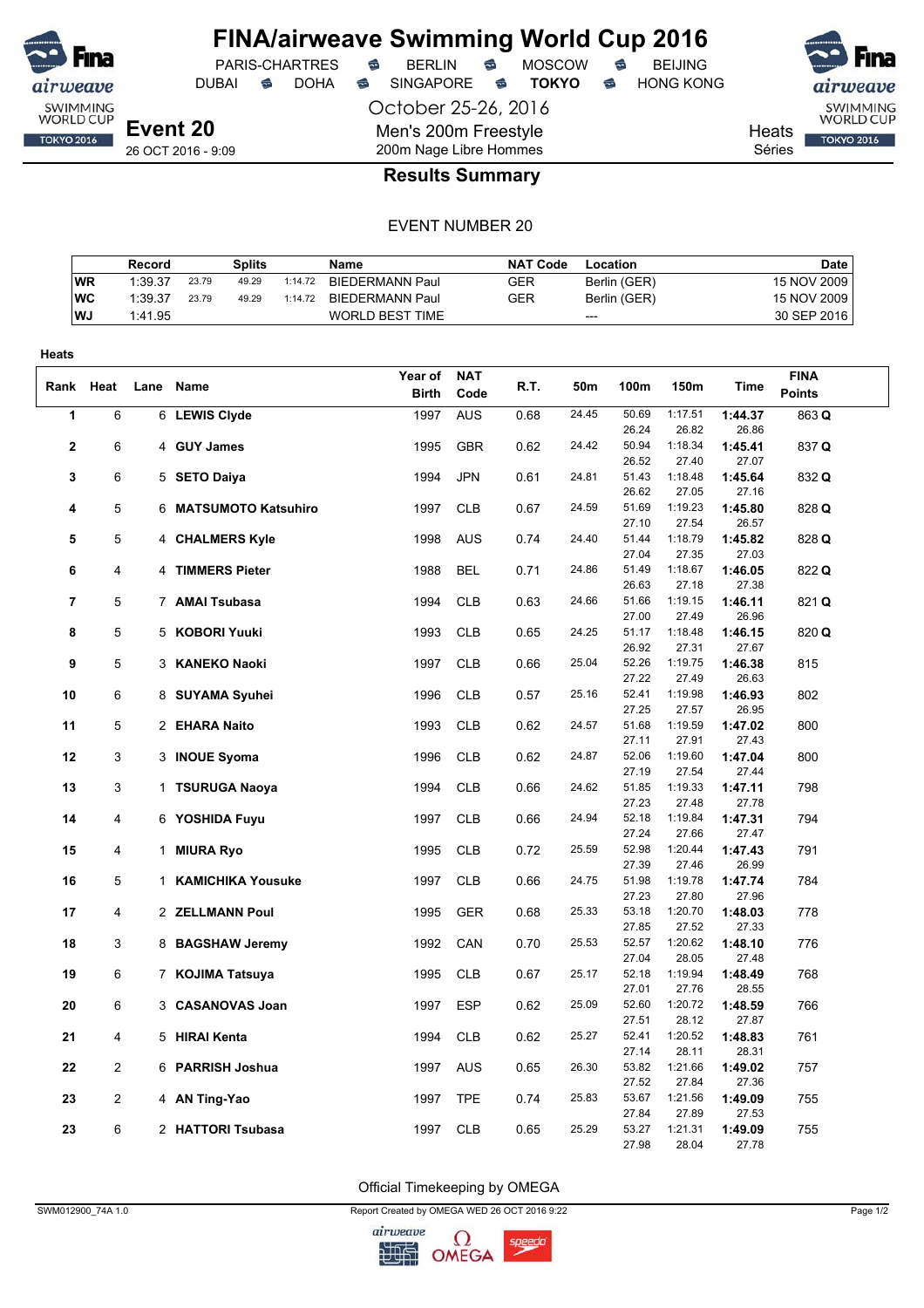

DUBAI **S** DOHA S SINGAPORE S **TOKYO** S HONG KONG

PARIS-CHARTRES **S** BERLIN S MOSCOW S

October 25-26, 2016

Men's 200m Freestyle

SWIMMING<br>WORLD CUP **TOKYO 2016** 

**Heats** Séries

26 OCT 2016 - 9:09

## 200m Nage Libre Hommes **Results Summary**

#### EVENT NUMBER 20

|           | Record  |       | Splits |         | Name                   | <b>NAT Code</b> | Location     | Date        |
|-----------|---------|-------|--------|---------|------------------------|-----------------|--------------|-------------|
| <b>WR</b> | 1:39.37 | 23.79 | 49.29  | 1:14.72 | BIEDERMANN Paul        | GER             | Berlin (GER) | 15 NOV 2009 |
| WC        | 1:39.37 | 23.79 | 49.29  | 1:14.72 | BIEDERMANN Paul        | GER             | Berlin (GER) | 15 NOV 2009 |
| WJ        | 1:41.95 |       |        |         | <b>WORLD BEST TIME</b> |                 | $---$        | 30 SEP 2016 |

| Heats          |                |                       |              |            |      |       |                |                  |                  |               |
|----------------|----------------|-----------------------|--------------|------------|------|-------|----------------|------------------|------------------|---------------|
|                |                |                       | Year of      | <b>NAT</b> |      |       |                |                  |                  | <b>FINA</b>   |
|                | Rank Heat      | Lane Name             | <b>Birth</b> | Code       | R.T. | 50m   | 100m           | 150m             | Time             | <b>Points</b> |
| 1              | 6              | 6 LEWIS Clyde         | 1997         | <b>AUS</b> | 0.68 | 24.45 | 50.69          | 1:17.51          | 1:44.37          | 863 Q         |
|                |                |                       |              |            |      |       | 26.24          | 26.82            | 26.86            |               |
| $\mathbf 2$    | 6              | 4 GUY James           | 1995         | <b>GBR</b> | 0.62 | 24.42 | 50.94          | 1:18.34          | 1:45.41          | 837 Q         |
|                |                |                       |              |            |      |       | 26.52          | 27.40            | 27.07            |               |
| 3              | 6              | 5 SETO Daiya          | 1994         | <b>JPN</b> | 0.61 | 24.81 | 51.43          | 1:18.48          | 1:45.64          | 832 Q         |
|                |                |                       |              |            |      |       | 26.62          | 27.05            | 27.16            |               |
| 4              | 5              | 6 MATSUMOTO Katsuhiro | 1997         | <b>CLB</b> | 0.67 | 24.59 | 51.69          | 1:19.23          | 1:45.80          | 828 Q         |
|                |                |                       |              |            |      |       | 27.10          | 27.54            | 26.57            |               |
| 5              | 5              | 4 CHALMERS Kyle       | 1998         | <b>AUS</b> | 0.74 | 24.40 | 51.44          | 1:18.79          | 1:45.82          | 828 Q         |
|                |                |                       |              |            |      |       | 27.04          | 27.35            | 27.03            |               |
| 6              | 4              | 4 TIMMERS Pieter      | 1988         | <b>BEL</b> | 0.71 | 24.86 | 51.49          | 1:18.67          | 1:46.05          | 822 Q         |
|                |                |                       |              |            |      |       | 26.63          | 27.18            | 27.38            |               |
| $\overline{7}$ | 5              | 7 AMAI Tsubasa        | 1994         | <b>CLB</b> | 0.63 | 24.66 | 51.66          | 1:19.15          | 1:46.11          | 821 Q         |
| 8              |                |                       |              |            |      | 24.25 | 27.00          | 27.49            | 26.96            |               |
|                | 5              | 5 KOBORI Yuuki        | 1993         | <b>CLB</b> | 0.65 |       | 51.17<br>26.92 | 1:18.48<br>27.31 | 1:46.15<br>27.67 | 820 Q         |
| 9              | 5              | 3 KANEKO Naoki        | 1997         | <b>CLB</b> | 0.66 | 25.04 | 52.26          | 1:19.75          | 1:46.38          | 815           |
|                |                |                       |              |            |      |       | 27.22          | 27.49            | 26.63            |               |
| 10             | 6              | 8 SUYAMA Syuhei       | 1996         | <b>CLB</b> | 0.57 | 25.16 | 52.41          | 1:19.98          | 1:46.93          | 802           |
|                |                |                       |              |            |      |       | 27.25          | 27.57            | 26.95            |               |
| 11             | 5              | 2 EHARA Naito         | 1993         | <b>CLB</b> | 0.62 | 24.57 | 51.68          | 1:19.59          | 1:47.02          | 800           |
|                |                |                       |              |            |      |       | 27.11          | 27.91            | 27.43            |               |
| 12             | 3              | 3 INOUE Syoma         | 1996         | <b>CLB</b> | 0.62 | 24.87 | 52.06          | 1:19.60          | 1:47.04          | 800           |
|                |                |                       |              |            |      |       | 27.19          | 27.54            | 27.44            |               |
| 13             | 3              | 1 TSURUGA Naoya       | 1994         | <b>CLB</b> | 0.66 | 24.62 | 51.85          | 1:19.33          | 1:47.11          | 798           |
|                |                |                       |              |            |      |       | 27.23          | 27.48            | 27.78            |               |
| 14             | 4              | 6 YOSHIDA Fuyu        | 1997         | <b>CLB</b> | 0.66 | 24.94 | 52.18          | 1:19.84          | 1:47.31          | 794           |
|                |                |                       |              |            |      |       | 27.24          | 27.66            | 27.47            |               |
| 15             | 4              | 1 MIURA Ryo           | 1995         | <b>CLB</b> | 0.72 | 25.59 | 52.98          | 1:20.44          | 1:47.43          | 791           |
|                |                |                       |              |            |      |       | 27.39          | 27.46            | 26.99            |               |
| 16             | 5              | 1 KAMICHIKA Yousuke   | 1997         | <b>CLB</b> | 0.66 | 24.75 | 51.98          | 1:19.78          | 1:47.74          | 784           |
|                |                |                       |              |            |      |       | 27.23          | 27.80            | 27.96            |               |
| 17             | 4              | 2 ZELLMANN Poul       | 1995         | <b>GER</b> | 0.68 | 25.33 | 53.18<br>27.85 | 1:20.70<br>27.52 | 1:48.03<br>27.33 | 778           |
| 18             | 3              | 8 BAGSHAW Jeremy      | 1992         | CAN        | 0.70 | 25.53 | 52.57          | 1:20.62          | 1:48.10          | 776           |
|                |                |                       |              |            |      |       | 27.04          | 28.05            | 27.48            |               |
| 19             | 6              | 7 KOJIMA Tatsuya      | 1995         | <b>CLB</b> | 0.67 | 25.17 | 52.18          | 1:19.94          | 1:48.49          | 768           |
|                |                |                       |              |            |      |       | 27.01          | 27.76            | 28.55            |               |
| 20             | 6              | 3 CASANOVAS Joan      | 1997         | <b>ESP</b> | 0.62 | 25.09 | 52.60          | 1:20.72          | 1:48.59          | 766           |
|                |                |                       |              |            |      |       | 27.51          | 28.12            | 27.87            |               |
| 21             | 4              | 5 HIRAI Kenta         | 1994         | <b>CLB</b> | 0.62 | 25.27 | 52.41          | 1:20.52          | 1:48.83          | 761           |
|                |                |                       |              |            |      |       | 27.14          | 28.11            | 28.31            |               |
| 22             | $\overline{2}$ | 6 PARRISH Joshua      | 1997         | <b>AUS</b> | 0.65 | 26.30 | 53.82          | 1:21.66          | 1:49.02          | 757           |
|                |                |                       |              |            |      |       | 27.52          | 27.84            | 27.36            |               |
| 23             | $\overline{2}$ | 4 AN Ting-Yao         | 1997         | <b>TPE</b> | 0.74 | 25.83 | 53.67          | 1:21.56          | 1:49.09          | 755           |
|                |                |                       |              |            |      |       | 27.84          | 27.89            | 27.53            |               |
| 23             | 6              | 2 HATTORI Tsubasa     | 1997         | <b>CLB</b> | 0.65 | 25.29 | 53.27          | 1:21.31          | 1:49.09          | 755           |
|                |                |                       |              |            |      |       | 27.98          | 28.04            | 27.78            |               |

Official Timekeeping by OMEGA

SWM012900\_74A 1.0 Report Created by OMEGA WED 26 OCT 2016 9:22 Page 1/2

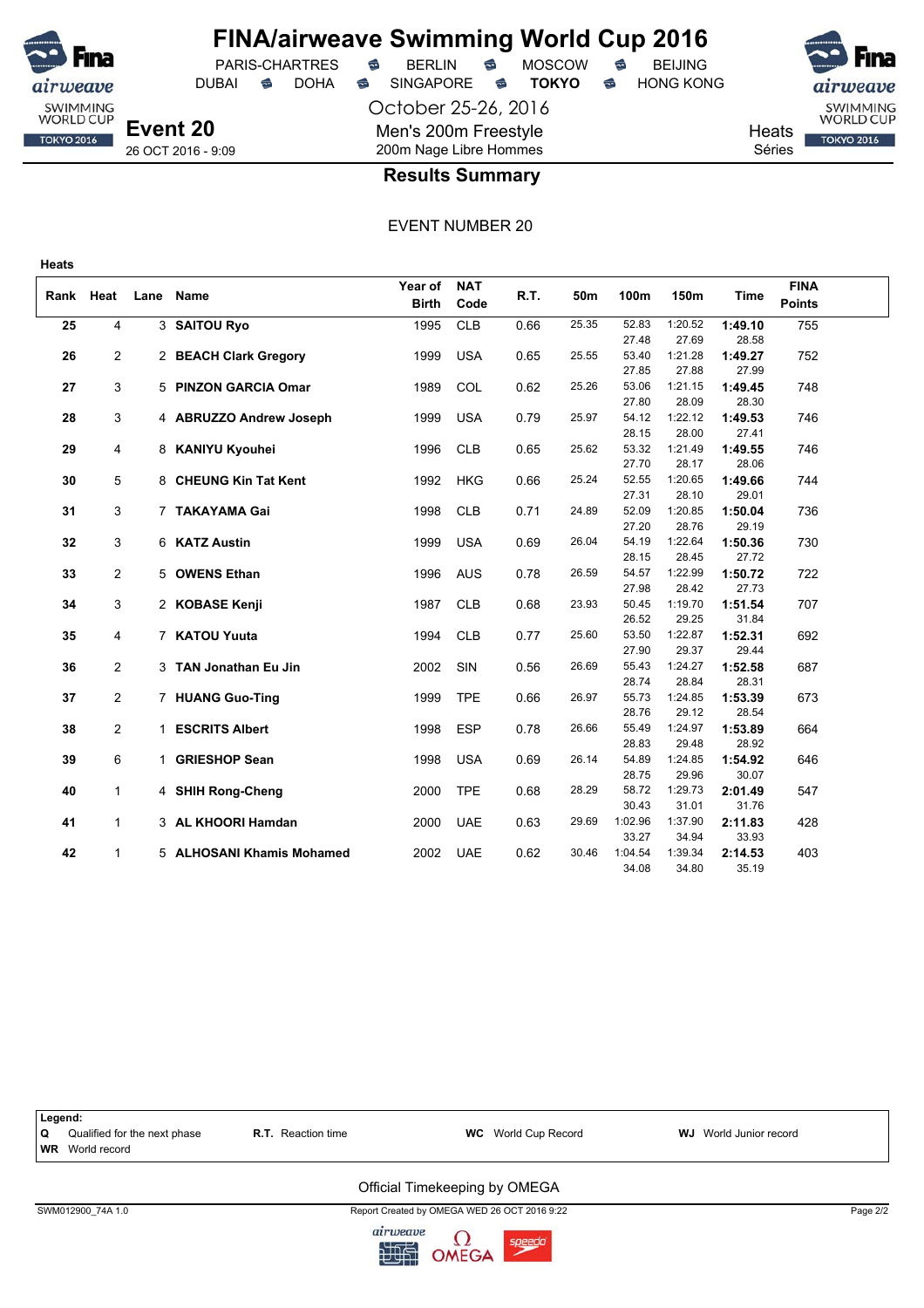

**Heats**

# **FINA/airweave Swimming World Cup 2016**

PARIS-CHARTRES **B** BERLIN **B** MOSCOW **B** BEIJING DUBAI **S** DOHA SINGAPORE S **TOKYO** S HONG KONG

October 25-26, 2016 Men's 200m Freestyle 200m Nage Libre Hommes



**Heats** Séries

SWIMMING<br>WORLD CUP **TOKYO 2016** 

26 OCT 2016 - 9:09

#### **Results Summary**

|    |                |      |                           | Year of      | <b>NAT</b> |      |       |                |                  |                  | <b>FINA</b>   |  |
|----|----------------|------|---------------------------|--------------|------------|------|-------|----------------|------------------|------------------|---------------|--|
|    | Rank Heat      | Lane | <b>Name</b>               | <b>Birth</b> | Code       | R.T. | 50m   | 100m           | 150m             | <b>Time</b>      | <b>Points</b> |  |
| 25 | 4              |      | 3 SAITOU Ryo              | 1995         | <b>CLB</b> | 0.66 | 25.35 | 52.83          | 1:20.52          | 1:49.10          | 755           |  |
|    |                |      |                           |              |            |      |       | 27.48          | 27.69            | 28.58            |               |  |
| 26 | 2              |      | 2 BEACH Clark Gregory     | 1999         | <b>USA</b> | 0.65 | 25.55 | 53.40          | 1:21.28          | 1:49.27          | 752           |  |
|    |                |      |                           |              |            |      |       | 27.85          | 27.88            | 27.99            |               |  |
| 27 | 3              |      | 5 PINZON GARCIA Omar      | 1989         | COL        | 0.62 | 25.26 | 53.06          | 1:21.15          | 1:49.45          | 748           |  |
|    |                |      |                           |              |            |      |       | 27.80          | 28.09            | 28.30            |               |  |
| 28 | 3              |      | 4 ABRUZZO Andrew Joseph   | 1999         | <b>USA</b> | 0.79 | 25.97 | 54.12          | 1:22.12          | 1:49.53          | 746           |  |
|    |                |      |                           |              |            |      |       | 28.15          | 28.00            | 27.41            |               |  |
| 29 | 4              |      | 8 KANIYU Kyouhei          | 1996         | <b>CLB</b> | 0.65 | 25.62 | 53.32          | 1:21.49          | 1:49.55          | 746           |  |
|    |                |      |                           |              |            |      |       | 27.70          | 28.17            | 28.06            |               |  |
| 30 | 5              |      | 8 CHEUNG Kin Tat Kent     | 1992         | <b>HKG</b> | 0.66 | 25.24 | 52.55          | 1:20.65          | 1:49.66          | 744           |  |
|    |                |      |                           |              |            |      |       | 27.31          | 28.10            | 29.01            |               |  |
| 31 | 3              |      | 7 TAKAYAMA Gai            | 1998         | <b>CLB</b> | 0.71 | 24.89 | 52.09          | 1:20.85          | 1:50.04          | 736           |  |
|    |                |      |                           |              |            |      | 26.04 | 27.20<br>54.19 | 28.76<br>1:22.64 | 29.19            |               |  |
| 32 | 3              |      | 6 KATZ Austin             | 1999         | <b>USA</b> | 0.69 |       | 28.15          | 28.45            | 1:50.36<br>27.72 | 730           |  |
| 33 | $\overline{2}$ |      | 5 OWENS Ethan             |              | <b>AUS</b> | 0.78 | 26.59 | 54.57          | 1:22.99          | 1:50.72          | 722           |  |
|    |                |      |                           | 1996         |            |      |       | 27.98          | 28.42            | 27.73            |               |  |
| 34 | 3              |      | 2 KOBASE Kenji            | 1987         | <b>CLB</b> | 0.68 | 23.93 | 50.45          | 1:19.70          | 1:51.54          | 707           |  |
|    |                |      |                           |              |            |      |       | 26.52          | 29.25            | 31.84            |               |  |
| 35 | 4              |      | 7 KATOU Yuuta             | 1994         | <b>CLB</b> | 0.77 | 25.60 | 53.50          | 1:22.87          | 1:52.31          | 692           |  |
|    |                |      |                           |              |            |      |       | 27.90          | 29.37            | 29.44            |               |  |
| 36 | $\overline{2}$ |      | 3 TAN Jonathan Eu Jin     | 2002         | SIN        | 0.56 | 26.69 | 55.43          | 1:24.27          | 1:52.58          | 687           |  |
|    |                |      |                           |              |            |      |       | 28.74          | 28.84            | 28.31            |               |  |
| 37 | $\overline{2}$ |      | 7 HUANG Guo-Ting          | 1999         | <b>TPE</b> | 0.66 | 26.97 | 55.73          | 1:24.85          | 1:53.39          | 673           |  |
|    |                |      |                           |              |            |      |       | 28.76          | 29.12            | 28.54            |               |  |
| 38 | $\overline{2}$ |      | 1 ESCRITS Albert          | 1998         | <b>ESP</b> | 0.78 | 26.66 | 55.49          | 1:24.97          | 1:53.89          | 664           |  |
|    |                |      |                           |              |            |      |       | 28.83          | 29.48            | 28.92            |               |  |
| 39 | 6              |      | 1 GRIESHOP Sean           | 1998         | <b>USA</b> | 0.69 | 26.14 | 54.89          | 1:24.85          | 1:54.92          | 646           |  |
|    |                |      |                           |              |            |      |       | 28.75          | 29.96            | 30.07            |               |  |
| 40 | $\mathbf{1}$   |      | 4 SHIH Rong-Cheng         | 2000         | <b>TPE</b> | 0.68 | 28.29 | 58.72          | 1:29.73          | 2:01.49          | 547           |  |
|    |                |      |                           |              |            |      |       | 30.43          | 31.01            | 31.76            |               |  |
| 41 | $\mathbf{1}$   |      | 3 AL KHOORI Hamdan        | 2000         | <b>UAE</b> | 0.63 | 29.69 | 1:02.96        | 1:37.90          | 2:11.83          | 428           |  |
|    |                |      |                           |              |            |      |       | 33.27          | 34.94            | 33.93            |               |  |
| 42 | $\mathbf{1}$   |      | 5 ALHOSANI Khamis Mohamed | 2002         | <b>UAE</b> | 0.62 | 30.46 | 1:04.54        | 1:39.34          | 2:14.53          | 403           |  |
|    |                |      |                           |              |            |      |       | 34.08          | 34.80            | 35.19            |               |  |



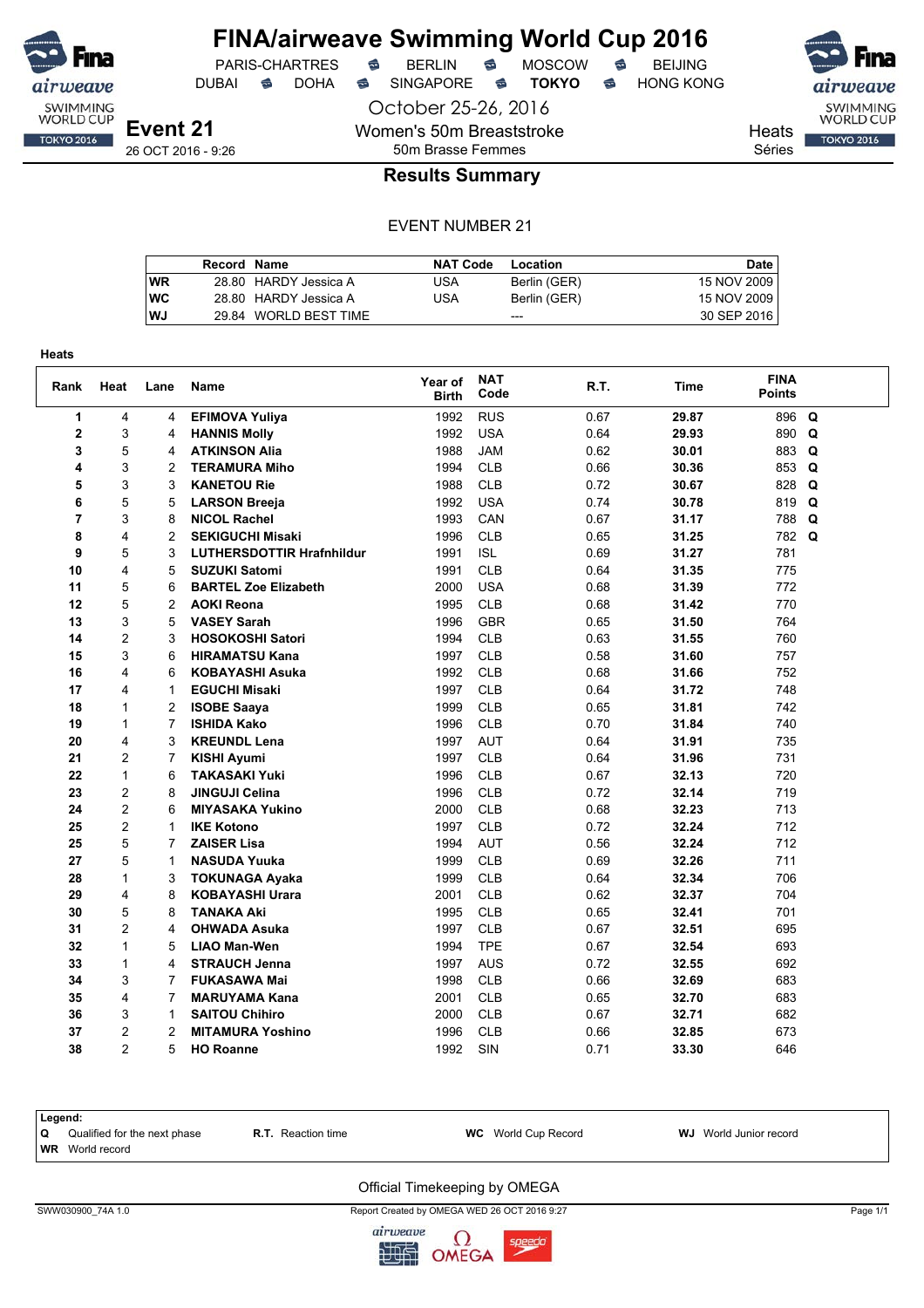

DUBAI **S** DOHA S SINGAPORE S **TOKYO** S HONG KONG

PARIS-CHARTRES **S** BERLIN S MOSCOW S

October 25-26, 2016

Women's 50m Breaststroke 50m Brasse Femmes

SWIMMING<br>WORLD CUP Heats **TOKYO 2016** 

Séries

### **Results Summary**

#### EVENT NUMBER 21

|           | Record Name |                       | <b>NAT Code</b> | Location     | Date l      |
|-----------|-------------|-----------------------|-----------------|--------------|-------------|
| WR        |             | 28.80 HARDY Jessica A | USA             | Berlin (GER) | 15 NOV 2009 |
| <b>WC</b> |             | 28.80 HARDY Jessica A | USA             | Berlin (GER) | 15 NOV 2009 |
| WJ        |             | 29.84 WORLD BEST TIME |                 | $- - -$      | 30 SEP 2016 |

| Heats          |                |                |                                  |                         |                    |      |       |                              |   |
|----------------|----------------|----------------|----------------------------------|-------------------------|--------------------|------|-------|------------------------------|---|
| Rank           | Heat           | Lane           | Name                             | Year of<br><b>Birth</b> | <b>NAT</b><br>Code | R.T. | Time  | <b>FINA</b><br><b>Points</b> |   |
| 1              | 4              | 4              | <b>EFIMOVA Yuliya</b>            | 1992                    | <b>RUS</b>         | 0.67 | 29.87 | 896                          | Q |
| $\mathbf 2$    | 3              | 4              | <b>HANNIS Molly</b>              | 1992                    | <b>USA</b>         | 0.64 | 29.93 | 890                          | Q |
| 3              | 5              | 4              | <b>ATKINSON Alia</b>             | 1988                    | <b>JAM</b>         | 0.62 | 30.01 | 883                          | Q |
| 4              | 3              | $\overline{2}$ | <b>TERAMURA Miho</b>             | 1994                    | <b>CLB</b>         | 0.66 | 30.36 | 853                          | Q |
| 5              | 3              | 3              | <b>KANETOU Rie</b>               | 1988                    | <b>CLB</b>         | 0.72 | 30.67 | 828                          | Q |
| 6              | 5              | 5              | <b>LARSON Breeja</b>             | 1992                    | <b>USA</b>         | 0.74 | 30.78 | 819                          | Q |
| $\overline{7}$ | 3              | 8              | <b>NICOL Rachel</b>              | 1993                    | CAN                | 0.67 | 31.17 | 788                          | Q |
| 8              | $\overline{4}$ | $\overline{2}$ | <b>SEKIGUCHI Misaki</b>          | 1996                    | <b>CLB</b>         | 0.65 | 31.25 | 782                          | Q |
| 9              | 5              | 3              | <b>LUTHERSDOTTIR Hrafnhildur</b> | 1991                    | <b>ISL</b>         | 0.69 | 31.27 | 781                          |   |
| 10             | 4              | 5              | <b>SUZUKI Satomi</b>             | 1991                    | <b>CLB</b>         | 0.64 | 31.35 | 775                          |   |
| 11             | 5              | 6              | <b>BARTEL Zoe Elizabeth</b>      | 2000                    | <b>USA</b>         | 0.68 | 31.39 | 772                          |   |
| 12             | 5              | $\overline{c}$ | <b>AOKI Reona</b>                | 1995                    | <b>CLB</b>         | 0.68 | 31.42 | 770                          |   |
| 13             | 3              | 5              | <b>VASEY Sarah</b>               | 1996                    | <b>GBR</b>         | 0.65 | 31.50 | 764                          |   |
| 14             | $\overline{c}$ | 3              | <b>HOSOKOSHI Satori</b>          | 1994                    | <b>CLB</b>         | 0.63 | 31.55 | 760                          |   |
| 15             | 3              | 6              | <b>HIRAMATSU Kana</b>            | 1997                    | <b>CLB</b>         | 0.58 | 31.60 | 757                          |   |
| 16             | 4              | 6              | <b>KOBAYASHI Asuka</b>           | 1992                    | <b>CLB</b>         | 0.68 | 31.66 | 752                          |   |
| 17             | 4              | 1              | <b>EGUCHI Misaki</b>             | 1997                    | <b>CLB</b>         | 0.64 | 31.72 | 748                          |   |
| 18             | $\mathbf{1}$   | $\overline{2}$ | <b>ISOBE Saaya</b>               | 1999                    | <b>CLB</b>         | 0.65 | 31.81 | 742                          |   |
| 19             | 1              | $\overline{7}$ | <b>ISHIDA Kako</b>               | 1996                    | <b>CLB</b>         | 0.70 | 31.84 | 740                          |   |
| 20             | 4              | 3              | <b>KREUNDL Lena</b>              | 1997                    | <b>AUT</b>         | 0.64 | 31.91 | 735                          |   |
| 21             | $\overline{c}$ | 7              | <b>KISHI Ayumi</b>               | 1997                    | <b>CLB</b>         | 0.64 | 31.96 | 731                          |   |
| 22             | $\mathbf{1}$   | 6              | <b>TAKASAKI Yuki</b>             | 1996                    | <b>CLB</b>         | 0.67 | 32.13 | 720                          |   |
| 23             | 2              | 8              | <b>JINGUJI Celina</b>            | 1996                    | <b>CLB</b>         | 0.72 | 32.14 | 719                          |   |
| 24             | 2              | 6              | <b>MIYASAKA Yukino</b>           | 2000                    | <b>CLB</b>         | 0.68 | 32.23 | 713                          |   |
| 25             | 2              | $\mathbf{1}$   | <b>IKE Kotono</b>                | 1997                    | <b>CLB</b>         | 0.72 | 32.24 | 712                          |   |
| 25             | 5              | 7              | <b>ZAISER Lisa</b>               | 1994                    | <b>AUT</b>         | 0.56 | 32.24 | 712                          |   |
| 27             | 5              | 1              | <b>NASUDA Yuuka</b>              | 1999                    | <b>CLB</b>         | 0.69 | 32.26 | 711                          |   |
| 28             | $\mathbf{1}$   | 3              | <b>TOKUNAGA Ayaka</b>            | 1999                    | <b>CLB</b>         | 0.64 | 32.34 | 706                          |   |
| 29             | 4              | 8              | <b>KOBAYASHI Urara</b>           | 2001                    | <b>CLB</b>         | 0.62 | 32.37 | 704                          |   |
| 30             | 5              | 8              | <b>TANAKA Aki</b>                | 1995                    | <b>CLB</b>         | 0.65 | 32.41 | 701                          |   |
| 31             | $\overline{2}$ | 4              | <b>OHWADA Asuka</b>              | 1997                    | <b>CLB</b>         | 0.67 | 32.51 | 695                          |   |
| 32             | $\mathbf{1}$   | 5              | <b>LIAO Man-Wen</b>              | 1994                    | <b>TPE</b>         | 0.67 | 32.54 | 693                          |   |
| 33             | $\mathbf{1}$   | 4              | <b>STRAUCH Jenna</b>             | 1997                    | <b>AUS</b>         | 0.72 | 32.55 | 692                          |   |
| 34             | 3              | $\overline{7}$ | <b>FUKASAWA Mai</b>              | 1998                    | <b>CLB</b>         | 0.66 | 32.69 | 683                          |   |
| 35             | 4              | $\overline{7}$ | <b>MARUYAMA Kana</b>             | 2001                    | <b>CLB</b>         | 0.65 | 32.70 | 683                          |   |
| 36             | 3              | 1              | <b>SAITOU Chihiro</b>            | 2000                    | <b>CLB</b>         | 0.67 | 32.71 | 682                          |   |
| 37             | $\overline{2}$ | 2              | <b>MITAMURA Yoshino</b>          | 1996                    | <b>CLB</b>         | 0.66 | 32.85 | 673                          |   |
| 38             | $\mathfrak{p}$ | 5              | <b>HO Roanne</b>                 | 1992                    | <b>SIN</b>         | 0.71 | 33.30 | 646                          |   |

|     | Legend:                      |                           |                            |                               |  |  |  |  |  |  |  |  |
|-----|------------------------------|---------------------------|----------------------------|-------------------------------|--|--|--|--|--|--|--|--|
| 1 Q | Qualified for the next phase | <b>R.T.</b> Reaction time | <b>WC</b> World Cup Record | <b>WJ</b> World Junior record |  |  |  |  |  |  |  |  |
|     | <b>WR</b> World record       |                           |                            |                               |  |  |  |  |  |  |  |  |
|     |                              |                           |                            |                               |  |  |  |  |  |  |  |  |

#### Official Timekeeping by OMEGA

SWW030900\_74A 1.0 Report Created by OMEGA WED 26 OCT 2016 9:27 Page 1/1

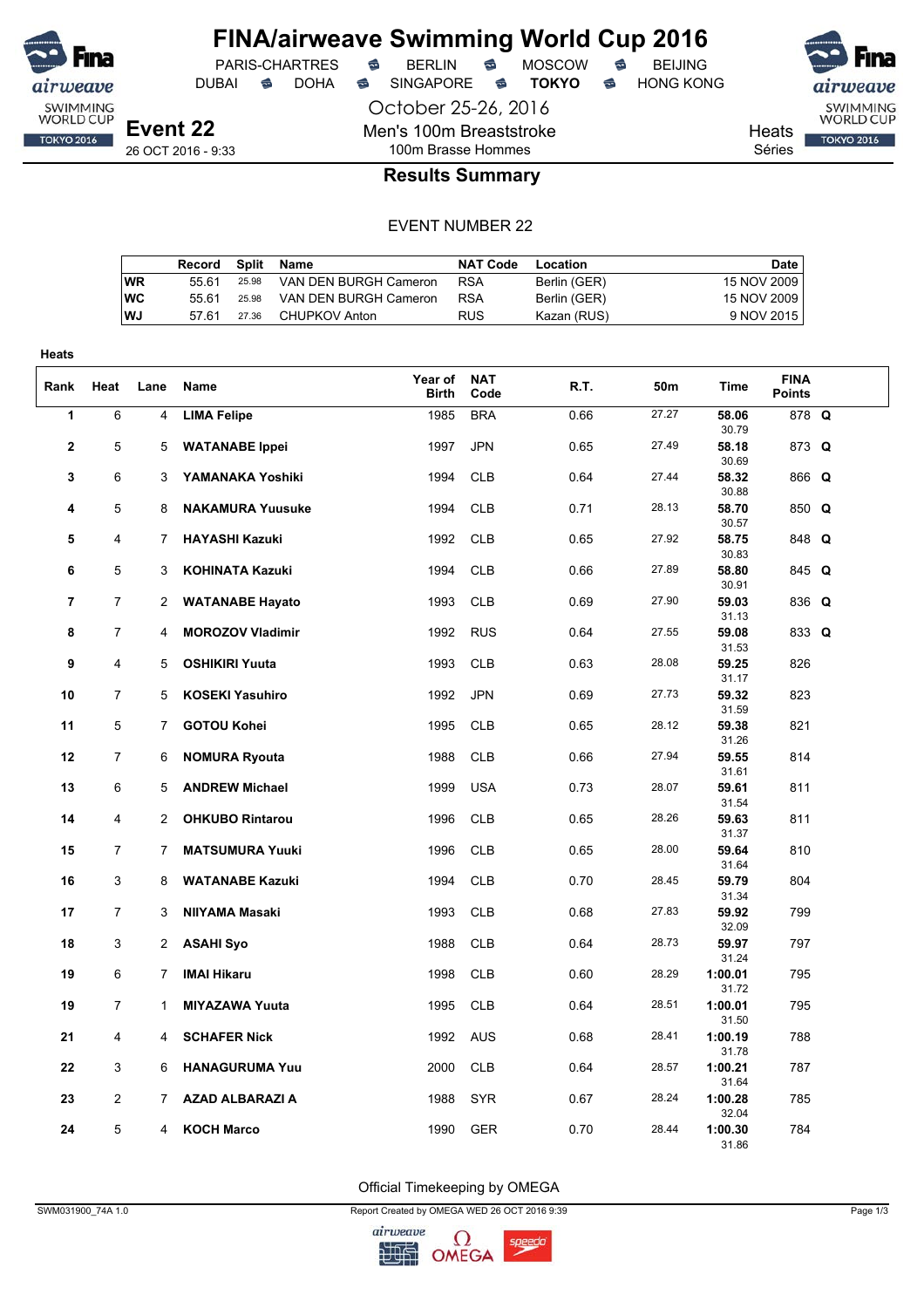

DUBAI **S** DOHA S SINGAPORE S TOKYO S HONG KONG

PARIS-CHARTRES **S** BERLIN S MOSCOW S

October 25-26, 2016 Men's 100m Breaststroke

SWIMMING<br>WORLD CUP Heats **TOKYO 2016** 

Séries

26 OCT 2016 - 9:33

### 100m Brasse Hommes **Results Summary**

#### EVENT NUMBER 22

|    | Record | Split | Name                  | NAT Code   | Location     | Date        |
|----|--------|-------|-----------------------|------------|--------------|-------------|
| WR | 55.61  | 25.98 | VAN DEN BURGH Cameron | <b>RSA</b> | Berlin (GER) | 15 NOV 2009 |
| WС | 55.61  | 25.98 | VAN DEN BURGH Cameron | <b>RSA</b> | Berlin (GER) | 15 NOV 2009 |
| WJ | 57.61  | 27.36 | CHUPKOV Anton         | <b>RUS</b> | Kazan (RUS)  | 9 NOV 2015  |

| <b>Heats</b>   |                |                |                                               |                  |                          |              |                |                           |                              |  |
|----------------|----------------|----------------|-----------------------------------------------|------------------|--------------------------|--------------|----------------|---------------------------|------------------------------|--|
| Rank           | Heat           | Lane           | Name                                          | Year of<br>Birth | <b>NAT</b><br>Code       | R.T.         | 50m            | Time                      | <b>FINA</b><br><b>Points</b> |  |
| 1              | 6              | $\overline{4}$ | <b>LIMA Felipe</b>                            | 1985             | <b>BRA</b>               | 0.66         | 27.27          | 58.06<br>30.79            | 878 Q                        |  |
| 2              | 5              | 5              | <b>WATANABE Ippei</b>                         | 1997             | <b>JPN</b>               | 0.65         | 27.49          | 58.18<br>30.69            | 873 Q                        |  |
| 3              | 6              | 3              | YAMANAKA Yoshiki                              | 1994             | <b>CLB</b>               | 0.64         | 27.44          | 58.32<br>30.88            | 866 Q                        |  |
| 4              | 5              | 8              | <b>NAKAMURA Yuusuke</b>                       | 1994             | <b>CLB</b>               | 0.71         | 28.13          | 58.70<br>30.57            | 850 Q                        |  |
| 5              | 4              | 7              | <b>HAYASHI Kazuki</b>                         | 1992             | <b>CLB</b>               | 0.65         | 27.92          | 58.75<br>30.83            | 848 Q                        |  |
| 6              | 5              | 3              | KOHINATA Kazuki                               | 1994             | <b>CLB</b>               | 0.66         | 27.89          | 58.80<br>30.91            | 845 Q                        |  |
| $\overline{7}$ | $\overline{7}$ | 2              | <b>WATANABE Hayato</b>                        | 1993             | <b>CLB</b>               | 0.69         | 27.90          | 59.03<br>31.13            | 836 Q                        |  |
| 8              | $\overline{7}$ | 4              | <b>MOROZOV Vladimir</b>                       | 1992             | <b>RUS</b>               | 0.64         | 27.55          | 59.08<br>31.53            | 833 Q                        |  |
| 9              | $\overline{4}$ | 5              | <b>OSHIKIRI Yuuta</b>                         | 1993             | <b>CLB</b>               | 0.63         | 28.08          | 59.25<br>31.17            | 826                          |  |
| 10             | 7              | 5              | <b>KOSEKI Yasuhiro</b>                        | 1992             | <b>JPN</b>               | 0.69         | 27.73          | 59.32<br>31.59            | 823                          |  |
| 11             | 5              | $\overline{7}$ | <b>GOTOU Kohei</b>                            | 1995             | <b>CLB</b>               | 0.65         | 28.12<br>27.94 | 59.38<br>31.26            | 821                          |  |
| 12<br>13       | 7<br>6         | 6<br>5         | <b>NOMURA Ryouta</b><br><b>ANDREW Michael</b> | 1988<br>1999     | <b>CLB</b><br><b>USA</b> | 0.66<br>0.73 | 28.07          | 59.55<br>31.61<br>59.61   | 814<br>811                   |  |
| 14             | 4              | $\overline{2}$ | <b>OHKUBO Rintarou</b>                        | 1996             | <b>CLB</b>               | 0.65         | 28.26          | 31.54<br>59.63            | 811                          |  |
| 15             | $\overline{7}$ | 7              | <b>MATSUMURA Yuuki</b>                        | 1996             | <b>CLB</b>               | 0.65         | 28.00          | 31.37<br>59.64            | 810                          |  |
| 16             | 3              | 8              | <b>WATANABE Kazuki</b>                        | 1994             | <b>CLB</b>               | 0.70         | 28.45          | 31.64<br>59.79            | 804                          |  |
| 17             | $\overline{7}$ | 3              | NIIYAMA Masaki                                | 1993             | <b>CLB</b>               | 0.68         | 27.83          | 31.34<br>59.92            | 799                          |  |
| 18             | 3              | 2              | <b>ASAHI Syo</b>                              | 1988             | <b>CLB</b>               | 0.64         | 28.73          | 32.09<br>59.97            | 797                          |  |
| 19             | 6              | 7              | <b>IMAI Hikaru</b>                            | 1998             | <b>CLB</b>               | 0.60         | 28.29          | 31.24<br>1:00.01          | 795                          |  |
| 19             | 7              | 1              | <b>MIYAZAWA Yuuta</b>                         | 1995             | <b>CLB</b>               | 0.64         | 28.51          | 31.72<br>1:00.01          | 795                          |  |
| 21             | 4              | 4              | <b>SCHAFER Nick</b>                           | 1992             | <b>AUS</b>               | 0.68         | 28.41          | 31.50<br>1:00.19          | 788                          |  |
| 22             | 3              | 6              | <b>HANAGURUMA Yuu</b>                         | 2000             | <b>CLB</b>               | 0.64         | 28.57          | 31.78<br>1:00.21          | 787                          |  |
| 23             | $\overline{2}$ | 7              | <b>AZAD ALBARAZI A</b>                        | 1988             | <b>SYR</b>               | 0.67         | 28.24          | 31.64<br>1:00.28          | 785                          |  |
| 24             | 5              | 4              | <b>KOCH Marco</b>                             | 1990             | <b>GER</b>               | 0.70         | 28.44          | 32.04<br>1:00.30<br>31.86 | 784                          |  |

Official Timekeeping by OMEGA

SWM031900\_74A 1.0 Page 1/3

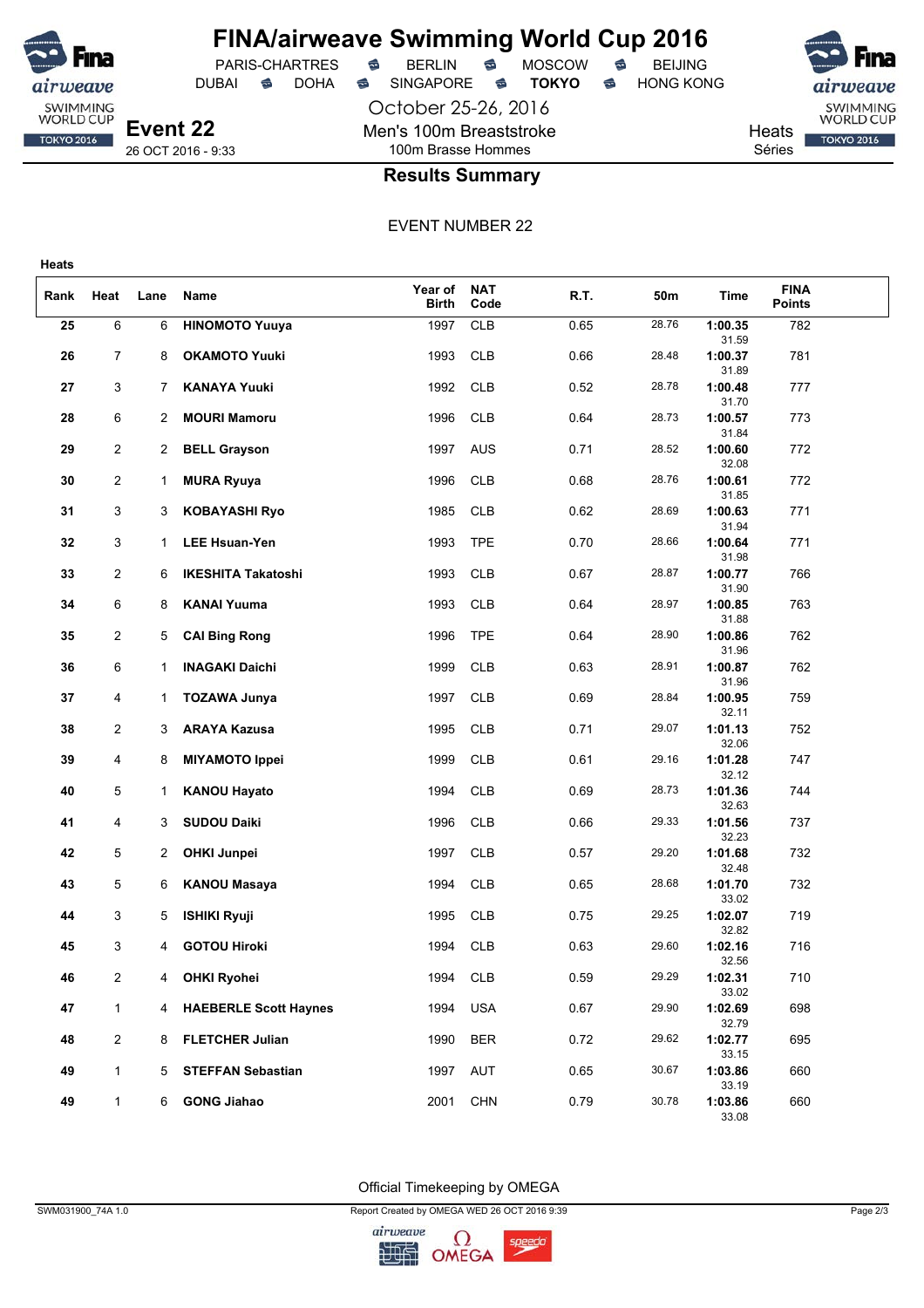

**Heats**

## **FINA/airweave Swimming World Cup 2016**<br>PARIS-CHARTRES **& BERLIN & MOSCOW & BEIJING** PARIS-CHARTRES **S** BERLIN S MOSCOW S

DUBAI **S** DOHA S SINGAPORE S **TOKYO** S HONG KONG

October 25-26, 2016 Men's 100m Breaststroke

Heats

SWIMMING<br>WORLD CUP **TOKYO 2016** 

Séries

#### **Results Summary**

100m Brasse Hommes

EVENT NUMBER 22

| Rank | Heat           | Lane                  | Name                      | Year of<br><b>Birth</b> | <b>NAT</b><br>Code | R.T. | 50m   | Time             | <b>FINA</b><br><b>Points</b> |  |
|------|----------------|-----------------------|---------------------------|-------------------------|--------------------|------|-------|------------------|------------------------------|--|
| 25   | 6              | 6                     | <b>HINOMOTO Yuuya</b>     | 1997                    | <b>CLB</b>         | 0.65 | 28.76 | 1:00.35<br>31.59 | 782                          |  |
| 26   | 7              | 8                     | <b>OKAMOTO Yuuki</b>      | 1993                    | <b>CLB</b>         | 0.66 | 28.48 | 1:00.37<br>31.89 | 781                          |  |
| 27   | 3              | 7                     | <b>KANAYA Yuuki</b>       | 1992                    | <b>CLB</b>         | 0.52 | 28.78 | 1:00.48<br>31.70 | 777                          |  |
| 28   | 6              | 2                     | <b>MOURI Mamoru</b>       | 1996                    | <b>CLB</b>         | 0.64 | 28.73 | 1:00.57<br>31.84 | 773                          |  |
| 29   | $\overline{2}$ | $\mathbf{2}^{\prime}$ | <b>BELL Grayson</b>       | 1997                    | <b>AUS</b>         | 0.71 | 28.52 | 1:00.60<br>32.08 | 772                          |  |
| 30   | $\overline{c}$ | $\mathbf{1}$          | <b>MURA Ryuya</b>         | 1996                    | <b>CLB</b>         | 0.68 | 28.76 | 1:00.61<br>31.85 | 772                          |  |
| 31   | 3              | 3                     | <b>KOBAYASHI Ryo</b>      | 1985                    | <b>CLB</b>         | 0.62 | 28.69 | 1:00.63<br>31.94 | 771                          |  |
| 32   | 3              | $\mathbf{1}$          | <b>LEE Hsuan-Yen</b>      | 1993                    | <b>TPE</b>         | 0.70 | 28.66 | 1:00.64<br>31.98 | 771                          |  |
| 33   | $\overline{2}$ | 6                     | <b>IKESHITA Takatoshi</b> | 1993                    | <b>CLB</b>         | 0.67 | 28.87 | 1:00.77<br>31.90 | 766                          |  |
| 34   | 6              | 8                     | <b>KANAI Yuuma</b>        | 1993                    | <b>CLB</b>         | 0.64 | 28.97 | 1:00.85<br>31.88 | 763                          |  |
| 35   | $\overline{c}$ | 5                     | <b>CAI Bing Rong</b>      | 1996                    | <b>TPE</b>         | 0.64 | 28.90 | 1:00.86<br>31.96 | 762                          |  |
| 36   | 6              | $\mathbf{1}$          | <b>INAGAKI Daichi</b>     | 1999                    | <b>CLB</b>         | 0.63 | 28.91 | 1:00.87<br>31.96 | 762                          |  |
| 37   | 4              | 1                     | <b>TOZAWA Junya</b>       | 1997                    | <b>CLB</b>         | 0.69 | 28.84 | 1:00.95<br>32.11 | 759                          |  |
| 38   | $\overline{c}$ | 3                     | <b>ARAYA Kazusa</b>       | 1995                    | <b>CLB</b>         | 0.71 | 29.07 | 1:01.13<br>32.06 | 752                          |  |
| 39   | 4              | 8                     | <b>MIYAMOTO Ippei</b>     | 1999                    | <b>CLB</b>         | 0.61 | 29.16 | 1:01.28<br>32.12 | 747                          |  |
| 40   | 5              | 1                     | <b>KANOU Hayato</b>       | 1994                    | <b>CLB</b>         | 0.69 | 28.73 | 1:01.36<br>32.63 | 744                          |  |
| 41   | 4              | 3                     | <b>SUDOU Daiki</b>        | 1996                    | <b>CLB</b>         | 0.66 | 29.33 | 1:01.56<br>32.23 | 737                          |  |
| 42   | 5              | 2                     | <b>OHKI Junpei</b>        | 1997                    | <b>CLB</b>         | 0.57 | 29.20 | 1:01.68<br>32.48 | 732                          |  |
| 43   | 5              | 6                     | <b>KANOU Masaya</b>       | 1994                    | <b>CLB</b>         | 0.65 | 28.68 | 1:01.70<br>33.02 | 732                          |  |
| 44   | 3              | 5                     | <b>ISHIKI Ryuji</b>       | 1995                    | <b>CLB</b>         | 0.75 | 29.25 | 1:02.07<br>32.82 | 719                          |  |
| 45   | 3              | 4                     | <b>GOTOU Hiroki</b>       | 1994                    | <b>CLB</b>         | 0.63 | 29.60 | 1:02.16<br>32.56 | 716                          |  |
| 46   | 2              |                       | <b>OHKI Ryohei</b>        | 1994                    | CLB                | 0.59 | 29.29 | 1:02.31<br>33.02 | 710                          |  |
| 47   | $\mathbf{1}$   |                       | 4 HAEBERLE Scott Haynes   | 1994                    | <b>USA</b>         | 0.67 | 29.90 | 1:02.69<br>32.79 | 698                          |  |
| 48   | $\overline{2}$ | 8                     | <b>FLETCHER Julian</b>    | 1990                    | <b>BER</b>         | 0.72 | 29.62 | 1:02.77<br>33.15 | 695                          |  |
| 49   | $\mathbf{1}$   | 5                     | <b>STEFFAN Sebastian</b>  | 1997                    | AUT                | 0.65 | 30.67 | 1:03.86<br>33.19 | 660                          |  |
| 49   | $\mathbf{1}$   | 6                     | <b>GONG Jiahao</b>        | 2001                    | <b>CHN</b>         | 0.79 | 30.78 | 1:03.86<br>33.08 | 660                          |  |

Official Timekeeping by OMEGA

SWM031900\_74A 1.0 Report Created by OMEGA WED 26 OCT 2016 9:39 Page 2/3

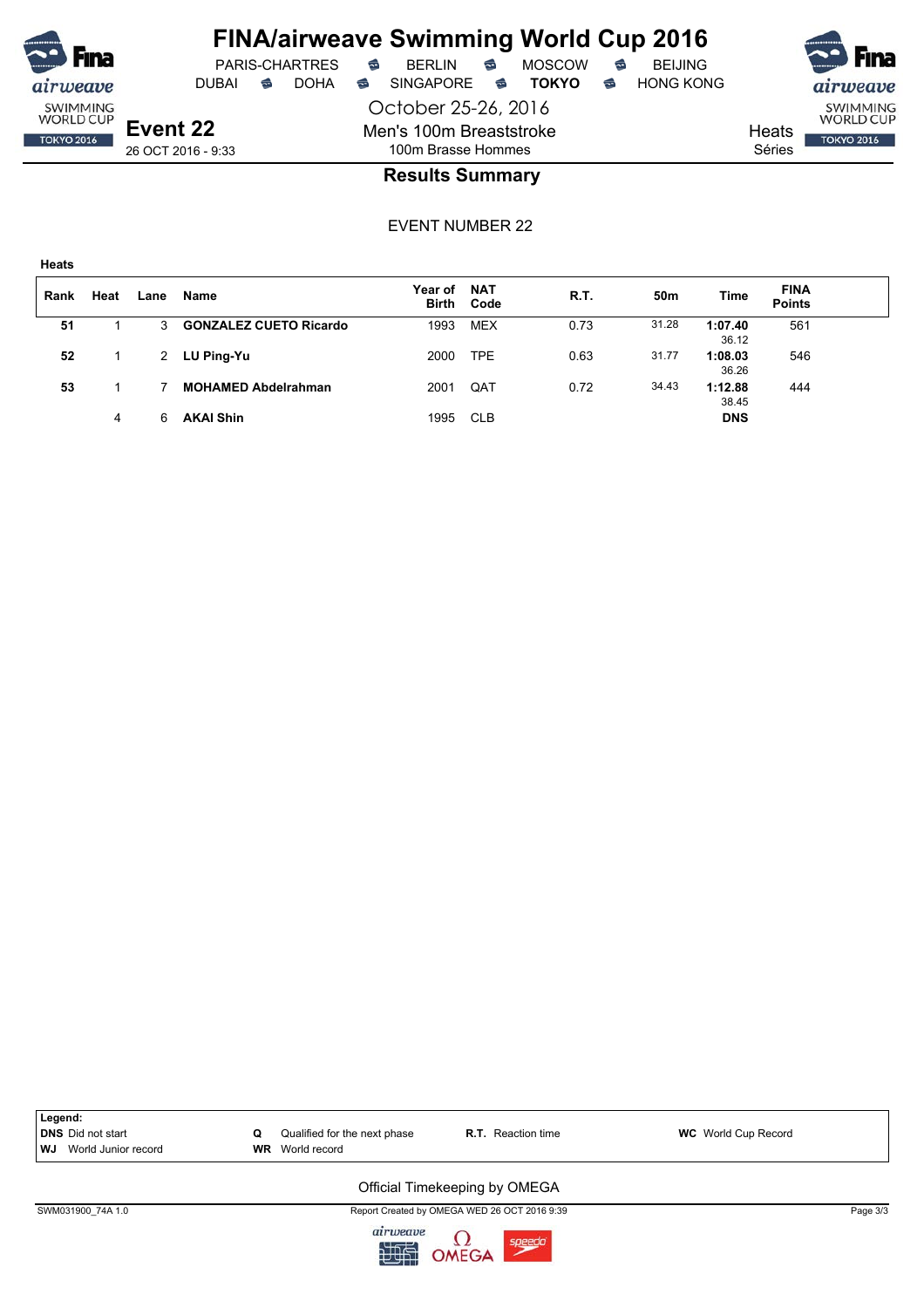

# **FINA/airweave Swimming World Cup 2016**

October 25-26, 2016 Men's 100m Breaststroke 100m Brasse Hommes





26 OCT 2016 - 9:33

**Event 22**

#### **Results Summary**

EVENT NUMBER 22

| Rank | Heat | Lane         | Name                          | Year of | <b>NAT</b><br>Birth Code | R.T. | 50m   | Time             | <b>FINA</b><br><b>Points</b> |  |
|------|------|--------------|-------------------------------|---------|--------------------------|------|-------|------------------|------------------------------|--|
| 51   |      | $\mathbf{3}$ | <b>GONZALEZ CUETO Ricardo</b> | 1993    | MEX                      | 0.73 | 31.28 | 1:07.40<br>36.12 | 561                          |  |
| 52   |      | 2            | LU Ping-Yu                    | 2000    | <b>TPE</b>               | 0.63 | 31.77 | 1:08.03<br>36.26 | 546                          |  |
| 53   |      |              | <b>MOHAMED Abdelrahman</b>    | 2001    | QAT                      | 0.72 | 34.43 | 1:12.88<br>38.45 | 444                          |  |
|      | 4    |              | <b>AKAI Shin</b>              | 1995    | <b>CLB</b>               |      |       | <b>DNS</b>       |                              |  |



SWM031900\_74A 1.0 Page 3/3

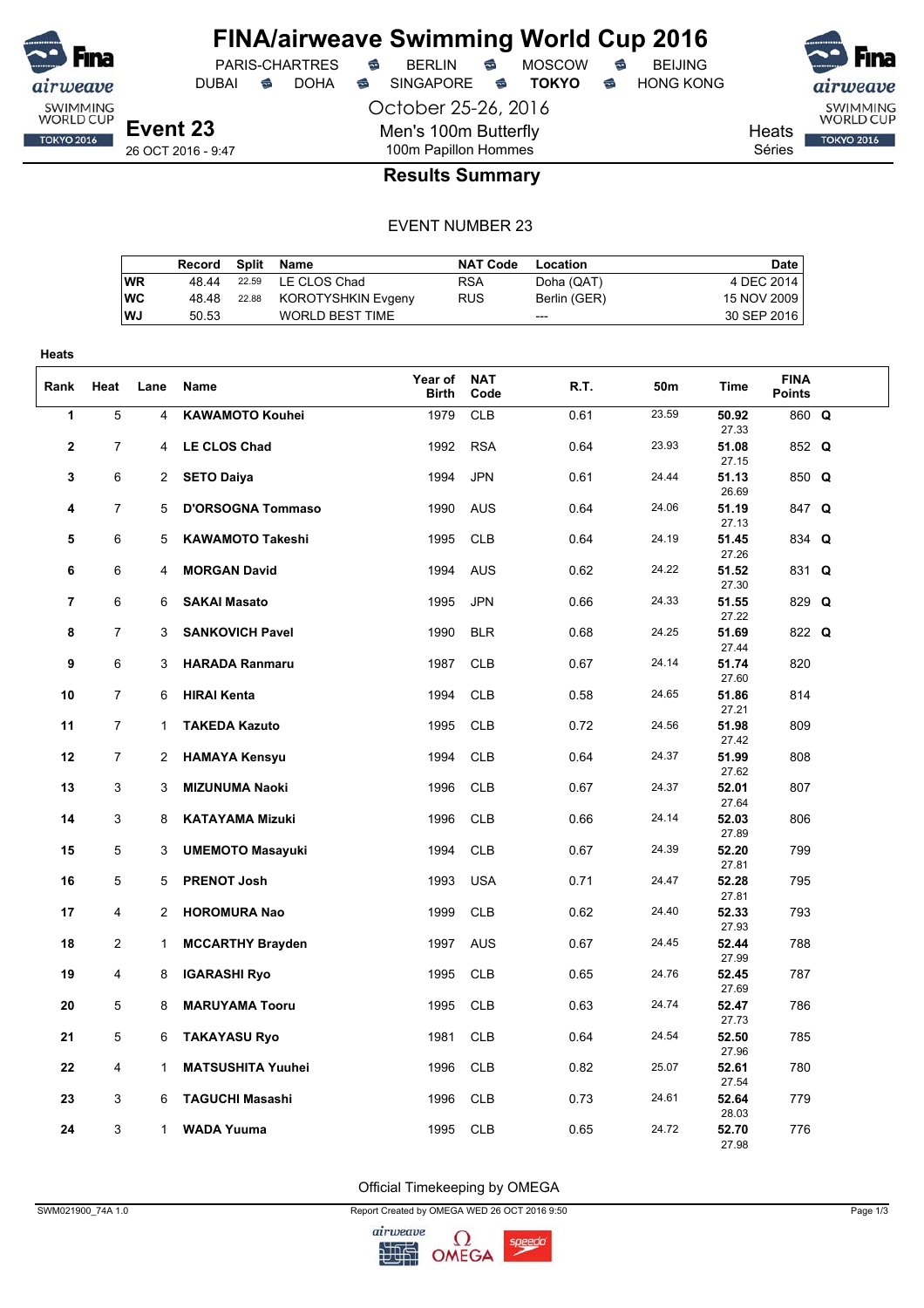

DUBAI **S** DOHA S SINGAPORE S **TOKYO** S HONG KONG

PARIS-CHARTRES **S** BERLIN S MOSCOW S

SWIMMING<br>WORLD CUP

**TOKYO 2016** 

Heats Séries

26 OCT 2016 - 9:47

### 100m Papillon Hommes **Results Summary**

October 25-26, 2016

Men's 100m Butterfly

#### EVENT NUMBER 23

|           | Record | Split Name               | <b>NAT Code</b> | Location     | Date        |
|-----------|--------|--------------------------|-----------------|--------------|-------------|
| <b>WR</b> | 48.44  | 22.59 LE CLOS Chad       | <b>RSA</b>      | Doha (QAT)   | 4 DEC 2014  |
| <b>WC</b> | 48.48  | 22.88 KOROTYSHKIN Evgeny | <b>RUS</b>      | Berlin (GER) | 15 NOV 2009 |
| <b>WJ</b> | 50.53  | WORLD BEST TIME          |                 | $---$        | 30 SEP 2016 |
|           |        |                          |                 |              |             |

| Heats          |                |                |                                                 |                         |                          |              |                |                         |                              |  |
|----------------|----------------|----------------|-------------------------------------------------|-------------------------|--------------------------|--------------|----------------|-------------------------|------------------------------|--|
| Rank           | Heat           | Lane           | Name                                            | Year of<br><b>Birth</b> | <b>NAT</b><br>Code       | R.T.         | 50m            | Time                    | <b>FINA</b><br><b>Points</b> |  |
| $\mathbf{1}$   | 5              | 4              | <b>KAWAMOTO Kouhei</b>                          | 1979                    | <b>CLB</b>               | 0.61         | 23.59          | 50.92<br>27.33          | 860 Q                        |  |
| $\mathbf{2}$   | 7              | 4              | <b>LE CLOS Chad</b>                             | 1992                    | <b>RSA</b>               | 0.64         | 23.93          | 51.08<br>27.15          | 852 Q                        |  |
| 3              | 6              | $\overline{2}$ | <b>SETO Daiya</b>                               | 1994                    | <b>JPN</b>               | 0.61         | 24.44          | 51.13<br>26.69          | 850 Q                        |  |
| 4              | $\overline{7}$ | 5              | <b>D'ORSOGNA Tommaso</b>                        | 1990                    | <b>AUS</b>               | 0.64         | 24.06          | 51.19<br>27.13          | 847 Q                        |  |
| 5              | 6              | 5              | <b>KAWAMOTO Takeshi</b>                         | 1995                    | <b>CLB</b>               | 0.64         | 24.19          | 51.45<br>27.26          | 834 Q                        |  |
| 6              | 6              | 4              | <b>MORGAN David</b>                             | 1994                    | <b>AUS</b>               | 0.62         | 24.22          | 51.52<br>27.30          | 831 Q                        |  |
| $\overline{7}$ | 6              | 6              | <b>SAKAI Masato</b>                             | 1995                    | <b>JPN</b>               | 0.66         | 24.33          | 51.55<br>27.22          | 829 Q                        |  |
| 8              | $\overline{7}$ | 3              | <b>SANKOVICH Pavel</b>                          | 1990                    | <b>BLR</b>               | 0.68         | 24.25          | 51.69<br>27.44          | 822 Q                        |  |
| 9              | 6              | 3              | <b>HARADA Ranmaru</b>                           | 1987                    | <b>CLB</b>               | 0.67         | 24.14          | 51.74<br>27.60          | 820                          |  |
| 10             | 7              | 6              | <b>HIRAI Kenta</b>                              | 1994                    | <b>CLB</b>               | 0.58         | 24.65          | 51.86<br>27.21          | 814                          |  |
| 11             | $\overline{7}$ | $\mathbf{1}$   | <b>TAKEDA Kazuto</b>                            | 1995                    | <b>CLB</b>               | 0.72         | 24.56          | 51.98<br>27.42          | 809                          |  |
| 12             | $\overline{7}$ | 2              | <b>HAMAYA Kensyu</b>                            | 1994                    | <b>CLB</b>               | 0.64         | 24.37          | 51.99<br>27.62          | 808                          |  |
| 13             | 3              | 3              | <b>MIZUNUMA Naoki</b>                           | 1996                    | <b>CLB</b>               | 0.67         | 24.37          | 52.01<br>27.64          | 807                          |  |
| 14             | 3              | 8              | <b>KATAYAMA Mizuki</b>                          | 1996                    | <b>CLB</b>               | 0.66         | 24.14          | 52.03<br>27.89          | 806                          |  |
| 15             | 5              | 3              | <b>UMEMOTO Masayuki</b>                         | 1994                    | <b>CLB</b>               | 0.67         | 24.39          | 52.20<br>27.81          | 799                          |  |
| 16             | 5              | 5              | <b>PRENOT Josh</b>                              | 1993                    | <b>USA</b>               | 0.71         | 24.47<br>24.40 | 52.28<br>27.81          | 795                          |  |
| 17             | 4              | 2              | <b>HOROMURA Nao</b>                             | 1999                    | <b>CLB</b>               | 0.62         |                | 52.33<br>27.93          | 793                          |  |
| 18<br>19       | $\overline{2}$ | 1              | <b>MCCARTHY Brayden</b>                         | 1997                    | <b>AUS</b><br><b>CLB</b> | 0.67<br>0.65 | 24.45<br>24.76 | 52.44<br>27.99          | 788<br>787                   |  |
|                | 4<br>5         | 8              | <b>IGARASHI Ryo</b>                             | 1995                    | <b>CLB</b>               | 0.63         | 24.74          | 52.45<br>27.69          | 786                          |  |
| 20             | 5              | 8              | <b>MARUYAMA Tooru</b>                           | 1995                    |                          |              | 24.54          | 52.47<br>27.73          |                              |  |
| 21<br>22       | 4              | 6<br>1         | <b>TAKAYASU Ryo</b><br><b>MATSUSHITA Yuuhei</b> | 1981<br>1996            | <b>CLB</b><br><b>CLB</b> | 0.64<br>0.82 | 25.07          | 52.50<br>27.96<br>52.61 | 785<br>780                   |  |
|                |                |                |                                                 |                         |                          |              | 24.61          | 27.54                   |                              |  |
| 23             | 3              | 6              | <b>TAGUCHI Masashi</b>                          | 1996                    | <b>CLB</b>               | 0.73         | 24.72          | 52.64<br>28.03          | 779                          |  |
| 24             | 3              | $\mathbf{1}$   | <b>WADA Yuuma</b>                               | 1995                    | <b>CLB</b>               | 0.65         |                | 52.70<br>27.98          | 776                          |  |

Official Timekeeping by OMEGA

SWM021900\_74A 1.0 Report Created by OMEGA WED 26 OCT 2016 9:50 Page 1/3

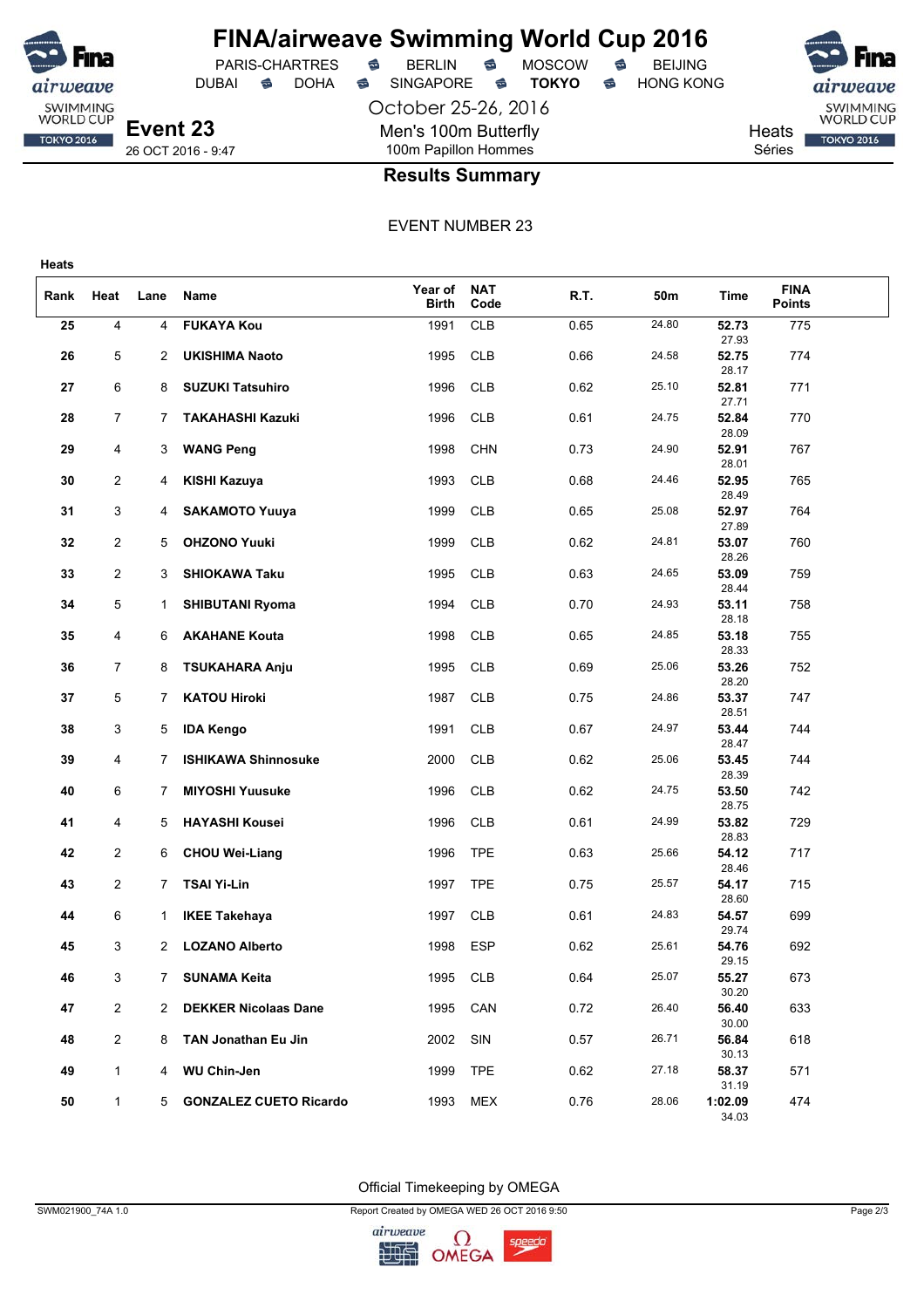

# **FINA/airweave Swimming World Cup 2016**<br>PARIS-CHARTRES **& BERLIN & MOSCOW & BEIJING**

DUBAI **S** DOHA S SINGAPORE S **TOKYO** S HONG KONG

PARIS-CHARTRES **S** BERLIN S MOSCOW S

October 25-26, 2016 Men's 100m Butterfly 100m Papillon Hommes

SWIMMING<br>WORLD CUP Heats **TOKYO 2016** Séries

26 OCT 2016 - 9:47

### **Results Summary**

EVENT NUMBER 23

| Rank | Heat           | Lane | Name                          | Year of<br><b>Birth</b> | <b>NAT</b><br>Code | R.T. | 50m   | Time                      | <b>FINA</b><br><b>Points</b> |  |
|------|----------------|------|-------------------------------|-------------------------|--------------------|------|-------|---------------------------|------------------------------|--|
| 25   | 4              | 4    | <b>FUKAYA Kou</b>             | 1991                    | <b>CLB</b>         | 0.65 | 24.80 | 52.73<br>27.93            | 775                          |  |
| 26   | 5              | 2    | <b>UKISHIMA Naoto</b>         | 1995                    | <b>CLB</b>         | 0.66 | 24.58 | 52.75<br>28.17            | 774                          |  |
| 27   | 6              | 8    | <b>SUZUKI Tatsuhiro</b>       | 1996                    | <b>CLB</b>         | 0.62 | 25.10 | 52.81<br>27.71            | 771                          |  |
| 28   | 7              | 7    | <b>TAKAHASHI Kazuki</b>       | 1996                    | <b>CLB</b>         | 0.61 | 24.75 | 52.84<br>28.09            | 770                          |  |
| 29   | 4              | 3    | <b>WANG Peng</b>              | 1998                    | <b>CHN</b>         | 0.73 | 24.90 | 52.91<br>28.01            | 767                          |  |
| 30   | $\overline{2}$ | 4    | KISHI Kazuya                  | 1993                    | <b>CLB</b>         | 0.68 | 24.46 | 52.95<br>28.49            | 765                          |  |
| 31   | 3              | 4    | <b>SAKAMOTO Yuuya</b>         | 1999                    | <b>CLB</b>         | 0.65 | 25.08 | 52.97                     | 764                          |  |
| 32   | $\overline{c}$ | 5    | <b>OHZONO Yuuki</b>           | 1999                    | <b>CLB</b>         | 0.62 | 24.81 | 27.89<br>53.07            | 760                          |  |
| 33   | $\overline{2}$ | 3    | <b>SHIOKAWA Taku</b>          | 1995                    | <b>CLB</b>         | 0.63 | 24.65 | 28.26<br>53.09            | 759                          |  |
| 34   | 5              | 1.   | <b>SHIBUTANI Ryoma</b>        | 1994                    | <b>CLB</b>         | 0.70 | 24.93 | 28.44<br>53.11            | 758                          |  |
| 35   | 4              | 6    | <b>AKAHANE Kouta</b>          | 1998                    | <b>CLB</b>         | 0.65 | 24.85 | 28.18<br>53.18            | 755                          |  |
| 36   | $\overline{7}$ | 8    | <b>TSUKAHARA Anju</b>         | 1995                    | <b>CLB</b>         | 0.69 | 25.06 | 28.33<br>53.26            | 752                          |  |
| 37   | 5              | 7    | <b>KATOU Hiroki</b>           | 1987                    | <b>CLB</b>         | 0.75 | 24.86 | 28.20<br>53.37            | 747                          |  |
| 38   | 3              | 5    | <b>IDA Kengo</b>              | 1991                    | <b>CLB</b>         | 0.67 | 24.97 | 28.51<br>53.44            | 744                          |  |
| 39   | 4              | 7    | <b>ISHIKAWA Shinnosuke</b>    | 2000                    | <b>CLB</b>         | 0.62 | 25.06 | 28.47<br>53.45            | 744                          |  |
| 40   | 6              | 7    | <b>MIYOSHI Yuusuke</b>        | 1996                    | <b>CLB</b>         | 0.62 | 24.75 | 28.39<br>53.50            | 742                          |  |
| 41   | 4              | 5    | <b>HAYASHI Kousei</b>         | 1996                    | <b>CLB</b>         | 0.61 | 24.99 | 28.75<br>53.82            | 729                          |  |
| 42   | $\overline{2}$ | 6    | <b>CHOU Wei-Liang</b>         | 1996                    | <b>TPE</b>         | 0.63 | 25.66 | 28.83<br>54.12            | 717                          |  |
| 43   | $\overline{2}$ | 7    | <b>TSAI Yi-Lin</b>            | 1997                    | <b>TPE</b>         | 0.75 | 25.57 | 28.46<br>54.17            | 715                          |  |
| 44   | 6              | 1    | <b>IKEE Takehaya</b>          | 1997                    | <b>CLB</b>         | 0.61 | 24.83 | 28.60<br>54.57            | 699                          |  |
| 45   | 3              | 2    | <b>LOZANO Alberto</b>         | 1998                    | <b>ESP</b>         | 0.62 | 25.61 | 29.74<br>54.76            | 692                          |  |
| 46   | 3              |      | <b>SUNAMA Keita</b>           | 1995                    | <b>CLB</b>         | 0.64 | 25.07 | 29.15<br>55.27            | 673                          |  |
| 47   | $\overline{2}$ |      | 2 DEKKER Nicolaas Dane        | 1995                    | CAN                | 0.72 | 26.40 | 30.20<br>56.40            | 633                          |  |
| 48   | $\overline{2}$ | 8    | TAN Jonathan Eu Jin           | 2002                    | SIN                | 0.57 | 26.71 | 30.00<br>56.84            | 618                          |  |
| 49   | $\mathbf{1}$   | 4    | <b>WU Chin-Jen</b>            | 1999                    | <b>TPE</b>         | 0.62 | 27.18 | 30.13<br>58.37            | 571                          |  |
| 50   | $\mathbf{1}$   | 5    | <b>GONZALEZ CUETO Ricardo</b> | 1993                    | MEX                | 0.76 | 28.06 | 31.19<br>1:02.09<br>34.03 | 474                          |  |

Official Timekeeping by OMEGA

SWM021900\_74A 1.0 Page 2/3

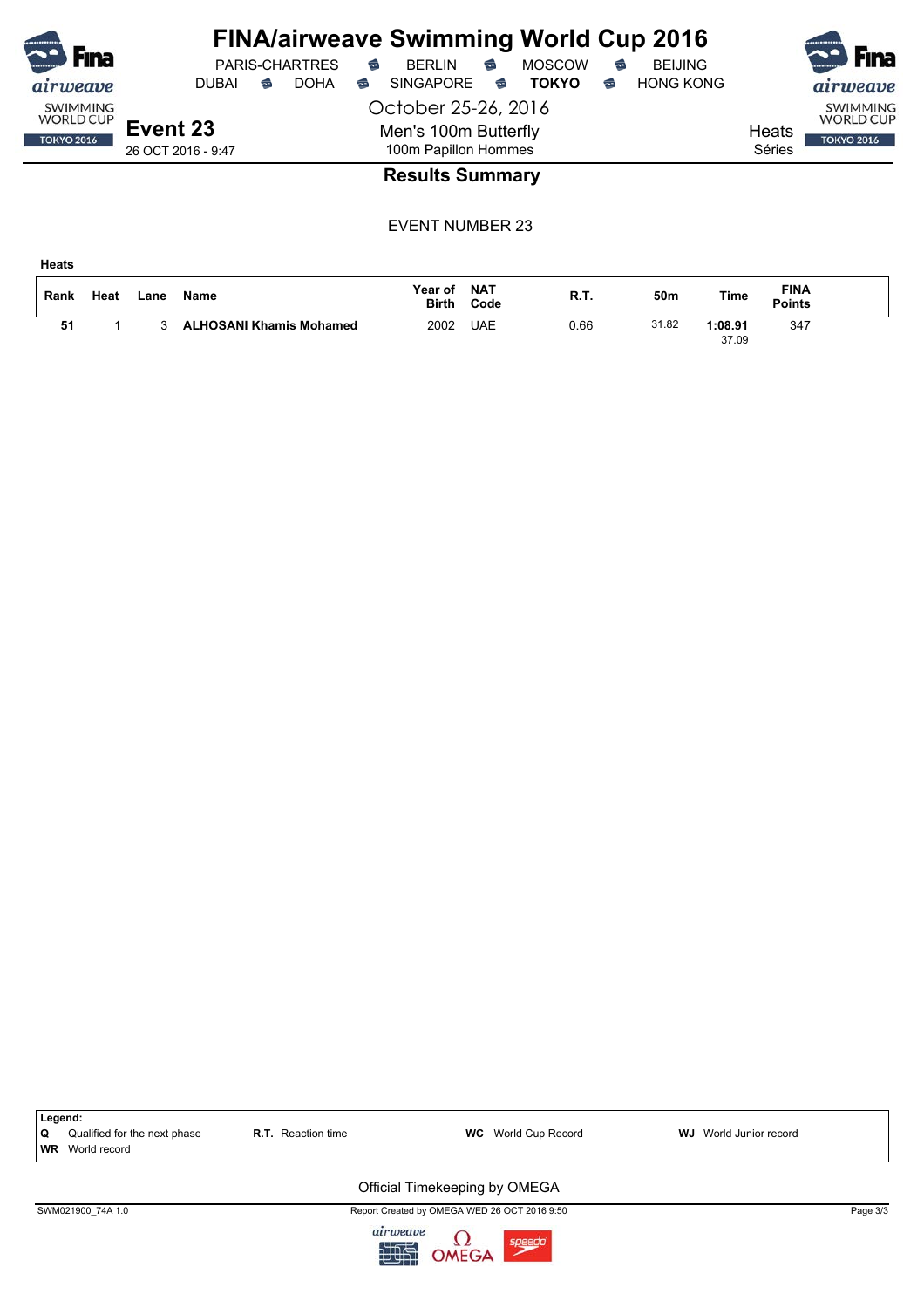| <b>Fina</b>                         |                    |   | <b>PARIS-CHARTRES</b> | ⇔ | <b>FINA/airweave Swimming World Cup 2016</b><br>BFRI IN | ⇔ | <b>MOSCOW</b> | € | <b>BEIJING</b>   |        | $\sim$<br><b>Fina</b>               |
|-------------------------------------|--------------------|---|-----------------------|---|---------------------------------------------------------|---|---------------|---|------------------|--------|-------------------------------------|
| airweave                            | <b>DUBAI</b>       | ⇔ | <b>DOHA</b>           | ⇔ | <b>SINGAPORE</b>                                        | € | <b>TOKYO</b>  | ຣ | <b>HONG KONG</b> |        | airweave                            |
| <b>SWIMMING</b><br><b>WORLD CUP</b> |                    |   |                       |   | October 25-26, 2016                                     |   |               |   |                  |        | <b>SWIMMING</b><br><b>WORLD CUP</b> |
| <b>TOKYO 2016</b>                   | Event 23           |   |                       |   | Men's 100m Butterfly                                    |   |               |   |                  | Heats  | <b>TOKYO 2016</b>                   |
|                                     | 26 OCT 2016 - 9:47 |   |                       |   | 100m Papillon Hommes                                    |   |               |   |                  | Séries |                                     |
|                                     |                    |   |                       |   | <b>Results Summary</b>                                  |   |               |   |                  |        |                                     |

| Rank | Heat | ∟ane | <b>Name</b>                    | Year of<br><b>Birth</b> | <b>NAT</b><br>Code | R.T. | 50m   | Time             | <b>FINA</b><br>Points |  |
|------|------|------|--------------------------------|-------------------------|--------------------|------|-------|------------------|-----------------------|--|
| 51   |      |      | <b>ALHOSANI Khamis Mohamed</b> | 2002                    | UAE                | ს.66 | 31.82 | 1:08.91<br>37.09 | 347                   |  |

|                | Legend:                                      |                           |                                              |                           |          |
|----------------|----------------------------------------------|---------------------------|----------------------------------------------|---------------------------|----------|
| Q<br><b>WR</b> | Qualified for the next phase<br>World record | <b>R.T.</b> Reaction time | <b>WC</b> World Cup Record                   | World Junior record<br>WJ |          |
|                |                                              |                           | Official Timekeeping by OMEGA                |                           |          |
|                | SWM021900 74A 1.0                            |                           | Report Created by OMEGA WED 26 OCT 2016 9:50 |                           | Page 3/3 |
|                |                                              | airweave<br>如此            | $\Omega$ OMEGA<br>speedo                     |                           |          |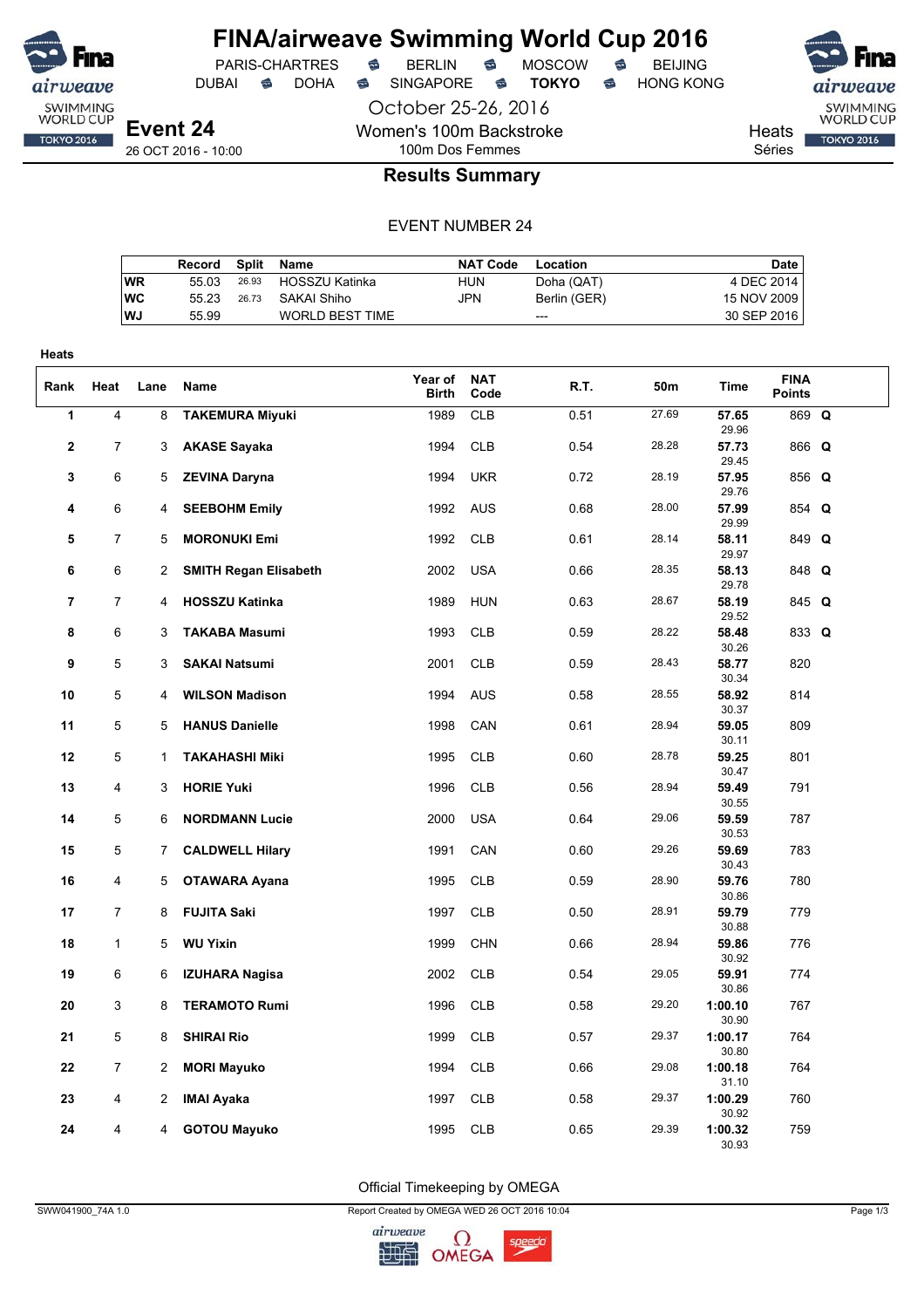

DUBAI **S** DOHA S SINGAPORE S **TOKYO** S HONG KONG

PARIS-CHARTRES **S** BERLIN S MOSCOW S

Heats Séries

SWIMMING<br>WORLD CUP **TOKYO 2016** 

**Event 24** 26 OCT 2016 - 10:00

## 100m Dos Femmes **Results Summary**

October 25-26, 2016

Women's 100m Backstroke

### EVENT NUMBER 24

| Record |       |                        | <b>NAT Code</b>                                      | Location     | Date        |
|--------|-------|------------------------|------------------------------------------------------|--------------|-------------|
| 55.03  | 26.93 |                        | HUN                                                  | Doha (QAT)   | 4 DEC 2014  |
| 55 23  |       |                        | JPN                                                  | Berlin (GER) | 15 NOV 2009 |
| 55.99  |       | <b>WORLD BEST TIME</b> |                                                      | ---          | 30 SEP 2016 |
|        |       |                        | Split Name<br>HOSSZU Katinka<br>SAKAI Shiho<br>26.73 |              |             |

| <b>Heats</b>   |                |                |                              |                         |                    |      |       |                  |                              |  |
|----------------|----------------|----------------|------------------------------|-------------------------|--------------------|------|-------|------------------|------------------------------|--|
| Rank           | Heat           | Lane           | Name                         | Year of<br><b>Birth</b> | <b>NAT</b><br>Code | R.T. | 50m   | <b>Time</b>      | <b>FINA</b><br><b>Points</b> |  |
| $\overline{1}$ | 4              | 8              | <b>TAKEMURA Miyuki</b>       | 1989                    | CLB                | 0.51 | 27.69 | 57.65<br>29.96   | 869 Q                        |  |
| $\mathbf{2}$   | 7              | 3              | <b>AKASE Sayaka</b>          | 1994                    | <b>CLB</b>         | 0.54 | 28.28 | 57.73<br>29.45   | 866 Q                        |  |
| 3              | 6              | 5              | <b>ZEVINA Daryna</b>         | 1994                    | <b>UKR</b>         | 0.72 | 28.19 | 57.95<br>29.76   | 856 Q                        |  |
| 4              | 6              | 4              | <b>SEEBOHM Emily</b>         | 1992                    | <b>AUS</b>         | 0.68 | 28.00 | 57.99<br>29.99   | 854 Q                        |  |
| 5              | $\overline{7}$ | 5              | <b>MORONUKI Emi</b>          | 1992                    | <b>CLB</b>         | 0.61 | 28.14 | 58.11<br>29.97   | 849 Q                        |  |
| 6              | 6              | 2              | <b>SMITH Regan Elisabeth</b> | 2002                    | <b>USA</b>         | 0.66 | 28.35 | 58.13<br>29.78   | 848 Q                        |  |
| $\overline{7}$ | $\overline{7}$ | 4              | <b>HOSSZU Katinka</b>        | 1989                    | <b>HUN</b>         | 0.63 | 28.67 | 58.19<br>29.52   | 845 Q                        |  |
| 8              | 6              | 3              | <b>TAKABA Masumi</b>         | 1993                    | <b>CLB</b>         | 0.59 | 28.22 | 58.48<br>30.26   | 833 Q                        |  |
| 9              | 5              | 3              | <b>SAKAI Natsumi</b>         | 2001                    | <b>CLB</b>         | 0.59 | 28.43 | 58.77<br>30.34   | 820                          |  |
| 10             | 5              | 4              | <b>WILSON Madison</b>        | 1994                    | <b>AUS</b>         | 0.58 | 28.55 | 58.92<br>30.37   | 814                          |  |
| 11             | 5              | 5              | <b>HANUS Danielle</b>        | 1998                    | CAN                | 0.61 | 28.94 | 59.05<br>30.11   | 809                          |  |
| 12             | 5              | 1              | <b>TAKAHASHI Miki</b>        | 1995                    | <b>CLB</b>         | 0.60 | 28.78 | 59.25<br>30.47   | 801                          |  |
| 13             | 4              | 3              | <b>HORIE Yuki</b>            | 1996                    | <b>CLB</b>         | 0.56 | 28.94 | 59.49<br>30.55   | 791                          |  |
| 14             | 5              | 6              | <b>NORDMANN Lucie</b>        | 2000                    | <b>USA</b>         | 0.64 | 29.06 | 59.59<br>30.53   | 787                          |  |
| 15             | 5              | $\overline{7}$ | <b>CALDWELL Hilary</b>       | 1991                    | CAN                | 0.60 | 29.26 | 59.69<br>30.43   | 783                          |  |
| 16             | 4              | 5              | <b>OTAWARA Ayana</b>         | 1995                    | <b>CLB</b>         | 0.59 | 28.90 | 59.76<br>30.86   | 780                          |  |
| 17             | 7              | 8              | <b>FUJITA Saki</b>           | 1997                    | <b>CLB</b>         | 0.50 | 28.91 | 59.79<br>30.88   | 779                          |  |
| 18             | $\mathbf{1}$   | 5              | <b>WU Yixin</b>              | 1999                    | <b>CHN</b>         | 0.66 | 28.94 | 59.86<br>30.92   | 776                          |  |
| 19             | 6              | 6              | <b>IZUHARA Nagisa</b>        | 2002                    | <b>CLB</b>         | 0.54 | 29.05 | 59.91<br>30.86   | 774                          |  |
| 20             | 3              | 8              | <b>TERAMOTO Rumi</b>         | 1996                    | <b>CLB</b>         | 0.58 | 29.20 | 1:00.10<br>30.90 | 767                          |  |
| 21             | 5              | 8              | <b>SHIRAI Rio</b>            | 1999                    | <b>CLB</b>         | 0.57 | 29.37 | 1:00.17<br>30.80 | 764                          |  |
| 22             | $\overline{7}$ | 2              | <b>MORI Mayuko</b>           | 1994                    | <b>CLB</b>         | 0.66 | 29.08 | 1:00.18<br>31.10 | 764                          |  |
| 23             | 4              | 2              | IMAI Ayaka                   | 1997                    | <b>CLB</b>         | 0.58 | 29.37 | 1:00.29<br>30.92 | 760                          |  |
| 24             | 4              | 4              | <b>GOTOU Mayuko</b>          | 1995                    | <b>CLB</b>         | 0.65 | 29.39 | 1:00.32<br>30.93 | 759                          |  |

Official Timekeeping by OMEGA

SWW041900\_74A 1.0 Page 1/3

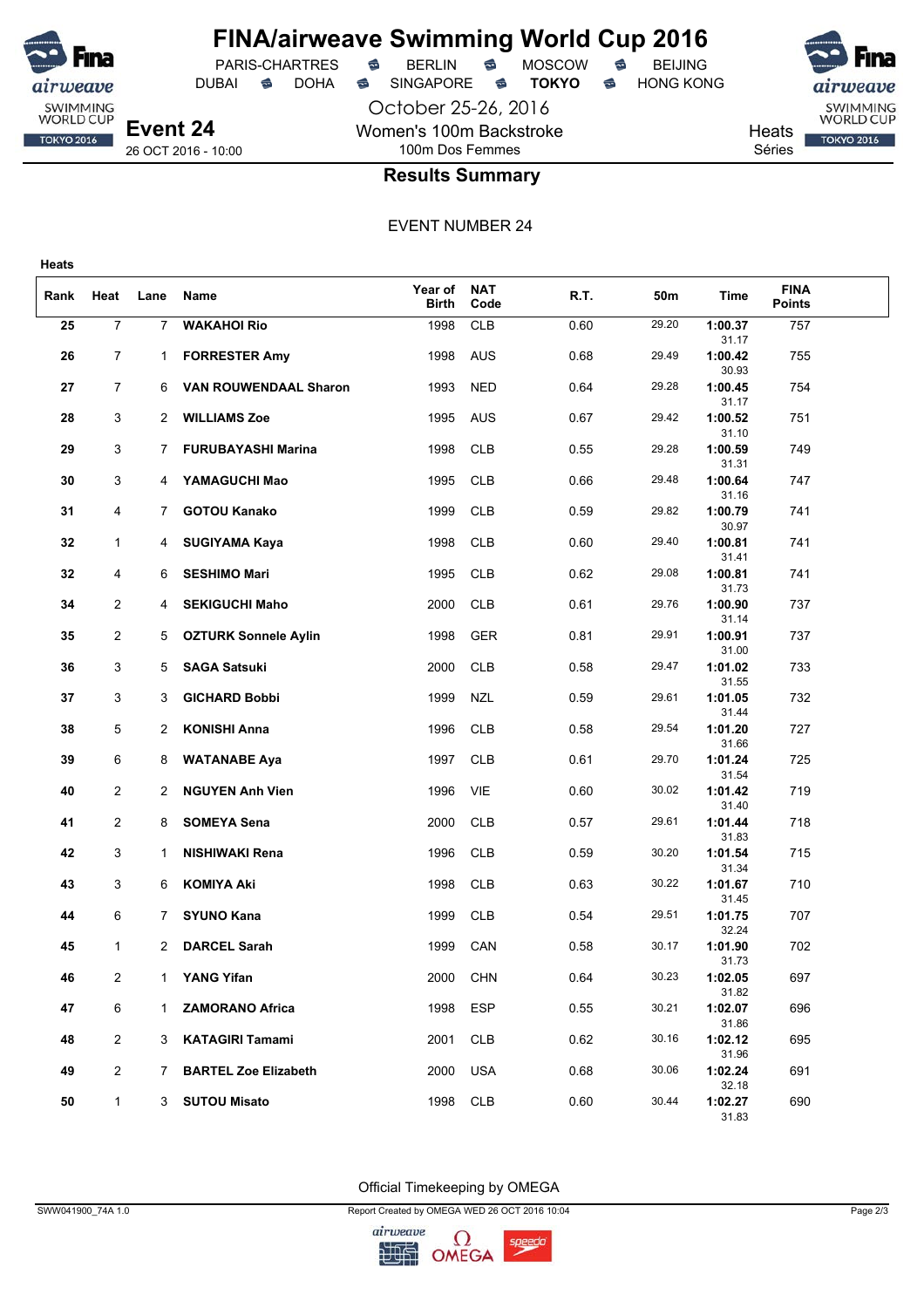

## **FINA/airweave Swimming World Cup 2016**<br>PARIS-CHARTRES **& BERLIN & MOSCOW & BEIJING** PARIS-CHARTRES **S** BERLIN S MOSCOW S

DUBAI **S** DOHA S SINGAPORE S **TOKYO** S HONG KONG

October 25-26, 2016 Women's 100m Backstroke

SWIMMING<br>WORLD CUP Heats **TOKYO 2016** 

Séries

## 100m Dos Femmes **Results Summary**

EVENT NUMBER 24

| Rank | Heat           | Lane           | Name                         | Year of<br><b>Birth</b> | <b>NAT</b><br>Code | R.T. | 50m   | Time             | <b>FINA</b><br><b>Points</b> |  |
|------|----------------|----------------|------------------------------|-------------------------|--------------------|------|-------|------------------|------------------------------|--|
| 25   | $\overline{7}$ | $\overline{7}$ | <b>WAKAHOI Rio</b>           | 1998                    | <b>CLB</b>         | 0.60 | 29.20 | 1:00.37<br>31.17 | 757                          |  |
| 26   | $\overline{7}$ | $\mathbf{1}$   | <b>FORRESTER Amy</b>         | 1998                    | <b>AUS</b>         | 0.68 | 29.49 | 1:00.42<br>30.93 | 755                          |  |
| 27   | 7              | 6              | <b>VAN ROUWENDAAL Sharon</b> | 1993                    | <b>NED</b>         | 0.64 | 29.28 | 1:00.45<br>31.17 | 754                          |  |
| 28   | 3              | 2              | <b>WILLIAMS Zoe</b>          | 1995                    | AUS                | 0.67 | 29.42 | 1:00.52<br>31.10 | 751                          |  |
| 29   | 3              | 7              | <b>FURUBAYASHI Marina</b>    | 1998                    | <b>CLB</b>         | 0.55 | 29.28 | 1:00.59<br>31.31 | 749                          |  |
| 30   | 3              | 4              | YAMAGUCHI Mao                | 1995                    | <b>CLB</b>         | 0.66 | 29.48 | 1:00.64<br>31.16 | 747                          |  |
| 31   | 4              | $7^{\circ}$    | <b>GOTOU Kanako</b>          | 1999                    | <b>CLB</b>         | 0.59 | 29.82 | 1:00.79<br>30.97 | 741                          |  |
| 32   | $\mathbf{1}$   | 4              | <b>SUGIYAMA Kaya</b>         | 1998                    | <b>CLB</b>         | 0.60 | 29.40 | 1:00.81<br>31.41 | 741                          |  |
| 32   | 4              | 6              | <b>SESHIMO Mari</b>          | 1995                    | <b>CLB</b>         | 0.62 | 29.08 | 1:00.81<br>31.73 | 741                          |  |
| 34   | 2              | 4              | <b>SEKIGUCHI Maho</b>        | 2000                    | <b>CLB</b>         | 0.61 | 29.76 | 1:00.90<br>31.14 | 737                          |  |
| 35   | $\overline{2}$ | 5              | <b>OZTURK Sonnele Aylin</b>  | 1998                    | <b>GER</b>         | 0.81 | 29.91 | 1:00.91<br>31.00 | 737                          |  |
| 36   | 3              | 5              | <b>SAGA Satsuki</b>          | 2000                    | <b>CLB</b>         | 0.58 | 29.47 | 1:01.02<br>31.55 | 733                          |  |
| 37   | 3              | 3              | <b>GICHARD Bobbi</b>         | 1999                    | <b>NZL</b>         | 0.59 | 29.61 | 1:01.05<br>31.44 | 732                          |  |
| 38   | 5              | 2              | <b>KONISHI Anna</b>          | 1996                    | <b>CLB</b>         | 0.58 | 29.54 | 1:01.20<br>31.66 | 727                          |  |
| 39   | 6              | 8              | <b>WATANABE Aya</b>          | 1997                    | <b>CLB</b>         | 0.61 | 29.70 | 1:01.24<br>31.54 | 725                          |  |
| 40   | 2              | 2              | <b>NGUYEN Anh Vien</b>       | 1996                    | VIE                | 0.60 | 30.02 | 1:01.42<br>31.40 | 719                          |  |
| 41   | $\overline{c}$ | 8              | <b>SOMEYA Sena</b>           | 2000                    | <b>CLB</b>         | 0.57 | 29.61 | 1:01.44<br>31.83 | 718                          |  |
| 42   | 3              | 1              | <b>NISHIWAKI Rena</b>        | 1996                    | <b>CLB</b>         | 0.59 | 30.20 | 1:01.54<br>31.34 | 715                          |  |
| 43   | 3              | 6              | <b>KOMIYA Aki</b>            | 1998                    | <b>CLB</b>         | 0.63 | 30.22 | 1:01.67<br>31.45 | 710                          |  |
| 44   | 6              | $\mathbf{7}$   | <b>SYUNO Kana</b>            | 1999                    | <b>CLB</b>         | 0.54 | 29.51 | 1:01.75<br>32.24 | 707                          |  |
| 45   | 1              | 2              | <b>DARCEL Sarah</b>          | 1999                    | CAN                | 0.58 | 30.17 | 1:01.90<br>31.73 | 702                          |  |
| 46   | 2              | 1              | <b>YANG Yifan</b>            | 2000                    | <b>CHN</b>         | 0.64 | 30.23 | 1:02.05<br>31.82 | 697                          |  |
| 47   | 6              | $\mathbf{1}$   | <b>ZAMORANO Africa</b>       | 1998                    | <b>ESP</b>         | 0.55 | 30.21 | 1:02.07<br>31.86 | 696                          |  |
| 48   | $\overline{2}$ | 3              | <b>KATAGIRI Tamami</b>       | 2001                    | <b>CLB</b>         | 0.62 | 30.16 | 1:02.12<br>31.96 | 695                          |  |
| 49   | $\overline{2}$ | 7              | <b>BARTEL Zoe Elizabeth</b>  | 2000                    | <b>USA</b>         | 0.68 | 30.06 | 1:02.24<br>32.18 | 691                          |  |
| 50   | $\mathbf{1}$   | 3              | <b>SUTOU Misato</b>          | 1998                    | <b>CLB</b>         | 0.60 | 30.44 | 1:02.27<br>31.83 | 690                          |  |

Official Timekeeping by OMEGA

SWW041900\_74A 1.0 Page 2/3

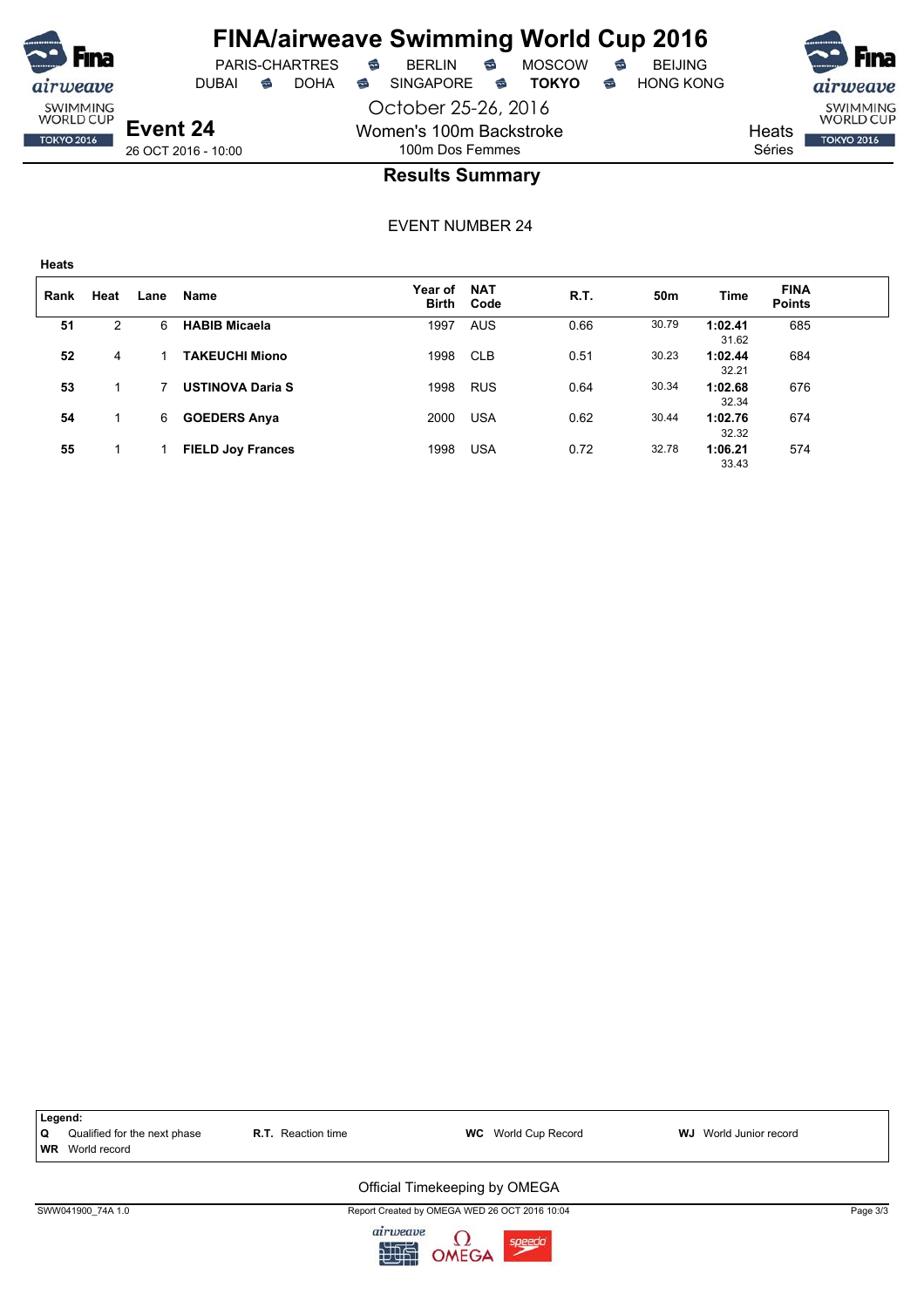

# **FINA/airweave Swimming World Cup 2016**<br>PARIS-CHARTRES **& BERLIN & MOSCOW & BEIJING**

 $PARIS-CHARTRES$  **BERLIN B** MOSCOW **B** 

October 25-26, 2016 Women's 100m Backstroke 100m Dos Femmes





26 OCT 2016 - 10:00

### **Results Summary**

| Rank | Heat | Lane | <b>Name</b>              | <b>Year of</b><br><b>Birth</b> | <b>NAT</b><br>Code | R.T. | 50m   | Time             | <b>FINA</b><br><b>Points</b> |  |
|------|------|------|--------------------------|--------------------------------|--------------------|------|-------|------------------|------------------------------|--|
| 51   | 2    | 6    | <b>HABIB Micaela</b>     | 1997                           | <b>AUS</b>         | 0.66 | 30.79 | 1:02.41<br>31.62 | 685                          |  |
| 52   | 4    |      | <b>TAKEUCHI Miono</b>    | 1998                           | <b>CLB</b>         | 0.51 | 30.23 | 1:02.44<br>32.21 | 684                          |  |
| 53   |      |      | <b>USTINOVA Daria S</b>  | 1998                           | <b>RUS</b>         | 0.64 | 30.34 | 1:02.68<br>32.34 | 676                          |  |
| 54   |      | 6    | <b>GOEDERS Anya</b>      | 2000                           | <b>USA</b>         | 0.62 | 30.44 | 1:02.76<br>32.32 | 674                          |  |
| 55   |      |      | <b>FIELD Joy Frances</b> | 1998                           | <b>USA</b>         | 0.72 | 32.78 | 1:06.21<br>33.43 | 574                          |  |

|   | Legend:                      |                           |                                                                                                                                                                                                                                |                               |          |
|---|------------------------------|---------------------------|--------------------------------------------------------------------------------------------------------------------------------------------------------------------------------------------------------------------------------|-------------------------------|----------|
| Q | Qualified for the next phase | <b>R.T.</b> Reaction time | <b>WC</b> World Cup Record                                                                                                                                                                                                     | <b>WJ</b> World Junior record |          |
|   | <b>WR</b> World record       |                           |                                                                                                                                                                                                                                |                               |          |
|   |                              |                           | Official Timekeeping by OMEGA                                                                                                                                                                                                  |                               |          |
|   | SWW041900 74A 1.0            |                           | Report Created by OMEGA WED 26 OCT 2016 10:04                                                                                                                                                                                  |                               | Page 3/3 |
|   |                              |                           | The second company of the second company of the second company of the second company of the second company of the second company of the second company of the second company of the second company of the second company of th |                               |          |

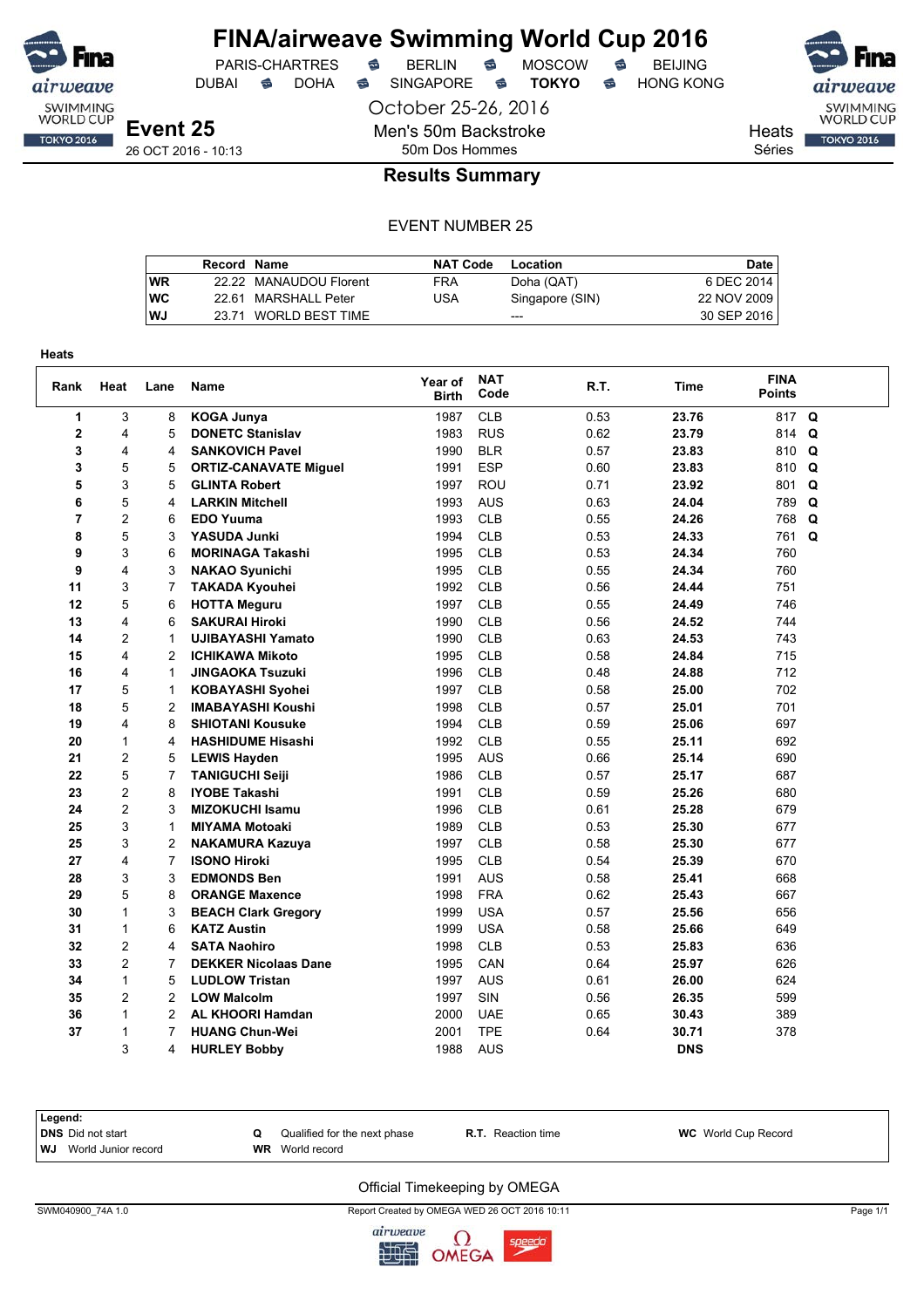

DUBAI **S** DOHA S SINGAPORE S **TOKYO** S HONG KONG

PARIS-CHARTRES **S** BERLIN S MOSCOW S

October 25-26, 2016

Men's 50m Backstroke

SWIMMING<br>WORLD CUP

**TOKYO 2016** 

Heats Séries

26 OCT 2016 - 10:13

## 50m Dos Hommes **Results Summary**

#### EVENT NUMBER 25

|    | Record Name |                        | <b>NAT Code</b> | Location        | <b>Date</b> |
|----|-------------|------------------------|-----------------|-----------------|-------------|
| WR |             | 22.22 MANAUDOU Florent | <b>FRA</b>      | Doha (QAT)      | 6 DEC 2014  |
| WC |             | 22.61 MARSHALL Peter   | USA             | Singapore (SIN) | 22 NOV 2009 |
| WJ |             | 23.71 WORLD BEST TIME  |                 | $---$           | 30 SEP 2016 |

| Heats          |                |                |                              |                         |                    |      |            |                              |   |
|----------------|----------------|----------------|------------------------------|-------------------------|--------------------|------|------------|------------------------------|---|
| Rank           | Heat           | Lane           | Name                         | Year of<br><b>Birth</b> | <b>NAT</b><br>Code | R.T. | Time       | <b>FINA</b><br><b>Points</b> |   |
| 1              | 3              | 8              | <b>KOGA Junya</b>            | 1987                    | <b>CLB</b>         | 0.53 | 23.76      | 817 Q                        |   |
| 2              | 4              | 5              | <b>DONETC Stanislav</b>      | 1983                    | <b>RUS</b>         | 0.62 | 23.79      | 814                          | Q |
| 3              | 4              | 4              | <b>SANKOVICH Pavel</b>       | 1990                    | <b>BLR</b>         | 0.57 | 23.83      | 810                          | Q |
| 3              | 5              | 5              | <b>ORTIZ-CANAVATE Miguel</b> | 1991                    | <b>ESP</b>         | 0.60 | 23.83      | 810                          | Q |
| 5              | 3              | 5              | <b>GLINTA Robert</b>         | 1997                    | ROU                | 0.71 | 23.92      | 801                          | Q |
| 6              | 5              | 4              | <b>LARKIN Mitchell</b>       | 1993                    | <b>AUS</b>         | 0.63 | 24.04      | 789                          | Q |
| $\overline{7}$ | 2              | 6              | <b>EDO Yuuma</b>             | 1993                    | <b>CLB</b>         | 0.55 | 24.26      | 768                          | Q |
| 8              | 5              | 3              | YASUDA Junki                 | 1994                    | <b>CLB</b>         | 0.53 | 24.33      | 761                          | Q |
| 9              | 3              | 6              | <b>MORINAGA Takashi</b>      | 1995                    | <b>CLB</b>         | 0.53 | 24.34      | 760                          |   |
| 9              | 4              | 3              | <b>NAKAO Syunichi</b>        | 1995                    | <b>CLB</b>         | 0.55 | 24.34      | 760                          |   |
| 11             | 3              | 7              | <b>TAKADA Kyouhei</b>        | 1992                    | <b>CLB</b>         | 0.56 | 24.44      | 751                          |   |
| 12             | 5              | 6              | <b>HOTTA Meguru</b>          | 1997                    | <b>CLB</b>         | 0.55 | 24.49      | 746                          |   |
| 13             | 4              | 6              | <b>SAKURAI Hiroki</b>        | 1990                    | <b>CLB</b>         | 0.56 | 24.52      | 744                          |   |
| 14             | 2              | $\mathbf{1}$   | <b>UJIBAYASHI Yamato</b>     | 1990                    | <b>CLB</b>         | 0.63 | 24.53      | 743                          |   |
| 15             | 4              | $\overline{2}$ | <b>ICHIKAWA Mikoto</b>       | 1995                    | <b>CLB</b>         | 0.58 | 24.84      | 715                          |   |
| 16             | 4              | 1              | <b>JINGAOKA Tsuzuki</b>      | 1996                    | <b>CLB</b>         | 0.48 | 24.88      | 712                          |   |
| 17             | 5              | $\mathbf{1}$   | <b>KOBAYASHI Syohei</b>      | 1997                    | <b>CLB</b>         | 0.58 | 25.00      | 702                          |   |
| 18             | 5              | $\overline{2}$ | <b>IMABAYASHI Koushi</b>     | 1998                    | <b>CLB</b>         | 0.57 | 25.01      | 701                          |   |
| 19             | 4              | 8              | <b>SHIOTANI Kousuke</b>      | 1994                    | <b>CLB</b>         | 0.59 | 25.06      | 697                          |   |
| 20             | $\mathbf{1}$   | 4              | <b>HASHIDUME Hisashi</b>     | 1992                    | <b>CLB</b>         | 0.55 | 25.11      | 692                          |   |
| 21             | $\overline{c}$ | 5              | <b>LEWIS Hayden</b>          | 1995                    | <b>AUS</b>         | 0.66 | 25.14      | 690                          |   |
| 22             | 5              | 7              | <b>TANIGUCHI Seiji</b>       | 1986                    | <b>CLB</b>         | 0.57 | 25.17      | 687                          |   |
| 23             | 2              | 8              | <b>IYOBE Takashi</b>         | 1991                    | <b>CLB</b>         | 0.59 | 25.26      | 680                          |   |
| 24             | 2              | 3              | <b>MIZOKUCHI Isamu</b>       | 1996                    | <b>CLB</b>         | 0.61 | 25.28      | 679                          |   |
| 25             | 3              | $\mathbf{1}$   | <b>MIYAMA Motoaki</b>        | 1989                    | <b>CLB</b>         | 0.53 | 25.30      | 677                          |   |
| 25             | 3              | 2              | <b>NAKAMURA Kazuya</b>       | 1997                    | <b>CLB</b>         | 0.58 | 25.30      | 677                          |   |
| 27             | 4              | $\overline{7}$ | <b>ISONO Hiroki</b>          | 1995                    | <b>CLB</b>         | 0.54 | 25.39      | 670                          |   |
| 28             | 3              | 3              | <b>EDMONDS Ben</b>           | 1991                    | <b>AUS</b>         | 0.58 | 25.41      | 668                          |   |
| 29             | 5              | 8              | <b>ORANGE Maxence</b>        | 1998                    | <b>FRA</b>         | 0.62 | 25.43      | 667                          |   |
| 30             | $\mathbf{1}$   | 3              | <b>BEACH Clark Gregory</b>   | 1999                    | <b>USA</b>         | 0.57 | 25.56      | 656                          |   |
| 31             | $\mathbf{1}$   | 6              | <b>KATZ Austin</b>           | 1999                    | <b>USA</b>         | 0.58 | 25.66      | 649                          |   |
| 32             | $\overline{c}$ | 4              | <b>SATA Naohiro</b>          | 1998                    | <b>CLB</b>         | 0.53 | 25.83      | 636                          |   |
| 33             | $\overline{2}$ | $\overline{7}$ | <b>DEKKER Nicolaas Dane</b>  | 1995                    | CAN                | 0.64 | 25.97      | 626                          |   |
| 34             | $\mathbf{1}$   | 5              | <b>LUDLOW Tristan</b>        | 1997                    | <b>AUS</b>         | 0.61 | 26.00      | 624                          |   |
| 35             | $\overline{2}$ | $\overline{2}$ | <b>LOW Malcolm</b>           | 1997                    | SIN                | 0.56 | 26.35      | 599                          |   |
| 36             | 1              | 2              | <b>AL KHOORI Hamdan</b>      | 2000                    | <b>UAE</b>         | 0.65 | 30.43      | 389                          |   |
| 37             | 1              | 7              | <b>HUANG Chun-Wei</b>        | 2001                    | <b>TPE</b>         | 0.64 | 30.71      | 378                          |   |
|                | 3              | 4              | <b>HURLEY Bobby</b>          | 1988                    | <b>AUS</b>         |      | <b>DNS</b> |                              |   |

| Legend:                     |                              |                       |                            |
|-----------------------------|------------------------------|-----------------------|----------------------------|
| DNS Did not start           | Qualified for the next phase | R.T.<br>Reaction time | <b>WC</b> World Cup Record |
| l WJ<br>World Junior record | <b>WR</b> World record       |                       |                            |

#### Official Timekeeping by OMEGA

SWM040900\_74A 1.0 Page 1/1 Report Created by OMEGA WED 26 OCT 2016 10:11 Page 1/1 Page 1/1

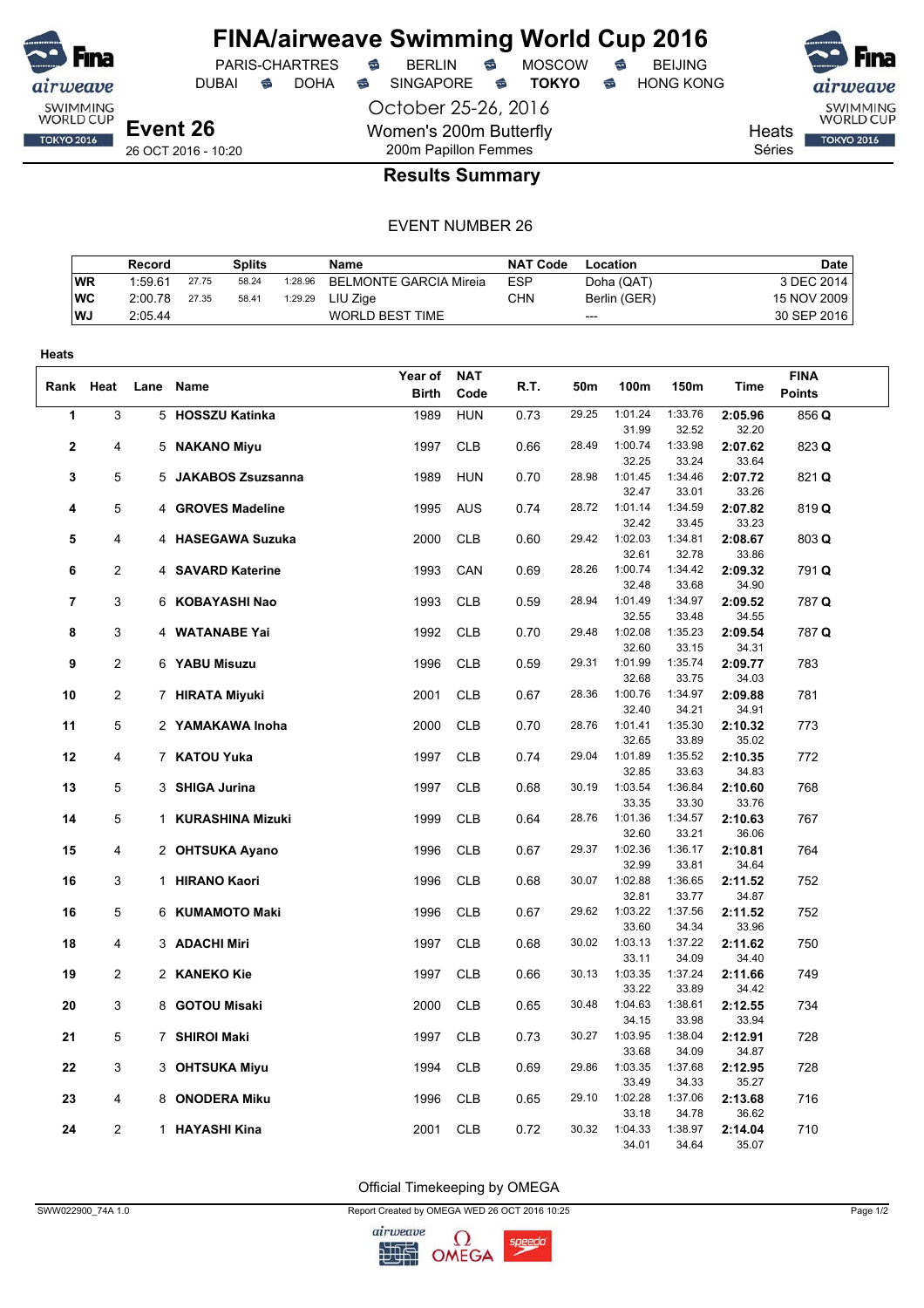

DUBAI **S** DOHA S SINGAPORE S **TOKYO** S HONG KONG

PARIS-CHARTRES **S** BERLIN S MOSCOW S

October 25-26, 2016 Women's 200m Butterfly 200m Papillon Femmes



Heats Séries

### **Results Summary**

#### EVENT NUMBER 26

|            | Record  |       | <b>Splits</b> |         | Name                   | <b>NAT Code</b> | Location     | <b>Date</b> |
|------------|---------|-------|---------------|---------|------------------------|-----------------|--------------|-------------|
| <b>WR</b>  | 1:59.61 | 27.75 | 58.24         | 1:28.96 | BELMONTE GARCIA Mireia | <b>ESP</b>      | Doha (QAT)   | 3 DEC 2014  |
| <b>IWC</b> | 2:00.78 | 27.35 | 58.41         | 1:29.29 | LIU Ziae               | <b>CHN</b>      | Berlin (GER) | 15 NOV 2009 |
| l WJ       | 2:05.44 |       |               |         | <b>WORLD BEST TIME</b> |                 | $---$        | 30 SEP 2016 |

| Heats          |                |      |                     |              |            |      |       |                  |                  |                  |               |  |
|----------------|----------------|------|---------------------|--------------|------------|------|-------|------------------|------------------|------------------|---------------|--|
|                |                |      |                     | Year of      | <b>NAT</b> |      |       |                  |                  |                  | <b>FINA</b>   |  |
| Rank Heat      |                | Lane | Name                | <b>Birth</b> | Code       | R.T. | 50m   | 100m             | 150m             | Time             | <b>Points</b> |  |
| 1              | 3              |      | 5 HOSSZU Katinka    | 1989         | <b>HUN</b> | 0.73 | 29.25 | 1:01.24          | 1:33.76          | 2:05.96          | 856 Q         |  |
|                |                |      |                     |              |            |      |       | 31.99            | 32.52            | 32.20            |               |  |
| 2              | 4              |      | 5 NAKANO Miyu       | 1997         | <b>CLB</b> | 0.66 | 28.49 | 1:00.74          | 1:33.98          | 2:07.62          | 823 Q         |  |
|                |                |      |                     |              |            |      |       | 32.25            | 33.24            | 33.64            |               |  |
| 3              | 5              |      | 5 JAKABOS Zsuzsanna | 1989         | <b>HUN</b> | 0.70 | 28.98 | 1:01.45          | 1:34.46          | 2:07.72          | 821 Q         |  |
|                |                |      |                     |              |            |      |       | 32.47            | 33.01            | 33.26            |               |  |
| 4              | 5              |      | 4 GROVES Madeline   | 1995         | AUS        | 0.74 | 28.72 | 1:01.14          | 1:34.59          | 2:07.82          | 819 Q         |  |
|                |                |      |                     |              |            |      |       | 32.42            | 33.45            | 33.23            |               |  |
| 5              | 4              |      | 4 HASEGAWA Suzuka   | 2000         | <b>CLB</b> | 0.60 | 29.42 | 1:02.03          | 1:34.81          | 2:08.67          | 803 Q         |  |
| 6              | 2              |      |                     |              | CAN        |      | 28.26 | 32.61<br>1:00.74 | 32.78<br>1:34.42 | 33.86<br>2:09.32 |               |  |
|                |                |      | 4 SAVARD Katerine   | 1993         |            | 0.69 |       | 32.48            | 33.68            | 34.90            | 791 Q         |  |
| $\overline{7}$ | 3              |      | 6 KOBAYASHI Nao     | 1993         | <b>CLB</b> | 0.59 | 28.94 | 1:01.49          | 1:34.97          | 2:09.52          | 787 Q         |  |
|                |                |      |                     |              |            |      |       | 32.55            | 33.48            | 34.55            |               |  |
| 8              | 3              |      | 4 WATANABE Yai      | 1992         | <b>CLB</b> | 0.70 | 29.48 | 1:02.08          | 1:35.23          | 2:09.54          | 787 Q         |  |
|                |                |      |                     |              |            |      |       | 32.60            | 33.15            | 34.31            |               |  |
| 9              | $\overline{c}$ |      | 6 YABU Misuzu       | 1996         | <b>CLB</b> | 0.59 | 29.31 | 1:01.99          | 1:35.74          | 2:09.77          | 783           |  |
|                |                |      |                     |              |            |      |       | 32.68            | 33.75            | 34.03            |               |  |
| 10             | 2              |      | 7 HIRATA Miyuki     | 2001         | <b>CLB</b> | 0.67 | 28.36 | 1:00.76          | 1:34.97          | 2:09.88          | 781           |  |
|                |                |      |                     |              |            |      |       | 32.40            | 34.21            | 34.91            |               |  |
| 11             | 5              |      | 2 YAMAKAWA Inoha    | 2000         | <b>CLB</b> | 0.70 | 28.76 | 1:01.41          | 1:35.30          | 2:10.32          | 773           |  |
|                |                |      |                     |              |            |      |       | 32.65            | 33.89            | 35.02            |               |  |
| 12             | 4              |      | 7 KATOU Yuka        | 1997         | <b>CLB</b> | 0.74 | 29.04 | 1:01.89          | 1:35.52          | 2:10.35          | 772           |  |
|                |                |      |                     |              |            |      |       | 32.85            | 33.63            | 34.83            |               |  |
| 13             | 5              |      | 3 SHIGA Jurina      | 1997         | <b>CLB</b> | 0.68 | 30.19 | 1:03.54<br>33.35 | 1:36.84<br>33.30 | 2:10.60<br>33.76 | 768           |  |
| 14             | 5              |      | 1 KURASHINA Mizuki  | 1999         | <b>CLB</b> | 0.64 | 28.76 | 1:01.36          | 1:34.57          | 2:10.63          | 767           |  |
|                |                |      |                     |              |            |      |       | 32.60            | 33.21            | 36.06            |               |  |
| 15             | 4              |      | 2 OHTSUKA Ayano     | 1996         | <b>CLB</b> | 0.67 | 29.37 | 1:02.36          | 1:36.17          | 2:10.81          | 764           |  |
|                |                |      |                     |              |            |      |       | 32.99            | 33.81            | 34.64            |               |  |
| 16             | 3              |      | 1 HIRANO Kaori      | 1996         | <b>CLB</b> | 0.68 | 30.07 | 1:02.88          | 1:36.65          | 2:11.52          | 752           |  |
|                |                |      |                     |              |            |      |       | 32.81            | 33.77            | 34.87            |               |  |
| 16             | 5              |      | 6 KUMAMOTO Maki     | 1996         | <b>CLB</b> | 0.67 | 29.62 | 1:03.22          | 1:37.56          | 2:11.52          | 752           |  |
|                |                |      |                     |              |            |      |       | 33.60            | 34.34            | 33.96            |               |  |
| 18             | 4              |      | 3 ADACHI Miri       | 1997         | <b>CLB</b> | 0.68 | 30.02 | 1:03.13          | 1:37.22          | 2:11.62          | 750           |  |
|                |                |      |                     |              |            |      |       | 33.11            | 34.09            | 34.40            |               |  |
| 19             | $\overline{2}$ |      | 2 KANEKO Kie        | 1997         | <b>CLB</b> | 0.66 | 30.13 | 1:03.35<br>33.22 | 1:37.24          | 2:11.66          | 749           |  |
| 20             | 3              |      | 8 GOTOU Misaki      | 2000         | <b>CLB</b> | 0.65 | 30.48 | 1:04.63          | 33.89<br>1:38.61 | 34.42<br>2:12.55 | 734           |  |
|                |                |      |                     |              |            |      |       | 34.15            | 33.98            | 33.94            |               |  |
| 21             | 5              |      | 7 SHIROI Maki       | 1997         | <b>CLB</b> | 0.73 | 30.27 | 1:03.95          | 1:38.04          | 2:12.91          | 728           |  |
|                |                |      |                     |              |            |      |       | 33.68            | 34.09            | 34.87            |               |  |
| 22             | 3              |      | 3 OHTSUKA Miyu      | 1994         | <b>CLB</b> | 0.69 | 29.86 | 1:03.35          | 1:37.68          | 2:12.95          | 728           |  |
|                |                |      |                     |              |            |      |       | 33.49            | 34.33            | 35.27            |               |  |
| 23             | 4              |      | 8 ONODERA Miku      | 1996         | CLB        | 0.65 | 29.10 | 1:02.28          | 1:37.06          | 2:13.68          | 716           |  |
|                |                |      |                     |              |            |      |       | 33.18            | 34.78            | 36.62            |               |  |
| 24             | 2              |      | 1 HAYASHI Kina      | 2001         | <b>CLB</b> | 0.72 | 30.32 | 1:04.33          | 1:38.97          | 2:14.04          | 710           |  |
|                |                |      |                     |              |            |      |       | 34.01            | 34.64            | 35.07            |               |  |

Official Timekeeping by OMEGA

SWW022900\_74A 1.0 Report Created by OMEGA WED 26 OCT 2016 10:25 Page 1/2

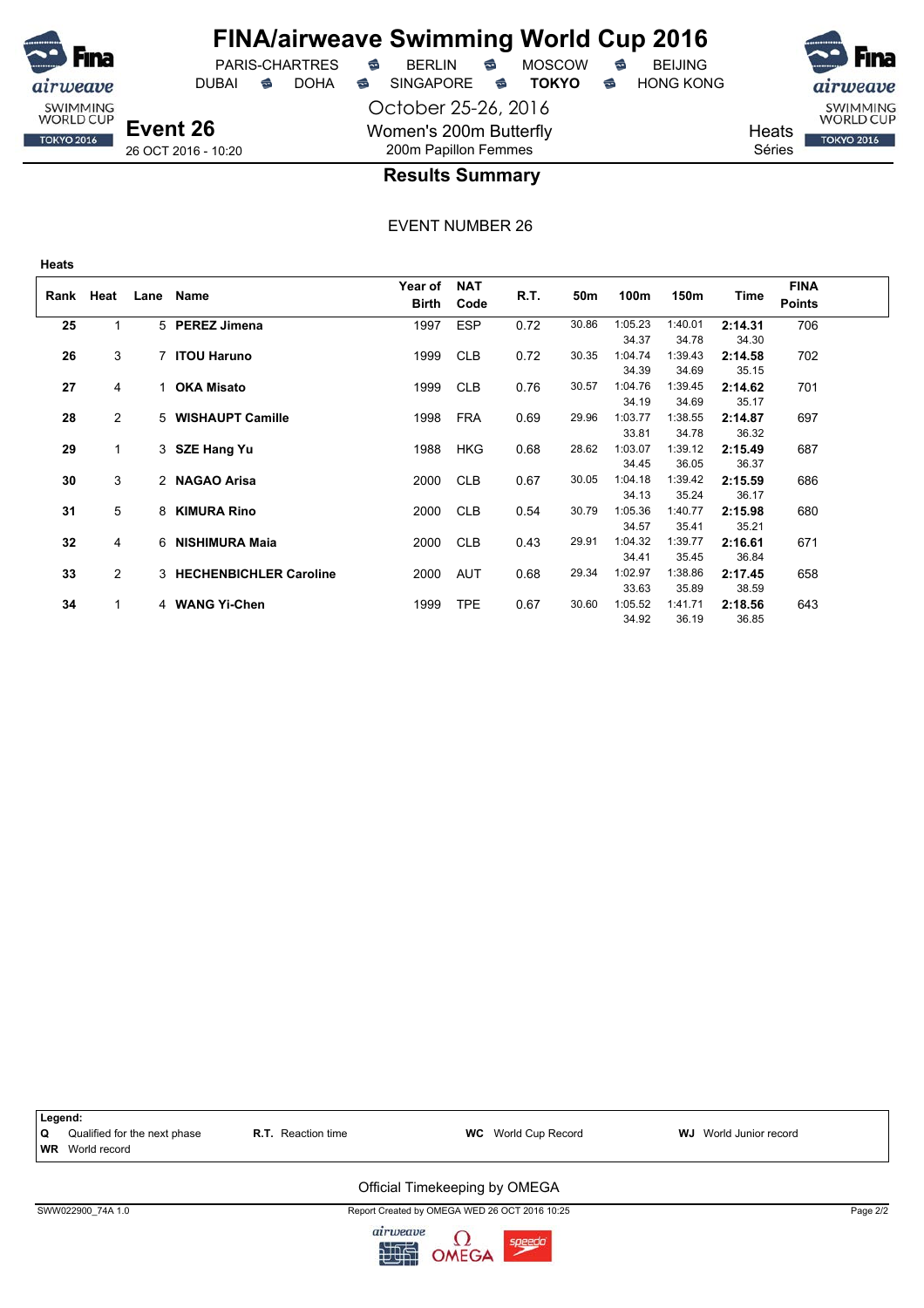

DUBAI **S** DOHA SINGAPORE S **TOKYO** S HONG KONG



**Event 26** 26 OCT 2016 - 10:20

**Heats**

weave SWIMMING<br>WORLD CUP

**TOKYO 2016** 

## October 25-26, 2016 Women's 200m Butterfly 200m Papillon Femmes

**Results Summary**

| Rank | Heat           |    | Lane Name                | Year of<br><b>Birth</b> | <b>NAT</b><br>Code | R.T. | 50m   | 100m             | 150m             | Time             | <b>FINA</b><br><b>Points</b> |
|------|----------------|----|--------------------------|-------------------------|--------------------|------|-------|------------------|------------------|------------------|------------------------------|
| 25   |                |    | 5 PEREZ Jimena           | 1997                    | <b>ESP</b>         | 0.72 | 30.86 | 1:05.23<br>34.37 | 1:40.01<br>34.78 | 2:14.31<br>34.30 | 706                          |
| 26   | 3              |    | 7 ITOU Haruno            | 1999                    | <b>CLB</b>         | 0.72 | 30.35 | 1:04.74<br>34.39 | 1:39.43<br>34.69 | 2:14.58<br>35.15 | 702                          |
| 27   | 4              | 1. | <b>OKA Misato</b>        | 1999                    | <b>CLB</b>         | 0.76 | 30.57 | 1:04.76<br>34.19 | 1:39.45<br>34.69 | 2:14.62<br>35.17 | 701                          |
| 28   | $\overline{2}$ |    | 5 WISHAUPT Camille       | 1998                    | <b>FRA</b>         | 0.69 | 29.96 | 1:03.77<br>33.81 | 1:38.55<br>34.78 | 2:14.87<br>36.32 | 697                          |
| 29   | $\mathbf{1}$   |    | 3 SZE Hang Yu            | 1988                    | <b>HKG</b>         | 0.68 | 28.62 | 1:03.07<br>34.45 | 1:39.12<br>36.05 | 2:15.49<br>36.37 | 687                          |
| 30   | 3              |    | 2 NAGAO Arisa            | 2000                    | <b>CLB</b>         | 0.67 | 30.05 | 1:04.18<br>34.13 | 1:39.42<br>35.24 | 2:15.59<br>36.17 | 686                          |
| 31   | 5              | 8  | <b>KIMURA Rino</b>       | 2000                    | <b>CLB</b>         | 0.54 | 30.79 | 1:05.36<br>34.57 | 1:40.77<br>35.41 | 2:15.98<br>35.21 | 680                          |
| 32   | 4              |    | 6 NISHIMURA Maia         | 2000                    | <b>CLB</b>         | 0.43 | 29.91 | 1:04.32<br>34.41 | 1:39.77<br>35.45 | 2:16.61<br>36.84 | 671                          |
| 33   | $\overline{2}$ |    | 3 HECHENBICHLER Caroline | 2000                    | <b>AUT</b>         | 0.68 | 29.34 | 1:02.97<br>33.63 | 1:38.86<br>35.89 | 2:17.45<br>38.59 | 658                          |
| 34   | 1              |    | 4 WANG Yi-Chen           | 1999                    | <b>TPE</b>         | 0.67 | 30.60 | 1:05.52<br>34.92 | 1:41.71<br>36.19 | 2:18.56<br>36.85 | 643                          |

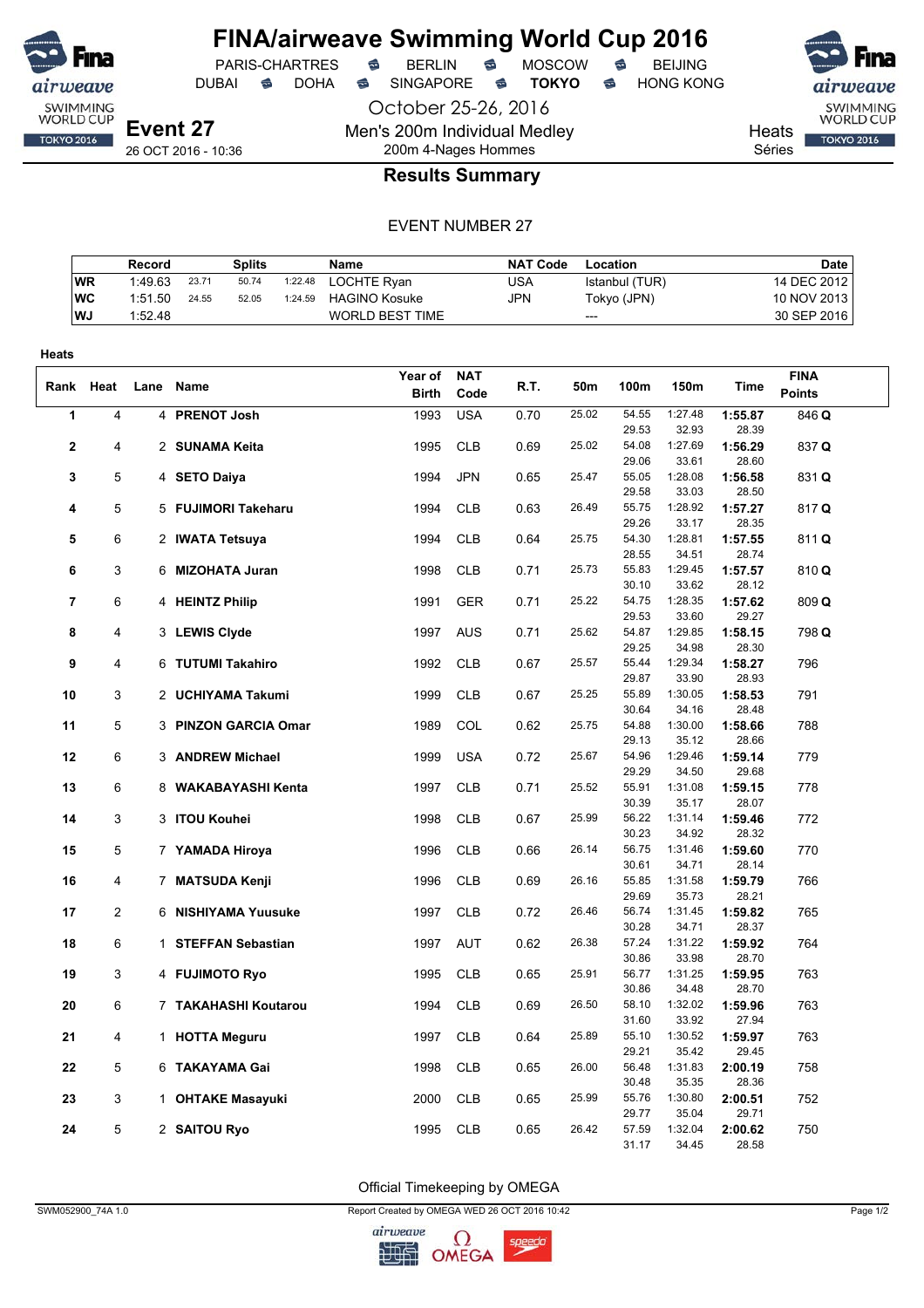

PARIS-CHARTRES **S** BERLIN S MOSCOW S

October 25-26, 2016 Men's 200m Individual Medley 200m 4-Nages Hommes

DUBAI **S** DOHA S SINGAPORE S **TOKYO** S HONG KONG

SWIMMING<br>WORLD CUP

**TOKYO 2016** 

**Heats** 

Séries

## EVENT NUMBER 27

**Results Summary**

|           | Record  |       | Splits |         | Name                   | <b>NAT Code</b> | Location       | <b>Date</b> |
|-----------|---------|-------|--------|---------|------------------------|-----------------|----------------|-------------|
| <b>WR</b> | 1:49.63 | 23.71 | 50.74  | 1:22.48 | LOCHTE Rvan            | JSA             | Istanbul (TUR) | 14 DEC 2012 |
| WC        | 1:51.50 | 24.55 | 52.05  | 1:24.59 | <b>HAGINO Kosuke</b>   | JPN             | Tokyo (JPN)    | 10 NOV 2013 |
| <b>WJ</b> | 1:52.48 |       |        |         | <b>WORLD BEST TIME</b> |                 | ---            | 30 SEP 2016 |

| Heats          |                |                      |              |            |      |       |                |                  |                  |               |  |
|----------------|----------------|----------------------|--------------|------------|------|-------|----------------|------------------|------------------|---------------|--|
|                |                |                      | Year of      | <b>NAT</b> |      |       |                |                  |                  | <b>FINA</b>   |  |
|                | Rank Heat      | Lane Name            | <b>Birth</b> | Code       | R.T. | 50m   | 100m           | 150m             | Time             | <b>Points</b> |  |
| 1              | 4              | 4 PRENOT Josh        | 1993         | <b>USA</b> | 0.70 | 25.02 | 54.55          | 1:27.48          | 1:55.87          | 846 Q         |  |
|                |                |                      |              |            |      |       | 29.53          | 32.93            | 28.39            |               |  |
| $\mathbf{2}$   | 4              | 2 SUNAMA Keita       | 1995         | <b>CLB</b> | 0.69 | 25.02 | 54.08          | 1:27.69          | 1:56.29          | 837 Q         |  |
|                |                |                      |              |            |      |       | 29.06          | 33.61            | 28.60            |               |  |
| 3              | 5              | 4 SETO Daiya         | 1994         | <b>JPN</b> | 0.65 | 25.47 | 55.05          | 1:28.08          | 1:56.58          | 831 Q         |  |
|                |                |                      |              |            |      |       | 29.58          | 33.03            | 28.50            |               |  |
| 4              | 5              | 5 FUJIMORI Takeharu  | 1994         | <b>CLB</b> | 0.63 | 26.49 | 55.75          | 1:28.92          | 1:57.27          | 817 Q         |  |
|                |                |                      |              |            |      | 25.75 | 29.26          | 33.17<br>1:28.81 | 28.35            |               |  |
| 5              | 6              | 2 IWATA Tetsuya      | 1994         | <b>CLB</b> | 0.64 |       | 54.30<br>28.55 | 34.51            | 1:57.55<br>28.74 | 811 Q         |  |
| 6              | 3              | 6 MIZOHATA Juran     | 1998         | <b>CLB</b> | 0.71 | 25.73 | 55.83          | 1:29.45          | 1:57.57          | 810 Q         |  |
|                |                |                      |              |            |      |       | 30.10          | 33.62            | 28.12            |               |  |
| $\overline{7}$ | 6              | 4 HEINTZ Philip      | 1991         | <b>GER</b> | 0.71 | 25.22 | 54.75          | 1:28.35          | 1:57.62          | 809 Q         |  |
|                |                |                      |              |            |      |       | 29.53          | 33.60            | 29.27            |               |  |
| 8              | 4              | 3 LEWIS Clyde        | 1997         | <b>AUS</b> | 0.71 | 25.62 | 54.87          | 1:29.85          | 1:58.15          | 798 Q         |  |
|                |                |                      |              |            |      |       | 29.25          | 34.98            | 28.30            |               |  |
| 9              | 4              | 6 TUTUMI Takahiro    | 1992         | <b>CLB</b> | 0.67 | 25.57 | 55.44          | 1:29.34          | 1:58.27          | 796           |  |
|                |                |                      |              |            |      |       | 29.87          | 33.90            | 28.93            |               |  |
| 10             | 3              | 2 UCHIYAMA Takumi    | 1999         | <b>CLB</b> | 0.67 | 25.25 | 55.89          | 1:30.05          | 1:58.53          | 791           |  |
|                |                |                      |              |            |      |       | 30.64          | 34.16            | 28.48            |               |  |
| 11             | 5              | 3 PINZON GARCIA Omar | 1989         | COL        | 0.62 | 25.75 | 54.88          | 1:30.00          | 1:58.66          | 788           |  |
|                |                |                      |              |            |      |       | 29.13          | 35.12            | 28.66            |               |  |
| 12             | 6              | 3 ANDREW Michael     | 1999         | <b>USA</b> | 0.72 | 25.67 | 54.96<br>29.29 | 1:29.46<br>34.50 | 1:59.14<br>29.68 | 779           |  |
| 13             | 6              | 8 WAKABAYASHI Kenta  | 1997         | <b>CLB</b> | 0.71 | 25.52 | 55.91          | 1:31.08          | 1:59.15          | 778           |  |
|                |                |                      |              |            |      |       | 30.39          | 35.17            | 28.07            |               |  |
| 14             | 3              | 3 ITOU Kouhei        | 1998         | <b>CLB</b> | 0.67 | 25.99 | 56.22          | 1:31.14          | 1:59.46          | 772           |  |
|                |                |                      |              |            |      |       | 30.23          | 34.92            | 28.32            |               |  |
| 15             | 5              | 7 YAMADA Hiroya      | 1996         | <b>CLB</b> | 0.66 | 26.14 | 56.75          | 1:31.46          | 1:59.60          | 770           |  |
|                |                |                      |              |            |      |       | 30.61          | 34.71            | 28.14            |               |  |
| 16             | 4              | 7 MATSUDA Kenji      | 1996         | <b>CLB</b> | 0.69 | 26.16 | 55.85          | 1:31.58          | 1:59.79          | 766           |  |
|                |                |                      |              |            |      |       | 29.69          | 35.73            | 28.21            |               |  |
| 17             | $\overline{2}$ | 6 NISHIYAMA Yuusuke  | 1997         | <b>CLB</b> | 0.72 | 26.46 | 56.74          | 1:31.45          | 1:59.82          | 765           |  |
|                |                |                      |              |            |      |       | 30.28          | 34.71            | 28.37            |               |  |
| 18             | 6              | 1 STEFFAN Sebastian  | 1997         | <b>AUT</b> | 0.62 | 26.38 | 57.24          | 1:31.22          | 1:59.92          | 764           |  |
|                |                |                      |              |            |      |       | 30.86<br>56.77 | 33.98            | 28.70            |               |  |
| 19             | 3              | 4 FUJIMOTO Ryo       | 1995         | <b>CLB</b> | 0.65 | 25.91 | 30.86          | 1:31.25<br>34.48 | 1:59.95<br>28.70 | 763           |  |
| 20             | 6              | 7 TAKAHASHI Koutarou | 1994         | <b>CLB</b> | 0.69 | 26.50 | 58.10          | 1:32.02          | 1:59.96          | 763           |  |
|                |                |                      |              |            |      |       | 31.60          | 33.92            | 27.94            |               |  |
| 21             | 4              | 1 HOTTA Meguru       | 1997         | <b>CLB</b> | 0.64 | 25.89 | 55.10          | 1:30.52          | 1:59.97          | 763           |  |
|                |                |                      |              |            |      |       | 29.21          | 35.42            | 29.45            |               |  |
| 22             | 5              | 6 TAKAYAMA Gai       | 1998         | <b>CLB</b> | 0.65 | 26.00 | 56.48          | 1:31.83          | 2:00.19          | 758           |  |
|                |                |                      |              |            |      |       | 30.48          | 35.35            | 28.36            |               |  |
| 23             | 3              | 1 OHTAKE Masayuki    | 2000         | <b>CLB</b> | 0.65 | 25.99 | 55.76          | 1:30.80          | 2:00.51          | 752           |  |
|                |                |                      |              |            |      |       | 29.77          | 35.04            | 29.71            |               |  |
| 24             | 5              | 2 SAITOU Ryo         | 1995         | <b>CLB</b> | 0.65 | 26.42 | 57.59          | 1:32.04          | 2:00.62          | 750           |  |
|                |                |                      |              |            |      |       | 31.17          | 34.45            | 28.58            |               |  |

Official Timekeeping by OMEGA

SWM052900\_74A 1.0 Page 1/2

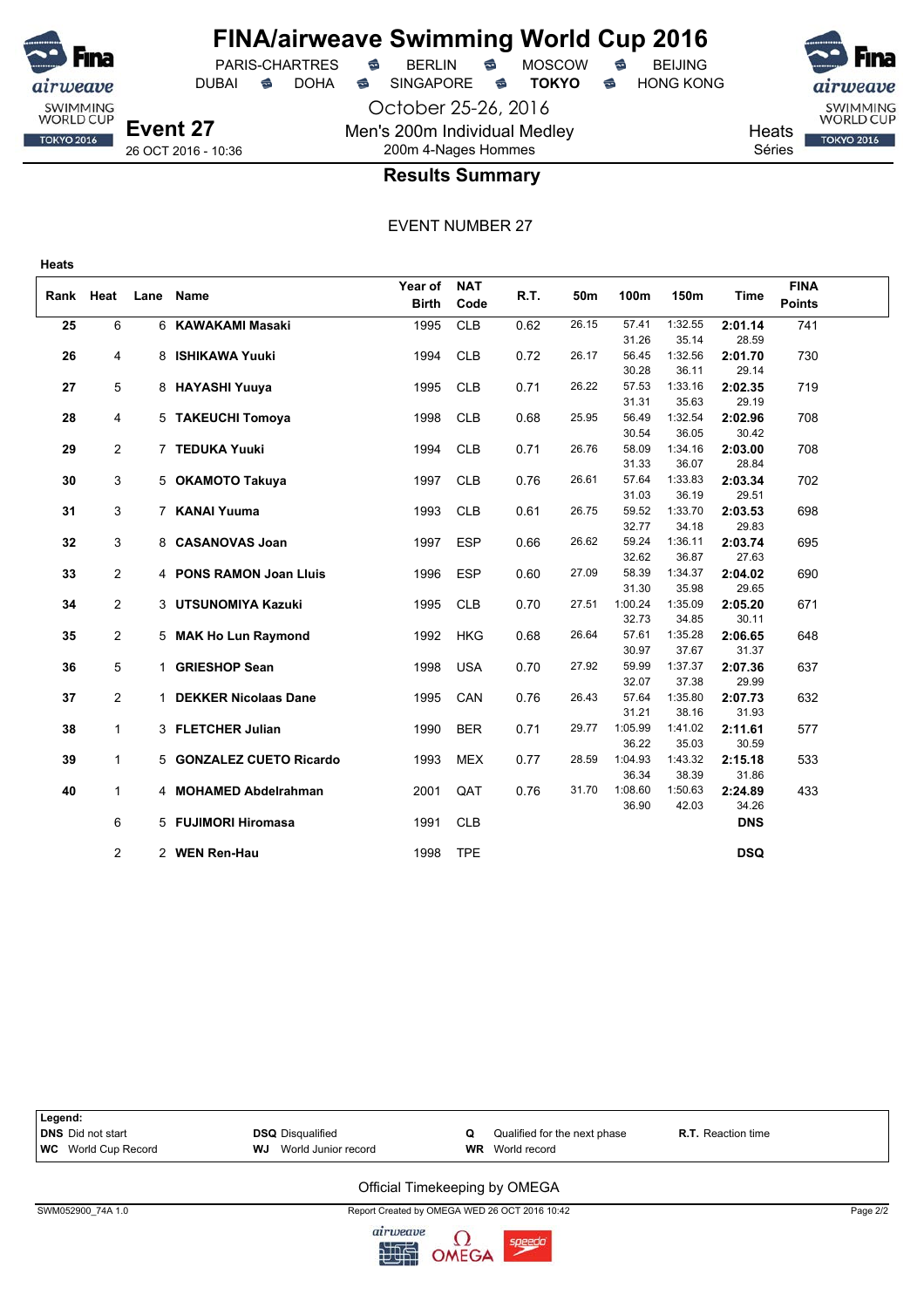

## **FINA/airweave Swimming World Cup 2016** PARIS-CHARTRES **B** BERLIN **B** MOSCOW **B** BEIJING

DUBAI **S** DOHA SINGAPORE S **TOKYO** S HONG KONG

October 25-26, 2016 Men's 200m Individual Medley 200m 4-Nages Hommes



**Heats** Séries

## **Results Summary**

| Rank Heat<br><b>Points</b><br><b>Birth</b><br>Code<br>6<br><b>CLB</b><br>0.62<br>1:32.55<br>25<br>6 KAWAKAMI Masaki<br>1995<br>26.15<br>57.41<br>2:01.14<br>741<br>35.14<br>31.26<br>28.59<br>8 ISHIKAWA Yuuki<br><b>CLB</b><br>1:32.56<br>2:01.70<br>26<br>1994<br>0.72<br>26.17<br>56.45<br>730<br>4<br>30.28<br>36.11<br>29.14<br>1:33.16<br>5<br>8 HAYASHI Yuuya<br><b>CLB</b><br>26.22<br>57.53<br>2:02.35<br>719<br>27<br>1995<br>0.71<br>29.19<br>31.31<br>35.63<br>28<br>4<br>1998<br><b>CLB</b><br>0.68<br>25.95<br>56.49<br>1:32.54<br>2:02.96<br>708<br>5 TAKEUCHI Tomoya<br>30.54<br>36.05<br>30.42<br>$\overline{2}$<br>26.76<br>58.09<br>1:34.16<br>29<br>7 TEDUKA Yuuki<br>1994<br><b>CLB</b><br>0.71<br>2:03.00<br>708<br>28.84<br>31.33<br>36.07<br>3<br>26.61<br>1:33.83<br><b>CLB</b><br>57.64<br>702<br>30<br>5 OKAMOTO Takuya<br>1997<br>0.76<br>2:03.34 |  |      |             | Year of | <b>NAT</b> |      |     |      |      |      | <b>FINA</b> |  |
|-------------------------------------------------------------------------------------------------------------------------------------------------------------------------------------------------------------------------------------------------------------------------------------------------------------------------------------------------------------------------------------------------------------------------------------------------------------------------------------------------------------------------------------------------------------------------------------------------------------------------------------------------------------------------------------------------------------------------------------------------------------------------------------------------------------------------------------------------------------------------------|--|------|-------------|---------|------------|------|-----|------|------|------|-------------|--|
|                                                                                                                                                                                                                                                                                                                                                                                                                                                                                                                                                                                                                                                                                                                                                                                                                                                                               |  | Lane | <b>Name</b> |         |            | R.T. | 50m | 100m | 150m | Time |             |  |
|                                                                                                                                                                                                                                                                                                                                                                                                                                                                                                                                                                                                                                                                                                                                                                                                                                                                               |  |      |             |         |            |      |     |      |      |      |             |  |
|                                                                                                                                                                                                                                                                                                                                                                                                                                                                                                                                                                                                                                                                                                                                                                                                                                                                               |  |      |             |         |            |      |     |      |      |      |             |  |
|                                                                                                                                                                                                                                                                                                                                                                                                                                                                                                                                                                                                                                                                                                                                                                                                                                                                               |  |      |             |         |            |      |     |      |      |      |             |  |
|                                                                                                                                                                                                                                                                                                                                                                                                                                                                                                                                                                                                                                                                                                                                                                                                                                                                               |  |      |             |         |            |      |     |      |      |      |             |  |
|                                                                                                                                                                                                                                                                                                                                                                                                                                                                                                                                                                                                                                                                                                                                                                                                                                                                               |  |      |             |         |            |      |     |      |      |      |             |  |
|                                                                                                                                                                                                                                                                                                                                                                                                                                                                                                                                                                                                                                                                                                                                                                                                                                                                               |  |      |             |         |            |      |     |      |      |      |             |  |
|                                                                                                                                                                                                                                                                                                                                                                                                                                                                                                                                                                                                                                                                                                                                                                                                                                                                               |  |      |             |         |            |      |     |      |      |      |             |  |
|                                                                                                                                                                                                                                                                                                                                                                                                                                                                                                                                                                                                                                                                                                                                                                                                                                                                               |  |      |             |         |            |      |     |      |      |      |             |  |
|                                                                                                                                                                                                                                                                                                                                                                                                                                                                                                                                                                                                                                                                                                                                                                                                                                                                               |  |      |             |         |            |      |     |      |      |      |             |  |
|                                                                                                                                                                                                                                                                                                                                                                                                                                                                                                                                                                                                                                                                                                                                                                                                                                                                               |  |      |             |         |            |      |     |      |      |      |             |  |
|                                                                                                                                                                                                                                                                                                                                                                                                                                                                                                                                                                                                                                                                                                                                                                                                                                                                               |  |      |             |         |            |      |     |      |      |      |             |  |
| 31.03<br>36.19<br>29.51                                                                                                                                                                                                                                                                                                                                                                                                                                                                                                                                                                                                                                                                                                                                                                                                                                                       |  |      |             |         |            |      |     |      |      |      |             |  |
| 3<br>31<br>7 KANAI Yuuma<br>1993<br><b>CLB</b><br>26.75<br>59.52<br>1:33.70<br>2:03.53<br>698<br>0.61                                                                                                                                                                                                                                                                                                                                                                                                                                                                                                                                                                                                                                                                                                                                                                         |  |      |             |         |            |      |     |      |      |      |             |  |
| 29.83<br>32.77<br>34.18                                                                                                                                                                                                                                                                                                                                                                                                                                                                                                                                                                                                                                                                                                                                                                                                                                                       |  |      |             |         |            |      |     |      |      |      |             |  |
| 3<br>26.62<br>59.24<br>1:36.11<br>32<br>8 CASANOVAS Joan<br><b>ESP</b><br>0.66<br>2:03.74<br>695<br>1997                                                                                                                                                                                                                                                                                                                                                                                                                                                                                                                                                                                                                                                                                                                                                                      |  |      |             |         |            |      |     |      |      |      |             |  |
| 36.87<br>27.63<br>32.62                                                                                                                                                                                                                                                                                                                                                                                                                                                                                                                                                                                                                                                                                                                                                                                                                                                       |  |      |             |         |            |      |     |      |      |      |             |  |
| $\overline{2}$<br><b>ESP</b><br>27.09<br>1:34.37<br>33<br>4 PONS RAMON Joan Lluis<br>1996<br>0.60<br>58.39<br>2:04.02<br>690                                                                                                                                                                                                                                                                                                                                                                                                                                                                                                                                                                                                                                                                                                                                                  |  |      |             |         |            |      |     |      |      |      |             |  |
| 31.30<br>35.98<br>29.65                                                                                                                                                                                                                                                                                                                                                                                                                                                                                                                                                                                                                                                                                                                                                                                                                                                       |  |      |             |         |            |      |     |      |      |      |             |  |
| 2<br>34<br>3 UTSUNOMIYA Kazuki<br>1995<br><b>CLB</b><br>27.51<br>1:00.24<br>1:35.09<br>2:05.20<br>671<br>0.70                                                                                                                                                                                                                                                                                                                                                                                                                                                                                                                                                                                                                                                                                                                                                                 |  |      |             |         |            |      |     |      |      |      |             |  |
| 30.11<br>32.73<br>34.85                                                                                                                                                                                                                                                                                                                                                                                                                                                                                                                                                                                                                                                                                                                                                                                                                                                       |  |      |             |         |            |      |     |      |      |      |             |  |
| $\overline{2}$<br>26.64<br>57.61<br>1:35.28<br>35<br>1992<br><b>HKG</b><br>0.68<br>2:06.65<br>648<br>5 MAK Ho Lun Raymond<br>37.67<br>31.37<br>30.97                                                                                                                                                                                                                                                                                                                                                                                                                                                                                                                                                                                                                                                                                                                          |  |      |             |         |            |      |     |      |      |      |             |  |
| 5<br>1 GRIESHOP Sean<br>1998<br><b>USA</b><br>27.92<br>59.99<br>1:37.37<br>637<br>36                                                                                                                                                                                                                                                                                                                                                                                                                                                                                                                                                                                                                                                                                                                                                                                          |  |      |             |         |            |      |     |      |      |      |             |  |
| 0.70<br>2:07.36<br>32.07<br>37.38<br>29.99                                                                                                                                                                                                                                                                                                                                                                                                                                                                                                                                                                                                                                                                                                                                                                                                                                    |  |      |             |         |            |      |     |      |      |      |             |  |
| $\overline{2}$<br>1 DEKKER Nicolaas Dane<br>CAN<br>26.43<br>57.64<br>1:35.80<br>2:07.73<br>632<br>37<br>1995<br>0.76                                                                                                                                                                                                                                                                                                                                                                                                                                                                                                                                                                                                                                                                                                                                                          |  |      |             |         |            |      |     |      |      |      |             |  |
| 31.93<br>31.21<br>38.16                                                                                                                                                                                                                                                                                                                                                                                                                                                                                                                                                                                                                                                                                                                                                                                                                                                       |  |      |             |         |            |      |     |      |      |      |             |  |
| 1:05.99<br>29.77<br>1:41.02<br>$\mathbf{1}$<br>3 FLETCHER Julian<br>1990<br><b>BER</b><br>0.71<br>2:11.61<br>577<br>38                                                                                                                                                                                                                                                                                                                                                                                                                                                                                                                                                                                                                                                                                                                                                        |  |      |             |         |            |      |     |      |      |      |             |  |
| 36.22<br>35.03<br>30.59                                                                                                                                                                                                                                                                                                                                                                                                                                                                                                                                                                                                                                                                                                                                                                                                                                                       |  |      |             |         |            |      |     |      |      |      |             |  |
| $\mathbf{1}$<br><b>MEX</b><br>1:04.93<br>1:43.32<br>2:15.18<br>39<br>5 GONZALEZ CUETO Ricardo<br>1993<br>28.59<br>533<br>0.77                                                                                                                                                                                                                                                                                                                                                                                                                                                                                                                                                                                                                                                                                                                                                 |  |      |             |         |            |      |     |      |      |      |             |  |
| 36.34<br>38.39<br>31.86                                                                                                                                                                                                                                                                                                                                                                                                                                                                                                                                                                                                                                                                                                                                                                                                                                                       |  |      |             |         |            |      |     |      |      |      |             |  |
| $\mathbf{1}$<br>4 MOHAMED Abdelrahman<br>2001<br>QAT<br>0.76<br>31.70<br>1:08.60<br>1:50.63<br>2:24.89<br>433<br>40                                                                                                                                                                                                                                                                                                                                                                                                                                                                                                                                                                                                                                                                                                                                                           |  |      |             |         |            |      |     |      |      |      |             |  |
| 34.26<br>36.90<br>42.03                                                                                                                                                                                                                                                                                                                                                                                                                                                                                                                                                                                                                                                                                                                                                                                                                                                       |  |      |             |         |            |      |     |      |      |      |             |  |
| 6<br>5 FUJIMORI Hiromasa<br>1991<br><b>CLB</b><br><b>DNS</b>                                                                                                                                                                                                                                                                                                                                                                                                                                                                                                                                                                                                                                                                                                                                                                                                                  |  |      |             |         |            |      |     |      |      |      |             |  |
|                                                                                                                                                                                                                                                                                                                                                                                                                                                                                                                                                                                                                                                                                                                                                                                                                                                                               |  |      |             |         |            |      |     |      |      |      |             |  |
| $\overline{2}$<br>2 WEN Ren-Hau<br><b>TPE</b><br><b>DSQ</b><br>1998                                                                                                                                                                                                                                                                                                                                                                                                                                                                                                                                                                                                                                                                                                                                                                                                           |  |      |             |         |            |      |     |      |      |      |             |  |

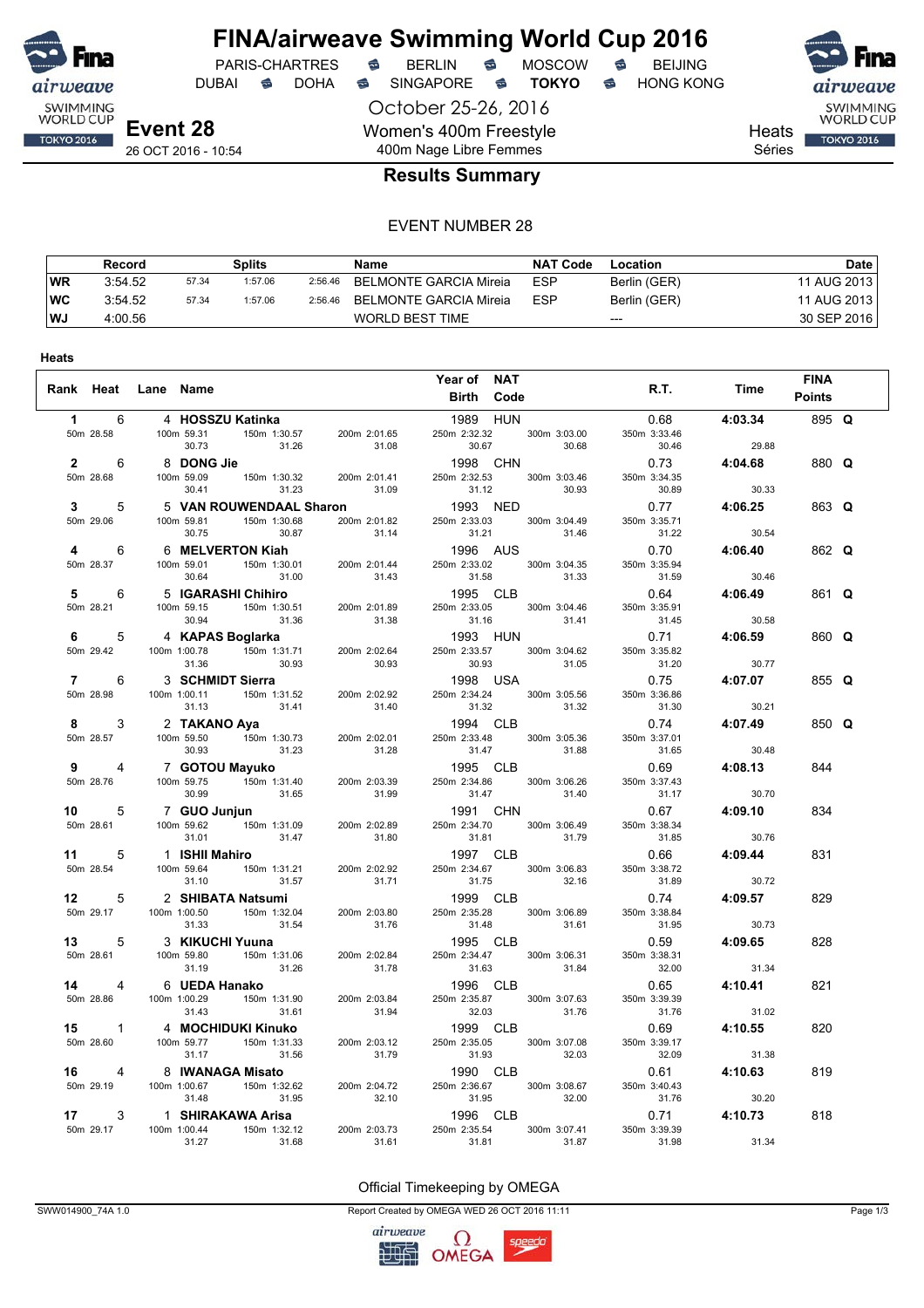

# **FINA/airweave Swimming World Cup 2016**<br>PARIS-CHARTRES **& BERLIN & MOSCOW & BEIJING**

DUBAI **S** DOHA S SINGAPORE S **TOKYO** S HONG KONG

October 25-26, 2016 Women's 400m Freestyle 400m Nage Libre Femmes





**Heats** 

Séries

### **Results Summary**

#### EVENT NUMBER 28

|    | Record  |       | <b>Splits</b> |         | Name                   | <b>NAT Code</b> | Location     | Date        |
|----|---------|-------|---------------|---------|------------------------|-----------------|--------------|-------------|
| WR | 3:54.52 | 57.34 | 1:57.06       | 2:56.46 | BELMONTE GARCIA Mireia | <b>ESP</b>      | Berlin (GER) | 11 AUG 2013 |
| WC | 3:54.52 | 57.34 | 1:57.06       | 2:56.46 | BELMONTE GARCIA Mireia | <b>ESP</b>      | Berlin (GER) | 11 AUG 2013 |
| WJ | 4:00.56 |       |               |         | WORLD BEST TIME        |                 | $---$        | 30 SEP 2016 |

|                |                     |       |       | Year of NAT                                                                                                                                                                                                                                                        |       |                                                                                                                                                               |                             | <b>FINA</b>   |  |
|----------------|---------------------|-------|-------|--------------------------------------------------------------------------------------------------------------------------------------------------------------------------------------------------------------------------------------------------------------------|-------|---------------------------------------------------------------------------------------------------------------------------------------------------------------|-----------------------------|---------------|--|
|                | Rank Heat Lane Name |       |       | Birth Code                                                                                                                                                                                                                                                         |       |                                                                                                                                                               | R.T. Time                   | <b>Points</b> |  |
| $1 \quad \Box$ | 6 4 HOSSZU Katinka  |       |       |                                                                                                                                                                                                                                                                    |       |                                                                                                                                                               |                             | 895 Q         |  |
|                |                     |       |       |                                                                                                                                                                                                                                                                    |       | 1989 HUN 0.68 4:03.34<br>250m 2:32.32 300m 3:03.00 350m 3:33.46<br>30.67 30.68 30.46 29.88<br>1998 CHN 0.73 4:04.68<br>250m 2:32.53 300m 3:03.46 350m 3:34.35 |                             |               |  |
|                |                     |       |       |                                                                                                                                                                                                                                                                    |       |                                                                                                                                                               |                             | 880 Q         |  |
|                |                     |       |       |                                                                                                                                                                                                                                                                    |       |                                                                                                                                                               |                             |               |  |
|                |                     |       |       |                                                                                                                                                                                                                                                                    |       |                                                                                                                                                               |                             | 863 Q         |  |
|                |                     |       |       |                                                                                                                                                                                                                                                                    |       |                                                                                                                                                               |                             |               |  |
|                |                     |       |       |                                                                                                                                                                                                                                                                    |       |                                                                                                                                                               |                             | 862 Q         |  |
|                |                     |       |       |                                                                                                                                                                                                                                                                    |       |                                                                                                                                                               |                             |               |  |
|                |                     |       |       |                                                                                                                                                                                                                                                                    |       |                                                                                                                                                               |                             | 861 Q         |  |
|                |                     |       |       | 30.54<br>4 6 6 MELVERTON Kiah<br>500.64 1996 AUS<br>500.64 150m 13.0.31<br>30.64 1996 AUS<br>500 28.37<br>30.64 150m 13.0.31<br>30.64 150m 23.01<br>31.40 200m 23.144 2560m 23.35<br>31.58 300m 3.04.35<br>50 28.42<br>50 28.41<br>50 28.41<br>50 28.41            |       |                                                                                                                                                               |                             |               |  |
|                |                     |       |       |                                                                                                                                                                                                                                                                    |       |                                                                                                                                                               |                             | 860 Q         |  |
|                |                     |       |       |                                                                                                                                                                                                                                                                    |       |                                                                                                                                                               |                             |               |  |
|                |                     |       |       |                                                                                                                                                                                                                                                                    |       |                                                                                                                                                               |                             | 855 Q         |  |
|                |                     |       |       |                                                                                                                                                                                                                                                                    |       | $31.32$<br>$31.32$<br>$31.30$<br>$30.21$<br>$3.74$<br>$31.88$<br>$31.30$<br>$30.21$<br>$31.88$<br>$31.37.01$                                                  |                             |               |  |
|                |                     |       |       |                                                                                                                                                                                                                                                                    |       |                                                                                                                                                               |                             | 850 Q         |  |
|                |                     |       |       | 9 4 7 <b>GOTOU Mayuko</b><br>50m 28.76 100m 59.75 150m 131.40 200m 2:03.39 250m 2:34.86 300m                                                                                                                                                                       | 31.88 | $31.65$ 31.65 $30.48$                                                                                                                                         |                             |               |  |
|                |                     |       |       |                                                                                                                                                                                                                                                                    |       | 1995 CLB 0.69 4:08.13<br>250m 2:34.86 300m 3:06.26 350m 3:37.43                                                                                               |                             | 844           |  |
|                |                     |       |       | 9.0m 28.76 100 69.75 150m 1:31.40 200m 2:03.39 250m 2:34.86 300m 3:06.26 350m 3:374<br>10 5 7 GUO Junjun 131.40 200m 2:03.39 250m 2:34.86 300m 3:06.26 350m 3:374<br>10 5 7 GUO Junjun 131.50 31.56 31.92<br>50m 28.61 100m 59.82                                  |       |                                                                                                                                                               |                             |               |  |
|                |                     |       |       |                                                                                                                                                                                                                                                                    |       |                                                                                                                                                               |                             | 834           |  |
|                |                     |       |       | 300m 3.06.49 350m 3.38.34<br>31.81 31.79 31.85 30.76<br>1997 CLB 0.66 4:09.44<br>250m 2:34.67 300m 3:06.83 350m 3:38.72<br>1999 CLB 0.74 4:09.57<br>250m 2:35.28 300m 3:06.89 350m 3:38.84<br>31.48 31.61 31.95 30.73<br>1995 CLB 0.59 4:09.                       |       |                                                                                                                                                               |                             |               |  |
|                |                     |       |       |                                                                                                                                                                                                                                                                    |       |                                                                                                                                                               |                             | 831           |  |
|                |                     |       |       |                                                                                                                                                                                                                                                                    |       |                                                                                                                                                               |                             |               |  |
|                |                     |       |       |                                                                                                                                                                                                                                                                    |       |                                                                                                                                                               |                             | 829           |  |
|                |                     |       |       |                                                                                                                                                                                                                                                                    |       |                                                                                                                                                               |                             |               |  |
|                |                     |       |       |                                                                                                                                                                                                                                                                    |       |                                                                                                                                                               |                             | 828           |  |
|                |                     |       |       |                                                                                                                                                                                                                                                                    |       |                                                                                                                                                               |                             |               |  |
|                |                     |       |       |                                                                                                                                                                                                                                                                    |       |                                                                                                                                                               |                             | 821           |  |
|                |                     |       |       |                                                                                                                                                                                                                                                                    |       |                                                                                                                                                               |                             |               |  |
|                |                     |       |       |                                                                                                                                                                                                                                                                    |       |                                                                                                                                                               |                             | 820           |  |
|                |                     |       |       |                                                                                                                                                                                                                                                                    |       |                                                                                                                                                               | 31.38                       |               |  |
|                |                     |       |       |                                                                                                                                                                                                                                                                    |       |                                                                                                                                                               | 0.61 4:10.63                | 819           |  |
|                |                     |       |       | 16<br>16 4 8 <b>IWANAGA Misato</b><br>50m 29.19 100m 1:00.67<br>16 100m 1:00.67 150m 1:32.62<br>31.48 1.15<br>16 100m 1:00.67 150m 1:32.62<br>31.48 1.15<br>16 100m 1:00.67 150m 1:32.62<br>31.48 31.95<br>16 1.16<br>1.17<br>3.1.48<br>1.17<br>1.17<br>3.1.48<br> |       |                                                                                                                                                               | 31.76 30.20<br>0.71 4:10.73 |               |  |
|                |                     |       |       |                                                                                                                                                                                                                                                                    |       |                                                                                                                                                               |                             | 818           |  |
|                | 31.27               | 31.68 | 31.61 | 31.81                                                                                                                                                                                                                                                              | 31.87 | 31.98                                                                                                                                                         | 31.34                       |               |  |

Official Timekeeping by OMEGA

SWW014900\_74A 1.0 Page 1/3

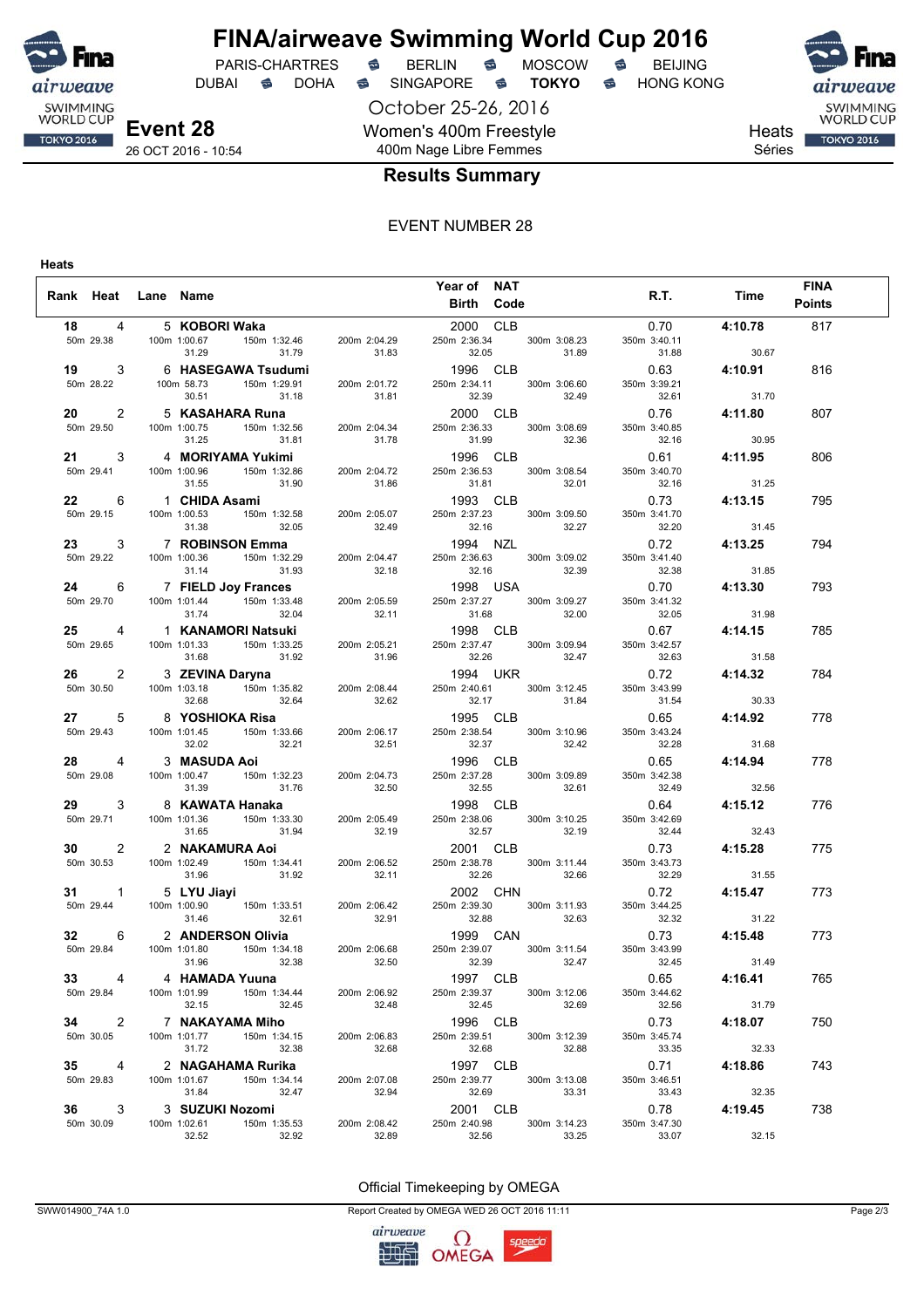

**FINA/airweave Swimming World Cup 2016**<br>PARIS-CHARTRES **& BERLIN & MOSCOW & BEIJING** PARIS-CHARTRES **B** BERLIN **B** MOSCOW **B** BEIJING

DUBAI **S** DOHA S SINGAPORE S **TOKYO** S HONG KONG

October 25-26, 2016 Women's 400m Freestyle 400m Nage Libre Femmes



SWIMMING<br>WORLD CUP **TOKYO 2016** 

Heats Séries

### **Results Summary**

#### EVENT NUMBER 28

**Heats**

|                      |                     |                |                                                                 |                                                                                                                                                                                                                                            | Year of NAT       |       |                           |                                                                                                                                                                                                                                                 |                | <b>FINA</b>   |  |
|----------------------|---------------------|----------------|-----------------------------------------------------------------|--------------------------------------------------------------------------------------------------------------------------------------------------------------------------------------------------------------------------------------------|-------------------|-------|---------------------------|-------------------------------------------------------------------------------------------------------------------------------------------------------------------------------------------------------------------------------------------------|----------------|---------------|--|
|                      | Rank Heat Lane Name |                |                                                                 |                                                                                                                                                                                                                                            | <b>Birth Code</b> |       |                           |                                                                                                                                                                                                                                                 | R.T. Time      | <b>Points</b> |  |
|                      |                     |                |                                                                 |                                                                                                                                                                                                                                            |                   |       |                           |                                                                                                                                                                                                                                                 |                |               |  |
| 18 4                 |                     | 5 KOBORI Waka  |                                                                 |                                                                                                                                                                                                                                            |                   |       | 2000 CLB                  |                                                                                                                                                                                                                                                 | $0.70$ 4:10.78 | 817           |  |
|                      |                     |                |                                                                 |                                                                                                                                                                                                                                            |                   |       |                           |                                                                                                                                                                                                                                                 |                |               |  |
|                      |                     |                |                                                                 |                                                                                                                                                                                                                                            |                   |       |                           | 18 4 5 KOBORI Waka 2000 CLB 0.70 4:10.78<br>50m 29.38 100m 1:02.67 150m 1:32.46 200m 2:04.29 350m 2:326 300m 3:08.23 350m 3:4.41<br>19 3 6 HASEGAWA Tsudumi 1996 CLB 0.63 4:10.91<br>50m 28.22 10 2 5 KASAHARA Runa 200m 2:01.72 23             |                |               |  |
|                      |                     |                |                                                                 |                                                                                                                                                                                                                                            |                   |       |                           |                                                                                                                                                                                                                                                 |                | 816           |  |
|                      |                     |                |                                                                 |                                                                                                                                                                                                                                            |                   |       |                           |                                                                                                                                                                                                                                                 |                |               |  |
|                      |                     |                |                                                                 |                                                                                                                                                                                                                                            |                   |       |                           |                                                                                                                                                                                                                                                 |                |               |  |
|                      |                     |                |                                                                 |                                                                                                                                                                                                                                            |                   |       |                           |                                                                                                                                                                                                                                                 |                | 807           |  |
|                      |                     |                |                                                                 |                                                                                                                                                                                                                                            |                   |       |                           |                                                                                                                                                                                                                                                 |                |               |  |
|                      |                     |                |                                                                 |                                                                                                                                                                                                                                            |                   |       |                           |                                                                                                                                                                                                                                                 |                |               |  |
|                      |                     |                |                                                                 |                                                                                                                                                                                                                                            |                   |       |                           |                                                                                                                                                                                                                                                 |                | 806           |  |
|                      |                     |                |                                                                 |                                                                                                                                                                                                                                            |                   |       |                           |                                                                                                                                                                                                                                                 |                |               |  |
|                      |                     |                |                                                                 |                                                                                                                                                                                                                                            |                   |       |                           |                                                                                                                                                                                                                                                 |                | 795           |  |
|                      |                     |                |                                                                 |                                                                                                                                                                                                                                            |                   |       |                           |                                                                                                                                                                                                                                                 |                |               |  |
|                      |                     |                |                                                                 |                                                                                                                                                                                                                                            |                   |       |                           |                                                                                                                                                                                                                                                 |                |               |  |
|                      |                     |                |                                                                 |                                                                                                                                                                                                                                            |                   |       |                           | 23 3 7 <b>ROBINSON Emma</b><br>31.38 32.49 32.49 32.46 32.27 32.20 31.45<br>50m 29.22 100m 1:00.36 150m 1:32.29 200m 2:04.47 250m 2:3663 300m 3:09.02 350m 3:41.40<br>24 6 7 <b>FIELD Joy Frances</b> 1998 USA 0.70 4:13.30<br>31.74 150m 1:33. |                | 794           |  |
|                      |                     |                |                                                                 |                                                                                                                                                                                                                                            |                   |       |                           |                                                                                                                                                                                                                                                 |                |               |  |
|                      |                     |                |                                                                 |                                                                                                                                                                                                                                            |                   |       |                           |                                                                                                                                                                                                                                                 |                |               |  |
|                      |                     |                |                                                                 |                                                                                                                                                                                                                                            |                   |       |                           |                                                                                                                                                                                                                                                 |                | 793           |  |
|                      |                     |                |                                                                 |                                                                                                                                                                                                                                            |                   |       |                           |                                                                                                                                                                                                                                                 |                |               |  |
|                      |                     |                |                                                                 |                                                                                                                                                                                                                                            |                   |       |                           |                                                                                                                                                                                                                                                 |                |               |  |
|                      |                     |                |                                                                 |                                                                                                                                                                                                                                            |                   |       |                           |                                                                                                                                                                                                                                                 |                | 785           |  |
|                      |                     |                |                                                                 |                                                                                                                                                                                                                                            |                   |       |                           |                                                                                                                                                                                                                                                 |                |               |  |
|                      |                     |                |                                                                 |                                                                                                                                                                                                                                            |                   |       |                           |                                                                                                                                                                                                                                                 |                |               |  |
|                      |                     |                |                                                                 |                                                                                                                                                                                                                                            |                   |       |                           | 26 2 3 ZEVINA Daryna<br>50 30.50 100m 1:03.18 150m 1:35.82 200m 2:08.44 250m 2:40.61 300m 3:12.45 350m 3:43.99                                                                                                                                  | 4:14.32        | 784           |  |
|                      |                     |                |                                                                 |                                                                                                                                                                                                                                            |                   |       |                           |                                                                                                                                                                                                                                                 |                |               |  |
|                      |                     | 32.68          |                                                                 | 32.64 32.62 32.17 31.84                                                                                                                                                                                                                    |                   |       |                           | 31.54                                                                                                                                                                                                                                           | 30.33          |               |  |
|                      |                     |                |                                                                 | 27 5 8 YOSHIOKA Risa<br>50m 29.43 100m 1:01.45 150m 1:33.66 200m 2:06.17 250m 2:38.54 300m 3:10.96<br>28 4 3 MASUDA Aoi 32.02 32.21 1996 CLB                                                                                               |                   |       |                           |                                                                                                                                                                                                                                                 | 0.65 4:14.92   | 778           |  |
|                      |                     |                |                                                                 |                                                                                                                                                                                                                                            |                   |       |                           | 350m 3:43.24                                                                                                                                                                                                                                    |                |               |  |
|                      |                     |                |                                                                 |                                                                                                                                                                                                                                            |                   |       |                           | 32.28                                                                                                                                                                                                                                           | 31.68          |               |  |
|                      |                     |                | 32.02 32.21<br>3 <b>MASUDA Aoi</b><br>100m 1:00.47 150m 1:32.23 |                                                                                                                                                                                                                                            |                   |       |                           |                                                                                                                                                                                                                                                 | 0.65 4:14.94   | 778           |  |
| 50m 29.08            |                     |                |                                                                 | 200m 2:04.73<br>32.50                                                                                                                                                                                                                      |                   |       | 250m 2:37.28 300m 3:09.89 | 350m 3:42.38                                                                                                                                                                                                                                    |                |               |  |
|                      |                     | 31.39          | 31.76 32.50                                                     |                                                                                                                                                                                                                                            | 32.55             |       | 32.61                     | 32.49                                                                                                                                                                                                                                           | 32.56          |               |  |
|                      |                     |                | 29 3 8 KAWATA Hanaka                                            |                                                                                                                                                                                                                                            |                   |       |                           | 29 3 8 KAWATA Hanaka 1998 CLB 0.64<br>50m 29.71 100m 1:01.36 150m 1:33.30 200m 2:05.49 250m 2:38.06 300m 3:10.25 350m 3:42.69                                                                                                                   | 4:15.12        | 776           |  |
|                      |                     |                |                                                                 |                                                                                                                                                                                                                                            |                   |       |                           |                                                                                                                                                                                                                                                 |                |               |  |
|                      |                     |                |                                                                 |                                                                                                                                                                                                                                            |                   |       |                           | 32.57 32.19 32.44                                                                                                                                                                                                                               | 32.43          |               |  |
|                      |                     |                |                                                                 |                                                                                                                                                                                                                                            |                   |       |                           |                                                                                                                                                                                                                                                 | $0.73$ 4:15.28 | 775           |  |
|                      |                     |                |                                                                 |                                                                                                                                                                                                                                            |                   |       |                           | 350m 3:43.73                                                                                                                                                                                                                                    |                |               |  |
|                      |                     |                |                                                                 |                                                                                                                                                                                                                                            |                   |       |                           | 32.29                                                                                                                                                                                                                                           | 31.55          |               |  |
|                      |                     |                |                                                                 | 30 2 2 <b>NAKAMURA Aoi</b><br>50m 30.53 100m 1:02.49 150m 1:34.41 31.92<br>50m 30.53 100m 1:02.49 150m 1:34.41 200m 2:06.52 250m 2:38.78 300m 3:10.42<br>50m 30.53 100m 1:02.49 150m 1:34.41 200m 2:06.52 250m 2:38.78 300m 3:11.44<br>31. |                   |       |                           |                                                                                                                                                                                                                                                 | $0.72$ 4:15.47 | 773           |  |
|                      |                     |                |                                                                 |                                                                                                                                                                                                                                            |                   |       |                           | 350m 3:44.25                                                                                                                                                                                                                                    |                |               |  |
|                      |                     |                |                                                                 |                                                                                                                                                                                                                                            |                   |       |                           |                                                                                                                                                                                                                                                 |                |               |  |
|                      |                     |                |                                                                 |                                                                                                                                                                                                                                            |                   |       |                           | 32.91 32.88 32.63 32.63 32.32 31.22<br>32.91 32.88 32.63 32.32 31.22<br>50m 29.84 100m 1:01.80 150m 1:34.18 200m 2:06.68 250m 2:39.07 300m 3:11.54 350m 3:43.99<br>31.96 32.38 32.50 32.50 32.50 32.50 32.38 32.50 32.38 32.50 32.38            |                | 773           |  |
|                      |                     |                |                                                                 |                                                                                                                                                                                                                                            |                   |       |                           |                                                                                                                                                                                                                                                 |                |               |  |
|                      |                     |                |                                                                 |                                                                                                                                                                                                                                            |                   |       |                           |                                                                                                                                                                                                                                                 |                |               |  |
| 33 <sup>7</sup>      |                     | 4 HAMADA Yuuna |                                                                 |                                                                                                                                                                                                                                            | 1997 CLB          |       |                           | 0.65                                                                                                                                                                                                                                            | 4:16.41        | 765           |  |
| 50m 29.84            |                     | 100m 1:01.99   | 150m 1:34.44                                                    | 200m 2:06.92                                                                                                                                                                                                                               | 250m 2:39.37      |       | 300m 3:12.06              | 350m 3:44.62                                                                                                                                                                                                                                    |                |               |  |
|                      |                     | 32.15          | 32.45                                                           | 32.48                                                                                                                                                                                                                                      |                   | 32.45 | 32.69                     | 32.56                                                                                                                                                                                                                                           | 31.79          |               |  |
| $\overline{2}$<br>34 |                     |                | 7 NAKAYAMA Miho                                                 |                                                                                                                                                                                                                                            | 1996 CLB          |       |                           | 0.73                                                                                                                                                                                                                                            | 4:18.07        | 750           |  |
| 50m 30.05            |                     | 100m 1:01.77   | 150m 1:34.15                                                    | 200m 2:06.83                                                                                                                                                                                                                               | 250m 2:39.51      |       | 300m 3:12.39              | 350m 3:45.74                                                                                                                                                                                                                                    |                |               |  |
|                      |                     | 31.72          | 32.38                                                           | 32.68                                                                                                                                                                                                                                      | 32.68             |       | 32.88                     | 33.35                                                                                                                                                                                                                                           | 32.33          |               |  |
| 35<br>$\overline{4}$ |                     |                | 2 NAGAHAMA Rurika                                               |                                                                                                                                                                                                                                            | 1997 CLB          |       |                           | 0.71                                                                                                                                                                                                                                            | 4:18.86        | 743           |  |
| 50m 29.83            |                     | 100m 1:01.67   | 150m 1:34.14                                                    | 200m 2:07.08                                                                                                                                                                                                                               | 250m 2:39.77      |       | 300m 3:13.08              | 350m 3:46.51                                                                                                                                                                                                                                    |                |               |  |
|                      |                     | 31.84          | 32.47                                                           | 32.94                                                                                                                                                                                                                                      | 32.69             |       | 33.31                     | 33.43                                                                                                                                                                                                                                           | 32.35          |               |  |
| 36<br>3              |                     |                | 3 SUZUKI Nozomi                                                 |                                                                                                                                                                                                                                            | 2001 CLB          |       |                           | 0.78                                                                                                                                                                                                                                            | 4:19.45        | 738           |  |
| 50m 30.09            |                     | 100m 1:02.61   | 150m 1:35.53                                                    | 200m 2:08.42                                                                                                                                                                                                                               | 250m 2:40.98      |       | 300m 3:14.23              | 350m 3:47.30                                                                                                                                                                                                                                    |                |               |  |
|                      |                     | 32.52          | 32.92                                                           | 32.89                                                                                                                                                                                                                                      | 32.56             |       | 33.25                     | 33.07                                                                                                                                                                                                                                           | 32.15          |               |  |

Official Timekeeping by OMEGA

SWW014900\_74A 1.0 Page 2/3

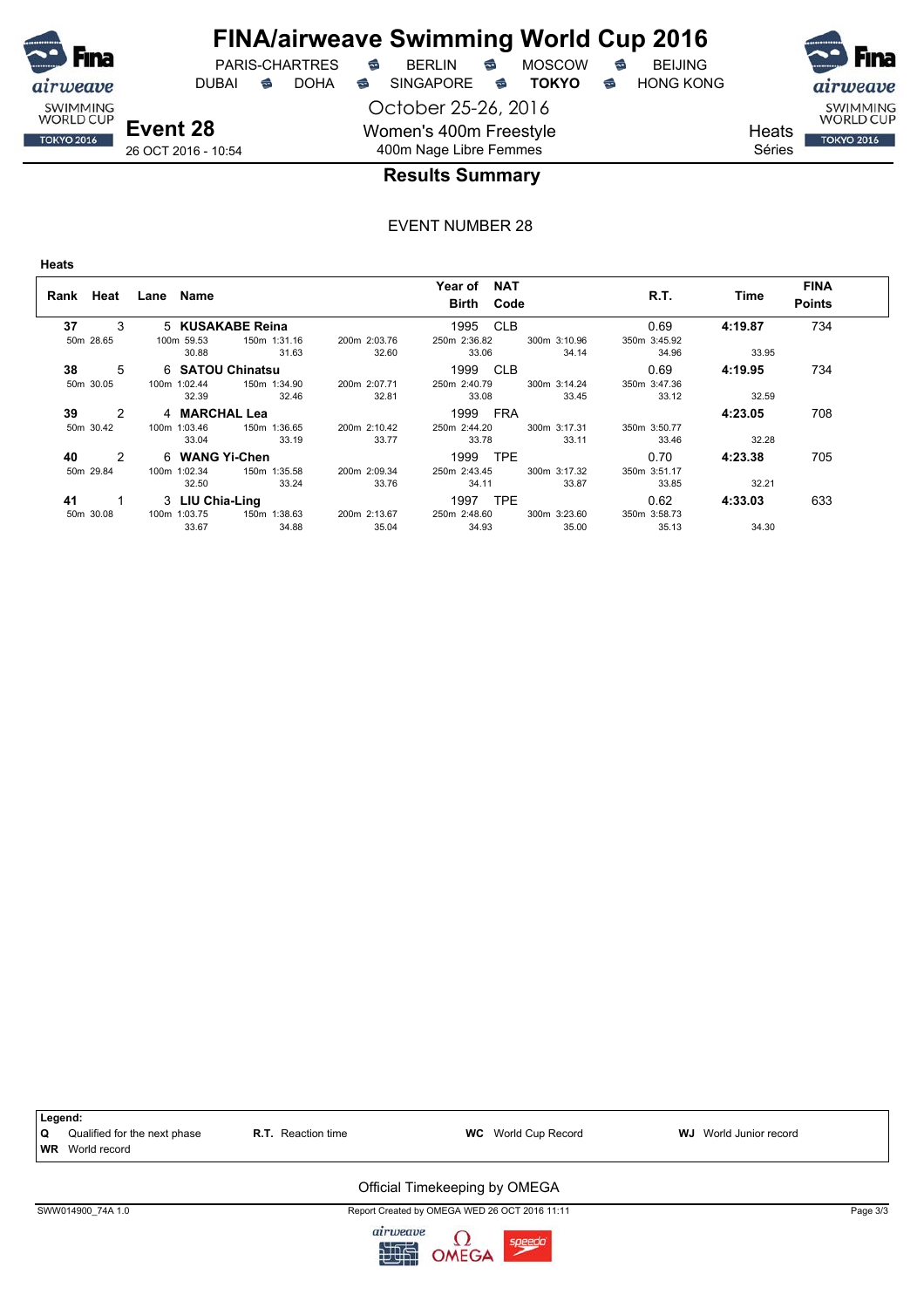

## **FINA/airweave Swimming World Cup 2016**

DUBAI **S** DOHA SINGAPORE S **TOKYO** S HONG KONG

PARIS-CHARTRES **B** BERLIN **B** MOSCOW **B** BEIJING

October 25-26, 2016 Women's 400m Freestyle 400m Nage Libre Femmes





**Heats** Séries

26 OCT 2016 - 10:54

### **Results Summary**

#### EVENT NUMBER 28

**Heats**

| Rank      | Heat          | Lane Name        |                  |              | Year of NAT<br><b>Birth Code</b> |              | R.T.         | Time    | <b>FINA</b><br><b>Points</b> |
|-----------|---------------|------------------|------------------|--------------|----------------------------------|--------------|--------------|---------|------------------------------|
| 37        | 3             |                  | 5 KUSAKABE Reina |              | 1995 CLB                         |              | 0.69         | 4:19.87 | 734                          |
| 50m 28.65 |               | 100m 59.53       | 150m 1:31.16     | 200m 2:03.76 | 250m 2:36.82                     | 300m 3:10.96 | 350m 3:45.92 |         |                              |
|           |               | 30.88            | 31.63            | 32.60        | 33.06                            | 34.14        | 34.96        | 33.95   |                              |
| 38        | 5             | 6 SATOU Chinatsu |                  |              | 1999 CLB                         |              | 0.69         | 4:19.95 | 734                          |
| 50m 30.05 |               | 100m 1:02.44     | 150m 1:34.90     | 200m 2:07.71 | 250m 2:40.79                     | 300m 3:14.24 | 350m 3:47.36 |         |                              |
|           |               | 32.39            | 32.46            | 32.81        | 33.08                            | 33.45        | 33.12        | 32.59   |                              |
| 39        | $\mathcal{P}$ | 4 MARCHAL Lea    |                  |              | 1999 FRA                         |              |              | 4:23.05 | 708                          |
| 50m 30.42 |               | 100m 1:03.46     | 150m 1:36.65     | 200m 2:10.42 | 250m 2:44.20                     | 300m 3:17.31 | 350m 3:50.77 |         |                              |
|           |               | 33.04            | 33.19            | 33.77        | 33.78                            | 33.11        | 33.46        | 32.28   |                              |
| 40        | $\mathcal{P}$ | 6 WANG Yi-Chen   |                  |              | 1999 TPE                         |              | 0.70         | 4:23.38 | 705                          |
| 50m 29.84 |               | 100m 1:02.34     | 150m 1:35.58     | 200m 2:09.34 | 250m 2:43.45                     | 300m 3:17.32 | 350m 3:51.17 |         |                              |
|           |               | 32.50            | 33.24            | 33.76        | 34.11                            | 33.87        | 33.85        | 32.21   |                              |
| 41        |               | 3 LIU Chia-Ling  |                  |              | <b>TPE</b><br>1997               |              | 0.62         | 4:33.03 | 633                          |
| 50m 30.08 |               | 100m 1:03.75     | 150m 1:38.63     | 200m 2:13.67 | 250m 2:48.60                     | 300m 3:23.60 | 350m 3:58.73 |         |                              |
|           |               | 33.67            | 34.88            | 35.04        | 34.93                            | 35.00        | 35.13        | 34.30   |                              |



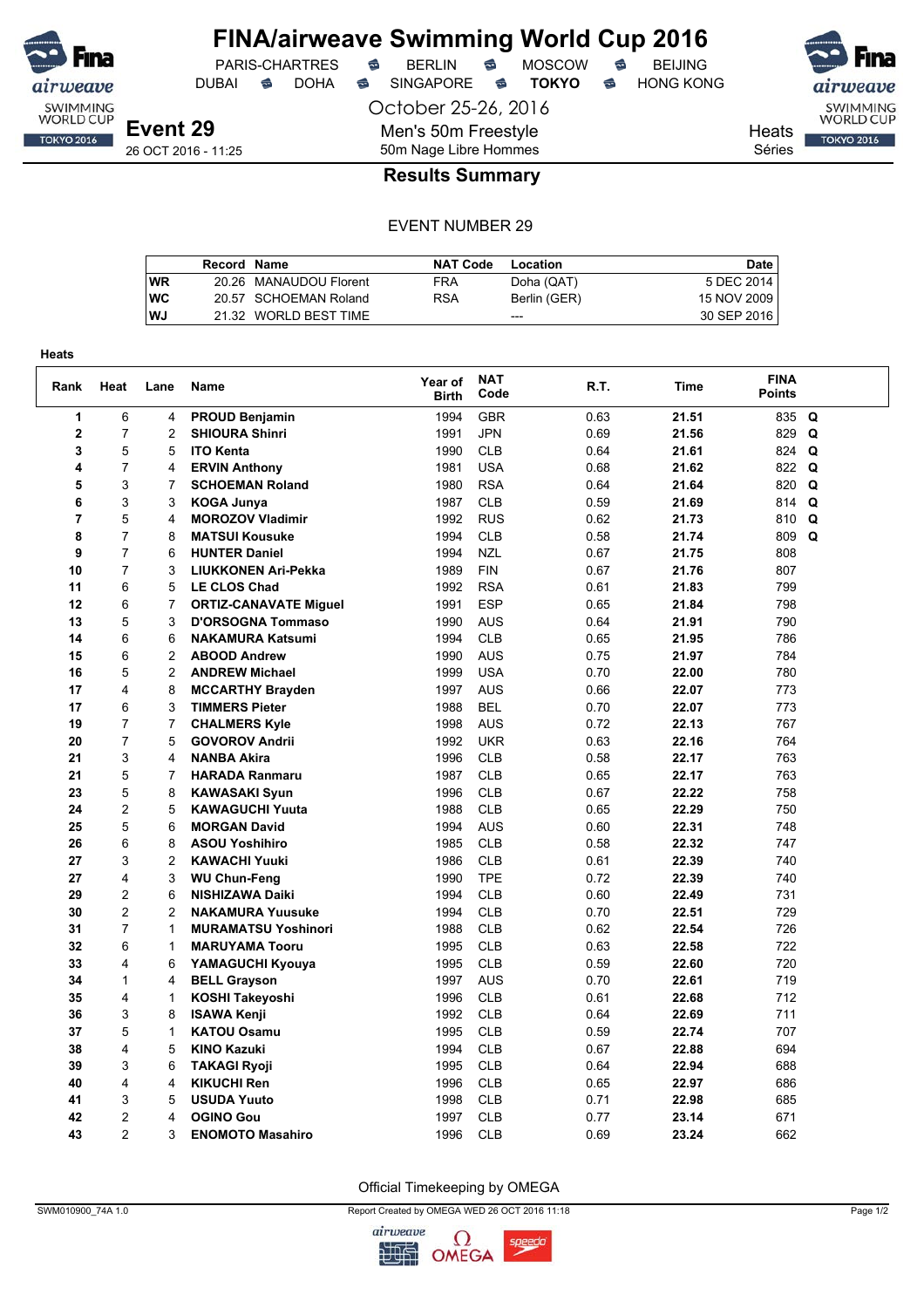

# **FINA/airweave Swimming World Cup 2016**<br>PARIS-CHARTRES **& BERLIN & MOSCOW & BEIJING**

DUBAI **S** DOHA S SINGAPORE S **TOKYO** S HONG KONG

PARIS-CHARTRES **S** BERLIN S MOSCOW S

October 25-26, 2016

Men's 50m Freestyle

SWIMMING<br>WORLD CUP **TOKYO 2016** 

**Heats** 

Séries

26 OCT 2016 - 11:25

## 50m Nage Libre Hommes **Results Summary**

|           | Record Name |                        | <b>NAT Code</b> | Location     | Date        |
|-----------|-------------|------------------------|-----------------|--------------|-------------|
| <b>WR</b> |             | 20.26 MANAUDOU Florent | FRA             | Doha (QAT)   | 5 DEC 2014  |
| <b>WC</b> |             | 20.57 SCHOEMAN Roland  | <b>RSA</b>      | Berlin (GER) | 15 NOV 2009 |
| <b>WJ</b> |             | 21.32 WORLD BEST TIME  |                 | $- - -$      | 30 SEP 2016 |

| Rank           | Heat           | Lane           | Name                         | Year of<br><b>Birth</b> | <b>NAT</b><br>Code | R.T. | Time  | <b>FINA</b><br><b>Points</b> |          |
|----------------|----------------|----------------|------------------------------|-------------------------|--------------------|------|-------|------------------------------|----------|
| 1              | 6              | 4              | <b>PROUD Benjamin</b>        | 1994                    | <b>GBR</b>         | 0.63 | 21.51 | 835 Q                        |          |
| $\overline{2}$ | $\overline{7}$ | $\overline{2}$ | <b>SHIOURA Shinri</b>        | 1991                    | <b>JPN</b>         | 0.69 | 21.56 | 829                          | Q        |
| 3              | 5              | 5              | <b>ITO Kenta</b>             | 1990                    | <b>CLB</b>         | 0.64 | 21.61 | 824                          | Q        |
| 4              | $\overline{7}$ | 4              | <b>ERVIN Anthony</b>         | 1981                    | <b>USA</b>         | 0.68 | 21.62 | 822 Q                        |          |
| 5              | 3              | 7              | <b>SCHOEMAN Roland</b>       | 1980                    | <b>RSA</b>         | 0.64 | 21.64 | 820                          | $\Omega$ |
| 6              | 3              | 3              | <b>KOGA Junya</b>            | 1987                    | <b>CLB</b>         | 0.59 | 21.69 | 814                          | Q        |
| $\overline{7}$ | 5              | 4              | <b>MOROZOV Vladimir</b>      | 1992                    | <b>RUS</b>         | 0.62 | 21.73 | 810                          | Q        |
| 8              | $\overline{7}$ | 8              | <b>MATSUI Kousuke</b>        | 1994                    | <b>CLB</b>         | 0.58 | 21.74 | 809 Q                        |          |
| 9              | $\overline{7}$ | 6              | <b>HUNTER Daniel</b>         | 1994                    | <b>NZL</b>         | 0.67 | 21.75 | 808                          |          |
| 10             | $\overline{7}$ | 3              | <b>LIUKKONEN Ari-Pekka</b>   | 1989                    | <b>FIN</b>         | 0.67 | 21.76 | 807                          |          |
| 11             | 6              | 5              | <b>LE CLOS Chad</b>          | 1992                    | <b>RSA</b>         | 0.61 | 21.83 | 799                          |          |
| 12             | 6              | $\overline{7}$ | <b>ORTIZ-CANAVATE Miguel</b> | 1991                    | <b>ESP</b>         | 0.65 | 21.84 | 798                          |          |
| 13             | 5              | 3              | <b>D'ORSOGNA Tommaso</b>     | 1990                    | <b>AUS</b>         | 0.64 | 21.91 | 790                          |          |
| 14             | 6              | 6              | <b>NAKAMURA Katsumi</b>      | 1994                    | <b>CLB</b>         | 0.65 | 21.95 | 786                          |          |
| 15             | 6              | $\overline{c}$ | <b>ABOOD Andrew</b>          | 1990                    | <b>AUS</b>         | 0.75 | 21.97 | 784                          |          |
| 16             | 5              | 2              | <b>ANDREW Michael</b>        | 1999                    | <b>USA</b>         | 0.70 | 22.00 | 780                          |          |
| 17             | 4              | 8              | <b>MCCARTHY Brayden</b>      | 1997                    | <b>AUS</b>         | 0.66 | 22.07 | 773                          |          |
| 17             | 6              | 3              | <b>TIMMERS Pieter</b>        | 1988                    | <b>BEL</b>         | 0.70 | 22.07 | 773                          |          |
| 19             | $\overline{7}$ | $\overline{7}$ | <b>CHALMERS Kyle</b>         | 1998                    | <b>AUS</b>         | 0.72 | 22.13 | 767                          |          |
| 20             | $\overline{7}$ | 5              | <b>GOVOROV Andrii</b>        | 1992                    | <b>UKR</b>         | 0.63 | 22.16 | 764                          |          |
| 21             | 3              | 4              | <b>NANBA Akira</b>           | 1996                    | <b>CLB</b>         | 0.58 | 22.17 | 763                          |          |
| 21             | 5              | $\overline{7}$ | <b>HARADA Ranmaru</b>        | 1987                    | <b>CLB</b>         | 0.65 | 22.17 | 763                          |          |
| 23             | 5              | 8              | <b>KAWASAKI Syun</b>         | 1996                    | <b>CLB</b>         | 0.67 | 22.22 | 758                          |          |
| 24             | $\overline{2}$ | 5              | <b>KAWAGUCHI Yuuta</b>       | 1988                    | <b>CLB</b>         | 0.65 | 22.29 | 750                          |          |
| 25             | 5              | 6              | <b>MORGAN David</b>          | 1994                    | <b>AUS</b>         | 0.60 | 22.31 | 748                          |          |
| 26             | 6              | 8              | <b>ASOU Yoshihiro</b>        | 1985                    | <b>CLB</b>         | 0.58 | 22.32 | 747                          |          |
| 27             | 3              | $\overline{2}$ | <b>KAWACHI Yuuki</b>         | 1986                    | <b>CLB</b>         | 0.61 | 22.39 | 740                          |          |
| 27             | 4              | 3              | <b>WU Chun-Feng</b>          | 1990                    | <b>TPE</b>         | 0.72 | 22.39 | 740                          |          |
| 29             | 2              | 6              | <b>NISHIZAWA Daiki</b>       | 1994                    | <b>CLB</b>         | 0.60 | 22.49 | 731                          |          |
| 30             | 2              | $\overline{2}$ | <b>NAKAMURA Yuusuke</b>      | 1994                    | <b>CLB</b>         | 0.70 | 22.51 | 729                          |          |
| 31             | $\overline{7}$ | $\mathbf{1}$   | <b>MURAMATSU Yoshinori</b>   | 1988                    | <b>CLB</b>         | 0.62 | 22.54 | 726                          |          |
| 32             | 6              | 1              | <b>MARUYAMA Tooru</b>        | 1995                    | <b>CLB</b>         | 0.63 | 22.58 | 722                          |          |
| 33             | 4              | 6              | YAMAGUCHI Kyouya             | 1995                    | <b>CLB</b>         | 0.59 | 22.60 | 720                          |          |
| 34             | $\mathbf{1}$   | 4              | <b>BELL Grayson</b>          | 1997                    | <b>AUS</b>         | 0.70 | 22.61 | 719                          |          |
| 35             | 4              | $\mathbf{1}$   | <b>KOSHI Takeyoshi</b>       | 1996                    | <b>CLB</b>         | 0.61 | 22.68 | 712                          |          |
| 36             | 3              | 8              | <b>ISAWA Kenji</b>           | 1992                    | <b>CLB</b>         | 0.64 | 22.69 | 711                          |          |
| 37             | 5              | 1              | <b>KATOU Osamu</b>           | 1995                    | <b>CLB</b>         | 0.59 | 22.74 | 707                          |          |
| 38             | 4              | 5              | <b>KINO Kazuki</b>           | 1994                    | <b>CLB</b>         | 0.67 | 22.88 | 694                          |          |
| 39             | 3              | 6              | <b>TAKAGI Ryoji</b>          | 1995                    | <b>CLB</b>         | 0.64 | 22.94 | 688                          |          |
| 40             | 4              | 4              | <b>KIKUCHI Ren</b>           | 1996                    | <b>CLB</b>         | 0.65 | 22.97 | 686                          |          |
| 41             | 3              | 5              | <b>USUDA Yuuto</b>           | 1998                    | <b>CLB</b>         | 0.71 | 22.98 | 685                          |          |
| 42             | $\overline{c}$ | 4              | <b>OGINO Gou</b>             | 1997                    | <b>CLB</b>         | 0.77 | 23.14 | 671                          |          |
| 43             | $\overline{2}$ | 3              | <b>ENOMOTO Masahiro</b>      | 1996                    | <b>CLB</b>         | 0.69 | 23.24 | 662                          |          |

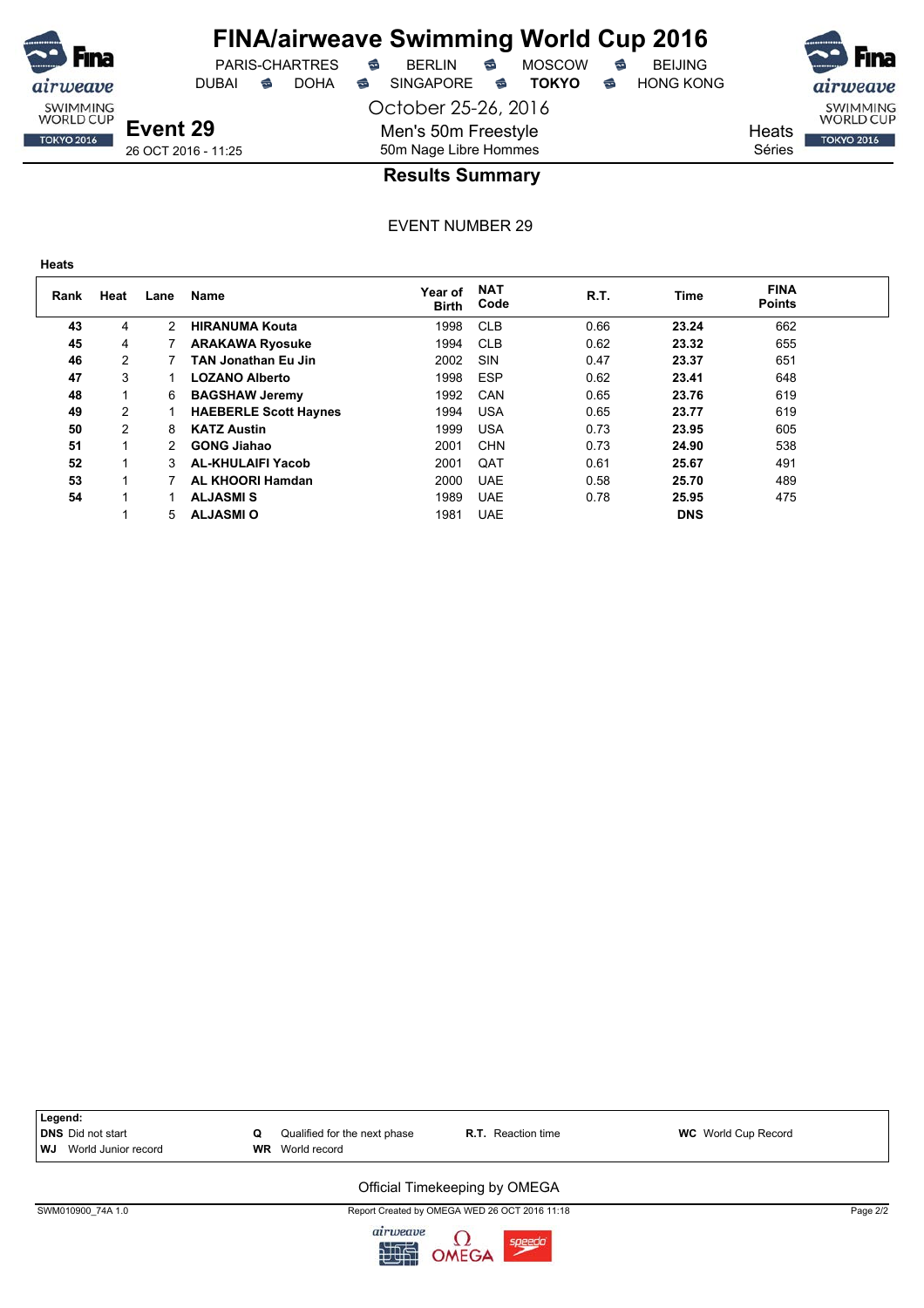

## **FINA/airweave Swimming World Cup 2016**

DUBAI **S** DOHA SINGAPORE S **TOKYO** S HONG KONG

PARIS-CHARTRES **B** BERLIN **B** MOSCOW **B** BEIJING

October 25-26, 2016



Heats Séries

26 OCT 2016 - 11:25

**Event 29**

## 50m Nage Libre Hommes **Results Summary**

Men's 50m Freestyle

EVENT NUMBER 29

**TOKYO 2016** 

| Rank | Heat           | Lane | <b>Name</b>                  | Year of<br><b>Birth</b> | <b>NAT</b><br>Code | R.T. | Time       | <b>FINA</b><br><b>Points</b> |  |
|------|----------------|------|------------------------------|-------------------------|--------------------|------|------------|------------------------------|--|
| 43   | 4              | 2    | <b>HIRANUMA Kouta</b>        | 1998                    | <b>CLB</b>         | 0.66 | 23.24      | 662                          |  |
| 45   | 4              |      | <b>ARAKAWA Ryosuke</b>       | 1994                    | <b>CLB</b>         | 0.62 | 23.32      | 655                          |  |
| 46   | 2              |      | <b>TAN Jonathan Eu Jin</b>   | 2002                    | SIN                | 0.47 | 23.37      | 651                          |  |
| 47   | 3              |      | <b>LOZANO Alberto</b>        | 1998                    | <b>ESP</b>         | 0.62 | 23.41      | 648                          |  |
| 48   |                | 6    | <b>BAGSHAW Jeremy</b>        | 1992                    | CAN                | 0.65 | 23.76      | 619                          |  |
| 49   | $\overline{2}$ |      | <b>HAEBERLE Scott Haynes</b> | 1994                    | <b>USA</b>         | 0.65 | 23.77      | 619                          |  |
| 50   | 2              | 8    | <b>KATZ Austin</b>           | 1999                    | <b>USA</b>         | 0.73 | 23.95      | 605                          |  |
| 51   | 1              | 2    | <b>GONG Jiahao</b>           | 2001                    | <b>CHN</b>         | 0.73 | 24.90      | 538                          |  |
| 52   |                | 3    | <b>AL-KHULAIFI Yacob</b>     | 2001                    | QAT                | 0.61 | 25.67      | 491                          |  |
| 53   |                |      | <b>AL KHOORI Hamdan</b>      | 2000                    | <b>UAE</b>         | 0.58 | 25.70      | 489                          |  |
| 54   |                |      | <b>ALJASMIS</b>              | 1989                    | <b>UAE</b>         | 0.78 | 25.95      | 475                          |  |
|      |                | 5    | <b>ALJASMI O</b>             | 1981                    | <b>UAE</b>         |      | <b>DNS</b> |                              |  |



SWM010900\_74A 1.0 Report Created by OMEGA WED 26 OCT 2016 11:18 Page 2/2

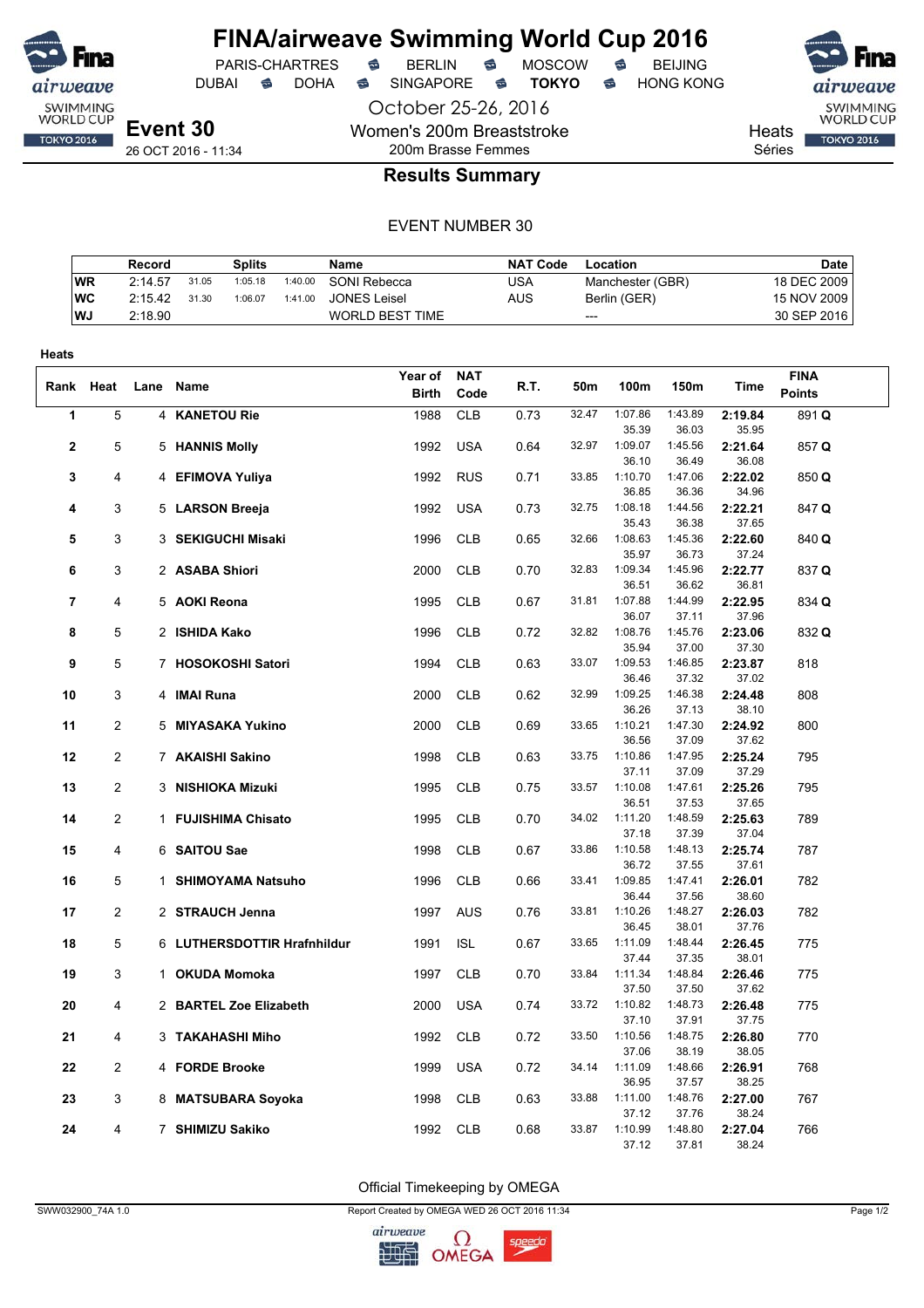

PARIS-CHARTRES **S** BERLIN S MOSCOW S

October 25-26, 2016

Women's 200m Breaststroke

DUBAI **S** DOHA S SINGAPORE S **TOKYO** S HONG KONG

SWIMMING<br>WORLD CUP

**TOKYO 2016** 

Heats Séries

26 OCT 2016 - 11:34

## 200m Brasse Femmes **Results Summary**

#### EVENT NUMBER 30

|            | Record  |       | <b>Splits</b> |         | <b>Name</b>         | <b>NAT Code</b> | Location         | Date l      |
|------------|---------|-------|---------------|---------|---------------------|-----------------|------------------|-------------|
| <b>WR</b>  | 2:14.57 | 31.05 | 1:05.18       | 1:40.00 | SONI Rebecca        | USA             | Manchester (GBR) | 18 DEC 2009 |
| <b>IWC</b> | 2:15.42 | 31.30 | 1:06.07       | 1:41.00 | <b>JONES Leisel</b> | AUS             | Berlin (GER)     | 15 NOV 2009 |
| WJ.        | 2:18.90 |       |               |         | WORLD BEST TIME     |                 | $---$            | 30 SEP 2016 |

| <b>NAT</b><br><b>FINA</b><br>Year of<br>R.T.<br>Rank Heat<br>50m<br>100m<br>150m<br>Time<br>Lane Name<br><b>Points</b><br><b>Birth</b><br>Code<br>5<br>1988<br>32.47<br>1:07.86<br>1:43.89<br>1<br>4 KANETOU Rie<br><b>CLB</b><br>0.73<br>2:19.84<br>891 Q<br>36.03<br>35.95<br>35.39<br><b>USA</b><br>$\mathbf{2}$<br>5<br>5 HANNIS Molly<br>1992<br>0.64<br>32.97<br>1:09.07<br>1:45.56<br>2:21.64<br>857 Q<br>36.08<br>36.10<br>36.49<br><b>RUS</b><br>33.85<br>1:10.70<br>1:47.06<br>3<br>4 EFIMOVA Yuliya<br>1992<br>0.71<br>2:22.02<br>850 Q<br>4<br>36.85<br>36.36<br>34.96<br>3<br><b>USA</b><br>32.75<br>1:08.18<br>1:44.56<br>5 LARSON Breeja<br>1992<br>0.73<br>2:22.21<br>847 Q<br>4<br>35.43<br>36.38<br>37.65<br>3<br>3 SEKIGUCHI Misaki<br>1996<br><b>CLB</b><br>0.65<br>32.66<br>1:08.63<br>1:45.36<br>2:22.60<br>5<br>840 Q<br>35.97<br>36.73<br>37.24<br>32.83<br>1:09.34<br>1:45.96<br>6<br>3<br>2 ASABA Shiori<br>2000<br><b>CLB</b><br>0.70<br>2:22.77<br>837 Q<br>36.51<br>36.62<br>36.81<br>$\overline{7}$<br><b>CLB</b><br>1:07.88<br>1:44.99<br>2:22.95<br>4<br>5 AOKI Reona<br>1995<br>0.67<br>31.81<br>834 Q<br>36.07<br>37.11<br>37.96<br>5<br>2 ISHIDA Kako<br><b>CLB</b><br>32.82<br>1:08.76<br>8<br>1996<br>0.72<br>1:45.76<br>2:23.06<br>832 Q<br>35.94<br>37.30<br>37.00<br><b>CLB</b><br>33.07<br>1:09.53<br>1:46.85<br>9<br>5<br>7 HOSOKOSHI Satori<br>1994<br>0.63<br>2:23.87<br>818<br>36.46<br>37.32<br>37.02<br>3<br><b>CLB</b><br>10<br>4 IMAI Runa<br>2000<br>0.62<br>32.99<br>1:09.25<br>1:46.38<br>2:24.48<br>808<br>36.26<br>37.13<br>38.10<br>$\overline{2}$<br>2000<br><b>CLB</b><br>0.69<br>33.65<br>1:10.21<br>11<br>5 MIYASAKA Yukino<br>1:47.30<br>2:24.92<br>800<br>37.62<br>36.56<br>37.09<br>12<br>$\overline{c}$<br>7 AKAISHI Sakino<br>1998<br><b>CLB</b><br>0.63<br>33.75<br>1:10.86<br>1:47.95<br>2:25.24<br>795<br>37.11<br>37.09<br>37.29<br>2<br><b>CLB</b><br>1:10.08<br>1:47.61<br>2:25.26<br>13<br>3 NISHIOKA Mizuki<br>1995<br>0.75<br>33.57<br>795<br>36.51<br>37.53<br>37.65<br>$\overline{c}$<br>14<br>1 FUJISHIMA Chisato<br>1995<br><b>CLB</b><br>0.70<br>34.02<br>1:11.20<br>1:48.59<br>2:25.63<br>789<br>37.04<br>37.18<br>37.39<br>33.86<br>1:10.58<br>1:48.13<br>6 SAITOU Sae<br>1998<br><b>CLB</b><br>2:25.74<br>15<br>4<br>0.67<br>787<br>36.72<br>37.61<br>37.55<br>5<br>1 SHIMOYAMA Natsuho<br>1996<br><b>CLB</b><br>0.66<br>33.41<br>1:09.85<br>1:47.41<br>2:26.01<br>782<br>16<br>36.44<br>38.60<br>37.56<br>$\overline{2}$<br>1997<br><b>AUS</b><br>1:10.26<br>1:48.27<br>17<br>2 STRAUCH Jenna<br>0.76<br>33.81<br>2:26.03<br>782<br>36.45<br>38.01<br>37.76<br>5<br>6 LUTHERSDOTTIR Hrafnhildur<br>1991<br><b>ISL</b><br>0.67<br>33.65<br>1:11.09<br>1:48.44<br>2:26.45<br>775<br>18<br>38.01<br>37.44<br>37.35<br>19<br>3<br>1 OKUDA Momoka<br>1997<br><b>CLB</b><br>0.70<br>1:11.34<br>1:48.84<br>2:26.46<br>33.84<br>775<br>37.62<br>37.50<br>37.50<br>20<br>4<br>2 BARTEL Zoe Elizabeth<br>2000<br><b>USA</b><br>0.74<br>33.72<br>1:10.82<br>1:48.73<br>2:26.48<br>775<br>37.10<br>37.91<br>37.75<br>1:10.56<br>1:48.75<br><b>CLB</b><br>33.50<br>2:26.80<br>21<br>3 TAKAHASHI Miho<br>1992<br>0.72<br>770<br>4<br>37.06<br>38.19<br>38.05<br>22<br>2<br>4 FORDE Brooke<br>1999<br><b>USA</b><br>0.72<br>34.14<br>1:11.09<br>1:48.66<br>2:26.91<br>768<br>36.95<br>37.57<br>38.25<br>33.88<br>1:11.00<br>1:48.76<br>2:27.00<br>3<br>8 MATSUBARA Soyoka<br><b>CLB</b><br>0.63<br>767<br>23<br>1998<br>37.12<br>37.76<br>38.24<br>33.87<br>1:10.99<br>1:48.80<br>24<br>4<br>7 SHIMIZU Sakiko<br>1992<br><b>CLB</b><br>0.68<br>2:27.04<br>766<br>38.24<br>37.12<br>37.81 | Heats |  |  |  |  |  |  |
|-------------------------------------------------------------------------------------------------------------------------------------------------------------------------------------------------------------------------------------------------------------------------------------------------------------------------------------------------------------------------------------------------------------------------------------------------------------------------------------------------------------------------------------------------------------------------------------------------------------------------------------------------------------------------------------------------------------------------------------------------------------------------------------------------------------------------------------------------------------------------------------------------------------------------------------------------------------------------------------------------------------------------------------------------------------------------------------------------------------------------------------------------------------------------------------------------------------------------------------------------------------------------------------------------------------------------------------------------------------------------------------------------------------------------------------------------------------------------------------------------------------------------------------------------------------------------------------------------------------------------------------------------------------------------------------------------------------------------------------------------------------------------------------------------------------------------------------------------------------------------------------------------------------------------------------------------------------------------------------------------------------------------------------------------------------------------------------------------------------------------------------------------------------------------------------------------------------------------------------------------------------------------------------------------------------------------------------------------------------------------------------------------------------------------------------------------------------------------------------------------------------------------------------------------------------------------------------------------------------------------------------------------------------------------------------------------------------------------------------------------------------------------------------------------------------------------------------------------------------------------------------------------------------------------------------------------------------------------------------------------------------------------------------------------------------------------------------------------------------------------------------------------------------------------------------------------------------------------------------------------------------------------------------------------------------------------------------------------------------------------------------------------------------------------------------------------------------------------------------------------------------------------------------------------------------------------------------------------------------------------------------------------------------|-------|--|--|--|--|--|--|
|                                                                                                                                                                                                                                                                                                                                                                                                                                                                                                                                                                                                                                                                                                                                                                                                                                                                                                                                                                                                                                                                                                                                                                                                                                                                                                                                                                                                                                                                                                                                                                                                                                                                                                                                                                                                                                                                                                                                                                                                                                                                                                                                                                                                                                                                                                                                                                                                                                                                                                                                                                                                                                                                                                                                                                                                                                                                                                                                                                                                                                                                                                                                                                                                                                                                                                                                                                                                                                                                                                                                                                                                                                                             |       |  |  |  |  |  |  |
|                                                                                                                                                                                                                                                                                                                                                                                                                                                                                                                                                                                                                                                                                                                                                                                                                                                                                                                                                                                                                                                                                                                                                                                                                                                                                                                                                                                                                                                                                                                                                                                                                                                                                                                                                                                                                                                                                                                                                                                                                                                                                                                                                                                                                                                                                                                                                                                                                                                                                                                                                                                                                                                                                                                                                                                                                                                                                                                                                                                                                                                                                                                                                                                                                                                                                                                                                                                                                                                                                                                                                                                                                                                             |       |  |  |  |  |  |  |
|                                                                                                                                                                                                                                                                                                                                                                                                                                                                                                                                                                                                                                                                                                                                                                                                                                                                                                                                                                                                                                                                                                                                                                                                                                                                                                                                                                                                                                                                                                                                                                                                                                                                                                                                                                                                                                                                                                                                                                                                                                                                                                                                                                                                                                                                                                                                                                                                                                                                                                                                                                                                                                                                                                                                                                                                                                                                                                                                                                                                                                                                                                                                                                                                                                                                                                                                                                                                                                                                                                                                                                                                                                                             |       |  |  |  |  |  |  |
|                                                                                                                                                                                                                                                                                                                                                                                                                                                                                                                                                                                                                                                                                                                                                                                                                                                                                                                                                                                                                                                                                                                                                                                                                                                                                                                                                                                                                                                                                                                                                                                                                                                                                                                                                                                                                                                                                                                                                                                                                                                                                                                                                                                                                                                                                                                                                                                                                                                                                                                                                                                                                                                                                                                                                                                                                                                                                                                                                                                                                                                                                                                                                                                                                                                                                                                                                                                                                                                                                                                                                                                                                                                             |       |  |  |  |  |  |  |
|                                                                                                                                                                                                                                                                                                                                                                                                                                                                                                                                                                                                                                                                                                                                                                                                                                                                                                                                                                                                                                                                                                                                                                                                                                                                                                                                                                                                                                                                                                                                                                                                                                                                                                                                                                                                                                                                                                                                                                                                                                                                                                                                                                                                                                                                                                                                                                                                                                                                                                                                                                                                                                                                                                                                                                                                                                                                                                                                                                                                                                                                                                                                                                                                                                                                                                                                                                                                                                                                                                                                                                                                                                                             |       |  |  |  |  |  |  |
|                                                                                                                                                                                                                                                                                                                                                                                                                                                                                                                                                                                                                                                                                                                                                                                                                                                                                                                                                                                                                                                                                                                                                                                                                                                                                                                                                                                                                                                                                                                                                                                                                                                                                                                                                                                                                                                                                                                                                                                                                                                                                                                                                                                                                                                                                                                                                                                                                                                                                                                                                                                                                                                                                                                                                                                                                                                                                                                                                                                                                                                                                                                                                                                                                                                                                                                                                                                                                                                                                                                                                                                                                                                             |       |  |  |  |  |  |  |
|                                                                                                                                                                                                                                                                                                                                                                                                                                                                                                                                                                                                                                                                                                                                                                                                                                                                                                                                                                                                                                                                                                                                                                                                                                                                                                                                                                                                                                                                                                                                                                                                                                                                                                                                                                                                                                                                                                                                                                                                                                                                                                                                                                                                                                                                                                                                                                                                                                                                                                                                                                                                                                                                                                                                                                                                                                                                                                                                                                                                                                                                                                                                                                                                                                                                                                                                                                                                                                                                                                                                                                                                                                                             |       |  |  |  |  |  |  |
|                                                                                                                                                                                                                                                                                                                                                                                                                                                                                                                                                                                                                                                                                                                                                                                                                                                                                                                                                                                                                                                                                                                                                                                                                                                                                                                                                                                                                                                                                                                                                                                                                                                                                                                                                                                                                                                                                                                                                                                                                                                                                                                                                                                                                                                                                                                                                                                                                                                                                                                                                                                                                                                                                                                                                                                                                                                                                                                                                                                                                                                                                                                                                                                                                                                                                                                                                                                                                                                                                                                                                                                                                                                             |       |  |  |  |  |  |  |
|                                                                                                                                                                                                                                                                                                                                                                                                                                                                                                                                                                                                                                                                                                                                                                                                                                                                                                                                                                                                                                                                                                                                                                                                                                                                                                                                                                                                                                                                                                                                                                                                                                                                                                                                                                                                                                                                                                                                                                                                                                                                                                                                                                                                                                                                                                                                                                                                                                                                                                                                                                                                                                                                                                                                                                                                                                                                                                                                                                                                                                                                                                                                                                                                                                                                                                                                                                                                                                                                                                                                                                                                                                                             |       |  |  |  |  |  |  |
|                                                                                                                                                                                                                                                                                                                                                                                                                                                                                                                                                                                                                                                                                                                                                                                                                                                                                                                                                                                                                                                                                                                                                                                                                                                                                                                                                                                                                                                                                                                                                                                                                                                                                                                                                                                                                                                                                                                                                                                                                                                                                                                                                                                                                                                                                                                                                                                                                                                                                                                                                                                                                                                                                                                                                                                                                                                                                                                                                                                                                                                                                                                                                                                                                                                                                                                                                                                                                                                                                                                                                                                                                                                             |       |  |  |  |  |  |  |
|                                                                                                                                                                                                                                                                                                                                                                                                                                                                                                                                                                                                                                                                                                                                                                                                                                                                                                                                                                                                                                                                                                                                                                                                                                                                                                                                                                                                                                                                                                                                                                                                                                                                                                                                                                                                                                                                                                                                                                                                                                                                                                                                                                                                                                                                                                                                                                                                                                                                                                                                                                                                                                                                                                                                                                                                                                                                                                                                                                                                                                                                                                                                                                                                                                                                                                                                                                                                                                                                                                                                                                                                                                                             |       |  |  |  |  |  |  |
|                                                                                                                                                                                                                                                                                                                                                                                                                                                                                                                                                                                                                                                                                                                                                                                                                                                                                                                                                                                                                                                                                                                                                                                                                                                                                                                                                                                                                                                                                                                                                                                                                                                                                                                                                                                                                                                                                                                                                                                                                                                                                                                                                                                                                                                                                                                                                                                                                                                                                                                                                                                                                                                                                                                                                                                                                                                                                                                                                                                                                                                                                                                                                                                                                                                                                                                                                                                                                                                                                                                                                                                                                                                             |       |  |  |  |  |  |  |
|                                                                                                                                                                                                                                                                                                                                                                                                                                                                                                                                                                                                                                                                                                                                                                                                                                                                                                                                                                                                                                                                                                                                                                                                                                                                                                                                                                                                                                                                                                                                                                                                                                                                                                                                                                                                                                                                                                                                                                                                                                                                                                                                                                                                                                                                                                                                                                                                                                                                                                                                                                                                                                                                                                                                                                                                                                                                                                                                                                                                                                                                                                                                                                                                                                                                                                                                                                                                                                                                                                                                                                                                                                                             |       |  |  |  |  |  |  |
|                                                                                                                                                                                                                                                                                                                                                                                                                                                                                                                                                                                                                                                                                                                                                                                                                                                                                                                                                                                                                                                                                                                                                                                                                                                                                                                                                                                                                                                                                                                                                                                                                                                                                                                                                                                                                                                                                                                                                                                                                                                                                                                                                                                                                                                                                                                                                                                                                                                                                                                                                                                                                                                                                                                                                                                                                                                                                                                                                                                                                                                                                                                                                                                                                                                                                                                                                                                                                                                                                                                                                                                                                                                             |       |  |  |  |  |  |  |
|                                                                                                                                                                                                                                                                                                                                                                                                                                                                                                                                                                                                                                                                                                                                                                                                                                                                                                                                                                                                                                                                                                                                                                                                                                                                                                                                                                                                                                                                                                                                                                                                                                                                                                                                                                                                                                                                                                                                                                                                                                                                                                                                                                                                                                                                                                                                                                                                                                                                                                                                                                                                                                                                                                                                                                                                                                                                                                                                                                                                                                                                                                                                                                                                                                                                                                                                                                                                                                                                                                                                                                                                                                                             |       |  |  |  |  |  |  |
|                                                                                                                                                                                                                                                                                                                                                                                                                                                                                                                                                                                                                                                                                                                                                                                                                                                                                                                                                                                                                                                                                                                                                                                                                                                                                                                                                                                                                                                                                                                                                                                                                                                                                                                                                                                                                                                                                                                                                                                                                                                                                                                                                                                                                                                                                                                                                                                                                                                                                                                                                                                                                                                                                                                                                                                                                                                                                                                                                                                                                                                                                                                                                                                                                                                                                                                                                                                                                                                                                                                                                                                                                                                             |       |  |  |  |  |  |  |
|                                                                                                                                                                                                                                                                                                                                                                                                                                                                                                                                                                                                                                                                                                                                                                                                                                                                                                                                                                                                                                                                                                                                                                                                                                                                                                                                                                                                                                                                                                                                                                                                                                                                                                                                                                                                                                                                                                                                                                                                                                                                                                                                                                                                                                                                                                                                                                                                                                                                                                                                                                                                                                                                                                                                                                                                                                                                                                                                                                                                                                                                                                                                                                                                                                                                                                                                                                                                                                                                                                                                                                                                                                                             |       |  |  |  |  |  |  |
|                                                                                                                                                                                                                                                                                                                                                                                                                                                                                                                                                                                                                                                                                                                                                                                                                                                                                                                                                                                                                                                                                                                                                                                                                                                                                                                                                                                                                                                                                                                                                                                                                                                                                                                                                                                                                                                                                                                                                                                                                                                                                                                                                                                                                                                                                                                                                                                                                                                                                                                                                                                                                                                                                                                                                                                                                                                                                                                                                                                                                                                                                                                                                                                                                                                                                                                                                                                                                                                                                                                                                                                                                                                             |       |  |  |  |  |  |  |
|                                                                                                                                                                                                                                                                                                                                                                                                                                                                                                                                                                                                                                                                                                                                                                                                                                                                                                                                                                                                                                                                                                                                                                                                                                                                                                                                                                                                                                                                                                                                                                                                                                                                                                                                                                                                                                                                                                                                                                                                                                                                                                                                                                                                                                                                                                                                                                                                                                                                                                                                                                                                                                                                                                                                                                                                                                                                                                                                                                                                                                                                                                                                                                                                                                                                                                                                                                                                                                                                                                                                                                                                                                                             |       |  |  |  |  |  |  |
|                                                                                                                                                                                                                                                                                                                                                                                                                                                                                                                                                                                                                                                                                                                                                                                                                                                                                                                                                                                                                                                                                                                                                                                                                                                                                                                                                                                                                                                                                                                                                                                                                                                                                                                                                                                                                                                                                                                                                                                                                                                                                                                                                                                                                                                                                                                                                                                                                                                                                                                                                                                                                                                                                                                                                                                                                                                                                                                                                                                                                                                                                                                                                                                                                                                                                                                                                                                                                                                                                                                                                                                                                                                             |       |  |  |  |  |  |  |
|                                                                                                                                                                                                                                                                                                                                                                                                                                                                                                                                                                                                                                                                                                                                                                                                                                                                                                                                                                                                                                                                                                                                                                                                                                                                                                                                                                                                                                                                                                                                                                                                                                                                                                                                                                                                                                                                                                                                                                                                                                                                                                                                                                                                                                                                                                                                                                                                                                                                                                                                                                                                                                                                                                                                                                                                                                                                                                                                                                                                                                                                                                                                                                                                                                                                                                                                                                                                                                                                                                                                                                                                                                                             |       |  |  |  |  |  |  |
|                                                                                                                                                                                                                                                                                                                                                                                                                                                                                                                                                                                                                                                                                                                                                                                                                                                                                                                                                                                                                                                                                                                                                                                                                                                                                                                                                                                                                                                                                                                                                                                                                                                                                                                                                                                                                                                                                                                                                                                                                                                                                                                                                                                                                                                                                                                                                                                                                                                                                                                                                                                                                                                                                                                                                                                                                                                                                                                                                                                                                                                                                                                                                                                                                                                                                                                                                                                                                                                                                                                                                                                                                                                             |       |  |  |  |  |  |  |
|                                                                                                                                                                                                                                                                                                                                                                                                                                                                                                                                                                                                                                                                                                                                                                                                                                                                                                                                                                                                                                                                                                                                                                                                                                                                                                                                                                                                                                                                                                                                                                                                                                                                                                                                                                                                                                                                                                                                                                                                                                                                                                                                                                                                                                                                                                                                                                                                                                                                                                                                                                                                                                                                                                                                                                                                                                                                                                                                                                                                                                                                                                                                                                                                                                                                                                                                                                                                                                                                                                                                                                                                                                                             |       |  |  |  |  |  |  |
|                                                                                                                                                                                                                                                                                                                                                                                                                                                                                                                                                                                                                                                                                                                                                                                                                                                                                                                                                                                                                                                                                                                                                                                                                                                                                                                                                                                                                                                                                                                                                                                                                                                                                                                                                                                                                                                                                                                                                                                                                                                                                                                                                                                                                                                                                                                                                                                                                                                                                                                                                                                                                                                                                                                                                                                                                                                                                                                                                                                                                                                                                                                                                                                                                                                                                                                                                                                                                                                                                                                                                                                                                                                             |       |  |  |  |  |  |  |
|                                                                                                                                                                                                                                                                                                                                                                                                                                                                                                                                                                                                                                                                                                                                                                                                                                                                                                                                                                                                                                                                                                                                                                                                                                                                                                                                                                                                                                                                                                                                                                                                                                                                                                                                                                                                                                                                                                                                                                                                                                                                                                                                                                                                                                                                                                                                                                                                                                                                                                                                                                                                                                                                                                                                                                                                                                                                                                                                                                                                                                                                                                                                                                                                                                                                                                                                                                                                                                                                                                                                                                                                                                                             |       |  |  |  |  |  |  |
|                                                                                                                                                                                                                                                                                                                                                                                                                                                                                                                                                                                                                                                                                                                                                                                                                                                                                                                                                                                                                                                                                                                                                                                                                                                                                                                                                                                                                                                                                                                                                                                                                                                                                                                                                                                                                                                                                                                                                                                                                                                                                                                                                                                                                                                                                                                                                                                                                                                                                                                                                                                                                                                                                                                                                                                                                                                                                                                                                                                                                                                                                                                                                                                                                                                                                                                                                                                                                                                                                                                                                                                                                                                             |       |  |  |  |  |  |  |
|                                                                                                                                                                                                                                                                                                                                                                                                                                                                                                                                                                                                                                                                                                                                                                                                                                                                                                                                                                                                                                                                                                                                                                                                                                                                                                                                                                                                                                                                                                                                                                                                                                                                                                                                                                                                                                                                                                                                                                                                                                                                                                                                                                                                                                                                                                                                                                                                                                                                                                                                                                                                                                                                                                                                                                                                                                                                                                                                                                                                                                                                                                                                                                                                                                                                                                                                                                                                                                                                                                                                                                                                                                                             |       |  |  |  |  |  |  |
|                                                                                                                                                                                                                                                                                                                                                                                                                                                                                                                                                                                                                                                                                                                                                                                                                                                                                                                                                                                                                                                                                                                                                                                                                                                                                                                                                                                                                                                                                                                                                                                                                                                                                                                                                                                                                                                                                                                                                                                                                                                                                                                                                                                                                                                                                                                                                                                                                                                                                                                                                                                                                                                                                                                                                                                                                                                                                                                                                                                                                                                                                                                                                                                                                                                                                                                                                                                                                                                                                                                                                                                                                                                             |       |  |  |  |  |  |  |
|                                                                                                                                                                                                                                                                                                                                                                                                                                                                                                                                                                                                                                                                                                                                                                                                                                                                                                                                                                                                                                                                                                                                                                                                                                                                                                                                                                                                                                                                                                                                                                                                                                                                                                                                                                                                                                                                                                                                                                                                                                                                                                                                                                                                                                                                                                                                                                                                                                                                                                                                                                                                                                                                                                                                                                                                                                                                                                                                                                                                                                                                                                                                                                                                                                                                                                                                                                                                                                                                                                                                                                                                                                                             |       |  |  |  |  |  |  |
|                                                                                                                                                                                                                                                                                                                                                                                                                                                                                                                                                                                                                                                                                                                                                                                                                                                                                                                                                                                                                                                                                                                                                                                                                                                                                                                                                                                                                                                                                                                                                                                                                                                                                                                                                                                                                                                                                                                                                                                                                                                                                                                                                                                                                                                                                                                                                                                                                                                                                                                                                                                                                                                                                                                                                                                                                                                                                                                                                                                                                                                                                                                                                                                                                                                                                                                                                                                                                                                                                                                                                                                                                                                             |       |  |  |  |  |  |  |
|                                                                                                                                                                                                                                                                                                                                                                                                                                                                                                                                                                                                                                                                                                                                                                                                                                                                                                                                                                                                                                                                                                                                                                                                                                                                                                                                                                                                                                                                                                                                                                                                                                                                                                                                                                                                                                                                                                                                                                                                                                                                                                                                                                                                                                                                                                                                                                                                                                                                                                                                                                                                                                                                                                                                                                                                                                                                                                                                                                                                                                                                                                                                                                                                                                                                                                                                                                                                                                                                                                                                                                                                                                                             |       |  |  |  |  |  |  |
|                                                                                                                                                                                                                                                                                                                                                                                                                                                                                                                                                                                                                                                                                                                                                                                                                                                                                                                                                                                                                                                                                                                                                                                                                                                                                                                                                                                                                                                                                                                                                                                                                                                                                                                                                                                                                                                                                                                                                                                                                                                                                                                                                                                                                                                                                                                                                                                                                                                                                                                                                                                                                                                                                                                                                                                                                                                                                                                                                                                                                                                                                                                                                                                                                                                                                                                                                                                                                                                                                                                                                                                                                                                             |       |  |  |  |  |  |  |
|                                                                                                                                                                                                                                                                                                                                                                                                                                                                                                                                                                                                                                                                                                                                                                                                                                                                                                                                                                                                                                                                                                                                                                                                                                                                                                                                                                                                                                                                                                                                                                                                                                                                                                                                                                                                                                                                                                                                                                                                                                                                                                                                                                                                                                                                                                                                                                                                                                                                                                                                                                                                                                                                                                                                                                                                                                                                                                                                                                                                                                                                                                                                                                                                                                                                                                                                                                                                                                                                                                                                                                                                                                                             |       |  |  |  |  |  |  |
|                                                                                                                                                                                                                                                                                                                                                                                                                                                                                                                                                                                                                                                                                                                                                                                                                                                                                                                                                                                                                                                                                                                                                                                                                                                                                                                                                                                                                                                                                                                                                                                                                                                                                                                                                                                                                                                                                                                                                                                                                                                                                                                                                                                                                                                                                                                                                                                                                                                                                                                                                                                                                                                                                                                                                                                                                                                                                                                                                                                                                                                                                                                                                                                                                                                                                                                                                                                                                                                                                                                                                                                                                                                             |       |  |  |  |  |  |  |
|                                                                                                                                                                                                                                                                                                                                                                                                                                                                                                                                                                                                                                                                                                                                                                                                                                                                                                                                                                                                                                                                                                                                                                                                                                                                                                                                                                                                                                                                                                                                                                                                                                                                                                                                                                                                                                                                                                                                                                                                                                                                                                                                                                                                                                                                                                                                                                                                                                                                                                                                                                                                                                                                                                                                                                                                                                                                                                                                                                                                                                                                                                                                                                                                                                                                                                                                                                                                                                                                                                                                                                                                                                                             |       |  |  |  |  |  |  |
|                                                                                                                                                                                                                                                                                                                                                                                                                                                                                                                                                                                                                                                                                                                                                                                                                                                                                                                                                                                                                                                                                                                                                                                                                                                                                                                                                                                                                                                                                                                                                                                                                                                                                                                                                                                                                                                                                                                                                                                                                                                                                                                                                                                                                                                                                                                                                                                                                                                                                                                                                                                                                                                                                                                                                                                                                                                                                                                                                                                                                                                                                                                                                                                                                                                                                                                                                                                                                                                                                                                                                                                                                                                             |       |  |  |  |  |  |  |
|                                                                                                                                                                                                                                                                                                                                                                                                                                                                                                                                                                                                                                                                                                                                                                                                                                                                                                                                                                                                                                                                                                                                                                                                                                                                                                                                                                                                                                                                                                                                                                                                                                                                                                                                                                                                                                                                                                                                                                                                                                                                                                                                                                                                                                                                                                                                                                                                                                                                                                                                                                                                                                                                                                                                                                                                                                                                                                                                                                                                                                                                                                                                                                                                                                                                                                                                                                                                                                                                                                                                                                                                                                                             |       |  |  |  |  |  |  |
|                                                                                                                                                                                                                                                                                                                                                                                                                                                                                                                                                                                                                                                                                                                                                                                                                                                                                                                                                                                                                                                                                                                                                                                                                                                                                                                                                                                                                                                                                                                                                                                                                                                                                                                                                                                                                                                                                                                                                                                                                                                                                                                                                                                                                                                                                                                                                                                                                                                                                                                                                                                                                                                                                                                                                                                                                                                                                                                                                                                                                                                                                                                                                                                                                                                                                                                                                                                                                                                                                                                                                                                                                                                             |       |  |  |  |  |  |  |
|                                                                                                                                                                                                                                                                                                                                                                                                                                                                                                                                                                                                                                                                                                                                                                                                                                                                                                                                                                                                                                                                                                                                                                                                                                                                                                                                                                                                                                                                                                                                                                                                                                                                                                                                                                                                                                                                                                                                                                                                                                                                                                                                                                                                                                                                                                                                                                                                                                                                                                                                                                                                                                                                                                                                                                                                                                                                                                                                                                                                                                                                                                                                                                                                                                                                                                                                                                                                                                                                                                                                                                                                                                                             |       |  |  |  |  |  |  |
|                                                                                                                                                                                                                                                                                                                                                                                                                                                                                                                                                                                                                                                                                                                                                                                                                                                                                                                                                                                                                                                                                                                                                                                                                                                                                                                                                                                                                                                                                                                                                                                                                                                                                                                                                                                                                                                                                                                                                                                                                                                                                                                                                                                                                                                                                                                                                                                                                                                                                                                                                                                                                                                                                                                                                                                                                                                                                                                                                                                                                                                                                                                                                                                                                                                                                                                                                                                                                                                                                                                                                                                                                                                             |       |  |  |  |  |  |  |
|                                                                                                                                                                                                                                                                                                                                                                                                                                                                                                                                                                                                                                                                                                                                                                                                                                                                                                                                                                                                                                                                                                                                                                                                                                                                                                                                                                                                                                                                                                                                                                                                                                                                                                                                                                                                                                                                                                                                                                                                                                                                                                                                                                                                                                                                                                                                                                                                                                                                                                                                                                                                                                                                                                                                                                                                                                                                                                                                                                                                                                                                                                                                                                                                                                                                                                                                                                                                                                                                                                                                                                                                                                                             |       |  |  |  |  |  |  |
|                                                                                                                                                                                                                                                                                                                                                                                                                                                                                                                                                                                                                                                                                                                                                                                                                                                                                                                                                                                                                                                                                                                                                                                                                                                                                                                                                                                                                                                                                                                                                                                                                                                                                                                                                                                                                                                                                                                                                                                                                                                                                                                                                                                                                                                                                                                                                                                                                                                                                                                                                                                                                                                                                                                                                                                                                                                                                                                                                                                                                                                                                                                                                                                                                                                                                                                                                                                                                                                                                                                                                                                                                                                             |       |  |  |  |  |  |  |
|                                                                                                                                                                                                                                                                                                                                                                                                                                                                                                                                                                                                                                                                                                                                                                                                                                                                                                                                                                                                                                                                                                                                                                                                                                                                                                                                                                                                                                                                                                                                                                                                                                                                                                                                                                                                                                                                                                                                                                                                                                                                                                                                                                                                                                                                                                                                                                                                                                                                                                                                                                                                                                                                                                                                                                                                                                                                                                                                                                                                                                                                                                                                                                                                                                                                                                                                                                                                                                                                                                                                                                                                                                                             |       |  |  |  |  |  |  |
|                                                                                                                                                                                                                                                                                                                                                                                                                                                                                                                                                                                                                                                                                                                                                                                                                                                                                                                                                                                                                                                                                                                                                                                                                                                                                                                                                                                                                                                                                                                                                                                                                                                                                                                                                                                                                                                                                                                                                                                                                                                                                                                                                                                                                                                                                                                                                                                                                                                                                                                                                                                                                                                                                                                                                                                                                                                                                                                                                                                                                                                                                                                                                                                                                                                                                                                                                                                                                                                                                                                                                                                                                                                             |       |  |  |  |  |  |  |
|                                                                                                                                                                                                                                                                                                                                                                                                                                                                                                                                                                                                                                                                                                                                                                                                                                                                                                                                                                                                                                                                                                                                                                                                                                                                                                                                                                                                                                                                                                                                                                                                                                                                                                                                                                                                                                                                                                                                                                                                                                                                                                                                                                                                                                                                                                                                                                                                                                                                                                                                                                                                                                                                                                                                                                                                                                                                                                                                                                                                                                                                                                                                                                                                                                                                                                                                                                                                                                                                                                                                                                                                                                                             |       |  |  |  |  |  |  |
|                                                                                                                                                                                                                                                                                                                                                                                                                                                                                                                                                                                                                                                                                                                                                                                                                                                                                                                                                                                                                                                                                                                                                                                                                                                                                                                                                                                                                                                                                                                                                                                                                                                                                                                                                                                                                                                                                                                                                                                                                                                                                                                                                                                                                                                                                                                                                                                                                                                                                                                                                                                                                                                                                                                                                                                                                                                                                                                                                                                                                                                                                                                                                                                                                                                                                                                                                                                                                                                                                                                                                                                                                                                             |       |  |  |  |  |  |  |

Official Timekeeping by OMEGA

SWW032900\_74A 1.0 Page 1/2

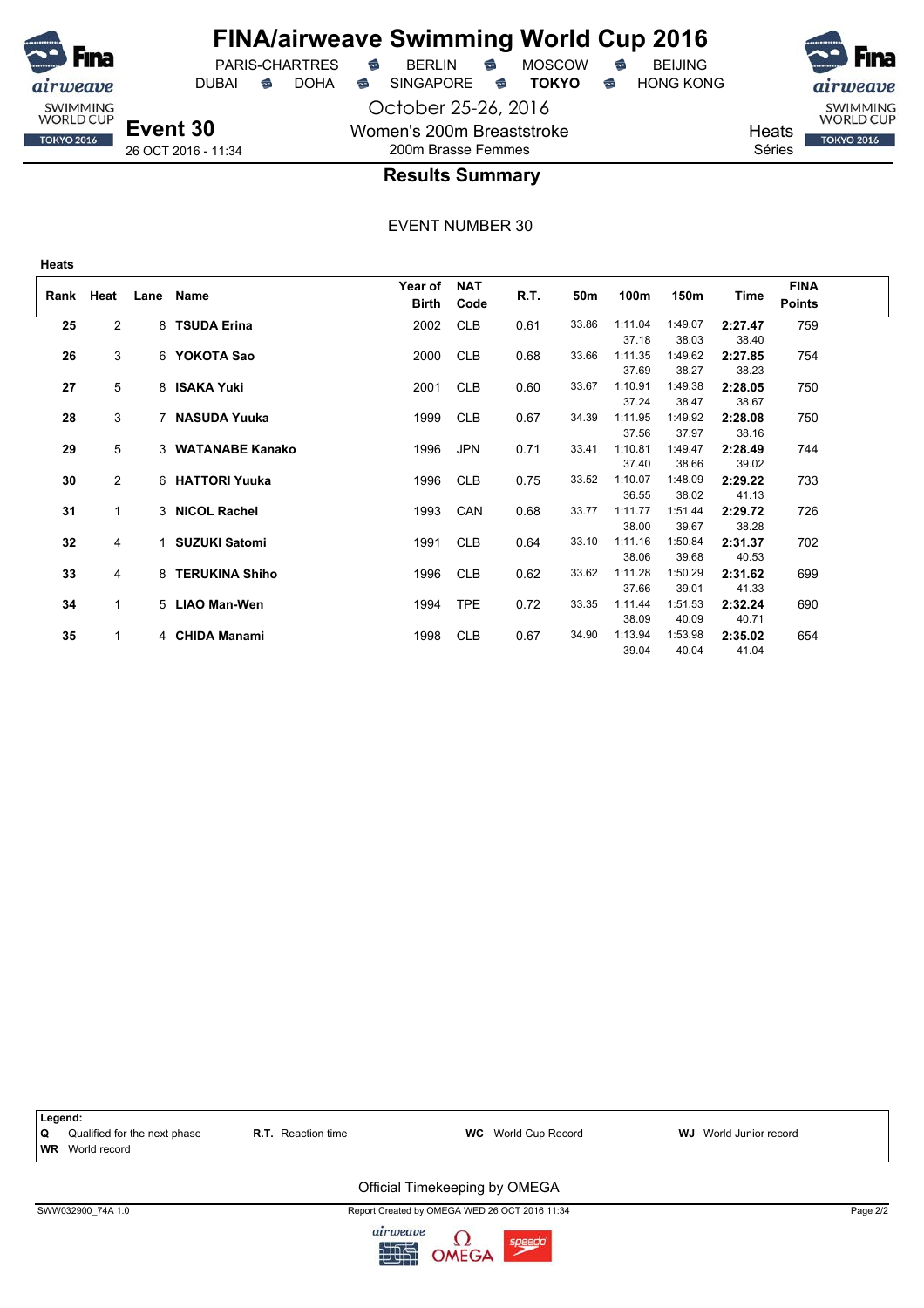

## **FINA/airweave Swimming World Cup 2016**

October 25-26, 2016

Women's 200m Breaststroke

DUBAI **S** DOHA SINGAPORE S **TOKYO** S HONG KONG

PARIS-CHARTRES **B** BERLIN **B** MOSCOW **B** BEIJING

SWIMMING<br>WORLD CUP

**TOKYO 2016** 

**Heats** Séries

**Event 30** 26 OCT 2016 - 11:34

## 200m Brasse Femmes **Results Summary**

| Rank | Heat           | Lane | Name                 | Year of<br>Birth | <b>NAT</b><br>Code | R.T. | 50m   | 100m                      | 150m                      | Time                      | <b>FINA</b><br><b>Points</b> |  |
|------|----------------|------|----------------------|------------------|--------------------|------|-------|---------------------------|---------------------------|---------------------------|------------------------------|--|
| 25   | $\overline{2}$ |      | 8 TSUDA Erina        | 2002             | <b>CLB</b>         | 0.61 | 33.86 | 1:11.04                   | 1:49.07                   | 2:27.47                   | 759                          |  |
| 26   | 3              |      | 6 YOKOTA Sao         | 2000             | <b>CLB</b>         | 0.68 | 33.66 | 37.18<br>1:11.35<br>37.69 | 38.03<br>1:49.62<br>38.27 | 38.40<br>2:27.85<br>38.23 | 754                          |  |
| 27   | 5              |      | 8 ISAKA Yuki         | 2001             | <b>CLB</b>         | 0.60 | 33.67 | 1:10.91<br>37.24          | 1:49.38<br>38.47          | 2:28.05<br>38.67          | 750                          |  |
| 28   | 3              |      | 7 NASUDA Yuuka       | 1999             | <b>CLB</b>         | 0.67 | 34.39 | 1:11.95<br>37.56          | 1:49.92<br>37.97          | 2:28.08<br>38.16          | 750                          |  |
| 29   | 5              |      | 3 WATANABE Kanako    | 1996             | <b>JPN</b>         | 0.71 | 33.41 | 1:10.81<br>37.40          | 1:49.47<br>38.66          | 2:28.49<br>39.02          | 744                          |  |
| 30   | $\overline{2}$ |      | 6 HATTORI Yuuka      | 1996             | <b>CLB</b>         | 0.75 | 33.52 | 1:10.07<br>36.55          | 1:48.09<br>38.02          | 2:29.22<br>41.13          | 733                          |  |
| 31   | 1              |      | 3 NICOL Rachel       | 1993             | CAN                | 0.68 | 33.77 | 1:11.77<br>38.00          | 1:51.44<br>39.67          | 2:29.72<br>38.28          | 726                          |  |
| 32   | 4              | 1    | <b>SUZUKI Satomi</b> | 1991             | <b>CLB</b>         | 0.64 | 33.10 | 1:11.16<br>38.06          | 1:50.84<br>39.68          | 2:31.37<br>40.53          | 702                          |  |
| 33   | 4              |      | 8 TERUKINA Shiho     | 1996             | <b>CLB</b>         | 0.62 | 33.62 | 1:11.28<br>37.66          | 1:50.29<br>39.01          | 2:31.62<br>41.33          | 699                          |  |
| 34   | 1              |      | 5 LIAO Man-Wen       | 1994             | <b>TPE</b>         | 0.72 | 33.35 | 1:11.44<br>38.09          | 1:51.53<br>40.09          | 2:32.24<br>40.71          | 690                          |  |
| 35   | 1              |      | 4 CHIDA Manami       | 1998             | <b>CLB</b>         | 0.67 | 34.90 | 1:13.94<br>39.04          | 1:53.98<br>40.04          | 2:35.02<br>41.04          | 654                          |  |

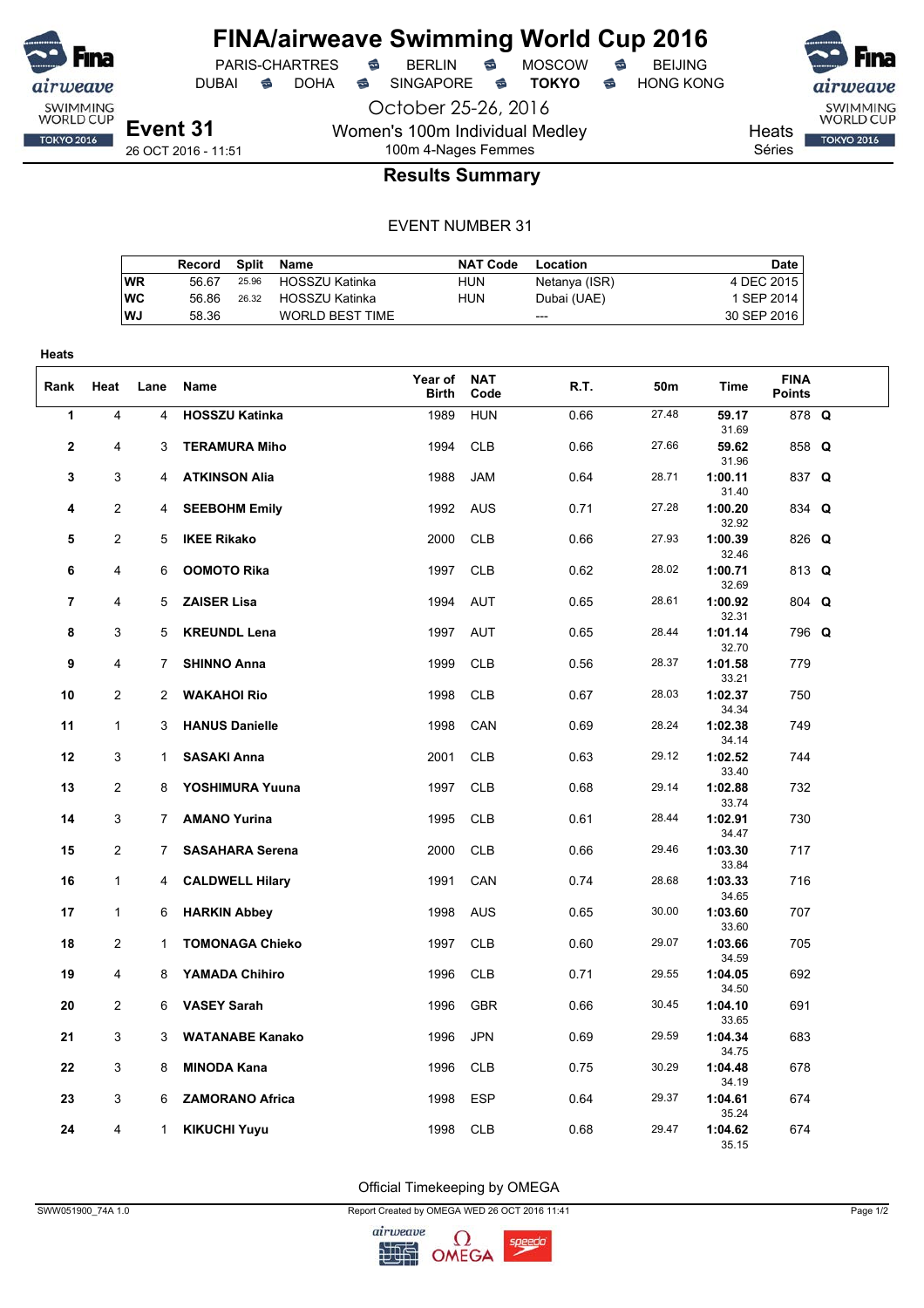

PARIS-CHARTRES **S** BERLIN S MOSCOW S

DUBAI **S** DOHA S SINGAPORE S **TOKYO** S HONG KONG

airwea SWIMMING<br>WORLD CUP **TOKYO 2016** 

Heats

### Séries

26 OCT 2016 - 11:51

## 100m 4-Nages Femmes **Results Summary**

October 25-26, 2016

Women's 100m Individual Medley

#### EVENT NUMBER 31

|           | Record | Split | Name                   | <b>NAT Code</b> | Location      | Date        |
|-----------|--------|-------|------------------------|-----------------|---------------|-------------|
| WR        | 56.67  | 25.96 | HOSSZU Katinka         | HUN             | Netanya (ISR) | 4 DEC 2015  |
| <b>WC</b> | 56.86  | 26.32 | HOSSZU Katinka         | HUN             | Dubai (UAE)   | 1 SEP 2014  |
| WJ        | 58.36  |       | <b>WORLD BEST TIME</b> |                 | $---$         | 30 SEP 2016 |
|           |        |       |                        |                 |               |             |

| <b>Heats</b>   |                |              |                        |                  |                    |      |       |                  |                              |  |
|----------------|----------------|--------------|------------------------|------------------|--------------------|------|-------|------------------|------------------------------|--|
| Rank           | Heat           | Lane         | Name                   | Year of<br>Birth | <b>NAT</b><br>Code | R.T. | 50m   | Time             | <b>FINA</b><br><b>Points</b> |  |
| 1              | 4              | 4            | <b>HOSSZU Katinka</b>  | 1989             | <b>HUN</b>         | 0.66 | 27.48 | 59.17<br>31.69   | 878 Q                        |  |
| 2              | 4              | 3            | <b>TERAMURA Miho</b>   | 1994             | <b>CLB</b>         | 0.66 | 27.66 | 59.62<br>31.96   | 858 Q                        |  |
| 3              | 3              | 4            | <b>ATKINSON Alia</b>   | 1988             | <b>JAM</b>         | 0.64 | 28.71 | 1:00.11<br>31.40 | 837 Q                        |  |
| 4              | $\overline{2}$ | 4            | <b>SEEBOHM Emily</b>   | 1992             | <b>AUS</b>         | 0.71 | 27.28 | 1:00.20<br>32.92 | 834 Q                        |  |
| 5              | 2              | 5            | <b>IKEE Rikako</b>     | 2000             | <b>CLB</b>         | 0.66 | 27.93 | 1:00.39<br>32.46 | 826 Q                        |  |
| 6              | 4              | 6            | <b>OOMOTO Rika</b>     | 1997             | <b>CLB</b>         | 0.62 | 28.02 | 1:00.71<br>32.69 | 813 Q                        |  |
| $\overline{7}$ | 4              | 5            | <b>ZAISER Lisa</b>     | 1994             | <b>AUT</b>         | 0.65 | 28.61 | 1:00.92<br>32.31 | 804 Q                        |  |
| 8              | 3              | 5            | <b>KREUNDL Lena</b>    | 1997             | <b>AUT</b>         | 0.65 | 28.44 | 1:01.14<br>32.70 | 796 Q                        |  |
| 9              | 4              | 7            | <b>SHINNO Anna</b>     | 1999             | <b>CLB</b>         | 0.56 | 28.37 | 1:01.58<br>33.21 | 779                          |  |
| 10             | $\overline{2}$ | 2            | <b>WAKAHOI Rio</b>     | 1998             | <b>CLB</b>         | 0.67 | 28.03 | 1:02.37<br>34.34 | 750                          |  |
| 11             | $\mathbf{1}$   | 3            | <b>HANUS Danielle</b>  | 1998             | CAN                | 0.69 | 28.24 | 1:02.38<br>34.14 | 749                          |  |
| 12             | 3              | $\mathbf{1}$ | <b>SASAKI Anna</b>     | 2001             | <b>CLB</b>         | 0.63 | 29.12 | 1:02.52<br>33.40 | 744                          |  |
| 13             | $\overline{2}$ | 8            | YOSHIMURA Yuuna        | 1997             | <b>CLB</b>         | 0.68 | 29.14 | 1:02.88<br>33.74 | 732                          |  |
| 14             | 3              | 7            | <b>AMANO Yurina</b>    | 1995             | <b>CLB</b>         | 0.61 | 28.44 | 1:02.91<br>34.47 | 730                          |  |
| 15             | 2              | 7            | <b>SASAHARA Serena</b> | 2000             | <b>CLB</b>         | 0.66 | 29.46 | 1:03.30<br>33.84 | 717                          |  |
| 16             | $\mathbf{1}$   | 4            | <b>CALDWELL Hilary</b> | 1991             | CAN                | 0.74 | 28.68 | 1:03.33<br>34.65 | 716                          |  |
| 17             | $\mathbf{1}$   | 6            | <b>HARKIN Abbey</b>    | 1998             | <b>AUS</b>         | 0.65 | 30.00 | 1:03.60<br>33.60 | 707                          |  |
| 18             | 2              | $\mathbf{1}$ | <b>TOMONAGA Chieko</b> | 1997             | <b>CLB</b>         | 0.60 | 29.07 | 1:03.66<br>34.59 | 705                          |  |
| 19             | 4              | 8            | <b>YAMADA Chihiro</b>  | 1996             | <b>CLB</b>         | 0.71 | 29.55 | 1:04.05<br>34.50 | 692                          |  |
| 20             | 2              | 6            | <b>VASEY Sarah</b>     | 1996             | <b>GBR</b>         | 0.66 | 30.45 | 1:04.10<br>33.65 | 691                          |  |
| 21             | 3              | 3            | <b>WATANABE Kanako</b> | 1996             | <b>JPN</b>         | 0.69 | 29.59 | 1:04.34<br>34.75 | 683                          |  |
| 22             | 3              | 8            | <b>MINODA Kana</b>     | 1996             | <b>CLB</b>         | 0.75 | 30.29 | 1:04.48<br>34.19 | 678                          |  |
| 23             | 3              | 6            | <b>ZAMORANO Africa</b> | 1998             | <b>ESP</b>         | 0.64 | 29.37 | 1:04.61<br>35.24 | 674                          |  |
| 24             | 4              | $\mathbf{1}$ | <b>KIKUCHI Yuyu</b>    | 1998             | <b>CLB</b>         | 0.68 | 29.47 | 1:04.62<br>35.15 | 674                          |  |

Official Timekeeping by OMEGA

SWW051900\_74A 1.0 Page 1/2

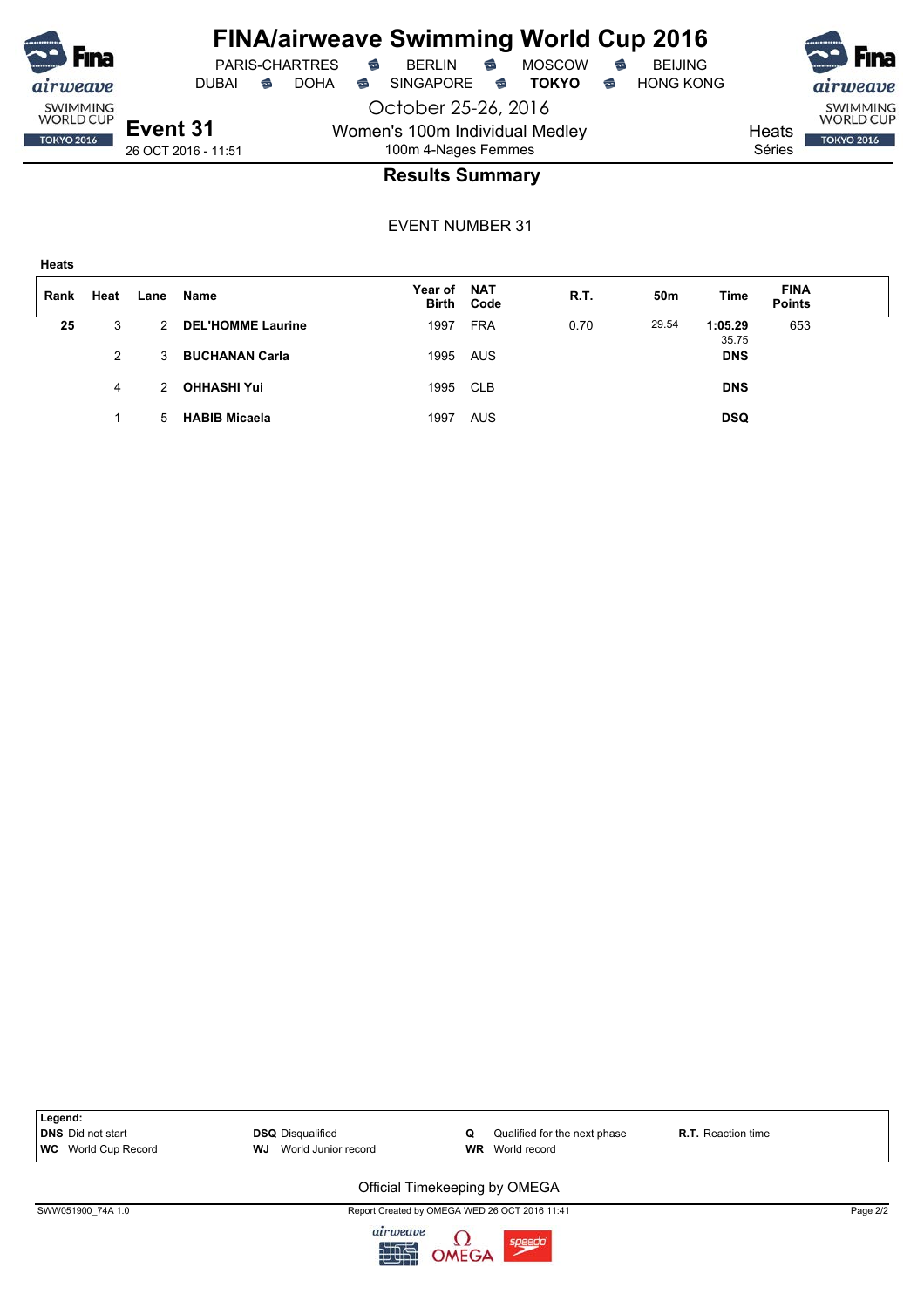

PARIS-CHARTRES **S** BERLIN S MOSCOW S

DUBAI **S** DOHA S SINGAPORE S **TOKYO** S HONG KONG

**Event 31** 26 OCT 2016 - 11:51

October 25-26, 2016 Women's 100m Individual Medley 100m 4-Nages Femmes



### **Results Summary**

EVENT NUMBER 31

| ×<br>٧<br>×<br>×<br>v.<br>۰.<br>. .<br>۰, |
|-------------------------------------------|
|-------------------------------------------|

| Rank | Heat | Lane | Name                     | Year of NAT | <b>Birth Code</b> | <b>R.T.</b> | 50m   | Time             | <b>FINA</b><br><b>Points</b> |  |
|------|------|------|--------------------------|-------------|-------------------|-------------|-------|------------------|------------------------------|--|
| 25   | 3    | 2    | <b>DEL'HOMME Laurine</b> | 1997        | <b>FRA</b>        | 0.70        | 29.54 | 1:05.29<br>35.75 | 653                          |  |
|      | 2    | 3    | <b>BUCHANAN Carla</b>    | 1995 AUS    |                   |             |       | <b>DNS</b>       |                              |  |
|      | 4    | 2    | <b>OHHASHI Yui</b>       | 1995 CLB    |                   |             |       | <b>DNS</b>       |                              |  |
|      |      | 5.   | <b>HABIB Micaela</b>     | 1997        | AUS               |             |       | <b>DSQ</b>       |                              |  |

| Legend:                    |                           |                              |                           |
|----------------------------|---------------------------|------------------------------|---------------------------|
| DNS Did not start          | <b>DSQ</b> Disqualified   | Qualified for the next phase | <b>R.T.</b> Reaction time |
| <b>WC</b> World Cup Record | WJ<br>World Junior record | <b>WR</b> World record       |                           |
|                            |                           |                              |                           |

#### Official Timekeeping by OMEGA

SWW051900\_74A 1.0 Page 2/2

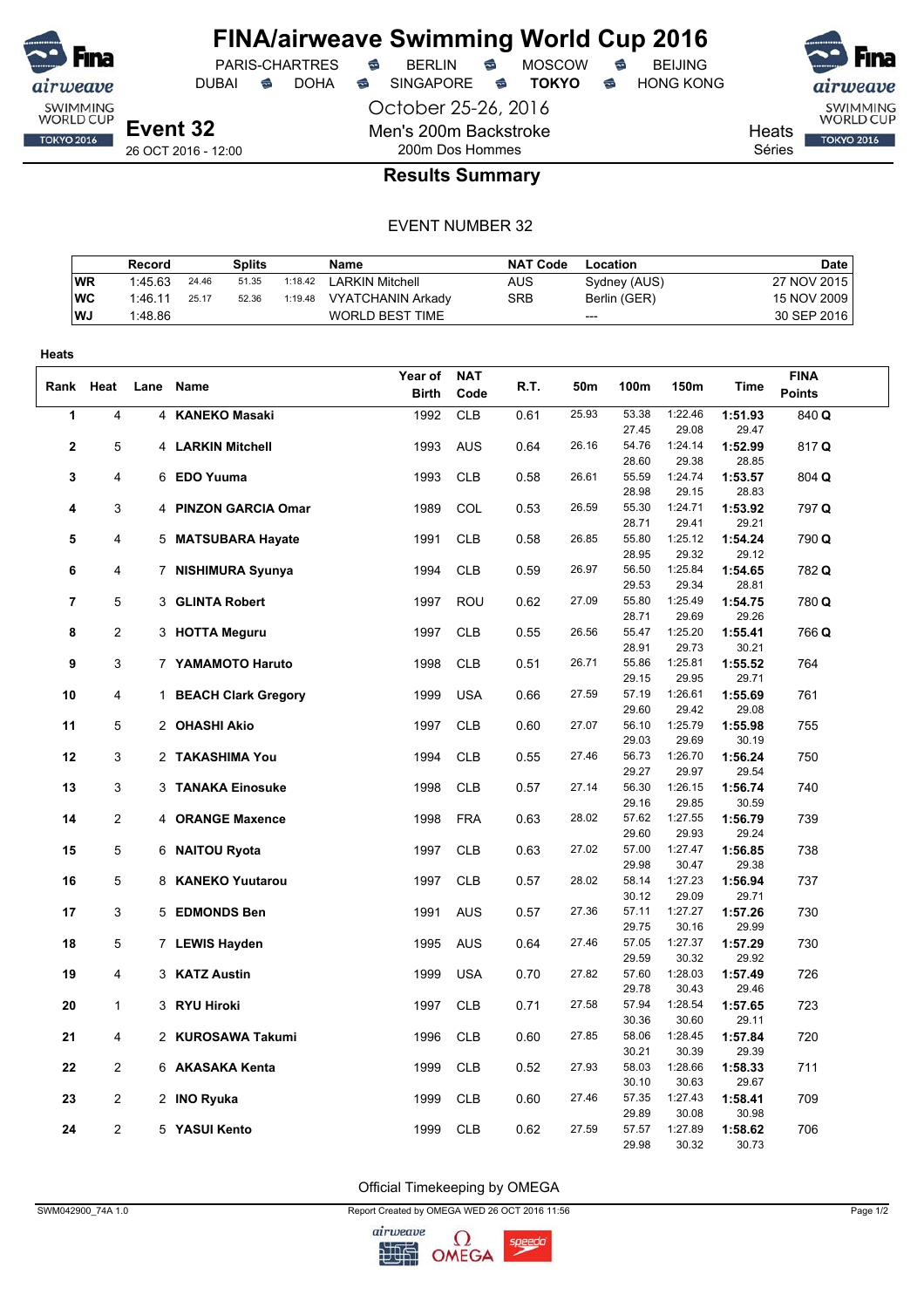

DUBAI **S** DOHA S SINGAPORE S **TOKYO** S HONG KONG

PARIS-CHARTRES **S** BERLIN S MOSCOW S

October 25-26, 2016 Men's 200m Backstroke 200m Dos Hommes



Heats

Séries

### **Results Summary**

#### EVENT NUMBER 32

|           | Record  |       | Splits |         | Name                     | <b>NAT Code</b> | Location     | Date        |
|-----------|---------|-------|--------|---------|--------------------------|-----------------|--------------|-------------|
| <b>WR</b> | 1:45.63 | 24.46 | 51.35  | 1:18.42 | <b>LARKIN Mitchell</b>   | AUS             | Sydney (AUS) | 27 NOV 2015 |
| WC        | 1:46.11 | 25.17 | 52.36  | 1:19.48 | <b>VYATCHANIN Arkady</b> | <b>SRB</b>      | Berlin (GER) | 15 NOV 2009 |
| l WJ      | 1:48.86 |       |        |         | WORLD BEST TIME          |                 | ---          | 30 SEP 2016 |

| Heats          |                |      |                       |              |            |      |       |                |                  |                  |               |
|----------------|----------------|------|-----------------------|--------------|------------|------|-------|----------------|------------------|------------------|---------------|
|                |                |      |                       | Year of      | <b>NAT</b> |      |       |                |                  |                  | <b>FINA</b>   |
| Rank Heat      |                | Lane | Name                  | <b>Birth</b> | Code       | R.T. | 50m   | 100m           | 150m             | Time             | <b>Points</b> |
| 1              | 4              |      | 4 KANEKO Masaki       | 1992         | <b>CLB</b> | 0.61 | 25.93 | 53.38          | 1:22.46          | 1:51.93          | 840 Q         |
|                |                |      |                       |              |            |      |       | 27.45          | 29.08            | 29.47            |               |
| $\overline{2}$ | 5              |      | 4 LARKIN Mitchell     | 1993         | <b>AUS</b> | 0.64 | 26.16 | 54.76          | 1:24.14          | 1:52.99          | 817Q          |
|                |                |      |                       |              |            |      |       | 28.60          | 29.38            | 28.85            |               |
| 3              | 4              |      | 6 EDO Yuuma           | 1993         | <b>CLB</b> | 0.58 | 26.61 | 55.59          | 1:24.74          | 1:53.57          | 804 Q         |
|                |                |      |                       |              |            |      |       | 28.98          | 29.15            | 28.83            |               |
| 4              | 3              |      | 4 PINZON GARCIA Omar  | 1989         | COL        | 0.53 | 26.59 | 55.30<br>28.71 | 1:24.71<br>29.41 | 1:53.92<br>29.21 | 797 Q         |
| 5              | 4              |      |                       | 1991         | <b>CLB</b> | 0.58 | 26.85 | 55.80          | 1:25.12          | 1:54.24          | 790 Q         |
|                |                |      | 5 MATSUBARA Hayate    |              |            |      |       | 28.95          | 29.32            | 29.12            |               |
| 6              | 4              |      | 7 NISHIMURA Syunya    | 1994         | <b>CLB</b> | 0.59 | 26.97 | 56.50          | 1:25.84          | 1:54.65          | 782 Q         |
|                |                |      |                       |              |            |      |       | 29.53          | 29.34            | 28.81            |               |
| $\overline{7}$ | 5              |      | 3 GLINTA Robert       | 1997         | <b>ROU</b> | 0.62 | 27.09 | 55.80          | 1:25.49          | 1:54.75          | 780 Q         |
|                |                |      |                       |              |            |      |       | 28.71          | 29.69            | 29.26            |               |
| 8              | 2              |      | 3 HOTTA Meguru        | 1997         | <b>CLB</b> | 0.55 | 26.56 | 55.47          | 1:25.20          | 1:55.41          | 766 Q         |
|                |                |      |                       |              |            |      |       | 28.91          | 29.73            | 30.21            |               |
| 9              | 3              |      | 7 YAMAMOTO Haruto     | 1998         | <b>CLB</b> | 0.51 | 26.71 | 55.86          | 1:25.81          | 1:55.52          | 764           |
|                |                |      |                       |              |            |      |       | 29.15          | 29.95            | 29.71            |               |
| 10             | 4              |      | 1 BEACH Clark Gregory | 1999         | <b>USA</b> | 0.66 | 27.59 | 57.19          | 1:26.61          | 1:55.69          | 761           |
|                |                |      |                       |              |            |      |       | 29.60          | 29.42            | 29.08            |               |
| 11             | 5              |      | 2 OHASHI Akio         | 1997         | <b>CLB</b> | 0.60 | 27.07 | 56.10          | 1:25.79          | 1:55.98          | 755           |
|                |                |      |                       |              |            |      | 27.46 | 29.03<br>56.73 | 29.69            | 30.19            |               |
| 12             | 3              |      | 2 TAKASHIMA You       | 1994         | <b>CLB</b> | 0.55 |       | 29.27          | 1:26.70<br>29.97 | 1:56.24<br>29.54 | 750           |
| 13             | 3              |      | 3 TANAKA Einosuke     | 1998         | <b>CLB</b> | 0.57 | 27.14 | 56.30          | 1:26.15          | 1:56.74          | 740           |
|                |                |      |                       |              |            |      |       | 29.16          | 29.85            | 30.59            |               |
| 14             | $\overline{2}$ |      | 4 ORANGE Maxence      | 1998         | <b>FRA</b> | 0.63 | 28.02 | 57.62          | 1:27.55          | 1:56.79          | 739           |
|                |                |      |                       |              |            |      |       | 29.60          | 29.93            | 29.24            |               |
| 15             | 5              |      | 6 NAITOU Ryota        | 1997         | <b>CLB</b> | 0.63 | 27.02 | 57.00          | 1:27.47          | 1:56.85          | 738           |
|                |                |      |                       |              |            |      |       | 29.98          | 30.47            | 29.38            |               |
| 16             | 5              |      | 8 KANEKO Yuutarou     | 1997         | <b>CLB</b> | 0.57 | 28.02 | 58.14          | 1:27.23          | 1:56.94          | 737           |
|                |                |      |                       |              |            |      |       | 30.12          | 29.09            | 29.71            |               |
| 17             | 3              |      | 5 EDMONDS Ben         | 1991         | <b>AUS</b> | 0.57 | 27.36 | 57.11          | 1:27.27          | 1:57.26          | 730           |
|                |                |      |                       |              |            |      |       | 29.75          | 30.16            | 29.99            |               |
| 18             | 5              |      | 7 LEWIS Hayden        | 1995         | <b>AUS</b> | 0.64 | 27.46 | 57.05<br>29.59 | 1:27.37<br>30.32 | 1:57.29<br>29.92 | 730           |
| 19             | 4              |      | 3 KATZ Austin         | 1999         | <b>USA</b> | 0.70 | 27.82 | 57.60          | 1:28.03          | 1:57.49          | 726           |
|                |                |      |                       |              |            |      |       | 29.78          | 30.43            | 29.46            |               |
| 20             | 1              |      | 3 RYU Hiroki          | 1997         | <b>CLB</b> | 0.71 | 27.58 | 57.94          | 1:28.54          | 1:57.65          | 723           |
|                |                |      |                       |              |            |      |       | 30.36          | 30.60            | 29.11            |               |
| 21             | 4              |      | 2 KUROSAWA Takumi     | 1996         | <b>CLB</b> | 0.60 | 27.85 | 58.06          | 1:28.45          | 1:57.84          | 720           |
|                |                |      |                       |              |            |      |       | 30.21          | 30.39            | 29.39            |               |
| 22             | 2              |      | 6 AKASAKA Kenta       | 1999         | <b>CLB</b> | 0.52 | 27.93 | 58.03          | 1:28.66          | 1:58.33          | 711           |
|                |                |      |                       |              |            |      |       | 30.10          | 30.63            | 29.67            |               |
| 23             | 2              |      | 2 INO Ryuka           | 1999         | <b>CLB</b> | 0.60 | 27.46 | 57.35          | 1:27.43          | 1:58.41          | 709           |
|                |                |      |                       |              |            |      |       | 29.89          | 30.08            | 30.98            |               |
| 24             | $\overline{2}$ |      | 5 YASUI Kento         | 1999         | <b>CLB</b> | 0.62 | 27.59 | 57.57          | 1:27.89          | 1:58.62          | 706           |
|                |                |      |                       |              |            |      |       | 29.98          | 30.32            | 30.73            |               |

Official Timekeeping by OMEGA

SWM042900\_74A 1.0 Page 1/2

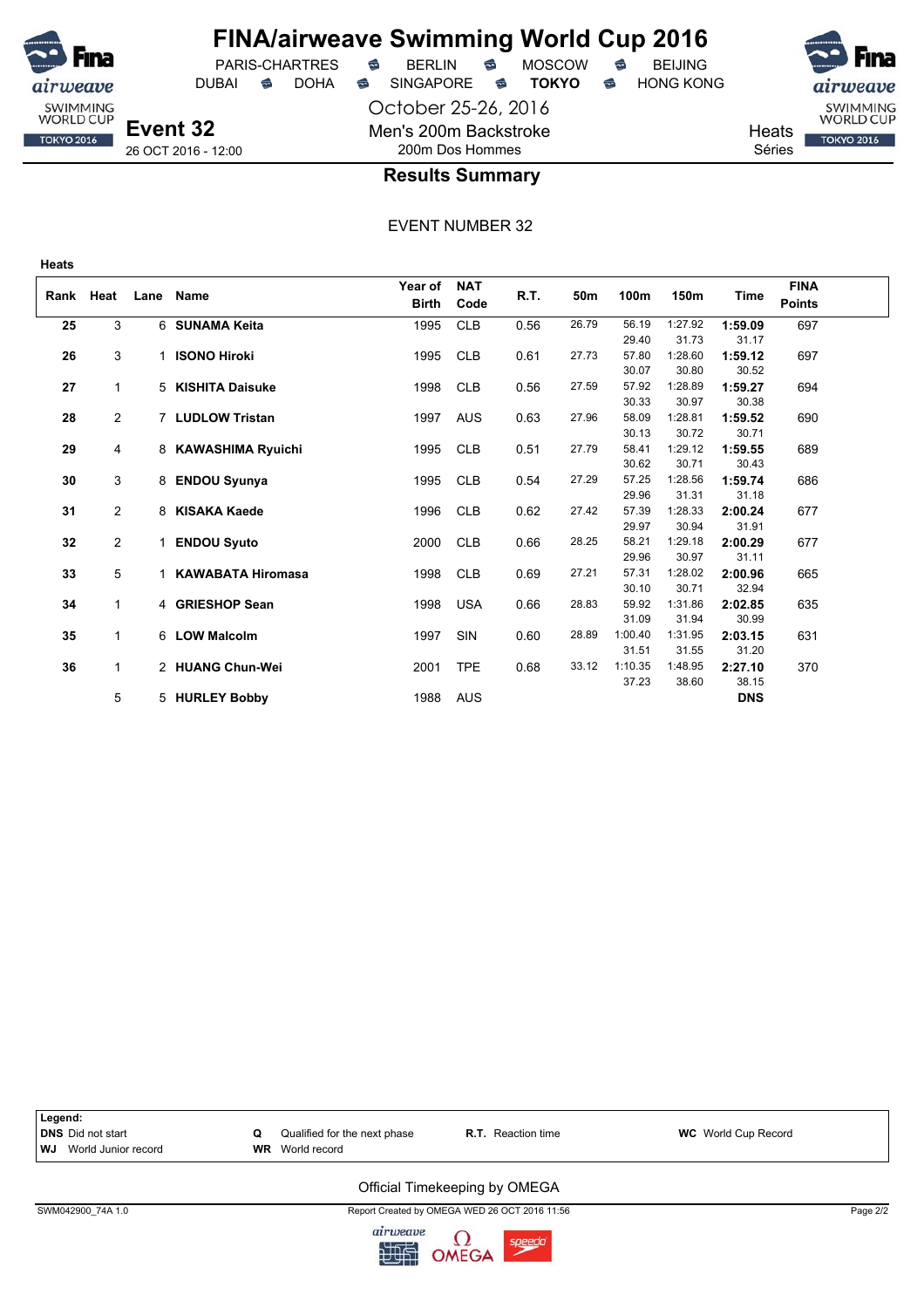

## **FINA/airweave Swimming World Cup 2016** PARIS-CHARTRES **B** BERLIN **B** MOSCOW **B** BEIJING

DUBAI **S** DOHA SINGAPORE S **TOKYO** S HONG KONG

October 25-26, 2016 Men's 200m Backstroke 200m Dos Hommes



### **Results Summary**

EVENT NUMBER 32

| Rank | Heat           | Lane | Name                     | Year of      | <b>NAT</b> | R.T. | 50m   | 100m    | 150m    | Time       | <b>FINA</b>   |  |
|------|----------------|------|--------------------------|--------------|------------|------|-------|---------|---------|------------|---------------|--|
|      |                |      |                          | <b>Birth</b> | Code       |      |       |         |         |            | <b>Points</b> |  |
| 25   | 3              |      | 6 SUNAMA Keita           | 1995         | <b>CLB</b> | 0.56 | 26.79 | 56.19   | 1:27.92 | 1:59.09    | 697           |  |
|      |                |      |                          |              |            |      |       | 29.40   | 31.73   | 31.17      |               |  |
| 26   | 3              | 1    | <b>ISONO Hiroki</b>      | 1995         | <b>CLB</b> | 0.61 | 27.73 | 57.80   | 1:28.60 | 1:59.12    | 697           |  |
|      |                |      |                          |              |            |      |       | 30.07   | 30.80   | 30.52      |               |  |
| 27   | $\mathbf{1}$   |      | 5 KISHITA Daisuke        | 1998         | <b>CLB</b> | 0.56 | 27.59 | 57.92   | 1:28.89 | 1:59.27    | 694           |  |
|      |                |      |                          |              |            |      |       | 30.33   | 30.97   | 30.38      |               |  |
| 28   | $\overline{2}$ |      | 7 LUDLOW Tristan         | 1997         | <b>AUS</b> | 0.63 | 27.96 | 58.09   | 1:28.81 | 1:59.52    | 690           |  |
|      |                |      |                          |              |            |      |       | 30.13   | 30.72   | 30.71      |               |  |
| 29   | 4              |      | 8 KAWASHIMA Ryuichi      | 1995         | <b>CLB</b> | 0.51 | 27.79 | 58.41   | 1:29.12 | 1:59.55    | 689           |  |
|      |                |      |                          |              |            |      |       | 30.62   | 30.71   | 30.43      |               |  |
| 30   | 3              | 8    | <b>ENDOU Syunya</b>      | 1995         | <b>CLB</b> | 0.54 | 27.29 | 57.25   | 1:28.56 | 1:59.74    | 686           |  |
|      |                |      |                          |              |            |      |       | 29.96   | 31.31   | 31.18      |               |  |
| 31   | $\overline{2}$ | 8    | <b>KISAKA Kaede</b>      | 1996         | <b>CLB</b> | 0.62 | 27.42 | 57.39   | 1:28.33 | 2:00.24    | 677           |  |
|      |                |      |                          |              |            |      |       | 29.97   | 30.94   | 31.91      |               |  |
| 32   | $\overline{2}$ | 1    | <b>ENDOU Syuto</b>       | 2000         | <b>CLB</b> | 0.66 | 28.25 | 58.21   | 1:29.18 | 2:00.29    | 677           |  |
|      |                |      |                          |              |            |      |       | 29.96   | 30.97   | 31.11      |               |  |
| 33   | 5              | 1    | <b>KAWABATA Hiromasa</b> | 1998         | <b>CLB</b> | 0.69 | 27.21 | 57.31   | 1:28.02 | 2:00.96    | 665           |  |
|      |                |      |                          |              |            |      |       | 30.10   | 30.71   | 32.94      |               |  |
| 34   | $\mathbf{1}$   |      | 4 GRIESHOP Sean          | 1998         | <b>USA</b> | 0.66 | 28.83 | 59.92   | 1:31.86 | 2:02.85    | 635           |  |
|      |                |      |                          |              |            |      |       | 31.09   | 31.94   | 30.99      |               |  |
| 35   | $\mathbf{1}$   |      | 6 LOW Malcolm            | 1997         | SIN        | 0.60 | 28.89 | 1:00.40 | 1:31.95 | 2:03.15    | 631           |  |
|      |                |      |                          |              |            |      |       | 31.51   | 31.55   | 31.20      |               |  |
| 36   | $\mathbf{1}$   |      | 2 HUANG Chun-Wei         | 2001         | <b>TPE</b> | 0.68 | 33.12 | 1:10.35 | 1:48.95 | 2:27.10    | 370           |  |
|      |                |      |                          |              |            |      |       | 37.23   | 38.60   | 38.15      |               |  |
|      | 5              |      | 5 HURLEY Bobby           | 1988         | AUS        |      |       |         |         | <b>DNS</b> |               |  |



### Official Timekeeping by OMEGA

SWM042900\_74A 1.0 Report Created by OMEGA WED 26 OCT 2016 11:56 Page 2/2

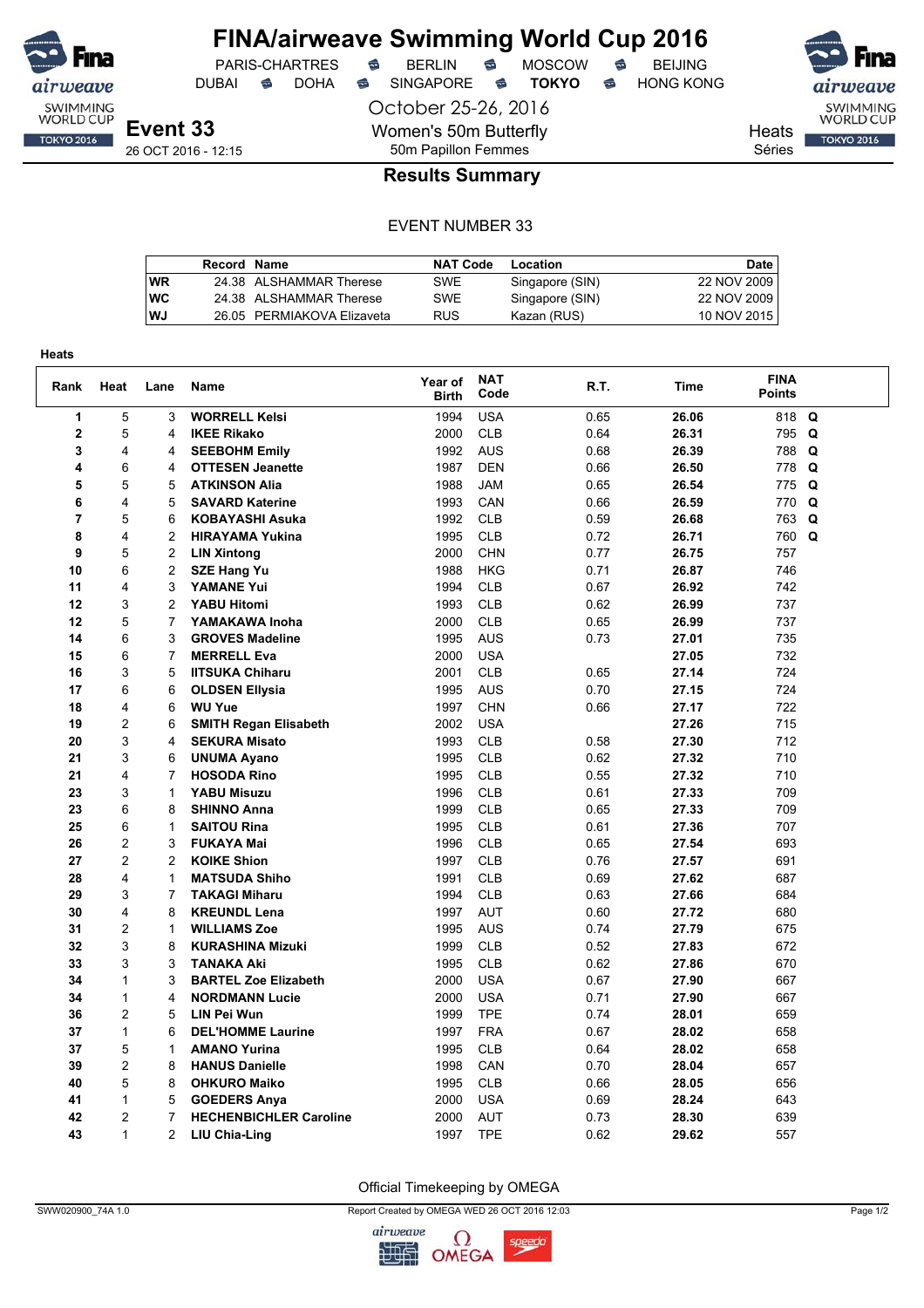

## **FINA/airweave Swimming World Cup 2016**<br>PARIS-CHARTRES **& BERLIN & MOSCOW & BEIJING** PARIS-CHARTRES **S** BERLIN S MOSCOW S

DUBAI **S** DOHA S SINGAPORE S **TOKYO** S HONG KONG

October 25-26, 2016 Women's 50m Butterfly

SWIMMING<br>WORLD CUP

Heats Séries

**TOKYO 2016** 

26 OCT 2016 - 12:15

## **Results Summary**

50m Papillon Femmes

|    | Record Name |                            | <b>NAT Code</b> | Location        | <b>Date</b> |
|----|-------------|----------------------------|-----------------|-----------------|-------------|
| WR |             | 24.38 ALSHAMMAR Therese    | SWE             | Singapore (SIN) | 22 NOV 2009 |
| wс |             | 24.38 ALSHAMMAR Therese    | <b>SWE</b>      | Singapore (SIN) | 22 NOV 2009 |
| WJ |             | 26.05 PERMIAKOVA Elizaveta | <b>RUS</b>      | Kazan (RUS)     | 10 NOV 2015 |

| Heats          |                |                |                               |                         |                    |      |             |                              |   |
|----------------|----------------|----------------|-------------------------------|-------------------------|--------------------|------|-------------|------------------------------|---|
| Rank           | Heat           | Lane           | <b>Name</b>                   | Year of<br><b>Birth</b> | <b>NAT</b><br>Code | R.T. | <b>Time</b> | <b>FINA</b><br><b>Points</b> |   |
| 1              | 5              | 3              | <b>WORRELL Kelsi</b>          | 1994                    | <b>USA</b>         | 0.65 | 26.06       | 818                          | Q |
| $\overline{2}$ | 5              | 4              | <b>IKEE Rikako</b>            | 2000                    | <b>CLB</b>         | 0.64 | 26.31       | 795 Q                        |   |
| 3              | 4              | 4              | <b>SEEBOHM Emily</b>          | 1992                    | <b>AUS</b>         | 0.68 | 26.39       | 788                          | Q |
| 4              | 6              | 4              | <b>OTTESEN Jeanette</b>       | 1987                    | <b>DEN</b>         | 0.66 | 26.50       | 778 Q                        |   |
| 5              | 5              | 5              | <b>ATKINSON Alia</b>          | 1988                    | <b>JAM</b>         | 0.65 | 26.54       | 775                          | Q |
| 6              | 4              | 5              | <b>SAVARD Katerine</b>        | 1993                    | CAN                | 0.66 | 26.59       | 770                          | Q |
| $\overline{7}$ | 5              | 6              | <b>KOBAYASHI Asuka</b>        | 1992                    | <b>CLB</b>         | 0.59 | 26.68       | 763 Q                        |   |
| 8              | 4              | $\overline{2}$ | <b>HIRAYAMA Yukina</b>        | 1995                    | <b>CLB</b>         | 0.72 | 26.71       | 760 Q                        |   |
| 9              | 5              | 2              | <b>LIN Xintong</b>            | 2000                    | <b>CHN</b>         | 0.77 | 26.75       | 757                          |   |
| 10             | 6              | $\overline{c}$ | <b>SZE Hang Yu</b>            | 1988                    | <b>HKG</b>         | 0.71 | 26.87       | 746                          |   |
| 11             | 4              | 3              | <b>YAMANE Yui</b>             | 1994                    | <b>CLB</b>         | 0.67 | 26.92       | 742                          |   |
| 12             | 3              | $\overline{2}$ | <b>YABU Hitomi</b>            | 1993                    | <b>CLB</b>         | 0.62 | 26.99       | 737                          |   |
| 12             | 5              | 7              | YAMAKAWA Inoha                | 2000                    | <b>CLB</b>         | 0.65 | 26.99       | 737                          |   |
| 14             | 6              | 3              | <b>GROVES Madeline</b>        | 1995                    | <b>AUS</b>         | 0.73 | 27.01       | 735                          |   |
| 15             | 6              | $\overline{7}$ | <b>MERRELL Eva</b>            | 2000                    | <b>USA</b>         |      | 27.05       | 732                          |   |
| 16             | 3              | 5              | <b>IITSUKA Chiharu</b>        | 2001                    | <b>CLB</b>         | 0.65 | 27.14       | 724                          |   |
| 17             | 6              | 6              | <b>OLDSEN Ellysia</b>         | 1995                    | <b>AUS</b>         | 0.70 | 27.15       | 724                          |   |
| 18             | 4              | 6              | <b>WU Yue</b>                 | 1997                    | <b>CHN</b>         | 0.66 | 27.17       | 722                          |   |
| 19             | $\overline{c}$ | 6              | <b>SMITH Regan Elisabeth</b>  | 2002                    | <b>USA</b>         |      | 27.26       | 715                          |   |
| 20             | 3              | 4              | <b>SEKURA Misato</b>          | 1993                    | <b>CLB</b>         | 0.58 | 27.30       | 712                          |   |
| 21             | 3              | 6              | <b>UNUMA Ayano</b>            | 1995                    | <b>CLB</b>         | 0.62 | 27.32       | 710                          |   |
| 21             | 4              | 7              | <b>HOSODA Rino</b>            | 1995                    | <b>CLB</b>         | 0.55 | 27.32       | 710                          |   |
| 23             | 3              | 1              | <b>YABU Misuzu</b>            | 1996                    | <b>CLB</b>         | 0.61 | 27.33       | 709                          |   |
| 23             | 6              | 8              | <b>SHINNO Anna</b>            | 1999                    | <b>CLB</b>         | 0.65 | 27.33       | 709                          |   |
| 25             | 6              | $\mathbf{1}$   | <b>SAITOU Rina</b>            | 1995                    | <b>CLB</b>         | 0.61 | 27.36       | 707                          |   |
| 26             | 2              | 3              | <b>FUKAYA Mai</b>             | 1996                    | <b>CLB</b>         | 0.65 | 27.54       | 693                          |   |
| 27             | $\overline{2}$ | $\overline{c}$ | <b>KOIKE Shion</b>            | 1997                    | <b>CLB</b>         | 0.76 | 27.57       | 691                          |   |
| 28             | 4              | 1              | <b>MATSUDA Shiho</b>          | 1991                    | <b>CLB</b>         | 0.69 | 27.62       | 687                          |   |
| 29             | 3              | $\overline{7}$ | <b>TAKAGI Miharu</b>          | 1994                    | <b>CLB</b>         | 0.63 | 27.66       | 684                          |   |
| 30             | 4              | 8              | <b>KREUNDL Lena</b>           | 1997                    | <b>AUT</b>         | 0.60 | 27.72       | 680                          |   |
| 31             | 2              | 1              | <b>WILLIAMS Zoe</b>           | 1995                    | <b>AUS</b>         | 0.74 | 27.79       | 675                          |   |
| 32             | 3              | 8              | <b>KURASHINA Mizuki</b>       | 1999                    | <b>CLB</b>         | 0.52 | 27.83       | 672                          |   |
| 33             | 3              | 3              | <b>TANAKA Aki</b>             | 1995                    | <b>CLB</b>         | 0.62 | 27.86       | 670                          |   |
| 34             | 1              | 3              | <b>BARTEL Zoe Elizabeth</b>   | 2000                    | <b>USA</b>         | 0.67 | 27.90       | 667                          |   |
| 34             | $\mathbf{1}$   | 4              | <b>NORDMANN Lucie</b>         | 2000                    | <b>USA</b>         | 0.71 | 27.90       | 667                          |   |
| 36             | 2              | 5              | LIN Pei Wun                   | 1999                    | <b>TPE</b>         | 0.74 | 28.01       | 659                          |   |
| 37             | $\mathbf{1}$   | 6              | <b>DEL'HOMME Laurine</b>      | 1997                    | <b>FRA</b>         | 0.67 | 28.02       | 658                          |   |
| 37             | 5              | 1              | <b>AMANO Yurina</b>           | 1995                    | <b>CLB</b>         | 0.64 | 28.02       | 658                          |   |
| 39             | 2              | 8              | <b>HANUS Danielle</b>         | 1998                    | CAN                | 0.70 | 28.04       | 657                          |   |
| 40             | 5              | 8              | <b>OHKURO Maiko</b>           | 1995                    | <b>CLB</b>         | 0.66 | 28.05       | 656                          |   |
| 41             | $\mathbf{1}$   | 5              | <b>GOEDERS Anya</b>           | 2000                    | <b>USA</b>         | 0.69 | 28.24       | 643                          |   |
| 42             | $\overline{c}$ | 7              | <b>HECHENBICHLER Caroline</b> | 2000                    | <b>AUT</b>         | 0.73 | 28.30       | 639                          |   |
| 43             | 1              | $\overline{c}$ | LIU Chia-Ling                 | 1997                    | <b>TPE</b>         | 0.62 | 29.62       | 557                          |   |

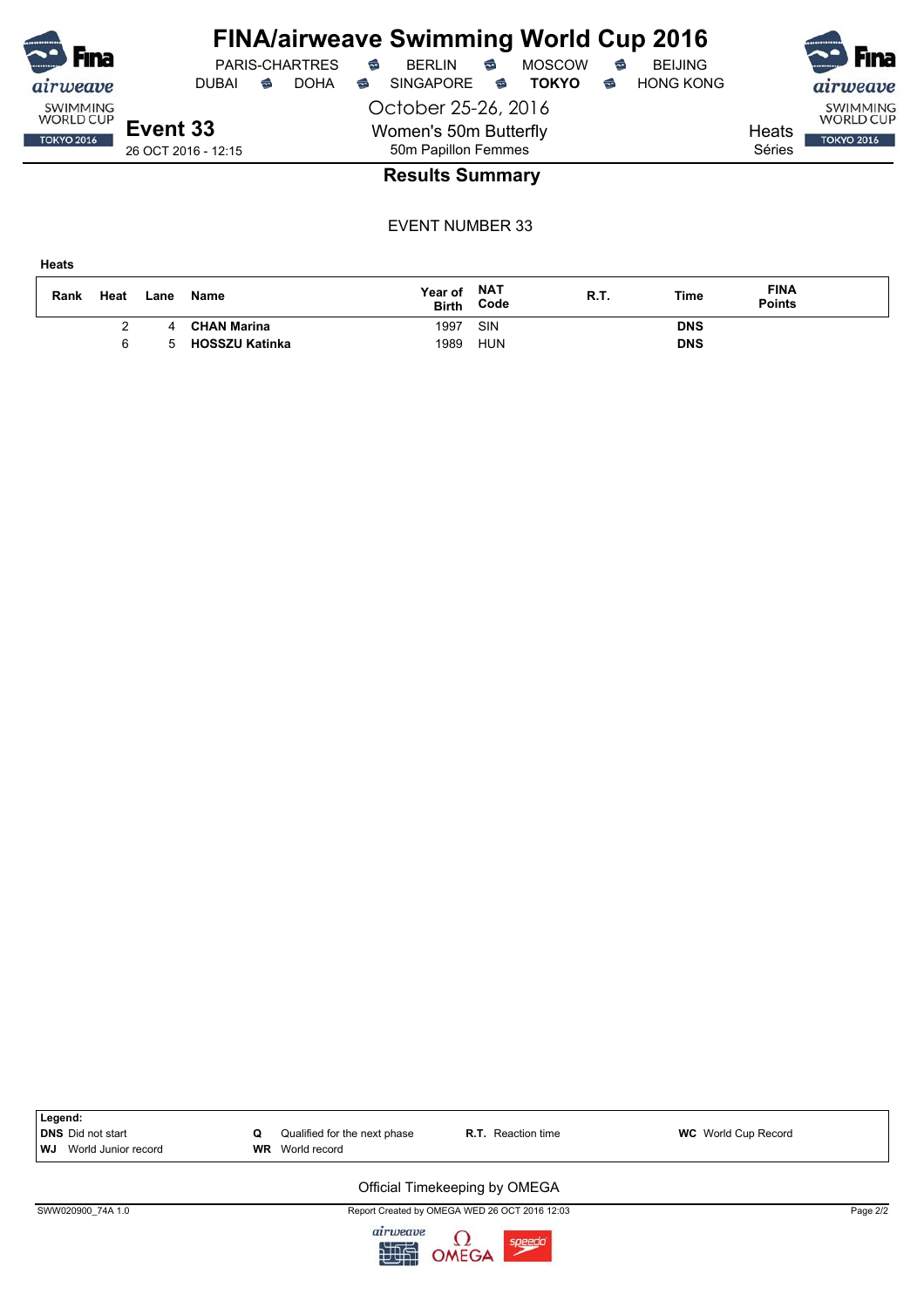| $\sim$                              |                     |   |                       |   | <b>FINA/airweave Swimming World Cup 2016</b> |           |               |   |                  |        |                                     |
|-------------------------------------|---------------------|---|-----------------------|---|----------------------------------------------|-----------|---------------|---|------------------|--------|-------------------------------------|
| Fina                                |                     |   | <b>PARIS-CHARTRES</b> | ⇔ | <b>BERLIN</b>                                | €         | <b>MOSCOW</b> | € | <b>BEIJING</b>   |        | <b>Fina</b>                         |
| airweave                            | <b>DUBAL</b>        | ⇔ | <b>DOHA</b>           | ⇔ | <b>SINGAPORE</b>                             | $\approx$ | <b>TOKYO</b>  | € | <b>HONG KONG</b> |        | airweave                            |
| <b>SWIMMING</b><br><b>WORLD CUP</b> |                     |   |                       |   | October 25-26, 2016                          |           |               |   |                  |        | <b>SWIMMING</b><br><b>WORLD CUP</b> |
| <b>TOKYO 2016</b>                   | Event 33            |   |                       |   | Women's 50m Butterfly                        |           |               |   |                  | Heats  | <b>TOKYO 2016</b>                   |
|                                     | 26 OCT 2016 - 12:15 |   |                       |   | 50m Papillon Femmes                          |           |               |   |                  | Séries |                                     |
|                                     |                     |   |                       |   | <b>Doculte Summany</b>                       |           |               |   |                  |        |                                     |

### **Results Summary**

EVENT NUMBER 33

**Heats**

| Rank | Heat | Lane | Name                  | Year of<br><b>Birth</b> | <b>NAT</b><br>Code | R.T. | Time       | <b>FINA</b><br><b>Points</b> |
|------|------|------|-----------------------|-------------------------|--------------------|------|------------|------------------------------|
|      |      | 4    | <b>CHAN Marina</b>    | 1997                    | SIN                |      | <b>DNS</b> |                              |
|      |      |      | <b>HOSSZU Katinka</b> | 1989                    | HUN                |      | <b>DNS</b> |                              |



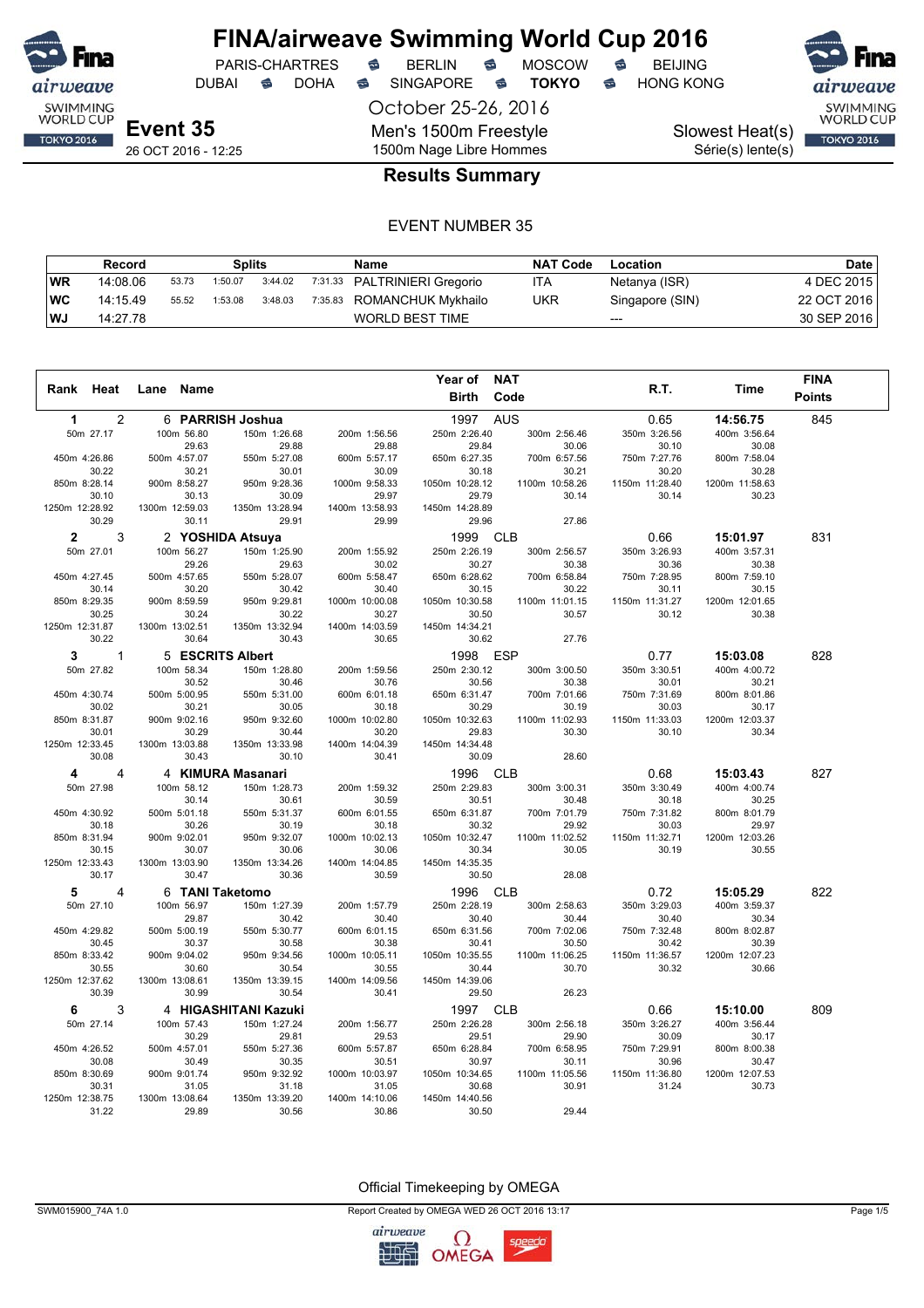

DUBAI **S** DOHA S SINGAPORE S **TOKYO** S HONG KONG

PARIS-CHARTRES **S** BERLIN S MOSCOW S

October 25-26, 2016 Men's 1500m Freestyle 1500m Nage Libre Hommes

SWIMMING<br>WORLD CUP

Série(s) lente(s)

## Slowest Heat(s) **TOKYO 2016**

26 OCT 2016 - 12:25

### **Results Summary**

#### EVENT NUMBER 35

|           | Record   |       | Splits  |         | Name                         | <b>NAT Code</b> | Location        | Date        |
|-----------|----------|-------|---------|---------|------------------------------|-----------------|-----------------|-------------|
| <b>WR</b> | 14:08.06 | 53.73 | 1:50.07 | 3:44.02 | 7:31.33 PALTRINIERI Gregorio | ITA             | Netanya (ISR)   | 4 DEC 2015  |
| ∣WC       | 14:15.49 | 55.52 | 1:53.08 | 3:48.03 | 7:35.83 ROMANCHUK Mykhailo   | <b>UKR</b>      | Singapore (SIN) | 22 OCT 2016 |
| l WJ      | 14:27.78 |       |         |         | WORLD BEST TIME              |                 | $---$           | 30 SEP 2016 |

| R.T.<br>Rank Heat<br>Time<br>Lane Name<br>Birth<br>Code<br><b>Points</b><br>845<br>$\overline{2}$<br><b>AUS</b><br>0.65<br>1<br>6 PARRISH Joshua<br>1997<br>14:56.75<br>50m 27.17<br>150m 1:26.68<br>250m 2:26.40<br>350m 3:26.56<br>400m 3:56.64<br>100m 56.80<br>200m 1:56.56<br>300m 2:56.46<br>29.63<br>29.88<br>29.88<br>29.84<br>30.10<br>30.08<br>30.06<br>550m 5:27.08<br>650m 6:27.35<br>450m 4:26.86<br>500m 4:57.07<br>600m 5:57.17<br>700m 6:57.56<br>750m 7:27.76<br>800m 7:58.04<br>30.22<br>30.01<br>30.09<br>30.18<br>30.20<br>30.28<br>30.21<br>30.21<br>850m 8:28.14<br>900m 8:58.27<br>950m 9:28.36<br>1000m 9:58.33<br>1050m 10:28.12<br>1100m 10:58.26<br>1150m 11:28.40<br>1200m 11:58.63<br>30.23<br>30.10<br>30.13<br>30.09<br>29.97<br>29.79<br>30.14<br>30.14<br>1250m 12:28.92<br>1300m 12:59.03<br>1450m 14:28.89<br>1350m 13:28.94<br>1400m 13:58.93<br>30.29<br>30.11<br>29.91<br>29.99<br>29.96<br>27.86<br>3<br>2 YOSHIDA Atsuya<br>1999<br><b>CLB</b><br>15:01.97<br>831<br>$\mathbf{2}$<br>0.66<br>50m 27.01<br>100m 56.27<br>150m 1:25.90<br>250m 2:26.19<br>350m 3:26.93<br>400m 3:57.31<br>200m 1:55.92<br>300m 2:56.57<br>29.26<br>29.63<br>30.02<br>30.27<br>30.38<br>30.36<br>30.38<br>500m 4:57.65<br>550m 5:28.07<br>650m 6:28.62<br>700m 6:58.84<br>800m 7:59.10<br>450m 4:27.45<br>600m 5:58.47<br>750m 7:28.95<br>30.14<br>30.20<br>30.42<br>30.15<br>30.40<br>30.22<br>30.11<br>30.15<br>850m 8:29.35<br>900m 8:59.59<br>950m 9:29.81<br>1000m 10:00.08<br>1050m 10:30.58<br>1100m 11:01.15<br>1150m 11:31.27<br>1200m 12:01.65<br>30.25<br>30.24<br>30.22<br>30.27<br>30.50<br>30.57<br>30.12<br>30.38<br>1250m 12:31.87<br>1300m 13:02.51<br>1350m 13:32.94<br>1400m 14:03.59<br>1450m 14:34.21<br>30.22<br>30.64<br>30.43<br>30.62<br>30.65<br>27.76<br>1998 ESP<br>828<br>3<br>$\mathbf{1}$<br>5 ESCRITS Albert<br>0.77<br>15:03.08<br>50m 27.82<br>100m 58.34<br>150m 1:28.80<br>200m 1:59.56<br>250m 2:30.12<br>300m 3:00.50<br>350m 3:30.51<br>400m 4:00.72<br>30.52<br>30.46<br>30.76<br>30.56<br>30.38<br>30.01<br>30.21<br>450m 4:30.74<br>500m 5:00.95<br>550m 5:31.00<br>600m 6:01.18<br>650m 6:31.47<br>700m 7:01.66<br>750m 7:31.69<br>800m 8:01.86<br>30.02<br>30.21<br>30.05<br>30.18<br>30.29<br>30.19<br>30.03<br>30.17<br>850m 8:31.87<br>900m 9:02.16<br>950m 9:32.60<br>1000m 10:02.80<br>1050m 10:32.63<br>1100m 11:02.93<br>1150m 11:33.03<br>1200m 12:03.37<br>30.01<br>30.29<br>30.44<br>30.20<br>29.83<br>30.30<br>30.10<br>30.34<br>1250m 12:33.45<br>1300m 13:03.88<br>1350m 13:33.98<br>1400m 14:04.39<br>1450m 14:34.48<br>30.08<br>30.43<br>30.10<br>30.41<br>30.09<br>28.60<br>4 KIMURA Masanari<br><b>CLB</b><br>827<br>4<br>1996<br>0.68<br>15:03.43<br>4<br>350m 3:30.49<br>50m 27.98<br>100m 58.12<br>150m 1:28.73<br>200m 1:59.32<br>250m 2:29.83<br>300m 3:00.31<br>400m 4:00.74<br>30.51<br>30.25<br>30.14<br>30.61<br>30.59<br>30.48<br>30.18<br>450m 4:30.92<br>500m 5:01.18<br>550m 5:31.37<br>600m 6:01.55<br>650m 6:31.87<br>700m 7:01.79<br>750m 7:31.82<br>800m 8:01.79<br>30.32<br>30.18<br>30.26<br>30.19<br>30.18<br>29.92<br>30.03<br>29.97<br>850m 8:31.94<br>900m 9:02.01<br>950m 9:32.07<br>1000m 10:02.13<br>1050m 10:32.47<br>1100m 11:02.52<br>1150m 11:32.71<br>1200m 12:03.26<br>30.15<br>30.34<br>30.07<br>30.06<br>30.06<br>30.05<br>30.19<br>30.55<br>1250m 12:33.43<br>1300m 13:03.90<br>1350m 13:34.26<br>1400m 14:04.85<br>1450m 14:35.35<br>30.17<br>30.47<br>30.36<br>30.59<br>30.50<br>28.08<br>1996 CLB<br>822<br>6 TANI Taketomo<br>0.72<br>15:05.29<br>5<br>4<br>100m 56.97<br>250m 2:28.19<br>350m 3:29.03<br>400m 3:59.37<br>50m 27.10<br>150m 1:27.39<br>200m 1:57.79<br>300m 2:58.63<br>29.87<br>30.40<br>30.40<br>30.44<br>30.40<br>30.34<br>30.42<br>450m 4:29.82<br>500m 5:00.19<br>550m 5:30.77<br>600m 6:01.15<br>650m 6:31.56<br>700m 7:02.06<br>750m 7:32.48<br>800m 8:02.87<br>30.45<br>30.37<br>30.58<br>30.41<br>30.50<br>30.42<br>30.39<br>30.38<br>850m 8:33.42<br>900m 9:04.02<br>950m 9:34.56<br>1000m 10:05.11<br>1050m 10:35.55<br>1100m 11:06.25<br>1150m 11:36.57<br>1200m 12:07.23<br>30.55<br>30.60<br>30.32<br>30.54<br>30.55<br>30.44<br>30.70<br>30.66<br>1250m 12:37.62<br>1300m 13:08.61<br>1350m 13:39.15<br>1400m 14:09.56<br>1450m 14:39.06<br>30.39<br>30.99<br>30.54<br>30.41<br>29.50<br>26.23<br>4 HIGASHITANI Kazuki<br><b>CLB</b><br>809<br>6<br>3<br>1997<br>0.66<br>15:10.00<br>250m 2:26.28<br>350m 3:26.27<br>400m 3:56.44<br>50m 27.14<br>100m 57.43<br>150m 1:27.24<br>200m 1:56.77<br>300m 2:56.18<br>30.29<br>29.81<br>29.53<br>29.51<br>29.90<br>30.09<br>30.17<br>800m 8:00.38<br>450m 4:26.52<br>500m 4:57.01<br>550m 5:27.36<br>600m 5:57.87<br>650m 6:28.84<br>700m 6:58.95<br>750m 7:29.91<br>30.08<br>30.35<br>30.51<br>30.97<br>30.96<br>30.47<br>30.49<br>30.11<br>850m 8:30.69<br>900m 9:01.74<br>950m 9:32.92<br>1000m 10:03.97<br>1050m 10:34.65<br>1100m 11:05.56<br>1200m 12:07.53<br>1150m 11:36.80<br>30.31<br>31.05<br>30.68<br>30.91<br>31.24<br>30.73<br>31.18<br>31.05<br>1250m 12:38.75<br>1300m 13:08.64<br>1350m 13:39.20<br>1400m 14:10.06<br>1450m 14:40.56 |       |       |       |       | Year of | <b>NAT</b> |  | <b>FINA</b> |
|--------------------------------------------------------------------------------------------------------------------------------------------------------------------------------------------------------------------------------------------------------------------------------------------------------------------------------------------------------------------------------------------------------------------------------------------------------------------------------------------------------------------------------------------------------------------------------------------------------------------------------------------------------------------------------------------------------------------------------------------------------------------------------------------------------------------------------------------------------------------------------------------------------------------------------------------------------------------------------------------------------------------------------------------------------------------------------------------------------------------------------------------------------------------------------------------------------------------------------------------------------------------------------------------------------------------------------------------------------------------------------------------------------------------------------------------------------------------------------------------------------------------------------------------------------------------------------------------------------------------------------------------------------------------------------------------------------------------------------------------------------------------------------------------------------------------------------------------------------------------------------------------------------------------------------------------------------------------------------------------------------------------------------------------------------------------------------------------------------------------------------------------------------------------------------------------------------------------------------------------------------------------------------------------------------------------------------------------------------------------------------------------------------------------------------------------------------------------------------------------------------------------------------------------------------------------------------------------------------------------------------------------------------------------------------------------------------------------------------------------------------------------------------------------------------------------------------------------------------------------------------------------------------------------------------------------------------------------------------------------------------------------------------------------------------------------------------------------------------------------------------------------------------------------------------------------------------------------------------------------------------------------------------------------------------------------------------------------------------------------------------------------------------------------------------------------------------------------------------------------------------------------------------------------------------------------------------------------------------------------------------------------------------------------------------------------------------------------------------------------------------------------------------------------------------------------------------------------------------------------------------------------------------------------------------------------------------------------------------------------------------------------------------------------------------------------------------------------------------------------------------------------------------------------------------------------------------------------------------------------------------------------------------------------------------------------------------------------------------------------------------------------------------------------------------------------------------------------------------------------------------------------------------------------------------------------------------------------------------------------------------------------------------------------------------------------------------------------------------------------------------------------------------------------------------------------------------------------------------------------------------------------------------------------------------------------------------------------------------------------------------------------------------------------------------------------------------------------------------------------------------------------------------|-------|-------|-------|-------|---------|------------|--|-------------|
|                                                                                                                                                                                                                                                                                                                                                                                                                                                                                                                                                                                                                                                                                                                                                                                                                                                                                                                                                                                                                                                                                                                                                                                                                                                                                                                                                                                                                                                                                                                                                                                                                                                                                                                                                                                                                                                                                                                                                                                                                                                                                                                                                                                                                                                                                                                                                                                                                                                                                                                                                                                                                                                                                                                                                                                                                                                                                                                                                                                                                                                                                                                                                                                                                                                                                                                                                                                                                                                                                                                                                                                                                                                                                                                                                                                                                                                                                                                                                                                                                                                                                                                                                                                                                                                                                                                                                                                                                                                                                                                                                                                                                                                                                                                                                                                                                                                                                                                                                                                                                                                                                                                                                        |       |       |       |       |         |            |  |             |
|                                                                                                                                                                                                                                                                                                                                                                                                                                                                                                                                                                                                                                                                                                                                                                                                                                                                                                                                                                                                                                                                                                                                                                                                                                                                                                                                                                                                                                                                                                                                                                                                                                                                                                                                                                                                                                                                                                                                                                                                                                                                                                                                                                                                                                                                                                                                                                                                                                                                                                                                                                                                                                                                                                                                                                                                                                                                                                                                                                                                                                                                                                                                                                                                                                                                                                                                                                                                                                                                                                                                                                                                                                                                                                                                                                                                                                                                                                                                                                                                                                                                                                                                                                                                                                                                                                                                                                                                                                                                                                                                                                                                                                                                                                                                                                                                                                                                                                                                                                                                                                                                                                                                                        |       |       |       |       |         |            |  |             |
|                                                                                                                                                                                                                                                                                                                                                                                                                                                                                                                                                                                                                                                                                                                                                                                                                                                                                                                                                                                                                                                                                                                                                                                                                                                                                                                                                                                                                                                                                                                                                                                                                                                                                                                                                                                                                                                                                                                                                                                                                                                                                                                                                                                                                                                                                                                                                                                                                                                                                                                                                                                                                                                                                                                                                                                                                                                                                                                                                                                                                                                                                                                                                                                                                                                                                                                                                                                                                                                                                                                                                                                                                                                                                                                                                                                                                                                                                                                                                                                                                                                                                                                                                                                                                                                                                                                                                                                                                                                                                                                                                                                                                                                                                                                                                                                                                                                                                                                                                                                                                                                                                                                                                        |       |       |       |       |         |            |  |             |
|                                                                                                                                                                                                                                                                                                                                                                                                                                                                                                                                                                                                                                                                                                                                                                                                                                                                                                                                                                                                                                                                                                                                                                                                                                                                                                                                                                                                                                                                                                                                                                                                                                                                                                                                                                                                                                                                                                                                                                                                                                                                                                                                                                                                                                                                                                                                                                                                                                                                                                                                                                                                                                                                                                                                                                                                                                                                                                                                                                                                                                                                                                                                                                                                                                                                                                                                                                                                                                                                                                                                                                                                                                                                                                                                                                                                                                                                                                                                                                                                                                                                                                                                                                                                                                                                                                                                                                                                                                                                                                                                                                                                                                                                                                                                                                                                                                                                                                                                                                                                                                                                                                                                                        |       |       |       |       |         |            |  |             |
|                                                                                                                                                                                                                                                                                                                                                                                                                                                                                                                                                                                                                                                                                                                                                                                                                                                                                                                                                                                                                                                                                                                                                                                                                                                                                                                                                                                                                                                                                                                                                                                                                                                                                                                                                                                                                                                                                                                                                                                                                                                                                                                                                                                                                                                                                                                                                                                                                                                                                                                                                                                                                                                                                                                                                                                                                                                                                                                                                                                                                                                                                                                                                                                                                                                                                                                                                                                                                                                                                                                                                                                                                                                                                                                                                                                                                                                                                                                                                                                                                                                                                                                                                                                                                                                                                                                                                                                                                                                                                                                                                                                                                                                                                                                                                                                                                                                                                                                                                                                                                                                                                                                                                        |       |       |       |       |         |            |  |             |
|                                                                                                                                                                                                                                                                                                                                                                                                                                                                                                                                                                                                                                                                                                                                                                                                                                                                                                                                                                                                                                                                                                                                                                                                                                                                                                                                                                                                                                                                                                                                                                                                                                                                                                                                                                                                                                                                                                                                                                                                                                                                                                                                                                                                                                                                                                                                                                                                                                                                                                                                                                                                                                                                                                                                                                                                                                                                                                                                                                                                                                                                                                                                                                                                                                                                                                                                                                                                                                                                                                                                                                                                                                                                                                                                                                                                                                                                                                                                                                                                                                                                                                                                                                                                                                                                                                                                                                                                                                                                                                                                                                                                                                                                                                                                                                                                                                                                                                                                                                                                                                                                                                                                                        |       |       |       |       |         |            |  |             |
|                                                                                                                                                                                                                                                                                                                                                                                                                                                                                                                                                                                                                                                                                                                                                                                                                                                                                                                                                                                                                                                                                                                                                                                                                                                                                                                                                                                                                                                                                                                                                                                                                                                                                                                                                                                                                                                                                                                                                                                                                                                                                                                                                                                                                                                                                                                                                                                                                                                                                                                                                                                                                                                                                                                                                                                                                                                                                                                                                                                                                                                                                                                                                                                                                                                                                                                                                                                                                                                                                                                                                                                                                                                                                                                                                                                                                                                                                                                                                                                                                                                                                                                                                                                                                                                                                                                                                                                                                                                                                                                                                                                                                                                                                                                                                                                                                                                                                                                                                                                                                                                                                                                                                        |       |       |       |       |         |            |  |             |
|                                                                                                                                                                                                                                                                                                                                                                                                                                                                                                                                                                                                                                                                                                                                                                                                                                                                                                                                                                                                                                                                                                                                                                                                                                                                                                                                                                                                                                                                                                                                                                                                                                                                                                                                                                                                                                                                                                                                                                                                                                                                                                                                                                                                                                                                                                                                                                                                                                                                                                                                                                                                                                                                                                                                                                                                                                                                                                                                                                                                                                                                                                                                                                                                                                                                                                                                                                                                                                                                                                                                                                                                                                                                                                                                                                                                                                                                                                                                                                                                                                                                                                                                                                                                                                                                                                                                                                                                                                                                                                                                                                                                                                                                                                                                                                                                                                                                                                                                                                                                                                                                                                                                                        |       |       |       |       |         |            |  |             |
|                                                                                                                                                                                                                                                                                                                                                                                                                                                                                                                                                                                                                                                                                                                                                                                                                                                                                                                                                                                                                                                                                                                                                                                                                                                                                                                                                                                                                                                                                                                                                                                                                                                                                                                                                                                                                                                                                                                                                                                                                                                                                                                                                                                                                                                                                                                                                                                                                                                                                                                                                                                                                                                                                                                                                                                                                                                                                                                                                                                                                                                                                                                                                                                                                                                                                                                                                                                                                                                                                                                                                                                                                                                                                                                                                                                                                                                                                                                                                                                                                                                                                                                                                                                                                                                                                                                                                                                                                                                                                                                                                                                                                                                                                                                                                                                                                                                                                                                                                                                                                                                                                                                                                        |       |       |       |       |         |            |  |             |
|                                                                                                                                                                                                                                                                                                                                                                                                                                                                                                                                                                                                                                                                                                                                                                                                                                                                                                                                                                                                                                                                                                                                                                                                                                                                                                                                                                                                                                                                                                                                                                                                                                                                                                                                                                                                                                                                                                                                                                                                                                                                                                                                                                                                                                                                                                                                                                                                                                                                                                                                                                                                                                                                                                                                                                                                                                                                                                                                                                                                                                                                                                                                                                                                                                                                                                                                                                                                                                                                                                                                                                                                                                                                                                                                                                                                                                                                                                                                                                                                                                                                                                                                                                                                                                                                                                                                                                                                                                                                                                                                                                                                                                                                                                                                                                                                                                                                                                                                                                                                                                                                                                                                                        |       |       |       |       |         |            |  |             |
|                                                                                                                                                                                                                                                                                                                                                                                                                                                                                                                                                                                                                                                                                                                                                                                                                                                                                                                                                                                                                                                                                                                                                                                                                                                                                                                                                                                                                                                                                                                                                                                                                                                                                                                                                                                                                                                                                                                                                                                                                                                                                                                                                                                                                                                                                                                                                                                                                                                                                                                                                                                                                                                                                                                                                                                                                                                                                                                                                                                                                                                                                                                                                                                                                                                                                                                                                                                                                                                                                                                                                                                                                                                                                                                                                                                                                                                                                                                                                                                                                                                                                                                                                                                                                                                                                                                                                                                                                                                                                                                                                                                                                                                                                                                                                                                                                                                                                                                                                                                                                                                                                                                                                        |       |       |       |       |         |            |  |             |
|                                                                                                                                                                                                                                                                                                                                                                                                                                                                                                                                                                                                                                                                                                                                                                                                                                                                                                                                                                                                                                                                                                                                                                                                                                                                                                                                                                                                                                                                                                                                                                                                                                                                                                                                                                                                                                                                                                                                                                                                                                                                                                                                                                                                                                                                                                                                                                                                                                                                                                                                                                                                                                                                                                                                                                                                                                                                                                                                                                                                                                                                                                                                                                                                                                                                                                                                                                                                                                                                                                                                                                                                                                                                                                                                                                                                                                                                                                                                                                                                                                                                                                                                                                                                                                                                                                                                                                                                                                                                                                                                                                                                                                                                                                                                                                                                                                                                                                                                                                                                                                                                                                                                                        |       |       |       |       |         |            |  |             |
|                                                                                                                                                                                                                                                                                                                                                                                                                                                                                                                                                                                                                                                                                                                                                                                                                                                                                                                                                                                                                                                                                                                                                                                                                                                                                                                                                                                                                                                                                                                                                                                                                                                                                                                                                                                                                                                                                                                                                                                                                                                                                                                                                                                                                                                                                                                                                                                                                                                                                                                                                                                                                                                                                                                                                                                                                                                                                                                                                                                                                                                                                                                                                                                                                                                                                                                                                                                                                                                                                                                                                                                                                                                                                                                                                                                                                                                                                                                                                                                                                                                                                                                                                                                                                                                                                                                                                                                                                                                                                                                                                                                                                                                                                                                                                                                                                                                                                                                                                                                                                                                                                                                                                        |       |       |       |       |         |            |  |             |
|                                                                                                                                                                                                                                                                                                                                                                                                                                                                                                                                                                                                                                                                                                                                                                                                                                                                                                                                                                                                                                                                                                                                                                                                                                                                                                                                                                                                                                                                                                                                                                                                                                                                                                                                                                                                                                                                                                                                                                                                                                                                                                                                                                                                                                                                                                                                                                                                                                                                                                                                                                                                                                                                                                                                                                                                                                                                                                                                                                                                                                                                                                                                                                                                                                                                                                                                                                                                                                                                                                                                                                                                                                                                                                                                                                                                                                                                                                                                                                                                                                                                                                                                                                                                                                                                                                                                                                                                                                                                                                                                                                                                                                                                                                                                                                                                                                                                                                                                                                                                                                                                                                                                                        |       |       |       |       |         |            |  |             |
|                                                                                                                                                                                                                                                                                                                                                                                                                                                                                                                                                                                                                                                                                                                                                                                                                                                                                                                                                                                                                                                                                                                                                                                                                                                                                                                                                                                                                                                                                                                                                                                                                                                                                                                                                                                                                                                                                                                                                                                                                                                                                                                                                                                                                                                                                                                                                                                                                                                                                                                                                                                                                                                                                                                                                                                                                                                                                                                                                                                                                                                                                                                                                                                                                                                                                                                                                                                                                                                                                                                                                                                                                                                                                                                                                                                                                                                                                                                                                                                                                                                                                                                                                                                                                                                                                                                                                                                                                                                                                                                                                                                                                                                                                                                                                                                                                                                                                                                                                                                                                                                                                                                                                        |       |       |       |       |         |            |  |             |
|                                                                                                                                                                                                                                                                                                                                                                                                                                                                                                                                                                                                                                                                                                                                                                                                                                                                                                                                                                                                                                                                                                                                                                                                                                                                                                                                                                                                                                                                                                                                                                                                                                                                                                                                                                                                                                                                                                                                                                                                                                                                                                                                                                                                                                                                                                                                                                                                                                                                                                                                                                                                                                                                                                                                                                                                                                                                                                                                                                                                                                                                                                                                                                                                                                                                                                                                                                                                                                                                                                                                                                                                                                                                                                                                                                                                                                                                                                                                                                                                                                                                                                                                                                                                                                                                                                                                                                                                                                                                                                                                                                                                                                                                                                                                                                                                                                                                                                                                                                                                                                                                                                                                                        |       |       |       |       |         |            |  |             |
|                                                                                                                                                                                                                                                                                                                                                                                                                                                                                                                                                                                                                                                                                                                                                                                                                                                                                                                                                                                                                                                                                                                                                                                                                                                                                                                                                                                                                                                                                                                                                                                                                                                                                                                                                                                                                                                                                                                                                                                                                                                                                                                                                                                                                                                                                                                                                                                                                                                                                                                                                                                                                                                                                                                                                                                                                                                                                                                                                                                                                                                                                                                                                                                                                                                                                                                                                                                                                                                                                                                                                                                                                                                                                                                                                                                                                                                                                                                                                                                                                                                                                                                                                                                                                                                                                                                                                                                                                                                                                                                                                                                                                                                                                                                                                                                                                                                                                                                                                                                                                                                                                                                                                        |       |       |       |       |         |            |  |             |
|                                                                                                                                                                                                                                                                                                                                                                                                                                                                                                                                                                                                                                                                                                                                                                                                                                                                                                                                                                                                                                                                                                                                                                                                                                                                                                                                                                                                                                                                                                                                                                                                                                                                                                                                                                                                                                                                                                                                                                                                                                                                                                                                                                                                                                                                                                                                                                                                                                                                                                                                                                                                                                                                                                                                                                                                                                                                                                                                                                                                                                                                                                                                                                                                                                                                                                                                                                                                                                                                                                                                                                                                                                                                                                                                                                                                                                                                                                                                                                                                                                                                                                                                                                                                                                                                                                                                                                                                                                                                                                                                                                                                                                                                                                                                                                                                                                                                                                                                                                                                                                                                                                                                                        |       |       |       |       |         |            |  |             |
|                                                                                                                                                                                                                                                                                                                                                                                                                                                                                                                                                                                                                                                                                                                                                                                                                                                                                                                                                                                                                                                                                                                                                                                                                                                                                                                                                                                                                                                                                                                                                                                                                                                                                                                                                                                                                                                                                                                                                                                                                                                                                                                                                                                                                                                                                                                                                                                                                                                                                                                                                                                                                                                                                                                                                                                                                                                                                                                                                                                                                                                                                                                                                                                                                                                                                                                                                                                                                                                                                                                                                                                                                                                                                                                                                                                                                                                                                                                                                                                                                                                                                                                                                                                                                                                                                                                                                                                                                                                                                                                                                                                                                                                                                                                                                                                                                                                                                                                                                                                                                                                                                                                                                        |       |       |       |       |         |            |  |             |
|                                                                                                                                                                                                                                                                                                                                                                                                                                                                                                                                                                                                                                                                                                                                                                                                                                                                                                                                                                                                                                                                                                                                                                                                                                                                                                                                                                                                                                                                                                                                                                                                                                                                                                                                                                                                                                                                                                                                                                                                                                                                                                                                                                                                                                                                                                                                                                                                                                                                                                                                                                                                                                                                                                                                                                                                                                                                                                                                                                                                                                                                                                                                                                                                                                                                                                                                                                                                                                                                                                                                                                                                                                                                                                                                                                                                                                                                                                                                                                                                                                                                                                                                                                                                                                                                                                                                                                                                                                                                                                                                                                                                                                                                                                                                                                                                                                                                                                                                                                                                                                                                                                                                                        |       |       |       |       |         |            |  |             |
|                                                                                                                                                                                                                                                                                                                                                                                                                                                                                                                                                                                                                                                                                                                                                                                                                                                                                                                                                                                                                                                                                                                                                                                                                                                                                                                                                                                                                                                                                                                                                                                                                                                                                                                                                                                                                                                                                                                                                                                                                                                                                                                                                                                                                                                                                                                                                                                                                                                                                                                                                                                                                                                                                                                                                                                                                                                                                                                                                                                                                                                                                                                                                                                                                                                                                                                                                                                                                                                                                                                                                                                                                                                                                                                                                                                                                                                                                                                                                                                                                                                                                                                                                                                                                                                                                                                                                                                                                                                                                                                                                                                                                                                                                                                                                                                                                                                                                                                                                                                                                                                                                                                                                        |       |       |       |       |         |            |  |             |
|                                                                                                                                                                                                                                                                                                                                                                                                                                                                                                                                                                                                                                                                                                                                                                                                                                                                                                                                                                                                                                                                                                                                                                                                                                                                                                                                                                                                                                                                                                                                                                                                                                                                                                                                                                                                                                                                                                                                                                                                                                                                                                                                                                                                                                                                                                                                                                                                                                                                                                                                                                                                                                                                                                                                                                                                                                                                                                                                                                                                                                                                                                                                                                                                                                                                                                                                                                                                                                                                                                                                                                                                                                                                                                                                                                                                                                                                                                                                                                                                                                                                                                                                                                                                                                                                                                                                                                                                                                                                                                                                                                                                                                                                                                                                                                                                                                                                                                                                                                                                                                                                                                                                                        |       |       |       |       |         |            |  |             |
|                                                                                                                                                                                                                                                                                                                                                                                                                                                                                                                                                                                                                                                                                                                                                                                                                                                                                                                                                                                                                                                                                                                                                                                                                                                                                                                                                                                                                                                                                                                                                                                                                                                                                                                                                                                                                                                                                                                                                                                                                                                                                                                                                                                                                                                                                                                                                                                                                                                                                                                                                                                                                                                                                                                                                                                                                                                                                                                                                                                                                                                                                                                                                                                                                                                                                                                                                                                                                                                                                                                                                                                                                                                                                                                                                                                                                                                                                                                                                                                                                                                                                                                                                                                                                                                                                                                                                                                                                                                                                                                                                                                                                                                                                                                                                                                                                                                                                                                                                                                                                                                                                                                                                        |       |       |       |       |         |            |  |             |
|                                                                                                                                                                                                                                                                                                                                                                                                                                                                                                                                                                                                                                                                                                                                                                                                                                                                                                                                                                                                                                                                                                                                                                                                                                                                                                                                                                                                                                                                                                                                                                                                                                                                                                                                                                                                                                                                                                                                                                                                                                                                                                                                                                                                                                                                                                                                                                                                                                                                                                                                                                                                                                                                                                                                                                                                                                                                                                                                                                                                                                                                                                                                                                                                                                                                                                                                                                                                                                                                                                                                                                                                                                                                                                                                                                                                                                                                                                                                                                                                                                                                                                                                                                                                                                                                                                                                                                                                                                                                                                                                                                                                                                                                                                                                                                                                                                                                                                                                                                                                                                                                                                                                                        |       |       |       |       |         |            |  |             |
|                                                                                                                                                                                                                                                                                                                                                                                                                                                                                                                                                                                                                                                                                                                                                                                                                                                                                                                                                                                                                                                                                                                                                                                                                                                                                                                                                                                                                                                                                                                                                                                                                                                                                                                                                                                                                                                                                                                                                                                                                                                                                                                                                                                                                                                                                                                                                                                                                                                                                                                                                                                                                                                                                                                                                                                                                                                                                                                                                                                                                                                                                                                                                                                                                                                                                                                                                                                                                                                                                                                                                                                                                                                                                                                                                                                                                                                                                                                                                                                                                                                                                                                                                                                                                                                                                                                                                                                                                                                                                                                                                                                                                                                                                                                                                                                                                                                                                                                                                                                                                                                                                                                                                        |       |       |       |       |         |            |  |             |
|                                                                                                                                                                                                                                                                                                                                                                                                                                                                                                                                                                                                                                                                                                                                                                                                                                                                                                                                                                                                                                                                                                                                                                                                                                                                                                                                                                                                                                                                                                                                                                                                                                                                                                                                                                                                                                                                                                                                                                                                                                                                                                                                                                                                                                                                                                                                                                                                                                                                                                                                                                                                                                                                                                                                                                                                                                                                                                                                                                                                                                                                                                                                                                                                                                                                                                                                                                                                                                                                                                                                                                                                                                                                                                                                                                                                                                                                                                                                                                                                                                                                                                                                                                                                                                                                                                                                                                                                                                                                                                                                                                                                                                                                                                                                                                                                                                                                                                                                                                                                                                                                                                                                                        |       |       |       |       |         |            |  |             |
|                                                                                                                                                                                                                                                                                                                                                                                                                                                                                                                                                                                                                                                                                                                                                                                                                                                                                                                                                                                                                                                                                                                                                                                                                                                                                                                                                                                                                                                                                                                                                                                                                                                                                                                                                                                                                                                                                                                                                                                                                                                                                                                                                                                                                                                                                                                                                                                                                                                                                                                                                                                                                                                                                                                                                                                                                                                                                                                                                                                                                                                                                                                                                                                                                                                                                                                                                                                                                                                                                                                                                                                                                                                                                                                                                                                                                                                                                                                                                                                                                                                                                                                                                                                                                                                                                                                                                                                                                                                                                                                                                                                                                                                                                                                                                                                                                                                                                                                                                                                                                                                                                                                                                        |       |       |       |       |         |            |  |             |
|                                                                                                                                                                                                                                                                                                                                                                                                                                                                                                                                                                                                                                                                                                                                                                                                                                                                                                                                                                                                                                                                                                                                                                                                                                                                                                                                                                                                                                                                                                                                                                                                                                                                                                                                                                                                                                                                                                                                                                                                                                                                                                                                                                                                                                                                                                                                                                                                                                                                                                                                                                                                                                                                                                                                                                                                                                                                                                                                                                                                                                                                                                                                                                                                                                                                                                                                                                                                                                                                                                                                                                                                                                                                                                                                                                                                                                                                                                                                                                                                                                                                                                                                                                                                                                                                                                                                                                                                                                                                                                                                                                                                                                                                                                                                                                                                                                                                                                                                                                                                                                                                                                                                                        |       |       |       |       |         |            |  |             |
|                                                                                                                                                                                                                                                                                                                                                                                                                                                                                                                                                                                                                                                                                                                                                                                                                                                                                                                                                                                                                                                                                                                                                                                                                                                                                                                                                                                                                                                                                                                                                                                                                                                                                                                                                                                                                                                                                                                                                                                                                                                                                                                                                                                                                                                                                                                                                                                                                                                                                                                                                                                                                                                                                                                                                                                                                                                                                                                                                                                                                                                                                                                                                                                                                                                                                                                                                                                                                                                                                                                                                                                                                                                                                                                                                                                                                                                                                                                                                                                                                                                                                                                                                                                                                                                                                                                                                                                                                                                                                                                                                                                                                                                                                                                                                                                                                                                                                                                                                                                                                                                                                                                                                        |       |       |       |       |         |            |  |             |
|                                                                                                                                                                                                                                                                                                                                                                                                                                                                                                                                                                                                                                                                                                                                                                                                                                                                                                                                                                                                                                                                                                                                                                                                                                                                                                                                                                                                                                                                                                                                                                                                                                                                                                                                                                                                                                                                                                                                                                                                                                                                                                                                                                                                                                                                                                                                                                                                                                                                                                                                                                                                                                                                                                                                                                                                                                                                                                                                                                                                                                                                                                                                                                                                                                                                                                                                                                                                                                                                                                                                                                                                                                                                                                                                                                                                                                                                                                                                                                                                                                                                                                                                                                                                                                                                                                                                                                                                                                                                                                                                                                                                                                                                                                                                                                                                                                                                                                                                                                                                                                                                                                                                                        |       |       |       |       |         |            |  |             |
|                                                                                                                                                                                                                                                                                                                                                                                                                                                                                                                                                                                                                                                                                                                                                                                                                                                                                                                                                                                                                                                                                                                                                                                                                                                                                                                                                                                                                                                                                                                                                                                                                                                                                                                                                                                                                                                                                                                                                                                                                                                                                                                                                                                                                                                                                                                                                                                                                                                                                                                                                                                                                                                                                                                                                                                                                                                                                                                                                                                                                                                                                                                                                                                                                                                                                                                                                                                                                                                                                                                                                                                                                                                                                                                                                                                                                                                                                                                                                                                                                                                                                                                                                                                                                                                                                                                                                                                                                                                                                                                                                                                                                                                                                                                                                                                                                                                                                                                                                                                                                                                                                                                                                        |       |       |       |       |         |            |  |             |
|                                                                                                                                                                                                                                                                                                                                                                                                                                                                                                                                                                                                                                                                                                                                                                                                                                                                                                                                                                                                                                                                                                                                                                                                                                                                                                                                                                                                                                                                                                                                                                                                                                                                                                                                                                                                                                                                                                                                                                                                                                                                                                                                                                                                                                                                                                                                                                                                                                                                                                                                                                                                                                                                                                                                                                                                                                                                                                                                                                                                                                                                                                                                                                                                                                                                                                                                                                                                                                                                                                                                                                                                                                                                                                                                                                                                                                                                                                                                                                                                                                                                                                                                                                                                                                                                                                                                                                                                                                                                                                                                                                                                                                                                                                                                                                                                                                                                                                                                                                                                                                                                                                                                                        |       |       |       |       |         |            |  |             |
|                                                                                                                                                                                                                                                                                                                                                                                                                                                                                                                                                                                                                                                                                                                                                                                                                                                                                                                                                                                                                                                                                                                                                                                                                                                                                                                                                                                                                                                                                                                                                                                                                                                                                                                                                                                                                                                                                                                                                                                                                                                                                                                                                                                                                                                                                                                                                                                                                                                                                                                                                                                                                                                                                                                                                                                                                                                                                                                                                                                                                                                                                                                                                                                                                                                                                                                                                                                                                                                                                                                                                                                                                                                                                                                                                                                                                                                                                                                                                                                                                                                                                                                                                                                                                                                                                                                                                                                                                                                                                                                                                                                                                                                                                                                                                                                                                                                                                                                                                                                                                                                                                                                                                        |       |       |       |       |         |            |  |             |
|                                                                                                                                                                                                                                                                                                                                                                                                                                                                                                                                                                                                                                                                                                                                                                                                                                                                                                                                                                                                                                                                                                                                                                                                                                                                                                                                                                                                                                                                                                                                                                                                                                                                                                                                                                                                                                                                                                                                                                                                                                                                                                                                                                                                                                                                                                                                                                                                                                                                                                                                                                                                                                                                                                                                                                                                                                                                                                                                                                                                                                                                                                                                                                                                                                                                                                                                                                                                                                                                                                                                                                                                                                                                                                                                                                                                                                                                                                                                                                                                                                                                                                                                                                                                                                                                                                                                                                                                                                                                                                                                                                                                                                                                                                                                                                                                                                                                                                                                                                                                                                                                                                                                                        |       |       |       |       |         |            |  |             |
|                                                                                                                                                                                                                                                                                                                                                                                                                                                                                                                                                                                                                                                                                                                                                                                                                                                                                                                                                                                                                                                                                                                                                                                                                                                                                                                                                                                                                                                                                                                                                                                                                                                                                                                                                                                                                                                                                                                                                                                                                                                                                                                                                                                                                                                                                                                                                                                                                                                                                                                                                                                                                                                                                                                                                                                                                                                                                                                                                                                                                                                                                                                                                                                                                                                                                                                                                                                                                                                                                                                                                                                                                                                                                                                                                                                                                                                                                                                                                                                                                                                                                                                                                                                                                                                                                                                                                                                                                                                                                                                                                                                                                                                                                                                                                                                                                                                                                                                                                                                                                                                                                                                                                        |       |       |       |       |         |            |  |             |
|                                                                                                                                                                                                                                                                                                                                                                                                                                                                                                                                                                                                                                                                                                                                                                                                                                                                                                                                                                                                                                                                                                                                                                                                                                                                                                                                                                                                                                                                                                                                                                                                                                                                                                                                                                                                                                                                                                                                                                                                                                                                                                                                                                                                                                                                                                                                                                                                                                                                                                                                                                                                                                                                                                                                                                                                                                                                                                                                                                                                                                                                                                                                                                                                                                                                                                                                                                                                                                                                                                                                                                                                                                                                                                                                                                                                                                                                                                                                                                                                                                                                                                                                                                                                                                                                                                                                                                                                                                                                                                                                                                                                                                                                                                                                                                                                                                                                                                                                                                                                                                                                                                                                                        |       |       |       |       |         |            |  |             |
|                                                                                                                                                                                                                                                                                                                                                                                                                                                                                                                                                                                                                                                                                                                                                                                                                                                                                                                                                                                                                                                                                                                                                                                                                                                                                                                                                                                                                                                                                                                                                                                                                                                                                                                                                                                                                                                                                                                                                                                                                                                                                                                                                                                                                                                                                                                                                                                                                                                                                                                                                                                                                                                                                                                                                                                                                                                                                                                                                                                                                                                                                                                                                                                                                                                                                                                                                                                                                                                                                                                                                                                                                                                                                                                                                                                                                                                                                                                                                                                                                                                                                                                                                                                                                                                                                                                                                                                                                                                                                                                                                                                                                                                                                                                                                                                                                                                                                                                                                                                                                                                                                                                                                        |       |       |       |       |         |            |  |             |
|                                                                                                                                                                                                                                                                                                                                                                                                                                                                                                                                                                                                                                                                                                                                                                                                                                                                                                                                                                                                                                                                                                                                                                                                                                                                                                                                                                                                                                                                                                                                                                                                                                                                                                                                                                                                                                                                                                                                                                                                                                                                                                                                                                                                                                                                                                                                                                                                                                                                                                                                                                                                                                                                                                                                                                                                                                                                                                                                                                                                                                                                                                                                                                                                                                                                                                                                                                                                                                                                                                                                                                                                                                                                                                                                                                                                                                                                                                                                                                                                                                                                                                                                                                                                                                                                                                                                                                                                                                                                                                                                                                                                                                                                                                                                                                                                                                                                                                                                                                                                                                                                                                                                                        |       |       |       |       |         |            |  |             |
|                                                                                                                                                                                                                                                                                                                                                                                                                                                                                                                                                                                                                                                                                                                                                                                                                                                                                                                                                                                                                                                                                                                                                                                                                                                                                                                                                                                                                                                                                                                                                                                                                                                                                                                                                                                                                                                                                                                                                                                                                                                                                                                                                                                                                                                                                                                                                                                                                                                                                                                                                                                                                                                                                                                                                                                                                                                                                                                                                                                                                                                                                                                                                                                                                                                                                                                                                                                                                                                                                                                                                                                                                                                                                                                                                                                                                                                                                                                                                                                                                                                                                                                                                                                                                                                                                                                                                                                                                                                                                                                                                                                                                                                                                                                                                                                                                                                                                                                                                                                                                                                                                                                                                        |       |       |       |       |         |            |  |             |
|                                                                                                                                                                                                                                                                                                                                                                                                                                                                                                                                                                                                                                                                                                                                                                                                                                                                                                                                                                                                                                                                                                                                                                                                                                                                                                                                                                                                                                                                                                                                                                                                                                                                                                                                                                                                                                                                                                                                                                                                                                                                                                                                                                                                                                                                                                                                                                                                                                                                                                                                                                                                                                                                                                                                                                                                                                                                                                                                                                                                                                                                                                                                                                                                                                                                                                                                                                                                                                                                                                                                                                                                                                                                                                                                                                                                                                                                                                                                                                                                                                                                                                                                                                                                                                                                                                                                                                                                                                                                                                                                                                                                                                                                                                                                                                                                                                                                                                                                                                                                                                                                                                                                                        |       |       |       |       |         |            |  |             |
|                                                                                                                                                                                                                                                                                                                                                                                                                                                                                                                                                                                                                                                                                                                                                                                                                                                                                                                                                                                                                                                                                                                                                                                                                                                                                                                                                                                                                                                                                                                                                                                                                                                                                                                                                                                                                                                                                                                                                                                                                                                                                                                                                                                                                                                                                                                                                                                                                                                                                                                                                                                                                                                                                                                                                                                                                                                                                                                                                                                                                                                                                                                                                                                                                                                                                                                                                                                                                                                                                                                                                                                                                                                                                                                                                                                                                                                                                                                                                                                                                                                                                                                                                                                                                                                                                                                                                                                                                                                                                                                                                                                                                                                                                                                                                                                                                                                                                                                                                                                                                                                                                                                                                        |       |       |       |       |         |            |  |             |
|                                                                                                                                                                                                                                                                                                                                                                                                                                                                                                                                                                                                                                                                                                                                                                                                                                                                                                                                                                                                                                                                                                                                                                                                                                                                                                                                                                                                                                                                                                                                                                                                                                                                                                                                                                                                                                                                                                                                                                                                                                                                                                                                                                                                                                                                                                                                                                                                                                                                                                                                                                                                                                                                                                                                                                                                                                                                                                                                                                                                                                                                                                                                                                                                                                                                                                                                                                                                                                                                                                                                                                                                                                                                                                                                                                                                                                                                                                                                                                                                                                                                                                                                                                                                                                                                                                                                                                                                                                                                                                                                                                                                                                                                                                                                                                                                                                                                                                                                                                                                                                                                                                                                                        |       |       |       |       |         |            |  |             |
|                                                                                                                                                                                                                                                                                                                                                                                                                                                                                                                                                                                                                                                                                                                                                                                                                                                                                                                                                                                                                                                                                                                                                                                                                                                                                                                                                                                                                                                                                                                                                                                                                                                                                                                                                                                                                                                                                                                                                                                                                                                                                                                                                                                                                                                                                                                                                                                                                                                                                                                                                                                                                                                                                                                                                                                                                                                                                                                                                                                                                                                                                                                                                                                                                                                                                                                                                                                                                                                                                                                                                                                                                                                                                                                                                                                                                                                                                                                                                                                                                                                                                                                                                                                                                                                                                                                                                                                                                                                                                                                                                                                                                                                                                                                                                                                                                                                                                                                                                                                                                                                                                                                                                        |       |       |       |       |         |            |  |             |
|                                                                                                                                                                                                                                                                                                                                                                                                                                                                                                                                                                                                                                                                                                                                                                                                                                                                                                                                                                                                                                                                                                                                                                                                                                                                                                                                                                                                                                                                                                                                                                                                                                                                                                                                                                                                                                                                                                                                                                                                                                                                                                                                                                                                                                                                                                                                                                                                                                                                                                                                                                                                                                                                                                                                                                                                                                                                                                                                                                                                                                                                                                                                                                                                                                                                                                                                                                                                                                                                                                                                                                                                                                                                                                                                                                                                                                                                                                                                                                                                                                                                                                                                                                                                                                                                                                                                                                                                                                                                                                                                                                                                                                                                                                                                                                                                                                                                                                                                                                                                                                                                                                                                                        |       |       |       |       |         |            |  |             |
|                                                                                                                                                                                                                                                                                                                                                                                                                                                                                                                                                                                                                                                                                                                                                                                                                                                                                                                                                                                                                                                                                                                                                                                                                                                                                                                                                                                                                                                                                                                                                                                                                                                                                                                                                                                                                                                                                                                                                                                                                                                                                                                                                                                                                                                                                                                                                                                                                                                                                                                                                                                                                                                                                                                                                                                                                                                                                                                                                                                                                                                                                                                                                                                                                                                                                                                                                                                                                                                                                                                                                                                                                                                                                                                                                                                                                                                                                                                                                                                                                                                                                                                                                                                                                                                                                                                                                                                                                                                                                                                                                                                                                                                                                                                                                                                                                                                                                                                                                                                                                                                                                                                                                        |       |       |       |       |         |            |  |             |
|                                                                                                                                                                                                                                                                                                                                                                                                                                                                                                                                                                                                                                                                                                                                                                                                                                                                                                                                                                                                                                                                                                                                                                                                                                                                                                                                                                                                                                                                                                                                                                                                                                                                                                                                                                                                                                                                                                                                                                                                                                                                                                                                                                                                                                                                                                                                                                                                                                                                                                                                                                                                                                                                                                                                                                                                                                                                                                                                                                                                                                                                                                                                                                                                                                                                                                                                                                                                                                                                                                                                                                                                                                                                                                                                                                                                                                                                                                                                                                                                                                                                                                                                                                                                                                                                                                                                                                                                                                                                                                                                                                                                                                                                                                                                                                                                                                                                                                                                                                                                                                                                                                                                                        |       |       |       |       |         |            |  |             |
|                                                                                                                                                                                                                                                                                                                                                                                                                                                                                                                                                                                                                                                                                                                                                                                                                                                                                                                                                                                                                                                                                                                                                                                                                                                                                                                                                                                                                                                                                                                                                                                                                                                                                                                                                                                                                                                                                                                                                                                                                                                                                                                                                                                                                                                                                                                                                                                                                                                                                                                                                                                                                                                                                                                                                                                                                                                                                                                                                                                                                                                                                                                                                                                                                                                                                                                                                                                                                                                                                                                                                                                                                                                                                                                                                                                                                                                                                                                                                                                                                                                                                                                                                                                                                                                                                                                                                                                                                                                                                                                                                                                                                                                                                                                                                                                                                                                                                                                                                                                                                                                                                                                                                        |       |       |       |       |         |            |  |             |
|                                                                                                                                                                                                                                                                                                                                                                                                                                                                                                                                                                                                                                                                                                                                                                                                                                                                                                                                                                                                                                                                                                                                                                                                                                                                                                                                                                                                                                                                                                                                                                                                                                                                                                                                                                                                                                                                                                                                                                                                                                                                                                                                                                                                                                                                                                                                                                                                                                                                                                                                                                                                                                                                                                                                                                                                                                                                                                                                                                                                                                                                                                                                                                                                                                                                                                                                                                                                                                                                                                                                                                                                                                                                                                                                                                                                                                                                                                                                                                                                                                                                                                                                                                                                                                                                                                                                                                                                                                                                                                                                                                                                                                                                                                                                                                                                                                                                                                                                                                                                                                                                                                                                                        |       |       |       |       |         |            |  |             |
|                                                                                                                                                                                                                                                                                                                                                                                                                                                                                                                                                                                                                                                                                                                                                                                                                                                                                                                                                                                                                                                                                                                                                                                                                                                                                                                                                                                                                                                                                                                                                                                                                                                                                                                                                                                                                                                                                                                                                                                                                                                                                                                                                                                                                                                                                                                                                                                                                                                                                                                                                                                                                                                                                                                                                                                                                                                                                                                                                                                                                                                                                                                                                                                                                                                                                                                                                                                                                                                                                                                                                                                                                                                                                                                                                                                                                                                                                                                                                                                                                                                                                                                                                                                                                                                                                                                                                                                                                                                                                                                                                                                                                                                                                                                                                                                                                                                                                                                                                                                                                                                                                                                                                        |       |       |       |       |         |            |  |             |
|                                                                                                                                                                                                                                                                                                                                                                                                                                                                                                                                                                                                                                                                                                                                                                                                                                                                                                                                                                                                                                                                                                                                                                                                                                                                                                                                                                                                                                                                                                                                                                                                                                                                                                                                                                                                                                                                                                                                                                                                                                                                                                                                                                                                                                                                                                                                                                                                                                                                                                                                                                                                                                                                                                                                                                                                                                                                                                                                                                                                                                                                                                                                                                                                                                                                                                                                                                                                                                                                                                                                                                                                                                                                                                                                                                                                                                                                                                                                                                                                                                                                                                                                                                                                                                                                                                                                                                                                                                                                                                                                                                                                                                                                                                                                                                                                                                                                                                                                                                                                                                                                                                                                                        |       |       |       |       |         |            |  |             |
|                                                                                                                                                                                                                                                                                                                                                                                                                                                                                                                                                                                                                                                                                                                                                                                                                                                                                                                                                                                                                                                                                                                                                                                                                                                                                                                                                                                                                                                                                                                                                                                                                                                                                                                                                                                                                                                                                                                                                                                                                                                                                                                                                                                                                                                                                                                                                                                                                                                                                                                                                                                                                                                                                                                                                                                                                                                                                                                                                                                                                                                                                                                                                                                                                                                                                                                                                                                                                                                                                                                                                                                                                                                                                                                                                                                                                                                                                                                                                                                                                                                                                                                                                                                                                                                                                                                                                                                                                                                                                                                                                                                                                                                                                                                                                                                                                                                                                                                                                                                                                                                                                                                                                        |       |       |       |       |         |            |  |             |
|                                                                                                                                                                                                                                                                                                                                                                                                                                                                                                                                                                                                                                                                                                                                                                                                                                                                                                                                                                                                                                                                                                                                                                                                                                                                                                                                                                                                                                                                                                                                                                                                                                                                                                                                                                                                                                                                                                                                                                                                                                                                                                                                                                                                                                                                                                                                                                                                                                                                                                                                                                                                                                                                                                                                                                                                                                                                                                                                                                                                                                                                                                                                                                                                                                                                                                                                                                                                                                                                                                                                                                                                                                                                                                                                                                                                                                                                                                                                                                                                                                                                                                                                                                                                                                                                                                                                                                                                                                                                                                                                                                                                                                                                                                                                                                                                                                                                                                                                                                                                                                                                                                                                                        |       |       |       |       |         |            |  |             |
|                                                                                                                                                                                                                                                                                                                                                                                                                                                                                                                                                                                                                                                                                                                                                                                                                                                                                                                                                                                                                                                                                                                                                                                                                                                                                                                                                                                                                                                                                                                                                                                                                                                                                                                                                                                                                                                                                                                                                                                                                                                                                                                                                                                                                                                                                                                                                                                                                                                                                                                                                                                                                                                                                                                                                                                                                                                                                                                                                                                                                                                                                                                                                                                                                                                                                                                                                                                                                                                                                                                                                                                                                                                                                                                                                                                                                                                                                                                                                                                                                                                                                                                                                                                                                                                                                                                                                                                                                                                                                                                                                                                                                                                                                                                                                                                                                                                                                                                                                                                                                                                                                                                                                        | 31.22 | 29.89 | 30.56 | 30.86 | 30.50   | 29.44      |  |             |

Official Timekeeping by OMEGA



speedo

 $\frac{1}{2}$  OMEGA

airweave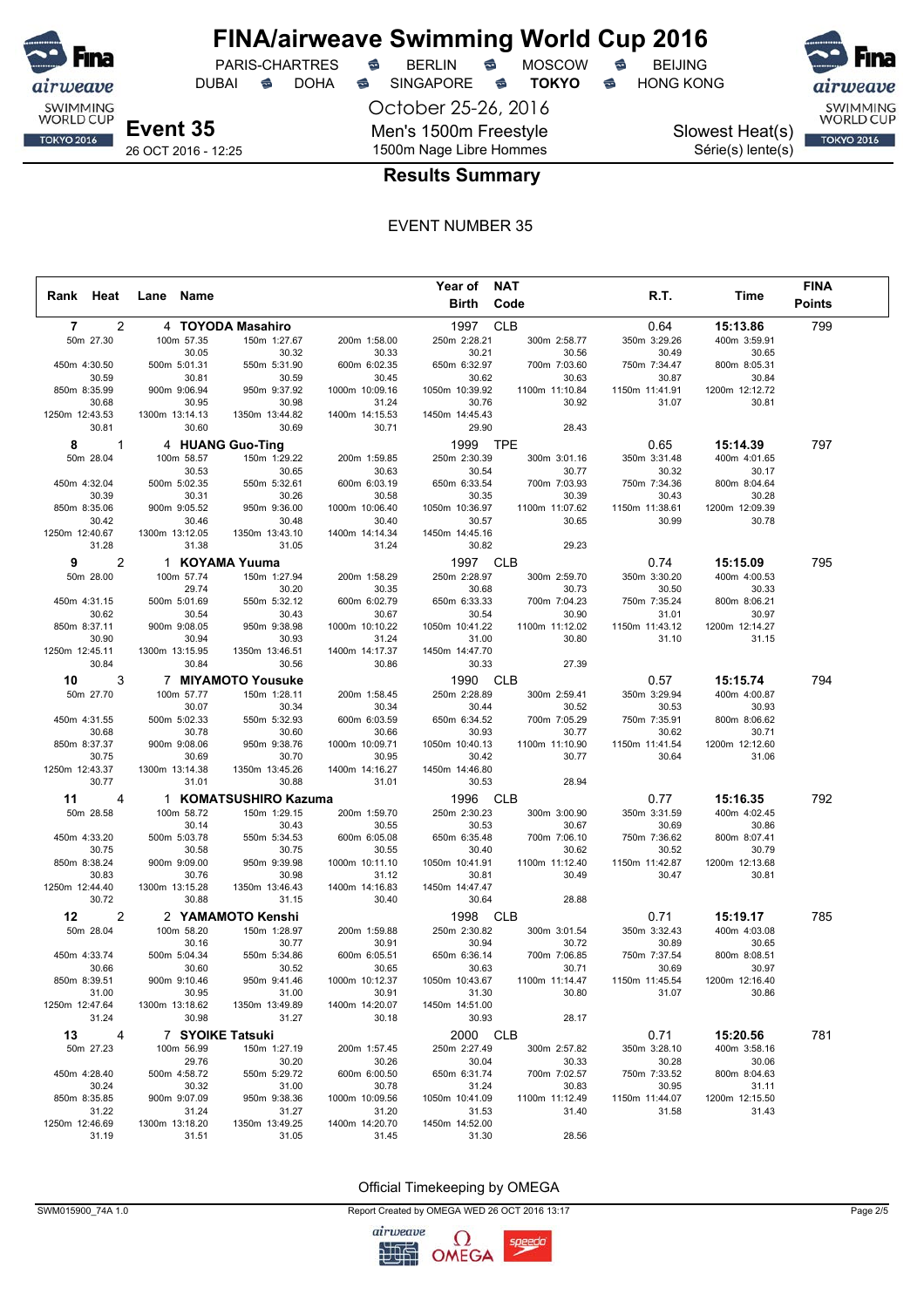

DUBAI **S** DOHA S SINGAPORE S **TOKYO** S HONG KONG

PARIS-CHARTRES **S** BERLIN S MOSCOW S

October 25-26, 2016 Men's 1500m Freestyle 1500m Nage Libre Hommes

Slowest Heat(s) Série(s) lente(s)



26 OCT 2016 - 12:25

### **Results Summary**

#### EVENT NUMBER 35

|                |                |                |                       |                         |                         | Year of NAT             |                         |                         |                         | <b>FINA</b>   |
|----------------|----------------|----------------|-----------------------|-------------------------|-------------------------|-------------------------|-------------------------|-------------------------|-------------------------|---------------|
| Rank Heat      |                | Lane Name      |                       |                         |                         | Birth                   | Code                    | R.T.                    | Time                    | <b>Points</b> |
| $\overline{7}$ | 2              |                |                       | 4 TOYODA Masahiro       |                         | 1997                    | <b>CLB</b>              | 0.64                    | 15:13.86                | 799           |
| 50m 27.30      |                |                | 100m 57.35            | 150m 1:27.67            | 200m 1:58.00            | 250m 2:28.21            | 300m 2:58.77            | 350m 3:29.26            | 400m 3:59.91            |               |
|                |                |                | 30.05                 | 30.32                   | 30.33                   | 30.21                   | 30.56                   | 30.49                   | 30.65                   |               |
| 450m 4:30.50   |                |                | 500m 5:01.31          | 550m 5:31.90            | 600m 6:02.35            | 650m 6:32.97            | 700m 7:03.60            | 750m 7:34.47            | 800m 8:05.31            |               |
|                | 30.59          |                | 30.81                 | 30.59                   | 30.45                   | 30.62                   | 30.63                   | 30.87                   | 30.84                   |               |
| 850m 8:35.99   |                |                | 900m 9:06.94          | 950m 9:37.92            | 1000m 10:09.16          | 1050m 10:39.92          | 1100m 11:10.84          | 1150m 11:41.91          | 1200m 12:12.72          |               |
|                | 30.68          |                | 30.95                 | 30.98                   | 31.24                   | 30.76                   | 30.92                   | 31.07                   | 30.81                   |               |
| 1250m 12:43.53 |                | 1300m 13:14.13 |                       | 1350m 13:44.82          | 1400m 14:15.53          | 1450m 14:45.43          |                         |                         |                         |               |
|                | 30.81          |                | 30.60                 | 30.69                   | 30.71                   | 29.90                   | 28.43                   |                         |                         |               |
| 8              | $\mathbf{1}$   |                |                       | 4 HUANG Guo-Ting        |                         | 1999                    | <b>TPE</b>              | 0.65                    | 15:14.39                | 797           |
|                | 50m 28.04      |                | 100m 58.57            | 150m 1:29.22            | 200m 1:59.85            | 250m 2:30.39            | 300m 3:01.16            | 350m 3:31.48            | 400m 4:01.65            |               |
| 450m 4:32.04   |                |                | 30.53<br>500m 5:02.35 | 30.65<br>550m 5:32.61   | 30.63<br>600m 6:03.19   | 30.54<br>650m 6:33.54   | 30.77                   | 30.32                   | 30.17<br>800m 8:04.64   |               |
|                | 30.39          |                | 30.31                 | 30.26                   | 30.58                   | 30.35                   | 700m 7:03.93<br>30.39   | 750m 7:34.36<br>30.43   | 30.28                   |               |
| 850m 8:35.06   |                |                | 900m 9:05.52          | 950m 9:36.00            | 1000m 10:06.40          | 1050m 10:36.97          | 1100m 11:07.62          | 1150m 11:38.61          | 1200m 12:09.39          |               |
|                | 30.42          |                | 30.46                 | 30.48                   | 30.40                   | 30.57                   | 30.65                   | 30.99                   | 30.78                   |               |
| 1250m 12:40.67 |                | 1300m 13:12.05 |                       | 1350m 13:43.10          | 1400m 14:14.34          | 1450m 14:45.16          |                         |                         |                         |               |
|                | 31.28          |                | 31.38                 | 31.05                   | 31.24                   | 30.82                   | 29.23                   |                         |                         |               |
| 9              | $\overline{c}$ |                |                       | 1 KOYAMA Yuuma          |                         | 1997                    | <b>CLB</b>              | 0.74                    | 15:15.09                | 795           |
| 50m 28.00      |                |                | 100m 57.74            | 150m 1:27.94            | 200m 1:58.29            | 250m 2:28.97            | 300m 2:59.70            | 350m 3:30.20            | 400m 4:00.53            |               |
|                |                |                | 29.74                 | 30.20                   | 30.35                   | 30.68                   | 30.73                   | 30.50                   | 30.33                   |               |
| 450m 4:31.15   |                |                | 500m 5:01.69          | 550m 5:32.12            | 600m 6:02.79            | 650m 6:33.33            | 700m 7:04.23            | 750m 7:35.24            | 800m 8:06.21            |               |
|                | 30.62          |                | 30.54                 | 30.43                   | 30.67                   | 30.54                   | 30.90                   | 31.01                   | 30.97                   |               |
| 850m 8:37.11   |                |                | 900m 9:08.05          | 950m 9:38.98            | 1000m 10:10.22          | 1050m 10:41.22          | 1100m 11:12.02          | 1150m 11:43.12          | 1200m 12:14.27          |               |
|                | 30.90          |                | 30.94                 | 30.93                   | 31.24                   | 31.00                   | 30.80                   | 31.10                   | 31.15                   |               |
| 1250m 12:45.11 | 30.84          | 1300m 13:15.95 | 30.84                 | 1350m 13:46.51<br>30.56 | 1400m 14:17.37<br>30.86 | 1450m 14:47.70<br>30.33 | 27.39                   |                         |                         |               |
|                |                |                |                       |                         |                         |                         |                         |                         |                         |               |
| 10             | 3              |                |                       | 7 MIYAMOTO Yousuke      |                         | 1990 CLB                |                         | 0.57                    | 15:15.74                | 794           |
| 50m 27.70      |                |                | 100m 57.77<br>30.07   | 150m 1:28.11<br>30.34   | 200m 1:58.45<br>30.34   | 250m 2:28.89<br>30.44   | 300m 2:59.41<br>30.52   | 350m 3:29.94<br>30.53   | 400m 4:00.87<br>30.93   |               |
| 450m 4:31.55   |                |                | 500m 5:02.33          | 550m 5:32.93            | 600m 6:03.59            | 650m 6:34.52            | 700m 7:05.29            | 750m 7:35.91            | 800m 8:06.62            |               |
|                | 30.68          |                | 30.78                 | 30.60                   | 30.66                   | 30.93                   | 30.77                   | 30.62                   | 30.71                   |               |
| 850m 8:37.37   |                |                | 900m 9:08.06          | 950m 9:38.76            | 1000m 10:09.71          | 1050m 10:40.13          | 1100m 11:10.90          | 1150m 11:41.54          | 1200m 12:12.60          |               |
|                | 30.75          |                | 30.69                 | 30.70                   | 30.95                   | 30.42                   | 30.77                   | 30.64                   | 31.06                   |               |
| 1250m 12:43.37 |                | 1300m 13:14.38 |                       | 1350m 13:45.26          | 1400m 14:16.27          | 1450m 14:46.80          |                         |                         |                         |               |
|                | 30.77          |                | 31.01                 | 30.88                   | 31.01                   | 30.53                   | 28.94                   |                         |                         |               |
| 11             | $\overline{4}$ |                |                       | 1 KOMATSUSHIRO Kazuma   |                         | 1996                    | <b>CLB</b>              | 0.77                    | 15:16.35                | 792           |
| 50m 28.58      |                |                | 100m 58.72            | 150m 1:29.15            | 200m 1:59.70            | 250m 2:30.23            | 300m 3:00.90            | 350m 3:31.59            | 400m 4:02.45            |               |
|                |                |                | 30.14                 | 30.43                   | 30.55                   | 30.53                   | 30.67                   | 30.69                   | 30.86                   |               |
| 450m 4:33.20   |                |                | 500m 5:03.78          | 550m 5:34.53            | 600m 6:05.08            | 650m 6:35.48            | 700m 7:06.10            | 750m 7:36.62            | 800m 8:07.41            |               |
| 850m 8:38.24   | 30.75          |                | 30.58<br>900m 9:09.00 | 30.75<br>950m 9:39.98   | 30.55<br>1000m 10:11.10 | 30.40<br>1050m 10:41.91 | 30.62<br>1100m 11:12.40 | 30.52<br>1150m 11:42.87 | 30.79<br>1200m 12:13.68 |               |
|                | 30.83          |                | 30.76                 | 30.98                   | 31.12                   | 30.81                   | 30.49                   | 30.47                   | 30.81                   |               |
| 1250m 12:44.40 |                | 1300m 13:15.28 |                       | 1350m 13:46.43          | 1400m 14:16.83          | 1450m 14:47.47          |                         |                         |                         |               |
|                | 30.72          |                | 30.88                 | 31.15                   | 30.40                   | 30.64                   | 28.88                   |                         |                         |               |
| 12             | 2              |                |                       | 2 YAMAMOTO Kenshi       |                         | 1998                    | <b>CLB</b>              | 0.71                    | 15:19.17                | 785           |
| 50m 28.04      |                |                | 100m 58.20            | 150m 1:28.97            | 200m 1:59.88            | 250m 2:30.82            | 300m 3:01.54            | 350m 3:32.43            | 400m 4:03.08            |               |
|                |                |                | 30.16                 | 30.77                   | 30.91                   | 30.94                   | 30.72                   | 30.89                   | 30.65                   |               |
| 450m 4:33.74   |                |                | 500m 5:04.34          | 550m 5:34.86            | 600m 6:05.51            | 650m 6:36.14            | 700m 7:06.85            | 750m 7:37.54            | 800m 8:08.51            |               |
|                | 30.66          |                | 30.60                 | 30.52                   | 30.65                   | 30.63                   | 30.71                   | 30.69                   | 30.97                   |               |
| 850m 8:39.51   |                |                | 900m 9:10.46          | 950m 9:41.46            | 1000m 10:12.37          | 1050m 10:43.67          | 1100m 11:14.47          | 1150m 11:45.54          | 1200m 12:16.40          |               |
| 1250m 12:47.64 | 31.00          | 1300m 13:18.62 | 30.95                 | 31.00<br>1350m 13:49.89 | 30.91<br>1400m 14:20.07 | 31.30<br>1450m 14:51.00 | 30.80                   | 31.07                   | 30.86                   |               |
|                | 31.24          |                | 30.98                 | 31.27                   | 30.18                   | 30.93                   | 28.17                   |                         |                         |               |
| 13             | 4              |                |                       | 7 SYOIKE Tatsuki        |                         | 2000 CLB                |                         | 0.71                    | 15:20.56                | 781           |
|                |                |                |                       |                         |                         |                         |                         |                         | 400m 3:58.16            |               |
|                | 50m 27.23      |                | 100m 56.99<br>29.76   | 150m 1:27.19<br>30.20   | 200m 1:57.45<br>30.26   | 250m 2:27.49<br>30.04   | 300m 2:57.82<br>30.33   | 350m 3:28.10<br>30.28   | 30.06                   |               |
| 450m 4:28.40   |                |                | 500m 4:58.72          | 550m 5:29.72            | 600m 6:00.50            | 650m 6:31.74            | 700m 7:02.57            | 750m 7:33.52            | 800m 8:04.63            |               |
|                | 30.24          |                | 30.32                 | 31.00                   | 30.78                   | 31.24                   | 30.83                   | 30.95                   | 31.11                   |               |
| 850m 8:35.85   |                |                | 900m 9:07.09          | 950m 9:38.36            | 1000m 10:09.56          | 1050m 10:41.09          | 1100m 11:12.49          | 1150m 11:44.07          | 1200m 12:15.50          |               |
|                | 31.22          |                | 31.24                 | 31.27                   | 31.20                   | 31.53                   | 31.40                   | 31.58                   | 31.43                   |               |
| 1250m 12:46.69 |                | 1300m 13:18.20 |                       | 1350m 13:49.25          | 1400m 14:20.70          | 1450m 14:52.00          |                         |                         |                         |               |
|                | 31.19          |                | 31.51                 | 31.05                   | 31.45                   | 31.30                   | 28.56                   |                         |                         |               |

Official Timekeeping by OMEGA



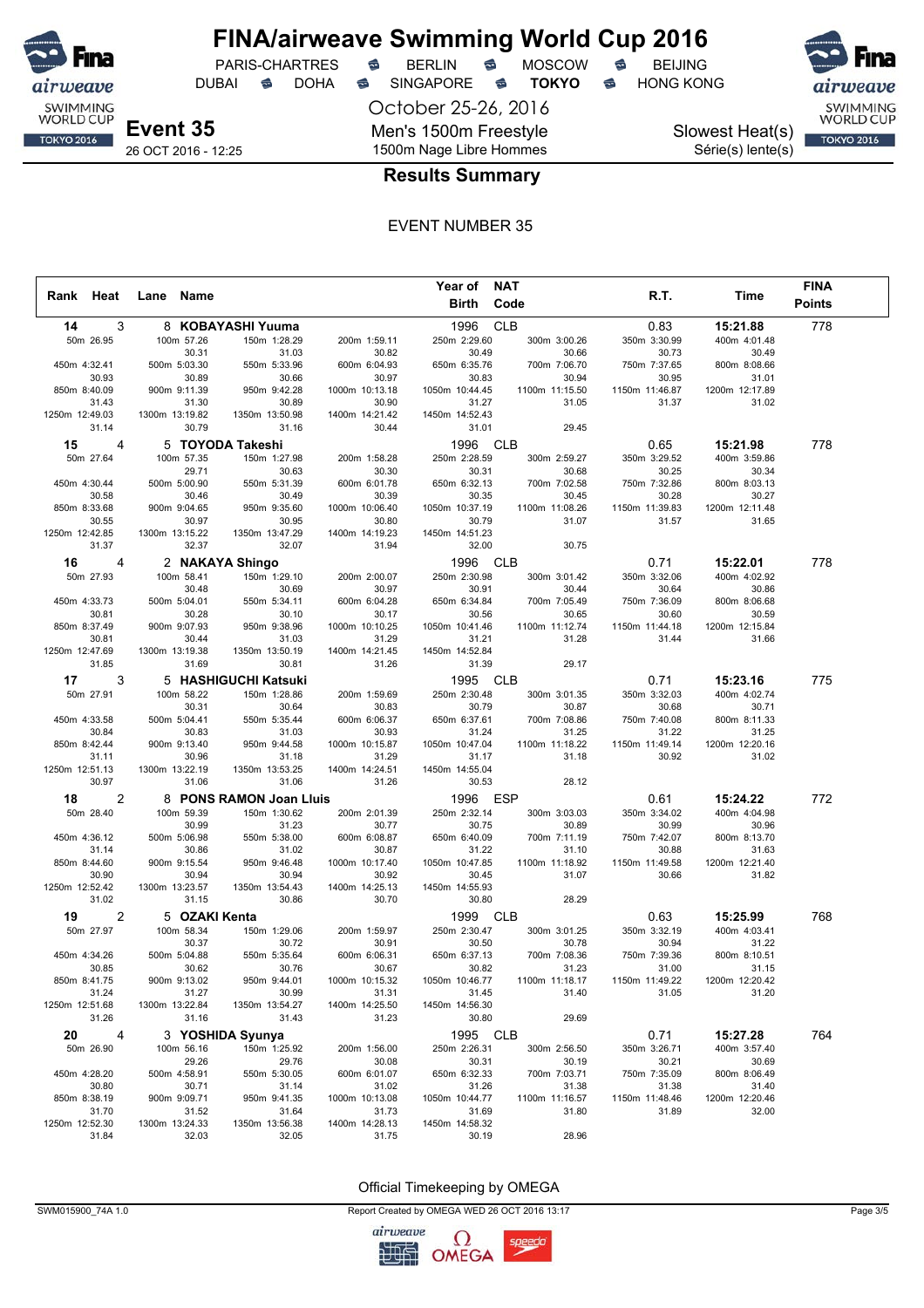

## **FINA/airweave Swimming World Cup 2016**<br>PARIS-CHARTRES **& BERLIN & MOSCOW & BEIJING** PARIS-CHARTRES **S** BERLIN S MOSCOW S

DUBAI **S** DOHA S SINGAPORE S **TOKYO** S HONG KONG

October 25-26, 2016 Men's 1500m Freestyle 1500m Nage Libre Hommes



Slowest Heat(s) Série(s) lente(s)



26 OCT 2016 - 12:25

### **Results Summary**

#### EVENT NUMBER 35

|                         |                |                         |                         |                         | Year of                 | <b>NAT</b>              |                         |                         | <b>FINA</b>   |
|-------------------------|----------------|-------------------------|-------------------------|-------------------------|-------------------------|-------------------------|-------------------------|-------------------------|---------------|
| Rank Heat               | Lane           | Name                    |                         |                         | Birth                   | Code                    | R.T.                    | Time                    | <b>Points</b> |
| 14                      | 3              |                         | 8 KOBAYASHI Yuuma       |                         | 1996                    | <b>CLB</b>              | 0.83                    | 15:21.88                | 778           |
| 50m 26.95               |                | 100m 57.26              | 150m 1:28.29            | 200m 1:59.11            | 250m 2:29.60            | 300m 3:00.26            | 350m 3:30.99            | 400m 4:01.48            |               |
|                         |                | 30.31                   | 31.03                   | 30.82                   | 30.49                   | 30.66                   | 30.73                   | 30.49                   |               |
| 450m 4:32.41            |                | 500m 5:03.30            | 550m 5:33.96            | 600m 6:04.93            | 650m 6:35.76            | 700m 7:06.70            | 750m 7:37.65            | 800m 8:08.66            |               |
| 30.93                   |                | 30.89                   | 30.66                   | 30.97                   | 30.83                   | 30.94                   | 30.95                   | 31.01                   |               |
| 850m 8:40.09            |                | 900m 9:11.39            | 950m 9:42.28            | 1000m 10:13.18          | 1050m 10:44.45          | 1100m 11:15.50          | 1150m 11:46.87          | 1200m 12:17.89          |               |
| 31.43                   |                | 31.30                   | 30.89                   | 30.90                   | 31.27                   | 31.05                   | 31.37                   | 31.02                   |               |
| 1250m 12:49.03          |                | 1300m 13:19.82          | 1350m 13:50.98          | 1400m 14:21.42          | 1450m 14:52.43          |                         |                         |                         |               |
| 31.14                   |                | 30.79                   | 31.16                   | 30.44                   | 31.01                   | 29.45                   |                         |                         |               |
| 15                      | $\overline{4}$ |                         | 5 TOYODA Takeshi        |                         | 1996                    | <b>CLB</b>              | 0.65                    | 15:21.98                | 778           |
| 50m 27.64               |                | 100m 57.35              | 150m 1:27.98            | 200m 1:58.28            | 250m 2:28.59            | 300m 2:59.27            | 350m 3:29.52            | 400m 3:59.86            |               |
|                         |                | 29.71                   | 30.63                   | 30.30                   | 30.31                   | 30.68                   | 30.25                   | 30.34                   |               |
| 450m 4:30.44            |                | 500m 5:00.90            | 550m 5:31.39            | 600m 6:01.78            | 650m 6:32.13            | 700m 7:02.58            | 750m 7:32.86            | 800m 8:03.13            |               |
| 30.58                   |                | 30.46                   | 30.49                   | 30.39                   | 30.35                   | 30.45                   | 30.28                   | 30.27                   |               |
| 850m 8:33.68            |                | 900m 9:04.65            | 950m 9:35.60            | 1000m 10:06.40          | 1050m 10:37.19          | 1100m 11:08.26          | 1150m 11:39.83          | 1200m 12:11.48          |               |
| 30.55                   |                | 30.97                   | 30.95                   | 30.80                   | 30.79                   | 31.07                   | 31.57                   | 31.65                   |               |
| 1250m 12:42.85          |                | 1300m 13:15.22          | 1350m 13:47.29          | 1400m 14:19.23          | 1450m 14:51.23          |                         |                         |                         |               |
| 31.37                   |                | 32.37                   | 32.07                   | 31.94                   | 32.00                   | 30.75                   |                         |                         |               |
| 16                      | 4              |                         | 2 NAKAYA Shingo         |                         | 1996                    | <b>CLB</b>              | 0.71                    | 15:22.01                | 778           |
| 50m 27.93               |                | 100m 58.41              | 150m 1:29.10            | 200m 2:00.07            | 250m 2:30.98            | 300m 3:01.42            | 350m 3:32.06            | 400m 4:02.92            |               |
|                         |                | 30.48                   | 30.69                   | 30.97                   | 30.91                   | 30.44                   | 30.64                   | 30.86                   |               |
| 450m 4:33.73            |                | 500m 5:04.01            | 550m 5:34.11            | 600m 6:04.28            | 650m 6:34.84            | 700m 7:05.49            | 750m 7:36.09            | 800m 8:06.68            |               |
| 30.81                   |                | 30.28                   | 30.10                   | 30.17                   | 30.56                   | 30.65                   | 30.60                   | 30.59                   |               |
| 850m 8:37.49            |                | 900m 9:07.93            | 950m 9:38.96            | 1000m 10:10.25          | 1050m 10:41.46          | 1100m 11:12.74          | 1150m 11:44.18          | 1200m 12:15.84          |               |
| 30.81                   |                | 30.44                   | 31.03                   | 31.29                   | 31.21                   | 31.28                   | 31.44                   | 31.66                   |               |
| 1250m 12:47.69          |                | 1300m 13:19.38          | 1350m 13:50.19          | 1400m 14:21.45          | 1450m 14:52.84          |                         |                         |                         |               |
| 31.85                   |                | 31.69                   | 30.81                   | 31.26                   | 31.39                   | 29.17                   |                         |                         |               |
| 17                      | 3              |                         | 5 HASHIGUCHI Katsuki    |                         | 1995                    | <b>CLB</b>              | 0.71                    | 15:23.16                | 775           |
| 50m 27.91               |                | 100m 58.22              | 150m 1:28.86            | 200m 1:59.69            | 250m 2:30.48            | 300m 3:01.35            | 350m 3:32.03            | 400m 4:02.74            |               |
|                         |                | 30.31                   | 30.64                   | 30.83                   | 30.79                   | 30.87                   | 30.68                   | 30.71                   |               |
| 450m 4:33.58            |                | 500m 5:04.41            | 550m 5:35.44            | 600m 6:06.37            | 650m 6:37.61            | 700m 7:08.86            | 750m 7:40.08            | 800m 8:11.33            |               |
| 30.84                   |                | 30.83                   | 31.03                   | 30.93                   | 31.24                   | 31.25                   | 31.22                   | 31.25                   |               |
| 850m 8:42.44            |                | 900m 9:13.40            | 950m 9:44.58            | 1000m 10:15.87          | 1050m 10:47.04          | 1100m 11:18.22<br>31.18 | 1150m 11:49.14<br>30.92 | 1200m 12:20.16<br>31.02 |               |
| 31.11<br>1250m 12:51.13 |                | 30.96<br>1300m 13:22.19 | 31.18<br>1350m 13:53.25 | 31.29<br>1400m 14:24.51 | 31.17<br>1450m 14:55.04 |                         |                         |                         |               |
| 30.97                   |                | 31.06                   | 31.06                   | 31.26                   | 30.53                   | 28.12                   |                         |                         |               |
|                         |                |                         |                         |                         |                         |                         |                         |                         |               |
| 18                      | $\overline{2}$ |                         | 8 PONS RAMON Joan Lluis |                         | 1996                    | <b>ESP</b>              | 0.61                    | 15:24.22                | 772           |
| 50m 28.40               |                | 100m 59.39              | 150m 1:30.62            | 200m 2:01.39            | 250m 2:32.14            | 300m 3:03.03            | 350m 3:34.02            | 400m 4:04.98            |               |
| 450m 4:36.12            |                | 30.99<br>500m 5:06.98   | 31.23<br>550m 5:38.00   | 30.77<br>600m 6:08.87   | 30.75<br>650m 6:40.09   | 30.89<br>700m 7:11.19   | 30.99<br>750m 7:42.07   | 30.96<br>800m 8:13.70   |               |
| 31.14                   |                | 30.86                   | 31.02                   | 30.87                   | 31.22                   | 31.10                   | 30.88                   | 31.63                   |               |
| 850m 8:44.60            |                | 900m 9:15.54            | 950m 9:46.48            | 1000m 10:17.40          | 1050m 10:47.85          | 1100m 11:18.92          | 1150m 11:49.58          | 1200m 12:21.40          |               |
| 30.90                   |                | 30.94                   | 30.94                   | 30.92                   | 30.45                   | 31.07                   | 30.66                   | 31.82                   |               |
| 1250m 12:52.42          |                | 1300m 13:23.57          | 1350m 13:54.43          | 1400m 14:25.13          | 1450m 14:55.93          |                         |                         |                         |               |
| 31.02                   |                | 31.15                   | 30.86                   | 30.70                   | 30.80                   | 28.29                   |                         |                         |               |
| 19                      | $\overline{c}$ | 5 OZAKI Kenta           |                         |                         | 1999                    | <b>CLB</b>              | 0.63                    | 15:25.99                | 768           |
| 50m 27.97               |                | 100m 58.34              | 150m 1:29.06            | 200m 1:59.97            | 250m 2:30.47            | 300m 3:01.25            | 350m 3:32.19            | 400m 4:03.41            |               |
|                         |                | 30.37                   | 30.72                   | 30.91                   | 30.50                   | 30.78                   | 30.94                   | 31.22                   |               |
| 450m 4:34.26            |                | 500m 5:04.88            | 550m 5:35.64            | 600m 6:06.31            | 650m 6:37.13            | 700m 7:08.36            | 750m 7:39.36            | 800m 8:10.51            |               |
| 30.85                   |                | 30.62                   | 30.76                   | 30.67                   | 30.82                   | 31.23                   | 31.00                   | 31.15                   |               |
| 850m 8:41.75            |                | 900m 9:13.02            | 950m 9:44.01            | 1000m 10:15.32          | 1050m 10:46.77          | 1100m 11:18.17          | 1150m 11:49.22          | 1200m 12:20.42          |               |
| 31.24                   |                | 31.27                   | 30.99                   | 31.31                   | 31.45                   | 31.40                   | 31.05                   | 31.20                   |               |
| 1250m 12:51.68          |                | 1300m 13:22.84          | 1350m 13:54.27          | 1400m 14:25.50          | 1450m 14:56.30          |                         |                         |                         |               |
| 31.26                   |                | 31.16                   | 31.43                   | 31.23                   | 30.80                   | 29.69                   |                         |                         |               |
| 20                      | 4              |                         | 3 YOSHIDA Syunya        |                         | 1995 CLB                |                         | 0.71                    | 15:27.28                | 764           |
| 50m 26.90               |                | 100m 56.16              | 150m 1:25.92            | 200m 1:56.00            | 250m 2:26.31            | 300m 2:56.50            | 350m 3:26.71            | 400m 3:57.40            |               |
|                         |                | 29.26                   | 29.76                   | 30.08                   | 30.31                   | 30.19                   | 30.21                   | 30.69                   |               |
| 450m 4:28.20            |                | 500m 4:58.91            | 550m 5:30.05            | 600m 6:01.07            | 650m 6:32.33            | 700m 7:03.71            | 750m 7:35.09            | 800m 8:06.49            |               |
| 30.80                   |                | 30.71                   | 31.14                   | 31.02                   | 31.26                   | 31.38                   | 31.38                   | 31.40                   |               |
| 850m 8:38.19            |                | 900m 9:09.71            | 950m 9:41.35            | 1000m 10:13.08          | 1050m 10:44.77          | 1100m 11:16.57          | 1150m 11:48.46          | 1200m 12:20.46          |               |
| 31.70                   |                | 31.52                   | 31.64                   | 31.73                   | 31.69                   | 31.80                   | 31.89                   | 32.00                   |               |
| 1250m 12:52.30          |                | 1300m 13:24.33          | 1350m 13:56.38          | 1400m 14:28.13          | 1450m 14:58.32          |                         |                         |                         |               |
| 31.84                   |                | 32.03                   | 32.05                   | 31.75                   | 30.19                   | 28.96                   |                         |                         |               |

Official Timekeeping by OMEGA

SWM015900\_74A 1.0 Page 3/5

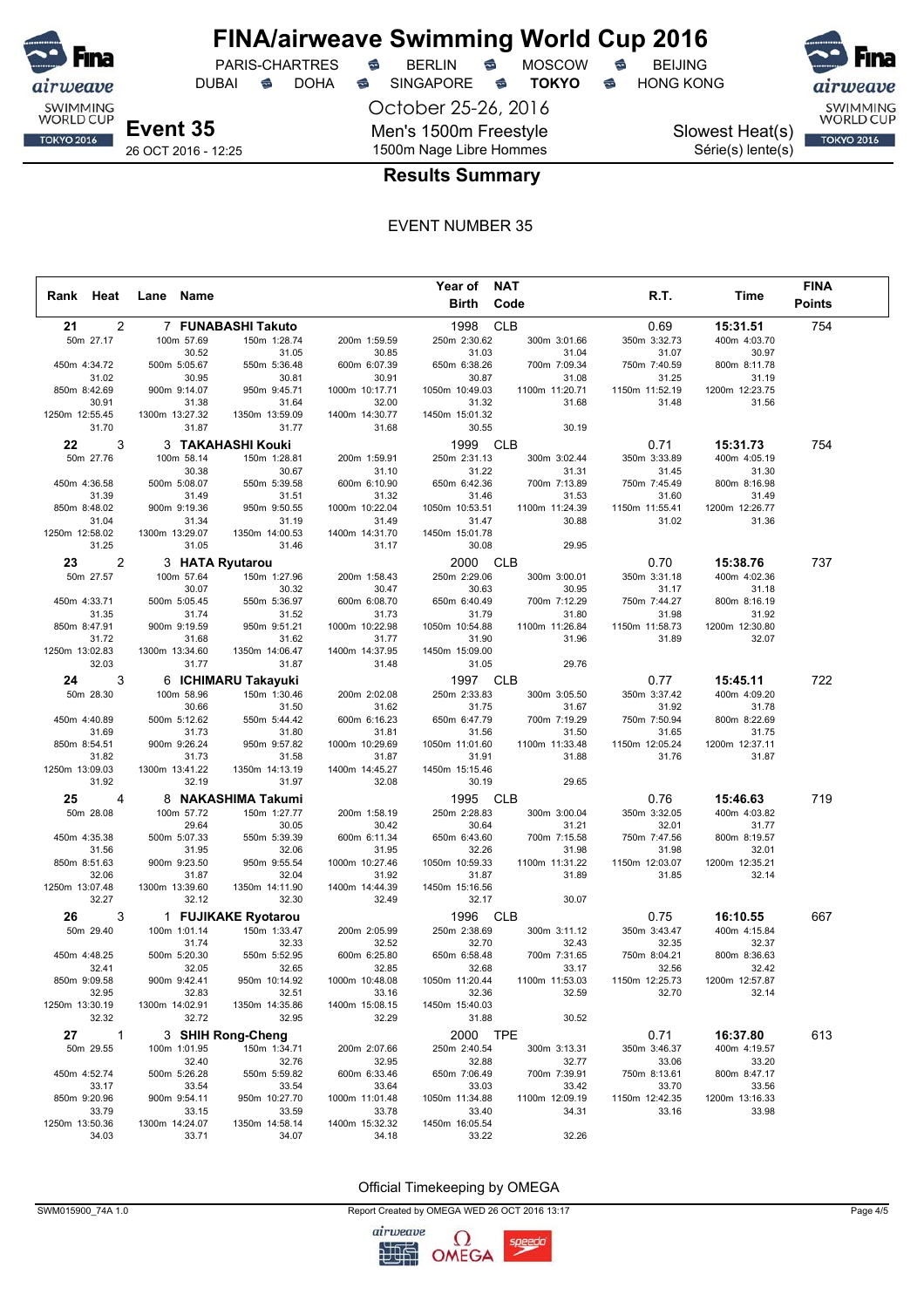

## **FINA/airweave Swimming World Cup 2016**<br>PARIS-CHARTRES **& BERLIN & MOSCOW & BEIJING** PARIS-CHARTRES **S** BERLIN S MOSCOW S

DUBAI **S** DOHA S SINGAPORE S **TOKYO** S HONG KONG

October 25-26, 2016 Men's 1500m Freestyle 1500m Nage Libre Hommes

Slowest Heat(s) Série(s) lente(s)



26 OCT 2016 - 12:25

### **Results Summary**

#### EVENT NUMBER 35

|                       |              |                |                       |                         |                         | Year of NAT             |                         |                         |                         | <b>FINA</b>   |  |
|-----------------------|--------------|----------------|-----------------------|-------------------------|-------------------------|-------------------------|-------------------------|-------------------------|-------------------------|---------------|--|
| Rank Heat             |              | Lane Name      |                       |                         |                         | Birth                   | Code                    | R.T.                    | Time                    | <b>Points</b> |  |
| 21                    | 2            |                |                       | 7 FUNABASHI Takuto      |                         | 1998                    | <b>CLB</b>              | 0.69                    | 15:31.51                | 754           |  |
| 50m 27.17             |              |                | 100m 57.69            | 150m 1:28.74            | 200m 1:59.59            | 250m 2:30.62            | 300m 3:01.66            | 350m 3:32.73            | 400m 4:03.70            |               |  |
|                       |              |                | 30.52                 | 31.05                   | 30.85                   | 31.03                   | 31.04                   | 31.07                   | 30.97                   |               |  |
| 450m 4:34.72          |              |                | 500m 5:05.67          | 550m 5:36.48            | 600m 6:07.39            | 650m 6:38.26            | 700m 7:09.34            | 750m 7:40.59            | 800m 8:11.78            |               |  |
|                       | 31.02        |                | 30.95                 | 30.81                   | 30.91                   | 30.87                   | 31.08                   | 31.25                   | 31.19                   |               |  |
| 850m 8:42.69<br>30.91 |              |                | 900m 9:14.07<br>31.38 | 950m 9:45.71<br>31.64   | 1000m 10:17.71<br>32.00 | 1050m 10:49.03<br>31.32 | 1100m 11:20.71<br>31.68 | 1150m 11:52.19<br>31.48 | 1200m 12:23.75<br>31.56 |               |  |
| 1250m 12:55.45        |              | 1300m 13:27.32 |                       | 1350m 13:59.09          | 1400m 14:30.77          | 1450m 15:01.32          |                         |                         |                         |               |  |
|                       | 31.70        |                | 31.87                 | 31.77                   | 31.68                   | 30.55                   | 30.19                   |                         |                         |               |  |
| 22                    | 3            |                |                       | 3 TAKAHASHI Kouki       |                         | 1999                    | <b>CLB</b>              | 0.71                    | 15:31.73                | 754           |  |
| 50m 27.76             |              |                | 100m 58.14            | 150m 1:28.81            | 200m 1:59.91            | 250m 2:31.13            | 300m 3:02.44            | 350m 3:33.89            | 400m 4:05.19            |               |  |
|                       |              |                | 30.38                 | 30.67                   | 31.10                   | 31.22                   | 31.31                   | 31.45                   | 31.30                   |               |  |
| 450m 4:36.58          |              |                | 500m 5:08.07          | 550m 5:39.58            | 600m 6:10.90            | 650m 6:42.36            | 700m 7:13.89            | 750m 7:45.49            | 800m 8:16.98            |               |  |
|                       | 31.39        |                | 31.49                 | 31.51                   | 31.32                   | 31.46                   | 31.53                   | 31.60                   | 31.49                   |               |  |
| 850m 8:48.02          |              |                | 900m 9:19.36          | 950m 9:50.55            | 1000m 10:22.04          | 1050m 10:53.51          | 1100m 11:24.39          | 1150m 11:55.41          | 1200m 12:26.77          |               |  |
| 1250m 12:58.02        | 31.04        | 1300m 13:29.07 | 31.34                 | 31.19<br>1350m 14:00.53 | 31.49<br>1400m 14:31.70 | 31.47<br>1450m 15:01.78 | 30.88                   | 31.02                   | 31.36                   |               |  |
|                       | 31.25        |                | 31.05                 | 31.46                   | 31.17                   | 30.08                   | 29.95                   |                         |                         |               |  |
| 23                    | 2            |                |                       | 3 HATA Ryutarou         |                         | 2000                    | <b>CLB</b>              | 0.70                    | 15:38.76                | 737           |  |
| 50m 27.57             |              |                | 100m 57.64            | 150m 1:27.96            | 200m 1:58.43            | 250m 2:29.06            | 300m 3:00.01            | 350m 3:31.18            | 400m 4:02.36            |               |  |
|                       |              |                | 30.07                 | 30.32                   | 30.47                   | 30.63                   | 30.95                   | 31.17                   | 31.18                   |               |  |
| 450m 4:33.71          |              |                | 500m 5:05.45          | 550m 5:36.97            | 600m 6:08.70            | 650m 6:40.49            | 700m 7:12.29            | 750m 7:44.27            | 800m 8:16.19            |               |  |
|                       | 31.35        |                | 31.74                 | 31.52                   | 31.73                   | 31.79                   | 31.80                   | 31.98                   | 31.92                   |               |  |
| 850m 8:47.91          |              |                | 900m 9:19.59          | 950m 9:51.21            | 1000m 10:22.98          | 1050m 10:54.88          | 1100m 11:26.84          | 1150m 11:58.73          | 1200m 12:30.80          |               |  |
| 1250m 13:02.83        | 31.72        | 1300m 13:34.60 | 31.68                 | 31.62<br>1350m 14:06.47 | 31.77<br>1400m 14:37.95 | 31.90<br>1450m 15:09.00 | 31.96                   | 31.89                   | 32.07                   |               |  |
|                       | 32.03        |                | 31.77                 | 31.87                   | 31.48                   | 31.05                   | 29.76                   |                         |                         |               |  |
| 24                    | 3            |                |                       | 6 ICHIMARU Takayuki     |                         | 1997 CLB                |                         | 0.77                    | 15:45.11                | 722           |  |
| 50m 28.30             |              |                | 100m 58.96            | 150m 1:30.46            | 200m 2:02.08            | 250m 2:33.83            | 300m 3:05.50            | 350m 3:37.42            | 400m 4:09.20            |               |  |
|                       |              |                | 30.66                 | 31.50                   | 31.62                   | 31.75                   | 31.67                   | 31.92                   | 31.78                   |               |  |
| 450m 4:40.89          |              |                | 500m 5:12.62          | 550m 5:44.42            | 600m 6:16.23            | 650m 6:47.79            | 700m 7:19.29            | 750m 7:50.94            | 800m 8:22.69            |               |  |
|                       | 31.69        |                | 31.73                 | 31.80                   | 31.81                   | 31.56                   | 31.50                   | 31.65                   | 31.75                   |               |  |
| 850m 8:54.51          |              |                | 900m 9:26.24          | 950m 9:57.82            | 1000m 10:29.69          | 1050m 11:01.60          | 1100m 11:33.48          | 1150m 12:05.24<br>31.76 | 1200m 12:37.11          |               |  |
| 1250m 13:09.03        | 31.82        | 1300m 13:41.22 | 31.73                 | 31.58<br>1350m 14:13.19 | 31.87<br>1400m 14:45.27 | 31.91<br>1450m 15:15.46 | 31.88                   |                         | 31.87                   |               |  |
|                       | 31.92        |                | 32.19                 | 31.97                   | 32.08                   | 30.19                   | 29.65                   |                         |                         |               |  |
| 25                    | 4            |                |                       | 8 NAKASHIMA Takumi      |                         | 1995                    | CLB                     | 0.76                    | 15:46.63                | 719           |  |
| 50m 28.08             |              |                | 100m 57.72            | 150m 1:27.77            | 200m 1:58.19            | 250m 2:28.83            | 300m 3:00.04            | 350m 3:32.05            | 400m 4:03.82            |               |  |
|                       |              |                | 29.64                 | 30.05                   | 30.42                   | 30.64                   | 31.21                   | 32.01                   | 31.77                   |               |  |
| 450m 4:35.38          |              |                | 500m 5:07.33          | 550m 5:39.39            | 600m 6:11.34            | 650m 6:43.60            | 700m 7:15.58            | 750m 7:47.56            | 800m 8:19.57            |               |  |
|                       | 31.56        |                | 31.95                 | 32.06                   | 31.95                   | 32.26                   | 31.98                   | 31.98                   | 32.01                   |               |  |
| 850m 8:51.63          | 32.06        |                | 900m 9:23.50<br>31.87 | 950m 9:55.54<br>32.04   | 1000m 10:27.46<br>31.92 | 1050m 10:59.33<br>31.87 | 1100m 11:31.22<br>31.89 | 1150m 12:03.07<br>31.85 | 1200m 12:35.21<br>32.14 |               |  |
| 1250m 13:07.48        |              | 1300m 13:39.60 |                       | 1350m 14:11.90          | 1400m 14:44.39          | 1450m 15:16.56          |                         |                         |                         |               |  |
|                       | 32.27        |                | 32.12                 | 32.30                   | 32.49                   | 32.17                   | 30.07                   |                         |                         |               |  |
| 26                    | 3            |                |                       | 1 FUJIKAKE Ryotarou     |                         | 1996                    | <b>CLB</b>              | 0.75                    | 16:10.55                | 667           |  |
| 50m 29.40             |              |                | 100m 1:01.14          | 150m 1:33.47            | 200m 2:05.99            | 250m 2:38.69            | 300m 3:11.12            | 350m 3:43.47            | 400m 4:15.84            |               |  |
|                       |              |                | 31.74                 | 32.33                   | 32.52                   | 32.70                   | 32.43                   | 32.35                   | 32.37                   |               |  |
| 450m 4:48.25          |              |                | 500m 5:20.30          | 550m 5:52.95            | 600m 6:25.80            | 650m 6:58.48            | 700m 7:31.65            | 750m 8:04.21            | 800m 8:36.63            |               |  |
| 32.41                 |              |                | 32.05                 | 32.65                   | 32.85                   | 32.68                   | 33.17                   | 32.56                   | 32.42                   |               |  |
| 850m 9:09.58          | 32.95        |                | 900m 9:42.41<br>32.83 | 950m 10:14.92<br>32.51  | 1000m 10:48.08<br>33.16 | 1050m 11:20.44<br>32.36 | 1100m 11:53.03<br>32.59 | 1150m 12:25.73<br>32.70 | 1200m 12:57.87<br>32.14 |               |  |
| 1250m 13:30.19        |              | 1300m 14:02.91 |                       | 1350m 14:35.86          | 1400m 15:08.15          | 1450m 15:40.03          |                         |                         |                         |               |  |
|                       | 32.32        |                | 32.72                 | 32.95                   | 32.29                   | 31.88                   | 30.52                   |                         |                         |               |  |
| 27                    | $\mathbf{1}$ |                |                       | 3 SHIH Rong-Cheng       |                         | 2000 TPE                |                         | 0.71                    | 16:37.80                | 613           |  |
| 50m 29.55             |              |                | 100m 1:01.95          | 150m 1:34.71            | 200m 2:07.66            | 250m 2:40.54            | 300m 3:13.31            | 350m 3:46.37            | 400m 4:19.57            |               |  |
|                       |              |                | 32.40                 | 32.76                   | 32.95                   | 32.88                   | 32.77                   | 33.06                   | 33.20                   |               |  |
| 450m 4:52.74          |              |                | 500m 5:26.28          | 550m 5:59.82            | 600m 6:33.46            | 650m 7:06.49            | 700m 7:39.91            | 750m 8:13.61            | 800m 8:47.17            |               |  |
| 850m 9:20.96          | 33.17        |                | 33.54<br>900m 9:54.11 | 33.54<br>950m 10:27.70  | 33.64<br>1000m 11:01.48 | 33.03<br>1050m 11:34.88 | 33.42<br>1100m 12:09.19 | 33.70<br>1150m 12:42.35 | 33.56<br>1200m 13:16.33 |               |  |
|                       | 33.79        |                | 33.15                 | 33.59                   | 33.78                   | 33.40                   | 34.31                   | 33.16                   | 33.98                   |               |  |
| 1250m 13:50.36        |              | 1300m 14:24.07 |                       | 1350m 14:58.14          | 1400m 15:32.32          | 1450m 16:05.54          |                         |                         |                         |               |  |
|                       | 34.03        |                | 33.71                 | 34.07                   | 34.18                   | 33.22                   | 32.26                   |                         |                         |               |  |

Official Timekeeping by OMEGA

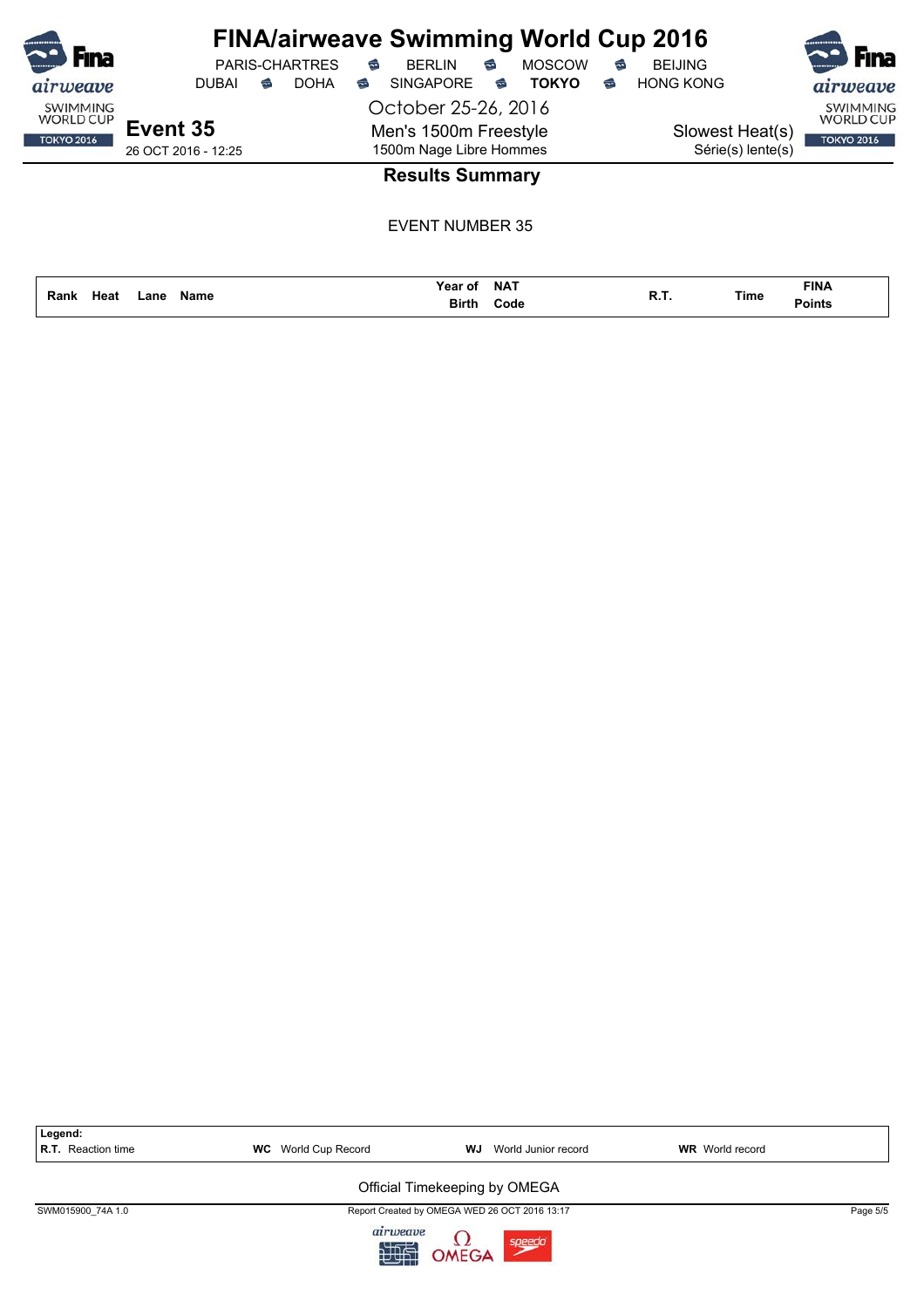| <br>Fina<br>airweave                                     | <b>PARIS-CHARTRES</b><br><b>DOHA</b><br><b>DUBAI</b><br>€ | <b>FINA/airweave Swimming World Cup 2016</b><br><b>MOSCOW</b><br><b>BERLIN</b><br>€<br>€<br><b>SINGAPORE</b><br><b>TOKYO</b><br>€<br>€ | <b>BEIJING</b><br>€<br><b>HONG KONG</b><br>€ | <b>F</b> ina<br>airweave                                 |
|----------------------------------------------------------|-----------------------------------------------------------|----------------------------------------------------------------------------------------------------------------------------------------|----------------------------------------------|----------------------------------------------------------|
| <b>SWIMMING</b><br><b>WORLD CUP</b><br><b>TOKYO 2016</b> | Event 35<br>26 OCT 2016 - 12:25                           | October 25-26, 2016<br>Men's 1500m Freestyle<br>1500m Nage Libre Hommes                                                                | Slowest Heat(s)<br>Série(s) lente(s)         | <b>SWIMMING</b><br><b>WORLD CUP</b><br><b>TOKYO 2016</b> |
|                                                          |                                                           | <b>Results Summary</b><br>EVENT NUMBER 35                                                                                              |                                              |                                                          |

**Name Code Rank Lane Time Points Heat R.T.**

**NAT Year of**

**Birth**

**FINA**

| Legend:<br><b>R.T.</b> Reaction time | <b>WC</b> World Cup Record | <b>WJ</b> World Junior record                 | <b>WR</b> World record |          |
|--------------------------------------|----------------------------|-----------------------------------------------|------------------------|----------|
|                                      |                            | Official Timekeeping by OMEGA                 |                        |          |
| SWM015900 74A 1.0                    |                            | Report Created by OMEGA WED 26 OCT 2016 13:17 |                        | Page 5/5 |
|                                      | airweave                   | <b>OMEGA</b><br>speedo                        |                        |          |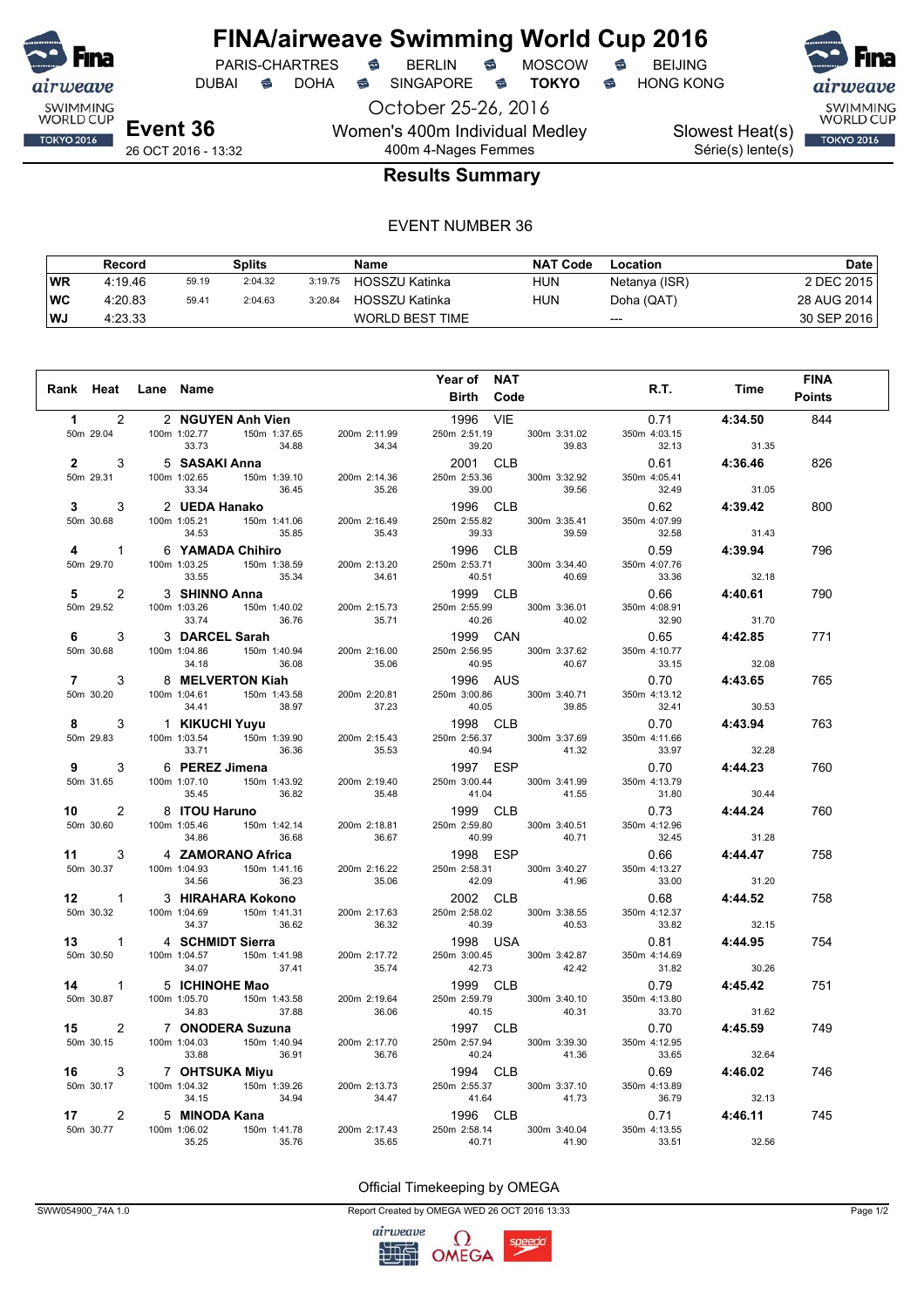

## **FINA/airweave Swimming World Cup 2016**<br>PARIS-CHARTRES **& BERLIN & MOSCOW & BEIJING** PARIS-CHARTRES **S** BERLIN S MOSCOW S

October 25-26, 2016 DUBAI **S** DOHA S SINGAPORE S **TOKYO** S HONG KONG

Women's 400m Individual Medley

SWIMMING<br>WORLD CUP Slowest Heat(s) **TOKYO 2016** Série(s) lente(s)

26 OCT 2016 - 13:32

## 400m 4-Nages Femmes **Results Summary**

#### EVENT NUMBER 36

|     | Record  |       | <b>Splits</b> |         | Name                   | <b>NAT Code</b> | Location      | Date        |
|-----|---------|-------|---------------|---------|------------------------|-----------------|---------------|-------------|
| WR  | 4:19.46 | 59.19 | 2:04.32       | 3:19.75 | HOSSZU Katinka         | <b>HUN</b>      | Netanya (ISR) | 2 DEC 2015  |
| ∣wc | 4:20.83 | 59.41 | 2:04.63       | 3:20.84 | HOSSZU Katinka         | <b>HUN</b>      | Doha (QAT)    | 28 AUG 2014 |
| WJ  | 4:23.33 |       |               |         | <b>WORLD BEST TIME</b> |                 | $---$         | 30 SEP 2016 |

|                                    |                                                        |                                                                                                                                                                                                                                              | Year of NAT                                          |              |                                                                                     |              | <b>FINA</b>   |
|------------------------------------|--------------------------------------------------------|----------------------------------------------------------------------------------------------------------------------------------------------------------------------------------------------------------------------------------------------|------------------------------------------------------|--------------|-------------------------------------------------------------------------------------|--------------|---------------|
| Rank Heat Lane Name                |                                                        |                                                                                                                                                                                                                                              | <b>Birth Code</b>                                    |              |                                                                                     | R.T. Time    | <b>Points</b> |
|                                    | 2 2 NGUYEN Anh Vien                                    |                                                                                                                                                                                                                                              | 1996 VIE                                             |              |                                                                                     | 0.71 4:34.50 | 844           |
|                                    |                                                        |                                                                                                                                                                                                                                              |                                                      |              |                                                                                     |              |               |
|                                    |                                                        | 1 2 2 NGUYEN Anh Vien<br>50m 29.04 100m 1:02.77 150m 1:37.65 200m 2:11.99<br>33.73 34.88 34.34<br>2 3 5 SASAKI Anna<br>50m 29.31 100m 1:02.65 150m 1:39.10 200m 2:14.36<br>33.34 36.45 35.26                                                 |                                                      |              | 1996 VIE<br>250m 2:51.19 300m 3:31.02 350m 4:03.15<br>39.83 32.13 31.35<br>31.35    |              |               |
|                                    |                                                        |                                                                                                                                                                                                                                              | 2001 CLB<br>250m 2:53.36 300m 3:32.92                |              | 0.61 4:36.46                                                                        |              | 826           |
|                                    |                                                        |                                                                                                                                                                                                                                              |                                                      |              | 350m 4:05.41                                                                        |              |               |
|                                    |                                                        |                                                                                                                                                                                                                                              | 39.00                                                | 39.56        | 32.49                                                                               | 31.05        |               |
| $3^{\circ}$                        |                                                        | 3 2 <b>UEDA Hanako</b><br>100m 1:05.21 150m 1:41.06 200m 2:16.49                                                                                                                                                                             | 1996 CLB<br>1996 CLB<br>250m 2:55.82 300m 3:35.41    |              | 0.62 4:39.42                                                                        |              | 800           |
| 50m 30.68                          | 34.53 35.85                                            | 35.43                                                                                                                                                                                                                                        | 39.33                                                | 39.59        | 350m 4:07.99<br>32.58                                                               | 31.43        |               |
| $\overline{4}$ and $\overline{4}$  |                                                        | 1 6 YAMADA Chihiro<br>100m 1:03.25 150m 1:38.59 200m 2:13.20                                                                                                                                                                                 | 1996 CLB                                             |              |                                                                                     | 0.59 4:39.94 | 796           |
| 50m 29.70                          |                                                        |                                                                                                                                                                                                                                              | 250m 2:53.71 300m 3:34.40                            |              | 350m 4:07.76                                                                        |              |               |
|                                    | 35.34<br>33.55                                         | 34.61                                                                                                                                                                                                                                        | 40.51 40.69                                          |              | 33.36                                                                               | 32.18        |               |
| 5 - 1<br>$\mathbf{2}$              | 3 SHINNO Anna                                          |                                                                                                                                                                                                                                              | 1999 CLB                                             |              |                                                                                     | 0.66 4:40.61 | 790           |
| 50m 29.52                          |                                                        | 3 <b>SHINNO Anna</b><br>100m 1:03.26 150m 1:40.02 200m 2:15.73<br>33.74 36.76 35.71                                                                                                                                                          | 250m 2:55.99 300m 3:36.01                            |              | 350m 4:08.91                                                                        |              |               |
|                                    |                                                        |                                                                                                                                                                                                                                              | 40.26 40.02<br>1999 CAN                              |              | 32.90<br>$\frac{32.30}{26.65}$ 4:42.85                                              | 31.70        |               |
| $6 \qquad \qquad$<br>$\mathcal{E}$ | 3 DARCEL Sarah                                         | 3 DARCEL Sarah<br>100m 1:04.86 150m 1:40.94 200m 2:16.00                                                                                                                                                                                     |                                                      |              |                                                                                     |              | 771           |
| 50m 30.68                          |                                                        |                                                                                                                                                                                                                                              | 250m 2:56.95 300m 3:37.62<br>40.95<br>1996     AUS   | 40.67        | 350m 4:10.77<br>$33.15$<br>3.15<br>32.08<br>0.70<br>4:43.65                         |              |               |
| $7 \quad \circ$<br>$\mathbf{3}$    | 8 MELVERTON Kiah                                       |                                                                                                                                                                                                                                              |                                                      |              |                                                                                     |              | 765           |
| 50m 30.20                          |                                                        |                                                                                                                                                                                                                                              | 250m 3:00.86 300m 3:40.71                            |              | 350m 4:13.12                                                                        |              |               |
|                                    |                                                        | 100m 1:04.61 150m 1:43.58 200m 2:20.81<br>34.41 150m 1:43.58 200m 2:20.81<br>4.1 38.97 37.23                                                                                                                                                 | 40.05                                                | 39.85        | $32.41$<br>32.41 30.53<br>0.70 4:43.94                                              |              |               |
| $8 -$<br>3                         | 1 KIKUCHI Yuyu                                         | 1 <b>KIKUCHI Yuyu</b><br>100m 1:03.54 150m 1:39.90 200m 2:15.43<br>33.71 36.36 35.53                                                                                                                                                         | 1998 CLB                                             |              |                                                                                     |              | 763           |
| 50m 29.83                          |                                                        |                                                                                                                                                                                                                                              | 250m 2:56.37 300m 3:37.69<br>40.94 41.32             |              | 350m 4:11.66<br>$33.97$ 32.28                                                       |              |               |
| $9^{\circ}$                        |                                                        |                                                                                                                                                                                                                                              | 1997 ESP                                             |              | $0.70$ 4:44.23                                                                      |              | 760           |
| 50m 31.65                          |                                                        | 3 6 <b>PEREZ Jimena</b><br>100m 1:07.10 150m 1:43.92 200m 2:19.40                                                                                                                                                                            | 250m 3:00.44                                         | 300m 3:41.99 | 350m 4:13.79                                                                        |              |               |
|                                    | 35.45 36.82                                            | 35.48                                                                                                                                                                                                                                        | 41.04                                                | 41.55        | 31.80                                                                               | 30.44        |               |
|                                    | 10 2 8 ITOU Haruno                                     |                                                                                                                                                                                                                                              |                                                      |              | $130.44$<br>250m 2:59.80 CLB 0.73 4:44.24<br>250m 2:59.80 300m 3:40.51 350m 4:12.96 |              | 760           |
| 50m 30.60                          | 8 <b>ITOU Haruno</b><br>100m 1:05.46 150m 1:42.14 200m | 200m 2:18.81                                                                                                                                                                                                                                 |                                                      |              |                                                                                     |              |               |
|                                    | 36.68<br>34.86                                         | 36.67                                                                                                                                                                                                                                        |                                                      |              |                                                                                     |              |               |
|                                    |                                                        |                                                                                                                                                                                                                                              | 1998 ESP                                             |              | 0.66 4:44.47                                                                        |              | 758           |
|                                    |                                                        |                                                                                                                                                                                                                                              | 250m 2:58.31 300m 3:40.27                            |              | 350m 4:13.27                                                                        |              |               |
|                                    |                                                        |                                                                                                                                                                                                                                              | 42.09 41.96                                          |              | $33.00$<br>$0.68$                                                                   | 31.20        |               |
|                                    |                                                        |                                                                                                                                                                                                                                              |                                                      |              |                                                                                     | 4:44.52      | 758           |
|                                    |                                                        | 11 3 4 <b>ZAMORANO Africa</b><br>50m 30.37 100m 1:04.93 150m 1:41.16 200m 2:16.22 2<br>12 1 3 HIRAHARA Kokono<br>50m 30.32 100m 1:04.69 150m 1:41.31 200m 2:17.63 :<br>13 1 4 SCHMIDT Sierra<br>50m 30.50 100m 1:04.57 150m 1:41.98 200m 2:1 | 250m 2:58.02 300m 3:38.55                            |              | 350m 4:12.37                                                                        |              |               |
|                                    |                                                        |                                                                                                                                                                                                                                              |                                                      |              | $33.82$ $32.15$<br>0.81 <b>4:44.95</b>                                              |              | 754           |
|                                    |                                                        |                                                                                                                                                                                                                                              | 1990 USA<br>250m 3:00.45 300m 3:42.87<br>42.73 42.42 |              | 350m 4:14.69                                                                        |              |               |
|                                    |                                                        |                                                                                                                                                                                                                                              |                                                      |              | 31.82                                                                               | 30.26        |               |
|                                    |                                                        |                                                                                                                                                                                                                                              | 42.73 42.42<br>1999 CLB                              |              | $0.79$ 4:45.42                                                                      |              | 751           |
|                                    |                                                        |                                                                                                                                                                                                                                              | 250m 2:59.79 300m 3:40.10                            |              | 350m 4:13.80                                                                        |              |               |
|                                    |                                                        |                                                                                                                                                                                                                                              | 40.15 40.31                                          |              | 33.70                                                                               | 31.62        |               |
|                                    |                                                        | 15 2 7 ONODERA Suzuna<br>50m 30.15 100m 1:04.03 150m 1:40.94 200m 2:17.70                                                                                                                                                                    | 1997 CLB                                             |              | 0.70                                                                                | 4:45.59      | 749           |
|                                    | 36.91<br>33.88                                         | 36.76                                                                                                                                                                                                                                        | 250m 2:57.94 300m 3:39.30<br>40.24 41.36             |              | 350m 4:12.95<br>33.65                                                               | 32.64        |               |
| 16 —                               |                                                        |                                                                                                                                                                                                                                              | 1994 CLB                                             |              |                                                                                     |              | 746           |
| 50m 30.17                          |                                                        |                                                                                                                                                                                                                                              |                                                      |              |                                                                                     |              |               |
|                                    |                                                        | 7 <b>OHTSUKA Miyu</b><br>100m 1:04.32 150m 1:39.26 200m 2:13.73<br>34.15 34.94 34.47                                                                                                                                                         |                                                      |              | $32.64$<br>$250m$ 2:55.37 300m 3:37.10 350m 4:13.89<br>41.64 41.72 350m 4:13.89     |              |               |
| 17<br>$\mathbf{2}$                 | 5 MINODA Kana                                          |                                                                                                                                                                                                                                              | 1996 CLB                                             |              |                                                                                     | 0.71 4:46.11 | 745           |
| 50m 30.77                          | 5 <b>MINUDA Kana</b><br>100m 1:06.02 150m 1:41.78      | 200m 2:17.43                                                                                                                                                                                                                                 | 250m 2:58.14                                         | 300m 3:40.04 | 350m 4:13.55                                                                        |              |               |
|                                    | 35.25<br>35.76                                         | 35.65                                                                                                                                                                                                                                        | 40.71                                                | 41.90        | 33.51                                                                               | 32.56        |               |

#### Official Timekeeping by OMEGA

SWW054900\_74A 1.0 Report Created by OMEGA WED 26 OCT 2016 13:33 Page 1/2

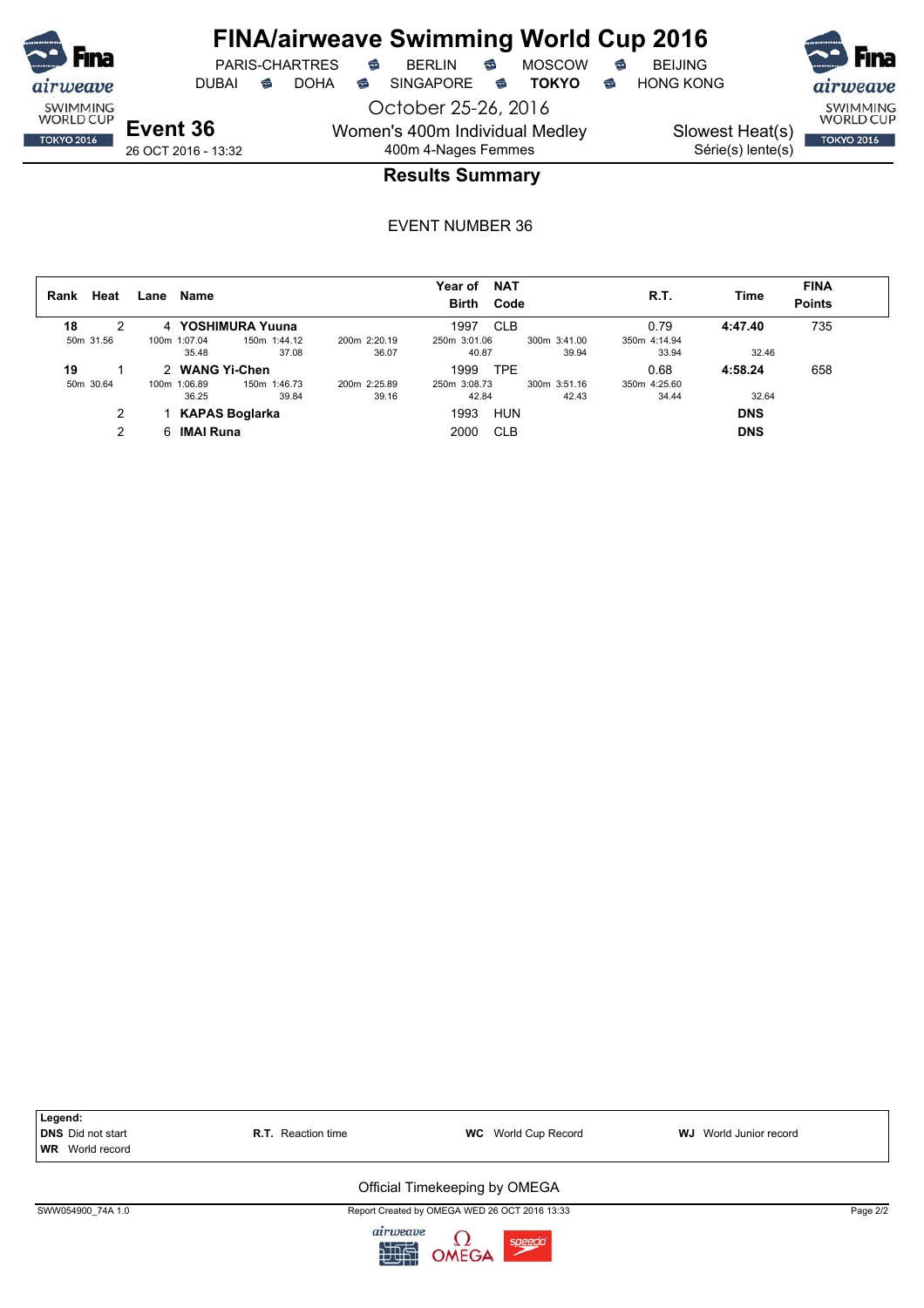

## **FINA/airweave Swimming World Cup 2016**

PARIS-CHARTRES **B** BERLIN **B** MOSCOW **B** BEIJING

DUBAI **S** DOHA SINGAPORE S **TOKYO** S HONG KONG

October 25-26, 2016 Women's 400m Individual Medley 400m 4-Nages Femmes



**Event 36** 26 OCT 2016 - 13:32

### **Results Summary**

| Heat<br>Rank |   | Lane | Name               |                   |              | Year of<br><b>Birth</b> | <b>NAT</b><br>Code |              | R.T.         | Time       | <b>FINA</b><br><b>Points</b> |
|--------------|---|------|--------------------|-------------------|--------------|-------------------------|--------------------|--------------|--------------|------------|------------------------------|
| 18           |   |      |                    | 4 YOSHIMURA Yuuna |              | 1997                    | <b>CLB</b>         |              | 0.79         | 4:47.40    | 735                          |
| 50m 31.56    |   |      | 100m 1:07.04       | 150m 1:44.12      | 200m 2:20.19 | 250m 3:01.06            |                    | 300m 3:41.00 | 350m 4:14.94 |            |                              |
|              |   |      | 35.48              | 37.08             | 36.07        | 40.87                   |                    | 39.94        | 33.94        | 32.46      |                              |
| 19           |   |      | 2 WANG Yi-Chen     |                   |              | 1999                    | <b>TPE</b>         |              | 0.68         | 4:58.24    | 658                          |
| 50m 30.64    |   |      | 100m 1:06.89       | 150m 1:46.73      | 200m 2:25.89 | 250m 3:08.73            |                    | 300m 3:51.16 | 350m 4:25.60 |            |                              |
|              |   |      | 36.25              | 39.84             | 39.16        | 42.84                   |                    | 42.43        | 34.44        | 32.64      |                              |
|              |   |      |                    | KAPAS Boglarka    |              | 1993                    | <b>HUN</b>         |              |              | <b>DNS</b> |                              |
|              | 2 |      | 6 <b>IMAI Runa</b> |                   |              | 2000                    | <b>CLB</b>         |              |              | <b>DNS</b> |                              |



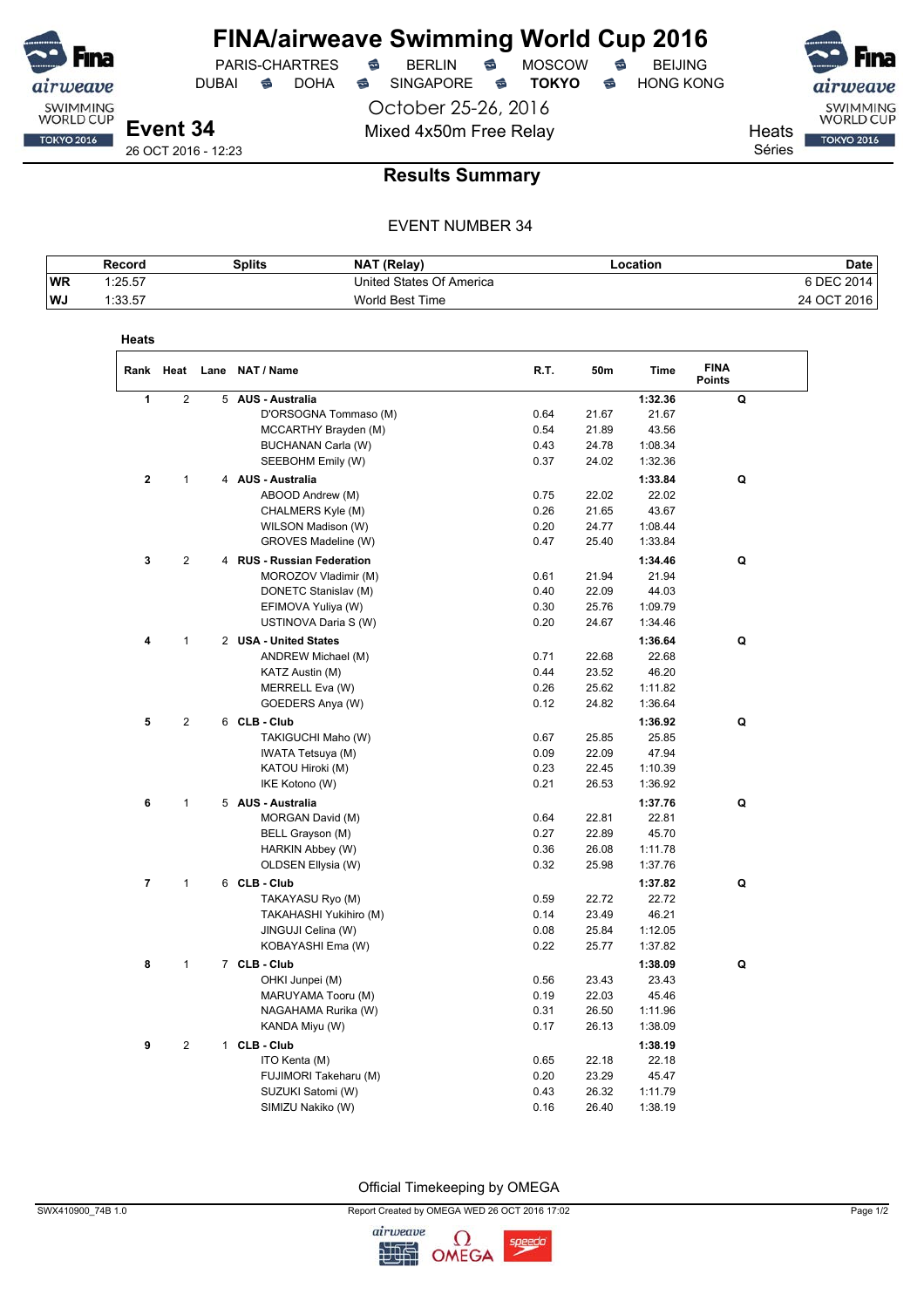

DUBAI **S** DOHA S SINGAPORE S **TOKYO** S HONG KONG

PARIS-CHARTRES **S** BERLIN S MOSCOW S

October 25-26, 2016 Mixed 4x50m Free Relay Neats

SWIMMING<br>WORLD CUP **TOKYO 2016** 

Séries

### **Results Summary**

#### EVENT NUMBER 34

|           | Record  | Splits | <b>NAT (Relay)</b>       | -ocation | Date               |
|-----------|---------|--------|--------------------------|----------|--------------------|
| <b>WR</b> | 1:25.57 |        | United States Of America |          | 6 DEC 201<br>2014. |
| <b>WJ</b> | 1:33.57 |        | World Best Time          |          | 24 OCT 2016        |

| Heats          |                |   |                                            |      |       |                  |                              |  |
|----------------|----------------|---|--------------------------------------------|------|-------|------------------|------------------------------|--|
| Rank           | Heat           |   | Lane NAT / Name                            | R.T. | 50m   | Time             | <b>FINA</b><br><b>Points</b> |  |
| 1              | $\overline{2}$ | 5 | <b>AUS - Australia</b>                     |      |       | 1:32.36          | Q                            |  |
|                |                |   | D'ORSOGNA Tommaso (M)                      | 0.64 | 21.67 | 21.67            |                              |  |
|                |                |   | MCCARTHY Brayden (M)                       | 0.54 | 21.89 | 43.56            |                              |  |
|                |                |   | BUCHANAN Carla (W)                         | 0.43 | 24.78 | 1:08.34          |                              |  |
|                |                |   | SEEBOHM Emily (W)                          | 0.37 | 24.02 | 1:32.36          |                              |  |
| $\mathbf 2$    | 1              |   | 4 AUS - Australia                          |      |       | 1:33.84          | Q                            |  |
|                |                |   | ABOOD Andrew (M)                           | 0.75 | 22.02 | 22.02            |                              |  |
|                |                |   | CHALMERS Kyle (M)                          | 0.26 | 21.65 | 43.67            |                              |  |
|                |                |   | WILSON Madison (W)                         | 0.20 | 24.77 | 1:08.44          |                              |  |
|                |                |   | GROVES Madeline (W)                        | 0.47 | 25.40 | 1:33.84          |                              |  |
| 3              | 2              |   | 4 RUS - Russian Federation                 |      |       | 1:34.46          | Q                            |  |
|                |                |   | MOROZOV Vladimir (M)                       | 0.61 | 21.94 | 21.94            |                              |  |
|                |                |   | DONETC Stanislav (M)                       | 0.40 | 22.09 | 44.03            |                              |  |
|                |                |   | EFIMOVA Yuliya (W)                         | 0.30 | 25.76 | 1:09.79          |                              |  |
|                |                |   | USTINOVA Daria S (W)                       | 0.20 | 24.67 | 1:34.46          |                              |  |
| 4              | 1              |   | 2 USA - United States                      |      |       | 1:36.64          | Q                            |  |
|                |                |   | ANDREW Michael (M)                         | 0.71 | 22.68 | 22.68            |                              |  |
|                |                |   | KATZ Austin (M)                            | 0.44 | 23.52 | 46.20            |                              |  |
|                |                |   | MERRELL Eva (W)                            | 0.26 | 25.62 | 1:11.82          |                              |  |
|                |                |   | GOEDERS Anya (W)                           | 0.12 | 24.82 | 1:36.64          |                              |  |
| 5              | $\overline{2}$ |   | 6 CLB - Club                               |      |       | 1:36.92          | Q                            |  |
|                |                |   | TAKIGUCHI Maho (W)                         | 0.67 | 25.85 | 25.85            |                              |  |
|                |                |   | IWATA Tetsuya (M)                          | 0.09 | 22.09 | 47.94            |                              |  |
|                |                |   | KATOU Hiroki (M)                           | 0.23 | 22.45 | 1:10.39          |                              |  |
|                |                |   | IKE Kotono (W)                             | 0.21 | 26.53 | 1:36.92          |                              |  |
| 6              | 1              |   | 5 AUS - Australia                          |      |       | 1:37.76          | Q                            |  |
|                |                |   | MORGAN David (M)                           | 0.64 | 22.81 | 22.81            |                              |  |
|                |                |   | BELL Grayson (M)                           | 0.27 | 22.89 | 45.70            |                              |  |
|                |                |   | HARKIN Abbey (W)                           | 0.36 | 26.08 | 1:11.78          |                              |  |
|                |                |   | OLDSEN Ellysia (W)                         | 0.32 | 25.98 | 1:37.76          |                              |  |
| $\overline{7}$ | 1              |   | 6 CLB - Club                               |      |       |                  |                              |  |
|                |                |   |                                            | 0.59 | 22.72 | 1:37.82<br>22.72 | Q                            |  |
|                |                |   | TAKAYASU Ryo (M)<br>TAKAHASHI Yukihiro (M) | 0.14 | 23.49 | 46.21            |                              |  |
|                |                |   | JINGUJI Celina (W)                         | 0.08 | 25.84 | 1:12.05          |                              |  |
|                |                |   | KOBAYASHI Ema (W)                          | 0.22 | 25.77 | 1:37.82          |                              |  |
|                |                |   |                                            |      |       |                  |                              |  |
| 8              | 1              |   | 7 CLB - Club                               |      |       | 1:38.09          | Q                            |  |
|                |                |   | OHKI Junpei (M)                            | 0.56 | 23.43 | 23.43            |                              |  |
|                |                |   | MARUYAMA Tooru (M)                         | 0.19 | 22.03 | 45.46            |                              |  |
|                |                |   | NAGAHAMA Rurika (W)                        | 0.31 | 26.50 | 1:11.96          |                              |  |
|                |                |   | KANDA Miyu (W)                             | 0.17 | 26.13 | 1:38.09          |                              |  |
| 9              | $\overline{2}$ |   | 1 CLB - Club                               |      |       | 1:38.19          |                              |  |
|                |                |   | ITO Kenta (M)                              | 0.65 | 22.18 | 22.18            |                              |  |
|                |                |   | FUJIMORI Takeharu (M)                      | 0.20 | 23.29 | 45.47            |                              |  |
|                |                |   | SUZUKI Satomi (W)                          | 0.43 | 26.32 | 1:11.79          |                              |  |
|                |                |   | SIMIZU Nakiko (W)                          | 0.16 | 26.40 | 1:38.19          |                              |  |

Official Timekeeping by OMEGA



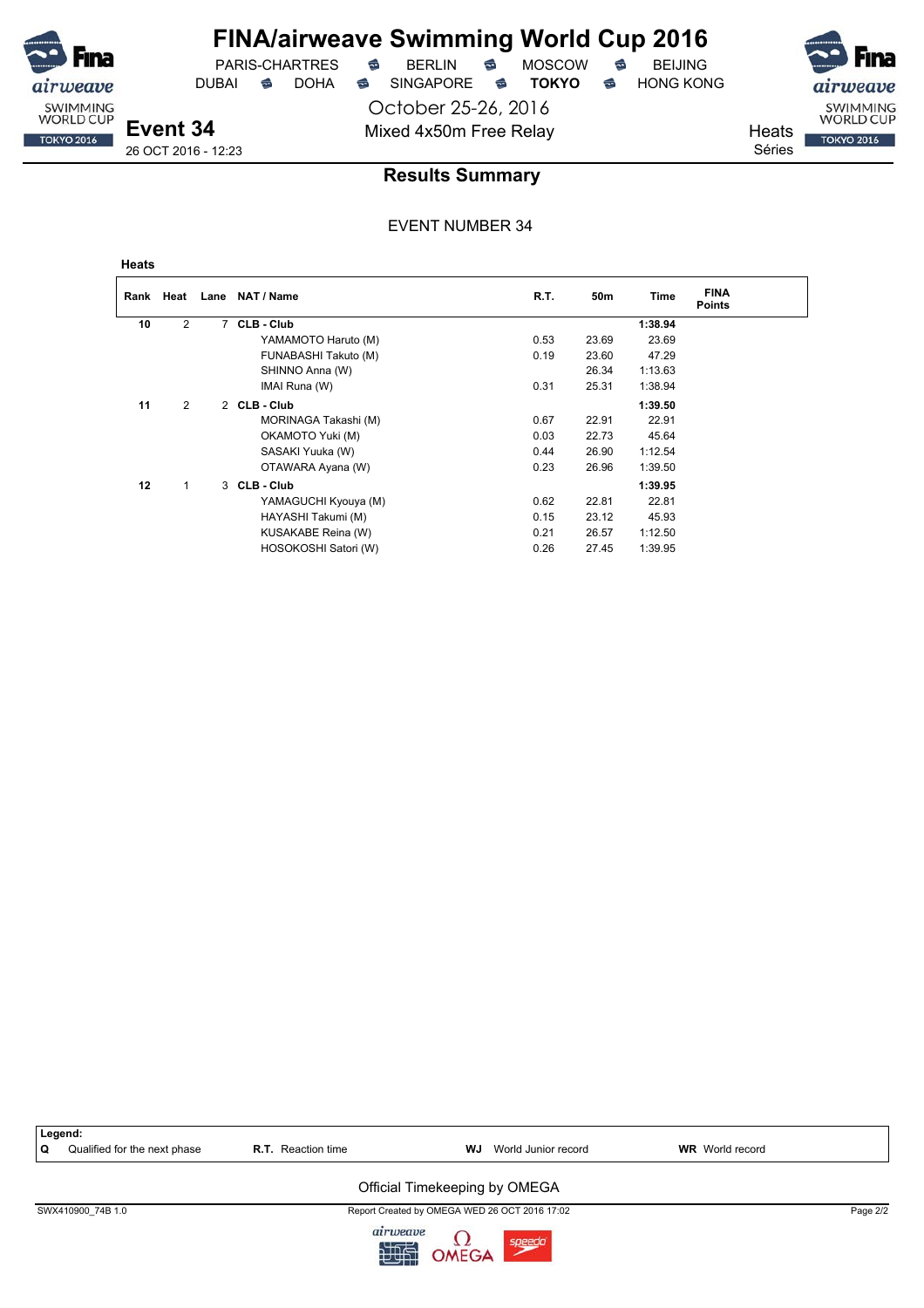PARIS-CHARTRES **B** BERLIN **B** MOSCOW **B** BEIJING

**FINA/airweave Swimming World Cup 2016**

DUBAI **S** DOHA S SINGAPORE S TOKYO S HONG KONG

October 25-26, 2016

SWIMMING<br>WORLD CUP

**TOKYO 2016** 

Mixed 4x50m Free Relay Neats Séries

**Event 34** 26 OCT 2016 - 12:23

### **Results Summary**

#### EVENT NUMBER 34

**Heats**

weave SWIMMING<br>WORLD CUP

**TOKYO 2016** 

| Rank | Heat           | Lane | NAT / Name           | R.T. | 50m   | Time    | <b>FINA</b><br><b>Points</b> |
|------|----------------|------|----------------------|------|-------|---------|------------------------------|
| 10   | $\overline{2}$ | 7    | CLB - Club           |      |       | 1:38.94 |                              |
|      |                |      | YAMAMOTO Haruto (M)  | 0.53 | 23.69 | 23.69   |                              |
|      |                |      | FUNABASHI Takuto (M) | 0.19 | 23.60 | 47.29   |                              |
|      |                |      | SHINNO Anna (W)      |      | 26.34 | 1:13.63 |                              |
|      |                |      | IMAI Runa (W)        | 0.31 | 25.31 | 1:38.94 |                              |
| 11   | 2              |      | 2 CLB-Club           |      |       | 1:39.50 |                              |
|      |                |      | MORINAGA Takashi (M) | 0.67 | 22.91 | 22.91   |                              |
|      |                |      | OKAMOTO Yuki (M)     | 0.03 | 22.73 | 45.64   |                              |
|      |                |      | SASAKI Yuuka (W)     | 0.44 | 26.90 | 1:12.54 |                              |
|      |                |      | OTAWARA Ayana (W)    | 0.23 | 26.96 | 1:39.50 |                              |
| 12   |                |      | 3 CLB-Club           |      |       | 1:39.95 |                              |
|      |                |      | YAMAGUCHI Kyouya (M) | 0.62 | 22.81 | 22.81   |                              |
|      |                |      | HAYASHI Takumi (M)   | 0.15 | 23.12 | 45.93   |                              |
|      |                |      | KUSAKABE Reina (W)   | 0.21 | 26.57 | 1:12.50 |                              |
|      |                |      | HOSOKOSHI Satori (W) | 0.26 | 27.45 | 1:39.95 |                              |



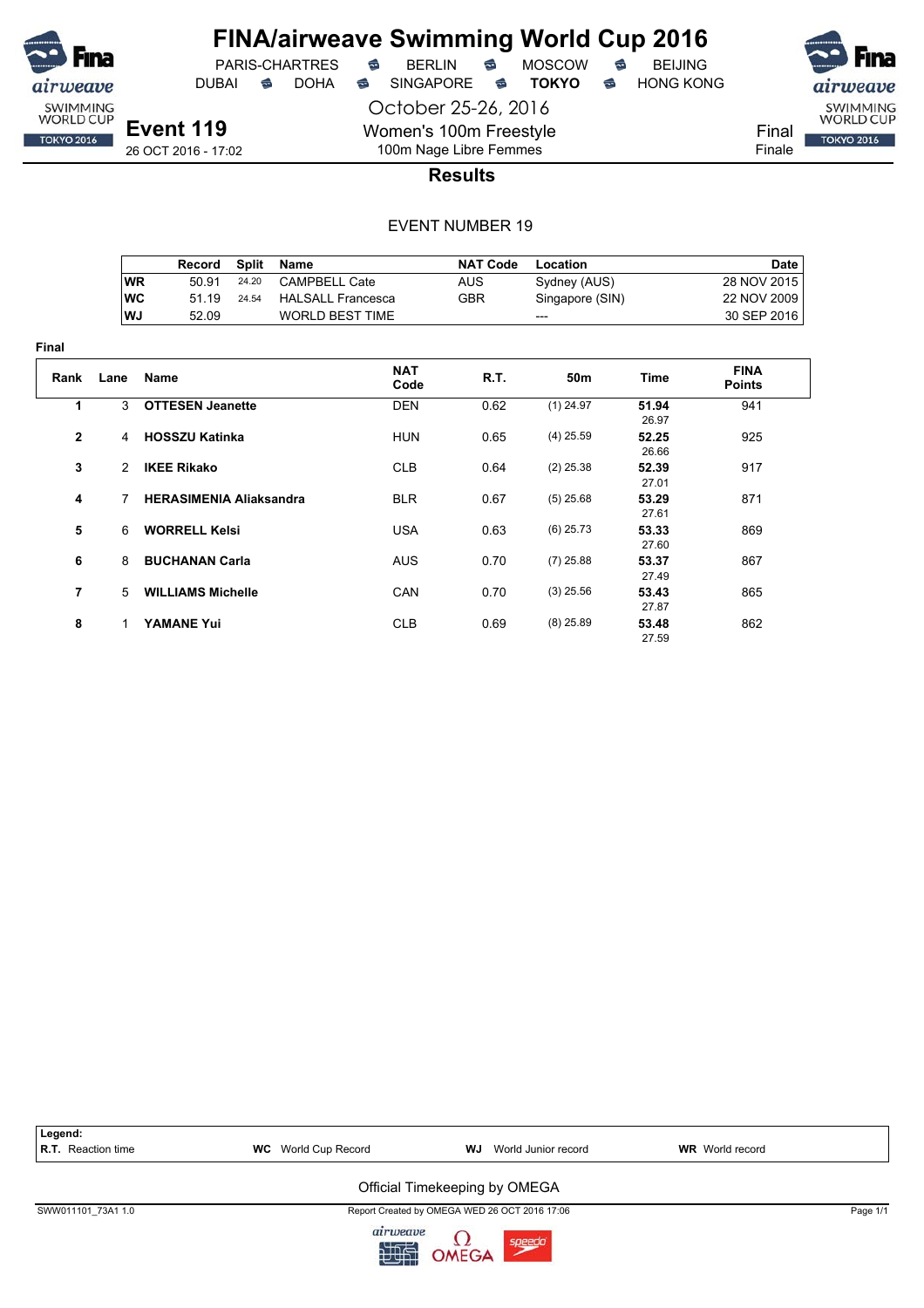

**Final**

## **FINA/airweave Swimming World Cup 2016**

October 25-26, 2016 Women's 100m Freestyle 100m Nage Libre Femmes





Final Finale

**Results**

|                |           | Record                         | <b>Split</b> | <b>Name</b>              |                    | <b>NAT Code</b> | Location        |                | <b>Date</b>                  |
|----------------|-----------|--------------------------------|--------------|--------------------------|--------------------|-----------------|-----------------|----------------|------------------------------|
|                | <b>WR</b> | 50.91                          | 24.20        | <b>CAMPBELL Cate</b>     |                    | <b>AUS</b>      | Sydney (AUS)    |                | 28 NOV 2015                  |
|                | <b>WC</b> | 51.19                          | 24.54        | <b>HALSALL Francesca</b> |                    | <b>GBR</b>      | Singapore (SIN) |                | 22 NOV 2009                  |
|                | WJ        | 52.09                          |              | <b>WORLD BEST TIME</b>   |                    |                 | ---             |                | 30 SEP 2016                  |
| ıal            |           |                                |              |                          |                    |                 |                 |                |                              |
| Rank           | Lane      | Name                           |              |                          | <b>NAT</b><br>Code | R.T.            | 50m             | <b>Time</b>    | <b>FINA</b><br><b>Points</b> |
| 1              | 3         | <b>OTTESEN Jeanette</b>        |              |                          | <b>DEN</b>         | 0.62            | $(1)$ 24.97     | 51.94<br>26.97 | 941                          |
| $\mathbf 2$    | 4         | <b>HOSSZU Katinka</b>          |              |                          | <b>HUN</b>         | 0.65            | $(4)$ 25.59     | 52.25<br>26.66 | 925                          |
| 3              | 2         | <b>IKEE Rikako</b>             |              |                          | <b>CLB</b>         | 0.64            | $(2)$ 25.38     | 52.39<br>27.01 | 917                          |
| 4              | 7         | <b>HERASIMENIA Aliaksandra</b> |              |                          | <b>BLR</b>         | 0.67            | $(5)$ 25.68     | 53.29<br>27.61 | 871                          |
| 5              | 6         | <b>WORRELL Kelsi</b>           |              |                          | <b>USA</b>         | 0.63            | $(6)$ 25.73     | 53.33<br>27.60 | 869                          |
| 6              | 8         | <b>BUCHANAN Carla</b>          |              |                          | <b>AUS</b>         | 0.70            | $(7)$ 25.88     | 53.37<br>27.49 | 867                          |
| $\overline{7}$ | 5         | <b>WILLIAMS Michelle</b>       |              |                          | CAN                | 0.70            | $(3)$ 25.56     | 53.43<br>27.87 | 865                          |
| 8              | 1         | <b>YAMANE Yui</b>              |              |                          | <b>CLB</b>         | 0.69            | $(8)$ 25.89     | 53.48<br>27.59 | 862                          |

| Legend:            |                            |                                               |                        |          |
|--------------------|----------------------------|-----------------------------------------------|------------------------|----------|
| R.T. Reaction time | <b>WC</b> World Cup Record | WJ<br>World Junior record                     | <b>WR</b> World record |          |
|                    |                            | Official Timekeeping by OMEGA                 |                        |          |
| SWW011101 73A1 1.0 |                            | Report Created by OMEGA WED 26 OCT 2016 17:06 |                        | Page 1/1 |
|                    | airweave<br>浉              | OMEGA<br>speed                                |                        |          |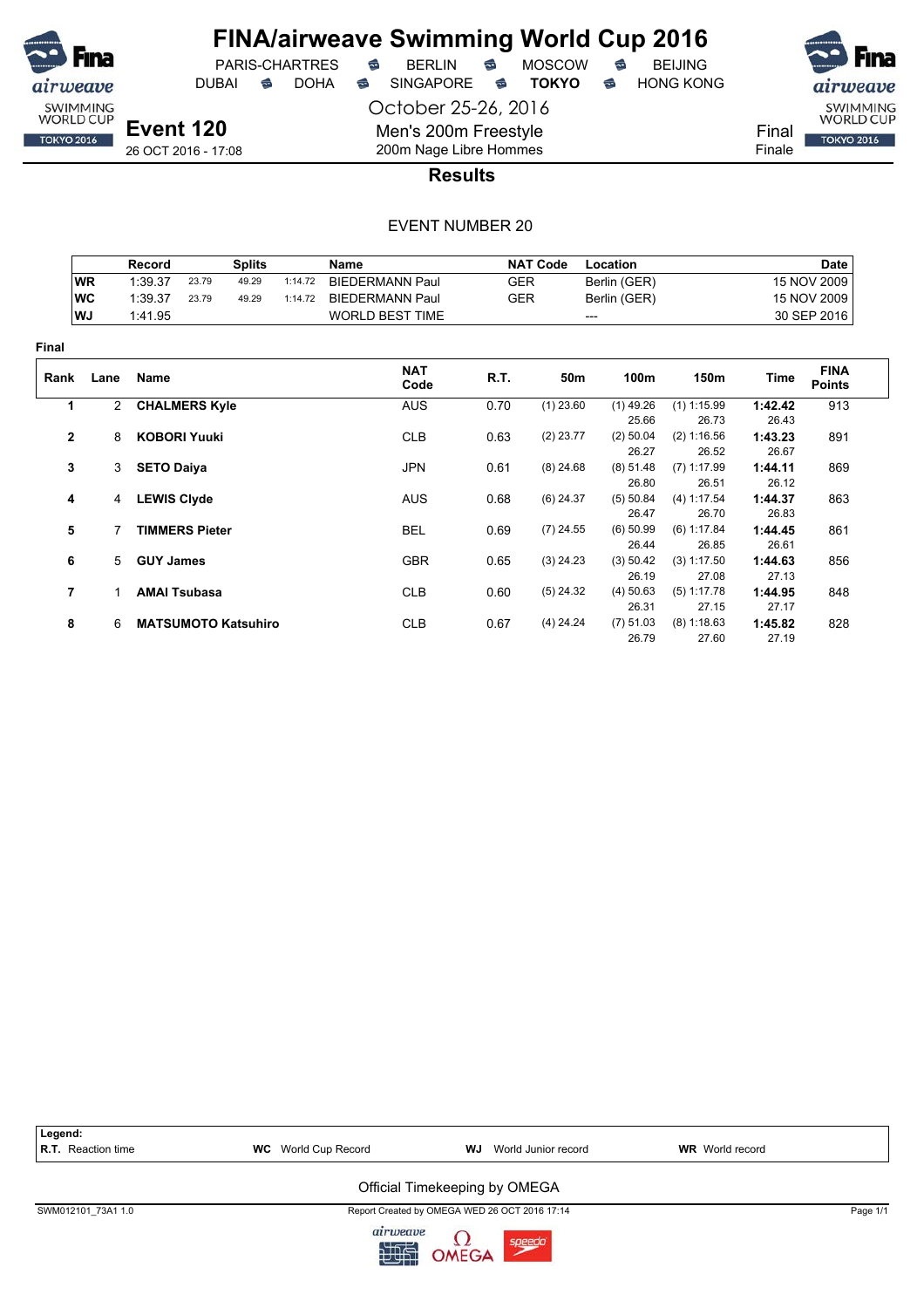

DUBAI **S** DOHA SINGAPORE S **TOKYO** S HONG KONG

October 25-26, 2016

Men's 200m Freestyle

PARIS-CHARTRES **B** BERLIN **B** MOSCOW **B** BEIJING

SWIMMING<br>WORLD CUP **TOKYO 2016** 

Final Finale

**Event 120** 26 OCT 2016 - 17:08

## 200m Nage Libre Hommes **Results**

|              |                | <b>Record</b>       |                       | <b>Splits</b>              |         | <b>Name</b>            |            | <b>NAT Code</b> | Location             |                        |                  | <b>Date</b>                  |
|--------------|----------------|---------------------|-----------------------|----------------------------|---------|------------------------|------------|-----------------|----------------------|------------------------|------------------|------------------------------|
|              | <b>WR</b>      | 1:39.37             | 23.79                 | 49.29                      | 1:14.72 | <b>BIEDERMANN Paul</b> | <b>GER</b> |                 | Berlin (GER)         |                        |                  | 15 NOV 2009                  |
|              | <b>WC</b>      | 1:39.37             | 23.79                 | 49.29                      | 1:14.72 | <b>BIEDERMANN Paul</b> | <b>GER</b> |                 | Berlin (GER)         |                        |                  | 15 NOV 2009                  |
|              | WJ             | 1:41.95             |                       |                            |         | <b>WORLD BEST TIME</b> |            |                 | ---                  |                        |                  | 30 SEP 2016                  |
| Final        |                |                     |                       |                            |         |                        |            |                 |                      |                        |                  |                              |
| Rank         | Lane           | Name                |                       |                            |         | <b>NAT</b><br>Code     | R.T.       | 50m             | 100m                 | 150m                   | Time             | <b>FINA</b><br><b>Points</b> |
| 1            |                | 2 CHALMERS Kyle     |                       |                            |         | <b>AUS</b>             | 0.70       | $(1)$ 23.60     | $(1)$ 49.26          | $(1)$ 1:15.99          | 1:42.42          | 913                          |
|              |                |                     |                       |                            |         |                        |            |                 | 25.66                | 26.73                  | 26.43            |                              |
| $\mathbf{2}$ | 8              | <b>KOBORI Yuuki</b> |                       |                            |         | <b>CLB</b>             | 0.63       | $(2)$ 23.77     | $(2)$ 50.04<br>26.27 | (2) 1:16.56<br>26.52   | 1:43.23<br>26.67 | 891                          |
| 3            |                | 3 SETO Daiya        |                       |                            |         | <b>JPN</b>             | 0.61       | $(8)$ 24.68     | $(8)$ 51.48<br>26.80 | $(7)$ 1:17.99<br>26.51 | 1:44.11<br>26.12 | 869                          |
| 4            | $\overline{4}$ | <b>LEWIS Clyde</b>  |                       |                            |         | <b>AUS</b>             | 0.68       | $(6)$ 24.37     | (5) 50.84            | (4) 1:17.54            | 1:44.37          | 863                          |
|              |                |                     |                       |                            |         |                        |            |                 | 26.47                | 26.70                  | 26.83            |                              |
| 5            |                |                     | <b>TIMMERS Pieter</b> |                            |         | <b>BEL</b>             | 0.69       | $(7)$ 24.55     | $(6)$ 50.99          | (6) 1:17.84            | 1:44.45          | 861                          |
|              |                |                     |                       |                            |         |                        |            |                 | 26.44                | 26.85                  | 26.61            |                              |
| 6            | 5              | <b>GUY James</b>    |                       |                            |         | <b>GBR</b>             | 0.65       | $(3)$ 24.23     | (3) 50.42            | (3) 1:17.50            | 1:44.63          | 856                          |
|              |                |                     |                       |                            |         |                        |            |                 | 26.19                | 27.08                  | 27.13            |                              |
| 7            |                |                     | <b>AMAI Tsubasa</b>   |                            |         | <b>CLB</b>             | 0.60       | $(5)$ 24.32     | $(4)$ 50.63          | (5) 1:17.78            | 1:44.95          | 848                          |
|              |                |                     |                       |                            |         |                        |            |                 | 26.31                | 27.15                  | 27.17            |                              |
| 8            | 6              |                     |                       | <b>MATSUMOTO Katsuhiro</b> |         | <b>CLB</b>             | 0.67       | $(4)$ 24.24     | (7) 51.03            | (8) 1:18.63            | 1:45.82          | 828                          |
|              |                |                     |                       |                            |         |                        |            |                 | 26.79                | 27.60                  | 27.19            |                              |



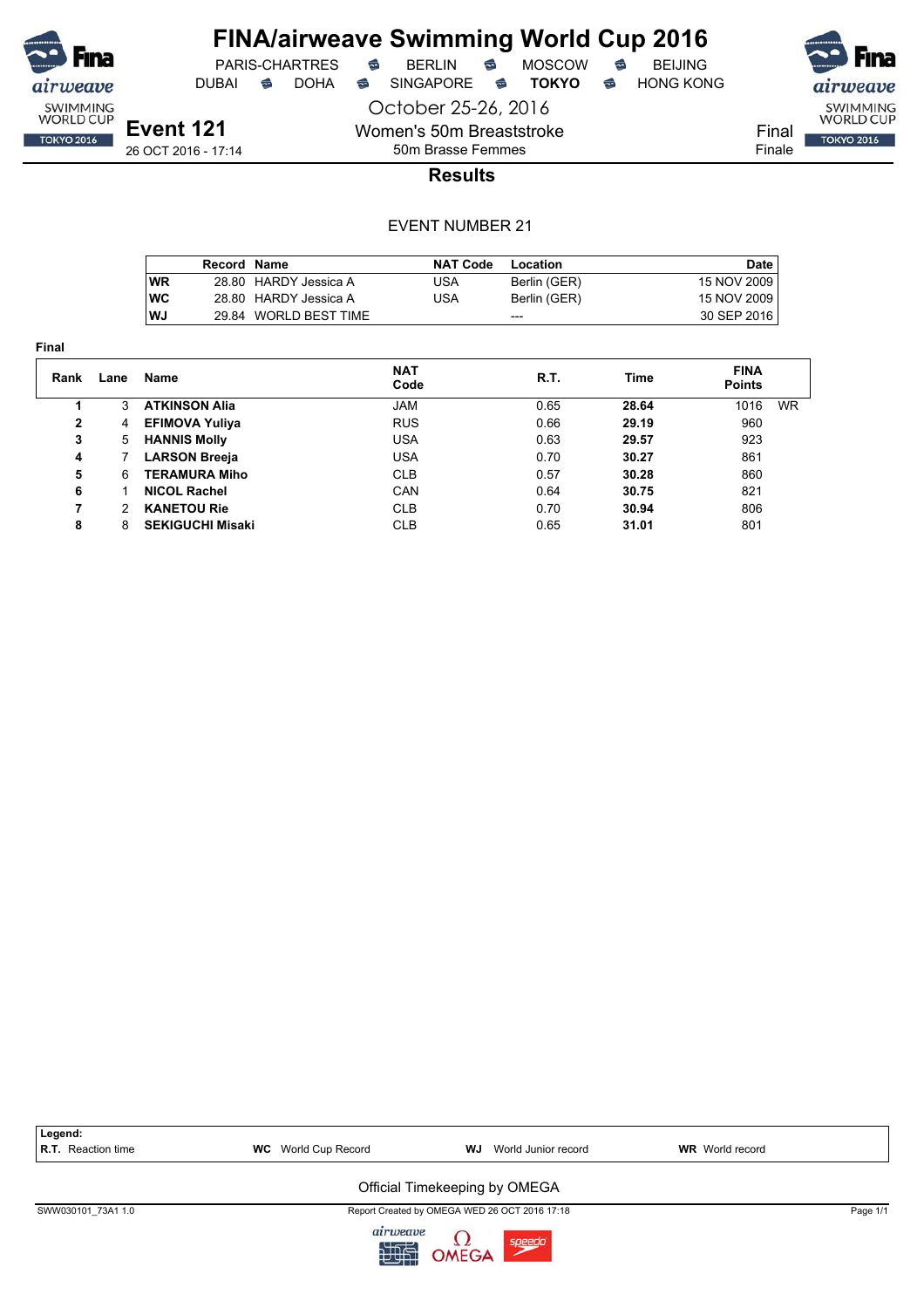

## **FINA/airweave Swimming World Cup 2016**

PARIS-CHARTRES **B** BERLIN **B** MOSCOW **B** BEIJING DUBAI **S** DOHA S SINGAPORE S TOKYO S HONG KONG

October 25-26, 2016

Final Finale

SWIMMING<br>WORLD CUP

**TOKYO 2016** 

**Event 121** 26 OCT 2016 - 17:14

50m Brasse Femmes **Results**

Women's 50m Breaststroke

|            | Record Name |                       | <b>NAT Code</b> | Location     | Date        |
|------------|-------------|-----------------------|-----------------|--------------|-------------|
| WR         |             | 28.80 HARDY Jessica A | USA             | Berlin (GER) | 15 NOV 2009 |
| <b>IWC</b> |             | 28.80 HARDY Jessica A | USA             | Berlin (GER) | 15 NOV 2009 |
| l WJ       |             | 29.84 WORLD BEST TIME |                 | ---          | 30 SEP 2016 |

| <b>Final</b> |                      |                         |                    |      |       |                              |
|--------------|----------------------|-------------------------|--------------------|------|-------|------------------------------|
| Rank         | Lane                 | Name                    | <b>NAT</b><br>Code | R.T. | Time  | <b>FINA</b><br><b>Points</b> |
|              | 3                    | <b>ATKINSON Alia</b>    | <b>JAM</b>         | 0.65 | 28.64 | <b>WR</b><br>1016            |
| $\mathbf{2}$ | 4                    | <b>EFIMOVA Yuliya</b>   | <b>RUS</b>         | 0.66 | 29.19 | 960                          |
| 3            | 5                    | <b>HANNIS Molly</b>     | <b>USA</b>         | 0.63 | 29.57 | 923                          |
| 4            |                      | <b>LARSON Breeja</b>    | <b>USA</b>         | 0.70 | 30.27 | 861                          |
| 5            | 6                    | <b>TERAMURA Miho</b>    | <b>CLB</b>         | 0.57 | 30.28 | 860                          |
| 6            |                      | <b>NICOL Rachel</b>     | CAN                | 0.64 | 30.75 | 821                          |
| 7            | $\mathcal{P} \equiv$ | <b>KANETOU Rie</b>      | <b>CLB</b>         | 0.70 | 30.94 | 806                          |
| 8            | 8                    | <b>SEKIGUCHI Misaki</b> | <b>CLB</b>         | 0.65 | 31.01 | 801                          |

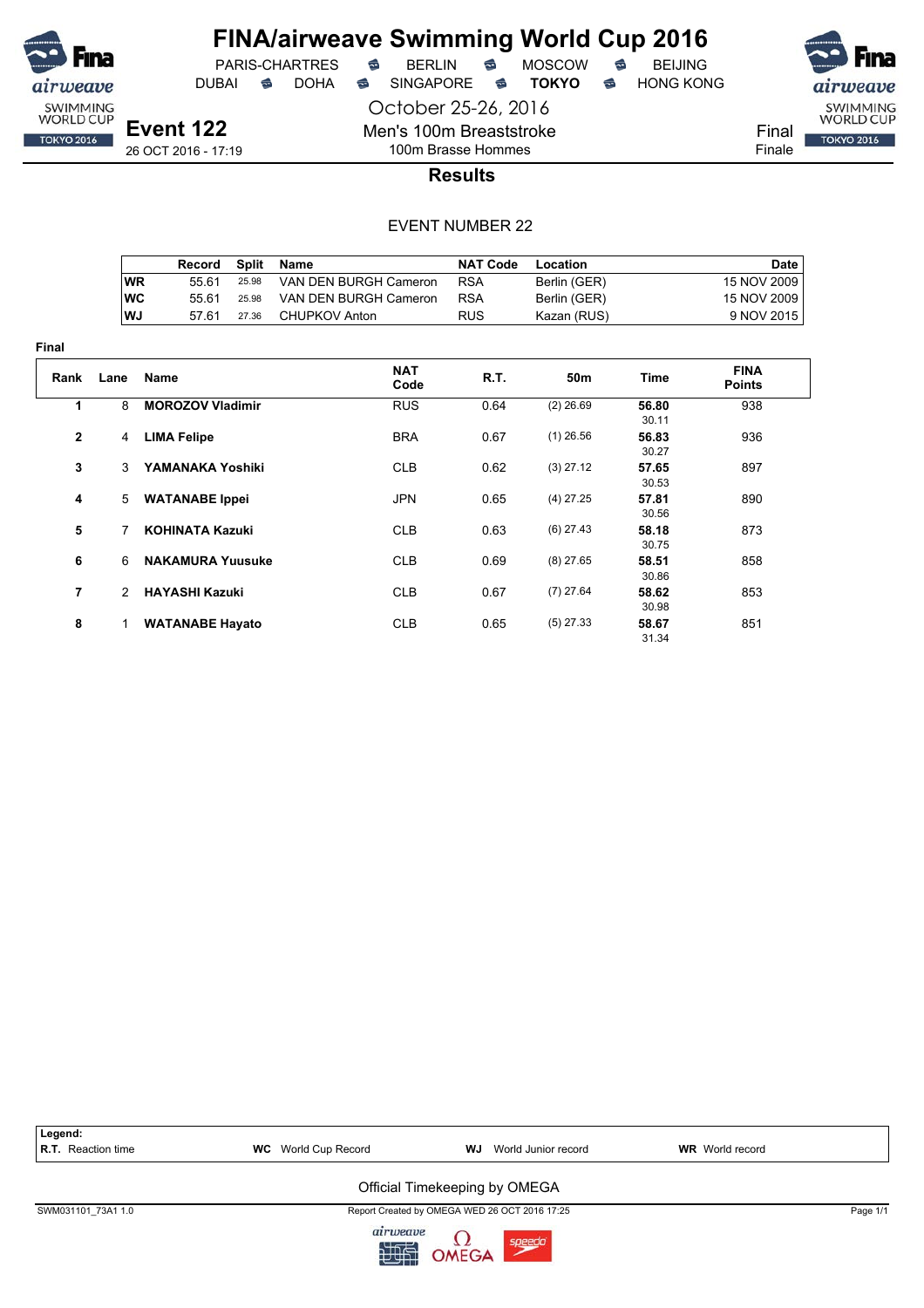

 $PARIS-CHARTRES$  **BERLIN B** MOSCOW **B** 

October 25-26, 2016

Men's 100m Breaststroke

DUBAI **S** DOHA S SINGAPORE S TOKYO S HONG KONG

airweave SWIMMING<br>WORLD CUP Final **TOKYO 2016** Finale

**Event 122** 26 OCT 2016 - 17:19

## 100m Brasse Hommes **Results**

|     | Record | Split | Name                  | <b>NAT Code</b> | Location     | Date        |
|-----|--------|-------|-----------------------|-----------------|--------------|-------------|
| ∣WR | 55 61  | 25.98 | VAN DEN BURGH Cameron | <b>RSA</b>      | Berlin (GER) | 15 NOV 2009 |
| ∣wc | 55 61  | 25.98 | VAN DEN BURGH Cameron | <b>RSA</b>      | Berlin (GER) | 15 NOV 2009 |
| lWJ | 57.61  | 27.36 | CHUPKOV Anton         | <b>RUS</b>      | Kazan (RUS)  | 9 NOV 2015  |

| <b>Final</b>   |               |                         |                    |      |                 |                |                              |
|----------------|---------------|-------------------------|--------------------|------|-----------------|----------------|------------------------------|
| Rank           | Lane          | <b>Name</b>             | <b>NAT</b><br>Code | R.T. | 50 <sub>m</sub> | Time           | <b>FINA</b><br><b>Points</b> |
| 1              | 8             | <b>MOROZOV Vladimir</b> | <b>RUS</b>         | 0.64 | $(2)$ 26.69     | 56.80<br>30.11 | 938                          |
| $\mathbf{2}$   | 4             | <b>LIMA Felipe</b>      | <b>BRA</b>         | 0.67 | $(1)$ 26.56     | 56.83<br>30.27 | 936                          |
| 3              | 3             | YAMANAKA Yoshiki        | <b>CLB</b>         | 0.62 | $(3)$ 27.12     | 57.65<br>30.53 | 897                          |
| 4              | 5             | <b>WATANABE</b> Ippei   | <b>JPN</b>         | 0.65 | $(4)$ 27.25     | 57.81<br>30.56 | 890                          |
| 5              | 7             | <b>KOHINATA Kazuki</b>  | <b>CLB</b>         | 0.63 | $(6)$ 27.43     | 58.18<br>30.75 | 873                          |
| 6              | 6             | <b>NAKAMURA Yuusuke</b> | <b>CLB</b>         | 0.69 | $(8)$ 27.65     | 58.51<br>30.86 | 858                          |
| $\overline{7}$ | $\mathcal{P}$ | <b>HAYASHI Kazuki</b>   | <b>CLB</b>         | 0.67 | $(7)$ 27.64     | 58.62<br>30.98 | 853                          |
| 8              | 1             | <b>WATANABE Hayato</b>  | <b>CLB</b>         | 0.65 | $(5)$ 27.33     | 58.67<br>31.34 | 851                          |

| Legend:<br><b>R.T.</b> Reaction time | <b>WC</b> World Cup Record | World Junior record<br>WJ                     | <b>WR</b> World record |          |  |  |  |  |
|--------------------------------------|----------------------------|-----------------------------------------------|------------------------|----------|--|--|--|--|
| Official Timekeeping by OMEGA        |                            |                                               |                        |          |  |  |  |  |
| SWM031101 73A1 1.0                   |                            | Report Created by OMEGA WED 26 OCT 2016 17:25 |                        | Page 1/1 |  |  |  |  |
|                                      | airweave<br>迦山             | OMEGA<br>speedo                               |                        |          |  |  |  |  |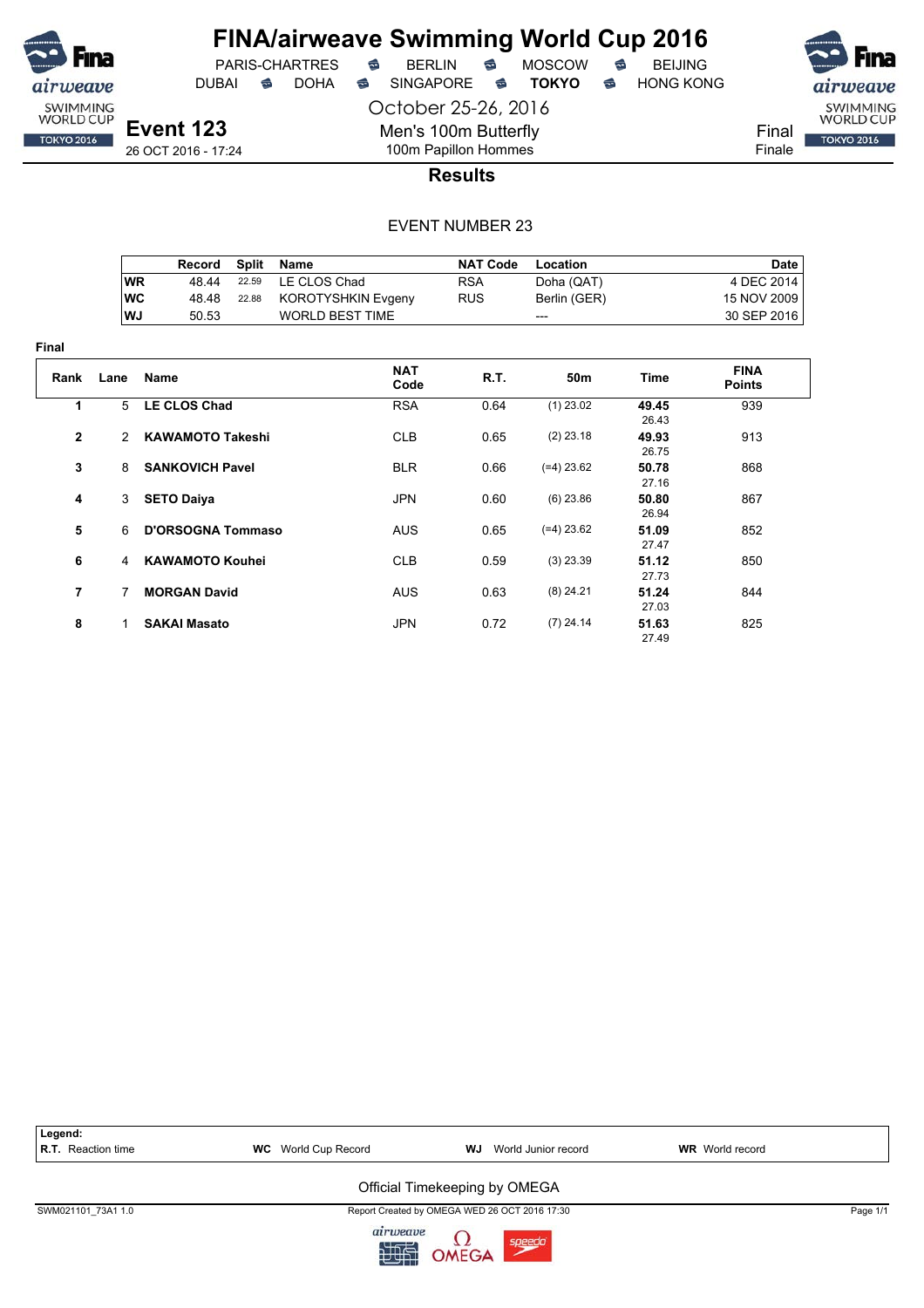

**Final**

# **FINA/airweave Swimming World Cup 2016**<br>PARIS-CHARTRES **& BERLIN & MOSCOW & BEIJING**

DUBAI **S** DOHA S SINGAPORE S TOKYO S HONG KONG

PARIS-CHARTRES **S** BERLIN S MOSCOW S

October 25-26, 2016 Men's 100m Butterfly

**Event 123** 26 OCT 2016 - 17:24



100m Papillon Hommes **Results**

|                |           | Record                   | <b>Split</b> | Name                      | <b>NAT Code</b> | Location        |                | <b>Date</b>                  |
|----------------|-----------|--------------------------|--------------|---------------------------|-----------------|-----------------|----------------|------------------------------|
|                | <b>WR</b> | 48.44                    | 22.59        | LE CLOS Chad              | <b>RSA</b>      | Doha (QAT)      |                | 4 DEC 2014                   |
|                | <b>WC</b> | 48.48                    | 22.88        | <b>KOROTYSHKIN Evgeny</b> | <b>RUS</b>      | Berlin (GER)    |                | 15 NOV 2009                  |
|                | WJ        | 50.53                    |              | <b>WORLD BEST TIME</b>    |                 | ---             |                | 30 SEP 2016                  |
| ıal            |           |                          |              |                           |                 |                 |                |                              |
| Rank           | Lane      | <b>Name</b>              |              | <b>NAT</b><br>Code        | R.T.            | 50 <sub>m</sub> | Time           | <b>FINA</b><br><b>Points</b> |
| 1              | 5         | <b>LE CLOS Chad</b>      |              | <b>RSA</b>                | 0.64            | $(1)$ 23.02     | 49.45<br>26.43 | 939                          |
| 2              | 2         | <b>KAWAMOTO Takeshi</b>  |              | <b>CLB</b>                | 0.65            | $(2)$ 23.18     | 49.93<br>26.75 | 913                          |
| 3              | 8         | <b>SANKOVICH Pavel</b>   |              | <b>BLR</b>                | 0.66            | $(=4)$ 23.62    | 50.78<br>27.16 | 868                          |
| 4              | 3         | <b>SETO Daiya</b>        |              | <b>JPN</b>                | 0.60            | $(6)$ 23.86     | 50.80<br>26.94 | 867                          |
| 5              | 6         | <b>D'ORSOGNA Tommaso</b> |              | <b>AUS</b>                | 0.65            | $(=4)$ 23.62    | 51.09<br>27.47 | 852                          |
| 6              | 4         | <b>KAWAMOTO Kouhei</b>   |              | <b>CLB</b>                | 0.59            | $(3)$ 23.39     | 51.12<br>27.73 | 850                          |
| $\overline{7}$ | 7         | <b>MORGAN David</b>      |              | <b>AUS</b>                | 0.63            | $(8)$ 24.21     | 51.24<br>27.03 | 844                          |
| 8              | 1         | <b>SAKAI Masato</b>      |              | <b>JPN</b>                | 0.72            | $(7)$ 24.14     | 51.63<br>27.49 | 825                          |

| Legend:<br><b>R.T.</b> Reaction time | <b>WC</b> World Cup Record | WJ<br>World Junior record                                                                   | <b>WR</b> World record |          |
|--------------------------------------|----------------------------|---------------------------------------------------------------------------------------------|------------------------|----------|
|                                      |                            | Official Timekeeping by OMEGA                                                               |                        |          |
| SWM021101 73A1 1.0                   | simum                      | Report Created by OMEGA WED 26 OCT 2016 17:30<br><b>Contract Contract Contract Contract</b> |                        | Page 1/1 |

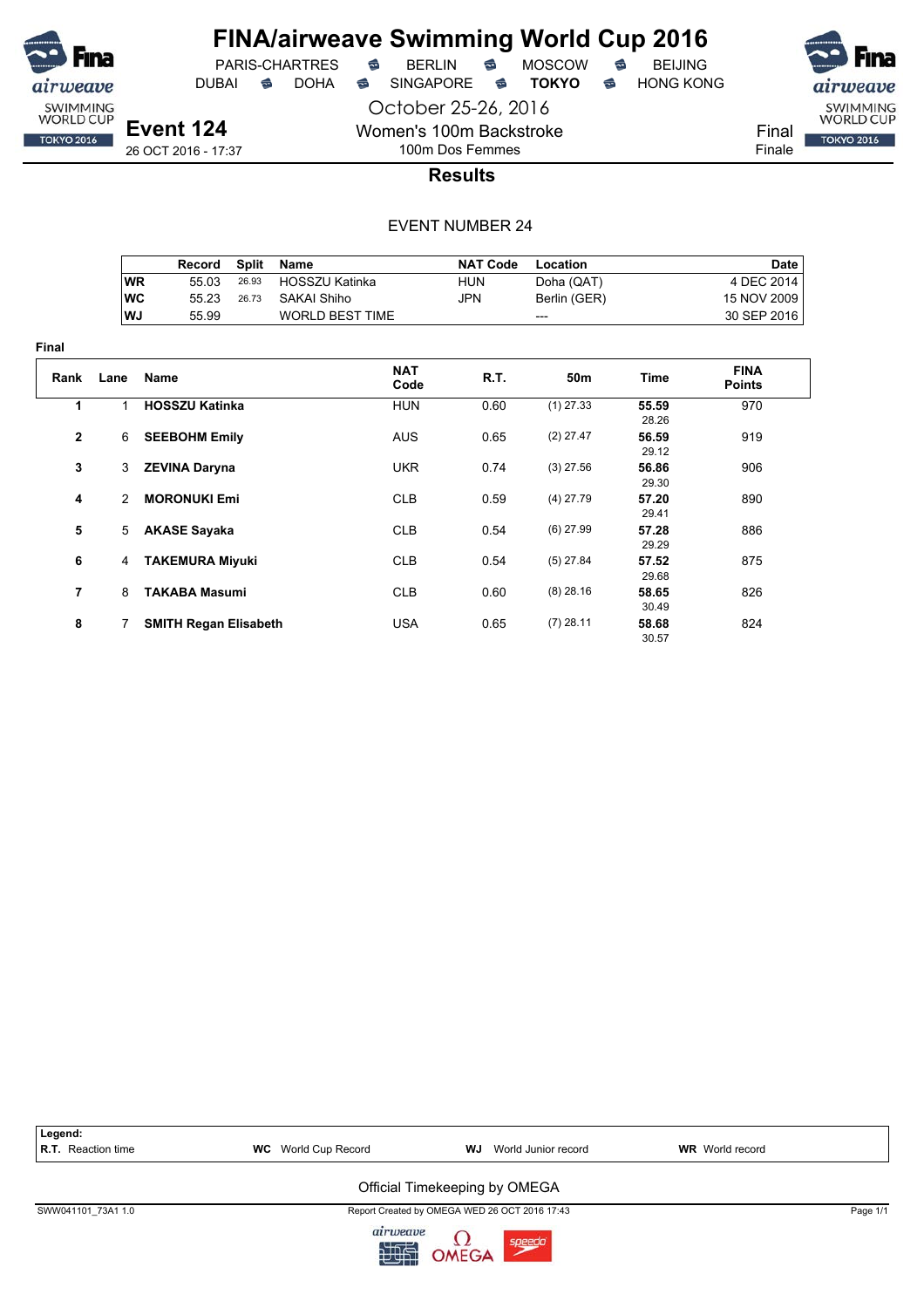

**Final**

## **FINA/airweave Swimming World Cup 2016**

PARIS-CHARTRES **B** BERLIN **B** MOSCOW **B** BEIJING

DUBAI **S** DOHA S SINGAPORE S TOKYO S HONG KONG

October 25-26, 2016 Women's 100m Backstroke 100m Dos Femmes



Final Finale

**TOKYO 2016** 

**Results**

|                |           | Record                       | <b>Split</b> | Name                   | <b>NAT Code</b> | Location        |                | <b>Date</b>                  |
|----------------|-----------|------------------------------|--------------|------------------------|-----------------|-----------------|----------------|------------------------------|
|                | <b>WR</b> | 55.03                        | 26.93        | <b>HOSSZU Katinka</b>  | <b>HUN</b>      | Doha (QAT)      |                | 4 DEC 2014                   |
|                | <b>WC</b> | 55.23                        | 26.73        | <b>SAKAI Shiho</b>     | JPN             | Berlin (GER)    |                | 15 NOV 2009                  |
|                | WJ        | 55.99                        |              | <b>WORLD BEST TIME</b> |                 | ---             |                | 30 SEP 2016                  |
| ıal            |           |                              |              |                        |                 |                 |                |                              |
| Rank           | Lane      | <b>Name</b>                  |              | <b>NAT</b><br>Code     | R.T.            | 50 <sub>m</sub> | <b>Time</b>    | <b>FINA</b><br><b>Points</b> |
| 1              | 1         | <b>HOSSZU Katinka</b>        |              | <b>HUN</b>             | 0.60            | $(1)$ 27.33     | 55.59<br>28.26 | 970                          |
| $\mathbf{2}$   | 6         | <b>SEEBOHM Emily</b>         |              | <b>AUS</b>             | 0.65            | $(2)$ 27.47     | 56.59<br>29.12 | 919                          |
| 3              | 3         | <b>ZEVINA Daryna</b>         |              | <b>UKR</b>             | 0.74            | $(3)$ 27.56     | 56.86<br>29.30 | 906                          |
| 4              | 2         | <b>MORONUKI Emi</b>          |              | <b>CLB</b>             | 0.59            | $(4)$ 27.79     | 57.20<br>29.41 | 890                          |
| 5              | 5         | <b>AKASE Sayaka</b>          |              | <b>CLB</b>             | 0.54            | $(6)$ 27.99     | 57.28<br>29.29 | 886                          |
| 6              | 4         | <b>TAKEMURA Miyuki</b>       |              | <b>CLB</b>             | 0.54            | $(5)$ 27.84     | 57.52<br>29.68 | 875                          |
| $\overline{7}$ | 8         | <b>TAKABA Masumi</b>         |              | <b>CLB</b>             | 0.60            | $(8)$ 28.16     | 58.65<br>30.49 | 826                          |
| 8              | 7         | <b>SMITH Regan Elisabeth</b> |              | <b>USA</b>             | 0.65            | $(7)$ 28.11     | 58.68<br>30.57 | 824                          |



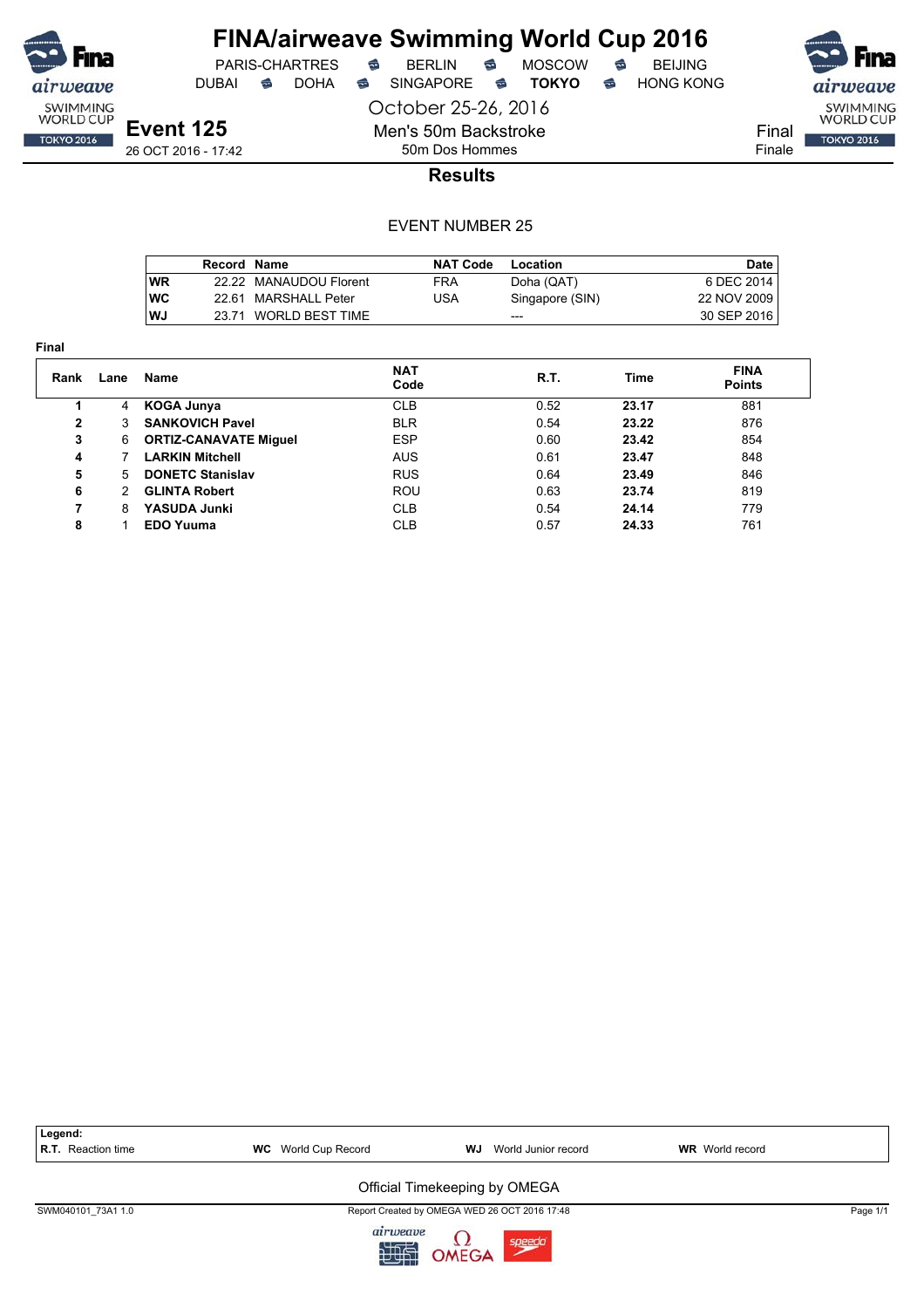

DUBAI **S** DOHA S SINGAPORE S TOKYO S HONG KONG

PARIS-CHARTRES **B** BERLIN **B** MOSCOW **B** BEIJING

airweave SWIMMING<br>WORLD CUP Final **TOKYO 2016** 

Finale

**Event 125** 26 OCT 2016 - 17:42 October 25-26, 2016 Men's 50m Backstroke 50m Dos Hommes

**Results**

|            | Record Name |                        | <b>NAT Code</b> | Location        | Date        |
|------------|-------------|------------------------|-----------------|-----------------|-------------|
| <b>WR</b>  |             | 22.22 MANAUDOU Florent | FRA             | Doha (QAT)      | 6 DEC 2014  |
| <b>IWC</b> |             | 22.61 MARSHALL Peter   | JSA             | Singapore (SIN) | 22 NOV 2009 |
| lWJ        |             | 23.71 WORLD BEST TIME  |                 | ---             | 30 SEP 2016 |

| × |  |
|---|--|

| Rank | Lane | Name                         | <b>NAT</b><br>Code | R.T. | Time  | <b>FINA</b><br><b>Points</b> |
|------|------|------------------------------|--------------------|------|-------|------------------------------|
|      | 4    | KOGA Junya                   | <b>CLB</b>         | 0.52 | 23.17 | 881                          |
| 2    | 3    | <b>SANKOVICH Pavel</b>       | <b>BLR</b>         | 0.54 | 23.22 | 876                          |
| 3    | 6    | <b>ORTIZ-CANAVATE Miquel</b> | <b>ESP</b>         | 0.60 | 23.42 | 854                          |
| 4    |      | <b>LARKIN Mitchell</b>       | <b>AUS</b>         | 0.61 | 23.47 | 848                          |
| 5    | 5    | <b>DONETC Stanislav</b>      | <b>RUS</b>         | 0.64 | 23.49 | 846                          |
| 6    | 2    | <b>GLINTA Robert</b>         | <b>ROU</b>         | 0.63 | 23.74 | 819                          |
| 7    | 8    | <b>YASUDA Junki</b>          | <b>CLB</b>         | 0.54 | 24.14 | 779                          |
| 8    |      | <b>EDO Yuuma</b>             | <b>CLB</b>         | 0.57 | 24.33 | 761                          |

| Legend:                   |                            |                                               |                        |          |
|---------------------------|----------------------------|-----------------------------------------------|------------------------|----------|
| <b>R.T.</b> Reaction time | <b>WC</b> World Cup Record | World Junior record<br>WJ                     | <b>WR</b> World record |          |
|                           |                            | Official Timekeeping by OMEGA                 |                        |          |
| SWM040101 73A1 1.0        |                            | Report Created by OMEGA WED 26 OCT 2016 17:48 |                        | Page 1/1 |
|                           | airweave<br>肥              | OMEGA<br>speed                                |                        |          |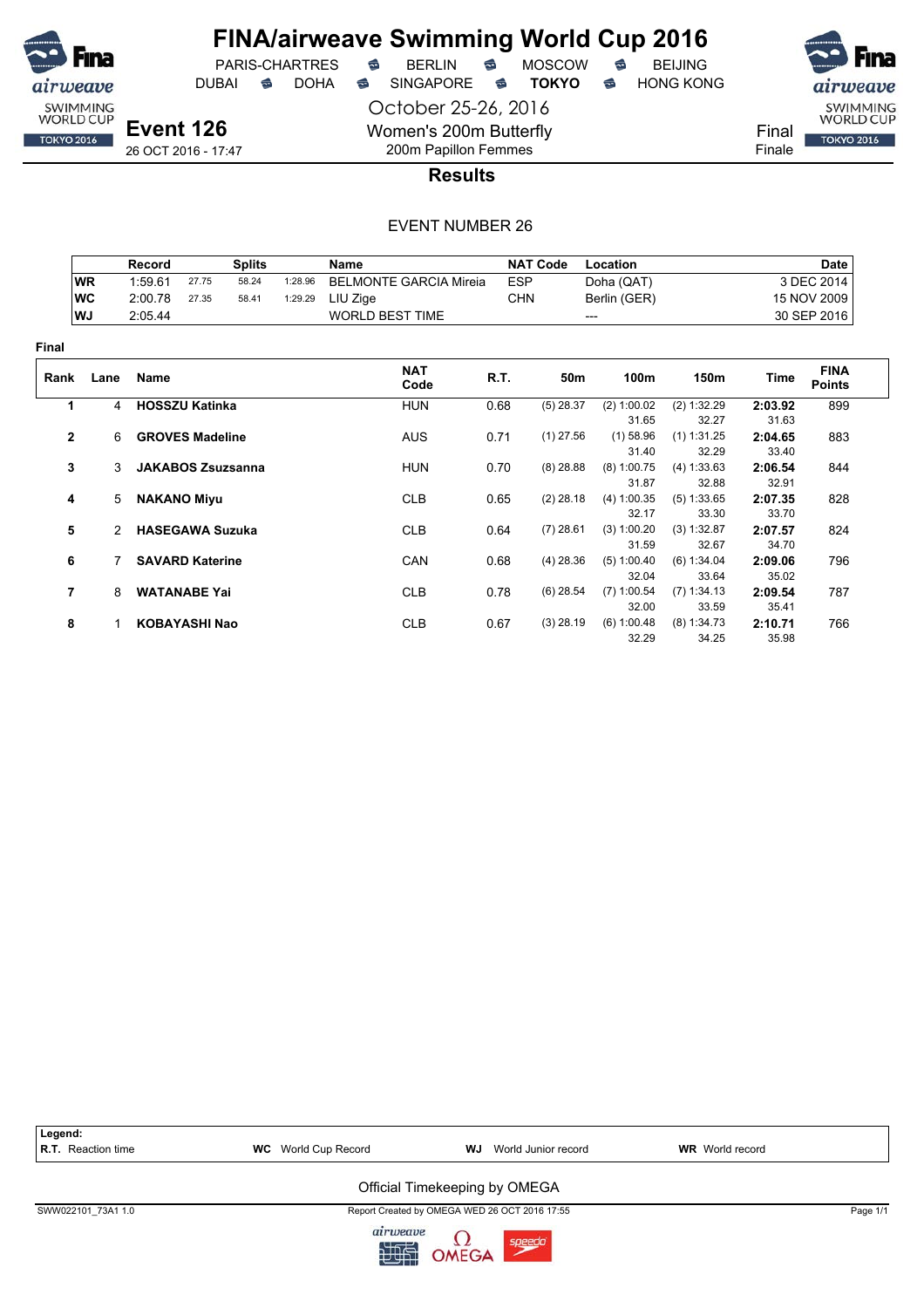

DUBAI **S** DOHA SINGAPORE S **TOKYO** S HONG KONG

October 25-26, 2016 Women's 200m Butterfly 200m Papillon Femmes



SWIMMING<br>WORLD CUP

**TOKYO 2016** 

Final Finale

26 OCT 2016 - 17:47

**Results**

|                |               | <b>Record</b>          |                          | <b>Splits</b> |         | Name                          |            | <b>NAT Code</b> | Location      |               |         | <b>Date</b>                  |
|----------------|---------------|------------------------|--------------------------|---------------|---------|-------------------------------|------------|-----------------|---------------|---------------|---------|------------------------------|
|                | <b>WR</b>     | 1:59.61                | 27.75                    | 58.24         | 1:28.96 | <b>BELMONTE GARCIA Mireia</b> | <b>ESP</b> |                 | Doha (QAT)    |               |         | 3 DEC 2014                   |
|                | <b>WC</b>     | 2:00.78                | 27.35                    | 58.41         | 1:29.29 | LIU Zige                      | <b>CHN</b> |                 | Berlin (GER)  |               |         | 15 NOV 2009                  |
|                | WJ            | 2:05.44                |                          |               |         | <b>WORLD BEST TIME</b>        |            |                 | ---           |               |         | 30 SEP 2016                  |
| Final          |               |                        |                          |               |         |                               |            |                 |               |               |         |                              |
| Rank           | Lane          | <b>Name</b>            |                          |               |         | <b>NAT</b><br>Code            | R.T.       | 50m             | 100m          | 150m          | Time    | <b>FINA</b><br><b>Points</b> |
| 1              | 4             | <b>HOSSZU Katinka</b>  |                          |               |         | <b>HUN</b>                    | 0.68       | $(5)$ 28.37     | (2) 1:00.02   | (2) 1:32.29   | 2:03.92 | 899                          |
|                |               |                        |                          |               |         |                               |            |                 | 31.65         | 32.27         | 31.63   |                              |
| $\overline{2}$ | 6             | <b>GROVES Madeline</b> |                          |               |         | <b>AUS</b>                    | 0.71       | $(1)$ 27.56     | $(1)$ 58.96   | $(1)$ 1:31.25 | 2:04.65 | 883                          |
|                |               |                        |                          |               |         |                               |            |                 | 31.40         | 32.29         | 33.40   |                              |
| 3              | 3             |                        | <b>JAKABOS Zsuzsanna</b> |               |         | <b>HUN</b>                    | 0.70       | $(8)$ 28.88     | $(8)$ 1:00.75 | (4) 1:33.63   | 2:06.54 | 844                          |
|                |               |                        |                          |               |         |                               |            |                 | 31.87         | 32.88         | 32.91   |                              |
| 4              | 5             | <b>NAKANO Miyu</b>     |                          |               |         | <b>CLB</b>                    | 0.65       | $(2)$ 28.18     | (4) 1:00.35   | (5) 1:33.65   | 2:07.35 | 828                          |
|                |               |                        |                          |               |         |                               |            |                 | 32.17         | 33.30         | 33.70   |                              |
| 5              | $\mathcal{P}$ | <b>HASEGAWA Suzuka</b> |                          |               |         | <b>CLB</b>                    | 0.64       | $(7)$ 28.61     | (3) 1:00.20   | (3) 1:32.87   | 2:07.57 | 824                          |
|                |               |                        |                          |               |         |                               |            |                 | 31.59         | 32.67         | 34.70   |                              |
| 6              |               |                        | <b>SAVARD Katerine</b>   |               |         | <b>CAN</b>                    | 0.68       | $(4)$ 28.36     | (5) 1:00.40   | (6) 1:34.04   | 2:09.06 | 796                          |
|                |               |                        |                          |               |         |                               |            |                 | 32.04         | 33.64         | 35.02   |                              |
| $\overline{7}$ | 8             |                        | <b>WATANABE Yai</b>      |               |         | <b>CLB</b>                    | 0.78       | $(6)$ 28.54     | $(7)$ 1:00.54 | (7) 1:34.13   | 2:09.54 | 787                          |
|                |               |                        |                          |               |         |                               |            |                 | 32.00         | 33.59         | 35.41   |                              |
| 8              |               |                        | <b>KOBAYASHI Nao</b>     |               |         | <b>CLB</b>                    | 0.67       | $(3)$ 28.19     | (6) 1:00.48   | (8) 1:34.73   | 2:10.71 | 766                          |
|                |               |                        |                          |               |         |                               |            |                 | 32.29         | 34.25         | 35.98   |                              |



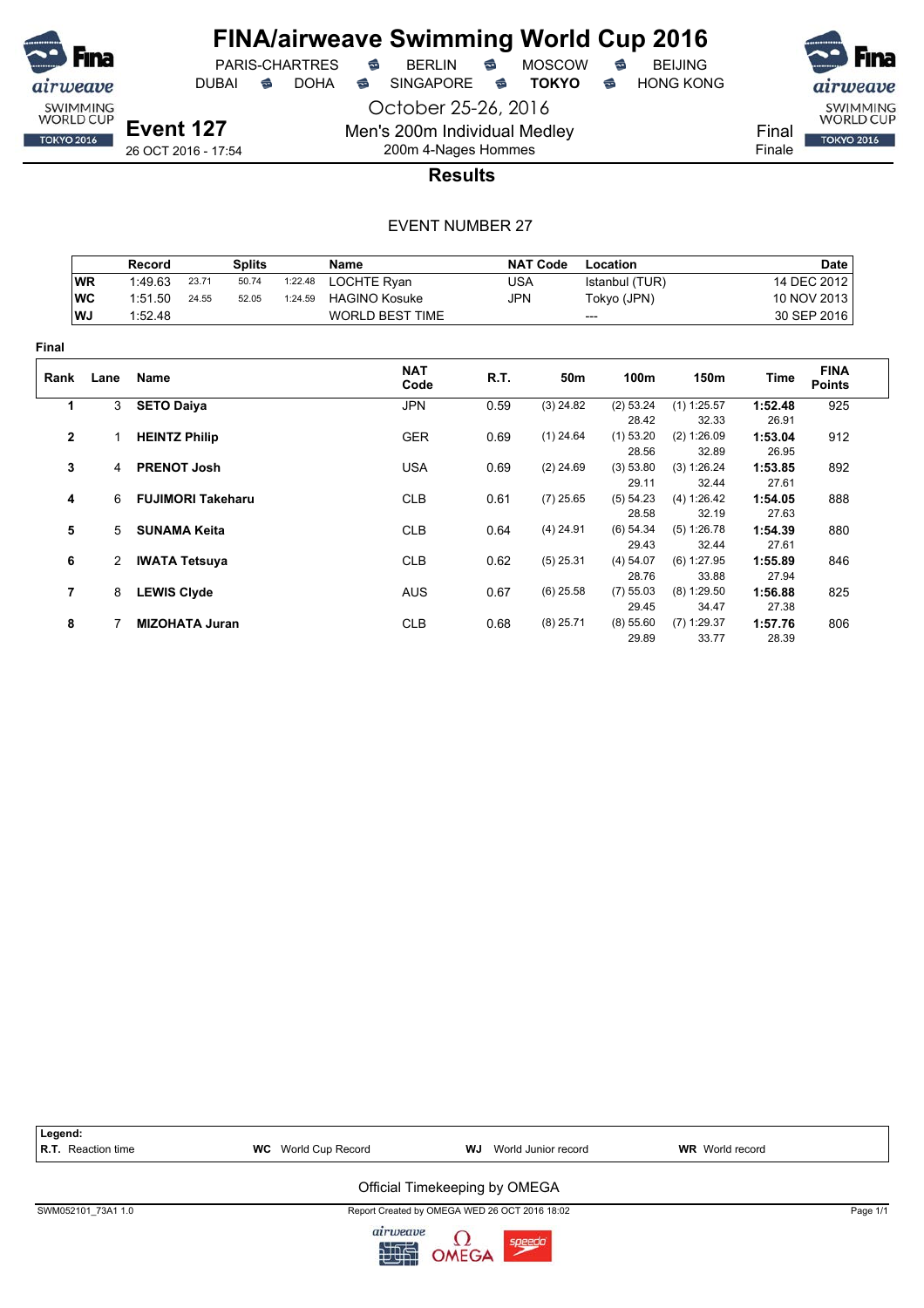

PARIS-CHARTRES **S** BERLIN S MOSCOW S

DUBAI **S** DOHA S SINGAPORE S TOKYO S HONG KONG

October 25-26, 2016 Men's 200m Individual Medley

SWIMMING<br>WORLD CUP Final **TOKYO 2016** 

airweave

Finale

**Event 127** 26 OCT 2016 - 17:54

## 200m 4-Nages Hommes **Results**

|                |                | Record                   |       | <b>Splits</b> |         | <b>Name</b>            |            | <b>NAT Code</b> | Location             |                      |                  | <b>Date</b>                  |
|----------------|----------------|--------------------------|-------|---------------|---------|------------------------|------------|-----------------|----------------------|----------------------|------------------|------------------------------|
|                | <b>WR</b>      | 1:49.63                  | 23.71 | 50.74         | 1:22.48 | LOCHTE Ryan            | <b>USA</b> |                 | Istanbul (TUR)       |                      |                  | 14 DEC 2012                  |
|                | <b>WC</b>      | 1:51.50                  | 24.55 | 52.05         | 1:24.59 | <b>HAGINO Kosuke</b>   | JPN        |                 | Tokyo (JPN)          |                      |                  | 10 NOV 2013                  |
|                | WJ             | 1:52.48                  |       |               |         | <b>WORLD BEST TIME</b> |            | ---             |                      |                      |                  | 30 SEP 2016                  |
| Final          |                |                          |       |               |         |                        |            |                 |                      |                      |                  |                              |
| Rank           | Lane           | Name                     |       |               |         | <b>NAT</b><br>Code     | R.T.       | 50m             | 100m                 | 150m                 | Time             | <b>FINA</b><br><b>Points</b> |
| 1              | 3              | <b>SETO Daiya</b>        |       |               |         | <b>JPN</b>             | 0.59       | $(3)$ 24.82     | (2) 53.24            | $(1)$ 1:25.57        | 1:52.48          | 925                          |
|                |                |                          |       |               |         |                        |            |                 | 28.42                | 32.33                | 26.91            |                              |
| $\mathbf{2}$   |                | <b>HEINTZ Philip</b>     |       |               |         | <b>GER</b>             | 0.69       | $(1)$ 24.64     | $(1)$ 53.20<br>28.56 | (2) 1:26.09<br>32.89 | 1:53.04<br>26.95 | 912                          |
| 3              | $\overline{4}$ | <b>PRENOT Josh</b>       |       |               |         | <b>USA</b>             | 0.69       | $(2)$ 24.69     | (3) 53.80            | (3) 1:26.24          | 1:53.85          | 892                          |
| 4              | 6              | <b>FUJIMORI Takeharu</b> |       |               |         | <b>CLB</b>             | 0.61       | $(7)$ 25.65     | 29.11<br>(5) 54.23   | 32.44<br>(4) 1:26.42 | 27.61<br>1:54.05 | 888                          |
|                |                |                          |       |               |         |                        |            |                 | 28.58                | 32.19                | 27.63            |                              |
| 5              | 5              | <b>SUNAMA Keita</b>      |       |               |         | <b>CLB</b>             | 0.64       | $(4)$ 24.91     | $(6)$ 54.34          | (5) 1:26.78          | 1:54.39          | 880                          |
|                |                |                          |       |               |         |                        |            |                 | 29.43                | 32.44                | 27.61            |                              |
| 6              | 2              | <b>IWATA Tetsuya</b>     |       |               |         | <b>CLB</b>             | 0.62       | $(5)$ 25.31     | (4) 54.07            | (6) 1:27.95          | 1:55.89          | 846                          |
|                |                |                          |       |               |         |                        |            |                 | 28.76                | 33.88                | 27.94            |                              |
| $\overline{7}$ | 8              | <b>LEWIS Clyde</b>       |       |               |         | <b>AUS</b>             | 0.67       | $(6)$ 25.58     | (7) 55.03            | $(8)$ 1:29.50        | 1:56.88          | 825                          |
|                |                |                          |       |               |         |                        |            |                 | 29.45                | 34.47                | 27.38            |                              |
| 8              |                | <b>MIZOHATA Juran</b>    |       |               |         | <b>CLB</b>             | 0.68       | $(8)$ 25.71     | (8) 55.60            | $(7)$ 1:29.37        | 1:57.76          | 806                          |
|                |                |                          |       |               |         |                        |            |                 | 29.89                | 33.77                | 28.39            |                              |

| Legend:<br><b>R.T.</b> Reaction time | <b>WC</b> World Cup Record | World Junior record<br>WJ                     | <b>WR</b> World record |          |
|--------------------------------------|----------------------------|-----------------------------------------------|------------------------|----------|
|                                      |                            | Official Timekeeping by OMEGA                 |                        |          |
| SWM052101 73A1 1.0                   |                            | Report Created by OMEGA WED 26 OCT 2016 18:02 |                        | Page 1/1 |
|                                      | airnionno                  | $\sim$                                        |                        |          |

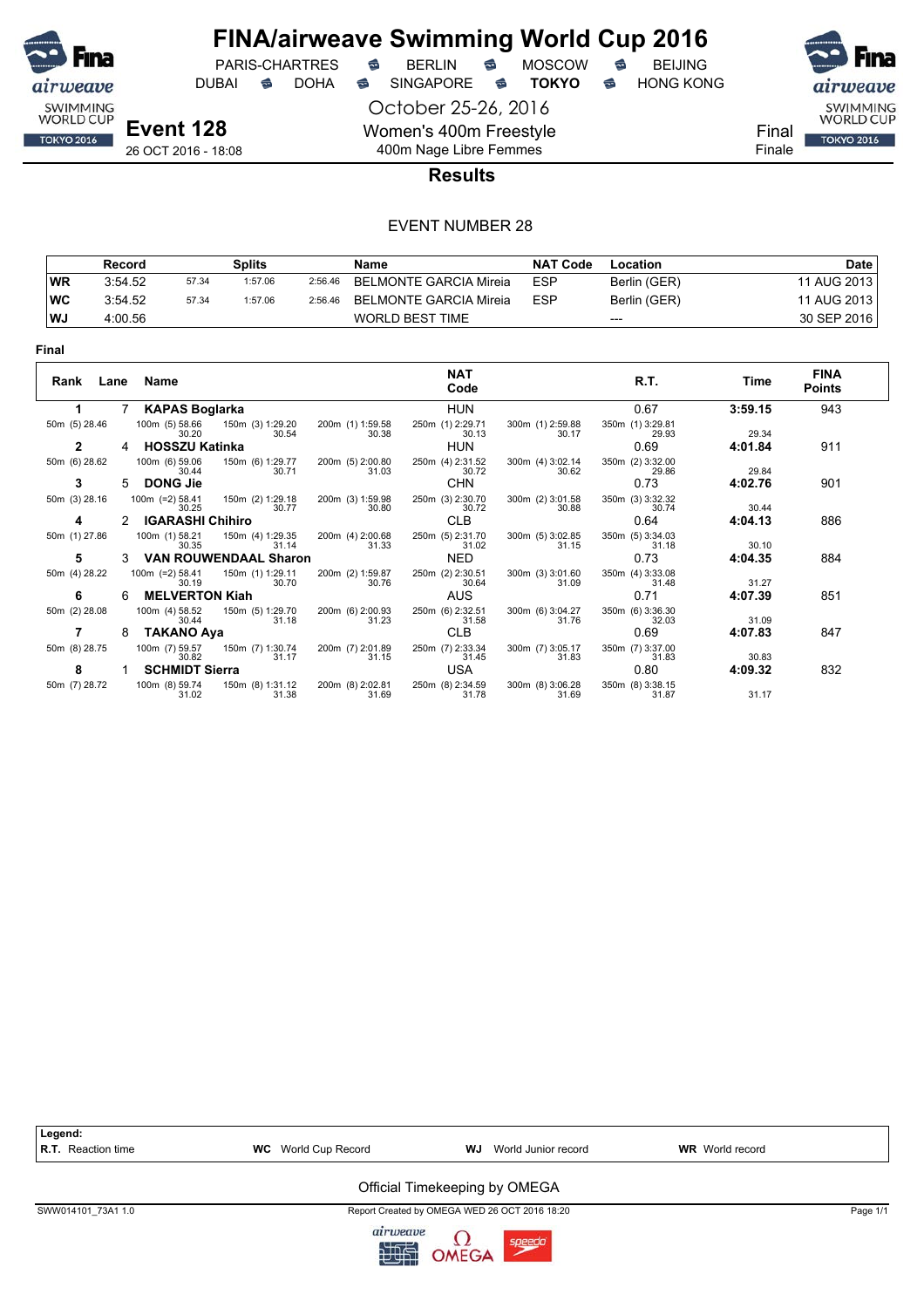

## **FINA/airweave Swimming World Cup 2016**<br>PARIS-CHARTRES **& BERLIN & MOSCOW & BEIJING** PARIS-CHARTRES **S** BERLIN S MOSCOW S

DUBAI **S** DOHA S SINGAPORE S TOKYO S HONG KONG

October 25-26, 2016 Women's 400m Freestyle 400m Nage Libre Femmes



Final Finale

#### **Results**

|      | Record  |       | Splits  |         | Name                   | <b>NAT Code</b> | Location     | Date        |
|------|---------|-------|---------|---------|------------------------|-----------------|--------------|-------------|
| WR   | 3:54.52 | 57.34 | 1:57.06 | 2:56.46 | BELMONTE GARCIA Mireia | <b>ESP</b>      | Berlin (GER) | 11 AUG 2013 |
| ∣wc  | 3:54.52 | 57.34 | 1:57.06 | 2:56.46 | BELMONTE GARCIA Mireia | <b>ESP</b>      | Berlin (GER) | 11 AUG 2013 |
| l WJ | 4:00.56 |       |         |         | <b>WORLD BEST TIME</b> |                 | $---$        | 30 SEP 2016 |

| Final         |      |                            |                              |                           |                           |                           |                           |         |                              |
|---------------|------|----------------------------|------------------------------|---------------------------|---------------------------|---------------------------|---------------------------|---------|------------------------------|
| Rank          | Lane | Name                       |                              |                           | <b>NAT</b><br>Code        |                           | R.T.                      | Time    | <b>FINA</b><br><b>Points</b> |
|               |      | <b>KAPAS Boglarka</b>      |                              |                           | <b>HUN</b>                |                           | 0.67                      | 3:59.15 | 943                          |
| 50m (5) 28.46 |      | 100m (5) 58.66<br>30.20    | 150m (3) 1:29.20<br>30.54    | 200m (1) 1:59.58<br>30.38 | 250m (1) 2:29.71<br>30.13 | 300m (1) 2:59.88<br>30.17 | 350m (1) 3:29.81<br>29.93 | 29.34   |                              |
| 2             |      | <b>HOSSZU Katinka</b>      |                              |                           | <b>HUN</b>                |                           | 0.69                      | 4:01.84 | 911                          |
| 50m (6) 28.62 |      | 100m (6) 59.06<br>30.44    | 150m (6) 1:29.77<br>30.71    | 200m (5) 2:00.80<br>31.03 | 250m (4) 2:31.52<br>30.72 | 300m (4) 3:02.14<br>30.62 | 350m (2) 3:32.00<br>29.86 | 29.84   |                              |
| 3             | 5.   | <b>DONG Jie</b>            |                              |                           | <b>CHN</b>                |                           | 0.73                      | 4:02.76 | 901                          |
| 50m (3) 28.16 |      | $100m$ (=2) 58.41<br>30.25 | 150m (2) 1:29.18<br>30.77    | 200m (3) 1:59.98<br>30.80 | 250m (3) 2:30.70<br>30.72 | 300m (2) 3:01.58<br>30.88 | 350m (3) 3:32.32<br>30.74 | 30.44   |                              |
|               |      | <b>IGARASHI Chihiro</b>    |                              |                           | <b>CLB</b>                |                           | 0.64                      | 4:04.13 | 886                          |
| 50m (1) 27.86 |      | 100m (1) 58.21<br>30.35    | 150m (4) 1:29.35<br>31.14    | 200m (4) 2:00.68<br>31.33 | 250m (5) 2:31.70<br>31.02 | 300m (5) 3:02.85<br>31.15 | 350m (5) 3:34.03<br>31.18 | 30.10   |                              |
| 5             |      |                            | <b>VAN ROUWENDAAL Sharon</b> |                           | <b>NED</b>                |                           | 0.73                      | 4:04.35 | 884                          |
| 50m (4) 28.22 |      | $100m$ (=2) 58.41<br>30.19 | 150m (1) 1:29.11<br>30.70    | 200m (2) 1:59.87<br>30.76 | 250m (2) 2:30.51<br>30.64 | 300m (3) 3:01.60<br>31.09 | 350m (4) 3:33.08<br>31.48 | 31.27   |                              |
| 6             | 6    | <b>MELVERTON Kiah</b>      |                              |                           | AUS                       |                           | 0.71                      | 4:07.39 | 851                          |
| 50m (2) 28.08 |      | 100m (4) 58.52<br>30.44    | 150m (5) 1:29.70<br>31.18    | 200m (6) 2:00.93<br>31.23 | 250m (6) 2:32.51<br>31.58 | 300m (6) 3:04.27<br>31.76 | 350m (6) 3:36.30<br>32.03 | 31.09   |                              |
|               | 8    | <b>TAKANO Aya</b>          |                              |                           | <b>CLB</b>                |                           | 0.69                      | 4:07.83 | 847                          |
| 50m (8) 28.75 |      | 100m (7) 59.57<br>30.82    | 150m (7) 1:30.74<br>31.17    | 200m (7) 2:01.89<br>31.15 | 250m (7) 2:33.34<br>31.45 | 300m (7) 3:05.17<br>31.83 | 350m (7) 3:37.00<br>31.83 | 30.83   |                              |
| 8             |      | <b>SCHMIDT Sierra</b>      |                              |                           | USA                       |                           | 0.80                      | 4:09.32 | 832                          |
| 50m (7) 28.72 |      | 100m (8) 59.74<br>31.02    | 150m (8) 1:31.12<br>31.38    | 200m (8) 2:02.81<br>31.69 | 250m (8) 2:34.59<br>31.78 | 300m (8) 3:06.28<br>31.69 | 350m (8) 3:38.15<br>31.87 | 31.17   |                              |

| Legend:                   |                            |                                               |                        |          |
|---------------------------|----------------------------|-----------------------------------------------|------------------------|----------|
| <b>R.T.</b> Reaction time | <b>WC</b> World Cup Record | WJ<br>World Junior record                     | <b>WR</b> World record |          |
|                           |                            | Official Timekeeping by OMEGA                 |                        |          |
| SWW014101 73A1 1.0        |                            | Report Created by OMEGA WED 26 OCT 2016 18:20 |                        | Page 1/1 |
|                           |                            |                                               |                        |          |

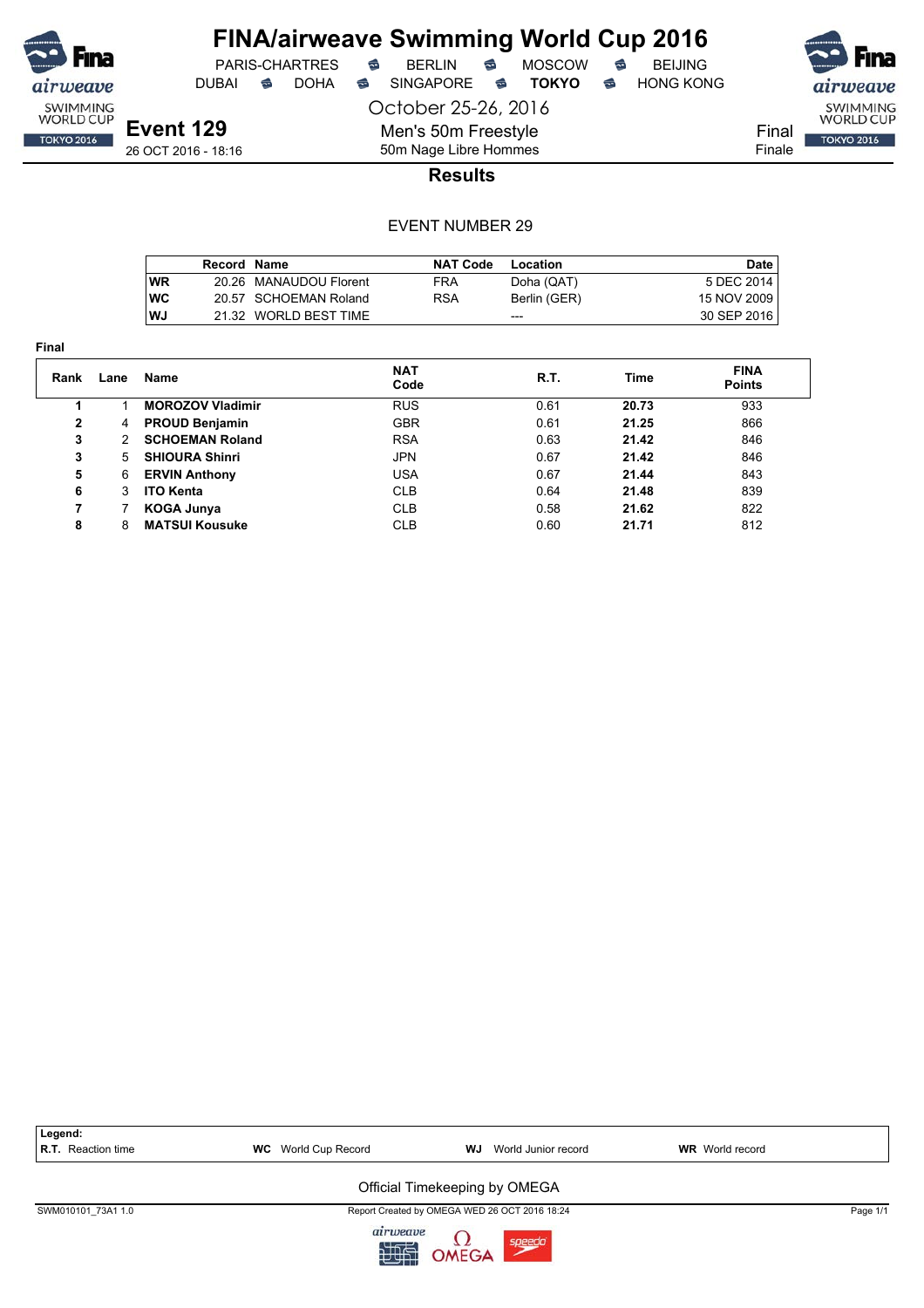

**Final**

## **FINA/airweave Swimming World Cup 2016**

DUBAI **S** DOHA SINGAPORE S **TOKYO** S HONG KONG

PARIS-CHARTRES **B** BERLIN **B** MOSCOW **B** BEIJING

October 25-26, 2016 Men's 50m Freestyle



**Event 129** 26 OCT 2016 - 18:16

50m Nage Libre Hommes **Results**

|            | Record Name |                        | <b>NAT Code</b> | Location     | <b>Date</b>   |
|------------|-------------|------------------------|-----------------|--------------|---------------|
| <b>WR</b>  |             | 20.26 MANAUDOU Florent | FRA             | Doha (QAT)   | 5 DEC 2014    |
| <b>IWC</b> |             | 20.57 SCHOEMAN Roland  | RSA             | Berlin (GER) | 15 NOV 2009   |
| l WJ       |             | 21.32 WORLD BEST TIME  |                 | ---          | 30 SEP 2016 I |

| Rank           | Lane | Name                    | <b>NAT</b><br>Code | R.T. | Time  | <b>FINA</b><br><b>Points</b> |  |
|----------------|------|-------------------------|--------------------|------|-------|------------------------------|--|
| 1              |      | <b>MOROZOV Vladimir</b> | <b>RUS</b>         | 0.61 | 20.73 | 933                          |  |
| $\overline{2}$ | 4    | <b>PROUD Benjamin</b>   | <b>GBR</b>         | 0.61 | 21.25 | 866                          |  |
| 3              | 2    | <b>SCHOEMAN Roland</b>  | <b>RSA</b>         | 0.63 | 21.42 | 846                          |  |
| 3              | 5.   | <b>SHIOURA Shinri</b>   | <b>JPN</b>         | 0.67 | 21.42 | 846                          |  |
| 5              | 6    | <b>ERVIN Anthony</b>    | <b>USA</b>         | 0.67 | 21.44 | 843                          |  |
| 6              | 3    | <b>ITO Kenta</b>        | <b>CLB</b>         | 0.64 | 21.48 | 839                          |  |
| 7              |      | <b>KOGA Junya</b>       | <b>CLB</b>         | 0.58 | 21.62 | 822                          |  |
| 8              | 8    | <b>MATSUI Kousuke</b>   | <b>CLB</b>         | 0.60 | 21.71 | 812                          |  |

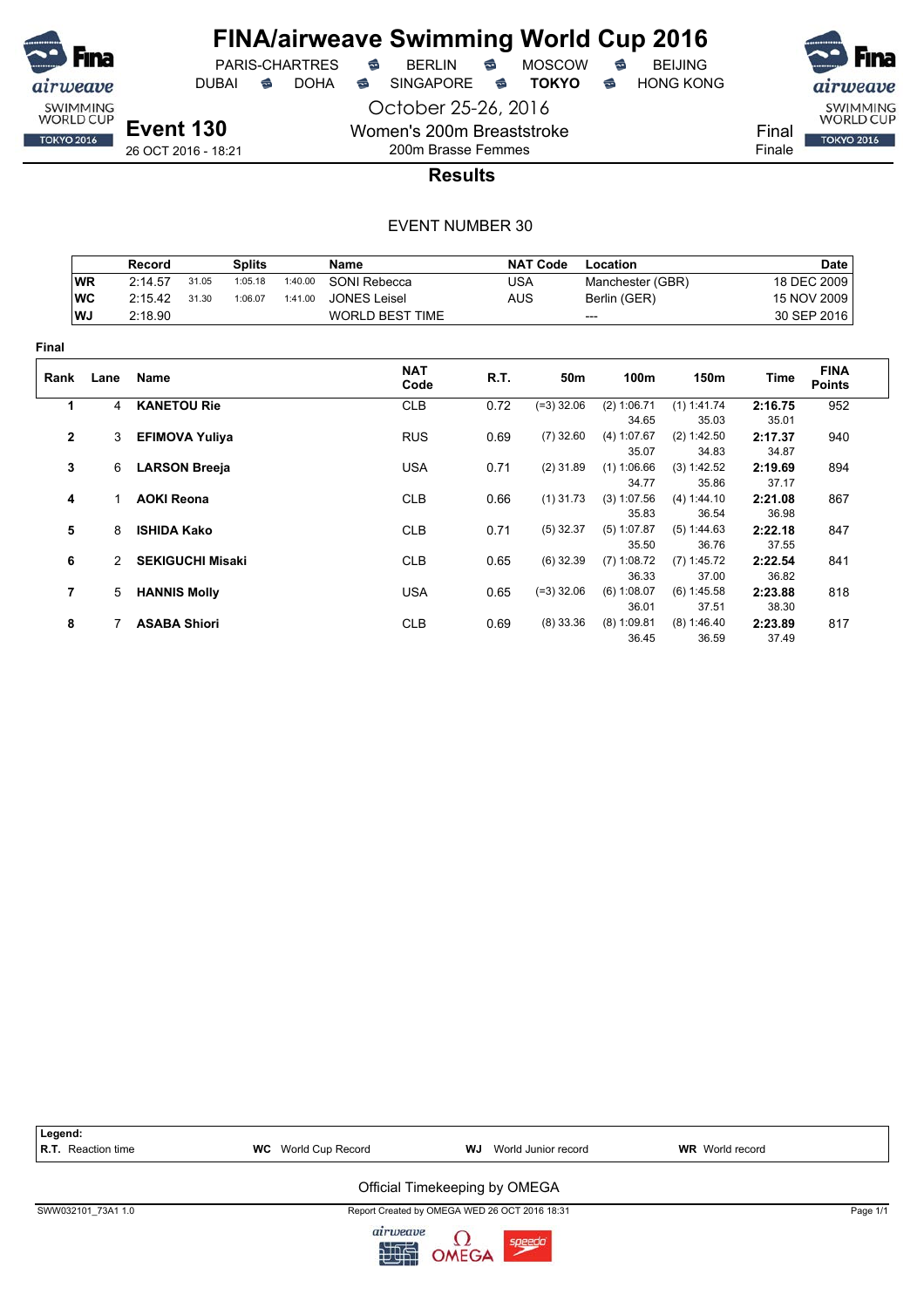

 $PARIS-CHARTRES$  **BERLIN B** MOSCOW **B** 

DUBAI **S** DOHA S SINGAPORE S TOKYO S HONG KONG

October 25-26, 2016

airweave SWIMMING<br>WORLD CUP Final **TOKYO 2016** Finale

**Event 130** 26 OCT 2016 - 18:21

## 200m Brasse Femmes **Results**

Women's 200m Breaststroke

|                |               | Record                  |       | <b>Splits</b> |         | Name                |            | <b>NAT Code</b> | Location             |                      |                  | <b>Date</b>                  |
|----------------|---------------|-------------------------|-------|---------------|---------|---------------------|------------|-----------------|----------------------|----------------------|------------------|------------------------------|
|                | <b>WR</b>     | 2:14.57                 | 31.05 | 1:05.18       | 1:40.00 | SONI Rebecca        | <b>USA</b> |                 | Manchester (GBR)     |                      |                  | 18 DEC 2009                  |
|                | <b>WC</b>     | 2:15.42                 | 31.30 | 1:06.07       | 1:41.00 | <b>JONES Leisel</b> | <b>AUS</b> |                 | Berlin (GER)         |                      |                  | 15 NOV 2009                  |
|                | WJ            | 2:18.90                 |       |               |         | WORLD BEST TIME     |            | ---             |                      |                      |                  | 30 SEP 2016                  |
| Final          |               |                         |       |               |         |                     |            |                 |                      |                      |                  |                              |
| Rank           | Lane          | <b>Name</b>             |       |               |         | <b>NAT</b><br>Code  | R.T.       | 50m             | 100m                 | 150m                 | Time             | <b>FINA</b><br><b>Points</b> |
| 1              | 4             | <b>KANETOU Rie</b>      |       |               |         | <b>CLB</b>          | 0.72       | $(=3)$ 32.06    | (2) 1:06.71          | (1) 1:41.74          | 2:16.75          | 952                          |
|                |               |                         |       |               |         |                     |            |                 | 34.65                | 35.03                | 35.01            |                              |
| $\mathbf{2}$   | 3             | <b>EFIMOVA Yuliya</b>   |       |               |         | <b>RUS</b>          | 0.69       | $(7)$ 32.60     | (4) 1:07.67<br>35.07 | (2) 1:42.50<br>34.83 | 2:17.37<br>34.87 | 940                          |
| 3              | 6             | <b>LARSON Breeja</b>    |       |               |         | <b>USA</b>          | 0.71       | $(2)$ 31.89     | (1) 1:06.66<br>34.77 | (3) 1:42.52<br>35.86 | 2:19.69<br>37.17 | 894                          |
| 4              |               | <b>AOKI Reona</b>       |       |               |         | <b>CLB</b>          | 0.66       | $(1)$ 31.73     | (3) 1:07.56          | (4) 1:44.10          | 2:21.08          | 867                          |
|                |               |                         |       |               |         |                     |            |                 | 35.83                | 36.54                | 36.98            |                              |
| 5              | 8             | <b>ISHIDA Kako</b>      |       |               |         | <b>CLB</b>          | 0.71       | $(5)$ 32.37     | (5) 1:07.87          | (5) 1:44.63          | 2:22.18          | 847                          |
|                |               |                         |       |               |         |                     |            |                 | 35.50                | 36.76                | 37.55            |                              |
| 6              | $\mathcal{P}$ | <b>SEKIGUCHI Misaki</b> |       |               |         | <b>CLB</b>          | 0.65       | $(6)$ 32.39     | $(7)$ 1:08.72        | $(7)$ 1:45.72        | 2:22.54          | 841                          |
|                |               |                         |       |               |         |                     |            |                 | 36.33                | 37.00                | 36.82            |                              |
| $\overline{7}$ | 5             | <b>HANNIS Molly</b>     |       |               |         | <b>USA</b>          | 0.65       | $(=3)$ 32.06    | (6) 1:08.07          | (6) 1:45.58          | 2:23.88          | 818                          |
|                |               |                         |       |               |         |                     |            |                 | 36.01                | 37.51                | 38.30            |                              |
| 8              |               | <b>ASABA Shiori</b>     |       |               |         | <b>CLB</b>          | 0.69       | $(8)$ 33.36     | $(8)$ 1:09.81        | (8) 1:46.40          | 2:23.89          | 817                          |
|                |               |                         |       |               |         |                     |            |                 | 36.45                | 36.59                | 37.49            |                              |

| Legend:<br>R.T. Reaction time | <b>WC</b> World Cup Record | World Junior record<br><b>WR</b> World record<br>WJ |  |          |  |  |  |
|-------------------------------|----------------------------|-----------------------------------------------------|--|----------|--|--|--|
|                               |                            | Official Timekeeping by OMEGA                       |  |          |  |  |  |
| SWW032101 73A1 1.0            |                            | Report Created by OMEGA WED 26 OCT 2016 18:31       |  | Page 1/1 |  |  |  |
|                               | airweave                   | speedo<br>OMEGA                                     |  |          |  |  |  |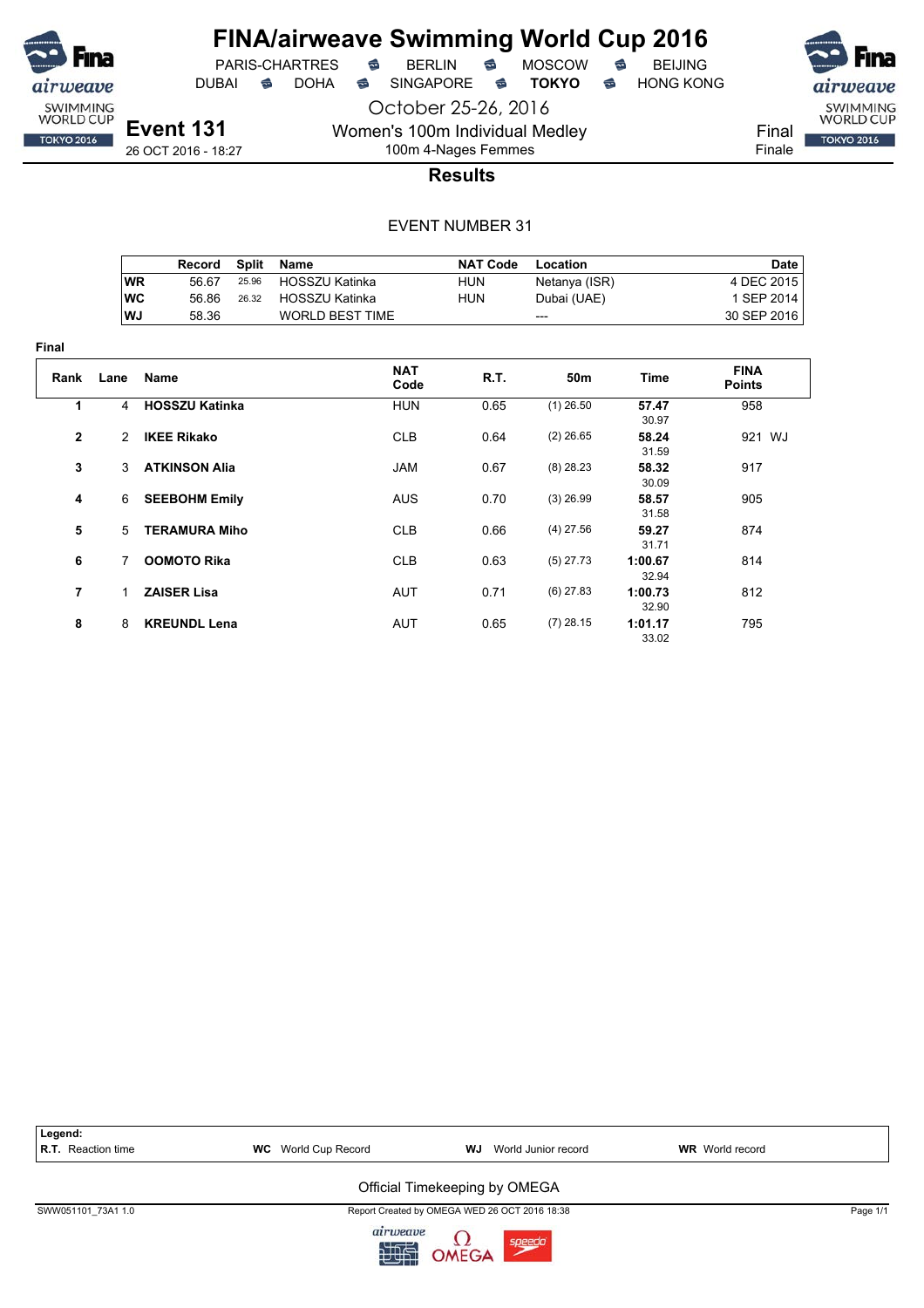

**Final**

## **FINA/airweave Swimming World Cup 2016**

PARIS-CHARTRES **B** BERLIN **B** MOSCOW **B** BEIJING

DUBAI **S** DOHA SINGAPORE S **TOKYO** S HONG KONG

October 25-26, 2016 Women's 100m Individual Medley 100m 4-Nages Femmes

**Event 131** 26 OCT 2016 - 18:27





**Results**

|                |           | Record                | <b>Split</b> | <b>Name</b>            |                    | <b>NAT Code</b> | Location        |                  |                              | <b>Date</b> |
|----------------|-----------|-----------------------|--------------|------------------------|--------------------|-----------------|-----------------|------------------|------------------------------|-------------|
|                | <b>WR</b> | 56.67                 | 25.96        | <b>HOSSZU Katinka</b>  |                    | <b>HUN</b>      | Netanya (ISR)   |                  | 4 DEC 2015                   |             |
|                | <b>WC</b> | 56.86                 | 26.32        | <b>HOSSZU Katinka</b>  |                    | <b>HUN</b>      | Dubai (UAE)     |                  | 1 SEP 2014                   |             |
|                | WJ        | 58.36                 |              | <b>WORLD BEST TIME</b> |                    |                 | ---             |                  | 30 SEP 2016                  |             |
| ıal            |           |                       |              |                        |                    |                 |                 |                  |                              |             |
| Rank           | Lane      | Name                  |              |                        | <b>NAT</b><br>Code | R.T.            | 50 <sub>m</sub> | Time             | <b>FINA</b><br><b>Points</b> |             |
| 1              | 4         | <b>HOSSZU Katinka</b> |              |                        | <b>HUN</b>         | 0.65            | $(1)$ 26.50     | 57.47<br>30.97   | 958                          |             |
| $\mathbf 2$    | 2         | <b>IKEE Rikako</b>    |              |                        | <b>CLB</b>         | 0.64            | $(2)$ 26.65     | 58.24<br>31.59   | 921 WJ                       |             |
| 3              | 3         | <b>ATKINSON Alia</b>  |              |                        | <b>JAM</b>         | 0.67            | $(8)$ 28.23     | 58.32<br>30.09   | 917                          |             |
| 4              | 6         | <b>SEEBOHM Emily</b>  |              |                        | <b>AUS</b>         | 0.70            | $(3)$ 26.99     | 58.57<br>31.58   | 905                          |             |
| 5              | 5         | <b>TERAMURA Miho</b>  |              |                        | <b>CLB</b>         | 0.66            | $(4)$ 27.56     | 59.27<br>31.71   | 874                          |             |
| 6              | 7         | <b>OOMOTO Rika</b>    |              |                        | <b>CLB</b>         | 0.63            | $(5)$ 27.73     | 1:00.67<br>32.94 | 814                          |             |
| $\overline{7}$ | 1.        | <b>ZAISER Lisa</b>    |              |                        | AUT                | 0.71            | $(6)$ 27.83     | 1:00.73<br>32.90 | 812                          |             |
| 8              | 8         | <b>KREUNDL Lena</b>   |              |                        | AUT                | 0.65            | $(7)$ 28.15     | 1:01.17<br>33.02 | 795                          |             |

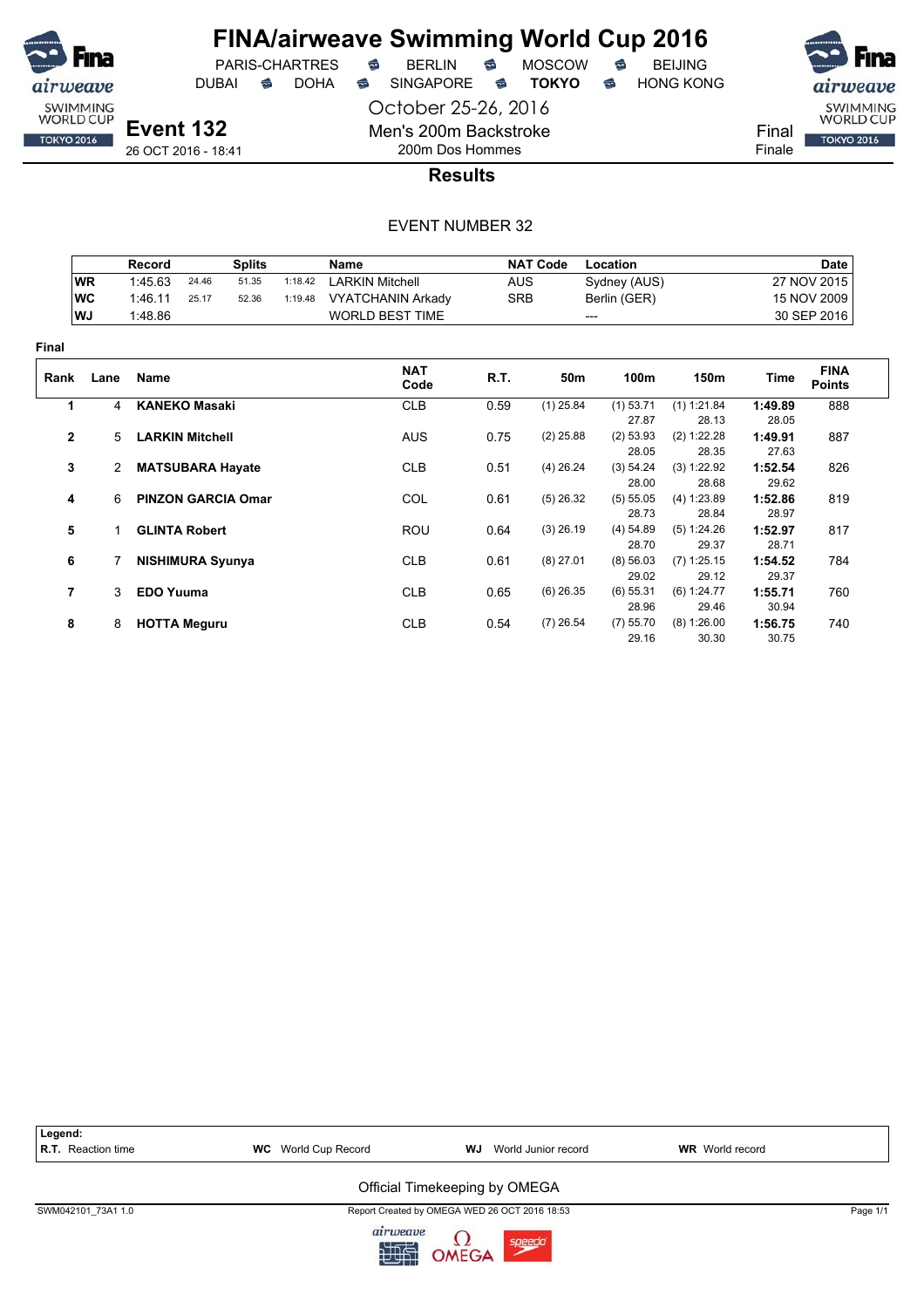

October 25-26, 2016 DUBAI **S** DOHA S SINGAPORE S TOKYO S HONG KONG

PARIS-CHARTRES **B** BERLIN **B** MOSCOW **B** BEIJING

SWIMMING<br>WORLD CUP Final **TOKYO 2016** Finale

**Event 132** 26 OCT 2016 - 18:41

200m Dos Hommes **Results**

Men's 200m Backstroke

|                |           | <b>Record</b>    |                           | <b>Splits</b> |         | Name                     |            | <b>NAT Code</b> | Location             |                        |                  | Date                         |
|----------------|-----------|------------------|---------------------------|---------------|---------|--------------------------|------------|-----------------|----------------------|------------------------|------------------|------------------------------|
|                | <b>WR</b> | 1:45.63          | 24.46                     | 51.35         | 1:18.42 | <b>LARKIN Mitchell</b>   | <b>AUS</b> |                 | Sydney (AUS)         |                        |                  | 27 NOV 2015                  |
|                | <b>WC</b> | 1:46.11          | 25.17                     | 52.36         | 1:19.48 | <b>VYATCHANIN Arkady</b> | <b>SRB</b> |                 | Berlin (GER)         |                        |                  | 15 NOV 2009                  |
|                | WJ        | 1:48.86          |                           |               |         | <b>WORLD BEST TIME</b>   |            |                 | ---                  |                        |                  | 30 SEP 2016                  |
| Final          |           |                  |                           |               |         |                          |            |                 |                      |                        |                  |                              |
| Rank           | Lane      | Name             |                           |               |         | <b>NAT</b><br>Code       | R.T.       | 50m             | 100m                 | 150m                   | Time             | <b>FINA</b><br><b>Points</b> |
| 1              | 4         |                  | <b>KANEKO Masaki</b>      |               |         | <b>CLB</b>               | 0.59       | $(1)$ 25.84     | $(1)$ 53.71          | (1) 1:21.84            | 1:49.89          | 888                          |
|                |           |                  |                           |               |         |                          |            |                 | 27.87                | 28.13                  | 28.05            |                              |
| $\mathbf{2}$   | 5         |                  | <b>LARKIN Mitchell</b>    |               |         | <b>AUS</b>               | 0.75       | $(2)$ 25.88     | (2) 53.93<br>28.05   | (2) 1:22.28<br>28.35   | 1:49.91<br>27.63 | 887                          |
| 3              | 2         |                  | <b>MATSUBARA Hayate</b>   |               |         | <b>CLB</b>               | 0.51       | $(4)$ 26.24     | (3) 54.24<br>28.00   | (3) 1:22.92<br>28.68   | 1:52.54<br>29.62 | 826                          |
| 4              | 6         |                  | <b>PINZON GARCIA Omar</b> |               |         | COL                      | 0.61       | $(5)$ 26.32     | (5) 55.05<br>28.73   | (4) 1:23.89<br>28.84   | 1:52.86<br>28.97 | 819                          |
| 5              |           |                  | <b>GLINTA Robert</b>      |               |         | <b>ROU</b>               | 0.64       | $(3)$ 26.19     | $(4)$ 54.89<br>28.70 | (5) 1:24.26<br>29.37   | 1:52.97<br>28.71 | 817                          |
| 6              |           |                  | NISHIMURA Syunya          |               |         | <b>CLB</b>               | 0.61       | $(8)$ 27.01     | (8) 56.03<br>29.02   | $(7)$ 1:25.15<br>29.12 | 1:54.52<br>29.37 | 784                          |
| $\overline{7}$ | 3         | <b>EDO Yuuma</b> |                           |               |         | <b>CLB</b>               | 0.65       | $(6)$ 26.35     | $(6)$ 55.31<br>28.96 | (6) 1:24.77<br>29.46   | 1:55.71<br>30.94 | 760                          |
| 8              | 8         |                  | <b>HOTTA Meguru</b>       |               |         | <b>CLB</b>               | 0.54       | $(7)$ 26.54     | (7) 55.70<br>29.16   | (8) 1:26.00<br>30.30   | 1:56.75<br>30.75 | 740                          |



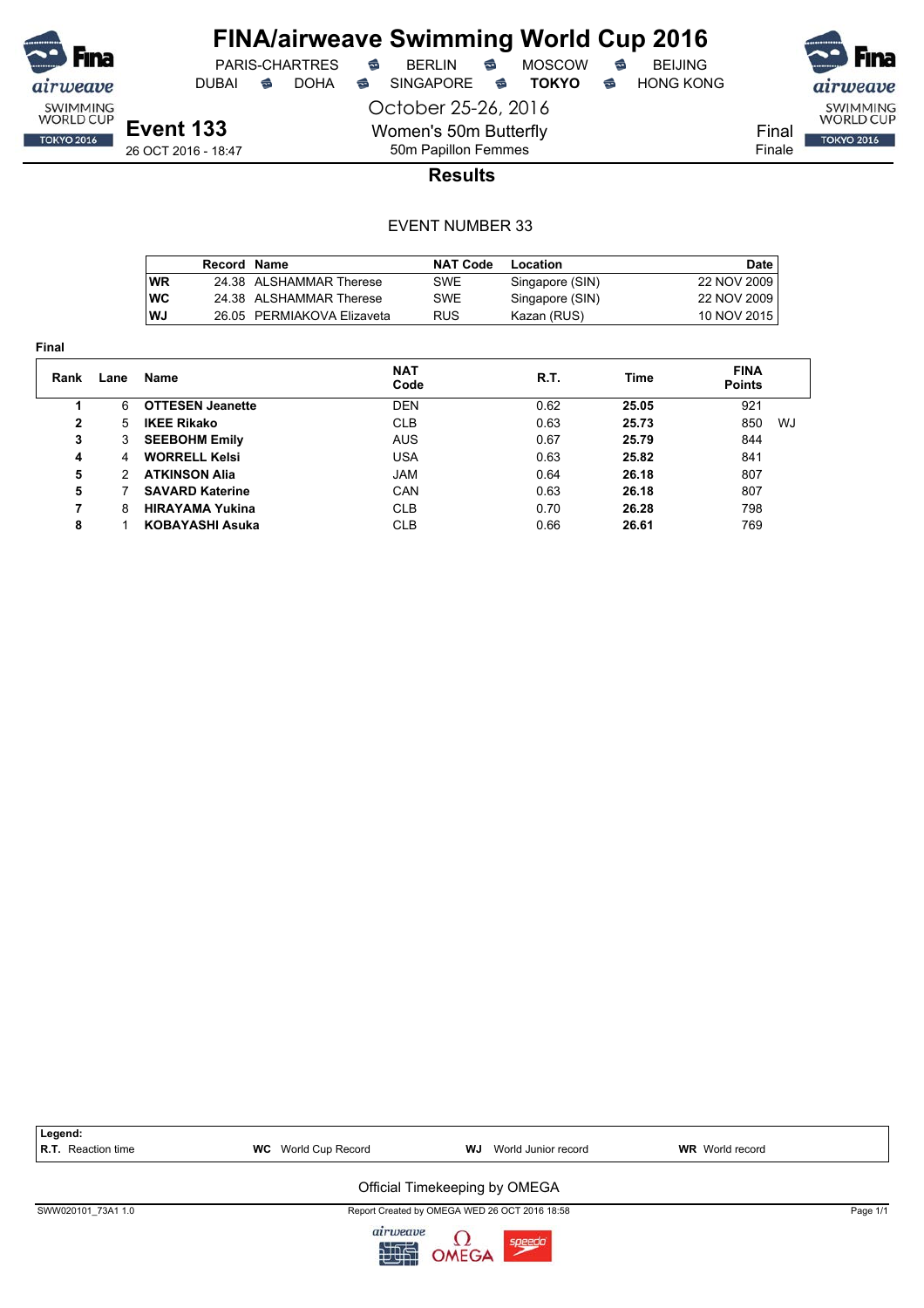

DUBAI **S** DOHA SINGAPORE S **TOKYO** S HONG KONG

PARIS-CHARTRES **B** BERLIN **B** MOSCOW **B** BEIJING

Final

Finale

SWIMMING<br>WORLD CUP

**TOKYO 2016** 

**Event 133** 26 OCT 2016 - 18:47 October 25-26, 2016 Women's 50m Butterfly 50m Papillon Femmes

**Results**

### EVENT NUMBER 33

|      | Record Name |                            | <b>NAT Code</b> | Location        | Date        |
|------|-------------|----------------------------|-----------------|-----------------|-------------|
| l WR |             | 24.38 ALSHAMMAR Therese    | SWE             | Singapore (SIN) | 22 NOV 2009 |
| l WC |             | 24.38 ALSHAMMAR Therese    | SWE             | Singapore (SIN) | 22 NOV 2009 |
| l WJ |             | 26.05 PERMIAKOVA Elizaveta | <b>RUS</b>      | Kazan (RUS)     | 10 NOV 2015 |

| Final |               |                         |                    |      |       |                              |
|-------|---------------|-------------------------|--------------------|------|-------|------------------------------|
| Rank  | Lane          | Name                    | <b>NAT</b><br>Code | R.T. | Time  | <b>FINA</b><br><b>Points</b> |
|       | 6             | <b>OTTESEN Jeanette</b> | DEN                | 0.62 | 25.05 | 921                          |
| 2     | 5             | <b>IKEE Rikako</b>      | <b>CLB</b>         | 0.63 | 25.73 | 850<br>WJ                    |
| 3     | 3             | <b>SEEBOHM Emily</b>    | <b>AUS</b>         | 0.67 | 25.79 | 844                          |
| 4     | 4             | <b>WORRELL Kelsi</b>    | USA                | 0.63 | 25.82 | 841                          |
| 5     | $\mathcal{P}$ | <b>ATKINSON Alia</b>    | <b>JAM</b>         | 0.64 | 26.18 | 807                          |
| 5     |               | <b>SAVARD Katerine</b>  | <b>CAN</b>         | 0.63 | 26.18 | 807                          |
| 7     | 8             | <b>HIRAYAMA Yukina</b>  | <b>CLB</b>         | 0.70 | 26.28 | 798                          |
| 8     |               | <b>KOBAYASHI Asuka</b>  | <b>CLB</b>         | 0.66 | 26.61 | 769                          |



九世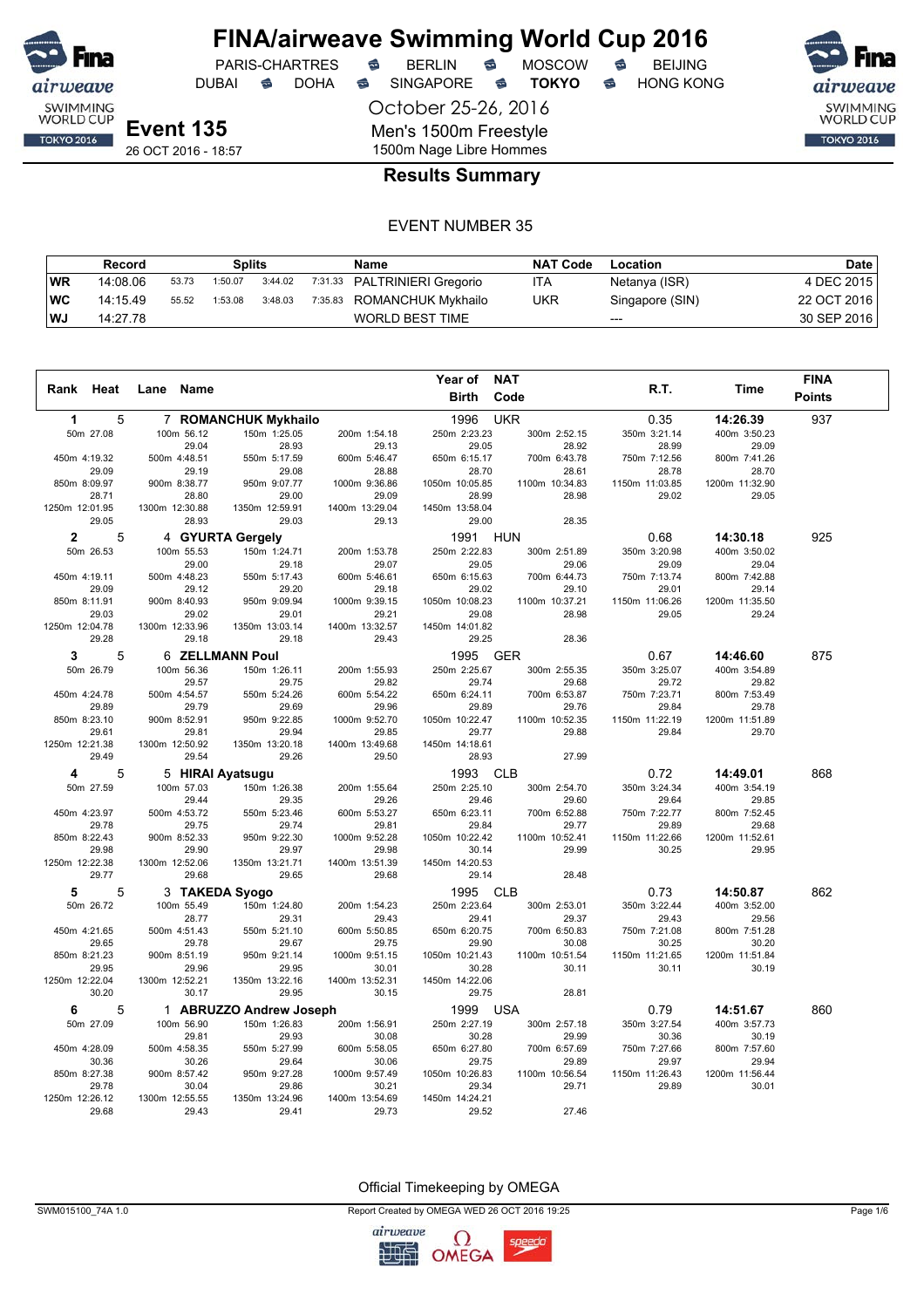

October 25-26, 2016

Men's 1500m Freestyle

DUBAI **S** DOHA S SINGAPORE S **TOKYO** S HONG KONG

PARIS-CHARTRES **S** BERLIN S MOSCOW S

SWIMMING<br>WORLD CUP **TOKYO 2016** 

**Event 135**

26 OCT 2016 - 18:57

### 1500m Nage Libre Hommes **Results Summary**

#### EVENT NUMBER 35

|     | Record   | Splits<br>Name |         |         |  | <b>NAT Code</b>              | Location   | Date            |             |
|-----|----------|----------------|---------|---------|--|------------------------------|------------|-----------------|-------------|
| WR  | 14:08.06 | 53.73          | 1:50.07 | 3:44.02 |  | 7:31.33 PALTRINIERI Gregorio | ITA        | Netanya (ISR)   | 4 DEC 2015  |
| ∣WC | 14:15.49 | 55.52          | 1:53.08 | 3:48.03 |  | 7:35.83 ROMANCHUK Mykhailo   | <b>UKR</b> | Singapore (SIN) | 22 OCT 2016 |
| ∣WJ | 14:27.78 |                |         |         |  | WORLD BEST TIME              |            | $---$           | 30 SEP 2016 |

|                         |                         |                         |                         | Year of                 | <b>NAT</b>              |                         |                         | <b>FINA</b>   |
|-------------------------|-------------------------|-------------------------|-------------------------|-------------------------|-------------------------|-------------------------|-------------------------|---------------|
| Rank Heat               | Name<br>Lane            |                         |                         | <b>Birth</b>            | Code                    | R.T.                    | Time                    | <b>Points</b> |
| 5<br>1                  |                         | 7 ROMANCHUK Mykhailo    |                         | 1996                    | <b>UKR</b>              | 0.35                    | 14:26.39                | 937           |
| 50m 27.08               | 100m 56.12              | 150m 1:25.05            | 200m 1:54.18            | 250m 2:23.23            | 300m 2:52.15            | 350m 3:21.14            | 400m 3:50.23            |               |
|                         | 29.04                   | 28.93                   | 29.13                   | 29.05                   | 28.92                   | 28.99                   | 29.09                   |               |
| 450m 4:19.32            | 500m 4:48.51            | 550m 5:17.59            | 600m 5:46.47            | 650m 6:15.17            | 700m 6:43.78            | 750m 7:12.56            | 800m 7:41.26            |               |
| 29.09                   | 29.19                   | 29.08                   | 28.88                   | 28.70                   | 28.61                   | 28.78                   | 28.70                   |               |
| 850m 8:09.97<br>28.71   | 900m 8:38.77<br>28.80   | 950m 9:07.77<br>29.00   | 1000m 9:36.86<br>29.09  | 1050m 10:05.85<br>28.99 | 1100m 10:34.83<br>28.98 | 1150m 11:03.85<br>29.02 | 1200m 11:32.90<br>29.05 |               |
| 1250m 12:01.95          | 1300m 12:30.88          | 1350m 12:59.91          | 1400m 13:29.04          | 1450m 13:58.04          |                         |                         |                         |               |
| 29.05                   | 28.93                   | 29.03                   | 29.13                   | 29.00                   | 28.35                   |                         |                         |               |
| 5<br>$\mathbf{2}$       |                         | 4 GYURTA Gergely        |                         | 1991                    | <b>HUN</b>              | 0.68                    | 14:30.18                | 925           |
| 50m 26.53               | 100m 55.53              | 150m 1:24.71            | 200m 1:53.78            | 250m 2:22.83            | 300m 2:51.89            | 350m 3:20.98            | 400m 3:50.02            |               |
|                         | 29.00                   | 29.18                   | 29.07                   | 29.05                   | 29.06                   | 29.09                   | 29.04                   |               |
| 450m 4:19.11            | 500m 4:48.23            | 550m 5:17.43            | 600m 5:46.61            | 650m 6:15.63            | 700m 6:44.73            | 750m 7:13.74            | 800m 7:42.88            |               |
| 29.09                   | 29.12                   | 29.20                   | 29.18                   | 29.02                   | 29.10                   | 29.01                   | 29.14                   |               |
| 850m 8:11.91            | 900m 8:40.93            | 950m 9:09.94            | 1000m 9:39.15           | 1050m 10:08.23          | 1100m 10:37.21          | 1150m 11:06.26          | 1200m 11:35.50          |               |
| 29.03                   | 29.02                   | 29.01                   | 29.21                   | 29.08                   | 28.98                   | 29.05                   | 29.24                   |               |
| 1250m 12:04.78          | 1300m 12:33.96          | 1350m 13:03.14          | 1400m 13:32.57          | 1450m 14:01.82          |                         |                         |                         |               |
| 29.28                   | 29.18                   | 29.18                   | 29.43                   | 29.25                   | 28.36                   |                         |                         |               |
| 5<br>3                  |                         | <b>6 ZELLMANN Poul</b>  |                         | 1995                    | <b>GER</b>              | 0.67                    | 14:46.60                | 875           |
| 50m 26.79               | 100m 56.36              | 150m 1:26.11            | 200m 1:55.93            | 250m 2:25.67            | 300m 2:55.35            | 350m 3:25.07            | 400m 3:54.89            |               |
|                         | 29.57                   | 29.75                   | 29.82                   | 29.74                   | 29.68                   | 29.72                   | 29.82                   |               |
| 450m 4:24.78            | 500m 4:54.57            | 550m 5:24.26            | 600m 5:54.22            | 650m 6:24.11            | 700m 6:53.87            | 750m 7:23.71            | 800m 7:53.49            |               |
| 29.89<br>850m 8:23.10   | 29.79<br>900m 8:52.91   | 29.69<br>950m 9:22.85   | 29.96<br>1000m 9:52.70  | 29.89<br>1050m 10:22.47 | 29.76<br>1100m 10:52.35 | 29.84<br>1150m 11:22.19 | 29.78<br>1200m 11:51.89 |               |
| 29.61                   | 29.81                   | 29.94                   | 29.85                   | 29.77                   | 29.88                   | 29.84                   | 29.70                   |               |
| 1250m 12:21.38          | 1300m 12:50.92          | 1350m 13:20.18          | 1400m 13:49.68          | 1450m 14:18.61          |                         |                         |                         |               |
| 29.49                   | 29.54                   | 29.26                   | 29.50                   | 28.93                   | 27.99                   |                         |                         |               |
| 5<br>4                  | 5 HIRAI Ayatsugu        |                         |                         | 1993                    | <b>CLB</b>              | 0.72                    | 14:49.01                | 868           |
| 50m 27.59               | 100m 57.03              | 150m 1:26.38            | 200m 1:55.64            | 250m 2:25.10            | 300m 2:54.70            | 350m 3:24.34            | 400m 3:54.19            |               |
|                         | 29.44                   | 29.35                   | 29.26                   | 29.46                   | 29.60                   | 29.64                   | 29.85                   |               |
| 450m 4:23.97            | 500m 4:53.72            | 550m 5:23.46            | 600m 5:53.27            | 650m 6:23.11            | 700m 6:52.88            | 750m 7:22.77            | 800m 7:52.45            |               |
| 29.78                   | 29.75                   | 29.74                   | 29.81                   | 29.84                   | 29.77                   | 29.89                   | 29.68                   |               |
| 850m 8:22.43            | 900m 8:52.33            | 950m 9:22.30            | 1000m 9:52.28           | 1050m 10:22.42          | 1100m 10:52.41          | 1150m 11:22.66          | 1200m 11:52.61          |               |
| 29.98                   | 29.90                   | 29.97                   | 29.98                   | 30.14                   | 29.99                   | 30.25                   | 29.95                   |               |
| 1250m 12:22.38          | 1300m 12:52.06          | 1350m 13:21.71          | 1400m 13:51.39          | 1450m 14:20.53          |                         |                         |                         |               |
| 29.77                   | 29.68                   | 29.65                   | 29.68                   | 29.14                   | 28.48                   |                         |                         |               |
| 5<br>5                  | 3 TAKEDA Syogo          |                         |                         | 1995                    | <b>CLB</b>              | 0.73                    | 14:50.87                | 862           |
| 50m 26.72               | 100m 55.49              | 150m 1:24.80            | 200m 1:54.23            | 250m 2:23.64            | 300m 2:53.01            | 350m 3:22.44            | 400m 3:52.00            |               |
|                         | 28.77                   | 29.31                   | 29.43                   | 29.41                   | 29.37                   | 29.43                   | 29.56                   |               |
| 450m 4:21.65<br>29.65   | 500m 4:51.43<br>29.78   | 550m 5:21.10<br>29.67   | 600m 5:50.85<br>29.75   | 650m 6:20.75<br>29.90   | 700m 6:50.83<br>30.08   | 750m 7:21.08<br>30.25   | 800m 7:51.28<br>30.20   |               |
| 850m 8:21.23            | 900m 8:51.19            | 950m 9:21.14            | 1000m 9:51.15           | 1050m 10:21.43          | 1100m 10:51.54          | 1150m 11:21.65          | 1200m 11:51.84          |               |
| 29.95                   | 29.96                   | 29.95                   | 30.01                   | 30.28                   | 30.11                   | 30.11                   | 30.19                   |               |
| 1250m 12:22.04          | 1300m 12:52.21          | 1350m 13:22.16          | 1400m 13:52.31          | 1450m 14:22.06          |                         |                         |                         |               |
| 30.20                   | 30.17                   | 29.95                   | 30.15                   | 29.75                   | 28.81                   |                         |                         |               |
| 5<br>6                  |                         | 1 ABRUZZO Andrew Joseph |                         | 1999                    | <b>USA</b>              | 0.79                    | 14:51.67                | 860           |
| 50m 27.09               | 100m 56.90              | 150m 1:26.83            | 200m 1:56.91            | 250m 2:27.19            | 300m 2:57.18            | 350m 3:27.54            | 400m 3:57.73            |               |
|                         | 29.81                   | 29.93                   | 30.08                   | 30.28                   | 29.99                   | 30.36                   | 30.19                   |               |
| 450m 4:28.09            | 500m 4:58.35            | 550m 5:27.99            | 600m 5:58.05            | 650m 6:27.80            | 700m 6:57.69            | 750m 7:27.66            | 800m 7:57.60            |               |
| 30.36                   | 30.26                   | 29.64                   | 30.06                   | 29.75                   | 29.89                   | 29.97                   | 29.94                   |               |
| 850m 8:27.38            | 900m 8:57.42            | 950m 9:27.28            | 1000m 9:57.49           | 1050m 10:26.83          | 1100m 10:56.54          | 1150m 11:26.43          | 1200m 11:56.44          |               |
| 29.78                   | 30.04                   | 29.86                   | 30.21                   | 29.34                   | 29.71                   | 29.89                   | 30.01                   |               |
| 1250m 12:26.12<br>29.68 | 1300m 12:55.55<br>29.43 | 1350m 13:24.96<br>29.41 | 1400m 13:54.69<br>29.73 | 1450m 14:24.21<br>29.52 | 27.46                   |                         |                         |               |
|                         |                         |                         |                         |                         |                         |                         |                         |               |

Official Timekeeping by OMEGA

SWM015100\_74A 1.0 Report Created by OMEGA WED 26 OCT 2016 19:25 Page 1/6

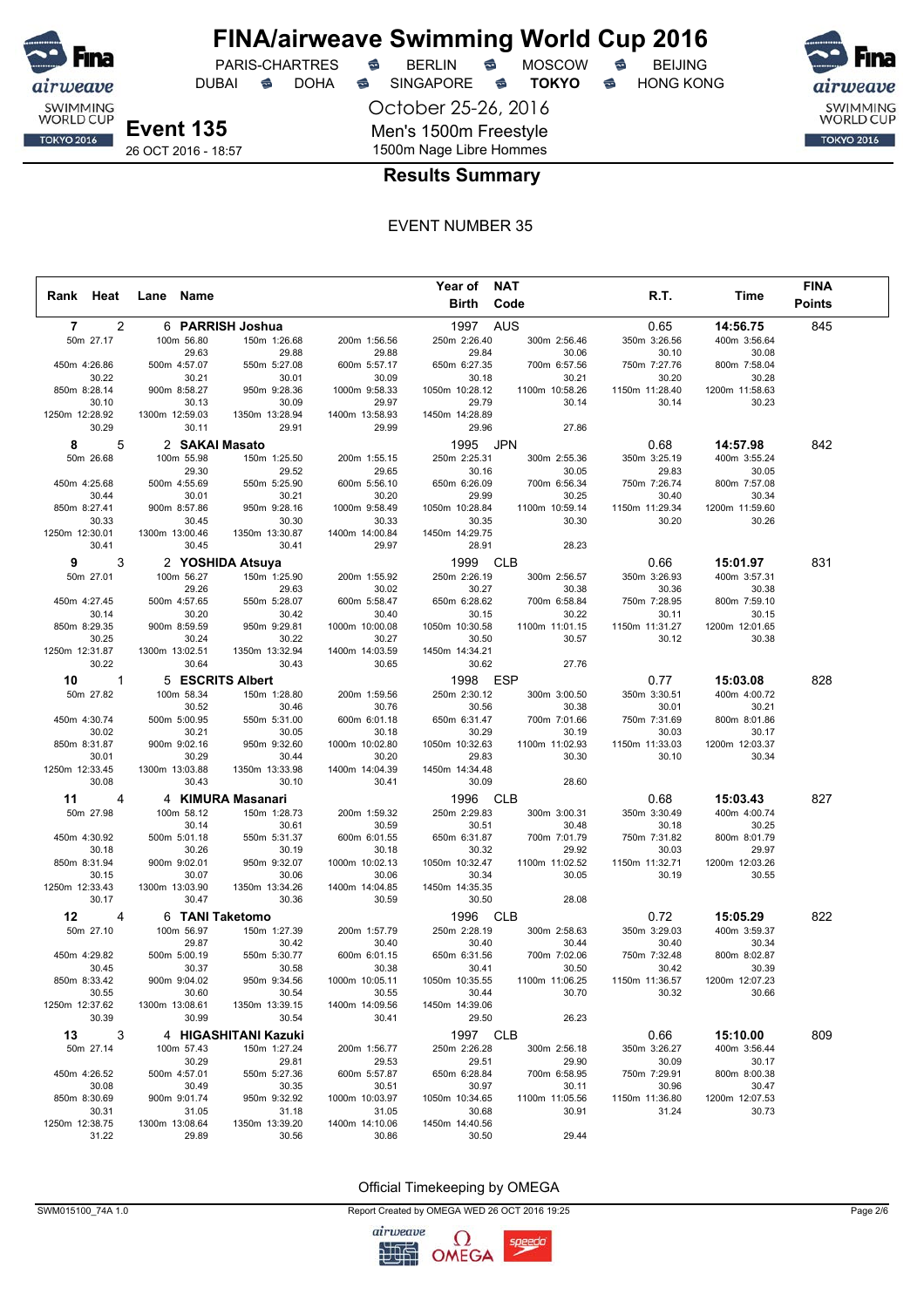

## **FINA/airweave Swimming World Cup 2016**<br>PARIS-CHARTRES **& BERLIN & MOSCOW & BEIJING** PARIS-CHARTRES **S** BERLIN S MOSCOW S

DUBAI **S** DOHA S SINGAPORE S **TOKYO** S HONG KONG

October 25-26, 2016

SWIMMING<br>WORLD CUP **TOKYO 2016** 

**Event 135** 26 OCT 2016 - 18:57

### 1500m Nage Libre Hommes **Results Summary**

Men's 1500m Freestyle

#### EVENT NUMBER 35

|                |              |                |                       |                         |                         | Year of NAT             |                         |                         |                         | <b>FINA</b>   |  |
|----------------|--------------|----------------|-----------------------|-------------------------|-------------------------|-------------------------|-------------------------|-------------------------|-------------------------|---------------|--|
| Rank Heat      |              | Lane Name      |                       |                         |                         |                         | Birth Code              | R.T.                    | Time                    | <b>Points</b> |  |
|                |              |                |                       |                         |                         |                         |                         |                         |                         |               |  |
| 7              | 2            |                |                       | 6 PARRISH Joshua        |                         | 1997                    | <b>AUS</b>              | 0.65                    | 14:56.75                | 845           |  |
| 50m 27.17      |              |                | 100m 56.80<br>29.63   | 150m 1:26.68<br>29.88   | 200m 1:56.56<br>29.88   | 250m 2:26.40<br>29.84   | 300m 2:56.46<br>30.06   | 350m 3:26.56<br>30.10   | 400m 3:56.64<br>30.08   |               |  |
| 450m 4:26.86   |              |                | 500m 4:57.07          | 550m 5:27.08            | 600m 5:57.17            | 650m 6:27.35            | 700m 6:57.56            | 750m 7:27.76            | 800m 7:58.04            |               |  |
|                | 30.22        |                | 30.21                 | 30.01                   | 30.09                   | 30.18                   | 30.21                   | 30.20                   | 30.28                   |               |  |
| 850m 8:28.14   |              |                | 900m 8:58.27          | 950m 9:28.36            | 1000m 9:58.33           | 1050m 10:28.12          | 1100m 10:58.26          | 1150m 11:28.40          | 1200m 11:58.63          |               |  |
|                | 30.10        |                | 30.13                 | 30.09                   | 29.97                   | 29.79                   | 30.14                   | 30.14                   | 30.23                   |               |  |
| 1250m 12:28.92 |              | 1300m 12:59.03 |                       | 1350m 13:28.94          | 1400m 13:58.93          | 1450m 14:28.89          |                         |                         |                         |               |  |
|                | 30.29        |                | 30.11                 | 29.91                   | 29.99                   | 29.96                   | 27.86                   |                         |                         |               |  |
| 8              | 5            |                | 2 SAKAI Masato        |                         |                         | 1995                    | <b>JPN</b>              | 0.68                    | 14:57.98                | 842           |  |
| 50m 26.68      |              |                | 100m 55.98            | 150m 1:25.50            | 200m 1:55.15            | 250m 2:25.31            | 300m 2:55.36            | 350m 3:25.19            | 400m 3:55.24            |               |  |
|                |              |                | 29.30                 | 29.52                   | 29.65                   | 30.16                   | 30.05                   | 29.83                   | 30.05                   |               |  |
| 450m 4:25.68   |              |                | 500m 4:55.69          | 550m 5:25.90            | 600m 5:56.10            | 650m 6:26.09            | 700m 6:56.34            | 750m 7:26.74            | 800m 7:57.08            |               |  |
|                | 30.44        |                | 30.01                 | 30.21                   | 30.20                   | 29.99                   | 30.25                   | 30.40                   | 30.34                   |               |  |
| 850m 8:27.41   |              |                | 900m 8:57.86          | 950m 9:28.16            | 1000m 9:58.49           | 1050m 10:28.84          | 1100m 10:59.14          | 1150m 11:29.34          | 1200m 11:59.60          |               |  |
| 1250m 12:30.01 | 30.33        | 1300m 13:00.46 | 30.45                 | 30.30<br>1350m 13:30.87 | 30.33<br>1400m 14:00.84 | 30.35<br>1450m 14:29.75 | 30.30                   | 30.20                   | 30.26                   |               |  |
|                | 30.41        |                | 30.45                 | 30.41                   | 29.97                   | 28.91                   | 28.23                   |                         |                         |               |  |
|                |              |                |                       |                         |                         |                         |                         |                         |                         |               |  |
| 9              | 3            |                |                       | 2 YOSHIDA Atsuya        |                         | 1999                    | <b>CLB</b>              | 0.66                    | 15:01.97                | 831           |  |
| 50m 27.01      |              |                | 100m 56.27            | 150m 1:25.90            | 200m 1:55.92            | 250m 2:26.19            | 300m 2:56.57            | 350m 3:26.93            | 400m 3:57.31            |               |  |
| 450m 4:27.45   |              |                | 29.26<br>500m 4:57.65 | 29.63<br>550m 5:28.07   | 30.02<br>600m 5:58.47   | 30.27<br>650m 6:28.62   | 30.38<br>700m 6:58.84   | 30.36<br>750m 7:28.95   | 30.38<br>800m 7:59.10   |               |  |
|                | 30.14        |                | 30.20                 | 30.42                   | 30.40                   | 30.15                   | 30.22                   | 30.11                   | 30.15                   |               |  |
| 850m 8:29.35   |              |                | 900m 8:59.59          | 950m 9:29.81            | 1000m 10:00.08          | 1050m 10:30.58          | 1100m 11:01.15          | 1150m 11:31.27          | 1200m 12:01.65          |               |  |
|                | 30.25        |                | 30.24                 | 30.22                   | 30.27                   | 30.50                   | 30.57                   | 30.12                   | 30.38                   |               |  |
| 1250m 12:31.87 |              | 1300m 13:02.51 |                       | 1350m 13:32.94          | 1400m 14:03.59          | 1450m 14:34.21          |                         |                         |                         |               |  |
|                | 30.22        |                | 30.64                 | 30.43                   | 30.65                   | 30.62                   | 27.76                   |                         |                         |               |  |
| 10             | $\mathbf{1}$ |                |                       | 5 ESCRITS Albert        |                         | 1998                    | <b>ESP</b>              | 0.77                    | 15:03.08                | 828           |  |
| 50m 27.82      |              |                | 100m 58.34            | 150m 1:28.80            | 200m 1:59.56            | 250m 2:30.12            | 300m 3:00.50            | 350m 3:30.51            | 400m 4:00.72            |               |  |
|                |              |                | 30.52                 | 30.46                   | 30.76                   | 30.56                   | 30.38                   | 30.01                   | 30.21                   |               |  |
| 450m 4:30.74   |              |                | 500m 5:00.95          | 550m 5:31.00            | 600m 6:01.18            | 650m 6:31.47            | 700m 7:01.66            | 750m 7:31.69            | 800m 8:01.86            |               |  |
|                | 30.02        |                | 30.21                 | 30.05                   | 30.18                   | 30.29                   | 30.19                   | 30.03                   | 30.17                   |               |  |
| 850m 8:31.87   |              |                | 900m 9:02.16          | 950m 9:32.60            | 1000m 10:02.80          | 1050m 10:32.63          | 1100m 11:02.93          | 1150m 11:33.03          | 1200m 12:03.37          |               |  |
| 1250m 12:33.45 | 30.01        |                | 30.29                 | 30.44<br>1350m 13:33.98 | 30.20                   | 29.83                   | 30.30                   | 30.10                   | 30.34                   |               |  |
|                | 30.08        | 1300m 13:03.88 | 30.43                 | 30.10                   | 1400m 14:04.39<br>30.41 | 1450m 14:34.48<br>30.09 | 28.60                   |                         |                         |               |  |
|                |              |                |                       |                         |                         |                         | <b>CLB</b>              |                         |                         | 827           |  |
| 11             | 4            |                |                       | 4 KIMURA Masanari       |                         | 1996                    |                         | 0.68                    | 15:03.43                |               |  |
| 50m 27.98      |              |                | 100m 58.12<br>30.14   | 150m 1:28.73<br>30.61   | 200m 1:59.32<br>30.59   | 250m 2:29.83<br>30.51   | 300m 3:00.31            | 350m 3:30.49<br>30.18   | 400m 4:00.74<br>30.25   |               |  |
| 450m 4:30.92   |              |                | 500m 5:01.18          | 550m 5:31.37            | 600m 6:01.55            | 650m 6:31.87            | 30.48<br>700m 7:01.79   | 750m 7:31.82            | 800m 8:01.79            |               |  |
|                | 30.18        |                | 30.26                 | 30.19                   | 30.18                   | 30.32                   | 29.92                   | 30.03                   | 29.97                   |               |  |
| 850m 8:31.94   |              |                | 900m 9:02.01          | 950m 9:32.07            | 1000m 10:02.13          | 1050m 10:32.47          | 1100m 11:02.52          | 1150m 11:32.71          | 1200m 12:03.26          |               |  |
|                | 30.15        |                | 30.07                 | 30.06                   | 30.06                   | 30.34                   | 30.05                   | 30.19                   | 30.55                   |               |  |
| 1250m 12:33.43 |              | 1300m 13:03.90 |                       | 1350m 13:34.26          | 1400m 14:04.85          | 1450m 14:35.35          |                         |                         |                         |               |  |
|                | 30.17        |                | 30.47                 | 30.36                   | 30.59                   | 30.50                   | 28.08                   |                         |                         |               |  |
| 12             | 4            |                |                       | 6 TANI Taketomo         |                         | 1996                    | <b>CLB</b>              | 0.72                    | 15:05.29                | 822           |  |
| 50m 27.10      |              |                | 100m 56.97            | 150m 1:27.39            | 200m 1:57.79            | 250m 2:28.19            | 300m 2:58.63            | 350m 3:29.03            | 400m 3:59.37            |               |  |
|                |              |                | 29.87                 | 30.42                   | 30.40                   | 30.40                   | 30.44                   | 30.40                   | 30.34                   |               |  |
| 450m 4:29.82   |              |                | 500m 5:00.19          | 550m 5:30.77            | 600m 6:01.15            | 650m 6:31.56            | 700m 7:02.06            | 750m 7:32.48            | 800m 8:02.87            |               |  |
|                | 30.45        |                | 30.37                 | 30.58                   | 30.38                   | 30.41                   | 30.50                   | 30.42                   | 30.39                   |               |  |
| 850m 8:33.42   | 30.55        |                | 900m 9:04.02<br>30.60 | 950m 9:34.56<br>30.54   | 1000m 10:05.11<br>30.55 | 1050m 10:35.55<br>30.44 | 1100m 11:06.25<br>30.70 | 1150m 11:36.57<br>30.32 | 1200m 12:07.23<br>30.66 |               |  |
| 1250m 12:37.62 |              | 1300m 13:08.61 |                       | 1350m 13:39.15          | 1400m 14:09.56          | 1450m 14:39.06          |                         |                         |                         |               |  |
|                | 30.39        |                | 30.99                 | 30.54                   | 30.41                   | 29.50                   | 26.23                   |                         |                         |               |  |
| 13             | 3            |                |                       | 4 HIGASHITANI Kazuki    |                         | 1997 CLB                |                         | 0.66                    | 15:10.00                | 809           |  |
| 50m 27.14      |              |                | 100m 57.43            | 150m 1:27.24            | 200m 1:56.77            | 250m 2:26.28            | 300m 2:56.18            | 350m 3:26.27            | 400m 3:56.44            |               |  |
|                |              |                | 30.29                 | 29.81                   | 29.53                   | 29.51                   | 29.90                   | 30.09                   | 30.17                   |               |  |
| 450m 4:26.52   |              |                | 500m 4:57.01          | 550m 5:27.36            | 600m 5:57.87            | 650m 6:28.84            | 700m 6:58.95            | 750m 7:29.91            | 800m 8:00.38            |               |  |
|                | 30.08        |                | 30.49                 | 30.35                   | 30.51                   | 30.97                   | 30.11                   | 30.96                   | 30.47                   |               |  |
| 850m 8:30.69   |              |                | 900m 9:01.74          | 950m 9:32.92            | 1000m 10:03.97          | 1050m 10:34.65          | 1100m 11:05.56          | 1150m 11:36.80          | 1200m 12:07.53          |               |  |
|                | 30.31        |                | 31.05                 | 31.18                   | 31.05                   | 30.68                   | 30.91                   | 31.24                   | 30.73                   |               |  |
| 1250m 12:38.75 |              | 1300m 13:08.64 |                       | 1350m 13:39.20          | 1400m 14:10.06          | 1450m 14:40.56          |                         |                         |                         |               |  |
|                | 31.22        |                | 29.89                 | 30.56                   | 30.86                   | 30.50                   | 29.44                   |                         |                         |               |  |



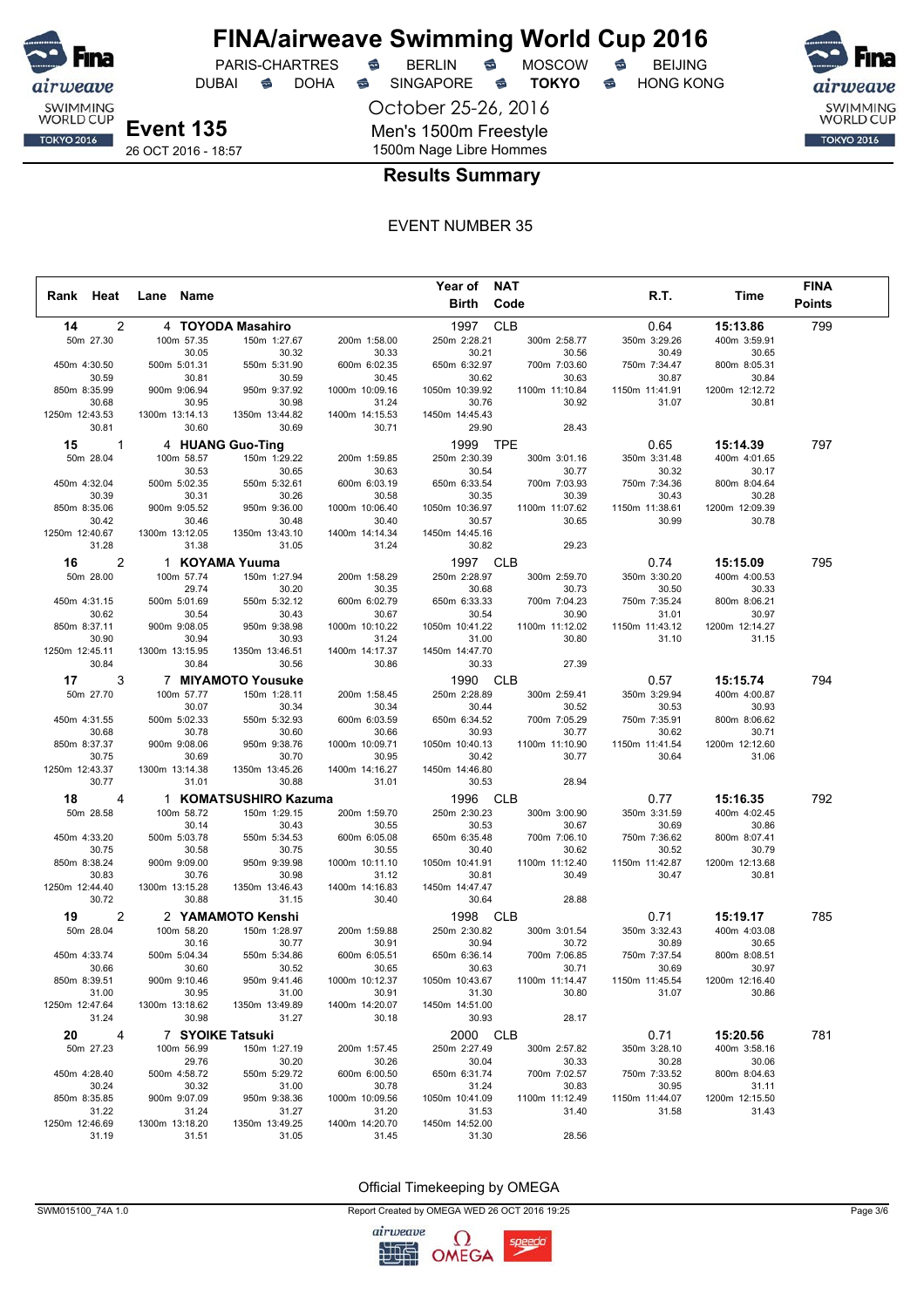

DUBAI **S** DOHA S SINGAPORE S **TOKYO** S HONG KONG

PARIS-CHARTRES **S** BERLIN S MOSCOW S

October 25-26, 2016

Men's 1500m Freestyle

SWIMMING<br>WORLD CUP **TOKYO 2016** 

**Event 135** 26 OCT 2016 - 18:57

1500m Nage Libre Hommes

## **Results Summary**

### EVENT NUMBER 35

|                         |                |                |                     |                         |                         | Year of NAT             |                       |                       |                       | <b>FINA</b>   |
|-------------------------|----------------|----------------|---------------------|-------------------------|-------------------------|-------------------------|-----------------------|-----------------------|-----------------------|---------------|
| Rank Heat               |                | Lane Name      |                     |                         |                         | Birth                   | Code                  | R.T.                  | Time                  | <b>Points</b> |
| 14                      | 2              |                |                     | 4 TOYODA Masahiro       |                         | 1997                    | <b>CLB</b>            | 0.64                  | 15:13.86              | 799           |
| 50m 27.30               |                |                | 100m 57.35          | 150m 1:27.67            | 200m 1:58.00            | 250m 2:28.21            | 300m 2:58.77          | 350m 3:29.26          | 400m 3:59.91          |               |
|                         |                |                | 30.05               | 30.32                   | 30.33                   | 30.21                   | 30.56                 | 30.49                 | 30.65                 |               |
| 450m 4:30.50            |                | 500m 5:01.31   |                     | 550m 5:31.90            | 600m 6:02.35            | 650m 6:32.97            | 700m 7:03.60          | 750m 7:34.47          | 800m 8:05.31          |               |
| 30.59                   |                |                | 30.81               | 30.59                   | 30.45                   | 30.62                   | 30.63                 | 30.87                 | 30.84                 |               |
| 850m 8:35.99            |                | 900m 9:06.94   |                     | 950m 9:37.92            | 1000m 10:09.16          | 1050m 10:39.92          | 1100m 11:10.84        | 1150m 11:41.91        | 1200m 12:12.72        |               |
| 30.68                   |                |                | 30.95               | 30.98                   | 31.24                   | 30.76                   | 30.92                 | 31.07                 | 30.81                 |               |
| 1250m 12:43.53          |                | 1300m 13:14.13 |                     | 1350m 13:44.82          | 1400m 14:15.53          | 1450m 14:45.43          |                       |                       |                       |               |
| 30.81                   |                |                | 30.60               | 30.69                   | 30.71                   | 29.90                   | 28.43                 |                       |                       |               |
| 15                      | $\mathbf{1}$   |                |                     | 4 HUANG Guo-Ting        |                         | 1999                    | <b>TPE</b>            | 0.65                  | 15:14.39              | 797           |
| 50m 28.04               |                |                | 100m 58.57          | 150m 1:29.22            | 200m 1:59.85            | 250m 2:30.39            | 300m 3:01.16          | 350m 3:31.48          | 400m 4:01.65          |               |
|                         |                |                | 30.53               | 30.65                   | 30.63                   | 30.54                   | 30.77                 | 30.32                 | 30.17                 |               |
| 450m 4:32.04<br>30.39   |                | 500m 5:02.35   | 30.31               | 550m 5:32.61<br>30.26   | 600m 6:03.19<br>30.58   | 650m 6:33.54<br>30.35   | 700m 7:03.93<br>30.39 | 750m 7:34.36<br>30.43 | 800m 8:04.64<br>30.28 |               |
| 850m 8:35.06            |                | 900m 9:05.52   |                     | 950m 9:36.00            | 1000m 10:06.40          | 1050m 10:36.97          | 1100m 11:07.62        | 1150m 11:38.61        | 1200m 12:09.39        |               |
| 30.42                   |                |                | 30.46               | 30.48                   | 30.40                   | 30.57                   | 30.65                 | 30.99                 | 30.78                 |               |
| 1250m 12:40.67          |                | 1300m 13:12.05 |                     | 1350m 13:43.10          | 1400m 14:14.34          | 1450m 14:45.16          |                       |                       |                       |               |
| 31.28                   |                |                | 31.38               | 31.05                   | 31.24                   | 30.82                   | 29.23                 |                       |                       |               |
| 16                      | 2              |                |                     | 1 KOYAMA Yuuma          |                         | 1997                    | <b>CLB</b>            | 0.74                  | 15:15.09              | 795           |
| 50m 28.00               |                |                | 100m 57.74          | 150m 1:27.94            | 200m 1:58.29            | 250m 2:28.97            | 300m 2:59.70          | 350m 3:30.20          | 400m 4:00.53          |               |
|                         |                |                | 29.74               | 30.20                   | 30.35                   | 30.68                   | 30.73                 | 30.50                 | 30.33                 |               |
| 450m 4:31.15            |                | 500m 5:01.69   |                     | 550m 5:32.12            | 600m 6:02.79            | 650m 6:33.33            | 700m 7:04.23          | 750m 7:35.24          | 800m 8:06.21          |               |
| 30.62                   |                |                | 30.54               | 30.43                   | 30.67                   | 30.54                   | 30.90                 | 31.01                 | 30.97                 |               |
| 850m 8:37.11            |                | 900m 9:08.05   |                     | 950m 9:38.98            | 1000m 10:10.22          | 1050m 10:41.22          | 1100m 11:12.02        | 1150m 11:43.12        | 1200m 12:14.27        |               |
| 30.90                   |                |                | 30.94               | 30.93                   | 31.24                   | 31.00                   | 30.80                 | 31.10                 | 31.15                 |               |
| 1250m 12:45.11          |                | 1300m 13:15.95 |                     | 1350m 13:46.51          | 1400m 14:17.37          | 1450m 14:47.70          |                       |                       |                       |               |
| 30.84                   |                |                | 30.84               | 30.56                   | 30.86                   | 30.33                   | 27.39                 |                       |                       |               |
| 17                      | 3              |                |                     | 7 MIYAMOTO Yousuke      |                         | 1990 CLB                |                       | 0.57                  | 15:15.74              | 794           |
| 50m 27.70               |                |                | 100m 57.77          | 150m 1:28.11            | 200m 1:58.45            | 250m 2:28.89            | 300m 2:59.41          | 350m 3:29.94          | 400m 4:00.87          |               |
|                         |                |                | 30.07               | 30.34                   | 30.34                   | 30.44                   | 30.52                 | 30.53                 | 30.93                 |               |
| 450m 4:31.55            |                | 500m 5:02.33   |                     | 550m 5:32.93            | 600m 6:03.59            | 650m 6:34.52            | 700m 7:05.29          | 750m 7:35.91          | 800m 8:06.62          |               |
| 30.68                   |                |                | 30.78               | 30.60                   | 30.66                   | 30.93                   | 30.77                 | 30.62                 | 30.71                 |               |
| 850m 8:37.37            |                | 900m 9:08.06   |                     | 950m 9:38.76            | 1000m 10:09.71          | 1050m 10:40.13          | 1100m 11:10.90        | 1150m 11:41.54        | 1200m 12:12.60        |               |
| 30.75<br>1250m 12:43.37 |                | 1300m 13:14.38 | 30.69               | 30.70<br>1350m 13:45.26 | 30.95<br>1400m 14:16.27 | 30.42<br>1450m 14:46.80 | 30.77                 | 30.64                 | 31.06                 |               |
| 30.77                   |                |                | 31.01               | 30.88                   | 31.01                   | 30.53                   | 28.94                 |                       |                       |               |
|                         | $\overline{4}$ |                |                     |                         |                         |                         | <b>CLB</b>            |                       |                       |               |
| 18                      |                |                |                     | 1 KOMATSUSHIRO Kazuma   |                         | 1996                    |                       | 0.77                  | 15:16.35              | 792           |
| 50m 28.58               |                |                | 100m 58.72<br>30.14 | 150m 1:29.15<br>30.43   | 200m 1:59.70<br>30.55   | 250m 2:30.23<br>30.53   | 300m 3:00.90<br>30.67 | 350m 3:31.59<br>30.69 | 400m 4:02.45<br>30.86 |               |
| 450m 4:33.20            |                | 500m 5:03.78   |                     | 550m 5:34.53            | 600m 6:05.08            | 650m 6:35.48            | 700m 7:06.10          | 750m 7:36.62          | 800m 8:07.41          |               |
| 30.75                   |                |                | 30.58               | 30.75                   | 30.55                   | 30.40                   | 30.62                 | 30.52                 | 30.79                 |               |
| 850m 8:38.24            |                | 900m 9:09.00   |                     | 950m 9:39.98            | 1000m 10:11.10          | 1050m 10:41.91          | 1100m 11:12.40        | 1150m 11:42.87        | 1200m 12:13.68        |               |
| 30.83                   |                |                | 30.76               | 30.98                   | 31.12                   | 30.81                   | 30.49                 | 30.47                 | 30.81                 |               |
| 1250m 12:44.40          |                | 1300m 13:15.28 |                     | 1350m 13:46.43          | 1400m 14:16.83          | 1450m 14:47.47          |                       |                       |                       |               |
| 30.72                   |                |                | 30.88               | 31.15                   | 30.40                   | 30.64                   | 28.88                 |                       |                       |               |
| 19                      | 2              |                |                     | 2 YAMAMOTO Kenshi       |                         | 1998                    | <b>CLB</b>            | 0.71                  | 15:19.17              | 785           |
| 50m 28.04               |                |                | 100m 58.20          | 150m 1:28.97            | 200m 1:59.88            | 250m 2:30.82            | 300m 3:01.54          | 350m 3:32.43          | 400m 4:03.08          |               |
|                         |                |                | 30.16               | 30.77                   | 30.91                   | 30.94                   | 30.72                 | 30.89                 | 30.65                 |               |
| 450m 4:33.74            |                | 500m 5:04.34   |                     | 550m 5:34.86            | 600m 6:05.51            | 650m 6:36.14            | 700m 7:06.85          | 750m 7:37.54          | 800m 8:08.51          |               |
| 30.66                   |                |                | 30.60               | 30.52                   | 30.65                   | 30.63                   | 30.71                 | 30.69                 | 30.97                 |               |
| 850m 8:39.51            |                | 900m 9:10.46   |                     | 950m 9:41.46            | 1000m 10:12.37          | 1050m 10:43.67          | 1100m 11:14.47        | 1150m 11:45.54        | 1200m 12:16.40        |               |
| 31.00                   |                |                | 30.95               | 31.00                   | 30.91                   | 31.30                   | 30.80                 | 31.07                 | 30.86                 |               |
| 1250m 12:47.64<br>31.24 |                | 1300m 13:18.62 | 30.98               | 1350m 13:49.89<br>31.27 | 1400m 14:20.07<br>30.18 | 1450m 14:51.00<br>30.93 | 28.17                 |                       |                       |               |
|                         |                |                |                     |                         |                         |                         |                       |                       |                       |               |
| 20                      | 4              |                |                     | 7 SYOIKE Tatsuki        |                         | 2000 CLB                |                       | 0.71                  | 15:20.56              | 781           |
| 50m 27.23               |                |                | 100m 56.99          | 150m 1:27.19            | 200m 1:57.45            | 250m 2:27.49            | 300m 2:57.82          | 350m 3:28.10          | 400m 3:58.16          |               |
|                         |                |                | 29.76               | 30.20                   | 30.26                   | 30.04                   | 30.33                 | 30.28                 | 30.06<br>800m 8:04.63 |               |
| 450m 4:28.40<br>30.24   |                | 500m 4:58.72   | 30.32               | 550m 5:29.72<br>31.00   | 600m 6:00.50<br>30.78   | 650m 6:31.74<br>31.24   | 700m 7:02.57<br>30.83 | 750m 7:33.52<br>30.95 | 31.11                 |               |
| 850m 8:35.85            |                | 900m 9:07.09   |                     | 950m 9:38.36            | 1000m 10:09.56          | 1050m 10:41.09          | 1100m 11:12.49        | 1150m 11:44.07        | 1200m 12:15.50        |               |
| 31.22                   |                |                | 31.24               | 31.27                   | 31.20                   | 31.53                   | 31.40                 | 31.58                 | 31.43                 |               |
| 1250m 12:46.69          |                | 1300m 13:18.20 |                     | 1350m 13:49.25          | 1400m 14:20.70          | 1450m 14:52.00          |                       |                       |                       |               |
| 31.19                   |                |                | 31.51               | 31.05                   | 31.45                   | 31.30                   | 28.56                 |                       |                       |               |



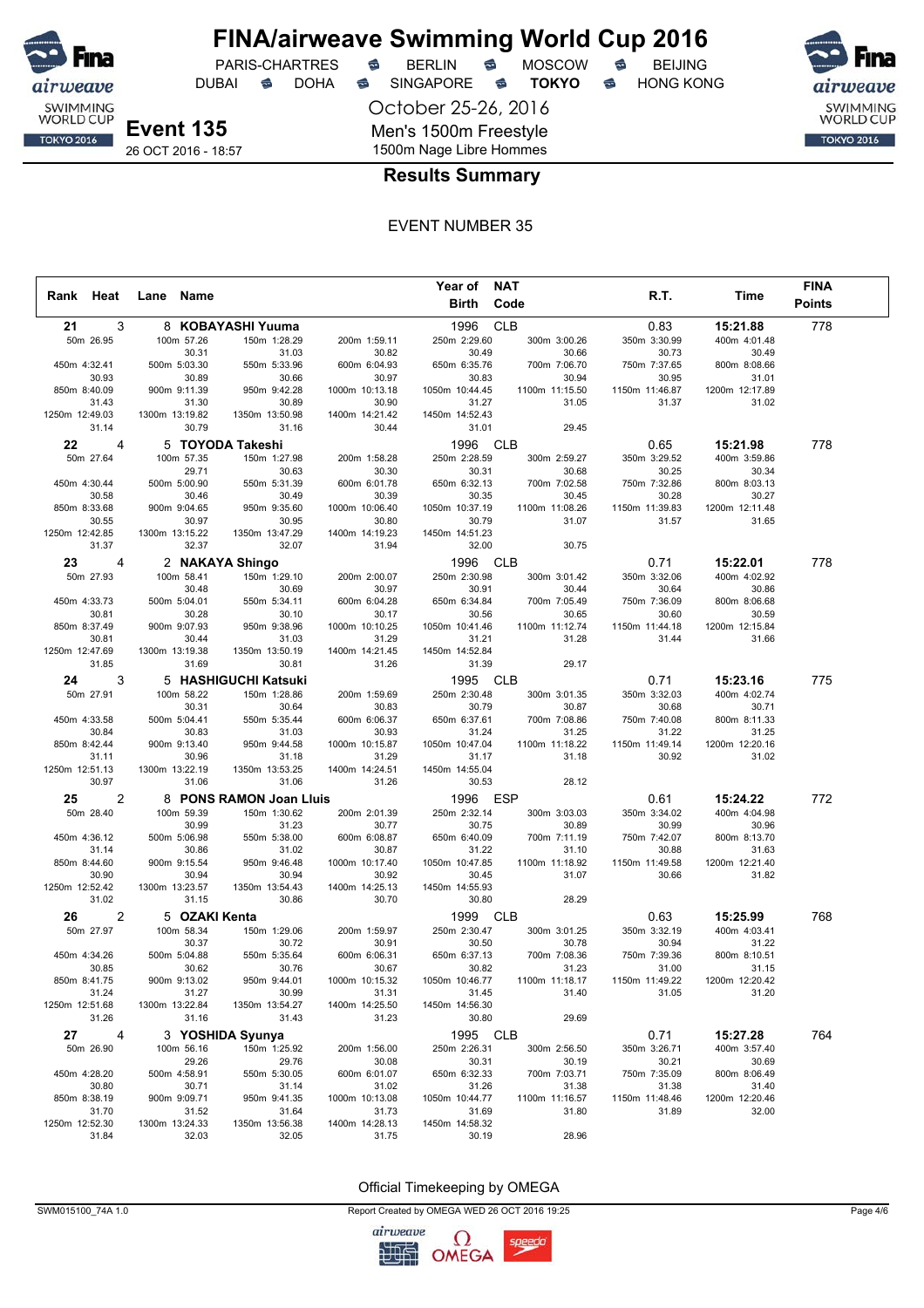

## **FINA/airweave Swimming World Cup 2016**<br>PARIS-CHARTRES **& BERLIN & MOSCOW & BEIJING** PARIS-CHARTRES **S** BERLIN S MOSCOW S

DUBAI **S** DOHA S SINGAPORE S **TOKYO** S HONG KONG

October 25-26, 2016

Men's 1500m Freestyle

SWIMMING<br>WORLD CUP **TOKYO 2016** 

**Event 135** 26 OCT 2016 - 18:57

### 1500m Nage Libre Hommes **Results Summary**

#### EVENT NUMBER 35

|                         |                         |                         |                         | Year of                 | <b>NAT</b>              |                         |                          | <b>FINA</b>   |
|-------------------------|-------------------------|-------------------------|-------------------------|-------------------------|-------------------------|-------------------------|--------------------------|---------------|
| Rank Heat               | Name<br>Lane            |                         |                         | Birth                   | Code                    | R.T.                    | Time                     | <b>Points</b> |
| 3<br>21                 |                         | 8 KOBAYASHI Yuuma       |                         | 1996                    | <b>CLB</b>              | 0.83                    | 15:21.88                 | 778           |
| 50m 26.95               | 100m 57.26              | 150m 1:28.29            | 200m 1:59.11            | 250m 2:29.60            | 300m 3:00.26            | 350m 3:30.99            | 400m 4:01.48             |               |
|                         | 30.31                   | 31.03                   | 30.82                   | 30.49                   | 30.66                   | 30.73                   | 30.49                    |               |
| 450m 4:32.41            | 500m 5:03.30            | 550m 5:33.96            | 600m 6:04.93            | 650m 6:35.76            | 700m 7:06.70            | 750m 7:37.65            | 800m 8:08.66             |               |
| 30.93                   | 30.89                   | 30.66                   | 30.97                   | 30.83                   | 30.94                   | 30.95                   | 31.01                    |               |
| 850m 8:40.09            | 900m 9:11.39            | 950m 9:42.28            | 1000m 10:13.18          | 1050m 10:44.45          | 1100m 11:15.50          | 1150m 11:46.87          | 1200m 12:17.89           |               |
| 31.43                   | 31.30                   | 30.89                   | 30.90                   | 31.27                   | 31.05                   | 31.37                   | 31.02                    |               |
| 1250m 12:49.03<br>31.14 | 1300m 13:19.82<br>30.79 | 1350m 13:50.98<br>31.16 | 1400m 14:21.42<br>30.44 | 1450m 14:52.43<br>31.01 | 29.45                   |                         |                          |               |
|                         |                         |                         |                         |                         |                         |                         |                          |               |
| 22<br>$\overline{4}$    |                         | 5 TOYODA Takeshi        |                         | 1996                    | <b>CLB</b>              | 0.65                    | 15:21.98                 | 778           |
| 50m 27.64               | 100m 57.35<br>29.71     | 150m 1:27.98<br>30.63   | 200m 1:58.28<br>30.30   | 250m 2:28.59<br>30.31   | 300m 2:59.27<br>30.68   | 350m 3:29.52<br>30.25   | 400m 3:59.86<br>30.34    |               |
| 450m 4:30.44            | 500m 5:00.90            | 550m 5:31.39            | 600m 6:01.78            | 650m 6:32.13            | 700m 7:02.58            | 750m 7:32.86            | 800m 8:03.13             |               |
| 30.58                   | 30.46                   | 30.49                   | 30.39                   | 30.35                   | 30.45                   | 30.28                   | 30.27                    |               |
| 850m 8:33.68            | 900m 9:04.65            | 950m 9:35.60            | 1000m 10:06.40          | 1050m 10:37.19          | 1100m 11:08.26          | 1150m 11:39.83          | 1200m 12:11.48           |               |
| 30.55                   | 30.97                   | 30.95                   | 30.80                   | 30.79                   | 31.07                   | 31.57                   | 31.65                    |               |
| 1250m 12:42.85          | 1300m 13:15.22          | 1350m 13:47.29          | 1400m 14:19.23          | 1450m 14:51.23          |                         |                         |                          |               |
| 31.37                   | 32.37                   | 32.07                   | 31.94                   | 32.00                   | 30.75                   |                         |                          |               |
| 4<br>23                 |                         | 2 NAKAYA Shingo         |                         | 1996                    | <b>CLB</b>              | 0.71                    | 15:22.01                 | 778           |
| 50m 27.93               | 100m 58.41              | 150m 1:29.10            | 200m 2:00.07            | 250m 2:30.98            | 300m 3:01.42            | 350m 3:32.06            | 400m 4:02.92             |               |
|                         | 30.48                   | 30.69                   | 30.97                   | 30.91                   | 30.44                   | 30.64                   | 30.86                    |               |
| 450m 4:33.73            | 500m 5:04.01            | 550m 5:34.11            | 600m 6:04.28            | 650m 6:34.84            | 700m 7:05.49            | 750m 7:36.09            | 800m 8:06.68             |               |
| 30.81<br>850m 8:37.49   | 30.28<br>900m 9:07.93   | 30.10<br>950m 9:38.96   | 30.17<br>1000m 10:10.25 | 30.56<br>1050m 10:41.46 | 30.65<br>1100m 11:12.74 | 30.60<br>1150m 11:44.18 | 30.59<br>1200m 12:15.84  |               |
| 30.81                   | 30.44                   | 31.03                   | 31.29                   | 31.21                   | 31.28                   | 31.44                   | 31.66                    |               |
| 1250m 12:47.69          | 1300m 13:19.38          | 1350m 13:50.19          | 1400m 14:21.45          | 1450m 14:52.84          |                         |                         |                          |               |
| 31.85                   | 31.69                   | 30.81                   | 31.26                   | 31.39                   | 29.17                   |                         |                          |               |
| 3<br>24                 |                         | 5 HASHIGUCHI Katsuki    |                         | 1995                    | <b>CLB</b>              | 0.71                    | 15:23.16                 | 775           |
| 50m 27.91               | 100m 58.22              | 150m 1:28.86            | 200m 1:59.69            | 250m 2:30.48            | 300m 3:01.35            | 350m 3:32.03            | 400m 4:02.74             |               |
|                         | 30.31                   | 30.64                   | 30.83                   | 30.79                   | 30.87                   | 30.68                   | 30.71                    |               |
| 450m 4:33.58            | 500m 5:04.41            | 550m 5:35.44            | 600m 6:06.37            | 650m 6:37.61            | 700m 7:08.86            | 750m 7:40.08            | 800m 8:11.33             |               |
| 30.84                   | 30.83                   | 31.03                   | 30.93                   | 31.24                   | 31.25                   | 31.22                   | 31.25                    |               |
| 850m 8:42.44            | 900m 9:13.40            | 950m 9:44.58            | 1000m 10:15.87          | 1050m 10:47.04          | 1100m 11:18.22          | 1150m 11:49.14          | 1200m 12:20.16           |               |
| 31.11<br>1250m 12:51.13 | 30.96<br>1300m 13:22.19 | 31.18<br>1350m 13:53.25 | 31.29<br>1400m 14:24.51 | 31.17<br>1450m 14:55.04 | 31.18                   | 30.92                   | 31.02                    |               |
| 30.97                   | 31.06                   | 31.06                   | 31.26                   | 30.53                   | 28.12                   |                         |                          |               |
| $\overline{2}$<br>25    |                         | 8 PONS RAMON Joan Lluis |                         |                         | <b>ESP</b>              | 0.61                    |                          | 772           |
| 50m 28.40               | 100m 59.39              | 150m 1:30.62            | 200m 2:01.39            | 1996<br>250m 2:32.14    |                         | 350m 3:34.02            | 15:24.22<br>400m 4:04.98 |               |
|                         | 30.99                   | 31.23                   | 30.77                   | 30.75                   | 300m 3:03.03<br>30.89   | 30.99                   | 30.96                    |               |
| 450m 4:36.12            | 500m 5:06.98            | 550m 5:38.00            | 600m 6:08.87            | 650m 6:40.09            | 700m 7:11.19            | 750m 7:42.07            | 800m 8:13.70             |               |
| 31.14                   | 30.86                   | 31.02                   | 30.87                   | 31.22                   | 31.10                   | 30.88                   | 31.63                    |               |
| 850m 8:44.60            | 900m 9:15.54            | 950m 9:46.48            | 1000m 10:17.40          | 1050m 10:47.85          | 1100m 11:18.92          | 1150m 11:49.58          | 1200m 12:21.40           |               |
| 30.90                   | 30.94                   | 30.94                   | 30.92                   | 30.45                   | 31.07                   | 30.66                   | 31.82                    |               |
| 1250m 12:52.42          | 1300m 13:23.57          | 1350m 13:54.43          | 1400m 14:25.13          | 1450m 14:55.93          |                         |                         |                          |               |
| 31.02                   | 31.15                   | 30.86                   | 30.70                   | 30.80                   | 28.29                   |                         |                          |               |
| 2<br>26                 | 5 OZAKI Kenta           |                         |                         | 1999                    | <b>CLB</b>              | 0.63                    | 15:25.99                 | 768           |
| 50m 27.97               | 100m 58.34              | 150m 1:29.06            | 200m 1:59.97            | 250m 2:30.47            | 300m 3:01.25            | 350m 3:32.19            | 400m 4:03.41             |               |
|                         | 30.37                   | 30.72                   | 30.91                   | 30.50                   | 30.78                   | 30.94                   | 31.22                    |               |
| 450m 4:34.26<br>30.85   | 500m 5:04.88<br>30.62   | 550m 5:35.64<br>30.76   | 600m 6:06.31<br>30.67   | 650m 6:37.13<br>30.82   | 700m 7:08.36<br>31.23   | 750m 7:39.36<br>31.00   | 800m 8:10.51<br>31.15    |               |
| 850m 8:41.75            | 900m 9:13.02            | 950m 9:44.01            | 1000m 10:15.32          | 1050m 10:46.77          | 1100m 11:18.17          | 1150m 11:49.22          | 1200m 12:20.42           |               |
| 31.24                   | 31.27                   | 30.99                   | 31.31                   | 31.45                   | 31.40                   | 31.05                   | 31.20                    |               |
| 1250m 12:51.68          | 1300m 13:22.84          | 1350m 13:54.27          | 1400m 14:25.50          | 1450m 14:56.30          |                         |                         |                          |               |
| 31.26                   | 31.16                   | 31.43                   | 31.23                   | 30.80                   | 29.69                   |                         |                          |               |
| 27<br>4                 |                         | 3 YOSHIDA Syunya        |                         | 1995 CLB                |                         | 0.71                    | 15:27.28                 | 764           |
| 50m 26.90               | 100m 56.16              | 150m 1:25.92            | 200m 1:56.00            | 250m 2:26.31            | 300m 2:56.50            | 350m 3:26.71            | 400m 3:57.40             |               |
|                         | 29.26                   | 29.76                   | 30.08                   | 30.31                   | 30.19                   | 30.21                   | 30.69                    |               |
| 450m 4:28.20            | 500m 4:58.91            | 550m 5:30.05            | 600m 6:01.07            | 650m 6:32.33            | 700m 7:03.71            | 750m 7:35.09            | 800m 8:06.49             |               |
| 30.80                   | 30.71                   | 31.14                   | 31.02                   | 31.26                   | 31.38                   | 31.38                   | 31.40                    |               |
| 850m 8:38.19<br>31.70   | 900m 9:09.71<br>31.52   | 950m 9:41.35<br>31.64   | 1000m 10:13.08<br>31.73 | 1050m 10:44.77<br>31.69 | 1100m 11:16.57<br>31.80 | 1150m 11:48.46<br>31.89 | 1200m 12:20.46<br>32.00  |               |
| 1250m 12:52.30          | 1300m 13:24.33          | 1350m 13:56.38          | 1400m 14:28.13          | 1450m 14:58.32          |                         |                         |                          |               |
| 31.84                   | 32.03                   | 32.05                   | 31.75                   | 30.19                   | 28.96                   |                         |                          |               |



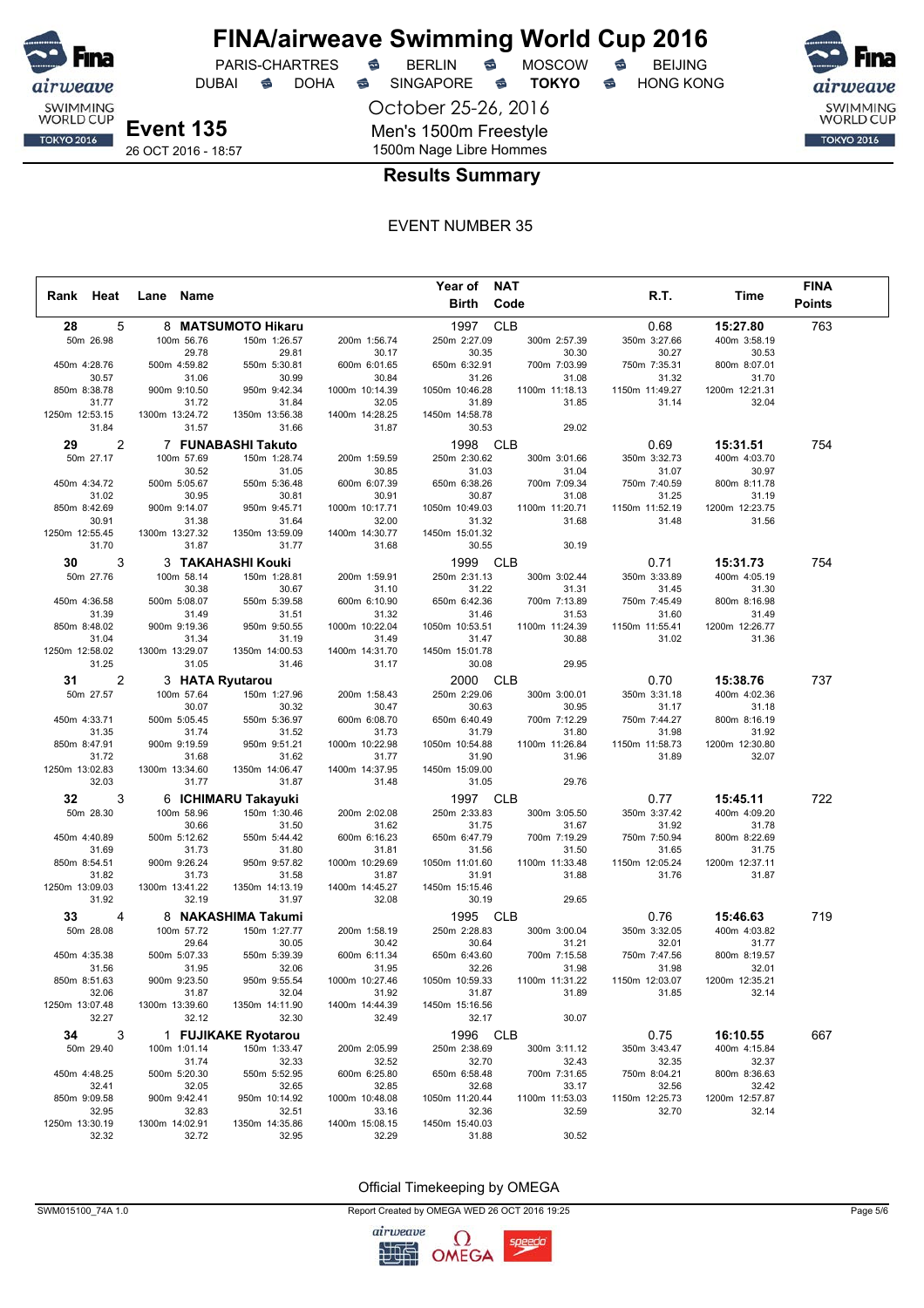

## **FINA/airweave Swimming World Cup 2016**<br>PARIS-CHARTRES **& BERLIN & MOSCOW & BEIJING** PARIS-CHARTRES **S** BERLIN S MOSCOW S

DUBAI **S** DOHA S SINGAPORE S **TOKYO** S HONG KONG

SWIMMING<br>WORLD CUP **TOKYO 2016** 

**Event 135** 26 OCT 2016 - 18:57 October 25-26, 2016 Men's 1500m Freestyle 1500m Nage Libre Hommes

### **Results Summary**

#### EVENT NUMBER 35

|                         |   |                |                       |                                    |                         | Year of NAT             |                         |                         |                         | <b>FINA</b>   |
|-------------------------|---|----------------|-----------------------|------------------------------------|-------------------------|-------------------------|-------------------------|-------------------------|-------------------------|---------------|
| Rank Heat               |   | Lane Name      |                       |                                    |                         |                         | Birth Code              | R.T.                    | Time                    | <b>Points</b> |
| 28                      | 5 |                |                       | 8 MATSUMOTO Hikaru                 |                         | 1997 CLB                |                         | 0.68                    | 15:27.80                | 763           |
| 50m 26.98               |   |                | 100m 56.76            | 150m 1:26.57                       | 200m 1:56.74            | 250m 2:27.09            | 300m 2:57.39            | 350m 3:27.66            | 400m 3:58.19            |               |
|                         |   |                | 29.78                 | 29.81                              | 30.17                   | 30.35                   | 30.30                   | 30.27                   | 30.53                   |               |
| 450m 4:28.76            |   |                | 500m 4:59.82          | 550m 5:30.81                       | 600m 6:01.65            | 650m 6:32.91            | 700m 7:03.99            | 750m 7:35.31            | 800m 8:07.01            |               |
| 30.57                   |   |                | 31.06                 | 30.99                              | 30.84                   | 31.26                   | 31.08                   | 31.32                   | 31.70                   |               |
| 850m 8:38.78            |   | 900m 9:10.50   |                       | 950m 9:42.34                       | 1000m 10:14.39          | 1050m 10:46.28          | 1100m 11:18.13          | 1150m 11:49.27          | 1200m 12:21.31          |               |
| 31.77                   |   |                | 31.72                 | 31.84                              | 32.05                   | 31.89                   | 31.85                   | 31.14                   | 32.04                   |               |
| 1250m 12:53.15<br>31.84 |   | 1300m 13:24.72 | 31.57                 | 1350m 13:56.38<br>31.66            | 1400m 14:28.25<br>31.87 | 1450m 14:58.78<br>30.53 | 29.02                   |                         |                         |               |
|                         |   |                |                       |                                    |                         |                         |                         |                         |                         |               |
| 29                      | 2 |                |                       | 7 FUNABASHI Takuto<br>150m 1:28.74 |                         | 1998                    | <b>CLB</b>              | 0.69<br>350m 3:32.73    | 15:31.51                | 754           |
| 50m 27.17               |   |                | 100m 57.69<br>30.52   | 31.05                              | 200m 1:59.59<br>30.85   | 250m 2:30.62<br>31.03   | 300m 3:01.66<br>31.04   | 31.07                   | 400m 4:03.70<br>30.97   |               |
| 450m 4:34.72            |   | 500m 5:05.67   |                       | 550m 5:36.48                       | 600m 6:07.39            | 650m 6:38.26            | 700m 7:09.34            | 750m 7:40.59            | 800m 8:11.78            |               |
| 31.02                   |   |                | 30.95                 | 30.81                              | 30.91                   | 30.87                   | 31.08                   | 31.25                   | 31.19                   |               |
| 850m 8:42.69            |   | 900m 9:14.07   |                       | 950m 9:45.71                       | 1000m 10:17.71          | 1050m 10:49.03          | 1100m 11:20.71          | 1150m 11:52.19          | 1200m 12:23.75          |               |
| 30.91                   |   |                | 31.38                 | 31.64                              | 32.00                   | 31.32                   | 31.68                   | 31.48                   | 31.56                   |               |
| 1250m 12:55.45          |   | 1300m 13:27.32 |                       | 1350m 13:59.09                     | 1400m 14:30.77          | 1450m 15:01.32          |                         |                         |                         |               |
| 31.70                   |   |                | 31.87                 | 31.77                              | 31.68                   | 30.55                   | 30.19                   |                         |                         |               |
| 30                      | 3 |                |                       | 3 TAKAHASHI Kouki                  |                         | 1999 CLB                |                         | 0.71                    | 15:31.73                | 754           |
| 50m 27.76               |   |                | 100m 58.14            | 150m 1:28.81                       | 200m 1:59.91            | 250m 2:31.13            | 300m 3:02.44            | 350m 3:33.89            | 400m 4:05.19            |               |
| 450m 4:36.58            |   | 500m 5:08.07   | 30.38                 | 30.67<br>550m 5:39.58              | 31.10<br>600m 6:10.90   | 31.22<br>650m 6:42.36   | 31.31<br>700m 7:13.89   | 31.45<br>750m 7:45.49   | 31.30<br>800m 8:16.98   |               |
| 31.39                   |   |                | 31.49                 | 31.51                              | 31.32                   | 31.46                   | 31.53                   | 31.60                   | 31.49                   |               |
| 850m 8:48.02            |   | 900m 9:19.36   |                       | 950m 9:50.55                       | 1000m 10:22.04          | 1050m 10:53.51          | 1100m 11:24.39          | 1150m 11:55.41          | 1200m 12:26.77          |               |
| 31.04                   |   |                | 31.34                 | 31.19                              | 31.49                   | 31.47                   | 30.88                   | 31.02                   | 31.36                   |               |
| 1250m 12:58.02          |   | 1300m 13:29.07 |                       | 1350m 14:00.53                     | 1400m 14:31.70          | 1450m 15:01.78          |                         |                         |                         |               |
| 31.25                   |   |                | 31.05                 | 31.46                              | 31.17                   | 30.08                   | 29.95                   |                         |                         |               |
| 31                      | 2 |                |                       | 3 HATA Ryutarou                    |                         | 2000 CLB                |                         | 0.70                    | 15:38.76                | 737           |
| 50m 27.57               |   |                | 100m 57.64            | 150m 1:27.96                       | 200m 1:58.43            | 250m 2:29.06            | 300m 3:00.01            | 350m 3:31.18            | 400m 4:02.36            |               |
|                         |   |                | 30.07                 | 30.32                              | 30.47                   | 30.63                   | 30.95                   | 31.17                   | 31.18                   |               |
| 450m 4:33.71<br>31.35   |   |                | 500m 5:05.45<br>31.74 | 550m 5:36.97<br>31.52              | 600m 6:08.70<br>31.73   | 650m 6:40.49<br>31.79   | 700m 7:12.29<br>31.80   | 750m 7:44.27<br>31.98   | 800m 8:16.19<br>31.92   |               |
| 850m 8:47.91            |   | 900m 9:19.59   |                       | 950m 9:51.21                       | 1000m 10:22.98          | 1050m 10:54.88          | 1100m 11:26.84          | 1150m 11:58.73          | 1200m 12:30.80          |               |
| 31.72                   |   |                | 31.68                 | 31.62                              | 31.77                   | 31.90                   | 31.96                   | 31.89                   | 32.07                   |               |
| 1250m 13:02.83          |   | 1300m 13:34.60 |                       | 1350m 14:06.47                     | 1400m 14:37.95          | 1450m 15:09.00          |                         |                         |                         |               |
| 32.03                   |   |                | 31.77                 | 31.87                              | 31.48                   | 31.05                   | 29.76                   |                         |                         |               |
| 32                      | 3 |                |                       | 6 ICHIMARU Takayuki                |                         | 1997 CLB                |                         | 0.77                    | 15:45.11                | 722           |
| 50m 28.30               |   |                | 100m 58.96            | 150m 1:30.46                       | 200m 2:02.08            | 250m 2:33.83            | 300m 3:05.50            | 350m 3:37.42            | 400m 4:09.20            |               |
|                         |   |                | 30.66                 | 31.50                              | 31.62                   | 31.75                   | 31.67                   | 31.92                   | 31.78                   |               |
| 450m 4:40.89            |   | 500m 5:12.62   |                       | 550m 5:44.42                       | 600m 6:16.23            | 650m 6:47.79            | 700m 7:19.29            | 750m 7:50.94            | 800m 8:22.69            |               |
| 31.69<br>850m 8:54.51   |   | 900m 9:26.24   | 31.73                 | 31.80<br>950m 9:57.82              | 31.81<br>1000m 10:29.69 | 31.56<br>1050m 11:01.60 | 31.50<br>1100m 11:33.48 | 31.65<br>1150m 12:05.24 | 31.75<br>1200m 12:37.11 |               |
| 31.82                   |   |                | 31.73                 | 31.58                              | 31.87                   | 31.91                   | 31.88                   | 31.76                   | 31.87                   |               |
| 1250m 13:09.03          |   | 1300m 13:41.22 |                       | 1350m 14:13.19                     | 1400m 14:45.27          | 1450m 15:15.46          |                         |                         |                         |               |
| 31.92                   |   |                | 32.19                 | 31.97                              | 32.08                   | 30.19                   | 29.65                   |                         |                         |               |
| 33                      | 4 |                |                       | 8 NAKASHIMA Takumi                 |                         | 1995                    | <b>CLB</b>              | 0.76                    | 15:46.63                | 719           |
| 50m 28.08               |   |                | 100m 57.72            | 150m 1:27.77                       | 200m 1:58.19            | 250m 2:28.83            | 300m 3:00.04            | 350m 3:32.05            | 400m 4:03.82            |               |
|                         |   |                | 29.64                 | 30.05                              | 30.42                   | 30.64                   | 31.21                   | 32.01                   | 31.77                   |               |
| 450m 4:35.38            |   | 500m 5:07.33   |                       | 550m 5:39.39                       | 600m 6:11.34            | 650m 6:43.60            | 700m 7:15.58            | 750m 7:47.56            | 800m 8:19.57            |               |
| 31.56                   |   |                | 31.95                 | 32.06                              | 31.95                   | 32.26                   | 31.98                   | 31.98                   | 32.01                   |               |
| 850m 8:51.63            |   | 900m 9:23.50   |                       | 950m 9:55.54                       | 1000m 10:27.46          | 1050m 10:59.33          | 1100m 11:31.22          | 1150m 12:03.07          | 1200m 12:35.21          |               |
| 32.06<br>1250m 13:07.48 |   | 1300m 13:39.60 | 31.87                 | 32.04<br>1350m 14:11.90            | 31.92<br>1400m 14:44.39 | 31.87<br>1450m 15:16.56 | 31.89                   | 31.85                   | 32.14                   |               |
| 32.27                   |   |                | 32.12                 | 32.30                              | 32.49                   | 32.17                   | 30.07                   |                         |                         |               |
| 34                      | 3 |                |                       | 1 FUJIKAKE Ryotarou                |                         | 1996 CLB                |                         | 0.75                    | 16:10.55                | 667           |
| 50m 29.40               |   | 100m 1:01.14   |                       | 150m 1:33.47                       | 200m 2:05.99            | 250m 2:38.69            | 300m 3:11.12            | 350m 3:43.47            | 400m 4:15.84            |               |
|                         |   |                | 31.74                 | 32.33                              | 32.52                   | 32.70                   | 32.43                   | 32.35                   | 32.37                   |               |
| 450m 4:48.25            |   | 500m 5:20.30   |                       | 550m 5:52.95                       | 600m 6:25.80            | 650m 6:58.48            | 700m 7:31.65            | 750m 8:04.21            | 800m 8:36.63            |               |
| 32.41                   |   |                | 32.05                 | 32.65                              | 32.85                   | 32.68                   | 33.17                   | 32.56                   | 32.42                   |               |
| 850m 9:09.58            |   | 900m 9:42.41   |                       | 950m 10:14.92                      | 1000m 10:48.08          | 1050m 11:20.44          | 1100m 11:53.03          | 1150m 12:25.73          | 1200m 12:57.87          |               |
| 32.95                   |   |                | 32.83                 | 32.51                              | 33.16                   | 32.36                   | 32.59                   | 32.70                   | 32.14                   |               |
| 1250m 13:30.19<br>32.32 |   | 1300m 14:02.91 | 32.72                 | 1350m 14:35.86<br>32.95            | 1400m 15:08.15<br>32.29 | 1450m 15:40.03<br>31.88 | 30.52                   |                         |                         |               |
|                         |   |                |                       |                                    |                         |                         |                         |                         |                         |               |

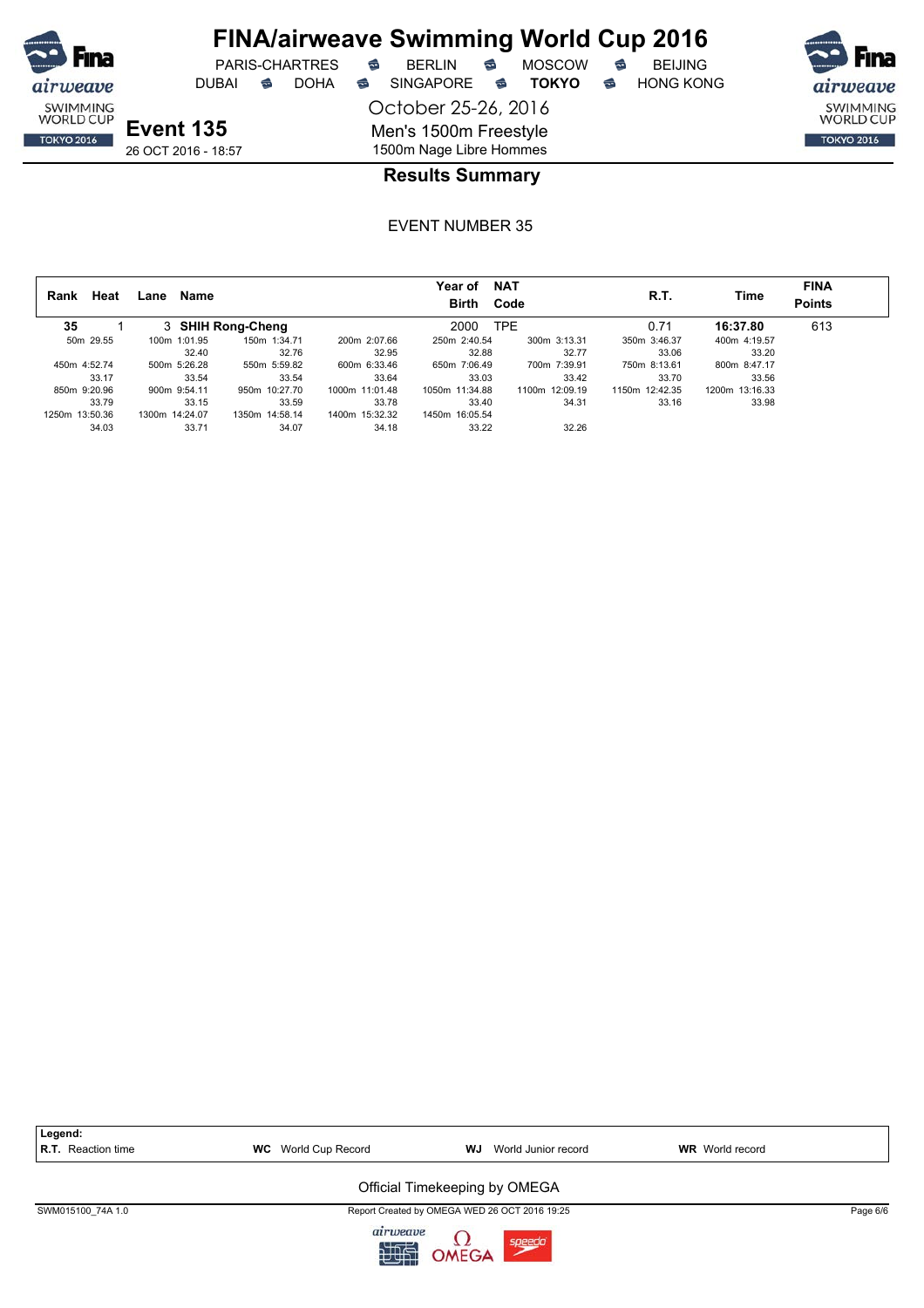

## **FINA/airweave Swimming World Cup 2016**

DUBAI **S** DOHA SINGAPORE S **TOKYO** S HONG KONG

PARIS-CHARTRES **B** BERLIN **B** MOSCOW **B** BEIJING

SWIMMING<br>WORLD CUP **TOKYO 2016** 

**Event 135**

26 OCT 2016 - 18:57

October 25-26, 2016 Men's 1500m Freestyle 1500m Nage Libre Hommes

### **Results Summary**

| Heat<br>Rank   | .ane           | Name              |                | Year of<br><b>Birth</b> | <b>NAT</b><br>Code | R.T.           | Time           | <b>FINA</b><br><b>Points</b> |
|----------------|----------------|-------------------|----------------|-------------------------|--------------------|----------------|----------------|------------------------------|
| 35             |                | 3 SHIH Rong-Cheng |                | 2000                    | TPE.               | 0.71           | 16:37.80       | 613                          |
| 50m 29.55      | 100m 1:01.95   | 150m 1:34.71      | 200m 2:07.66   | 250m 2:40.54            | 300m 3:13.31       | 350m 3:46.37   | 400m 4:19.57   |                              |
|                |                | 32.76<br>32.40    | 32.95          | 32.88                   | 32.77              | 33.06          | 33.20          |                              |
| 450m 4:52.74   | 500m 5:26.28   | 550m 5:59.82      | 600m 6:33.46   | 650m 7:06.49            | 700m 7:39.91       | 750m 8:13.61   | 800m 8:47.17   |                              |
| 33.17          | 33.54          | 33.54             | 33.64          | 33.03                   | 33.42              | 33.70          | 33.56          |                              |
| 850m 9:20.96   | 900m 9:54.11   | 950m 10:27.70     | 1000m 11:01.48 | 1050m 11:34.88          | 1100m 12:09.19     | 1150m 12:42.35 | 1200m 13:16.33 |                              |
| 33.79          | 33.15          | 33.59             | 33.78          | 33.40                   | 34.31              | 33.16          | 33.98          |                              |
| 1250m 13:50.36 | 1300m 14:24.07 | 1350m 14:58.14    | 1400m 15:32.32 | 1450m 16:05.54          |                    |                |                |                              |
| 34.03          |                | 33.71<br>34.07    | 34.18          | 33.22                   | 32.26              |                |                |                              |

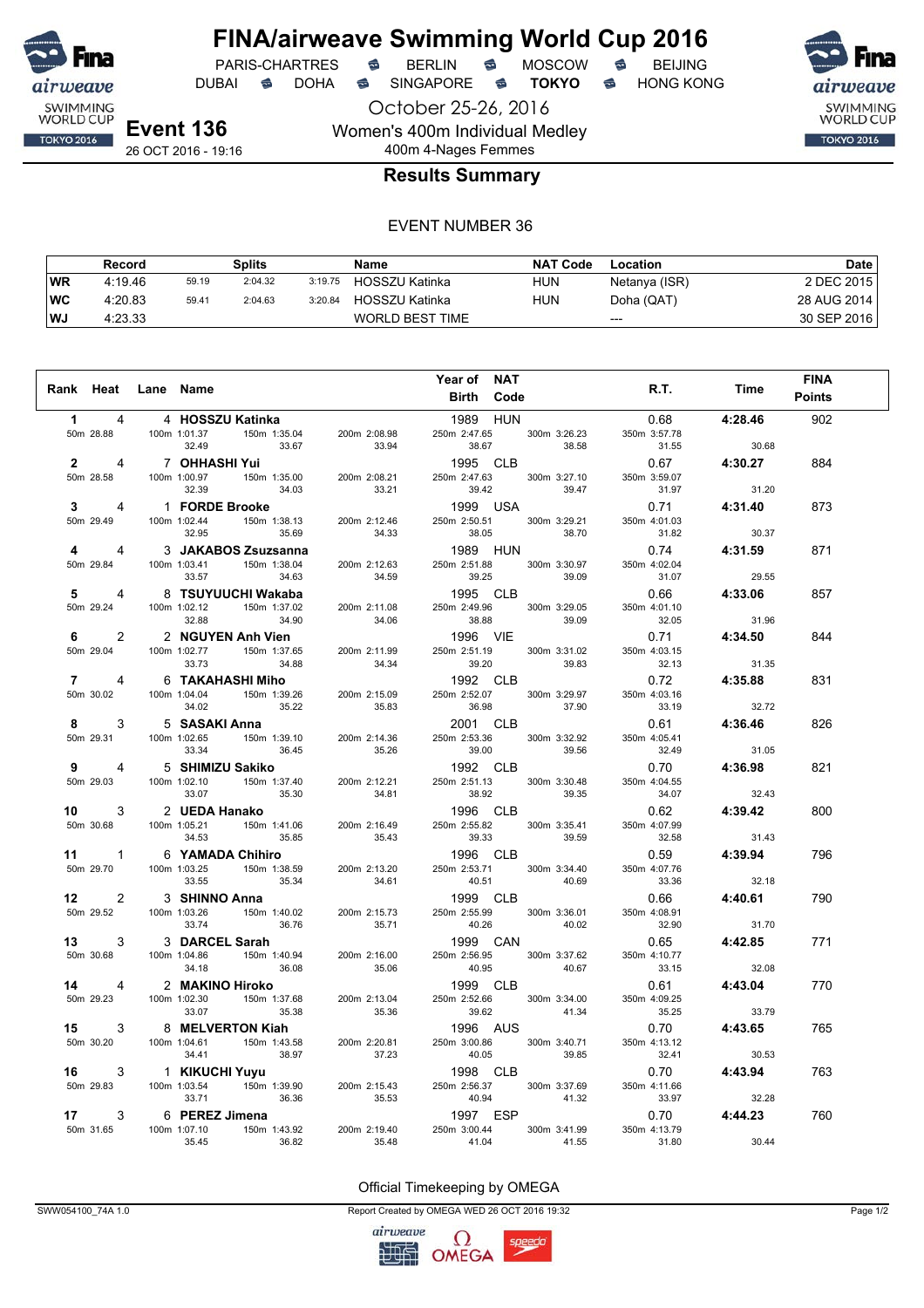

**FINA/airweave Swimming World Cup 2016**<br>PARIS-CHARTRES **& BERLIN & MOSCOW & BEIJING** PARIS-CHARTRES **S** BERLIN S MOSCOW S

October 25-26, 2016 DUBAI **S** DOHA S SINGAPORE S **TOKYO** S HONG KONG

SWIMMING<br>WORLD CUP **TOKYO 2016** 

26 OCT 2016 - 19:16

### 400m 4-Nages Femmes **Results Summary**

Women's 400m Individual Medley

#### EVENT NUMBER 36

|           | Record  |       | Splits  |         | Name                   | <b>NAT Code</b> | Location      | Date        |
|-----------|---------|-------|---------|---------|------------------------|-----------------|---------------|-------------|
| WR        | 4:19.46 | 59.19 | 2:04.32 | 3:19.75 | HOSSZU Katinka         | HUN             | Netanya (ISR) | 2 DEC 2015  |
| <b>WC</b> | 4:20.83 | 59.41 | 2:04.63 | 3:20.84 | HOSSZU Katinka         | <b>HUN</b>      | Doha (QAT)    | 28 AUG 2014 |
| l WJ      | 4:23.33 |       |         |         | <b>WORLD BEST TIME</b> |                 | $---$         | 30 SEP 2016 |

| Rank Heat Lane Name     |                |                                                                                                |                                                                                                                                    | Year of NAT<br><b>Birth Code</b>                                                                                                          |              | R.T.                  | Time                      | <b>FINA</b><br><b>Points</b> |
|-------------------------|----------------|------------------------------------------------------------------------------------------------|------------------------------------------------------------------------------------------------------------------------------------|-------------------------------------------------------------------------------------------------------------------------------------------|--------------|-----------------------|---------------------------|------------------------------|
| $1 \quad \blacksquare$  | 4              | 4 HOSSZU Katinka                                                                               |                                                                                                                                    |                                                                                                                                           |              |                       | 0.68 4:28.46              | 902                          |
|                         | 50m 28.88      |                                                                                                | 200m 2:08.98                                                                                                                       | $\begin{array}{ c c c }\n\hline\n & 1989 & HUN \\ \hline\n250m & 2:47.65 & 300m & 3:26.23 \\ \hline\n & 30 & 38.58\n\end{array}$<br>38.67 | 38.58        | 350m 3:57.78<br>31.55 | 30.68                     |                              |
|                         |                |                                                                                                | 2<br>2<br>50m 28.58<br>4 100m 1:00.97<br>50m 1:35.00<br>200m 2:08.21<br>23.31                                                      | 1995 CLB                                                                                                                                  |              |                       | $0.67$ 4:30.27            | 884                          |
|                         | 50m 28.58      |                                                                                                |                                                                                                                                    | 250m 2:47.63 300m 3:27.10                                                                                                                 |              | 350m 3:59.07          |                           |                              |
|                         |                | 34.03<br>32.39                                                                                 | 33.21                                                                                                                              | 39.42                                                                                                                                     | 39.47        | 31.97                 | 31.20                     |                              |
| $3^{\circ}$             |                |                                                                                                | 1 1 FORDE Brooke<br>100m 1:02.44 150m 1:38.13 200m 2:12.46                                                                         | 1999 USA<br>1999 USA<br>250m 2:50.51 300m 3:29.21                                                                                         |              | 0.71 4:31.40          |                           | 873                          |
|                         | 50m 29.49      | 32.95<br>35.69                                                                                 | 34.33                                                                                                                              | 38.05 38.70                                                                                                                               |              | 350m 4:01.03<br>31.82 | 30.37                     |                              |
| $\overline{\mathbf{4}}$ | 4              | 3 JAKABOS Zsuzsanna                                                                            |                                                                                                                                    | 1989 HUN                                                                                                                                  |              |                       | 0.74 4:31.59              | 871                          |
| 50m 29.84               |                | 100m 1:03.41  150m 1:38.04<br>34.63<br>33.57                                                   | 200m 2:12.63<br>34.59                                                                                                              | 250m 2:51.88 300m 3:30.97<br>39.25 39.09                                                                                                  |              | 350m 4:02.04<br>31.07 | 29.55                     |                              |
| 5                       | 4              |                                                                                                |                                                                                                                                    | 1995 CLB                                                                                                                                  |              |                       | 0.66 4:33.06              |                              |
| 50m 29.24               |                |                                                                                                | 8 TSUYUUCHI Wakaba<br>100m 1:02.12 150m 1:37.02 200m 2:11.08                                                                       | 250m 2:49.96 300m 3:29.05                                                                                                                 |              | 350m 4:01.10          |                           | 857                          |
|                         |                | 32.88<br>34.90                                                                                 | 34.06                                                                                                                              |                                                                                                                                           |              | 32.05                 | 31.96                     |                              |
| $6 \qquad \qquad$       | $\overline{2}$ | 2 NGUYEN Anh Vien                                                                              |                                                                                                                                    |                                                                                                                                           |              |                       | $0.71$ 4:34.50            | 844                          |
|                         | 50m 29.04      | $100m$ 1:02.77 150m 1:37.65                                                                    |                                                                                                                                    | 200m 2:11.99 250m 2:51.19                                                                                                                 | 300m 3:31.02 | 350m 4:03.15          |                           |                              |
|                         |                | 33.73 34.88                                                                                    | 34.34                                                                                                                              |                                                                                                                                           |              | 32.13                 | $31.35$<br><b>4:35.88</b> |                              |
| $7 \quad \circ$         | 4              | 6 TAKAHASHI Miho                                                                               |                                                                                                                                    |                                                                                                                                           |              | 0.72                  |                           | 831                          |
|                         | 50m 30.02      | 100m 1:04.04 150m 1:39.26<br>34.02 35.22                                                       | 200m 2:15.09                                                                                                                       | 250m 2:52.07 300m 3:29.97                                                                                                                 |              | 350m 4:03.16          |                           |                              |
|                         |                | 5 SASAKI Anna                                                                                  | 35.83                                                                                                                              | $36.98$ $37.90$                                                                                                                           |              | $33.19$ $32.72$       |                           |                              |
| 8                       | 3<br>50m 29.31 |                                                                                                | 200m 2:14.36                                                                                                                       | 2001 CLB<br>250m 2:53.36 300m 3:32.92                                                                                                     |              | 0.61<br>350m 4:05.41  | 4:36.46                   | 826                          |
|                         |                | 5 <b>SASAKI Anna</b><br>100m 1:02.65   150m 1:39.10<br>33.34   36.45<br>$33.34$ $36.45$        | 35.26                                                                                                                              | 39.00 39.56                                                                                                                               |              | $32.49$ 31.05         |                           |                              |
| 9 - 10                  | $\overline{4}$ |                                                                                                |                                                                                                                                    | 1992 CLB                                                                                                                                  |              | 0.70                  | 4:36.98                   | 821                          |
|                         | 50m 29.03      | 35.30<br>33.07                                                                                 | 5 SHIMIZU Sakiko<br>100m 1:02.10 150m 1:37.40 200m 2:12.21<br>34.81                                                                | 250m 2:51.13 300m 3:30.48<br>38.92                                                                                                        | 39.35        | 350m 4:04.55<br>34.07 | 32.43                     |                              |
| 10                      |                | 3 2 <b>UEDA Hanako</b><br>100m 1:05.21 150m 1:41.06                                            |                                                                                                                                    | 1996 CLB                                                                                                                                  |              | $0.62$ $4:39.42$      |                           | 800                          |
|                         | 50m 30.68      |                                                                                                | 200m 2:16.49                                                                                                                       | $250m$ 2:55.82 300m 3:35.41                                                                                                               |              | 350m 4:07.99          |                           |                              |
|                         |                | 35.85<br>34.53                                                                                 | 35.43                                                                                                                              | 39.33                                                                                                                                     | 39.59        | 32.58                 | 31.43                     |                              |
|                         |                | 11 1 6 YAMADA Chihiro                                                                          |                                                                                                                                    | 1996 CLB                                                                                                                                  |              | $0.59$ $4:39.94$      |                           | 796                          |
|                         | 50m 29.70      |                                                                                                | 6 YAMADA Chihiro<br>100m 1:03.25 150m 1:38.59 200m 2:13.20<br>33.55 35.34 34.61<br>200m 2:13.20<br>34.61                           | 250m 2:53.71 300m 3:34.40<br>40.51                                                                                                        | 40.69        | 350m 4:07.76<br>33.36 | 32.18                     |                              |
| 12                      |                | 2 3 SHINNO Anna                                                                                |                                                                                                                                    | 1999 CLB                                                                                                                                  |              | 0.66                  | 4:40.61                   | 790                          |
|                         | 50m 29.52      | 3 <b>SHINNO Anna</b><br>100m 1:03.26 150m 1:40.02                                              | 200m 2:15.73                                                                                                                       | 250m 2:55.99 300m 3:36.01                                                                                                                 |              | 350m 4:08.91          |                           |                              |
|                         |                | 36.76<br>33.74                                                                                 | 35.71                                                                                                                              |                                                                                                                                           |              |                       | 31.70                     |                              |
| 13                      |                | 3 3 DARCEL Sarah                                                                               | 33.74<br>3 DARCEL Sarah<br>100m 1:04.86<br>150m 1:40.94<br>36.08<br>200m 2:16.00<br>35.06<br>36.08<br>36.08                        | 40.26 40.02<br>1999 CAN                                                                                                                   |              | $32.90$<br>$0.65$     | 4:42.85                   | 771                          |
|                         | 50m 30.68      |                                                                                                | 200m 2:16.00                                                                                                                       | 250m 2:56.95 300m 3:37.62                                                                                                                 |              | 350m 4:10.77          |                           |                              |
|                         |                |                                                                                                |                                                                                                                                    |                                                                                                                                           |              | 33.15                 | 32.08                     |                              |
|                         |                |                                                                                                |                                                                                                                                    |                                                                                                                                           |              | 0.61                  | 4:43.04                   | 770                          |
|                         |                |                                                                                                | 50m 30.00<br>34.18<br><b>14</b> 4 2 <b>MAKINO Hiroko</b><br>50m 29.23<br>100m 1:02.30<br>33.07<br>35.38<br>35.38<br>35.36<br>35.36 | 250m 2:52.66 300m 3:34.00<br>$39.62$ $41.34$                                                                                              |              | 350m 4:09.25<br>35.25 | 33.79                     |                              |
|                         |                |                                                                                                |                                                                                                                                    | 1996 AUS                                                                                                                                  |              | $0.70$ 4:43.65        |                           | 765                          |
|                         | 50m 30.20      |                                                                                                | 3 8 <b>MELVERTON Kiah</b><br>100m 1:04.61 150m 1:43.58 200m 2:20.81<br>34.41 38.97 37.23                                           | 250m 3:00.86 300m 3:40.71<br>40.05                                                                                                        | 39.85        | 350m 4:13.12<br>32.41 | 30.53                     |                              |
|                         |                |                                                                                                |                                                                                                                                    | 1998 CLB                                                                                                                                  |              | $0.70$ 4:43.94        |                           | 763                          |
|                         |                |                                                                                                | 16 3 1 KIKUCHI Yuyu<br>50m 29.83 100m 1:03.54 150m 1:39.90 200m 2:15.43                                                            | 250m 2:56.37                                                                                                                              | 300m 3:37.69 | 350m 4:11.66          |                           |                              |
|                         |                | 36.36<br>33.71                                                                                 | 35.53                                                                                                                              | 40.94 41.32                                                                                                                               |              | 33.97                 | 32.28                     |                              |
| 17                      | 3              | 6 PEREZ Jimena                                                                                 |                                                                                                                                    | 1997 ESP                                                                                                                                  |              |                       | 0.70 4:44.23              | 760                          |
| 50m 31.65               |                | $\frac{100 \text{ m}}{1.07 \cdot 10}$ Juliet 14<br>100m 1:07.10 150m 1:43.92<br>36.82<br>35.45 | 200m 2:19.40<br>35.48                                                                                                              | 250m 3:00.44 300m 3:41.99<br>41.04                                                                                                        | 41.55        | 350m 4:13.79<br>31.80 | 30.44                     |                              |

Official Timekeeping by OMEGA

SWW054100\_74A 1.0 Page 1/2

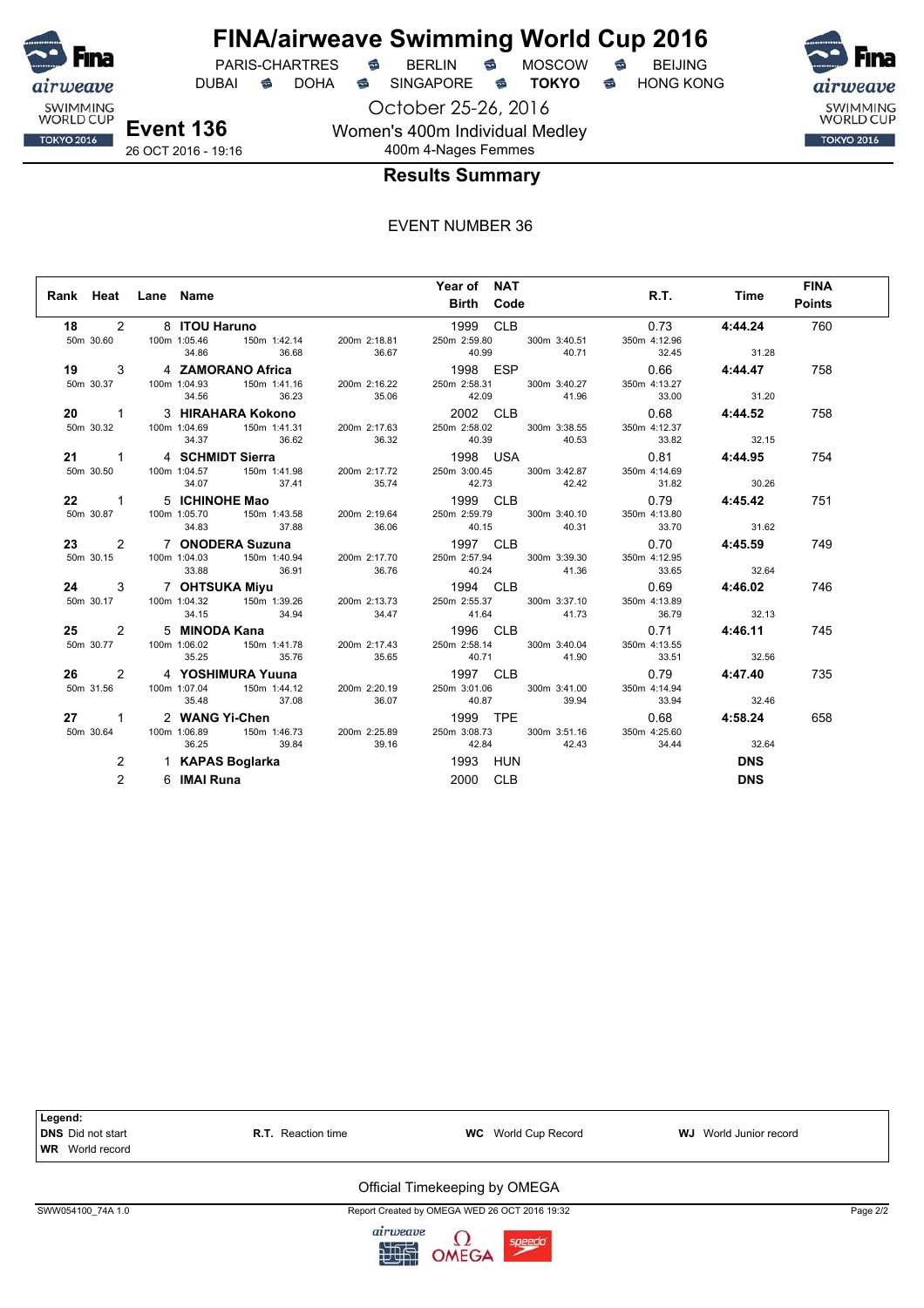

DUBAI **S** DOHA SINGAPORE S **TOKYO** S HONG KONG

**Event 136** 26 OCT 2016 - 19:16

October 25-26, 2016 Women's 400m Individual Medley 400m 4-Nages Femmes



### **Results Summary**

#### EVENT NUMBER 36

| Rank Heat Lane Name |                |             |                         |       | Year of NAT<br><b>Birth Code</b> |                                                                                                                                                                                                                                        |                | R.T. Time      | <b>FINA</b><br><b>Points</b> |
|---------------------|----------------|-------------|-------------------------|-------|----------------------------------|----------------------------------------------------------------------------------------------------------------------------------------------------------------------------------------------------------------------------------------|----------------|----------------|------------------------------|
|                     |                |             | 18 2 8 ITOU Haruno      |       | 1999 CLB                         |                                                                                                                                                                                                                                        |                | $0.73$ 4:44.24 | 760                          |
|                     |                |             |                         |       |                                  |                                                                                                                                                                                                                                        | 350m 4:12.96   |                |                              |
|                     |                |             | 34.86 36.68 36.67       |       |                                  | 40.99 40.71                                                                                                                                                                                                                            | 32.45 31.28    |                |                              |
|                     |                |             |                         |       |                                  | 19 3 4 ZAMORANO Africa 1998 ESP 0.66<br>50m 30.37 100m 1:04.93 150m 1:41.16 200m 2:16.22 250m 2:58.31 300m 3:40.27 350m 4:13.27                                                                                                        | 0.66 4:44.47   |                | 758                          |
|                     |                |             |                         |       |                                  |                                                                                                                                                                                                                                        |                |                |                              |
|                     |                |             | 34.56 36.23             |       |                                  | 35.06 42.09 41.96 33.00 31.20                                                                                                                                                                                                          |                |                |                              |
|                     |                |             |                         |       |                                  | 20 1 3 HIRAHARA Kokono 2002 CLB                                                                                                                                                                                                        |                | 0.68 4:44.52   | 758                          |
|                     |                |             |                         |       |                                  |                                                                                                                                                                                                                                        | 350m 4:12.37   |                |                              |
|                     |                |             |                         |       |                                  | 34.37 36.62 36.32 40.39 40.53 33.82 32.15                                                                                                                                                                                              |                |                |                              |
|                     |                |             | 21 1 4 SCHMIDT Sierra   |       |                                  | 21 1 4 SCHMIDT Sierra<br>50m 30.50 100m 1:04.57 150m 1:41.98 200m 2:17.72 250m 3:00.45 300m 3:42.87<br>34.07 37.44 35.74 35.74 35.74                                                                                                   | 0.81 4:44.95   |                | 754                          |
|                     |                |             |                         |       |                                  |                                                                                                                                                                                                                                        | 350m 4:14.69   |                |                              |
|                     |                |             | $34.07$ $37.41$ $35.74$ |       |                                  | 42.73 42.42                                                                                                                                                                                                                            | 31.82          | 30.26          |                              |
|                     |                |             |                         |       |                                  | 22 1 5 ICHINOHE Mao 1999 CLB 0.79 4:45.42<br>50m 30.87 100m 1:05.70 150m 1:43.58 200m 2:19.64 250m 2:59.79 300m 3:40.10 350m 4:13.80                                                                                                   |                |                | 751                          |
|                     |                |             |                         |       |                                  |                                                                                                                                                                                                                                        |                |                |                              |
|                     |                |             |                         |       |                                  | 34.83 37.88 36.06 40.15 40.31 33.70 31.62                                                                                                                                                                                              |                |                |                              |
|                     |                |             |                         |       |                                  | 23 2 7 ONODERA Suzuna 1997 CLB                                                                                                                                                                                                         | $0.70$ 4:45.59 |                | 749                          |
|                     |                |             |                         |       |                                  |                                                                                                                                                                                                                                        |                |                |                              |
|                     |                |             |                         |       |                                  |                                                                                                                                                                                                                                        |                |                |                              |
|                     |                |             |                         |       |                                  | 23 2 7 UNUDERA SUZURA<br>50m 30.15 100m 1:04.03 150m 1:40.94 200m 2:17.70 250m 2:57.94 300m 3:39.30 350m 4:12.95<br>33.88 36.91 36.76 40.24 41.36 33.65 32.64<br>24 3 7 OHTSUKA Miyu 1994 CLB 0.69 4:46.02<br>50m 30.17 100m 1:04.32 1 |                |                | 746                          |
|                     |                |             |                         |       |                                  |                                                                                                                                                                                                                                        |                |                |                              |
|                     |                | 34.15       |                         |       |                                  | 34.94 34.47 41.64 41.73 36.79 32.13                                                                                                                                                                                                    |                |                |                              |
|                     |                |             |                         |       |                                  | 25 25 25 MINODA Kana 200m 2:17.43 1996 CLB 200m 3:40.04 350m 4:13.55 200m 3:40.04 100m 1:06.02 150m 1:41.78 200m 2:17.43 250m 2:58.14 300m 3:40.04 350m 4:13.55                                                                        |                | $0.71$ 4:46.11 | 745                          |
|                     |                |             |                         |       |                                  |                                                                                                                                                                                                                                        |                |                |                              |
|                     |                | 35.25       | 35.76 35.65             |       |                                  | 40.71 41.90                                                                                                                                                                                                                            | 33.51          | 32.56          |                              |
|                     |                |             |                         |       |                                  | 26 2 4 YOSHIMURA Yuuna 1997 CLB<br>50m 31.56 100m 1:07.04 150m 1:44.12 200m 2:20.19 250m 3:01.06 300m 3:41.00                                                                                                                          |                | 0.79 4:47.40   | 735                          |
|                     |                |             |                         |       |                                  |                                                                                                                                                                                                                                        | 350m 4:14.94   |                |                              |
|                     |                |             | 35.48 37.08             | 36.07 |                                  | 40.87 39.94                                                                                                                                                                                                                            | 33.94 32.46    |                |                              |
|                     |                |             | 27 1 2 WANG Yi-Chen     |       |                                  |                                                                                                                                                                                                                                        |                | 0.68 4:58.24   | 658                          |
|                     |                |             |                         |       |                                  | 50m 30.64   100m 1:06.89   150m 1:46.73   200m 2:25.89   250m 3:08.73   300m 3:51.16   350m 4:25.60                                                                                                                                    |                |                |                              |
|                     |                |             | 36.25 39.84             |       |                                  | 39.16 42.84 42.43 34.44 32.64                                                                                                                                                                                                          |                |                |                              |
|                     | $\overline{2}$ |             | 1 KAPAS Boglarka        |       | 1993 HUN                         |                                                                                                                                                                                                                                        |                | <b>DNS</b>     |                              |
|                     | $\overline{2}$ | 6 IMAI Runa |                         |       | 2000 CLB                         |                                                                                                                                                                                                                                        |                | <b>DNS</b>     |                              |



SWW054100\_74A 1.0 Report Created by OMEGA WED 26 OCT 2016 19:32 Page 2/2

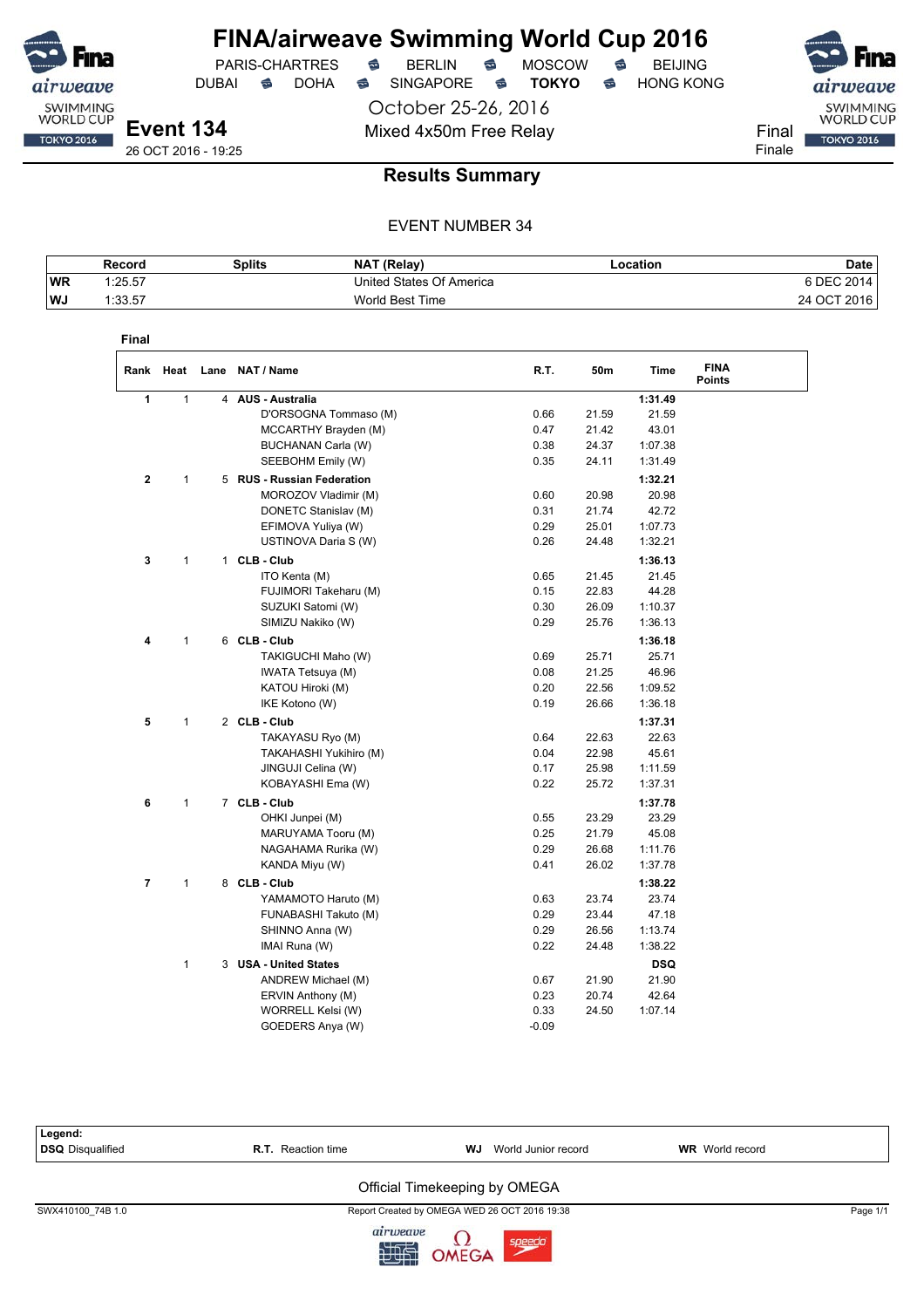

PARIS-CHARTRES **S** BERLIN S MOSCOW S<br>JBAI S DOHA S SINGAPORE S **TOKYO** S DUBAI **S** DOHA S SINGAPORE S TOKYO S HONG KONG

October 25-26, 2016 Mixed 4x50m Free Relay Final

airweave SWIMMING<br>WORLD CUP **TOKYO 2016** Finale

**Event 134** 26 OCT 2016 - 19:25

**Results Summary**

|            | Record  | Splits | <b>NAT (Relav)</b>       | Location | Date        |
|------------|---------|--------|--------------------------|----------|-------------|
| <b>IWR</b> | 1:25.57 |        | United States Of America |          | 6 DEC 2014  |
| ∣WJ        | 1:33.57 |        | World Best Time          |          | 24 OCT 2016 |

|                |              | Rank Heat Lane NAT/Name    | R.T. | 50m   | <b>Time</b> | <b>FINA</b><br><b>Points</b> |
|----------------|--------------|----------------------------|------|-------|-------------|------------------------------|
| $\mathbf{1}$   | $\mathbf{1}$ | 4 AUS - Australia          |      |       | 1:31.49     |                              |
|                |              | D'ORSOGNA Tommaso (M)      | 0.66 | 21.59 | 21.59       |                              |
|                |              | MCCARTHY Brayden (M)       | 0.47 | 21.42 | 43.01       |                              |
|                |              | BUCHANAN Carla (W)         | 0.38 | 24.37 | 1:07.38     |                              |
|                |              | SEEBOHM Emily (W)          | 0.35 | 24.11 | 1:31.49     |                              |
| $\mathbf 2$    | $\mathbf{1}$ | 5 RUS - Russian Federation |      |       | 1:32.21     |                              |
|                |              | MOROZOV Vladimir (M)       | 0.60 | 20.98 | 20.98       |                              |
|                |              | DONETC Stanislav (M)       | 0.31 | 21.74 | 42.72       |                              |
|                |              | EFIMOVA Yuliya (W)         | 0.29 | 25.01 | 1:07.73     |                              |
|                |              | USTINOVA Daria S (W)       | 0.26 | 24.48 | 1:32.21     |                              |
| 3              | 1            | 1 CLB - Club               |      |       | 1:36.13     |                              |
|                |              | ITO Kenta (M)              | 0.65 | 21.45 | 21.45       |                              |
|                |              | FUJIMORI Takeharu (M)      | 0.15 | 22.83 | 44.28       |                              |
|                |              | SUZUKI Satomi (W)          | 0.30 | 26.09 | 1:10.37     |                              |
|                |              | SIMIZU Nakiko (W)          | 0.29 | 25.76 | 1:36.13     |                              |
| 4              | $\mathbf{1}$ | 6 CLB - Club               |      |       | 1:36.18     |                              |
|                |              | TAKIGUCHI Maho (W)         | 0.69 | 25.71 | 25.71       |                              |
|                |              | IWATA Tetsuya (M)          | 0.08 | 21.25 | 46.96       |                              |
|                |              | KATOU Hiroki (M)           | 0.20 | 22.56 | 1:09.52     |                              |
|                |              | IKE Kotono (W)             | 0.19 | 26.66 | 1:36.18     |                              |
| 5              | 1            | 2 CLB - Club               |      |       | 1:37.31     |                              |
|                |              | TAKAYASU Ryo (M)           | 0.64 | 22.63 | 22.63       |                              |
|                |              | TAKAHASHI Yukihiro (M)     | 0.04 | 22.98 | 45.61       |                              |
|                |              | JINGUJI Celina (W)         | 0.17 | 25.98 | 1:11.59     |                              |
|                |              | KOBAYASHI Ema (W)          | 0.22 | 25.72 | 1:37.31     |                              |
| 6              | $\mathbf{1}$ | 7 CLB - Club               |      |       | 1:37.78     |                              |
|                |              | OHKI Junpei (M)            | 0.55 | 23.29 | 23.29       |                              |
|                |              | MARUYAMA Tooru (M)         | 0.25 | 21.79 | 45.08       |                              |
|                |              | NAGAHAMA Rurika (W)        | 0.29 | 26.68 | 1:11.76     |                              |
|                |              | KANDA Miyu (W)             | 0.41 | 26.02 | 1:37.78     |                              |
| $\overline{7}$ | $\mathbf{1}$ | 8 CLB - Club               |      |       | 1:38.22     |                              |
|                |              | YAMAMOTO Haruto (M)        | 0.63 | 23.74 | 23.74       |                              |
|                |              | FUNABASHI Takuto (M)       | 0.29 | 23.44 | 47.18       |                              |
|                |              | SHINNO Anna (W)            | 0.29 | 26.56 | 1:13.74     |                              |
|                |              | IMAI Runa (W)              | 0.22 | 24.48 | 1:38.22     |                              |
|                | $\mathbf{1}$ | 3 USA - United States      |      |       | <b>DSQ</b>  |                              |
|                |              | ANDREW Michael (M)         | 0.67 | 21.90 | 21.90       |                              |
|                |              | ERVIN Anthony (M)          | 0.23 | 20.74 | 42.64       |                              |
|                |              | WORRELL Kelsi (W)          | 0.33 | 24.50 | 1:07.14     |                              |
|                |              |                            |      |       |             |                              |

| Legend:<br><b>DSQ</b> Disqualified | <b>R.T.</b> Reaction time | <b>WJ</b> World Junior record                 | <b>WR</b> World record |          |
|------------------------------------|---------------------------|-----------------------------------------------|------------------------|----------|
|                                    |                           | Official Timekeeping by OMEGA                 |                        |          |
| SWX410100 74B 1.0                  |                           | Report Created by OMEGA WED 26 OCT 2016 19:38 |                        | Page 1/1 |
|                                    | airweave                  |                                               |                        |          |

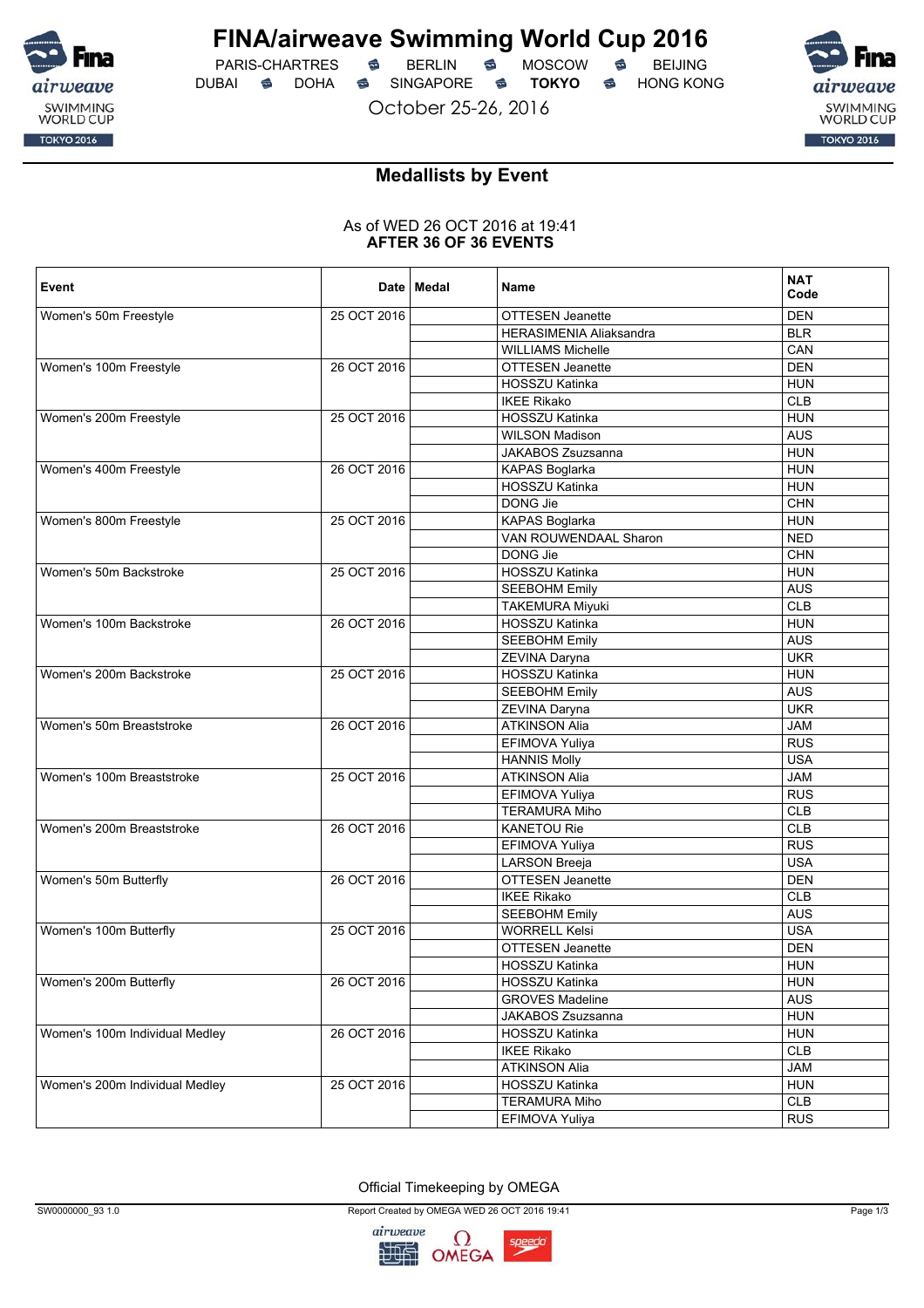

PARIS-CHARTRES **S** BERLIN S MOSCOW S DUBAI **S** DOHA S SINGAPORE S TOKYO S HONG KONG

October 25-26, 2016



## **Medallists by Event**

#### As of WED 26 OCT 2016 at 19:41 **AFTER 36 OF 36 EVENTS**

| Event                          |             | Date   Medal | Name                           | <b>NAT</b><br>Code |
|--------------------------------|-------------|--------------|--------------------------------|--------------------|
| Women's 50m Freestyle          | 25 OCT 2016 |              | <b>OTTESEN Jeanette</b>        | <b>DEN</b>         |
|                                |             |              | <b>HERASIMENIA Aliaksandra</b> | <b>BLR</b>         |
|                                |             |              | <b>WILLIAMS Michelle</b>       | CAN                |
| Women's 100m Freestyle         | 26 OCT 2016 |              | OTTESEN Jeanette               | <b>DEN</b>         |
|                                |             |              | HOSSZU Katinka                 | <b>HUN</b>         |
|                                |             |              | <b>IKEE Rikako</b>             | <b>CLB</b>         |
| Women's 200m Freestyle         | 25 OCT 2016 |              | HOSSZU Katinka                 | <b>HUN</b>         |
|                                |             |              | <b>WILSON Madison</b>          | <b>AUS</b>         |
|                                |             |              | JAKABOS Zsuzsanna              | <b>HUN</b>         |
| Women's 400m Freestyle         | 26 OCT 2016 |              | KAPAS Boglarka                 | <b>HUN</b>         |
|                                |             |              | HOSSZU Katinka                 | <b>HUN</b>         |
|                                |             |              | DONG Jie                       | <b>CHN</b>         |
| Women's 800m Freestyle         | 25 OCT 2016 |              | KAPAS Boglarka                 | <b>HUN</b>         |
|                                |             |              | VAN ROUWENDAAL Sharon          | <b>NED</b>         |
|                                |             |              | DONG Jie                       | <b>CHN</b>         |
| Women's 50m Backstroke         | 25 OCT 2016 |              | HOSSZU Katinka                 | <b>HUN</b>         |
|                                |             |              | <b>SEEBOHM Emily</b>           | <b>AUS</b>         |
|                                |             |              | <b>TAKEMURA Miyuki</b>         | <b>CLB</b>         |
| Women's 100m Backstroke        | 26 OCT 2016 |              | HOSSZU Katinka                 | <b>HUN</b>         |
|                                |             |              | <b>SEEBOHM Emily</b>           | <b>AUS</b>         |
|                                |             |              | ZEVINA Daryna                  | <b>UKR</b>         |
| Women's 200m Backstroke        | 25 OCT 2016 |              | HOSSZU Katinka                 | <b>HUN</b>         |
|                                |             |              | <b>SEEBOHM Emily</b>           | <b>AUS</b>         |
|                                |             |              | ZEVINA Daryna                  | <b>UKR</b>         |
| Women's 50m Breaststroke       | 26 OCT 2016 |              | <b>ATKINSON Alia</b>           | <b>JAM</b>         |
|                                |             |              | EFIMOVA Yuliya                 | <b>RUS</b>         |
|                                |             |              | <b>HANNIS Molly</b>            | <b>USA</b>         |
| Women's 100m Breaststroke      | 25 OCT 2016 |              | <b>ATKINSON Alia</b>           | <b>JAM</b>         |
|                                |             |              | EFIMOVA Yuliya                 | <b>RUS</b>         |
|                                |             |              | <b>TERAMURA Miho</b>           | <b>CLB</b>         |
| Women's 200m Breaststroke      | 26 OCT 2016 |              | <b>KANETOU Rie</b>             | <b>CLB</b>         |
|                                |             |              | EFIMOVA Yuliya                 | <b>RUS</b>         |
|                                |             |              | <b>LARSON Breeja</b>           | <b>USA</b>         |
| Women's 50m Butterfly          | 26 OCT 2016 |              | OTTESEN Jeanette               | <b>DEN</b>         |
|                                |             |              | <b>IKEE Rikako</b>             | CLB                |
|                                |             |              | <b>SEEBOHM Emily</b>           | <b>AUS</b>         |
| Women's 100m Butterfly         | 25 OCT 2016 |              | <b>WORRELL Kelsi</b>           | <b>USA</b>         |
|                                |             |              | <b>OTTESEN Jeanette</b>        | <b>DEN</b>         |
|                                |             |              | HOSSZU Katinka                 | <b>HUN</b>         |
| Women's 200m Butterfly         | 26 OCT 2016 |              | HOSSZU Katinka                 | <b>HUN</b>         |
|                                |             |              | <b>GROVES Madeline</b>         | <b>AUS</b>         |
|                                |             |              | JAKABOS Zsuzsanna              | <b>HUN</b>         |
| Women's 100m Individual Medley | 26 OCT 2016 |              | HOSSZU Katinka                 | <b>HUN</b>         |
|                                |             |              | <b>IKEE Rikako</b>             | CLB                |
|                                |             |              | <b>ATKINSON Alia</b>           | <b>JAM</b>         |
| Women's 200m Individual Medley | 25 OCT 2016 |              | HOSSZU Katinka                 | <b>HUN</b>         |
|                                |             |              | <b>TERAMURA Miho</b>           | CLB                |
|                                |             |              | EFIMOVA Yuliya                 | <b>RUS</b>         |

Official Timekeeping by OMEGA

SW0000000\_93 1.0 Page 1/3

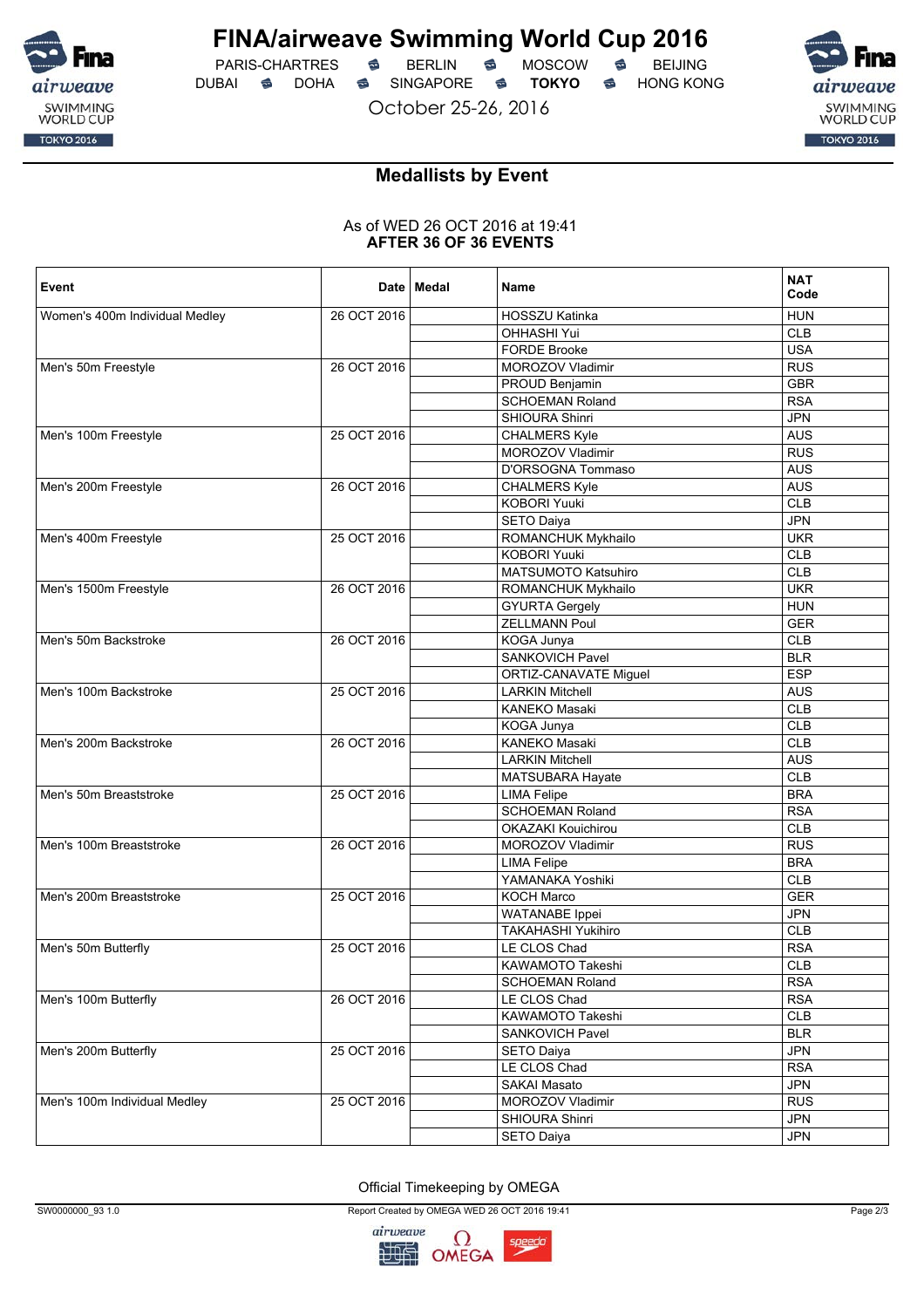

 $PARIS-CHARTRES$  **BERLIN B** MOSCOW **B** DUBAI **S** DOHA S SINGAPORE S TOKYO S HONG KONG

October 25-26, 2016



## **Medallists by Event**

#### As of WED 26 OCT 2016 at 19:41 **AFTER 36 OF 36 EVENTS**

| Event                          |             | Date   Medal | Name                         | <b>NAT</b><br>Code |
|--------------------------------|-------------|--------------|------------------------------|--------------------|
| Women's 400m Individual Medley | 26 OCT 2016 |              | HOSSZU Katinka               | <b>HUN</b>         |
|                                |             |              | <b>OHHASHI Yui</b>           | <b>CLB</b>         |
|                                |             |              | <b>FORDE Brooke</b>          | <b>USA</b>         |
| Men's 50m Freestyle            | 26 OCT 2016 |              | <b>MOROZOV Vladimir</b>      | <b>RUS</b>         |
|                                |             |              | PROUD Benjamin               | <b>GBR</b>         |
|                                |             |              | <b>SCHOEMAN Roland</b>       | <b>RSA</b>         |
|                                |             |              | SHIOURA Shinri               | <b>JPN</b>         |
| Men's 100m Freestyle           | 25 OCT 2016 |              | <b>CHALMERS Kyle</b>         | <b>AUS</b>         |
|                                |             |              | MOROZOV Vladimir             | <b>RUS</b>         |
|                                |             |              | D'ORSOGNA Tommaso            | <b>AUS</b>         |
| Men's 200m Freestyle           | 26 OCT 2016 |              | <b>CHALMERS Kyle</b>         | <b>AUS</b>         |
|                                |             |              | <b>KOBORI Yuuki</b>          | <b>CLB</b>         |
|                                |             |              | <b>SETO Daiya</b>            | <b>JPN</b>         |
| Men's 400m Freestyle           | 25 OCT 2016 |              | ROMANCHUK Mykhailo           | <b>UKR</b>         |
|                                |             |              | <b>KOBORI Yuuki</b>          | <b>CLB</b>         |
|                                |             |              | <b>MATSUMOTO Katsuhiro</b>   | <b>CLB</b>         |
| Men's 1500m Freestyle          | 26 OCT 2016 |              | ROMANCHUK Mykhailo           | <b>UKR</b>         |
|                                |             |              | <b>GYURTA Gergely</b>        | <b>HUN</b>         |
|                                |             |              | <b>ZELLMANN Poul</b>         | <b>GER</b>         |
| Men's 50m Backstroke           | 26 OCT 2016 |              | KOGA Junya                   | <b>CLB</b>         |
|                                |             |              | SANKOVICH Pavel              | <b>BLR</b>         |
|                                |             |              | <b>ORTIZ-CANAVATE Miguel</b> | <b>ESP</b>         |
| Men's 100m Backstroke          | 25 OCT 2016 |              | <b>LARKIN Mitchell</b>       | <b>AUS</b>         |
|                                |             |              | <b>KANEKO Masaki</b>         | <b>CLB</b>         |
|                                |             |              | KOGA Junya                   | CLB                |
| Men's 200m Backstroke          | 26 OCT 2016 |              | KANEKO Masaki                | <b>CLB</b>         |
|                                |             |              | <b>LARKIN Mitchell</b>       | <b>AUS</b>         |
|                                |             |              | MATSUBARA Hayate             | <b>CLB</b>         |
| Men's 50m Breaststroke         | 25 OCT 2016 |              | <b>LIMA Felipe</b>           | <b>BRA</b>         |
|                                |             |              | <b>SCHOEMAN Roland</b>       | <b>RSA</b>         |
|                                |             |              | <b>OKAZAKI Kouichirou</b>    | CLB                |
| Men's 100m Breaststroke        | 26 OCT 2016 |              | MOROZOV Vladimir             | <b>RUS</b>         |
|                                |             |              | <b>LIMA Felipe</b>           | <b>BRA</b>         |
|                                |             |              | YAMANAKA Yoshiki             | <b>CLB</b>         |
| Men's 200m Breaststroke        | 25 OCT 2016 |              | <b>KOCH Marco</b>            | <b>GER</b>         |
|                                |             |              | <b>WATANABE</b> Ippei        | <b>JPN</b>         |
|                                |             |              | <b>TAKAHASHI Yukihiro</b>    | <b>CLB</b>         |
| Men's 50m Butterfly            | 25 OCT 2016 |              | LE CLOS Chad                 | <b>RSA</b>         |
|                                |             |              | KAWAMOTO Takeshi             | <b>CLB</b>         |
|                                |             |              | <b>SCHOEMAN Roland</b>       | <b>RSA</b>         |
| Men's 100m Butterfly           | 26 OCT 2016 |              | LE CLOS Chad                 | <b>RSA</b>         |
|                                |             |              | KAWAMOTO Takeshi             | CLB                |
|                                |             |              | SANKOVICH Pavel              | <b>BLR</b>         |
| Men's 200m Butterfly           | 25 OCT 2016 |              | SETO Daiya                   | <b>JPN</b>         |
|                                |             |              |                              |                    |
|                                |             |              | LE CLOS Chad                 | <b>RSA</b>         |
|                                |             |              | SAKAI Masato                 | <b>JPN</b>         |
| Men's 100m Individual Medley   | 25 OCT 2016 |              | MOROZOV Vladimir             | <b>RUS</b>         |
|                                |             |              | SHIOURA Shinri               | JPN                |
|                                |             |              | <b>SETO Daiya</b>            | JPN                |

Official Timekeeping by OMEGA

SW0000000\_93 1.0 Page 2/3

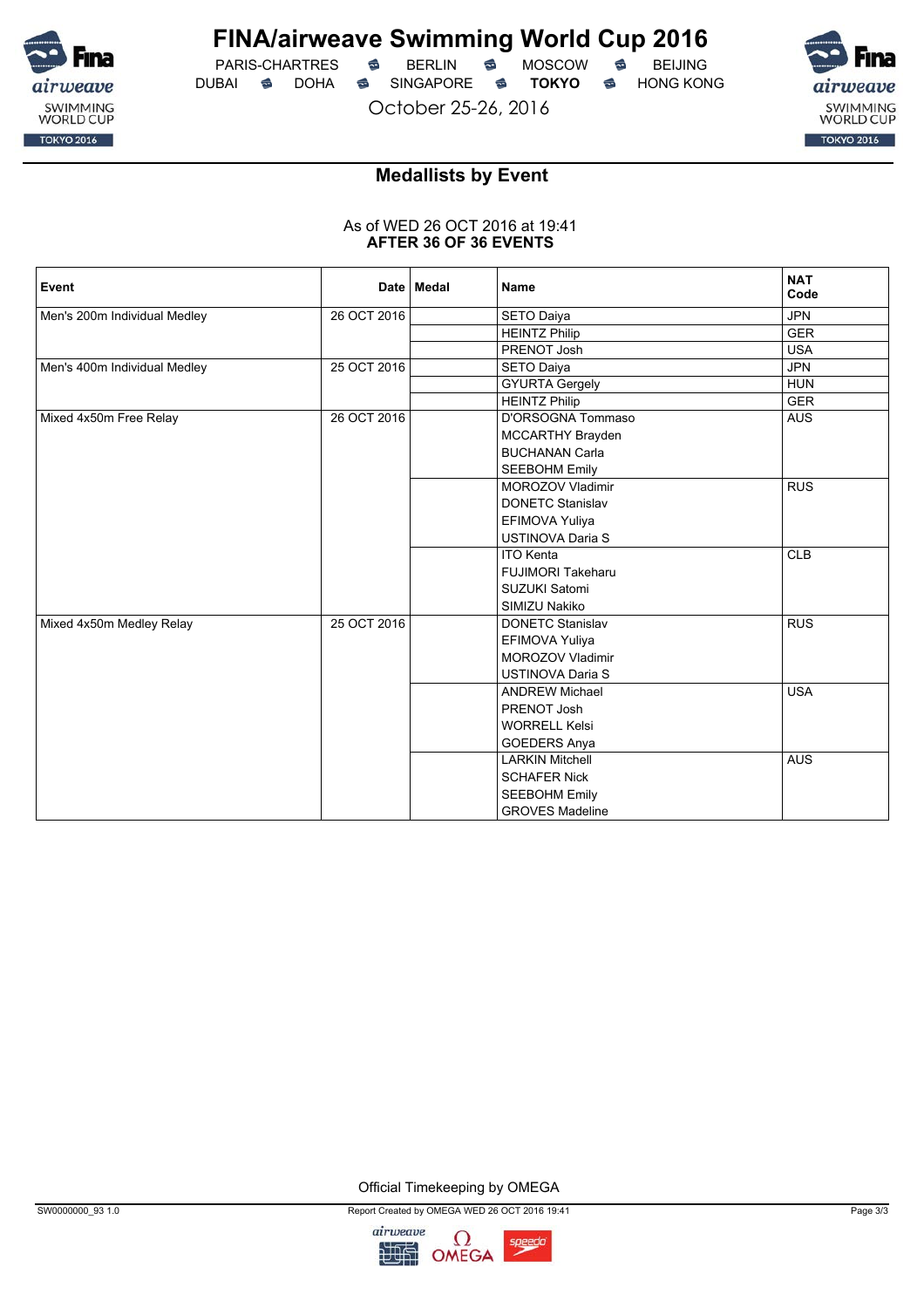

 $PARIS-CHARTRES$  **BERLIN B** MOSCOW **B** DUBAI **S** DOHA S SINGAPORE S TOKYO S HONG KONG

October 25-26, 2016



## **Medallists by Event**

#### As of WED 26 OCT 2016 at 19:41 **AFTER 36 OF 36 EVENTS**

| Event                        |             | Date   Medal | <b>Name</b>              | <b>NAT</b><br>Code |
|------------------------------|-------------|--------------|--------------------------|--------------------|
| Men's 200m Individual Medley | 26 OCT 2016 |              | SETO Daiya               | <b>JPN</b>         |
|                              |             |              | <b>HEINTZ Philip</b>     | <b>GER</b>         |
|                              |             |              | PRENOT Josh              | <b>USA</b>         |
| Men's 400m Individual Medley | 25 OCT 2016 |              | SETO Daiya               | <b>JPN</b>         |
|                              |             |              | <b>GYURTA Gergely</b>    | <b>HUN</b>         |
|                              |             |              | <b>HEINTZ Philip</b>     | <b>GER</b>         |
| Mixed 4x50m Free Relay       | 26 OCT 2016 |              | D'ORSOGNA Tommaso        | <b>AUS</b>         |
|                              |             |              | MCCARTHY Brayden         |                    |
|                              |             |              | <b>BUCHANAN Carla</b>    |                    |
|                              |             |              | <b>SEEBOHM Emily</b>     |                    |
|                              |             |              | MOROZOV Vladimir         | <b>RUS</b>         |
|                              |             |              | <b>DONETC Stanislav</b>  |                    |
|                              |             |              | EFIMOVA Yuliya           |                    |
|                              |             |              | <b>USTINOVA Daria S</b>  |                    |
|                              |             |              | <b>ITO Kenta</b>         | <b>CLB</b>         |
|                              |             |              | <b>FUJIMORI Takeharu</b> |                    |
|                              |             |              | SUZUKI Satomi            |                    |
|                              |             |              | SIMIZU Nakiko            |                    |
| Mixed 4x50m Medley Relay     | 25 OCT 2016 |              | <b>DONETC Stanislav</b>  | <b>RUS</b>         |
|                              |             |              | EFIMOVA Yuliya           |                    |
|                              |             |              | MOROZOV Vladimir         |                    |
|                              |             |              | <b>USTINOVA Daria S</b>  |                    |
|                              |             |              | <b>ANDREW Michael</b>    | <b>USA</b>         |
|                              |             |              | PRENOT Josh              |                    |
|                              |             |              | <b>WORRELL Kelsi</b>     |                    |
|                              |             |              | <b>GOEDERS Anya</b>      |                    |
|                              |             |              | <b>LARKIN Mitchell</b>   | <b>AUS</b>         |
|                              |             |              | <b>SCHAFER Nick</b>      |                    |
|                              |             |              | <b>SEEBOHM Emily</b>     |                    |
|                              |             |              | <b>GROVES Madeline</b>   |                    |

Official Timekeeping by OMEGA

SW0000000\_93 1.0 Page 3/3

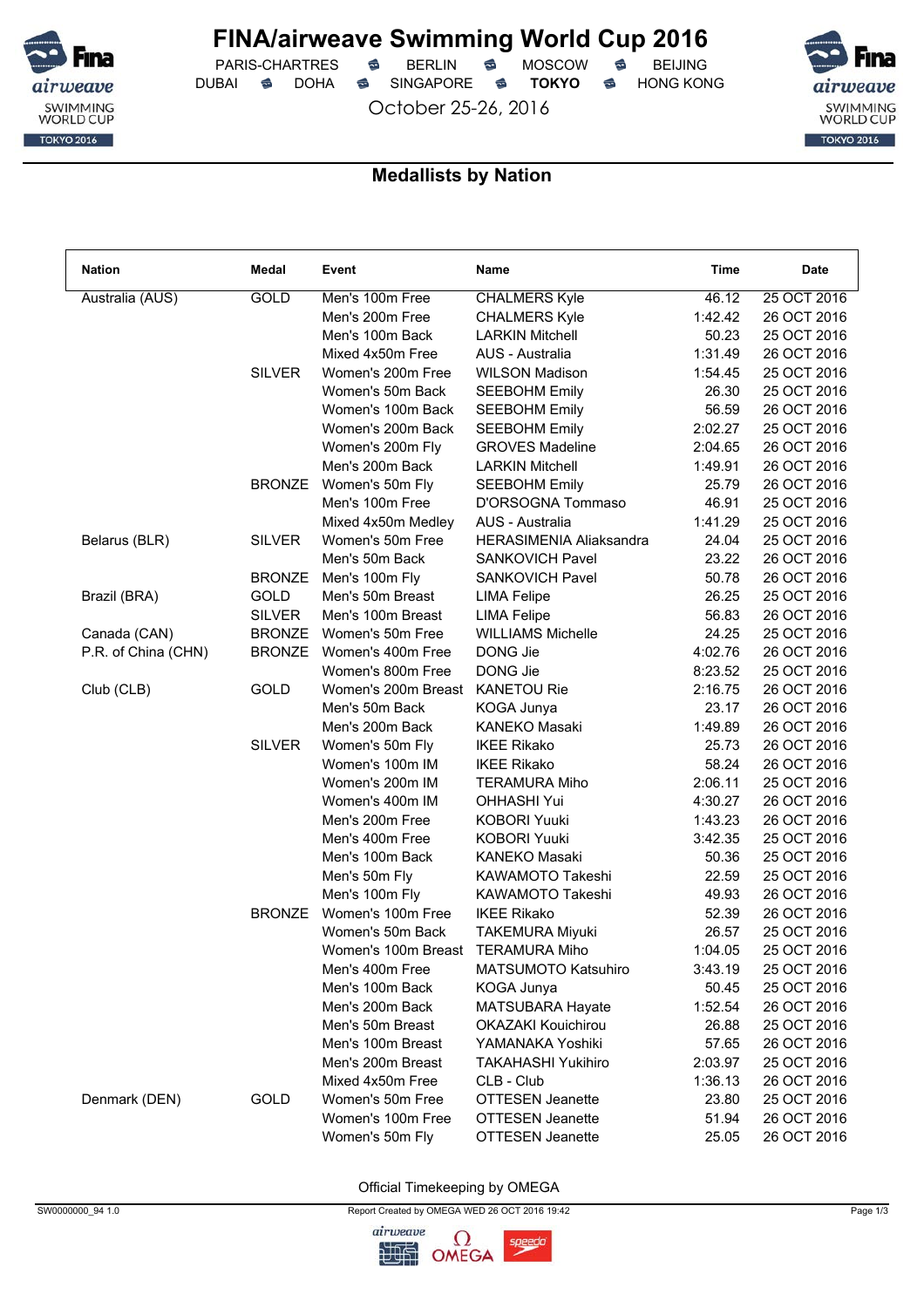

 $PARIS-CHARTRES$  **BERLIN B** MOSCOW **B** DUBAI **S** DOHA S SINGAPORE S TOKYO S HONG KONG

October 25-26, 2016



### **Medallists by Nation**

| <b>Nation</b>       | Medal         | Event               | Name                       | Time    | Date        |
|---------------------|---------------|---------------------|----------------------------|---------|-------------|
| Australia (AUS)     | GOLD          | Men's 100m Free     | <b>CHALMERS Kyle</b>       | 46.12   | 25 OCT 2016 |
|                     |               | Men's 200m Free     | <b>CHALMERS Kyle</b>       | 1:42.42 | 26 OCT 2016 |
|                     |               | Men's 100m Back     | <b>LARKIN Mitchell</b>     | 50.23   | 25 OCT 2016 |
|                     |               | Mixed 4x50m Free    | AUS - Australia            | 1:31.49 | 26 OCT 2016 |
|                     | <b>SILVER</b> | Women's 200m Free   | <b>WILSON Madison</b>      | 1:54.45 | 25 OCT 2016 |
|                     |               | Women's 50m Back    | <b>SEEBOHM Emily</b>       | 26.30   | 25 OCT 2016 |
|                     |               | Women's 100m Back   | <b>SEEBOHM Emily</b>       | 56.59   | 26 OCT 2016 |
|                     |               | Women's 200m Back   | <b>SEEBOHM Emily</b>       | 2:02.27 | 25 OCT 2016 |
|                     |               | Women's 200m Fly    | <b>GROVES Madeline</b>     | 2:04.65 | 26 OCT 2016 |
|                     |               | Men's 200m Back     | <b>LARKIN Mitchell</b>     | 1:49.91 | 26 OCT 2016 |
|                     | <b>BRONZE</b> | Women's 50m Fly     | <b>SEEBOHM Emily</b>       | 25.79   | 26 OCT 2016 |
|                     |               | Men's 100m Free     | D'ORSOGNA Tommaso          | 46.91   | 25 OCT 2016 |
|                     |               | Mixed 4x50m Medley  | AUS - Australia            | 1:41.29 | 25 OCT 2016 |
| Belarus (BLR)       | <b>SILVER</b> | Women's 50m Free    | HERASIMENIA Aliaksandra    | 24.04   | 25 OCT 2016 |
|                     |               | Men's 50m Back      | <b>SANKOVICH Pavel</b>     | 23.22   | 26 OCT 2016 |
|                     | <b>BRONZE</b> | Men's 100m Fly      | <b>SANKOVICH Pavel</b>     | 50.78   | 26 OCT 2016 |
| Brazil (BRA)        | GOLD          | Men's 50m Breast    | <b>LIMA Felipe</b>         | 26.25   | 25 OCT 2016 |
|                     | <b>SILVER</b> | Men's 100m Breast   | <b>LIMA Felipe</b>         | 56.83   | 26 OCT 2016 |
| Canada (CAN)        | <b>BRONZE</b> | Women's 50m Free    | <b>WILLIAMS Michelle</b>   | 24.25   | 25 OCT 2016 |
| P.R. of China (CHN) | <b>BRONZE</b> | Women's 400m Free   | DONG Jie                   | 4:02.76 | 26 OCT 2016 |
|                     |               | Women's 800m Free   | DONG Jie                   | 8:23.52 | 25 OCT 2016 |
| Club (CLB)          | GOLD          | Women's 200m Breast | <b>KANETOU Rie</b>         | 2:16.75 | 26 OCT 2016 |
|                     |               | Men's 50m Back      | KOGA Junya                 | 23.17   | 26 OCT 2016 |
|                     |               | Men's 200m Back     | KANEKO Masaki              | 1:49.89 | 26 OCT 2016 |
|                     | <b>SILVER</b> | Women's 50m Fly     | <b>IKEE Rikako</b>         | 25.73   | 26 OCT 2016 |
|                     |               | Women's 100m IM     | <b>IKEE Rikako</b>         | 58.24   | 26 OCT 2016 |
|                     |               | Women's 200m IM     | <b>TERAMURA Miho</b>       | 2:06.11 | 25 OCT 2016 |
|                     |               | Women's 400m IM     | <b>OHHASHI Yui</b>         | 4:30.27 | 26 OCT 2016 |
|                     |               | Men's 200m Free     | <b>KOBORI Yuuki</b>        | 1:43.23 | 26 OCT 2016 |
|                     |               | Men's 400m Free     | <b>KOBORI Yuuki</b>        | 3:42.35 | 25 OCT 2016 |
|                     |               | Men's 100m Back     | <b>KANEKO Masaki</b>       | 50.36   | 25 OCT 2016 |
|                     |               | Men's 50m Fly       | KAWAMOTO Takeshi           | 22.59   | 25 OCT 2016 |
|                     |               | Men's 100m Fly      | KAWAMOTO Takeshi           | 49.93   | 26 OCT 2016 |
|                     | <b>BRONZE</b> | Women's 100m Free   | <b>IKEE Rikako</b>         | 52.39   | 26 OCT 2016 |
|                     |               | Women's 50m Back    | <b>TAKEMURA Miyuki</b>     | 26.57   | 25 OCT 2016 |
|                     |               | Women's 100m Breast | <b>TERAMURA Miho</b>       | 1:04.05 | 25 OCT 2016 |
|                     |               | Men's 400m Free     | <b>MATSUMOTO Katsuhiro</b> | 3:43.19 | 25 OCT 2016 |
|                     |               | Men's 100m Back     | KOGA Junya                 | 50.45   | 25 OCT 2016 |
|                     |               | Men's 200m Back     | MATSUBARA Hayate           | 1:52.54 | 26 OCT 2016 |
|                     |               | Men's 50m Breast    | <b>OKAZAKI Kouichirou</b>  | 26.88   | 25 OCT 2016 |
|                     |               | Men's 100m Breast   | YAMANAKA Yoshiki           | 57.65   | 26 OCT 2016 |
|                     |               | Men's 200m Breast   | <b>TAKAHASHI Yukihiro</b>  | 2:03.97 | 25 OCT 2016 |
|                     |               | Mixed 4x50m Free    | CLB - Club                 | 1:36.13 | 26 OCT 2016 |
| Denmark (DEN)       | GOLD          | Women's 50m Free    | <b>OTTESEN Jeanette</b>    | 23.80   | 25 OCT 2016 |
|                     |               | Women's 100m Free   | <b>OTTESEN Jeanette</b>    |         | 26 OCT 2016 |
|                     |               |                     |                            | 51.94   |             |
|                     |               | Women's 50m Fly     | <b>OTTESEN Jeanette</b>    | 25.05   | 26 OCT 2016 |

Official Timekeeping by OMEGA

SW0000000\_94 1.0 Page 1/3

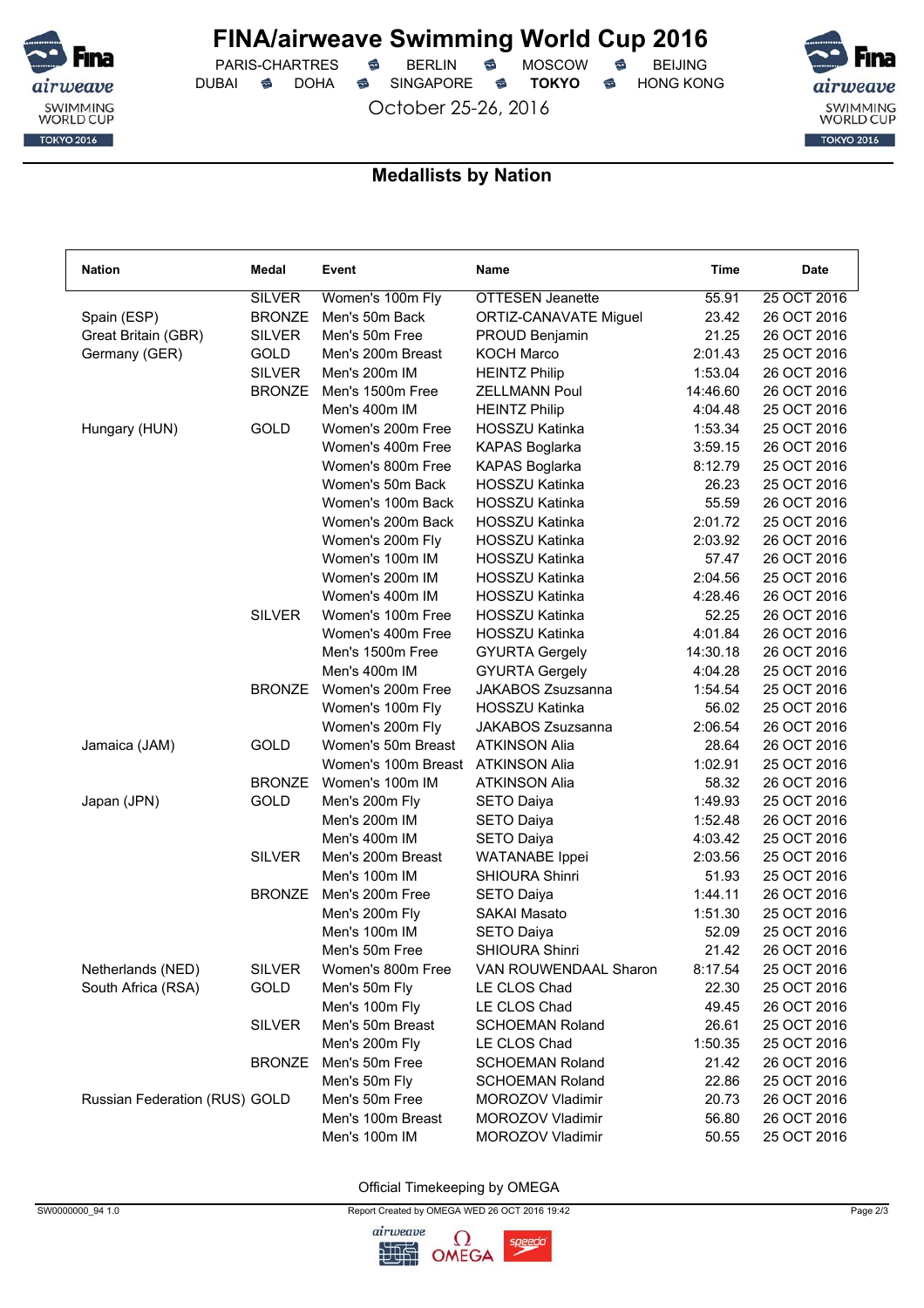

 $PARIS-CHARTRES$  **BERLIN B** MOSCOW **B** DUBAI **S** DOHA S SINGAPORE S TOKYO S HONG KONG

October 25-26, 2016



### **Medallists by Nation**

| <b>Nation</b>                 | Medal         | Event               | Name                    | Time     | <b>Date</b> |
|-------------------------------|---------------|---------------------|-------------------------|----------|-------------|
|                               | <b>SILVER</b> | Women's 100m Fly    | <b>OTTESEN Jeanette</b> | 55.91    | 25 OCT 2016 |
| Spain (ESP)                   | <b>BRONZE</b> | Men's 50m Back      | ORTIZ-CANAVATE Miguel   | 23.42    | 26 OCT 2016 |
| Great Britain (GBR)           | <b>SILVER</b> | Men's 50m Free      | PROUD Benjamin          | 21.25    | 26 OCT 2016 |
| Germany (GER)                 | GOLD          | Men's 200m Breast   | <b>KOCH Marco</b>       | 2:01.43  | 25 OCT 2016 |
|                               | <b>SILVER</b> | Men's 200m IM       | <b>HEINTZ Philip</b>    | 1:53.04  | 26 OCT 2016 |
|                               | <b>BRONZE</b> | Men's 1500m Free    | <b>ZELLMANN Poul</b>    | 14:46.60 | 26 OCT 2016 |
|                               |               | Men's 400m IM       | <b>HEINTZ Philip</b>    | 4:04.48  | 25 OCT 2016 |
| Hungary (HUN)                 | GOLD          | Women's 200m Free   | <b>HOSSZU Katinka</b>   | 1:53.34  | 25 OCT 2016 |
|                               |               | Women's 400m Free   | <b>KAPAS Boglarka</b>   | 3:59.15  | 26 OCT 2016 |
|                               |               | Women's 800m Free   | KAPAS Boglarka          | 8:12.79  | 25 OCT 2016 |
|                               |               | Women's 50m Back    | <b>HOSSZU Katinka</b>   | 26.23    | 25 OCT 2016 |
|                               |               | Women's 100m Back   | <b>HOSSZU Katinka</b>   | 55.59    | 26 OCT 2016 |
|                               |               | Women's 200m Back   | <b>HOSSZU Katinka</b>   | 2:01.72  | 25 OCT 2016 |
|                               |               | Women's 200m Fly    | <b>HOSSZU Katinka</b>   | 2:03.92  | 26 OCT 2016 |
|                               |               | Women's 100m IM     | <b>HOSSZU Katinka</b>   | 57.47    | 26 OCT 2016 |
|                               |               | Women's 200m IM     | <b>HOSSZU Katinka</b>   | 2:04.56  | 25 OCT 2016 |
|                               |               | Women's 400m IM     | <b>HOSSZU Katinka</b>   | 4:28.46  | 26 OCT 2016 |
|                               | <b>SILVER</b> | Women's 100m Free   | <b>HOSSZU Katinka</b>   | 52.25    | 26 OCT 2016 |
|                               |               | Women's 400m Free   | <b>HOSSZU Katinka</b>   | 4:01.84  | 26 OCT 2016 |
|                               |               | Men's 1500m Free    | <b>GYURTA Gergely</b>   | 14:30.18 | 26 OCT 2016 |
|                               |               | Men's 400m IM       | <b>GYURTA Gergely</b>   | 4:04.28  | 25 OCT 2016 |
|                               | <b>BRONZE</b> | Women's 200m Free   | JAKABOS Zsuzsanna       | 1:54.54  | 25 OCT 2016 |
|                               |               | Women's 100m Fly    | <b>HOSSZU Katinka</b>   | 56.02    | 25 OCT 2016 |
|                               |               | Women's 200m Fly    | JAKABOS Zsuzsanna       | 2:06.54  | 26 OCT 2016 |
| Jamaica (JAM)                 | GOLD          | Women's 50m Breast  | <b>ATKINSON Alia</b>    | 28.64    | 26 OCT 2016 |
|                               |               | Women's 100m Breast | <b>ATKINSON Alia</b>    | 1:02.91  | 25 OCT 2016 |
|                               | <b>BRONZE</b> | Women's 100m IM     | <b>ATKINSON Alia</b>    | 58.32    | 26 OCT 2016 |
| Japan (JPN)                   | GOLD          | Men's 200m Fly      | <b>SETO Daiya</b>       | 1:49.93  | 25 OCT 2016 |
|                               |               | Men's 200m IM       | <b>SETO Daiya</b>       | 1:52.48  | 26 OCT 2016 |
|                               |               | Men's 400m IM       | <b>SETO Daiya</b>       | 4:03.42  | 25 OCT 2016 |
|                               | <b>SILVER</b> | Men's 200m Breast   | <b>WATANABE</b> Ippei   | 2:03.56  | 25 OCT 2016 |
|                               |               | Men's 100m IM       | <b>SHIOURA Shinri</b>   | 51.93    | 25 OCT 2016 |
|                               | <b>BRONZE</b> | Men's 200m Free     | <b>SETO Daiya</b>       | 1:44.11  | 26 OCT 2016 |
|                               |               | Men's 200m Fly      | <b>SAKAI Masato</b>     | 1:51.30  | 25 OCT 2016 |
|                               |               | Men's 100m IM       | <b>SETO Daiya</b>       | 52.09    | 25 OCT 2016 |
|                               |               | Men's 50m Free      | SHIOURA Shinri          | 21.42    | 26 OCT 2016 |
| Netherlands (NED)             | <b>SILVER</b> | Women's 800m Free   | VAN ROUWENDAAL Sharon   | 8:17.54  | 25 OCT 2016 |
| South Africa (RSA)            | GOLD          | Men's 50m Fly       | LE CLOS Chad            | 22.30    | 25 OCT 2016 |
|                               |               | Men's 100m Fly      | LE CLOS Chad            | 49.45    | 26 OCT 2016 |
|                               | <b>SILVER</b> | Men's 50m Breast    | <b>SCHOEMAN Roland</b>  | 26.61    | 25 OCT 2016 |
|                               |               | Men's 200m Fly      | LE CLOS Chad            | 1:50.35  | 25 OCT 2016 |
|                               | <b>BRONZE</b> | Men's 50m Free      | <b>SCHOEMAN Roland</b>  | 21.42    | 26 OCT 2016 |
|                               |               | Men's 50m Fly       | <b>SCHOEMAN Roland</b>  | 22.86    | 25 OCT 2016 |
| Russian Federation (RUS) GOLD |               | Men's 50m Free      | MOROZOV Vladimir        | 20.73    | 26 OCT 2016 |
|                               |               | Men's 100m Breast   | MOROZOV Vladimir        | 56.80    | 26 OCT 2016 |
|                               |               | Men's 100m IM       | MOROZOV Vladimir        | 50.55    | 25 OCT 2016 |



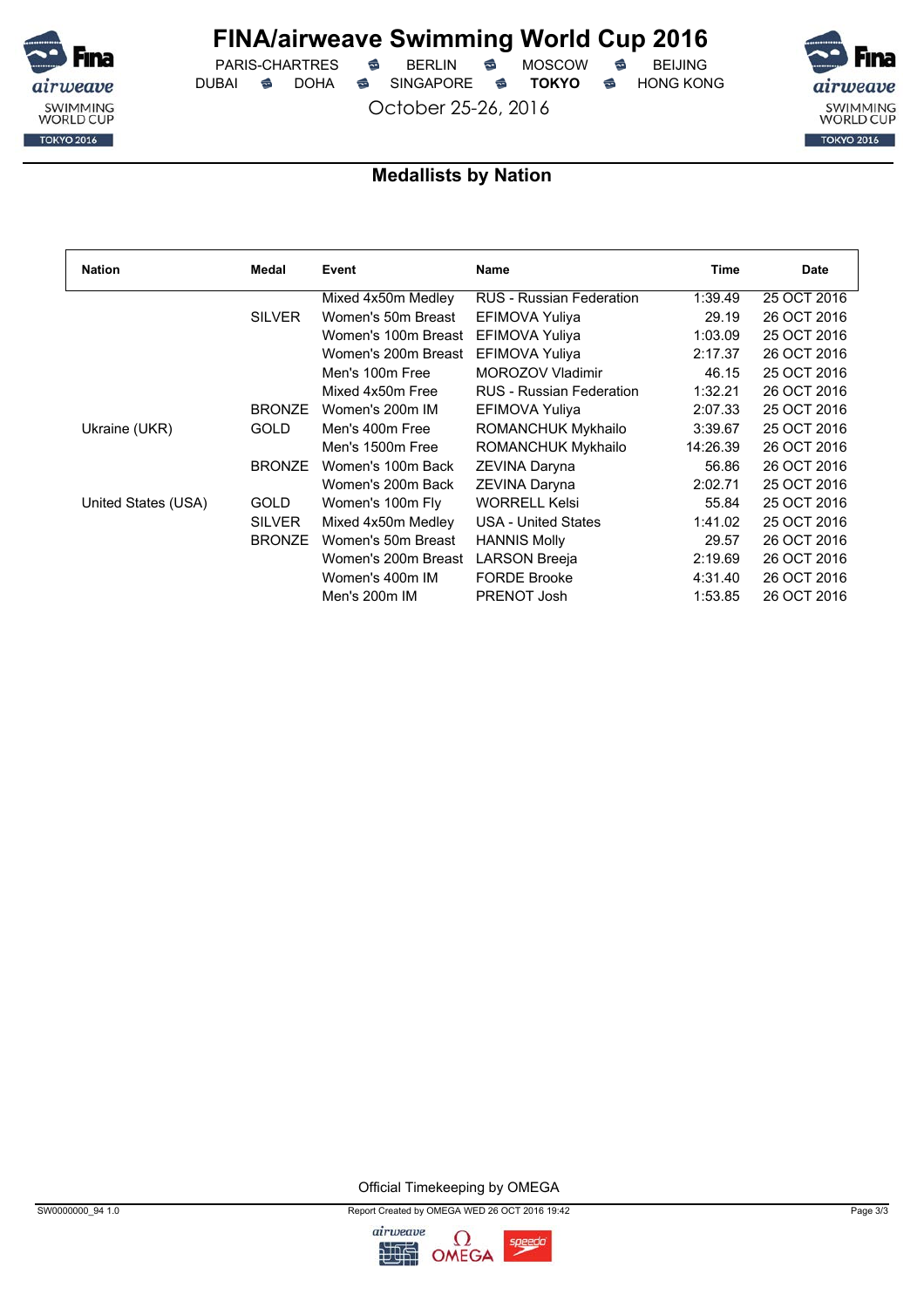

 $PARIS-CHARTRES$  **BERLIN B** MOSCOW **B** DUBAI **S** DOHA S SINGAPORE S TOKYO S HONG KONG

October 25-26, 2016



### **Medallists by Nation**

| <b>Nation</b>       | Medal         | Event               | Name                            | Time     | Date        |
|---------------------|---------------|---------------------|---------------------------------|----------|-------------|
|                     |               | Mixed 4x50m Medley  | <b>RUS - Russian Federation</b> | 1:39.49  | 25 OCT 2016 |
|                     | <b>SILVER</b> | Women's 50m Breast  | EFIMOVA Yuliya                  | 29.19    | 26 OCT 2016 |
|                     |               | Women's 100m Breast | EFIMOVA Yuliya                  | 1:03.09  | 25 OCT 2016 |
|                     |               | Women's 200m Breast | EFIMOVA Yuliya                  | 2:17.37  | 26 OCT 2016 |
|                     |               | Men's 100m Free     | MOROZOV Vladimir                | 46.15    | 25 OCT 2016 |
|                     |               | Mixed 4x50m Free    | <b>RUS</b> - Russian Federation | 1:32.21  | 26 OCT 2016 |
|                     | <b>BRONZE</b> | Women's 200m IM     | EFIMOVA Yuliya                  | 2:07.33  | 25 OCT 2016 |
| Ukraine (UKR)       | <b>GOLD</b>   | Men's 400m Free     | ROMANCHUK Mykhailo              | 3:39.67  | 25 OCT 2016 |
|                     |               | Men's 1500m Free    | ROMANCHUK Mykhailo              | 14:26.39 | 26 OCT 2016 |
|                     | <b>BRONZE</b> | Women's 100m Back   | ZEVINA Daryna                   | 56.86    | 26 OCT 2016 |
|                     |               | Women's 200m Back   | ZEVINA Daryna                   | 2:02.71  | 25 OCT 2016 |
| United States (USA) | <b>GOLD</b>   | Women's 100m Fly    | <b>WORRELL Kelsi</b>            | 55.84    | 25 OCT 2016 |
|                     | <b>SILVER</b> | Mixed 4x50m Medley  | <b>USA - United States</b>      | 1:41.02  | 25 OCT 2016 |
|                     | <b>BRONZE</b> | Women's 50m Breast  | <b>HANNIS Molly</b>             | 29.57    | 26 OCT 2016 |
|                     |               | Women's 200m Breast | LARSON Breeja                   | 2:19.69  | 26 OCT 2016 |
|                     |               | Women's 400m IM     | <b>FORDE Brooke</b>             | 4:31.40  | 26 OCT 2016 |
|                     |               | Men's 200m IM       | PRENOT Josh                     | 1:53.85  | 26 OCT 2016 |



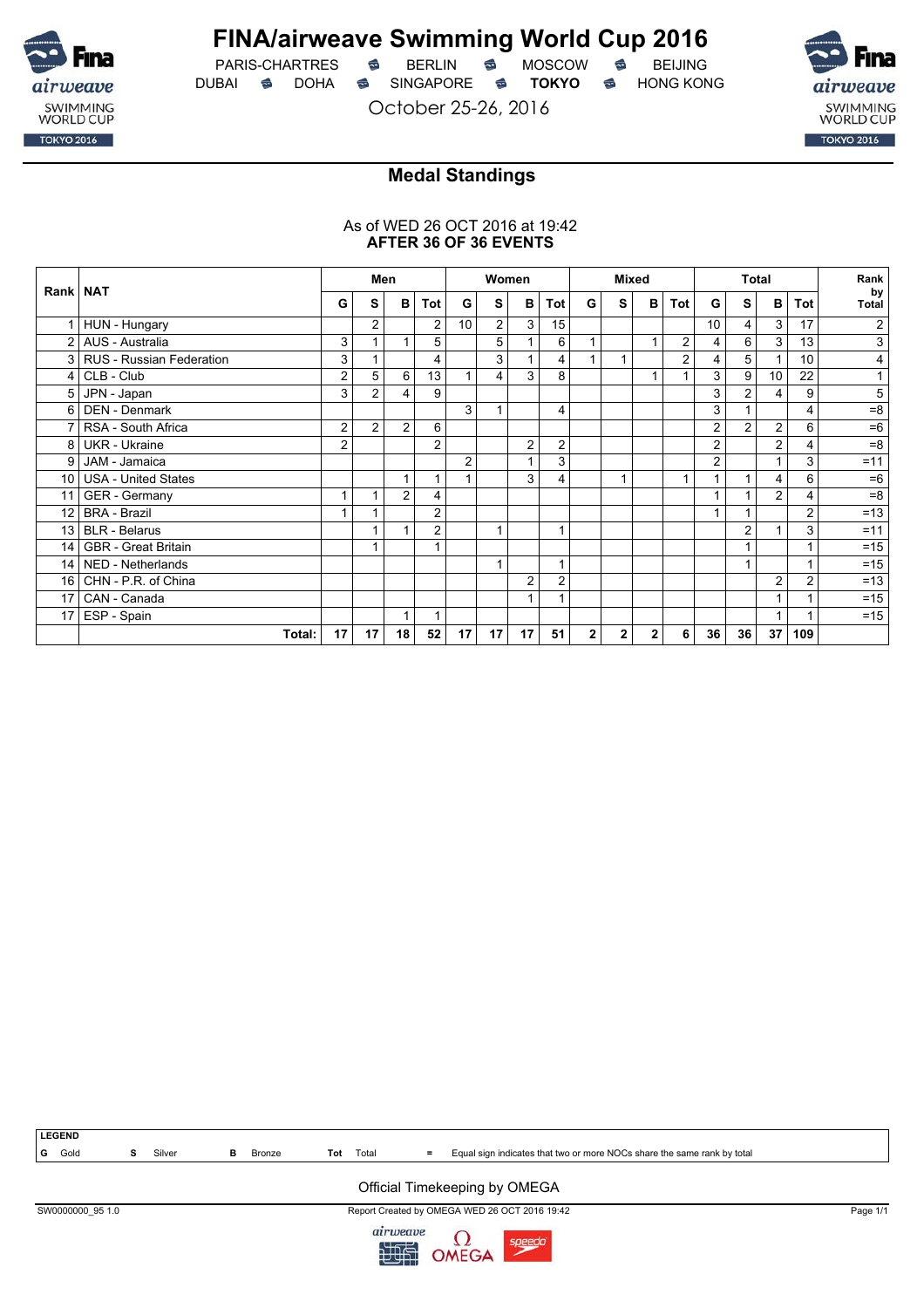

## **FINA/airweave Swimming World Cup 2016**

PARIS-CHARTRES **B** BERLIN **B** MOSCOW **B** BEIJING DUBAI **S** DOHA S SINGAPORE S TOKYO S HONG KONG

October 25-26, 2016

SWIMMING<br>WORLD CUP **TOKYO 2016** 

## **Medal Standings**

### As of WED 26 OCT 2016 at 19:42 **AFTER 36 OF 36 EVENTS**

|                 |                            | Women<br>Men   |                |                |                | <b>Mixed</b>    |                |                | Total          |              |              | Rank         |                |                |                |                |     |                |
|-----------------|----------------------------|----------------|----------------|----------------|----------------|-----------------|----------------|----------------|----------------|--------------|--------------|--------------|----------------|----------------|----------------|----------------|-----|----------------|
| Rank   NAT      |                            | G              | S              | в              | Tot            | G               | S              | B              | Tot            | G            | S            | в            | Tot            | G              | S              | $\mathbf{B}$   | Tot | by<br>Total    |
|                 | HUN - Hungary              |                | 2              |                | 2              | 10 <sup>°</sup> | $\overline{2}$ | 3              | 15             |              |              |              |                | 10             | 4              | 3              | 17  | 2              |
| 2 <sub>1</sub>  | AUS - Australia            | 3              |                |                | 5              |                 | 5              |                | 6              |              |              | 1            | $\overline{c}$ | 4              | 6              | 3              | 13  | 3              |
| $\mathbf{3}$    | RUS - Russian Federation   | 3              |                |                | 4              |                 | 3              |                | 4              |              | 1            |              | $\overline{c}$ | $\overline{4}$ | 5              | $\mathbf{1}$   | 10  | 4              |
| $\vert$         | CLB - Club                 | $\overline{2}$ | 5              | 6              | 13             |                 | 4              | 3              | 8              |              |              | 1            |                | 3              | 9              | 10             | 22  |                |
| 5               | JPN - Japan                | 3              | $\overline{2}$ | 4              | 9              |                 |                |                |                |              |              |              |                | 3              | $\overline{2}$ | 4              | 9   | $\overline{5}$ |
| 6               | <b>DEN - Denmark</b>       |                |                |                |                | 3               |                |                | 4              |              |              |              |                | 3              |                |                | 4   | $= 8$          |
|                 | RSA - South Africa         | $\overline{2}$ | $\overline{2}$ | $\overline{2}$ | 6              |                 |                |                |                |              |              |              |                | $\overline{2}$ | $\overline{2}$ | 2              | 6   | $=6$           |
| 8               | <b>UKR</b> - Ukraine       | $\overline{2}$ |                |                | $\overline{2}$ |                 |                | $\overline{2}$ | $\overline{2}$ |              |              |              |                | $\overline{2}$ |                | $\overline{2}$ | 4   | $=8$           |
| 9               | JAM - Jamaica              |                |                |                |                | $\overline{2}$  |                | 1              | 3              |              |              |              |                | $\overline{2}$ |                | 1              | 3   | $= 11$         |
| 10 <sup>1</sup> | <b>USA - United States</b> |                |                | 1              | 1              |                 |                | 3              | 4              |              | 1            |              | 1              |                |                | 4              | 6   | $=6$           |
| 11 <sup>1</sup> | <b>GER</b> - Germany       |                |                | $\overline{2}$ | 4              |                 |                |                |                |              |              |              |                |                |                | $\overline{2}$ | 4   | $= 8$          |
| 12 <sup>°</sup> | <b>BRA - Brazil</b>        |                |                |                | 2              |                 |                |                |                |              |              |              |                |                |                |                | 2   | $=13$          |
| 13 <sup>1</sup> | <b>BLR</b> - Belarus       |                |                |                | $\overline{2}$ |                 | 4              |                | 1              |              |              |              |                |                | $\overline{2}$ | 1              | 3   | $=11$          |
| 14              | <b>GBR</b> - Great Britain |                |                |                | 1              |                 |                |                |                |              |              |              |                |                |                |                |     | $=15$          |
| 14 <sup>1</sup> | NED - Netherlands          |                |                |                |                |                 |                |                |                |              |              |              |                |                |                |                |     | $=15$          |
| 16 <sup>1</sup> | CHN - P.R. of China        |                |                |                |                |                 |                | $\overline{2}$ | $\overline{2}$ |              |              |              |                |                |                | 2              | 2   | $=13$          |
| 17 <sup>1</sup> | CAN - Canada               |                |                |                |                |                 |                | 1              |                |              |              |              |                |                |                | 1              |     | $=15$          |
| 17 <sup>1</sup> | ESP - Spain                |                |                |                |                |                 |                |                |                |              |              |              |                |                |                |                |     | $=15$          |
|                 | Total:                     | 17             | 17             | 18             | 52             | 17              | 17             | 17             | 51             | $\mathbf{2}$ | $\mathbf{2}$ | $\mathbf{2}$ | 6              | 36             | 36             | 37             | 109 |                |



#### Official Timekeeping by OMEGA

SW0000000\_95 1.0 Report Created by OMEGA WED 26 OCT 2016 19:42 Page 1/1

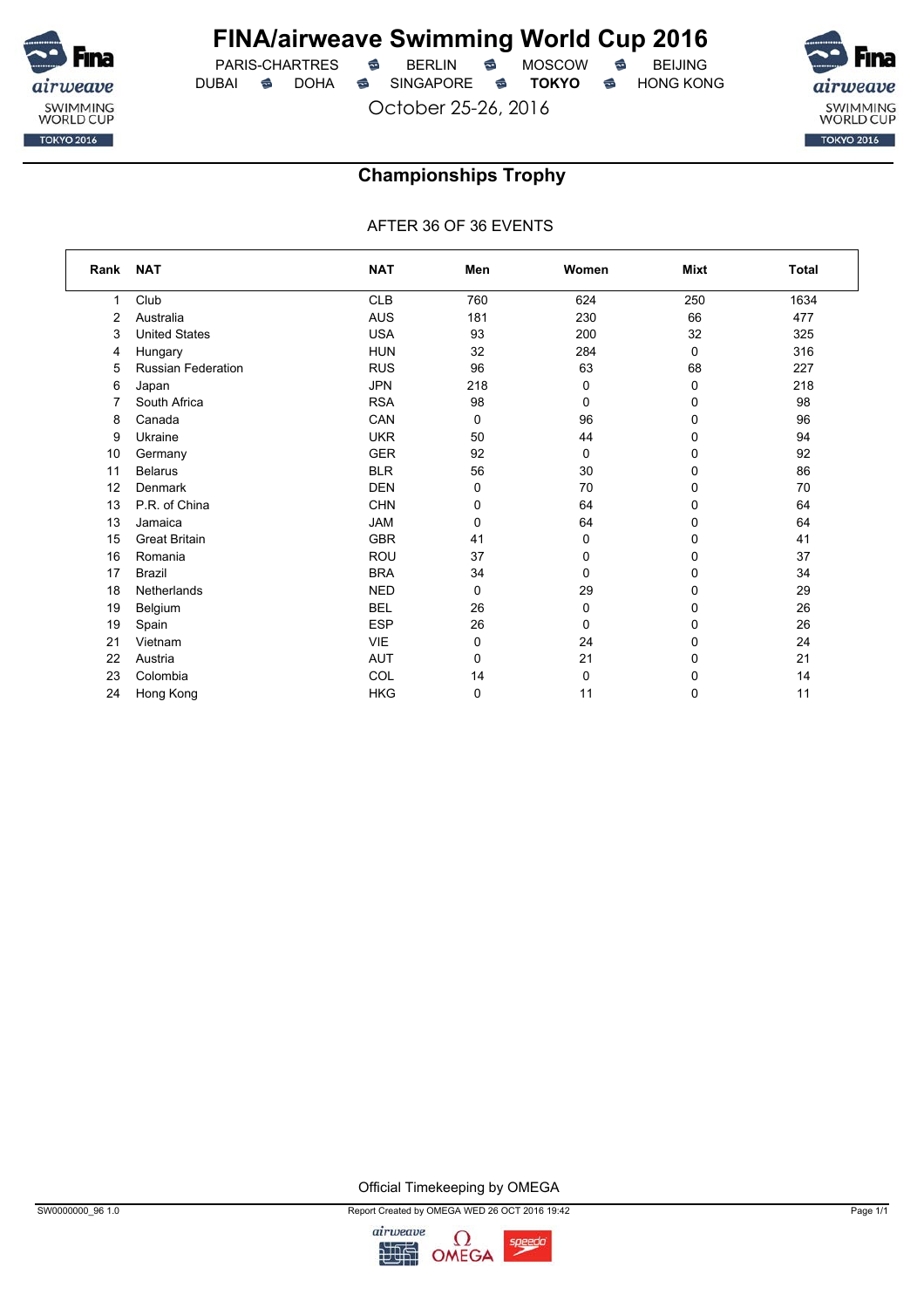

 $PARIS-CHARTRES$  **BERLIN B** MOSCOW **B** DUBAI **S** DOHA S SINGAPORE S TOKYO S HONG KONG

October 25-26, 2016



### **Championships Trophy**

AFTER 36 OF 36 EVENTS

| Rank | <b>NAT</b>                | <b>NAT</b> | Men | Women       | Mixt        | <b>Total</b> |
|------|---------------------------|------------|-----|-------------|-------------|--------------|
| 1    | Club                      | <b>CLB</b> | 760 | 624         | 250         | 1634         |
| 2    | Australia                 | <b>AUS</b> | 181 | 230         | 66          | 477          |
| 3    | <b>United States</b>      | <b>USA</b> | 93  | 200         | 32          | 325          |
| 4    | Hungary                   | <b>HUN</b> | 32  | 284         | $\mathbf 0$ | 316          |
| 5    | <b>Russian Federation</b> | <b>RUS</b> | 96  | 63          | 68          | 227          |
| 6    | Japan                     | <b>JPN</b> | 218 | 0           | 0           | 218          |
| 7    | South Africa              | <b>RSA</b> | 98  | 0           | 0           | 98           |
| 8    | Canada                    | CAN        | 0   | 96          | 0           | 96           |
| 9    | Ukraine                   | <b>UKR</b> | 50  | 44          | 0           | 94           |
| 10   | Germany                   | <b>GER</b> | 92  | 0           | 0           | 92           |
| 11   | <b>Belarus</b>            | <b>BLR</b> | 56  | 30          | 0           | 86           |
| 12   | Denmark                   | <b>DEN</b> | 0   | 70          | 0           | 70           |
| 13   | P.R. of China             | <b>CHN</b> | 0   | 64          | 0           | 64           |
| 13   | Jamaica                   | <b>JAM</b> | 0   | 64          | 0           | 64           |
| 15   | <b>Great Britain</b>      | <b>GBR</b> | 41  | 0           | 0           | 41           |
| 16   | Romania                   | <b>ROU</b> | 37  | $\mathbf 0$ | 0           | 37           |
| 17   | <b>Brazil</b>             | <b>BRA</b> | 34  | $\mathbf 0$ | 0           | 34           |
| 18   | Netherlands               | <b>NED</b> | 0   | 29          | 0           | 29           |
| 19   | Belgium                   | <b>BEL</b> | 26  | 0           | 0           | 26           |
| 19   | Spain                     | <b>ESP</b> | 26  | 0           | 0           | 26           |
| 21   | Vietnam                   | <b>VIE</b> | 0   | 24          | 0           | 24           |
| 22   | Austria                   | <b>AUT</b> | 0   | 21          | 0           | 21           |
| 23   | Colombia                  | COL        | 14  | 0           | 0           | 14           |
| 24   | Hong Kong                 | <b>HKG</b> | 0   | 11          | 0           | 11           |



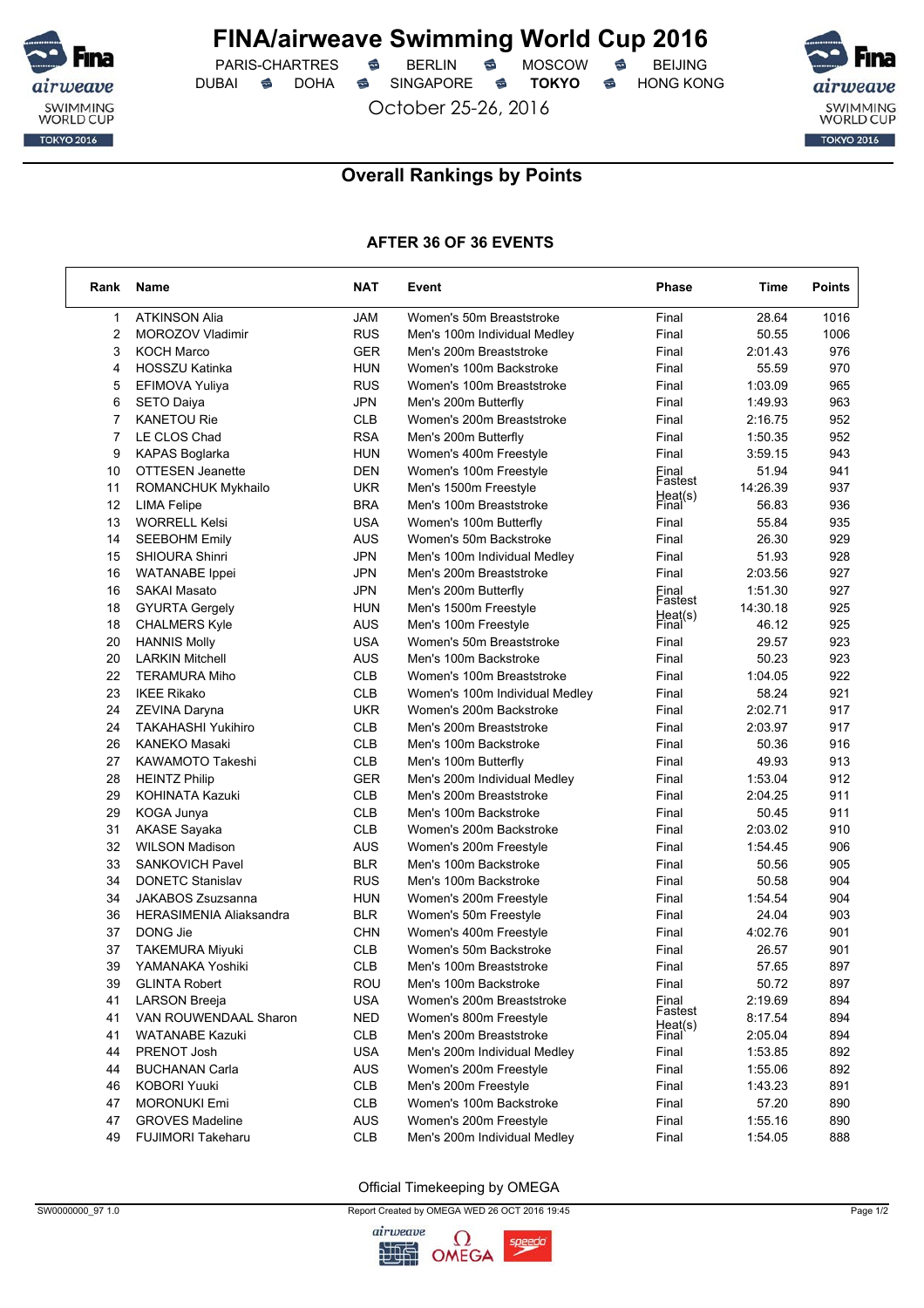

 $PARIS-CHARTRES$  **BERLIN B** MOSCOW **B** DUBAI **S** DOHA SINGAPORE S TOKYO S HONG KONG

October 25-26, 2016



### **Overall Rankings by Points**

### **AFTER 36 OF 36 EVENTS**

| Rank           | Name                           | <b>NAT</b> | Event                          | <b>Phase</b>       | Time     | <b>Points</b> |
|----------------|--------------------------------|------------|--------------------------------|--------------------|----------|---------------|
| $\mathbf{1}$   | <b>ATKINSON Alia</b>           | <b>JAM</b> | Women's 50m Breaststroke       | Final              | 28.64    | 1016          |
| $\overline{2}$ | MOROZOV Vladimir               | <b>RUS</b> | Men's 100m Individual Medley   | Final              | 50.55    | 1006          |
| 3              | <b>KOCH Marco</b>              | <b>GER</b> | Men's 200m Breaststroke        | Final              | 2:01.43  | 976           |
| $\overline{4}$ | <b>HOSSZU Katinka</b>          | <b>HUN</b> | Women's 100m Backstroke        | Final              | 55.59    | 970           |
| 5              | EFIMOVA Yuliya                 | <b>RUS</b> | Women's 100m Breaststroke      | Final              | 1:03.09  | 965           |
| 6              | <b>SETO Daiya</b>              | <b>JPN</b> | Men's 200m Butterfly           | Final              | 1:49.93  | 963           |
| 7              | <b>KANETOU Rie</b>             | <b>CLB</b> | Women's 200m Breaststroke      | Final              | 2:16.75  | 952           |
| 7              | LE CLOS Chad                   | <b>RSA</b> | Men's 200m Butterfly           | Final              | 1:50.35  | 952           |
| 9              | <b>KAPAS Boglarka</b>          | <b>HUN</b> | Women's 400m Freestyle         | Final              | 3:59.15  | 943           |
| 10             | <b>OTTESEN Jeanette</b>        | DEN        | Women's 100m Freestyle         | Final              | 51.94    | 941           |
| 11             | ROMANCHUK Mykhailo             | <b>UKR</b> | Men's 1500m Freestyle          | Fastest<br>Heat(s) | 14:26.39 | 937           |
| 12             | <b>LIMA Felipe</b>             | <b>BRA</b> | Men's 100m Breaststroke        | Final              | 56.83    | 936           |
| 13             | <b>WORRELL Kelsi</b>           | <b>USA</b> | Women's 100m Butterfly         | Final              | 55.84    | 935           |
| 14             | <b>SEEBOHM Emily</b>           | <b>AUS</b> | Women's 50m Backstroke         | Final              | 26.30    | 929           |
| 15             | <b>SHIOURA Shinri</b>          | <b>JPN</b> | Men's 100m Individual Medley   | Final              | 51.93    | 928           |
| 16             | <b>WATANABE</b> Ippei          | <b>JPN</b> | Men's 200m Breaststroke        | Final              | 2:03.56  | 927           |
| 16             | <b>SAKAI Masato</b>            | <b>JPN</b> | Men's 200m Butterfly           | Final              | 1:51.30  | 927           |
| 18             | <b>GYURTA Gergely</b>          | <b>HUN</b> | Men's 1500m Freestyle          | Fastest            | 14:30.18 | 925           |
| 18             | <b>CHALMERS Kyle</b>           | AUS        | Men's 100m Freestyle           | Heat(s)<br>Final   | 46.12    | 925           |
| 20             | <b>HANNIS Molly</b>            | <b>USA</b> | Women's 50m Breaststroke       | Final              | 29.57    | 923           |
| 20             | <b>LARKIN Mitchell</b>         | <b>AUS</b> | Men's 100m Backstroke          | Final              | 50.23    | 923           |
| 22             | <b>TERAMURA Miho</b>           | <b>CLB</b> | Women's 100m Breaststroke      | Final              | 1:04.05  | 922           |
| 23             | <b>IKEE Rikako</b>             | <b>CLB</b> | Women's 100m Individual Medley | Final              | 58.24    | 921           |
| 24             | ZEVINA Daryna                  | <b>UKR</b> | Women's 200m Backstroke        | Final              | 2:02.71  | 917           |
| 24             | <b>TAKAHASHI Yukihiro</b>      | <b>CLB</b> | Men's 200m Breaststroke        | Final              | 2:03.97  | 917           |
| 26             | <b>KANEKO Masaki</b>           | <b>CLB</b> | Men's 100m Backstroke          | Final              | 50.36    | 916           |
| 27             | KAWAMOTO Takeshi               | <b>CLB</b> | Men's 100m Butterfly           | Final              | 49.93    | 913           |
| 28             | <b>HEINTZ Philip</b>           | <b>GER</b> | Men's 200m Individual Medley   | Final              | 1:53.04  | 912           |
| 29             | KOHINATA Kazuki                | <b>CLB</b> | Men's 200m Breaststroke        | Final              | 2:04.25  | 911           |
| 29             | KOGA Junya                     | <b>CLB</b> | Men's 100m Backstroke          | Final              | 50.45    | 911           |
| 31             | AKASE Sayaka                   | <b>CLB</b> | Women's 200m Backstroke        | Final              | 2:03.02  | 910           |
| 32             | <b>WILSON Madison</b>          | <b>AUS</b> | Women's 200m Freestyle         | Final              | 1:54.45  | 906           |
| 33             | SANKOVICH Pavel                | <b>BLR</b> | Men's 100m Backstroke          | Final              | 50.56    | 905           |
| 34             | <b>DONETC Stanislav</b>        | <b>RUS</b> | Men's 100m Backstroke          | Final              | 50.58    | 904           |
| 34             | JAKABOS Zsuzsanna              | <b>HUN</b> | Women's 200m Freestyle         | Final              | 1:54.54  | 904           |
| 36             | <b>HERASIMENIA Aliaksandra</b> | <b>BLR</b> | Women's 50m Freestyle          | Final              | 24.04    | 903           |
| 37             | DONG Jie                       | <b>CHN</b> | Women's 400m Freestyle         | Final              | 4:02.76  | 901           |
| 37             | <b>TAKEMURA Miyuki</b>         | <b>CLB</b> | Women's 50m Backstroke         | Final              | 26.57    | 901           |
| 39             | YAMANAKA Yoshiki               | <b>CLB</b> | Men's 100m Breaststroke        | Final              | 57.65    | 897           |
| 39             | <b>GLINTA Robert</b>           | <b>ROU</b> | Men's 100m Backstroke          | Final              | 50.72    | 897           |
| 41             | <b>LARSON Breeja</b>           | <b>USA</b> | Women's 200m Breaststroke      | Einal              | 2:19.69  | 894           |
| 41             | VAN ROUWENDAAL Sharon          | <b>NED</b> | Women's 800m Freestyle         | Fastest            | 8:17.54  | 894           |
| 41             | <b>WATANABE Kazuki</b>         | <b>CLB</b> | Men's 200m Breaststroke        | Heat(s)<br>Final   | 2:05.04  | 894           |
| 44             | PRENOT Josh                    | <b>USA</b> | Men's 200m Individual Medley   | Final              | 1:53.85  | 892           |
| 44             | <b>BUCHANAN Carla</b>          | <b>AUS</b> | Women's 200m Freestyle         | Final              | 1:55.06  | 892           |
| 46             | <b>KOBORI Yuuki</b>            | <b>CLB</b> | Men's 200m Freestyle           | Final              | 1:43.23  | 891           |
| 47             | <b>MORONUKI Emi</b>            | <b>CLB</b> | Women's 100m Backstroke        | Final              | 57.20    | 890           |
| 47             | <b>GROVES Madeline</b>         | <b>AUS</b> | Women's 200m Freestyle         | Final              | 1:55.16  | 890           |
| 49             | <b>FUJIMORI Takeharu</b>       | <b>CLB</b> | Men's 200m Individual Medley   | Final              | 1:54.05  | 888           |

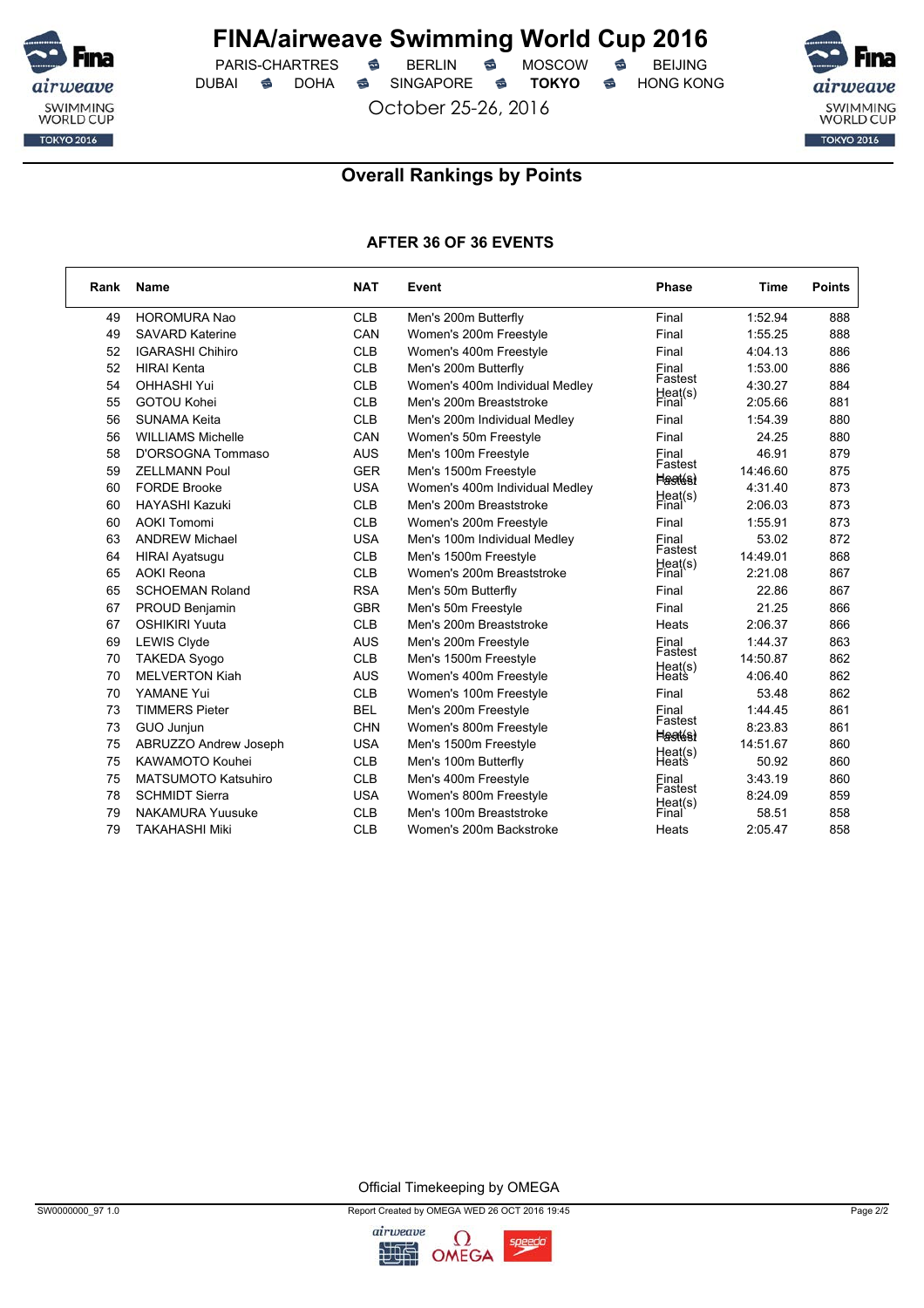

 $PARIS-CHARTRES$  **BERLIN B** MOSCOW **B** DUBAI **S** DOHA SINGAPORE S TOKYO S HONG KONG

October 25-26, 2016



## **Overall Rankings by Points**

### **AFTER 36 OF 36 EVENTS**

| Rank | Name                       | <b>NAT</b> | Event                          | <b>Phase</b>              | Time     | <b>Points</b> |
|------|----------------------------|------------|--------------------------------|---------------------------|----------|---------------|
| 49   | <b>HOROMURA Nao</b>        | <b>CLB</b> | Men's 200m Butterfly           | Final                     | 1:52.94  | 888           |
| 49   | <b>SAVARD Katerine</b>     | CAN        | Women's 200m Freestyle         | Final                     | 1:55.25  | 888           |
| 52   | <b>IGARASHI Chihiro</b>    | <b>CLB</b> | Women's 400m Freestyle         | Final                     | 4:04.13  | 886           |
| 52   | <b>HIRAI Kenta</b>         | <b>CLB</b> | Men's 200m Butterfly           | Final                     | 1:53.00  | 886           |
| 54   | <b>OHHASHI Yui</b>         | <b>CLB</b> | Women's 400m Individual Medley | Fastest<br>Heat(s)        | 4:30.27  | 884           |
| 55   | <b>GOTOU Kohei</b>         | <b>CLB</b> | Men's 200m Breaststroke        | Final                     | 2:05.66  | 881           |
| 56   | <b>SUNAMA Keita</b>        | <b>CLB</b> | Men's 200m Individual Medley   | Final                     | 1:54.39  | 880           |
| 56   | <b>WILLIAMS Michelle</b>   | CAN        | Women's 50m Freestyle          | Final                     | 24.25    | 880           |
| 58   | D'ORSOGNA Tommaso          | <b>AUS</b> | Men's 100m Freestyle           | Final                     | 46.91    | 879           |
| 59   | <b>ZELLMANN Poul</b>       | <b>GER</b> | Men's 1500m Freestyle          | Fastest<br><b>Hagtés)</b> | 14:46.60 | 875           |
| 60   | <b>FORDE Brooke</b>        | <b>USA</b> | Women's 400m Individual Medley |                           | 4:31.40  | 873           |
| 60   | <b>HAYASHI Kazuki</b>      | <b>CLB</b> | Men's 200m Breaststroke        | Heat(s)<br>Final          | 2:06.03  | 873           |
| 60   | <b>AOKI Tomomi</b>         | <b>CLB</b> | Women's 200m Freestyle         | Final                     | 1:55.91  | 873           |
| 63   | <b>ANDREW Michael</b>      | <b>USA</b> | Men's 100m Individual Medley   | Final<br>Fastest          | 53.02    | 872           |
| 64   | <b>HIRAI Ayatsugu</b>      | <b>CLB</b> | Men's 1500m Freestyle          |                           | 14:49.01 | 868           |
| 65   | <b>AOKI</b> Reona          | <b>CLB</b> | Women's 200m Breaststroke      | Heat(s)<br>Final          | 2:21.08  | 867           |
| 65   | <b>SCHOEMAN Roland</b>     | <b>RSA</b> | Men's 50m Butterfly            | Final                     | 22.86    | 867           |
| 67   | PROUD Benjamin             | <b>GBR</b> | Men's 50m Freestyle            | Final                     | 21.25    | 866           |
| 67   | <b>OSHIKIRI Yuuta</b>      | <b>CLB</b> | Men's 200m Breaststroke        | Heats                     | 2:06.37  | 866           |
| 69   | <b>LEWIS Clyde</b>         | <b>AUS</b> | Men's 200m Freestyle           | Final                     | 1:44.37  | 863           |
| 70   | <b>TAKEDA Syogo</b>        | <b>CLB</b> | Men's 1500m Freestyle          | Fastest<br>Heat(s)        | 14:50.87 | 862           |
| 70   | <b>MELVERTON Kiah</b>      | <b>AUS</b> | Women's 400m Freestyle         | Heats                     | 4:06.40  | 862           |
| 70   | YAMANE Yui                 | <b>CLB</b> | Women's 100m Freestyle         | Final                     | 53.48    | 862           |
| 73   | <b>TIMMERS Pieter</b>      | <b>BEL</b> | Men's 200m Freestyle           | Final                     | 1:44.45  | 861           |
| 73   | GUO Junjun                 | <b>CHN</b> | Women's 800m Freestyle         | Fastest<br><b>Heatés)</b> | 8:23.83  | 861           |
| 75   | ABRUZZO Andrew Joseph      | <b>USA</b> | Men's 1500m Freestyle          |                           | 14:51.67 | 860           |
| 75   | <b>KAWAMOTO Kouhei</b>     | <b>CLB</b> | Men's 100m Butterfly           | Heat(s)<br>Heats          | 50.92    | 860           |
| 75   | <b>MATSUMOTO Katsuhiro</b> | <b>CLB</b> | Men's 400m Freestyle           | Final<br>Fastest          | 3:43.19  | 860           |
| 78   | <b>SCHMIDT Sierra</b>      | <b>USA</b> | Women's 800m Freestyle         |                           | 8:24.09  | 859           |
| 79   | <b>NAKAMURA Yuusuke</b>    | <b>CLB</b> | Men's 100m Breaststroke        | Heat(s)<br>Final          | 58.51    | 858           |
| 79   | <b>TAKAHASHI Miki</b>      | <b>CLB</b> | Women's 200m Backstroke        | Heats                     | 2:05.47  | 858           |

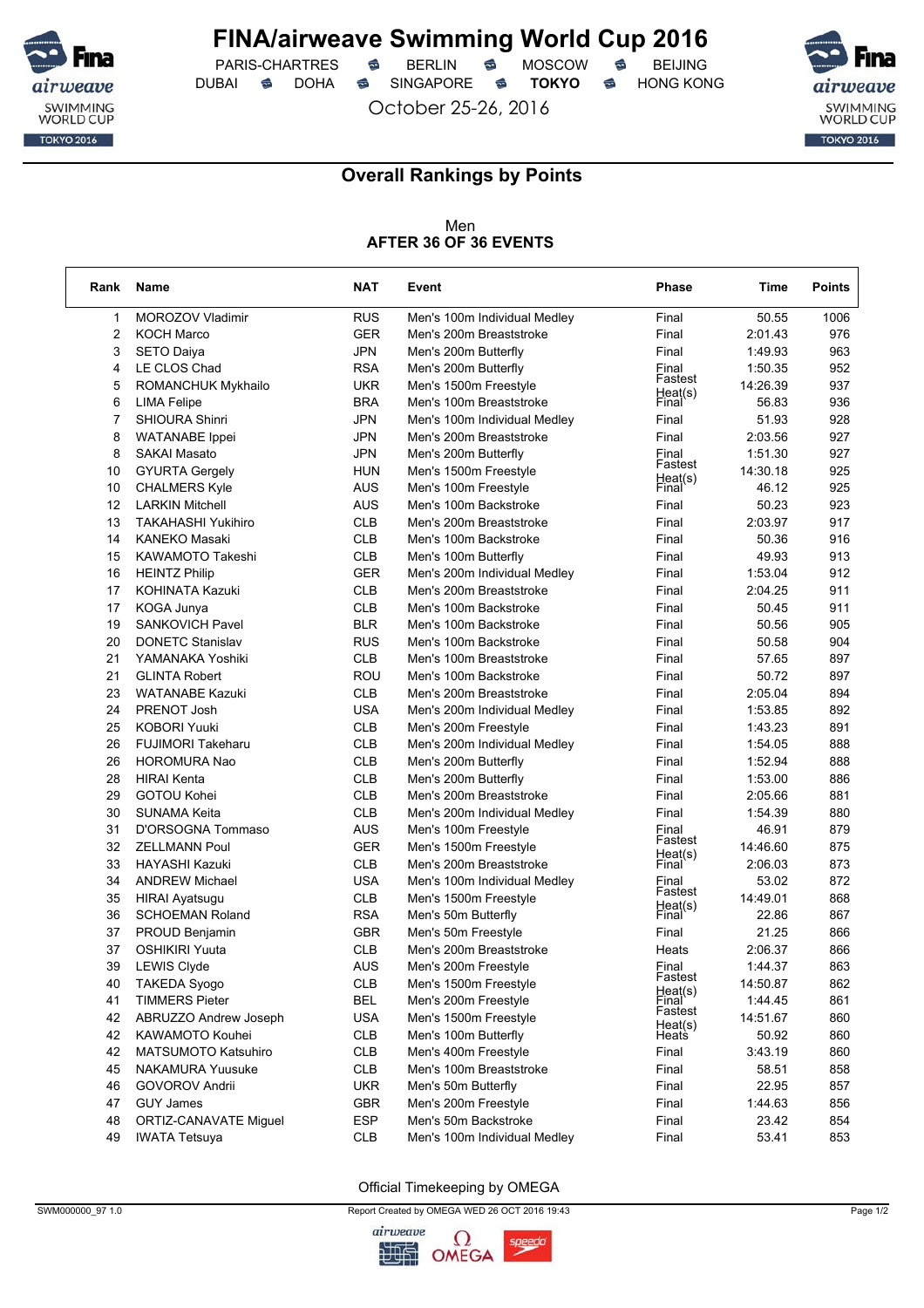

 $PARIS-CHARTRES$  **BERLIN B** MOSCOW **B** DUBAI **S** DOHA SINGAPORE S TOKYO S HONG KONG

October 25-26, 2016



٦

### **Overall Rankings by Points**

#### Men **AFTER 36 OF 36 EVENTS**

| Rank           | Name                         | <b>NAT</b> | Event                        | <b>Phase</b>       | Time     | <b>Points</b> |
|----------------|------------------------------|------------|------------------------------|--------------------|----------|---------------|
| 1              | MOROZOV Vladimir             | <b>RUS</b> | Men's 100m Individual Medley | Final              | 50.55    | 1006          |
| $\overline{2}$ | <b>KOCH Marco</b>            | <b>GER</b> | Men's 200m Breaststroke      | Final              | 2:01.43  | 976           |
| 3              | <b>SETO Daiya</b>            | <b>JPN</b> | Men's 200m Butterfly         | Final              | 1:49.93  | 963           |
| 4              | LE CLOS Chad                 | <b>RSA</b> | Men's 200m Butterfly         | Final              | 1:50.35  | 952           |
| 5              | ROMANCHUK Mykhailo           | <b>UKR</b> | Men's 1500m Freestyle        | Fastest            | 14:26.39 | 937           |
| 6              | LIMA Felipe                  | <b>BRA</b> | Men's 100m Breaststroke      | Heat(s)<br>Final   | 56.83    | 936           |
| 7              | <b>SHIOURA Shinri</b>        | JPN        | Men's 100m Individual Medley | Final              | 51.93    | 928           |
| 8              | <b>WATANABE</b> Ippei        | JPN        | Men's 200m Breaststroke      | Final              | 2:03.56  | 927           |
| 8              | <b>SAKAI Masato</b>          | <b>JPN</b> | Men's 200m Butterfly         | Einal              | 1:51.30  | 927           |
| 10             | <b>GYURTA Gergely</b>        | <b>HUN</b> | Men's 1500m Freestyle        | Fastest            | 14:30.18 | 925           |
| 10             | <b>CHALMERS Kyle</b>         | <b>AUS</b> | Men's 100m Freestyle         | Heat(s)<br>Final   | 46.12    | 925           |
| 12             | <b>LARKIN Mitchell</b>       | AUS        | Men's 100m Backstroke        | Final              | 50.23    | 923           |
| 13             | <b>TAKAHASHI Yukihiro</b>    | <b>CLB</b> | Men's 200m Breaststroke      | Final              | 2:03.97  | 917           |
| 14             | <b>KANEKO Masaki</b>         | <b>CLB</b> | Men's 100m Backstroke        | Final              | 50.36    | 916           |
| 15             | KAWAMOTO Takeshi             | <b>CLB</b> | Men's 100m Butterfly         | Final              | 49.93    | 913           |
| 16             | <b>HEINTZ Philip</b>         | <b>GER</b> | Men's 200m Individual Medley | Final              | 1:53.04  | 912           |
| 17             | KOHINATA Kazuki              | <b>CLB</b> | Men's 200m Breaststroke      | Final              | 2:04.25  | 911           |
| 17             | KOGA Junya                   | <b>CLB</b> | Men's 100m Backstroke        | Final              | 50.45    | 911           |
| 19             | <b>SANKOVICH Pavel</b>       | <b>BLR</b> | Men's 100m Backstroke        | Final              | 50.56    | 905           |
| 20             | <b>DONETC Stanislav</b>      | <b>RUS</b> | Men's 100m Backstroke        | Final              | 50.58    | 904           |
| 21             | YAMANAKA Yoshiki             | <b>CLB</b> | Men's 100m Breaststroke      | Final              | 57.65    | 897           |
| 21             | <b>GLINTA Robert</b>         | ROU        | Men's 100m Backstroke        | Final              | 50.72    | 897           |
| 23             | <b>WATANABE Kazuki</b>       | <b>CLB</b> | Men's 200m Breaststroke      | Final              | 2:05.04  | 894           |
| 24             | PRENOT Josh                  | USA        | Men's 200m Individual Medley | Final              | 1:53.85  | 892           |
| 25             | <b>KOBORI Yuuki</b>          | <b>CLB</b> | Men's 200m Freestyle         | Final              | 1:43.23  | 891           |
| 26             | <b>FUJIMORI Takeharu</b>     | <b>CLB</b> | Men's 200m Individual Medley | Final              | 1:54.05  | 888           |
| 26             | HOROMURA Nao                 | <b>CLB</b> | Men's 200m Butterfly         | Final              | 1:52.94  | 888           |
| 28             | <b>HIRAI Kenta</b>           | <b>CLB</b> | Men's 200m Butterfly         | Final              | 1:53.00  | 886           |
| 29             | GOTOU Kohei                  | <b>CLB</b> | Men's 200m Breaststroke      | Final              | 2:05.66  | 881           |
| 30             | SUNAMA Keita                 | <b>CLB</b> | Men's 200m Individual Medley | Final              | 1:54.39  | 880           |
| 31             | D'ORSOGNA Tommaso            | AUS        | Men's 100m Freestyle         | Final              | 46.91    | 879           |
| 32             | <b>ZELLMANN Poul</b>         | <b>GER</b> | Men's 1500m Freestyle        | Fastest            | 14:46.60 | 875           |
| 33             | HAYASHI Kazuki               | <b>CLB</b> | Men's 200m Breaststroke      | Heat(s)<br>Final   | 2:06.03  | 873           |
| 34             | <b>ANDREW Michael</b>        | <b>USA</b> | Men's 100m Individual Medley | Final              | 53.02    | 872           |
| 35             | <b>HIRAI Ayatsugu</b>        | <b>CLB</b> | Men's 1500m Freestyle        | Fastest<br>Heat(s) | 14:49.01 | 868           |
| 36             | <b>SCHOEMAN Roland</b>       | <b>RSA</b> | Men's 50m Butterfly          | Final              | 22.86    | 867           |
| 37             | PROUD Benjamin               | <b>GBR</b> | Men's 50m Freestyle          | Final              | 21.25    | 866           |
| 37             | <b>OSHIKIRI Yuuta</b>        | <b>CLB</b> | Men's 200m Breaststroke      | Heats              | 2:06.37  | 866           |
| 39             | <b>LEWIS Clyde</b>           | <b>AUS</b> | Men's 200m Freestyle         | Final              | 1:44.37  | 863           |
| 40             | <b>TAKEDA Syogo</b>          | <b>CLB</b> | Men's 1500m Freestyle        | Fastest            | 14:50.87 | 862           |
| 41             | <b>TIMMERS Pieter</b>        | <b>BEL</b> | Men's 200m Freestyle         | Heat(s)<br>Einal   | 1:44.45  | 861           |
| 42             | ABRUZZO Andrew Joseph        | <b>USA</b> | Men's 1500m Freestyle        | Fastest            | 14:51.67 | 860           |
| 42             | KAWAMOTO Kouhei              | <b>CLB</b> | Men's 100m Butterfly         | Heat(s)<br>Heats   | 50.92    | 860           |
| 42             | MATSUMOTO Katsuhiro          | <b>CLB</b> | Men's 400m Freestyle         | Final              | 3:43.19  | 860           |
| 45             | <b>NAKAMURA Yuusuke</b>      | <b>CLB</b> | Men's 100m Breaststroke      | Final              | 58.51    | 858           |
| 46             | <b>GOVOROV Andrii</b>        | <b>UKR</b> | Men's 50m Butterfly          | Final              | 22.95    | 857           |
| 47             | <b>GUY James</b>             | <b>GBR</b> | Men's 200m Freestyle         | Final              | 1:44.63  | 856           |
| 48             | <b>ORTIZ-CANAVATE Miquel</b> | <b>ESP</b> | Men's 50m Backstroke         | Final              | 23.42    | 854           |
| 49             | <b>IWATA Tetsuya</b>         | <b>CLB</b> | Men's 100m Individual Medley | Final              | 53.41    | 853           |

Official Timekeeping by OMEGA

SWM000000\_97 1.0 Page 1/2

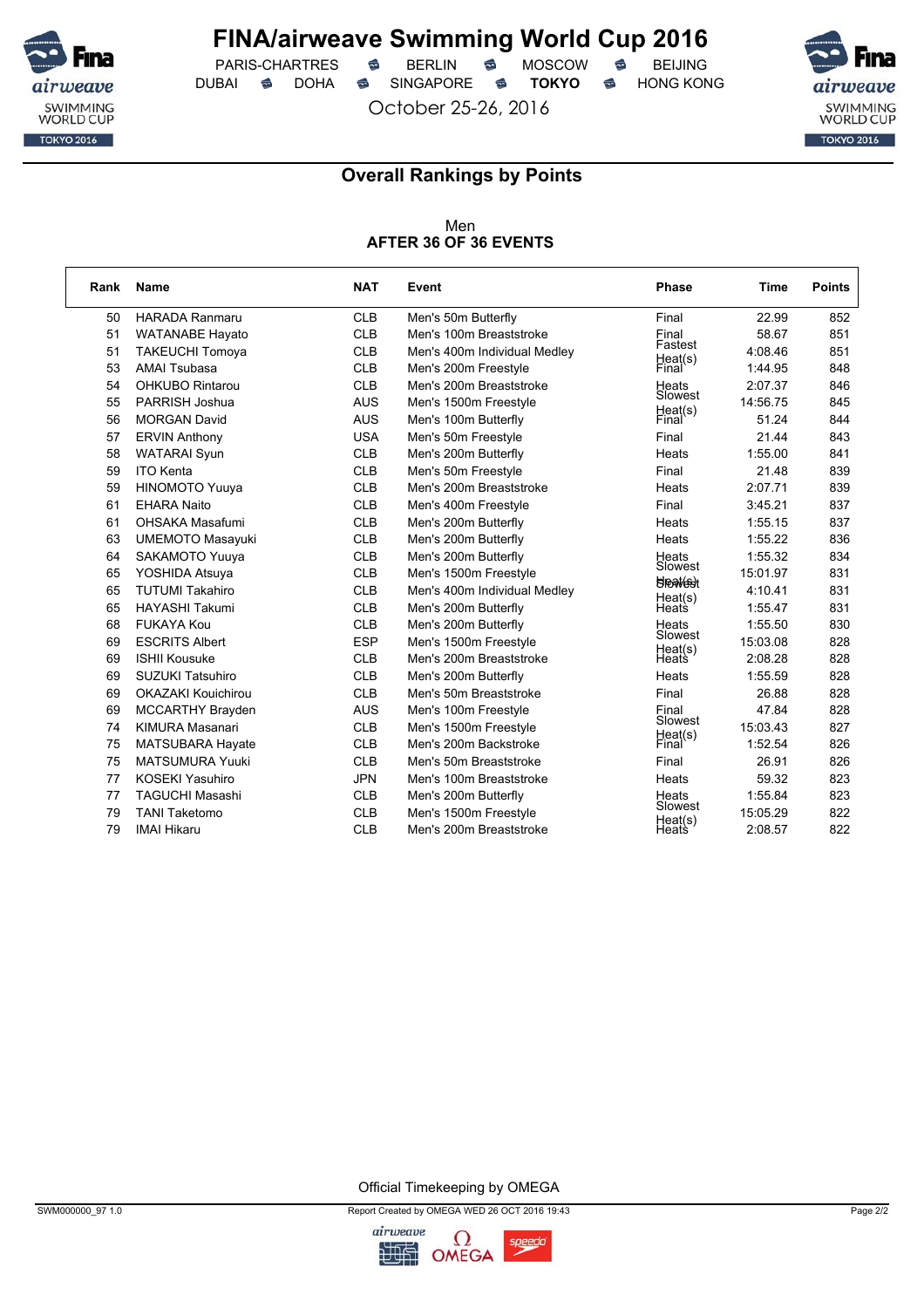

 $PARIS-CHARTRES$  **BERLIN B** MOSCOW **B** DUBAI **S** DOHA SINGAPORE S TOKYO S HONG KONG

October 25-26, 2016



### **Overall Rankings by Points**

Men **AFTER 36 OF 36 EVENTS**

| Rank | <b>Name</b>               | <b>NAT</b> | Event                        | <b>Phase</b>               | Time     | <b>Points</b> |
|------|---------------------------|------------|------------------------------|----------------------------|----------|---------------|
| 50   | <b>HARADA Ranmaru</b>     | <b>CLB</b> | Men's 50m Butterfly          | Final                      | 22.99    | 852           |
| 51   | <b>WATANABE Hayato</b>    | <b>CLB</b> | Men's 100m Breaststroke      | Final                      | 58.67    | 851           |
| 51   | <b>TAKEUCHI Tomoya</b>    | <b>CLB</b> | Men's 400m Individual Medley | Fastest                    | 4:08.46  | 851           |
| 53   | <b>AMAI Tsubasa</b>       | <b>CLB</b> | Men's 200m Freestyle         | Heat(s)<br>Final           | 1:44.95  | 848           |
| 54   | <b>OHKUBO Rintarou</b>    | <b>CLB</b> | Men's 200m Breaststroke      | Heats                      | 2:07.37  | 846           |
| 55   | PARRISH Joshua            | <b>AUS</b> | Men's 1500m Freestyle        | Slowest                    | 14:56.75 | 845           |
| 56   | <b>MORGAN David</b>       | <b>AUS</b> | Men's 100m Butterfly         | Heat(s)<br>Final           | 51.24    | 844           |
| 57   | <b>ERVIN Anthony</b>      | <b>USA</b> | Men's 50m Freestyle          | Final                      | 21.44    | 843           |
| 58   | <b>WATARAI Syun</b>       | <b>CLB</b> | Men's 200m Butterfly         | Heats                      | 1:55.00  | 841           |
| 59   | <b>ITO Kenta</b>          | <b>CLB</b> | Men's 50m Freestyle          | Final                      | 21.48    | 839           |
| 59   | HINOMOTO Yuuya            | <b>CLB</b> | Men's 200m Breaststroke      | Heats                      | 2:07.71  | 839           |
| 61   | <b>EHARA Naito</b>        | <b>CLB</b> | Men's 400m Freestyle         | Final                      | 3:45.21  | 837           |
| 61   | <b>OHSAKA Masafumi</b>    | <b>CLB</b> | Men's 200m Butterfly         | Heats                      | 1:55.15  | 837           |
| 63   | <b>UMEMOTO Masayuki</b>   | <b>CLB</b> | Men's 200m Butterfly         | Heats                      | 1:55.22  | 836           |
| 64   | SAKAMOTO Yuuya            | <b>CLB</b> | Men's 200m Butterfly         | Heats                      | 1:55.32  | 834           |
| 65   | YOSHIDA Atsuya            | <b>CLB</b> | Men's 1500m Freestyle        | Slowest<br><b>SPRATEST</b> | 15:01.97 | 831           |
| 65   | <b>TUTUMI Takahiro</b>    | <b>CLB</b> | Men's 400m Individual Medley |                            | 4:10.41  | 831           |
| 65   | <b>HAYASHI Takumi</b>     | <b>CLB</b> | Men's 200m Butterfly         | Heat(s)<br>Heats           | 1:55.47  | 831           |
| 68   | FUKAYA Kou                | <b>CLB</b> | Men's 200m Butterfly         | Heats                      | 1:55.50  | 830           |
| 69   | <b>ESCRITS Albert</b>     | <b>ESP</b> | Men's 1500m Freestyle        | Slowest<br>Heat(s)         | 15:03.08 | 828           |
| 69   | <b>ISHII Kousuke</b>      | <b>CLB</b> | Men's 200m Breaststroke      | Heats                      | 2:08.28  | 828           |
| 69   | <b>SUZUKI Tatsuhiro</b>   | <b>CLB</b> | Men's 200m Butterfly         | Heats                      | 1:55.59  | 828           |
| 69   | <b>OKAZAKI Kouichirou</b> | <b>CLB</b> | Men's 50m Breaststroke       | Final                      | 26.88    | 828           |
| 69   | <b>MCCARTHY Brayden</b>   | <b>AUS</b> | Men's 100m Freestyle         | Final                      | 47.84    | 828           |
| 74   | KIMURA Masanari           | <b>CLB</b> | Men's 1500m Freestyle        | Slowest                    | 15:03.43 | 827           |
| 75   | <b>MATSUBARA Hayate</b>   | <b>CLB</b> | Men's 200m Backstroke        | Heat(s)<br>Final           | 1:52.54  | 826           |
| 75   | <b>MATSUMURA Yuuki</b>    | <b>CLB</b> | Men's 50m Breaststroke       | Final                      | 26.91    | 826           |
| 77   | <b>KOSEKI Yasuhiro</b>    | <b>JPN</b> | Men's 100m Breaststroke      | Heats                      | 59.32    | 823           |
| 77   | <b>TAGUCHI Masashi</b>    | <b>CLB</b> | Men's 200m Butterfly         | Heats                      | 1:55.84  | 823           |
| 79   | <b>TANI Taketomo</b>      | <b>CLB</b> | Men's 1500m Freestyle        | Slowest<br>Heat(s)         | 15:05.29 | 822           |
| 79   | <b>IMAI Hikaru</b>        | <b>CLB</b> | Men's 200m Breaststroke      | Heats                      | 2:08.57  | 822           |

Official Timekeeping by OMEGA

SWM000000\_97 1.0 Page 2/2

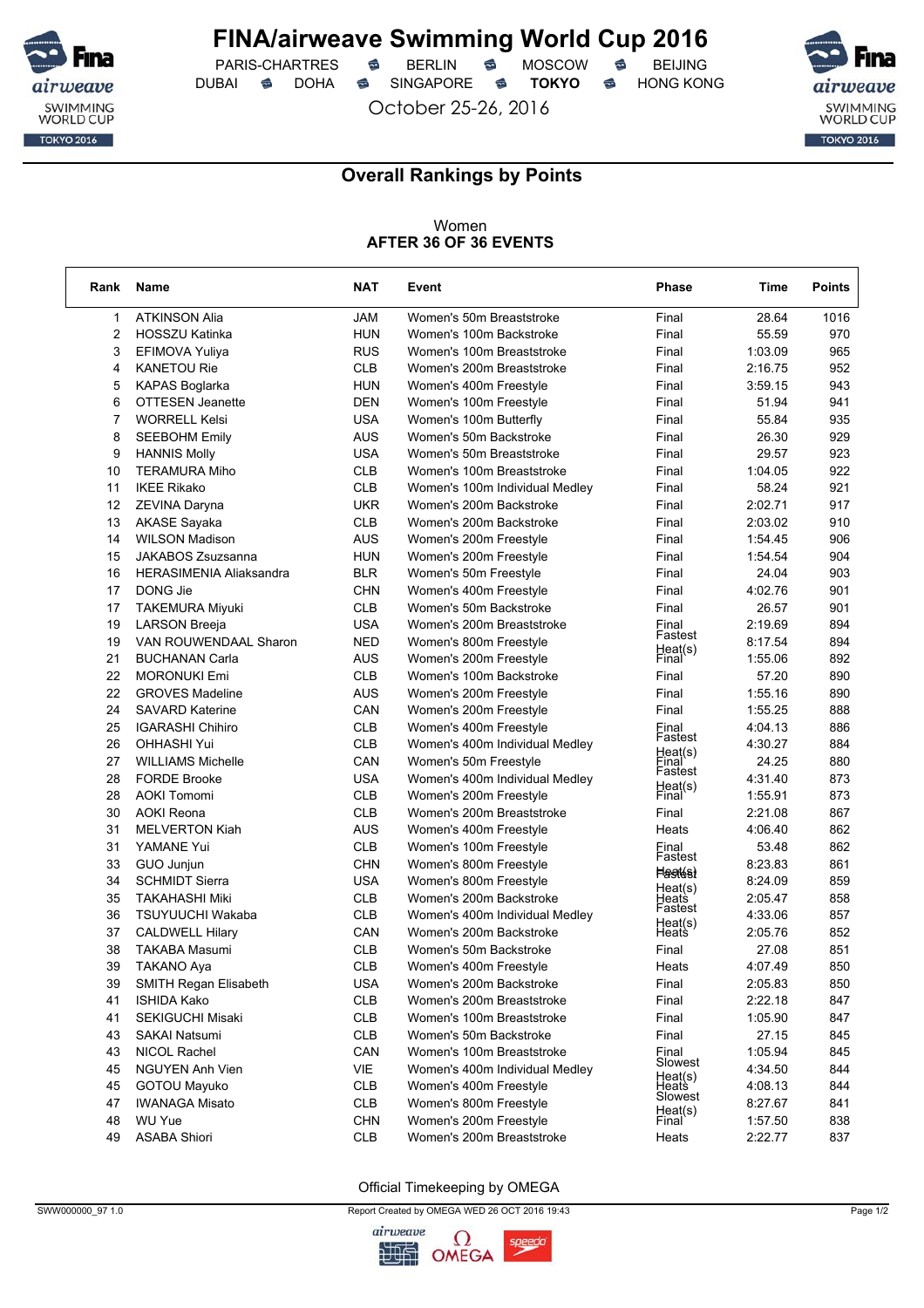

 $PARIS-CHARTRES$  **BERLIN B** MOSCOW **B** DUBAI **S** DOHA SINGAPORE S TOKYO S HONG KONG

October 25-26, 2016



٦

### **Overall Rankings by Points**

#### Women **AFTER 36 OF 36 EVENTS**

| <b>ATKINSON Alia</b><br><b>JAM</b><br>28.64<br>$\mathbf{1}$<br>Women's 50m Breaststroke<br>Final<br>1016<br>2<br><b>HUN</b><br><b>HOSSZU Katinka</b><br>Women's 100m Backstroke<br>Final<br>55.59<br>970<br>3<br><b>RUS</b><br>Women's 100m Breaststroke<br>1:03.09<br>965<br>EFIMOVA Yuliya<br>Final<br><b>CLB</b><br>4<br><b>KANETOU Rie</b><br>Women's 200m Breaststroke<br>Final<br>2:16.75<br>952<br>943<br>5<br><b>KAPAS Boglarka</b><br><b>HUN</b><br>Women's 400m Freestyle<br>Final<br>3:59.15<br>6<br><b>OTTESEN Jeanette</b><br><b>DEN</b><br>Final<br>51.94<br>941<br>Women's 100m Freestyle<br>7<br><b>WORRELL Kelsi</b><br><b>USA</b><br>Women's 100m Butterfly<br>Final<br>55.84<br>935<br>8<br><b>AUS</b><br>929<br><b>SEEBOHM Emily</b><br>Women's 50m Backstroke<br>Final<br>26.30<br><b>USA</b><br>923<br>9<br><b>HANNIS Molly</b><br>Final<br>29.57<br>Women's 50m Breaststroke<br><b>CLB</b><br>922<br>10<br><b>TERAMURA Miho</b><br>Women's 100m Breaststroke<br>Final<br>1:04.05<br><b>CLB</b><br>921<br>11<br><b>IKEE Rikako</b><br>Final<br>58.24<br>Women's 100m Individual Medley<br><b>UKR</b><br>12<br>Final<br>2:02.71<br>917<br>ZEVINA Daryna<br>Women's 200m Backstroke<br><b>CLB</b><br>13<br><b>AKASE Sayaka</b><br>Women's 200m Backstroke<br>Final<br>2:03.02<br>910<br><b>AUS</b><br>14<br><b>WILSON Madison</b><br>Women's 200m Freestyle<br>1:54.45<br>906<br>Final<br>15<br>JAKABOS Zsuzsanna<br><b>HUN</b><br>1:54.54<br>904<br>Women's 200m Freestyle<br>Final<br>24.04<br>903<br>16<br><b>HERASIMENIA Aliaksandra</b><br><b>BLR</b><br>Final<br>Women's 50m Freestyle<br>4:02.76<br>17<br>DONG Jie<br><b>CHN</b><br>Women's 400m Freestyle<br>Final<br>901<br><b>CLB</b><br>17<br><b>TAKEMURA Miyuki</b><br>Final<br>26.57<br>901<br>Women's 50m Backstroke<br><b>USA</b><br>19<br><b>LARSON Breeja</b><br>Women's 200m Breaststroke<br>2:19.69<br>894<br>Final<br>Fastest<br>19<br><b>NED</b><br>894<br>VAN ROUWENDAAL Sharon<br>Women's 800m Freestyle<br>8:17.54<br>Heat(s)<br>21<br>892<br>AUS<br>1:55.06<br><b>BUCHANAN Carla</b><br>Women's 200m Freestyle<br>Final<br>22<br><b>CLB</b><br>890<br><b>MORONUKI Emi</b><br>Women's 100m Backstroke<br>57.20<br>Final<br>22<br><b>AUS</b><br>890<br><b>GROVES Madeline</b><br>Women's 200m Freestyle<br>Final<br>1:55.16<br>24<br>888<br>CAN<br>1:55.25<br><b>SAVARD Katerine</b><br>Women's 200m Freestyle<br>Final<br>25<br><b>CLB</b><br><b>IGARASHI Chihiro</b><br>Women's 400m Freestyle<br>4:04.13<br>886<br>Einal<br>Fastest<br>26<br><b>CLB</b><br><b>OHHASHI Yui</b><br>Women's 400m Individual Medley<br>4:30.27<br>884<br>Heat(s)<br>Einal<br>27<br>CAN<br>880<br><b>WILLIAMS Michelle</b><br>24.25<br>Women's 50m Freestyle<br>Fastest<br>28<br>873<br><b>FORDE Brooke</b><br><b>USA</b><br>Women's 400m Individual Medley<br>4:31.40<br>Heat(s)<br>Final<br>28<br><b>CLB</b><br><b>AOKI Tomomi</b><br>Women's 200m Freestyle<br>1:55.91<br>873<br><b>CLB</b><br>30<br><b>AOKI Reona</b><br>2:21.08<br>867<br>Women's 200m Breaststroke<br>Final<br>31<br><b>AUS</b><br><b>MELVERTON Kiah</b><br>Women's 400m Freestyle<br>4:06.40<br>862<br>Heats<br>31<br><b>CLB</b><br>862<br>YAMANE Yui<br>53.48<br>Women's 100m Freestyle<br>Final<br>Fastest<br>33<br>CHN<br>861<br>GUO Junjun<br>8:23.83<br>Women's 800m Freestyle<br><b>Hastés)</b><br>859<br>34<br><b>SCHMIDT Sierra</b><br><b>USA</b><br>Women's 800m Freestyle<br>8:24.09<br>Heat(s)<br>Heats<br><b>CLB</b><br>35<br><b>TAKAHASHI Miki</b><br>Women's 200m Backstroke<br>2:05.47<br>858<br>Fastest<br><b>CLB</b><br>36<br>4:33.06<br>857<br><b>TSUYUUCHI Wakaba</b><br>Women's 400m Individual Medley<br>Heat(s)<br>Heats<br>37<br><b>CALDWELL Hilary</b><br>CAN<br>Women's 200m Backstroke<br>2:05.76<br>852<br>38<br><b>CLB</b><br><b>TAKABA Masumi</b><br>Women's 50m Backstroke<br>27.08<br>851<br>Final<br>39<br><b>CLB</b><br><b>TAKANO Aya</b><br>850<br>Women's 400m Freestyle<br>4:07.49<br>Heats<br><b>USA</b><br>2:05.83<br>SMITH Regan Elisabeth<br>Women's 200m Backstroke<br>850<br>39<br>Final<br><b>CLB</b><br>41<br><b>ISHIDA Kako</b><br>Women's 200m Breaststroke<br>Final<br>2:22.18<br>847<br><b>CLB</b><br><b>SEKIGUCHI Misaki</b><br>Women's 100m Breaststroke<br>Final<br>1:05.90<br>847<br>41<br><b>CLB</b><br>43<br><b>SAKAI Natsumi</b><br>Women's 50m Backstroke<br>Final<br>27.15<br>845<br>CAN<br>43<br>NICOL Rachel<br>Women's 100m Breaststroke<br>1:05.94<br>845<br>Final<br>Slowest<br>VIE<br>45<br><b>NGUYEN Anh Vien</b><br>Women's 400m Individual Medley<br>4:34.50<br>844<br>Heat(s)<br>Heats<br>Slowest<br><b>CLB</b><br>45<br><b>GOTOU Mayuko</b><br>Women's 400m Freestyle<br>4:08.13<br>844<br><b>CLB</b><br><b>IWANAGA Misato</b><br>Women's 800m Freestyle<br>8:27.67<br>841<br>47<br>Heat(s)<br>Final<br><b>CHN</b><br><b>WU Yue</b><br>Women's 200m Freestyle<br>1:57.50<br>48<br>838<br><b>ASABA Shiori</b><br><b>CLB</b><br>49<br>Women's 200m Breaststroke<br>2:22.77<br>837<br>Heats | Rank | Name | <b>NAT</b> | Event | <b>Phase</b> | Time | <b>Points</b> |
|--------------------------------------------------------------------------------------------------------------------------------------------------------------------------------------------------------------------------------------------------------------------------------------------------------------------------------------------------------------------------------------------------------------------------------------------------------------------------------------------------------------------------------------------------------------------------------------------------------------------------------------------------------------------------------------------------------------------------------------------------------------------------------------------------------------------------------------------------------------------------------------------------------------------------------------------------------------------------------------------------------------------------------------------------------------------------------------------------------------------------------------------------------------------------------------------------------------------------------------------------------------------------------------------------------------------------------------------------------------------------------------------------------------------------------------------------------------------------------------------------------------------------------------------------------------------------------------------------------------------------------------------------------------------------------------------------------------------------------------------------------------------------------------------------------------------------------------------------------------------------------------------------------------------------------------------------------------------------------------------------------------------------------------------------------------------------------------------------------------------------------------------------------------------------------------------------------------------------------------------------------------------------------------------------------------------------------------------------------------------------------------------------------------------------------------------------------------------------------------------------------------------------------------------------------------------------------------------------------------------------------------------------------------------------------------------------------------------------------------------------------------------------------------------------------------------------------------------------------------------------------------------------------------------------------------------------------------------------------------------------------------------------------------------------------------------------------------------------------------------------------------------------------------------------------------------------------------------------------------------------------------------------------------------------------------------------------------------------------------------------------------------------------------------------------------------------------------------------------------------------------------------------------------------------------------------------------------------------------------------------------------------------------------------------------------------------------------------------------------------------------------------------------------------------------------------------------------------------------------------------------------------------------------------------------------------------------------------------------------------------------------------------------------------------------------------------------------------------------------------------------------------------------------------------------------------------------------------------------------------------------------------------------------------------------------------------------------------------------------------------------------------------------------------------------------------------------------------------------------------------------------------------------------------------------------------------------------------------------------------------------------------------------------------------------------------------------------------------------------------------------------------------------------------------------------------------------------------------------------------------------------------------------------------------------------------------------------------------------------------------------------|------|------|------------|-------|--------------|------|---------------|
|                                                                                                                                                                                                                                                                                                                                                                                                                                                                                                                                                                                                                                                                                                                                                                                                                                                                                                                                                                                                                                                                                                                                                                                                                                                                                                                                                                                                                                                                                                                                                                                                                                                                                                                                                                                                                                                                                                                                                                                                                                                                                                                                                                                                                                                                                                                                                                                                                                                                                                                                                                                                                                                                                                                                                                                                                                                                                                                                                                                                                                                                                                                                                                                                                                                                                                                                                                                                                                                                                                                                                                                                                                                                                                                                                                                                                                                                                                                                                                                                                                                                                                                                                                                                                                                                                                                                                                                                                                                                                                                                                                                                                                                                                                                                                                                                                                                                                                                                                                                                              |      |      |            |       |              |      |               |
|                                                                                                                                                                                                                                                                                                                                                                                                                                                                                                                                                                                                                                                                                                                                                                                                                                                                                                                                                                                                                                                                                                                                                                                                                                                                                                                                                                                                                                                                                                                                                                                                                                                                                                                                                                                                                                                                                                                                                                                                                                                                                                                                                                                                                                                                                                                                                                                                                                                                                                                                                                                                                                                                                                                                                                                                                                                                                                                                                                                                                                                                                                                                                                                                                                                                                                                                                                                                                                                                                                                                                                                                                                                                                                                                                                                                                                                                                                                                                                                                                                                                                                                                                                                                                                                                                                                                                                                                                                                                                                                                                                                                                                                                                                                                                                                                                                                                                                                                                                                                              |      |      |            |       |              |      |               |
|                                                                                                                                                                                                                                                                                                                                                                                                                                                                                                                                                                                                                                                                                                                                                                                                                                                                                                                                                                                                                                                                                                                                                                                                                                                                                                                                                                                                                                                                                                                                                                                                                                                                                                                                                                                                                                                                                                                                                                                                                                                                                                                                                                                                                                                                                                                                                                                                                                                                                                                                                                                                                                                                                                                                                                                                                                                                                                                                                                                                                                                                                                                                                                                                                                                                                                                                                                                                                                                                                                                                                                                                                                                                                                                                                                                                                                                                                                                                                                                                                                                                                                                                                                                                                                                                                                                                                                                                                                                                                                                                                                                                                                                                                                                                                                                                                                                                                                                                                                                                              |      |      |            |       |              |      |               |
|                                                                                                                                                                                                                                                                                                                                                                                                                                                                                                                                                                                                                                                                                                                                                                                                                                                                                                                                                                                                                                                                                                                                                                                                                                                                                                                                                                                                                                                                                                                                                                                                                                                                                                                                                                                                                                                                                                                                                                                                                                                                                                                                                                                                                                                                                                                                                                                                                                                                                                                                                                                                                                                                                                                                                                                                                                                                                                                                                                                                                                                                                                                                                                                                                                                                                                                                                                                                                                                                                                                                                                                                                                                                                                                                                                                                                                                                                                                                                                                                                                                                                                                                                                                                                                                                                                                                                                                                                                                                                                                                                                                                                                                                                                                                                                                                                                                                                                                                                                                                              |      |      |            |       |              |      |               |
|                                                                                                                                                                                                                                                                                                                                                                                                                                                                                                                                                                                                                                                                                                                                                                                                                                                                                                                                                                                                                                                                                                                                                                                                                                                                                                                                                                                                                                                                                                                                                                                                                                                                                                                                                                                                                                                                                                                                                                                                                                                                                                                                                                                                                                                                                                                                                                                                                                                                                                                                                                                                                                                                                                                                                                                                                                                                                                                                                                                                                                                                                                                                                                                                                                                                                                                                                                                                                                                                                                                                                                                                                                                                                                                                                                                                                                                                                                                                                                                                                                                                                                                                                                                                                                                                                                                                                                                                                                                                                                                                                                                                                                                                                                                                                                                                                                                                                                                                                                                                              |      |      |            |       |              |      |               |
|                                                                                                                                                                                                                                                                                                                                                                                                                                                                                                                                                                                                                                                                                                                                                                                                                                                                                                                                                                                                                                                                                                                                                                                                                                                                                                                                                                                                                                                                                                                                                                                                                                                                                                                                                                                                                                                                                                                                                                                                                                                                                                                                                                                                                                                                                                                                                                                                                                                                                                                                                                                                                                                                                                                                                                                                                                                                                                                                                                                                                                                                                                                                                                                                                                                                                                                                                                                                                                                                                                                                                                                                                                                                                                                                                                                                                                                                                                                                                                                                                                                                                                                                                                                                                                                                                                                                                                                                                                                                                                                                                                                                                                                                                                                                                                                                                                                                                                                                                                                                              |      |      |            |       |              |      |               |
|                                                                                                                                                                                                                                                                                                                                                                                                                                                                                                                                                                                                                                                                                                                                                                                                                                                                                                                                                                                                                                                                                                                                                                                                                                                                                                                                                                                                                                                                                                                                                                                                                                                                                                                                                                                                                                                                                                                                                                                                                                                                                                                                                                                                                                                                                                                                                                                                                                                                                                                                                                                                                                                                                                                                                                                                                                                                                                                                                                                                                                                                                                                                                                                                                                                                                                                                                                                                                                                                                                                                                                                                                                                                                                                                                                                                                                                                                                                                                                                                                                                                                                                                                                                                                                                                                                                                                                                                                                                                                                                                                                                                                                                                                                                                                                                                                                                                                                                                                                                                              |      |      |            |       |              |      |               |
|                                                                                                                                                                                                                                                                                                                                                                                                                                                                                                                                                                                                                                                                                                                                                                                                                                                                                                                                                                                                                                                                                                                                                                                                                                                                                                                                                                                                                                                                                                                                                                                                                                                                                                                                                                                                                                                                                                                                                                                                                                                                                                                                                                                                                                                                                                                                                                                                                                                                                                                                                                                                                                                                                                                                                                                                                                                                                                                                                                                                                                                                                                                                                                                                                                                                                                                                                                                                                                                                                                                                                                                                                                                                                                                                                                                                                                                                                                                                                                                                                                                                                                                                                                                                                                                                                                                                                                                                                                                                                                                                                                                                                                                                                                                                                                                                                                                                                                                                                                                                              |      |      |            |       |              |      |               |
|                                                                                                                                                                                                                                                                                                                                                                                                                                                                                                                                                                                                                                                                                                                                                                                                                                                                                                                                                                                                                                                                                                                                                                                                                                                                                                                                                                                                                                                                                                                                                                                                                                                                                                                                                                                                                                                                                                                                                                                                                                                                                                                                                                                                                                                                                                                                                                                                                                                                                                                                                                                                                                                                                                                                                                                                                                                                                                                                                                                                                                                                                                                                                                                                                                                                                                                                                                                                                                                                                                                                                                                                                                                                                                                                                                                                                                                                                                                                                                                                                                                                                                                                                                                                                                                                                                                                                                                                                                                                                                                                                                                                                                                                                                                                                                                                                                                                                                                                                                                                              |      |      |            |       |              |      |               |
|                                                                                                                                                                                                                                                                                                                                                                                                                                                                                                                                                                                                                                                                                                                                                                                                                                                                                                                                                                                                                                                                                                                                                                                                                                                                                                                                                                                                                                                                                                                                                                                                                                                                                                                                                                                                                                                                                                                                                                                                                                                                                                                                                                                                                                                                                                                                                                                                                                                                                                                                                                                                                                                                                                                                                                                                                                                                                                                                                                                                                                                                                                                                                                                                                                                                                                                                                                                                                                                                                                                                                                                                                                                                                                                                                                                                                                                                                                                                                                                                                                                                                                                                                                                                                                                                                                                                                                                                                                                                                                                                                                                                                                                                                                                                                                                                                                                                                                                                                                                                              |      |      |            |       |              |      |               |
|                                                                                                                                                                                                                                                                                                                                                                                                                                                                                                                                                                                                                                                                                                                                                                                                                                                                                                                                                                                                                                                                                                                                                                                                                                                                                                                                                                                                                                                                                                                                                                                                                                                                                                                                                                                                                                                                                                                                                                                                                                                                                                                                                                                                                                                                                                                                                                                                                                                                                                                                                                                                                                                                                                                                                                                                                                                                                                                                                                                                                                                                                                                                                                                                                                                                                                                                                                                                                                                                                                                                                                                                                                                                                                                                                                                                                                                                                                                                                                                                                                                                                                                                                                                                                                                                                                                                                                                                                                                                                                                                                                                                                                                                                                                                                                                                                                                                                                                                                                                                              |      |      |            |       |              |      |               |
|                                                                                                                                                                                                                                                                                                                                                                                                                                                                                                                                                                                                                                                                                                                                                                                                                                                                                                                                                                                                                                                                                                                                                                                                                                                                                                                                                                                                                                                                                                                                                                                                                                                                                                                                                                                                                                                                                                                                                                                                                                                                                                                                                                                                                                                                                                                                                                                                                                                                                                                                                                                                                                                                                                                                                                                                                                                                                                                                                                                                                                                                                                                                                                                                                                                                                                                                                                                                                                                                                                                                                                                                                                                                                                                                                                                                                                                                                                                                                                                                                                                                                                                                                                                                                                                                                                                                                                                                                                                                                                                                                                                                                                                                                                                                                                                                                                                                                                                                                                                                              |      |      |            |       |              |      |               |
|                                                                                                                                                                                                                                                                                                                                                                                                                                                                                                                                                                                                                                                                                                                                                                                                                                                                                                                                                                                                                                                                                                                                                                                                                                                                                                                                                                                                                                                                                                                                                                                                                                                                                                                                                                                                                                                                                                                                                                                                                                                                                                                                                                                                                                                                                                                                                                                                                                                                                                                                                                                                                                                                                                                                                                                                                                                                                                                                                                                                                                                                                                                                                                                                                                                                                                                                                                                                                                                                                                                                                                                                                                                                                                                                                                                                                                                                                                                                                                                                                                                                                                                                                                                                                                                                                                                                                                                                                                                                                                                                                                                                                                                                                                                                                                                                                                                                                                                                                                                                              |      |      |            |       |              |      |               |
|                                                                                                                                                                                                                                                                                                                                                                                                                                                                                                                                                                                                                                                                                                                                                                                                                                                                                                                                                                                                                                                                                                                                                                                                                                                                                                                                                                                                                                                                                                                                                                                                                                                                                                                                                                                                                                                                                                                                                                                                                                                                                                                                                                                                                                                                                                                                                                                                                                                                                                                                                                                                                                                                                                                                                                                                                                                                                                                                                                                                                                                                                                                                                                                                                                                                                                                                                                                                                                                                                                                                                                                                                                                                                                                                                                                                                                                                                                                                                                                                                                                                                                                                                                                                                                                                                                                                                                                                                                                                                                                                                                                                                                                                                                                                                                                                                                                                                                                                                                                                              |      |      |            |       |              |      |               |
|                                                                                                                                                                                                                                                                                                                                                                                                                                                                                                                                                                                                                                                                                                                                                                                                                                                                                                                                                                                                                                                                                                                                                                                                                                                                                                                                                                                                                                                                                                                                                                                                                                                                                                                                                                                                                                                                                                                                                                                                                                                                                                                                                                                                                                                                                                                                                                                                                                                                                                                                                                                                                                                                                                                                                                                                                                                                                                                                                                                                                                                                                                                                                                                                                                                                                                                                                                                                                                                                                                                                                                                                                                                                                                                                                                                                                                                                                                                                                                                                                                                                                                                                                                                                                                                                                                                                                                                                                                                                                                                                                                                                                                                                                                                                                                                                                                                                                                                                                                                                              |      |      |            |       |              |      |               |
|                                                                                                                                                                                                                                                                                                                                                                                                                                                                                                                                                                                                                                                                                                                                                                                                                                                                                                                                                                                                                                                                                                                                                                                                                                                                                                                                                                                                                                                                                                                                                                                                                                                                                                                                                                                                                                                                                                                                                                                                                                                                                                                                                                                                                                                                                                                                                                                                                                                                                                                                                                                                                                                                                                                                                                                                                                                                                                                                                                                                                                                                                                                                                                                                                                                                                                                                                                                                                                                                                                                                                                                                                                                                                                                                                                                                                                                                                                                                                                                                                                                                                                                                                                                                                                                                                                                                                                                                                                                                                                                                                                                                                                                                                                                                                                                                                                                                                                                                                                                                              |      |      |            |       |              |      |               |
|                                                                                                                                                                                                                                                                                                                                                                                                                                                                                                                                                                                                                                                                                                                                                                                                                                                                                                                                                                                                                                                                                                                                                                                                                                                                                                                                                                                                                                                                                                                                                                                                                                                                                                                                                                                                                                                                                                                                                                                                                                                                                                                                                                                                                                                                                                                                                                                                                                                                                                                                                                                                                                                                                                                                                                                                                                                                                                                                                                                                                                                                                                                                                                                                                                                                                                                                                                                                                                                                                                                                                                                                                                                                                                                                                                                                                                                                                                                                                                                                                                                                                                                                                                                                                                                                                                                                                                                                                                                                                                                                                                                                                                                                                                                                                                                                                                                                                                                                                                                                              |      |      |            |       |              |      |               |
|                                                                                                                                                                                                                                                                                                                                                                                                                                                                                                                                                                                                                                                                                                                                                                                                                                                                                                                                                                                                                                                                                                                                                                                                                                                                                                                                                                                                                                                                                                                                                                                                                                                                                                                                                                                                                                                                                                                                                                                                                                                                                                                                                                                                                                                                                                                                                                                                                                                                                                                                                                                                                                                                                                                                                                                                                                                                                                                                                                                                                                                                                                                                                                                                                                                                                                                                                                                                                                                                                                                                                                                                                                                                                                                                                                                                                                                                                                                                                                                                                                                                                                                                                                                                                                                                                                                                                                                                                                                                                                                                                                                                                                                                                                                                                                                                                                                                                                                                                                                                              |      |      |            |       |              |      |               |
|                                                                                                                                                                                                                                                                                                                                                                                                                                                                                                                                                                                                                                                                                                                                                                                                                                                                                                                                                                                                                                                                                                                                                                                                                                                                                                                                                                                                                                                                                                                                                                                                                                                                                                                                                                                                                                                                                                                                                                                                                                                                                                                                                                                                                                                                                                                                                                                                                                                                                                                                                                                                                                                                                                                                                                                                                                                                                                                                                                                                                                                                                                                                                                                                                                                                                                                                                                                                                                                                                                                                                                                                                                                                                                                                                                                                                                                                                                                                                                                                                                                                                                                                                                                                                                                                                                                                                                                                                                                                                                                                                                                                                                                                                                                                                                                                                                                                                                                                                                                                              |      |      |            |       |              |      |               |
|                                                                                                                                                                                                                                                                                                                                                                                                                                                                                                                                                                                                                                                                                                                                                                                                                                                                                                                                                                                                                                                                                                                                                                                                                                                                                                                                                                                                                                                                                                                                                                                                                                                                                                                                                                                                                                                                                                                                                                                                                                                                                                                                                                                                                                                                                                                                                                                                                                                                                                                                                                                                                                                                                                                                                                                                                                                                                                                                                                                                                                                                                                                                                                                                                                                                                                                                                                                                                                                                                                                                                                                                                                                                                                                                                                                                                                                                                                                                                                                                                                                                                                                                                                                                                                                                                                                                                                                                                                                                                                                                                                                                                                                                                                                                                                                                                                                                                                                                                                                                              |      |      |            |       |              |      |               |
|                                                                                                                                                                                                                                                                                                                                                                                                                                                                                                                                                                                                                                                                                                                                                                                                                                                                                                                                                                                                                                                                                                                                                                                                                                                                                                                                                                                                                                                                                                                                                                                                                                                                                                                                                                                                                                                                                                                                                                                                                                                                                                                                                                                                                                                                                                                                                                                                                                                                                                                                                                                                                                                                                                                                                                                                                                                                                                                                                                                                                                                                                                                                                                                                                                                                                                                                                                                                                                                                                                                                                                                                                                                                                                                                                                                                                                                                                                                                                                                                                                                                                                                                                                                                                                                                                                                                                                                                                                                                                                                                                                                                                                                                                                                                                                                                                                                                                                                                                                                                              |      |      |            |       |              |      |               |
|                                                                                                                                                                                                                                                                                                                                                                                                                                                                                                                                                                                                                                                                                                                                                                                                                                                                                                                                                                                                                                                                                                                                                                                                                                                                                                                                                                                                                                                                                                                                                                                                                                                                                                                                                                                                                                                                                                                                                                                                                                                                                                                                                                                                                                                                                                                                                                                                                                                                                                                                                                                                                                                                                                                                                                                                                                                                                                                                                                                                                                                                                                                                                                                                                                                                                                                                                                                                                                                                                                                                                                                                                                                                                                                                                                                                                                                                                                                                                                                                                                                                                                                                                                                                                                                                                                                                                                                                                                                                                                                                                                                                                                                                                                                                                                                                                                                                                                                                                                                                              |      |      |            |       |              |      |               |
|                                                                                                                                                                                                                                                                                                                                                                                                                                                                                                                                                                                                                                                                                                                                                                                                                                                                                                                                                                                                                                                                                                                                                                                                                                                                                                                                                                                                                                                                                                                                                                                                                                                                                                                                                                                                                                                                                                                                                                                                                                                                                                                                                                                                                                                                                                                                                                                                                                                                                                                                                                                                                                                                                                                                                                                                                                                                                                                                                                                                                                                                                                                                                                                                                                                                                                                                                                                                                                                                                                                                                                                                                                                                                                                                                                                                                                                                                                                                                                                                                                                                                                                                                                                                                                                                                                                                                                                                                                                                                                                                                                                                                                                                                                                                                                                                                                                                                                                                                                                                              |      |      |            |       |              |      |               |
|                                                                                                                                                                                                                                                                                                                                                                                                                                                                                                                                                                                                                                                                                                                                                                                                                                                                                                                                                                                                                                                                                                                                                                                                                                                                                                                                                                                                                                                                                                                                                                                                                                                                                                                                                                                                                                                                                                                                                                                                                                                                                                                                                                                                                                                                                                                                                                                                                                                                                                                                                                                                                                                                                                                                                                                                                                                                                                                                                                                                                                                                                                                                                                                                                                                                                                                                                                                                                                                                                                                                                                                                                                                                                                                                                                                                                                                                                                                                                                                                                                                                                                                                                                                                                                                                                                                                                                                                                                                                                                                                                                                                                                                                                                                                                                                                                                                                                                                                                                                                              |      |      |            |       |              |      |               |
|                                                                                                                                                                                                                                                                                                                                                                                                                                                                                                                                                                                                                                                                                                                                                                                                                                                                                                                                                                                                                                                                                                                                                                                                                                                                                                                                                                                                                                                                                                                                                                                                                                                                                                                                                                                                                                                                                                                                                                                                                                                                                                                                                                                                                                                                                                                                                                                                                                                                                                                                                                                                                                                                                                                                                                                                                                                                                                                                                                                                                                                                                                                                                                                                                                                                                                                                                                                                                                                                                                                                                                                                                                                                                                                                                                                                                                                                                                                                                                                                                                                                                                                                                                                                                                                                                                                                                                                                                                                                                                                                                                                                                                                                                                                                                                                                                                                                                                                                                                                                              |      |      |            |       |              |      |               |
|                                                                                                                                                                                                                                                                                                                                                                                                                                                                                                                                                                                                                                                                                                                                                                                                                                                                                                                                                                                                                                                                                                                                                                                                                                                                                                                                                                                                                                                                                                                                                                                                                                                                                                                                                                                                                                                                                                                                                                                                                                                                                                                                                                                                                                                                                                                                                                                                                                                                                                                                                                                                                                                                                                                                                                                                                                                                                                                                                                                                                                                                                                                                                                                                                                                                                                                                                                                                                                                                                                                                                                                                                                                                                                                                                                                                                                                                                                                                                                                                                                                                                                                                                                                                                                                                                                                                                                                                                                                                                                                                                                                                                                                                                                                                                                                                                                                                                                                                                                                                              |      |      |            |       |              |      |               |
|                                                                                                                                                                                                                                                                                                                                                                                                                                                                                                                                                                                                                                                                                                                                                                                                                                                                                                                                                                                                                                                                                                                                                                                                                                                                                                                                                                                                                                                                                                                                                                                                                                                                                                                                                                                                                                                                                                                                                                                                                                                                                                                                                                                                                                                                                                                                                                                                                                                                                                                                                                                                                                                                                                                                                                                                                                                                                                                                                                                                                                                                                                                                                                                                                                                                                                                                                                                                                                                                                                                                                                                                                                                                                                                                                                                                                                                                                                                                                                                                                                                                                                                                                                                                                                                                                                                                                                                                                                                                                                                                                                                                                                                                                                                                                                                                                                                                                                                                                                                                              |      |      |            |       |              |      |               |
|                                                                                                                                                                                                                                                                                                                                                                                                                                                                                                                                                                                                                                                                                                                                                                                                                                                                                                                                                                                                                                                                                                                                                                                                                                                                                                                                                                                                                                                                                                                                                                                                                                                                                                                                                                                                                                                                                                                                                                                                                                                                                                                                                                                                                                                                                                                                                                                                                                                                                                                                                                                                                                                                                                                                                                                                                                                                                                                                                                                                                                                                                                                                                                                                                                                                                                                                                                                                                                                                                                                                                                                                                                                                                                                                                                                                                                                                                                                                                                                                                                                                                                                                                                                                                                                                                                                                                                                                                                                                                                                                                                                                                                                                                                                                                                                                                                                                                                                                                                                                              |      |      |            |       |              |      |               |
|                                                                                                                                                                                                                                                                                                                                                                                                                                                                                                                                                                                                                                                                                                                                                                                                                                                                                                                                                                                                                                                                                                                                                                                                                                                                                                                                                                                                                                                                                                                                                                                                                                                                                                                                                                                                                                                                                                                                                                                                                                                                                                                                                                                                                                                                                                                                                                                                                                                                                                                                                                                                                                                                                                                                                                                                                                                                                                                                                                                                                                                                                                                                                                                                                                                                                                                                                                                                                                                                                                                                                                                                                                                                                                                                                                                                                                                                                                                                                                                                                                                                                                                                                                                                                                                                                                                                                                                                                                                                                                                                                                                                                                                                                                                                                                                                                                                                                                                                                                                                              |      |      |            |       |              |      |               |
|                                                                                                                                                                                                                                                                                                                                                                                                                                                                                                                                                                                                                                                                                                                                                                                                                                                                                                                                                                                                                                                                                                                                                                                                                                                                                                                                                                                                                                                                                                                                                                                                                                                                                                                                                                                                                                                                                                                                                                                                                                                                                                                                                                                                                                                                                                                                                                                                                                                                                                                                                                                                                                                                                                                                                                                                                                                                                                                                                                                                                                                                                                                                                                                                                                                                                                                                                                                                                                                                                                                                                                                                                                                                                                                                                                                                                                                                                                                                                                                                                                                                                                                                                                                                                                                                                                                                                                                                                                                                                                                                                                                                                                                                                                                                                                                                                                                                                                                                                                                                              |      |      |            |       |              |      |               |
|                                                                                                                                                                                                                                                                                                                                                                                                                                                                                                                                                                                                                                                                                                                                                                                                                                                                                                                                                                                                                                                                                                                                                                                                                                                                                                                                                                                                                                                                                                                                                                                                                                                                                                                                                                                                                                                                                                                                                                                                                                                                                                                                                                                                                                                                                                                                                                                                                                                                                                                                                                                                                                                                                                                                                                                                                                                                                                                                                                                                                                                                                                                                                                                                                                                                                                                                                                                                                                                                                                                                                                                                                                                                                                                                                                                                                                                                                                                                                                                                                                                                                                                                                                                                                                                                                                                                                                                                                                                                                                                                                                                                                                                                                                                                                                                                                                                                                                                                                                                                              |      |      |            |       |              |      |               |
|                                                                                                                                                                                                                                                                                                                                                                                                                                                                                                                                                                                                                                                                                                                                                                                                                                                                                                                                                                                                                                                                                                                                                                                                                                                                                                                                                                                                                                                                                                                                                                                                                                                                                                                                                                                                                                                                                                                                                                                                                                                                                                                                                                                                                                                                                                                                                                                                                                                                                                                                                                                                                                                                                                                                                                                                                                                                                                                                                                                                                                                                                                                                                                                                                                                                                                                                                                                                                                                                                                                                                                                                                                                                                                                                                                                                                                                                                                                                                                                                                                                                                                                                                                                                                                                                                                                                                                                                                                                                                                                                                                                                                                                                                                                                                                                                                                                                                                                                                                                                              |      |      |            |       |              |      |               |
|                                                                                                                                                                                                                                                                                                                                                                                                                                                                                                                                                                                                                                                                                                                                                                                                                                                                                                                                                                                                                                                                                                                                                                                                                                                                                                                                                                                                                                                                                                                                                                                                                                                                                                                                                                                                                                                                                                                                                                                                                                                                                                                                                                                                                                                                                                                                                                                                                                                                                                                                                                                                                                                                                                                                                                                                                                                                                                                                                                                                                                                                                                                                                                                                                                                                                                                                                                                                                                                                                                                                                                                                                                                                                                                                                                                                                                                                                                                                                                                                                                                                                                                                                                                                                                                                                                                                                                                                                                                                                                                                                                                                                                                                                                                                                                                                                                                                                                                                                                                                              |      |      |            |       |              |      |               |
|                                                                                                                                                                                                                                                                                                                                                                                                                                                                                                                                                                                                                                                                                                                                                                                                                                                                                                                                                                                                                                                                                                                                                                                                                                                                                                                                                                                                                                                                                                                                                                                                                                                                                                                                                                                                                                                                                                                                                                                                                                                                                                                                                                                                                                                                                                                                                                                                                                                                                                                                                                                                                                                                                                                                                                                                                                                                                                                                                                                                                                                                                                                                                                                                                                                                                                                                                                                                                                                                                                                                                                                                                                                                                                                                                                                                                                                                                                                                                                                                                                                                                                                                                                                                                                                                                                                                                                                                                                                                                                                                                                                                                                                                                                                                                                                                                                                                                                                                                                                                              |      |      |            |       |              |      |               |
|                                                                                                                                                                                                                                                                                                                                                                                                                                                                                                                                                                                                                                                                                                                                                                                                                                                                                                                                                                                                                                                                                                                                                                                                                                                                                                                                                                                                                                                                                                                                                                                                                                                                                                                                                                                                                                                                                                                                                                                                                                                                                                                                                                                                                                                                                                                                                                                                                                                                                                                                                                                                                                                                                                                                                                                                                                                                                                                                                                                                                                                                                                                                                                                                                                                                                                                                                                                                                                                                                                                                                                                                                                                                                                                                                                                                                                                                                                                                                                                                                                                                                                                                                                                                                                                                                                                                                                                                                                                                                                                                                                                                                                                                                                                                                                                                                                                                                                                                                                                                              |      |      |            |       |              |      |               |
|                                                                                                                                                                                                                                                                                                                                                                                                                                                                                                                                                                                                                                                                                                                                                                                                                                                                                                                                                                                                                                                                                                                                                                                                                                                                                                                                                                                                                                                                                                                                                                                                                                                                                                                                                                                                                                                                                                                                                                                                                                                                                                                                                                                                                                                                                                                                                                                                                                                                                                                                                                                                                                                                                                                                                                                                                                                                                                                                                                                                                                                                                                                                                                                                                                                                                                                                                                                                                                                                                                                                                                                                                                                                                                                                                                                                                                                                                                                                                                                                                                                                                                                                                                                                                                                                                                                                                                                                                                                                                                                                                                                                                                                                                                                                                                                                                                                                                                                                                                                                              |      |      |            |       |              |      |               |
|                                                                                                                                                                                                                                                                                                                                                                                                                                                                                                                                                                                                                                                                                                                                                                                                                                                                                                                                                                                                                                                                                                                                                                                                                                                                                                                                                                                                                                                                                                                                                                                                                                                                                                                                                                                                                                                                                                                                                                                                                                                                                                                                                                                                                                                                                                                                                                                                                                                                                                                                                                                                                                                                                                                                                                                                                                                                                                                                                                                                                                                                                                                                                                                                                                                                                                                                                                                                                                                                                                                                                                                                                                                                                                                                                                                                                                                                                                                                                                                                                                                                                                                                                                                                                                                                                                                                                                                                                                                                                                                                                                                                                                                                                                                                                                                                                                                                                                                                                                                                              |      |      |            |       |              |      |               |
|                                                                                                                                                                                                                                                                                                                                                                                                                                                                                                                                                                                                                                                                                                                                                                                                                                                                                                                                                                                                                                                                                                                                                                                                                                                                                                                                                                                                                                                                                                                                                                                                                                                                                                                                                                                                                                                                                                                                                                                                                                                                                                                                                                                                                                                                                                                                                                                                                                                                                                                                                                                                                                                                                                                                                                                                                                                                                                                                                                                                                                                                                                                                                                                                                                                                                                                                                                                                                                                                                                                                                                                                                                                                                                                                                                                                                                                                                                                                                                                                                                                                                                                                                                                                                                                                                                                                                                                                                                                                                                                                                                                                                                                                                                                                                                                                                                                                                                                                                                                                              |      |      |            |       |              |      |               |
|                                                                                                                                                                                                                                                                                                                                                                                                                                                                                                                                                                                                                                                                                                                                                                                                                                                                                                                                                                                                                                                                                                                                                                                                                                                                                                                                                                                                                                                                                                                                                                                                                                                                                                                                                                                                                                                                                                                                                                                                                                                                                                                                                                                                                                                                                                                                                                                                                                                                                                                                                                                                                                                                                                                                                                                                                                                                                                                                                                                                                                                                                                                                                                                                                                                                                                                                                                                                                                                                                                                                                                                                                                                                                                                                                                                                                                                                                                                                                                                                                                                                                                                                                                                                                                                                                                                                                                                                                                                                                                                                                                                                                                                                                                                                                                                                                                                                                                                                                                                                              |      |      |            |       |              |      |               |
|                                                                                                                                                                                                                                                                                                                                                                                                                                                                                                                                                                                                                                                                                                                                                                                                                                                                                                                                                                                                                                                                                                                                                                                                                                                                                                                                                                                                                                                                                                                                                                                                                                                                                                                                                                                                                                                                                                                                                                                                                                                                                                                                                                                                                                                                                                                                                                                                                                                                                                                                                                                                                                                                                                                                                                                                                                                                                                                                                                                                                                                                                                                                                                                                                                                                                                                                                                                                                                                                                                                                                                                                                                                                                                                                                                                                                                                                                                                                                                                                                                                                                                                                                                                                                                                                                                                                                                                                                                                                                                                                                                                                                                                                                                                                                                                                                                                                                                                                                                                                              |      |      |            |       |              |      |               |
|                                                                                                                                                                                                                                                                                                                                                                                                                                                                                                                                                                                                                                                                                                                                                                                                                                                                                                                                                                                                                                                                                                                                                                                                                                                                                                                                                                                                                                                                                                                                                                                                                                                                                                                                                                                                                                                                                                                                                                                                                                                                                                                                                                                                                                                                                                                                                                                                                                                                                                                                                                                                                                                                                                                                                                                                                                                                                                                                                                                                                                                                                                                                                                                                                                                                                                                                                                                                                                                                                                                                                                                                                                                                                                                                                                                                                                                                                                                                                                                                                                                                                                                                                                                                                                                                                                                                                                                                                                                                                                                                                                                                                                                                                                                                                                                                                                                                                                                                                                                                              |      |      |            |       |              |      |               |
|                                                                                                                                                                                                                                                                                                                                                                                                                                                                                                                                                                                                                                                                                                                                                                                                                                                                                                                                                                                                                                                                                                                                                                                                                                                                                                                                                                                                                                                                                                                                                                                                                                                                                                                                                                                                                                                                                                                                                                                                                                                                                                                                                                                                                                                                                                                                                                                                                                                                                                                                                                                                                                                                                                                                                                                                                                                                                                                                                                                                                                                                                                                                                                                                                                                                                                                                                                                                                                                                                                                                                                                                                                                                                                                                                                                                                                                                                                                                                                                                                                                                                                                                                                                                                                                                                                                                                                                                                                                                                                                                                                                                                                                                                                                                                                                                                                                                                                                                                                                                              |      |      |            |       |              |      |               |
|                                                                                                                                                                                                                                                                                                                                                                                                                                                                                                                                                                                                                                                                                                                                                                                                                                                                                                                                                                                                                                                                                                                                                                                                                                                                                                                                                                                                                                                                                                                                                                                                                                                                                                                                                                                                                                                                                                                                                                                                                                                                                                                                                                                                                                                                                                                                                                                                                                                                                                                                                                                                                                                                                                                                                                                                                                                                                                                                                                                                                                                                                                                                                                                                                                                                                                                                                                                                                                                                                                                                                                                                                                                                                                                                                                                                                                                                                                                                                                                                                                                                                                                                                                                                                                                                                                                                                                                                                                                                                                                                                                                                                                                                                                                                                                                                                                                                                                                                                                                                              |      |      |            |       |              |      |               |
|                                                                                                                                                                                                                                                                                                                                                                                                                                                                                                                                                                                                                                                                                                                                                                                                                                                                                                                                                                                                                                                                                                                                                                                                                                                                                                                                                                                                                                                                                                                                                                                                                                                                                                                                                                                                                                                                                                                                                                                                                                                                                                                                                                                                                                                                                                                                                                                                                                                                                                                                                                                                                                                                                                                                                                                                                                                                                                                                                                                                                                                                                                                                                                                                                                                                                                                                                                                                                                                                                                                                                                                                                                                                                                                                                                                                                                                                                                                                                                                                                                                                                                                                                                                                                                                                                                                                                                                                                                                                                                                                                                                                                                                                                                                                                                                                                                                                                                                                                                                                              |      |      |            |       |              |      |               |
|                                                                                                                                                                                                                                                                                                                                                                                                                                                                                                                                                                                                                                                                                                                                                                                                                                                                                                                                                                                                                                                                                                                                                                                                                                                                                                                                                                                                                                                                                                                                                                                                                                                                                                                                                                                                                                                                                                                                                                                                                                                                                                                                                                                                                                                                                                                                                                                                                                                                                                                                                                                                                                                                                                                                                                                                                                                                                                                                                                                                                                                                                                                                                                                                                                                                                                                                                                                                                                                                                                                                                                                                                                                                                                                                                                                                                                                                                                                                                                                                                                                                                                                                                                                                                                                                                                                                                                                                                                                                                                                                                                                                                                                                                                                                                                                                                                                                                                                                                                                                              |      |      |            |       |              |      |               |
|                                                                                                                                                                                                                                                                                                                                                                                                                                                                                                                                                                                                                                                                                                                                                                                                                                                                                                                                                                                                                                                                                                                                                                                                                                                                                                                                                                                                                                                                                                                                                                                                                                                                                                                                                                                                                                                                                                                                                                                                                                                                                                                                                                                                                                                                                                                                                                                                                                                                                                                                                                                                                                                                                                                                                                                                                                                                                                                                                                                                                                                                                                                                                                                                                                                                                                                                                                                                                                                                                                                                                                                                                                                                                                                                                                                                                                                                                                                                                                                                                                                                                                                                                                                                                                                                                                                                                                                                                                                                                                                                                                                                                                                                                                                                                                                                                                                                                                                                                                                                              |      |      |            |       |              |      |               |
|                                                                                                                                                                                                                                                                                                                                                                                                                                                                                                                                                                                                                                                                                                                                                                                                                                                                                                                                                                                                                                                                                                                                                                                                                                                                                                                                                                                                                                                                                                                                                                                                                                                                                                                                                                                                                                                                                                                                                                                                                                                                                                                                                                                                                                                                                                                                                                                                                                                                                                                                                                                                                                                                                                                                                                                                                                                                                                                                                                                                                                                                                                                                                                                                                                                                                                                                                                                                                                                                                                                                                                                                                                                                                                                                                                                                                                                                                                                                                                                                                                                                                                                                                                                                                                                                                                                                                                                                                                                                                                                                                                                                                                                                                                                                                                                                                                                                                                                                                                                                              |      |      |            |       |              |      |               |
|                                                                                                                                                                                                                                                                                                                                                                                                                                                                                                                                                                                                                                                                                                                                                                                                                                                                                                                                                                                                                                                                                                                                                                                                                                                                                                                                                                                                                                                                                                                                                                                                                                                                                                                                                                                                                                                                                                                                                                                                                                                                                                                                                                                                                                                                                                                                                                                                                                                                                                                                                                                                                                                                                                                                                                                                                                                                                                                                                                                                                                                                                                                                                                                                                                                                                                                                                                                                                                                                                                                                                                                                                                                                                                                                                                                                                                                                                                                                                                                                                                                                                                                                                                                                                                                                                                                                                                                                                                                                                                                                                                                                                                                                                                                                                                                                                                                                                                                                                                                                              |      |      |            |       |              |      |               |
|                                                                                                                                                                                                                                                                                                                                                                                                                                                                                                                                                                                                                                                                                                                                                                                                                                                                                                                                                                                                                                                                                                                                                                                                                                                                                                                                                                                                                                                                                                                                                                                                                                                                                                                                                                                                                                                                                                                                                                                                                                                                                                                                                                                                                                                                                                                                                                                                                                                                                                                                                                                                                                                                                                                                                                                                                                                                                                                                                                                                                                                                                                                                                                                                                                                                                                                                                                                                                                                                                                                                                                                                                                                                                                                                                                                                                                                                                                                                                                                                                                                                                                                                                                                                                                                                                                                                                                                                                                                                                                                                                                                                                                                                                                                                                                                                                                                                                                                                                                                                              |      |      |            |       |              |      |               |

Official Timekeeping by OMEGA

SWW000000\_97 1.0 Page 1/2

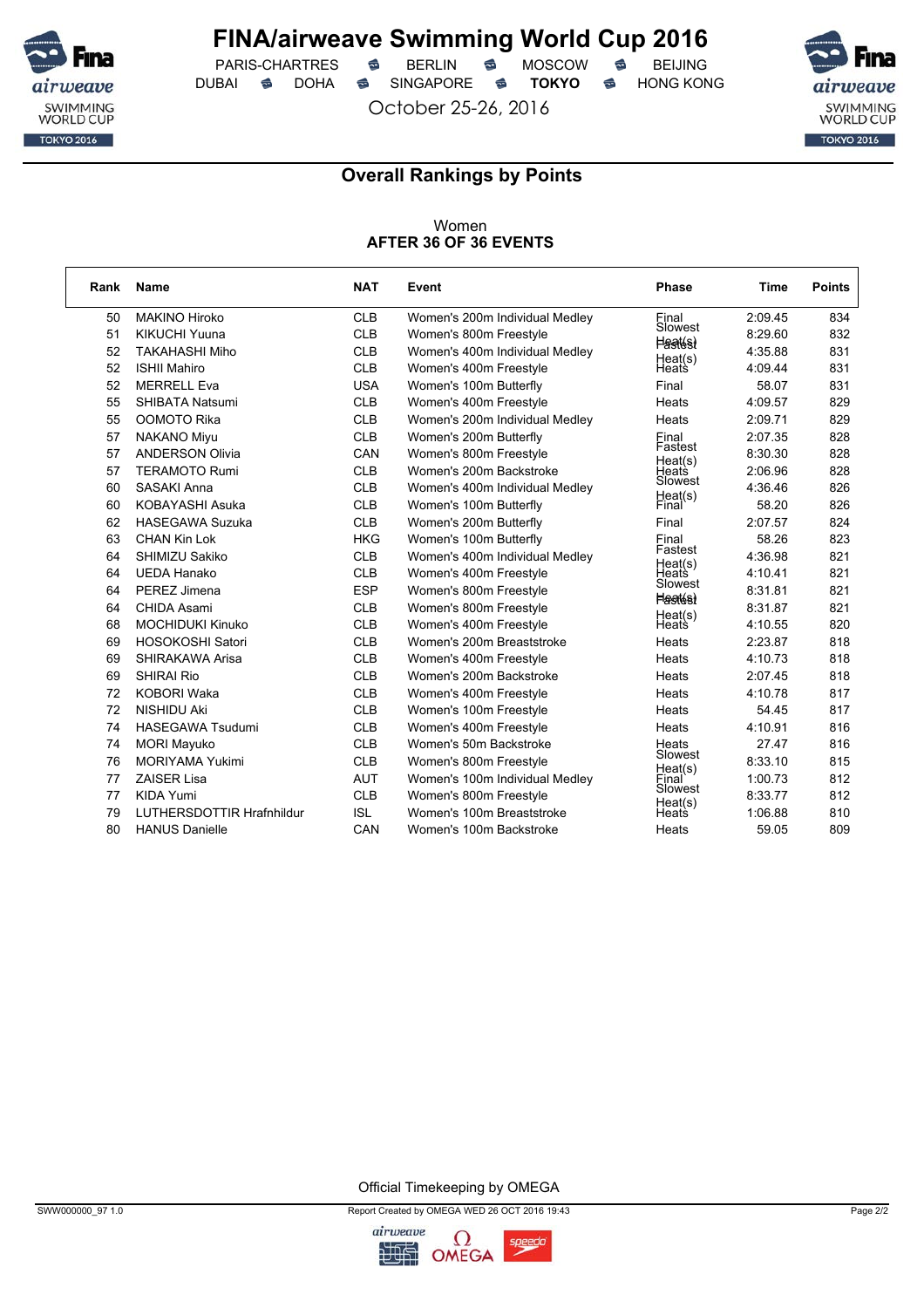

 $PARIS-CHARTRES$  **BERLIN B** MOSCOW **B** DUBAI **S** DOHA SINGAPORE S TOKYO S HONG KONG

October 25-26, 2016



### **Overall Rankings by Points**

#### Women **AFTER 36 OF 36 EVENTS**

| Rank | Name                      | <b>NAT</b> | Event                          | <b>Phase</b>                | <b>Time</b> | <b>Points</b> |
|------|---------------------------|------------|--------------------------------|-----------------------------|-------------|---------------|
| 50   | <b>MAKINO Hiroko</b>      | <b>CLB</b> | Women's 200m Individual Medley | Final                       | 2:09.45     | 834           |
| 51   | <b>KIKUCHI Yuuna</b>      | <b>CLB</b> | Women's 800m Freestyle         | Slowest                     | 8:29.60     | 832           |
| 52   | <b>TAKAHASHI Miho</b>     | <b>CLB</b> | Women's 400m Individual Medley | <b>Heatés)</b>              | 4:35.88     | 831           |
| 52   | <b>ISHII Mahiro</b>       | <b>CLB</b> | Women's 400m Freestyle         | Heat(s)<br>Heats            | 4:09.44     | 831           |
| 52   | <b>MERRELL Eva</b>        | <b>USA</b> | Women's 100m Butterfly         | Final                       | 58.07       | 831           |
| 55   | <b>SHIBATA Natsumi</b>    | <b>CLB</b> | Women's 400m Freestyle         | Heats                       | 4:09.57     | 829           |
| 55   | OOMOTO Rika               | <b>CLB</b> | Women's 200m Individual Medley | Heats                       | 2:09.71     | 829           |
| 57   | <b>NAKANO Miyu</b>        | <b>CLB</b> | Women's 200m Butterfly         | Final                       | 2:07.35     | 828           |
| 57   | <b>ANDERSON Olivia</b>    | CAN        | Women's 800m Freestyle         | Fastest                     | 8:30.30     | 828           |
| 57   | <b>TERAMOTO Rumi</b>      | <b>CLB</b> | Women's 200m Backstroke        | Heat(s)<br>Heats            | 2:06.96     | 828           |
| 60   | <b>SASAKI Anna</b>        | <b>CLB</b> | Women's 400m Individual Medley | Slowest                     | 4:36.46     | 826           |
| 60   | KOBAYASHI Asuka           | <b>CLB</b> | Women's 100m Butterfly         | Heat(s)<br>Final            | 58.20       | 826           |
| 62   | <b>HASEGAWA Suzuka</b>    | <b>CLB</b> | Women's 200m Butterfly         | Final                       | 2:07.57     | 824           |
| 63   | <b>CHAN Kin Lok</b>       | <b>HKG</b> | Women's 100m Butterfly         | Final<br>Fastest            | 58.26       | 823           |
| 64   | SHIMIZU Sakiko            | <b>CLB</b> | Women's 400m Individual Medley | Heat(s)                     | 4:36.98     | 821           |
| 64   | <b>UEDA Hanako</b>        | <b>CLB</b> | Women's 400m Freestyle         | Heats<br>Slowest            | 4:10.41     | 821           |
| 64   | PEREZ Jimena              | <b>ESP</b> | Women's 800m Freestyle         | <b>Hastés)</b>              | 8:31.81     | 821           |
| 64   | <b>CHIDA Asami</b>        | <b>CLB</b> | Women's 800m Freestyle         |                             | 8:31.87     | 821           |
| 68   | <b>MOCHIDUKI Kinuko</b>   | <b>CLB</b> | Women's 400m Freestyle         | Heat(s)<br>Heats            | 4:10.55     | 820           |
| 69   | HOSOKOSHI Satori          | <b>CLB</b> | Women's 200m Breaststroke      | Heats                       | 2:23.87     | 818           |
| 69   | SHIRAKAWA Arisa           | <b>CLB</b> | Women's 400m Freestyle         | Heats                       | 4:10.73     | 818           |
| 69   | <b>SHIRAI Rio</b>         | <b>CLB</b> | Women's 200m Backstroke        | Heats                       | 2:07.45     | 818           |
| 72   | <b>KOBORI Waka</b>        | <b>CLB</b> | Women's 400m Freestyle         | Heats                       | 4:10.78     | 817           |
| 72   | <b>NISHIDU Aki</b>        | <b>CLB</b> | Women's 100m Freestyle         | Heats                       | 54.45       | 817           |
| 74   | <b>HASEGAWA Tsudumi</b>   | <b>CLB</b> | Women's 400m Freestyle         | Heats                       | 4:10.91     | 816           |
| 74   | <b>MORI Mayuko</b>        | <b>CLB</b> | Women's 50m Backstroke         | Heats<br>Slowest            | 27.47       | 816           |
| 76   | <b>MORIYAMA Yukimi</b>    | <b>CLB</b> | Women's 800m Freestyle         |                             | 8:33.10     | 815           |
| 77   | <b>ZAISER Lisa</b>        | <b>AUT</b> | Women's 100m Individual Medley | Heat(s)<br>Einal<br>Slowest | 1:00.73     | 812           |
| 77   | <b>KIDA Yumi</b>          | <b>CLB</b> | Women's 800m Freestyle         |                             | 8:33.77     | 812           |
| 79   | LUTHERSDOTTIR Hrafnhildur | <b>ISL</b> | Women's 100m Breaststroke      | Heat(s)<br>Heats            | 1:06.88     | 810           |
| 80   | <b>HANUS Danielle</b>     | CAN        | Women's 100m Backstroke        | Heats                       | 59.05       | 809           |

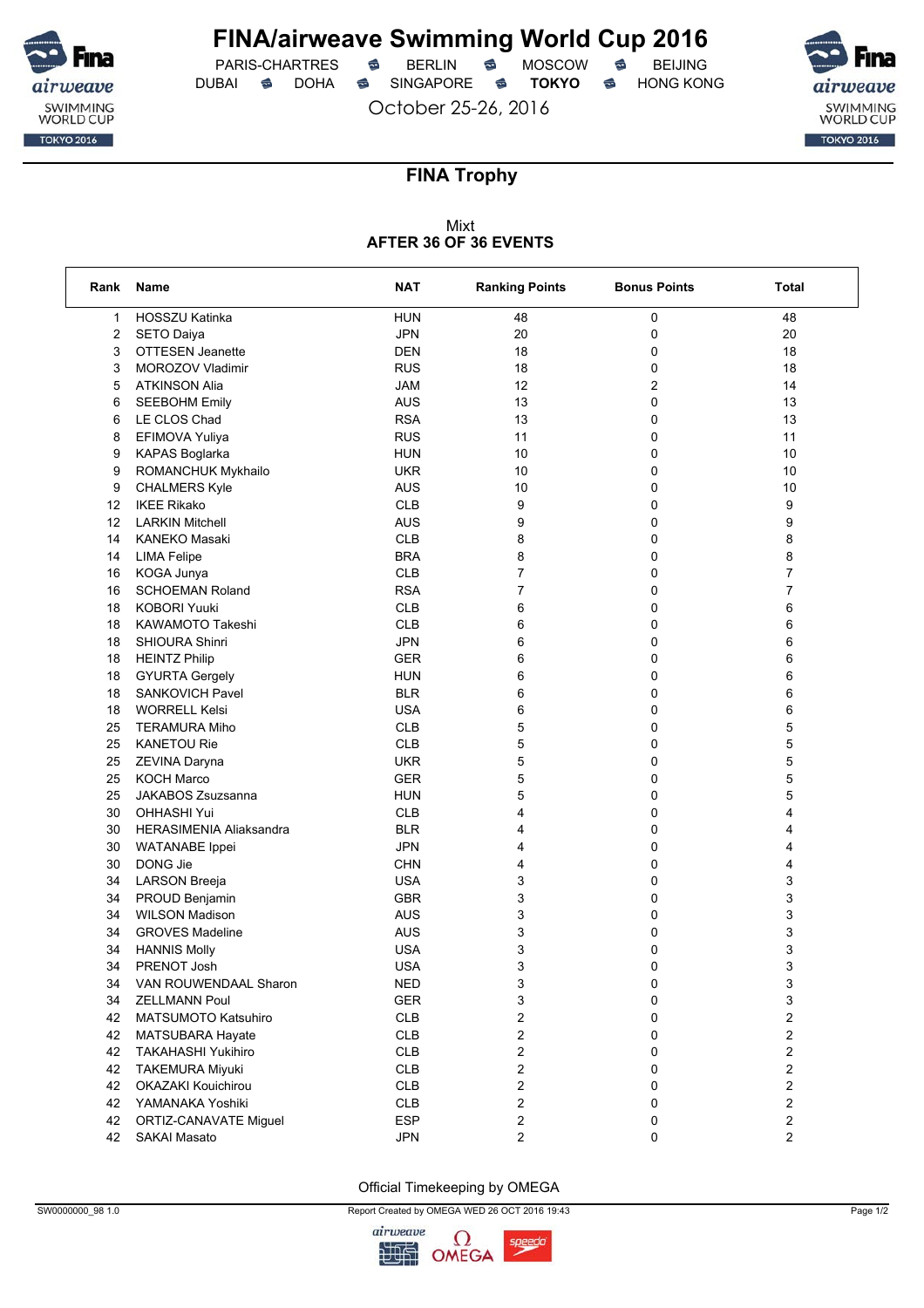

 $PARIS-CHARTRES$  **BERLIN B** MOSCOW **B** DUBAI **S** DOHA SINGAPORE S TOKYO S HONG KONG

October 25-26, 2016



### **FINA Trophy**

#### Mixt **AFTER 36 OF 36 EVENTS**

| Rank              | Name                           | NAT                      | <b>Ranking Points</b>   | <b>Bonus Points</b> | Total          |
|-------------------|--------------------------------|--------------------------|-------------------------|---------------------|----------------|
| 1                 | HOSSZU Katinka                 | <b>HUN</b>               | 48                      | 0                   | 48             |
| 2                 | SETO Daiya                     | <b>JPN</b>               | 20                      | 0                   | 20             |
| 3                 | OTTESEN Jeanette               | <b>DEN</b>               | 18                      | 0                   | 18             |
| 3                 | MOROZOV Vladimir               | <b>RUS</b>               | 18                      | 0                   | 18             |
| 5                 | <b>ATKINSON Alia</b>           | <b>JAM</b>               | 12                      | 2                   | 14             |
| 6                 | <b>SEEBOHM Emily</b>           | <b>AUS</b>               | 13                      | 0                   | 13             |
| 6                 | LE CLOS Chad                   | <b>RSA</b>               | 13                      | 0                   | 13             |
| 8                 | EFIMOVA Yuliya                 | <b>RUS</b>               | 11                      | 0                   | 11             |
| 9                 | <b>KAPAS Boglarka</b>          | <b>HUN</b>               | 10                      | 0                   | 10             |
| 9                 | ROMANCHUK Mykhailo             | <b>UKR</b>               | 10                      | 0                   | 10             |
| 9                 | <b>CHALMERS Kyle</b>           | <b>AUS</b>               | 10                      | 0                   | 10             |
| 12                | <b>IKEE Rikako</b>             | <b>CLB</b>               | 9                       | 0                   | 9              |
| $12 \overline{ }$ | <b>LARKIN Mitchell</b>         | <b>AUS</b>               | 9                       | 0                   | 9              |
| 14                | <b>KANEKO Masaki</b>           | <b>CLB</b>               | 8                       | 0                   | 8              |
| 14                | <b>LIMA Felipe</b>             | <b>BRA</b>               | 8                       | 0                   | 8              |
| 16                | KOGA Junya                     | <b>CLB</b>               | $\overline{7}$          | 0                   | 7              |
| 16                | <b>SCHOEMAN Roland</b>         | <b>RSA</b>               | 7                       | 0                   | 7              |
| 18                | <b>KOBORI Yuuki</b>            | <b>CLB</b>               | 6                       | 0                   | 6              |
| 18                | KAWAMOTO Takeshi               | <b>CLB</b>               | 6                       | 0                   | 6              |
| 18                | SHIOURA Shinri                 | <b>JPN</b>               | 6                       | 0                   | 6              |
| 18                | <b>HEINTZ Philip</b>           | <b>GER</b>               | 6                       | 0                   | 6              |
| 18                | <b>GYURTA Gergely</b>          | <b>HUN</b>               | 6                       | 0                   | 6              |
| 18                | <b>SANKOVICH Pavel</b>         | <b>BLR</b>               | 6                       | 0                   | 6              |
| 18                | <b>WORRELL Kelsi</b>           | <b>USA</b>               | 6                       | 0                   | 6              |
| 25                | <b>TERAMURA Miho</b>           | <b>CLB</b>               | 5                       | 0                   | 5              |
| 25                | <b>KANETOU Rie</b>             | <b>CLB</b>               | 5                       | 0                   | 5              |
| 25                | ZEVINA Daryna                  | <b>UKR</b>               | 5                       | 0                   | 5              |
| 25                | <b>KOCH Marco</b>              | <b>GER</b>               | 5                       | 0                   | 5              |
| 25                | JAKABOS Zsuzsanna              | <b>HUN</b>               | 5                       | 0                   | 5              |
| 30                | <b>OHHASHI Yui</b>             | <b>CLB</b>               | 4                       | 0                   | 4              |
| 30                | <b>HERASIMENIA Aliaksandra</b> | <b>BLR</b>               | 4                       | 0                   | 4              |
| 30                | <b>WATANABE</b> Ippei          | <b>JPN</b>               | 4                       | 0                   | 4              |
| 30                | DONG Jie                       | <b>CHN</b>               | 4                       | 0                   | 4              |
| 34                | <b>LARSON Breeja</b>           | <b>USA</b>               | 3                       | 0                   |                |
|                   |                                | <b>GBR</b>               | 3                       | 0                   | 3<br>3         |
| 34                | PROUD Benjamin                 |                          |                         |                     |                |
| 34                | <b>WILSON Madison</b>          | <b>AUS</b>               | 3                       | 0                   | 3              |
| 34                | <b>GROVES Madeline</b>         | <b>AUS</b><br><b>USA</b> | 3                       | 0                   | 3              |
| 34                | <b>HANNIS Molly</b>            |                          | 3                       | 0                   | 3              |
| 34                | PRENOT Josh                    | USA                      | 3                       | 0                   | 3              |
| 34                | VAN ROUWENDAAL Sharon          | <b>NED</b>               | 3                       | 0                   | 3              |
| 34                | <b>ZELLMANN Poul</b>           | <b>GER</b>               | 3                       | 0                   | 3              |
| 42                | MATSUMOTO Katsuhiro            | <b>CLB</b>               | 2                       | 0                   | 2              |
| 42                | MATSUBARA Hayate               | <b>CLB</b>               | 2                       | 0                   | 2              |
| 42                | <b>TAKAHASHI Yukihiro</b>      | <b>CLB</b>               | $\overline{\mathbf{c}}$ | 0                   | 2              |
| 42                | <b>TAKEMURA Miyuki</b>         | <b>CLB</b>               | $\overline{\mathbf{c}}$ | 0                   | 2              |
| 42                | OKAZAKI Kouichirou             | <b>CLB</b>               | 2                       | 0                   | 2              |
| 42                | YAMANAKA Yoshiki               | <b>CLB</b>               | 2                       | 0                   | 2              |
| 42                | ORTIZ-CANAVATE Miguel          | <b>ESP</b>               | 2                       | 0                   | 2              |
| 42                | SAKAI Masato                   | <b>JPN</b>               | $\overline{c}$          | 0                   | $\overline{c}$ |



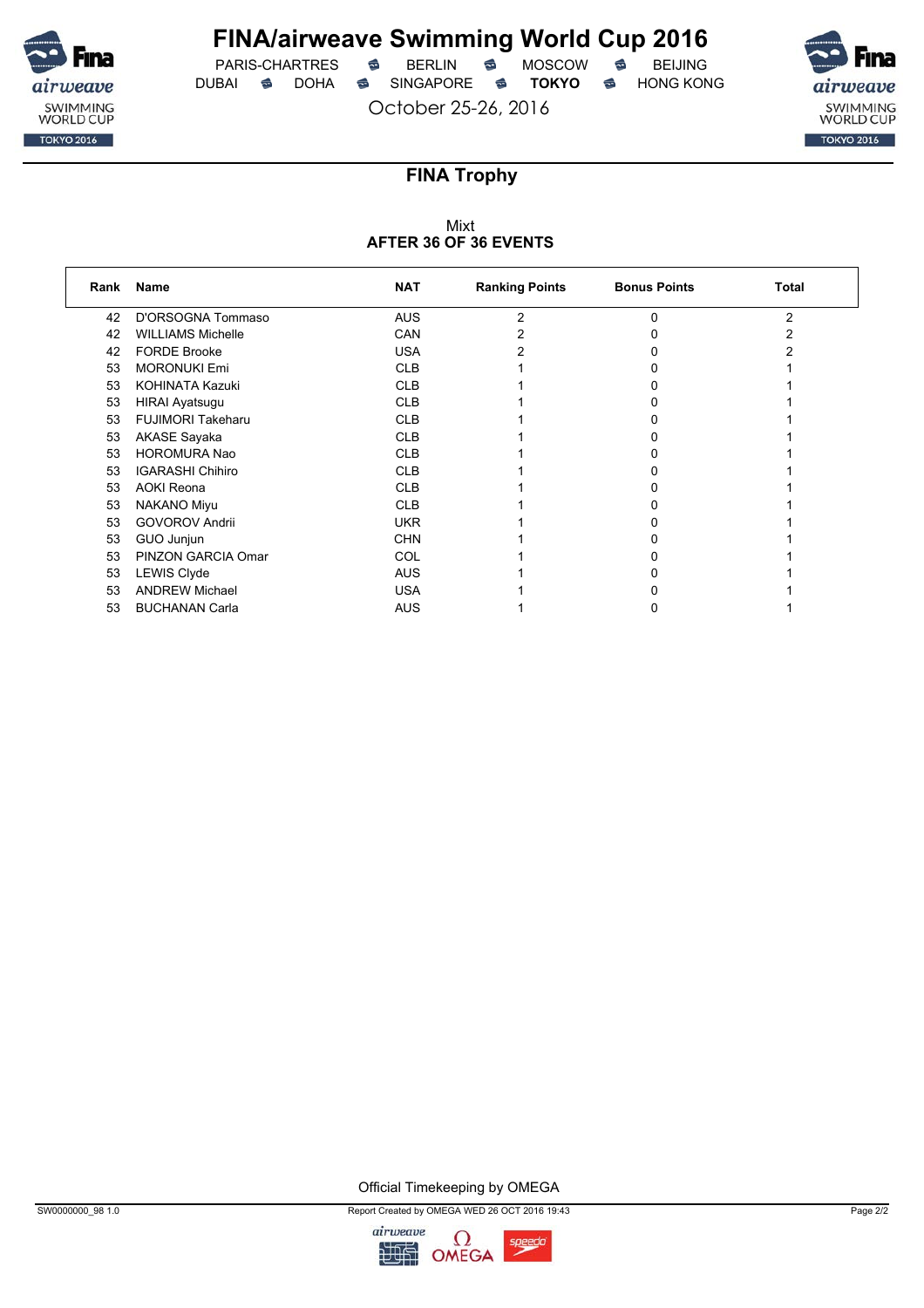

 $PARIS-CHARTRES$  **BERLIN B** MOSCOW **B** DUBAI **S** DOHA S SINGAPORE S TOKYO S HONG KONG

October 25-26, 2016



## **FINA Trophy**

### Mixt **AFTER 36 OF 36 EVENTS**

| Rank | Name                     | <b>NAT</b> | <b>Ranking Points</b> | <b>Bonus Points</b> | Total |
|------|--------------------------|------------|-----------------------|---------------------|-------|
| 42   | D'ORSOGNA Tommaso        | <b>AUS</b> | 2                     | ŋ                   | 2     |
| 42   | <b>WILLIAMS Michelle</b> | CAN        |                       |                     |       |
| 42   | <b>FORDE Brooke</b>      | <b>USA</b> |                       |                     |       |
| 53   | <b>MORONUKI Emi</b>      | <b>CLB</b> |                       |                     |       |
| 53   | <b>KOHINATA Kazuki</b>   | <b>CLB</b> |                       |                     |       |
| 53   | <b>HIRAI Ayatsugu</b>    | <b>CLB</b> |                       |                     |       |
| 53   | <b>FUJIMORI Takeharu</b> | <b>CLB</b> |                       |                     |       |
| 53   | <b>AKASE Sayaka</b>      | <b>CLB</b> |                       |                     |       |
| 53   | <b>HOROMURA Nao</b>      | <b>CLB</b> |                       |                     |       |
| 53   | <b>IGARASHI Chihiro</b>  | <b>CLB</b> |                       |                     |       |
| 53   | <b>AOKI Reona</b>        | <b>CLB</b> |                       |                     |       |
| 53   | <b>NAKANO Miyu</b>       | <b>CLB</b> |                       |                     |       |
| 53   | <b>GOVOROV Andrii</b>    | <b>UKR</b> |                       |                     |       |
| 53   | GUO Junjun               | <b>CHN</b> |                       |                     |       |
| 53   | PINZON GARCIA Omar       | COL        |                       |                     |       |
| 53   | <b>LEWIS Clyde</b>       | <b>AUS</b> |                       |                     |       |
| 53   | <b>ANDREW Michael</b>    | <b>USA</b> |                       |                     |       |
| 53   | <b>BUCHANAN Carla</b>    | <b>AUS</b> |                       |                     |       |



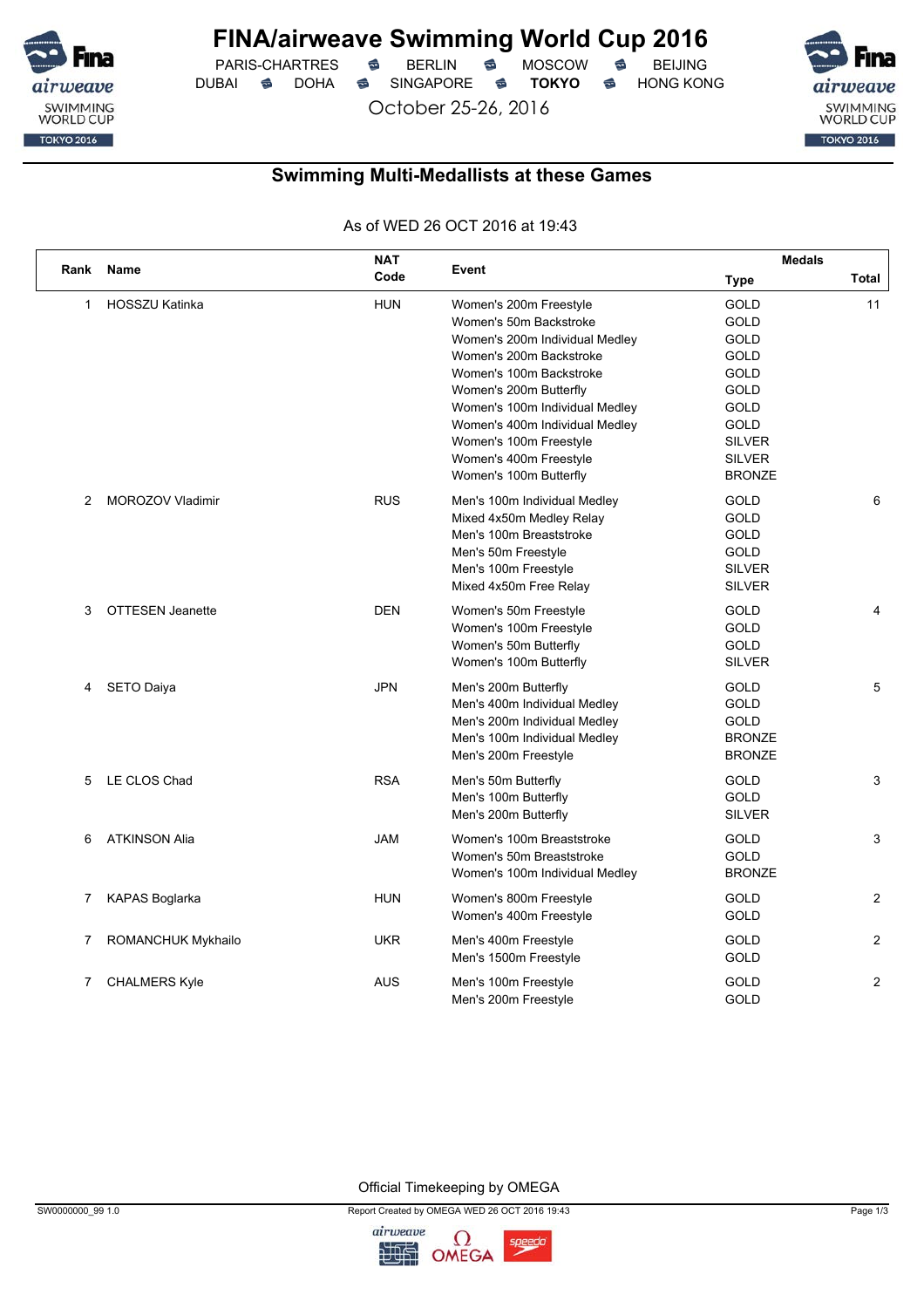

# **FINA/airweave Swimming World Cup 2016**<br>PARIS-CHARTRES **& BERLIN & MOSCOW & BEIJING**

PARIS-CHARTRES **S** BERLIN S MOSCOW S DUBAI **S** DOHA S SINGAPORE S **TOKYO** S HONG KONG

October 25-26, 2016



### **Swimming Multi-Medallists at these Games**

As of WED 26 OCT 2016 at 19:43

| Rank         | Name                    | <b>NAT</b> | Event                                                                                                                                                                                                                                                                                                                | <b>Medals</b>                                                                                                                                                           |                |
|--------------|-------------------------|------------|----------------------------------------------------------------------------------------------------------------------------------------------------------------------------------------------------------------------------------------------------------------------------------------------------------------------|-------------------------------------------------------------------------------------------------------------------------------------------------------------------------|----------------|
|              |                         | Code       |                                                                                                                                                                                                                                                                                                                      | <b>Type</b>                                                                                                                                                             | Total          |
| $\mathbf{1}$ | HOSSZU Katinka          | <b>HUN</b> | Women's 200m Freestyle<br>Women's 50m Backstroke<br>Women's 200m Individual Medley<br>Women's 200m Backstroke<br>Women's 100m Backstroke<br>Women's 200m Butterfly<br>Women's 100m Individual Medley<br>Women's 400m Individual Medley<br>Women's 100m Freestyle<br>Women's 400m Freestyle<br>Women's 100m Butterfly | <b>GOLD</b><br><b>GOLD</b><br><b>GOLD</b><br><b>GOLD</b><br><b>GOLD</b><br><b>GOLD</b><br><b>GOLD</b><br><b>GOLD</b><br><b>SILVER</b><br><b>SILVER</b><br><b>BRONZE</b> | 11             |
| 2            | MOROZOV Vladimir        | <b>RUS</b> | Men's 100m Individual Medley<br>Mixed 4x50m Medley Relay<br>Men's 100m Breaststroke<br>Men's 50m Freestyle<br>Men's 100m Freestyle<br>Mixed 4x50m Free Relay                                                                                                                                                         | <b>GOLD</b><br><b>GOLD</b><br>GOLD<br>GOLD<br><b>SILVER</b><br><b>SILVER</b>                                                                                            | 6              |
| 3            | <b>OTTESEN Jeanette</b> | <b>DEN</b> | Women's 50m Freestyle<br>Women's 100m Freestyle<br>Women's 50m Butterfly<br>Women's 100m Butterfly                                                                                                                                                                                                                   | <b>GOLD</b><br><b>GOLD</b><br>GOLD<br><b>SILVER</b>                                                                                                                     | 4              |
| 4            | SETO Daiya              | <b>JPN</b> | Men's 200m Butterfly<br>Men's 400m Individual Medley<br>Men's 200m Individual Medley<br>Men's 100m Individual Medley<br>Men's 200m Freestyle                                                                                                                                                                         | <b>GOLD</b><br><b>GOLD</b><br>GOLD<br><b>BRONZE</b><br><b>BRONZE</b>                                                                                                    | 5              |
| 5            | LE CLOS Chad            | <b>RSA</b> | Men's 50m Butterfly<br>Men's 100m Butterfly<br>Men's 200m Butterfly                                                                                                                                                                                                                                                  | <b>GOLD</b><br>GOLD<br><b>SILVER</b>                                                                                                                                    | 3              |
| 6            | <b>ATKINSON Alia</b>    | <b>JAM</b> | Women's 100m Breaststroke<br>Women's 50m Breaststroke<br>Women's 100m Individual Medley                                                                                                                                                                                                                              | GOLD<br><b>GOLD</b><br><b>BRONZE</b>                                                                                                                                    | 3              |
| 7            | <b>KAPAS Boglarka</b>   | <b>HUN</b> | Women's 800m Freestyle<br>Women's 400m Freestyle                                                                                                                                                                                                                                                                     | <b>GOLD</b><br><b>GOLD</b>                                                                                                                                              | $\overline{2}$ |
| 7            | ROMANCHUK Mykhailo      | <b>UKR</b> | Men's 400m Freestyle<br>Men's 1500m Freestyle                                                                                                                                                                                                                                                                        | <b>GOLD</b><br>GOLD                                                                                                                                                     | $\overline{2}$ |
| 7            | <b>CHALMERS Kyle</b>    | <b>AUS</b> | Men's 100m Freestyle<br>Men's 200m Freestyle                                                                                                                                                                                                                                                                         | GOLD<br><b>GOLD</b>                                                                                                                                                     | 2              |

Official Timekeeping by OMEGA

SW0000000\_99 1.0 Page 1/3

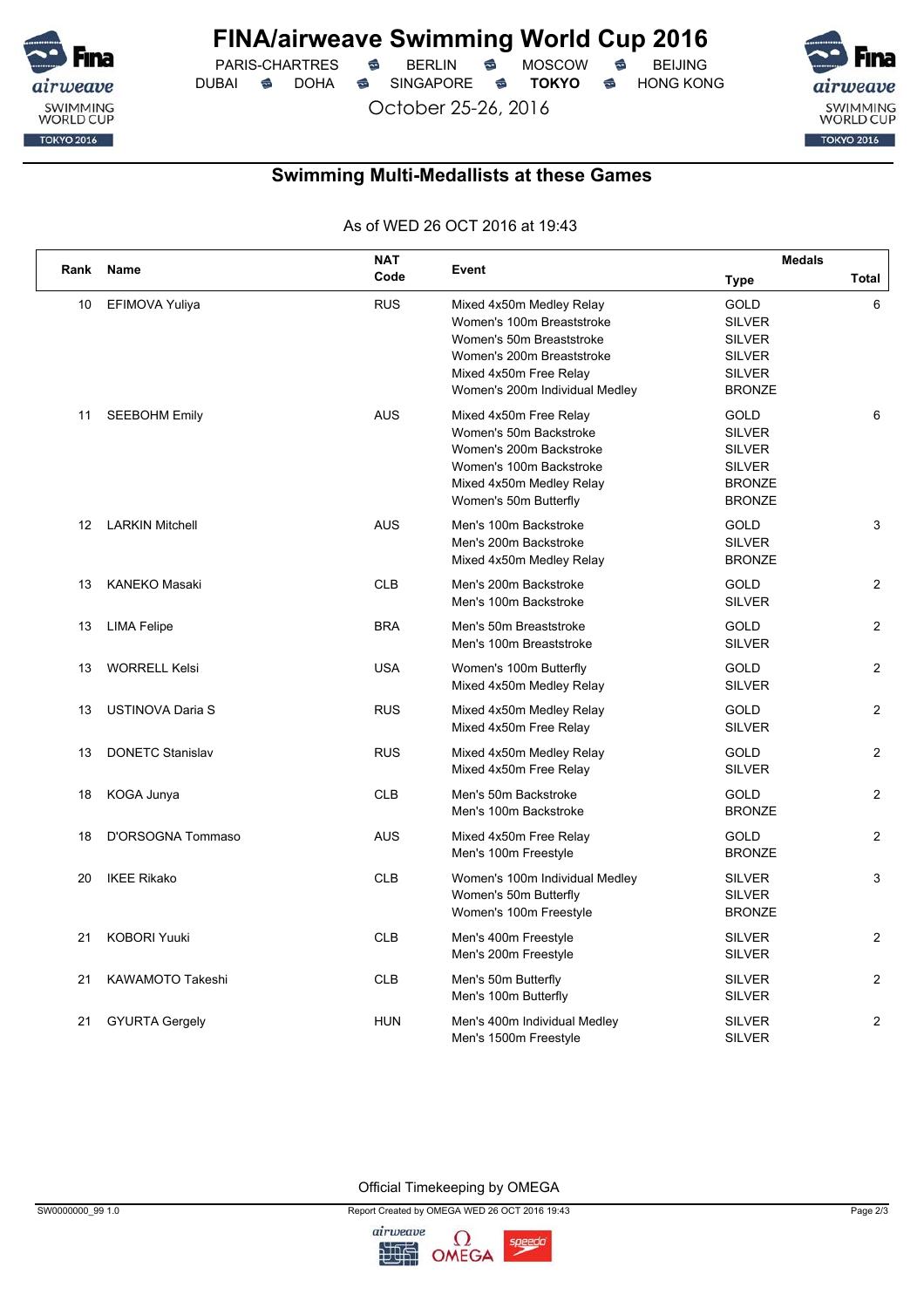

# **FINA/airweave Swimming World Cup 2016**<br>PARIS-CHARTRES **& BERLIN & MOSCOW & BEIJING**

PARIS-CHARTRES **S** BERLIN S MOSCOW S DUBAI **S** DOHA S SINGAPORE S TOKYO S HONG KONG

October 25-26, 2016



### **Swimming Multi-Medallists at these Games**

#### As of WED 26 OCT 2016 at 19:43

| Rank | Name                    | <b>NAT</b><br>Code | Event                                                                                                                                                                      | <b>Medals</b>                                                                                    |                         |
|------|-------------------------|--------------------|----------------------------------------------------------------------------------------------------------------------------------------------------------------------------|--------------------------------------------------------------------------------------------------|-------------------------|
|      |                         |                    |                                                                                                                                                                            | <b>Type</b>                                                                                      | <b>Total</b>            |
| 10   | EFIMOVA Yuliya          | <b>RUS</b>         | Mixed 4x50m Medley Relay<br>Women's 100m Breaststroke<br>Women's 50m Breaststroke<br>Women's 200m Breaststroke<br>Mixed 4x50m Free Relay<br>Women's 200m Individual Medley | <b>GOLD</b><br><b>SILVER</b><br><b>SILVER</b><br><b>SILVER</b><br><b>SILVER</b><br><b>BRONZE</b> | 6                       |
| 11   | <b>SEEBOHM Emily</b>    | <b>AUS</b>         | Mixed 4x50m Free Relay<br>Women's 50m Backstroke<br>Women's 200m Backstroke<br>Women's 100m Backstroke<br>Mixed 4x50m Medley Relay<br>Women's 50m Butterfly                | <b>GOLD</b><br><b>SILVER</b><br><b>SILVER</b><br><b>SILVER</b><br><b>BRONZE</b><br><b>BRONZE</b> | 6                       |
| 12   | <b>LARKIN Mitchell</b>  | <b>AUS</b>         | Men's 100m Backstroke<br>Men's 200m Backstroke<br>Mixed 4x50m Medley Relay                                                                                                 | GOLD<br><b>SILVER</b><br><b>BRONZE</b>                                                           | 3                       |
| 13   | <b>KANEKO Masaki</b>    | <b>CLB</b>         | Men's 200m Backstroke<br>Men's 100m Backstroke                                                                                                                             | <b>GOLD</b><br><b>SILVER</b>                                                                     | $\overline{\mathbf{c}}$ |
| 13   | <b>LIMA Felipe</b>      | <b>BRA</b>         | Men's 50m Breaststroke<br>Men's 100m Breaststroke                                                                                                                          | <b>GOLD</b><br><b>SILVER</b>                                                                     | $\overline{2}$          |
| 13   | <b>WORRELL Kelsi</b>    | <b>USA</b>         | Women's 100m Butterfly<br>Mixed 4x50m Medley Relay                                                                                                                         | <b>GOLD</b><br><b>SILVER</b>                                                                     | $\overline{c}$          |
| 13   | <b>USTINOVA Daria S</b> | <b>RUS</b>         | Mixed 4x50m Medley Relay<br>Mixed 4x50m Free Relay                                                                                                                         | <b>GOLD</b><br><b>SILVER</b>                                                                     | $\overline{c}$          |
| 13   | <b>DONETC Stanislav</b> | <b>RUS</b>         | Mixed 4x50m Medley Relay<br>Mixed 4x50m Free Relay                                                                                                                         | <b>GOLD</b><br><b>SILVER</b>                                                                     | $\overline{c}$          |
| 18   | KOGA Junya              | <b>CLB</b>         | Men's 50m Backstroke<br>Men's 100m Backstroke                                                                                                                              | GOLD<br><b>BRONZE</b>                                                                            | $\overline{c}$          |
| 18   | D'ORSOGNA Tommaso       | <b>AUS</b>         | Mixed 4x50m Free Relay<br>Men's 100m Freestyle                                                                                                                             | <b>GOLD</b><br><b>BRONZE</b>                                                                     | $\overline{c}$          |
| 20   | <b>IKEE Rikako</b>      | <b>CLB</b>         | Women's 100m Individual Medley<br>Women's 50m Butterfly<br>Women's 100m Freestyle                                                                                          | <b>SILVER</b><br><b>SILVER</b><br><b>BRONZE</b>                                                  | 3                       |
| 21   | <b>KOBORI Yuuki</b>     | <b>CLB</b>         | Men's 400m Freestyle<br>Men's 200m Freestyle                                                                                                                               | <b>SILVER</b><br><b>SILVER</b>                                                                   | $\overline{c}$          |
| 21   | <b>KAWAMOTO Takeshi</b> | <b>CLB</b>         | Men's 50m Butterfly<br>Men's 100m Butterfly                                                                                                                                | <b>SILVER</b><br><b>SILVER</b>                                                                   | $\overline{c}$          |
| 21   | <b>GYURTA Gergely</b>   | <b>HUN</b>         | Men's 400m Individual Medley<br>Men's 1500m Freestyle                                                                                                                      | <b>SILVER</b><br><b>SILVER</b>                                                                   | $\overline{2}$          |

Official Timekeeping by OMEGA

SW0000000\_99 1.0 Page 2/3